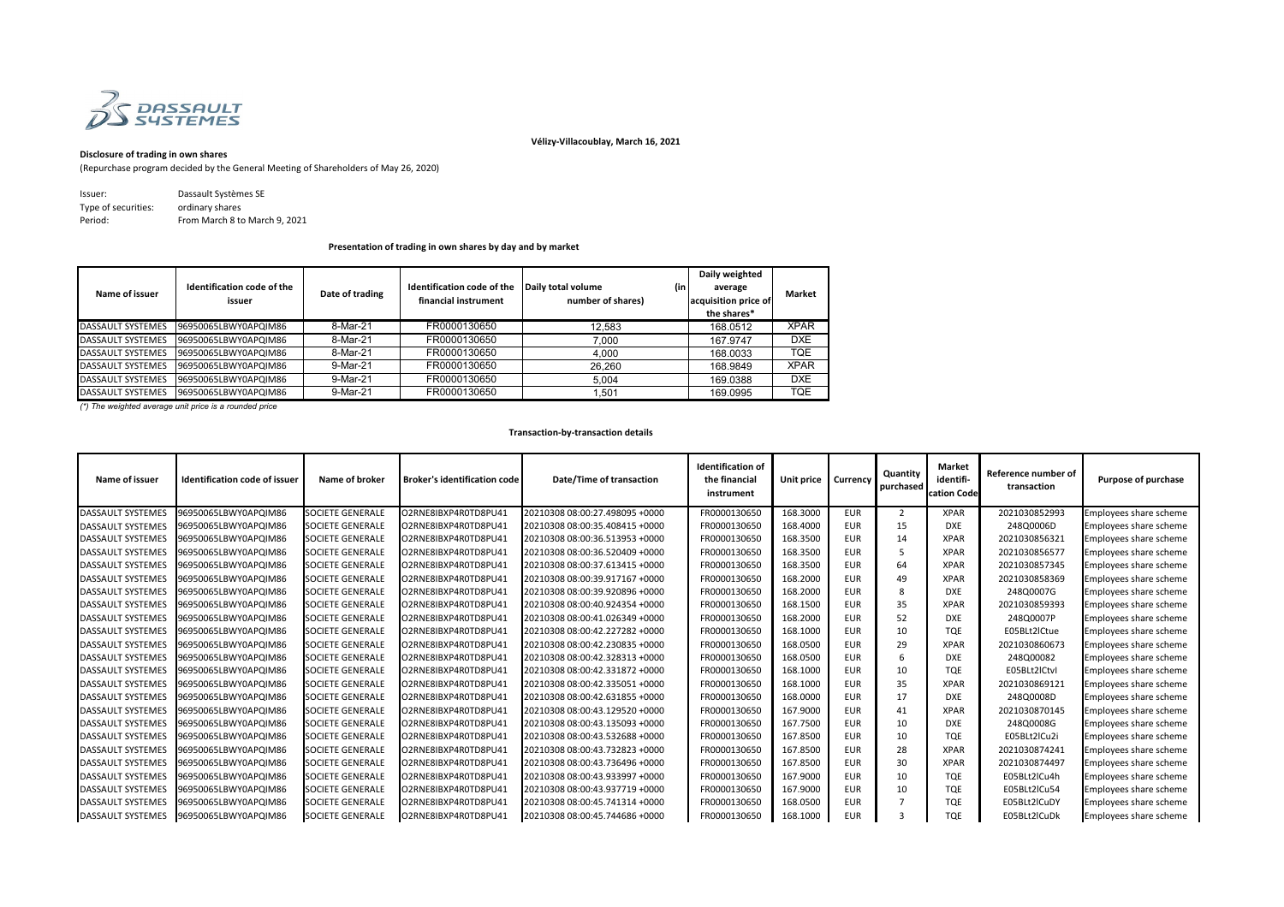

## **Vélizy-Villacoublay, March 16, 2021**

## **Disclosure of trading in own shares**

(Repurchase program decided by the General Meeting of Shareholders of May 26, 2020)

| Issuer:             | Dassault Systèmes SE          |
|---------------------|-------------------------------|
| Type of securities: | ordinary shares               |
| Period:             | From March 8 to March 9, 2021 |

| Name of issuer           | Identification code of the<br>issuer | Date of trading | Identification code of the<br>financial instrument | Daily total volume<br>number of shares) | Daily weighted<br>(in<br>average<br>acquisition price of<br>the shares* | <b>Market</b> |
|--------------------------|--------------------------------------|-----------------|----------------------------------------------------|-----------------------------------------|-------------------------------------------------------------------------|---------------|
| <b>DASSAULT SYSTEMES</b> | 96950065LBWY0APQIM86                 | 8-Mar-21        | FR0000130650                                       | 12,583                                  | 168.0512                                                                | <b>XPAR</b>   |
| <b>DASSAULT SYSTEMES</b> | 96950065LBWY0APQIM86                 | 8-Mar-21        | FR0000130650                                       | 7,000                                   | 167.9747                                                                | <b>DXE</b>    |
| <b>DASSAULT SYSTEMES</b> | 96950065LBWY0APQIM86                 | 8-Mar-21        | FR0000130650                                       | 4,000                                   | 168.0033                                                                | <b>TQE</b>    |
| <b>DASSAULT SYSTEMES</b> | 96950065LBWY0APQIM86                 | 9-Mar-21        | FR0000130650                                       | 26,260                                  | 168.9849                                                                | <b>XPAR</b>   |
| <b>DASSAULT SYSTEMES</b> | 96950065LBWY0APQIM86                 | 9-Mar-21        | FR0000130650                                       | 5,004                                   | 169.0388                                                                | <b>DXE</b>    |
| <b>DASSAULT SYSTEMES</b> | 96950065LBWY0APQIM86                 | 9-Mar-21        | FR0000130650                                       | 1,501                                   | 169.0995                                                                | <b>TQE</b>    |

*(\*) The weighted average unit price is a rounded price*

| Name of issuer           | <b>Identification code of issuer</b> | Name of broker          | <b>Broker's identification code</b> | <b>Date/Time of transaction</b> | <b>Identification of</b><br>the financial<br>instrument | Unit price | <b>Currency</b> | Quantity<br>purchased | <b>Market</b><br>identifi-<br>cation Code | Reference number of<br>transaction | <b>Purpose of purchase</b>    |
|--------------------------|--------------------------------------|-------------------------|-------------------------------------|---------------------------------|---------------------------------------------------------|------------|-----------------|-----------------------|-------------------------------------------|------------------------------------|-------------------------------|
| <b>DASSAULT SYSTEMES</b> | 96950065LBWY0APQIM86                 | <b>SOCIETE GENERALE</b> | O2RNE8IBXP4R0TD8PU41                | 20210308 08:00:27.498095 +0000  | FR0000130650                                            | 168.3000   | <b>EUR</b>      | 2                     | <b>XPAR</b>                               | 2021030852993                      | Employees share scheme        |
| DASSAULT SYSTEMES        | 96950065LBWY0APQIM86                 | <b>SOCIETE GENERALE</b> | O2RNE8IBXP4R0TD8PU41                | 20210308 08:00:35.408415 +0000  | FR0000130650                                            | 168.4000   | <b>EUR</b>      | 15                    | <b>DXE</b>                                | 248Q0006D                          | Employees share scheme        |
| <b>DASSAULT SYSTEMES</b> | 96950065LBWY0APQIM86                 | <b>SOCIETE GENERALE</b> | O2RNE8IBXP4R0TD8PU41                | 20210308 08:00:36.513953 +0000  | FR0000130650                                            | 168.3500   | <b>EUR</b>      | 14                    | <b>XPAR</b>                               | 2021030856321                      | Employees share scheme        |
| <b>DASSAULT SYSTEMES</b> | 96950065LBWY0APQIM86                 | <b>SOCIETE GENERALE</b> | O2RNE8IBXP4R0TD8PU41                | 20210308 08:00:36.520409 +0000  | FR0000130650                                            | 168.3500   | <b>EUR</b>      | 5                     | <b>XPAR</b>                               | 2021030856577                      | Employees share scheme        |
| DASSAULT SYSTEMES        | 96950065LBWY0APQIM86                 | <b>SOCIETE GENERALE</b> | O2RNE8IBXP4R0TD8PU41                | 20210308 08:00:37.613415 +0000  | FR0000130650                                            | 168.3500   | <b>EUR</b>      | 64                    | <b>XPAR</b>                               | 2021030857345                      | Employees share scheme        |
| <b>DASSAULT SYSTEMES</b> | 96950065LBWY0APQIM86                 | <b>SOCIETE GENERALE</b> | O2RNE8IBXP4R0TD8PU41                | 20210308 08:00:39.917167 +0000  | FR0000130650                                            | 168.2000   | <b>EUR</b>      | 49                    | <b>XPAR</b>                               | 2021030858369                      | Employees share scheme        |
| <b>DASSAULT SYSTEMES</b> | 96950065LBWY0APQIM86                 | <b>SOCIETE GENERALE</b> | O2RNE8IBXP4R0TD8PU41                | 20210308 08:00:39.920896 +0000  | FR0000130650                                            | 168.2000   | <b>EUR</b>      | 8                     | <b>DXE</b>                                | 248Q0007G                          | Employees share scheme        |
| DASSAULT SYSTEMES        | 96950065LBWY0APQIM86                 | <b>SOCIETE GENERALE</b> | O2RNE8IBXP4R0TD8PU41                | 20210308 08:00:40.924354 +0000  | FR0000130650                                            | 168.1500   | <b>EUR</b>      | 35                    | <b>XPAR</b>                               | 2021030859393                      | <b>Employees share scheme</b> |
| <b>DASSAULT SYSTEMES</b> | 96950065LBWY0APQIM86                 | <b>SOCIETE GENERALE</b> | O2RNE8IBXP4R0TD8PU41                | 20210308 08:00:41.026349 +0000  | FR0000130650                                            | 168.2000   | <b>EUR</b>      | 52                    | <b>DXE</b>                                | 248Q0007P                          | Employees share scheme        |
| <b>DASSAULT SYSTEMES</b> | 96950065LBWY0APQIM86                 | <b>SOCIETE GENERALE</b> | O2RNE8IBXP4R0TD8PU41                | 20210308 08:00:42.227282 +0000  | FR0000130650                                            | 168.1000   | <b>EUR</b>      | 10                    | <b>TQE</b>                                | E05BLt2lCtue                       | Employees share scheme        |
| <b>DASSAULT SYSTEMES</b> | 96950065LBWY0APQIM86                 | <b>SOCIETE GENERALE</b> | O2RNE8IBXP4R0TD8PU41                | 20210308 08:00:42.230835 +0000  | FR0000130650                                            | 168.0500   | <b>EUR</b>      | 29                    | <b>XPAR</b>                               | 2021030860673                      | Employees share scheme        |
| <b>DASSAULT SYSTEMES</b> | 96950065LBWY0APQIM86                 | <b>SOCIETE GENERALE</b> | O2RNE8IBXP4R0TD8PU41                | 20210308 08:00:42.328313 +0000  | FR0000130650                                            | 168.0500   | <b>EUR</b>      | 6                     | <b>DXE</b>                                | 248Q00082                          | Employees share scheme        |
| <b>DASSAULT SYSTEMES</b> | 96950065LBWY0APQIM86                 | <b>SOCIETE GENERALE</b> | O2RNE8IBXP4R0TD8PU41                | 20210308 08:00:42.331872 +0000  | FR0000130650                                            | 168.1000   | <b>EUR</b>      | 10                    | <b>TQE</b>                                | E05BLt2ICtvl                       | Employees share scheme        |
| <b>DASSAULT SYSTEMES</b> | 96950065LBWY0APQIM86                 | <b>SOCIETE GENERALE</b> | O2RNE8IBXP4R0TD8PU41                | 20210308 08:00:42.335051 +0000  | FR0000130650                                            | 168.1000   | <b>EUR</b>      | 35                    | <b>XPAR</b>                               | 2021030869121                      | Employees share scheme        |
| <b>DASSAULT SYSTEMES</b> | 96950065LBWY0APQIM86                 | <b>SOCIETE GENERALE</b> | O2RNE8IBXP4R0TD8PU41                | 20210308 08:00:42.631855 +0000  | FR0000130650                                            | 168.0000   | <b>EUR</b>      | 17                    | <b>DXE</b>                                | 248Q0008D                          | Employees share scheme        |
| <b>DASSAULT SYSTEMES</b> | 96950065LBWY0APQIM86                 | <b>SOCIETE GENERALE</b> | O2RNE8IBXP4R0TD8PU41                | 20210308 08:00:43.129520 +0000  | FR0000130650                                            | 167.9000   | <b>EUR</b>      | 41                    | <b>XPAR</b>                               | 2021030870145                      | <b>Employees share scheme</b> |
| <b>DASSAULT SYSTEMES</b> | 96950065LBWY0APQIM86                 | <b>SOCIETE GENERALE</b> | O2RNE8IBXP4R0TD8PU41                | 20210308 08:00:43.135093 +0000  | FR0000130650                                            | 167.7500   | <b>EUR</b>      | 10                    | <b>DXE</b>                                | 248Q0008G                          | Employees share scheme        |
| <b>DASSAULT SYSTEMES</b> | 96950065LBWY0APQIM86                 | <b>SOCIETE GENERALE</b> | O2RNE8IBXP4R0TD8PU41                | 20210308 08:00:43.532688 +0000  | FR0000130650                                            | 167.8500   | <b>EUR</b>      | 10                    | <b>TQE</b>                                | E05BLt2lCu2i                       | Employees share scheme        |
| <b>DASSAULT SYSTEMES</b> | 96950065LBWY0APQIM86                 | <b>SOCIETE GENERALE</b> | O2RNE8IBXP4R0TD8PU41                | 20210308 08:00:43.732823 +0000  | FR0000130650                                            | 167.8500   | <b>EUR</b>      | 28                    | <b>XPAR</b>                               | 2021030874241                      | Employees share scheme        |
| <b>DASSAULT SYSTEMES</b> | 96950065LBWY0APQIM86                 | <b>SOCIETE GENERALE</b> | O2RNE8IBXP4R0TD8PU41                | 20210308 08:00:43.736496 +0000  | FR0000130650                                            | 167.8500   | <b>EUR</b>      | 30                    | <b>XPAR</b>                               | 2021030874497                      | Employees share scheme        |
| <b>DASSAULT SYSTEMES</b> | 96950065LBWY0APQIM86                 | <b>SOCIETE GENERALE</b> | O2RNE8IBXP4R0TD8PU41                | 20210308 08:00:43.933997 +0000  | FR0000130650                                            | 167.9000   | <b>EUR</b>      | 10                    | <b>TQE</b>                                | E05BLt2lCu4h                       | Employees share scheme        |
| <b>DASSAULT SYSTEMES</b> | 96950065LBWY0APQIM86                 | <b>SOCIETE GENERALE</b> | O2RNE8IBXP4R0TD8PU41                | 20210308 08:00:43.937719 +0000  | FR0000130650                                            | 167.9000   | <b>EUR</b>      | 10                    | <b>TQE</b>                                | E05BLt2lCu54                       | Employees share scheme        |
| <b>DASSAULT SYSTEMES</b> | 96950065LBWY0APQIM86                 | <b>SOCIETE GENERALE</b> | O2RNE8IBXP4R0TD8PU41                | 20210308 08:00:45.741314 +0000  | FR0000130650                                            | 168.0500   | <b>EUR</b>      |                       | <b>TQE</b>                                | E05BLt2lCuDY                       | Employees share scheme        |
| DASSAULT SYSTEMES        | 96950065LBWY0APQIM86                 | <b>SOCIETE GENERALE</b> | O2RNE8IBXP4R0TD8PU41                | 20210308 08:00:45.744686 +0000  | FR0000130650                                            | 168.1000   | <b>EUR</b>      |                       | <b>TQE</b>                                | E05BLt2lCuDk                       | Employees share scheme        |



**Presentation of trading in own shares by day and by market**

## **Transaction-by-transaction details**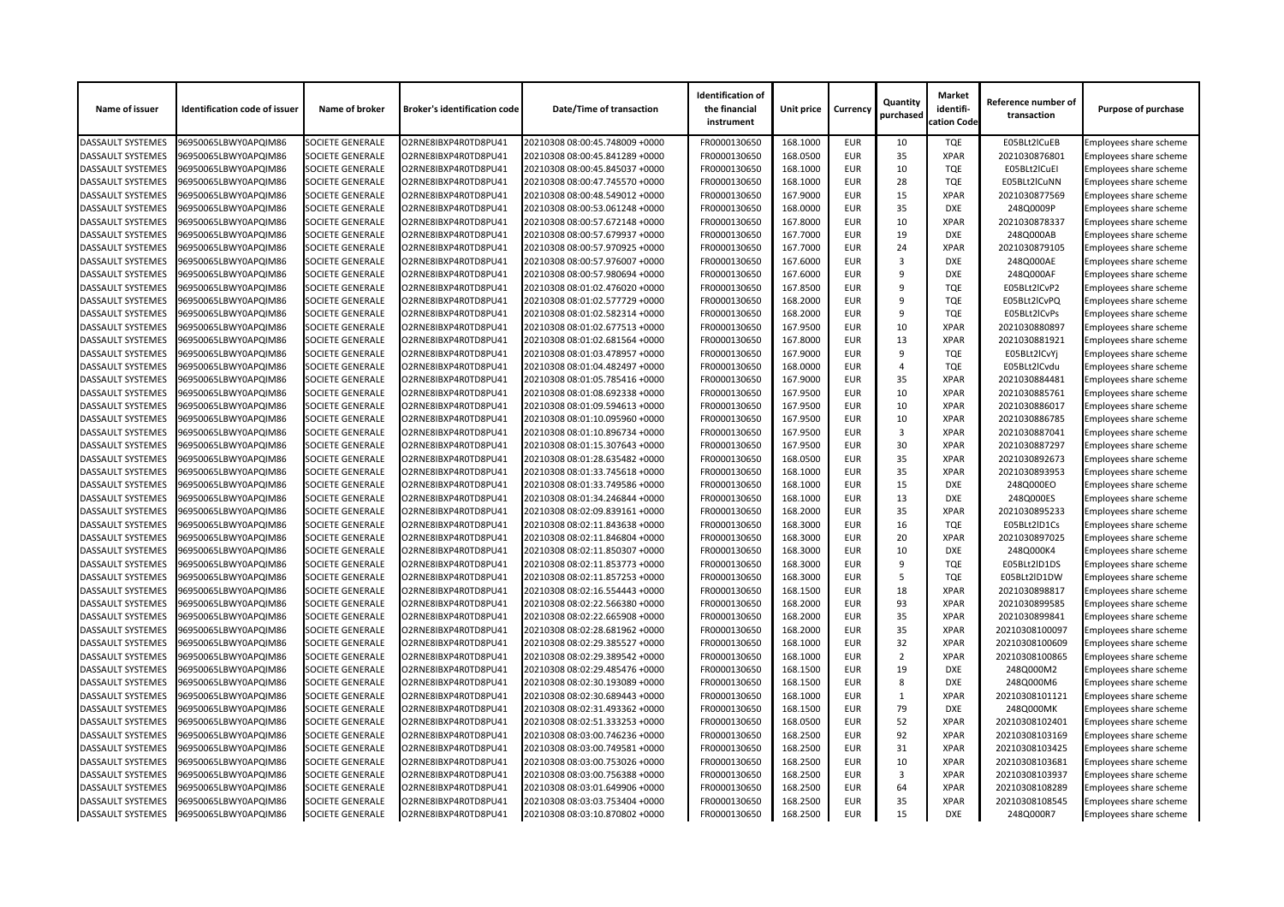| Name of issuer           | <b>Identification code of issuer</b>         | Name of broker          | <b>Broker's identification code</b> | <b>Date/Time of transaction</b> | <b>Identification of</b><br>the financial<br>instrument | Unit price | <b>Currency</b> | Quantity<br>purchased | <b>Market</b><br>identifi-<br>cation Code | Reference number of<br>transaction | <b>Purpose of purchase</b>    |
|--------------------------|----------------------------------------------|-------------------------|-------------------------------------|---------------------------------|---------------------------------------------------------|------------|-----------------|-----------------------|-------------------------------------------|------------------------------------|-------------------------------|
| <b>DASSAULT SYSTEMES</b> | 96950065LBWY0APQIM86                         | <b>SOCIETE GENERALE</b> | O2RNE8IBXP4R0TD8PU41                | 20210308 08:00:45.748009 +0000  | FR0000130650                                            | 168.1000   | <b>EUR</b>      | 10                    | <b>TQE</b>                                | E05BLt2ICuEB                       | Employees share scheme        |
| <b>DASSAULT SYSTEMES</b> | 96950065LBWY0APQIM86                         | <b>SOCIETE GENERALE</b> | O2RNE8IBXP4R0TD8PU41                | 20210308 08:00:45.841289 +0000  | FR0000130650                                            | 168.0500   | <b>EUR</b>      | 35                    | <b>XPAR</b>                               | 2021030876801                      | <b>Employees share scheme</b> |
| <b>DASSAULT SYSTEMES</b> | 96950065LBWY0APQIM86                         | <b>SOCIETE GENERALE</b> | O2RNE8IBXP4R0TD8PU41                | 20210308 08:00:45.845037 +0000  | FR0000130650                                            | 168.1000   | <b>EUR</b>      | 10                    | <b>TQE</b>                                | E05BLt2ICuEI                       | Employees share scheme        |
| <b>DASSAULT SYSTEMES</b> | 96950065LBWY0APQIM86                         | <b>SOCIETE GENERALE</b> | O2RNE8IBXP4R0TD8PU41                | 20210308 08:00:47.745570 +0000  | FR0000130650                                            | 168.1000   | <b>EUR</b>      | 28                    | <b>TQE</b>                                | E05BLt2lCuNN                       | <b>Employees share scheme</b> |
| <b>DASSAULT SYSTEMES</b> | 96950065LBWY0APQIM86                         | <b>SOCIETE GENERALE</b> | O2RNE8IBXP4R0TD8PU41                | 20210308 08:00:48.549012 +0000  | FR0000130650                                            | 167.9000   | <b>EUR</b>      | 15                    | <b>XPAR</b>                               | 2021030877569                      | Employees share scheme        |
| <b>DASSAULT SYSTEMES</b> | 96950065LBWY0APQIM86                         | <b>SOCIETE GENERALE</b> | O2RNE8IBXP4R0TD8PU41                | 20210308 08:00:53.061248 +0000  | FR0000130650                                            | 168.0000   | <b>EUR</b>      | 35                    | <b>DXE</b>                                | 248Q0009P                          | Employees share scheme        |
| <b>DASSAULT SYSTEMES</b> | 96950065LBWY0APQIM86                         | <b>SOCIETE GENERALE</b> | O2RNE8IBXP4R0TD8PU41                | 20210308 08:00:57.672148 +0000  | FR0000130650                                            | 167.8000   | <b>EUR</b>      | 10                    | <b>XPAR</b>                               | 2021030878337                      | Employees share scheme        |
| <b>DASSAULT SYSTEMES</b> | 96950065LBWY0APQIM86                         | <b>SOCIETE GENERALE</b> | O2RNE8IBXP4R0TD8PU41                | 20210308 08:00:57.679937 +0000  | FR0000130650                                            | 167.7000   | <b>EUR</b>      | 19                    | <b>DXE</b>                                | 248Q000AB                          | Employees share scheme        |
| <b>DASSAULT SYSTEMES</b> | 96950065LBWY0APQIM86                         | <b>SOCIETE GENERALE</b> | O2RNE8IBXP4R0TD8PU41                | 20210308 08:00:57.970925 +0000  | FR0000130650                                            | 167.7000   | <b>EUR</b>      | 24                    | <b>XPAR</b>                               | 2021030879105                      | <b>Employees share scheme</b> |
| <b>DASSAULT SYSTEMES</b> | 96950065LBWY0APQIM86                         | <b>SOCIETE GENERALE</b> | O2RNE8IBXP4R0TD8PU41                | 20210308 08:00:57.976007 +0000  | FR0000130650                                            | 167.6000   | <b>EUR</b>      | 3                     | <b>DXE</b>                                | 248Q000AE                          | Employees share scheme        |
| <b>DASSAULT SYSTEMES</b> | 96950065LBWY0APQIM86                         | <b>SOCIETE GENERALE</b> | O2RNE8IBXP4R0TD8PU41                | 20210308 08:00:57.980694 +0000  | FR0000130650                                            | 167.6000   | <b>EUR</b>      | 9                     | <b>DXE</b>                                | 248Q000AF                          | Employees share scheme        |
| <b>DASSAULT SYSTEMES</b> | 96950065LBWY0APQIM86                         | <b>SOCIETE GENERALE</b> | O2RNE8IBXP4R0TD8PU41                | 20210308 08:01:02.476020 +0000  | FR0000130650                                            | 167.8500   | <b>EUR</b>      | q                     | <b>TQE</b>                                | E05BLt2ICvP2                       | Employees share scheme        |
| <b>DASSAULT SYSTEMES</b> | 96950065LBWY0APQIM86                         | <b>SOCIETE GENERALE</b> | O2RNE8IBXP4R0TD8PU41                | 20210308 08:01:02.577729 +0000  | FR0000130650                                            | 168.2000   | <b>EUR</b>      | -9                    | <b>TQE</b>                                | E05BLt2ICvPQ                       | Employees share scheme        |
| <b>DASSAULT SYSTEMES</b> | 96950065LBWY0APQIM86                         | <b>SOCIETE GENERALE</b> | O2RNE8IBXP4R0TD8PU41                | 20210308 08:01:02.582314 +0000  | FR0000130650                                            | 168.2000   | <b>EUR</b>      | 9                     | <b>TQE</b>                                | E05BLt2ICvPs                       | Employees share scheme        |
| <b>DASSAULT SYSTEMES</b> |                                              | <b>SOCIETE GENERALE</b> |                                     | 20210308 08:01:02.677513 +0000  | FR0000130650                                            | 167.9500   | <b>EUR</b>      | 10                    | <b>XPAR</b>                               |                                    |                               |
|                          | 96950065LBWY0APQIM86<br>96950065LBWY0APQIM86 |                         | O2RNE8IBXP4R0TD8PU41                |                                 |                                                         | 167.8000   | <b>EUR</b>      | 13                    | <b>XPAR</b>                               | 2021030880897<br>2021030881921     | Employees share scheme        |
| <b>DASSAULT SYSTEMES</b> |                                              | <b>SOCIETE GENERALE</b> | O2RNE8IBXP4R0TD8PU41                | 20210308 08:01:02.681564 +0000  | FR0000130650                                            |            |                 | q                     |                                           |                                    | Employees share scheme        |
| <b>DASSAULT SYSTEMES</b> | 96950065LBWY0APQIM86                         | <b>SOCIETE GENERALE</b> | O2RNE8IBXP4R0TD8PU41                | 20210308 08:01:03.478957 +0000  | FR0000130650                                            | 167.9000   | <b>EUR</b>      |                       | <b>TQE</b>                                | E05BLt2ICvYj                       | Employees share scheme        |
| <b>DASSAULT SYSTEMES</b> | 96950065LBWY0APQIM86                         | <b>SOCIETE GENERALE</b> | O2RNE8IBXP4R0TD8PU41                | 20210308 08:01:04.482497 +0000  | FR0000130650                                            | 168.0000   | <b>EUR</b>      | Δ                     | <b>TQE</b>                                | E05BLt2lCvdu                       | Employees share scheme        |
| <b>DASSAULT SYSTEMES</b> | 96950065LBWY0APQIM86                         | <b>SOCIETE GENERALE</b> | O2RNE8IBXP4R0TD8PU41                | 20210308 08:01:05.785416 +0000  | FR0000130650                                            | 167.9000   | <b>EUR</b>      | 35                    | <b>XPAR</b>                               | 2021030884481                      | <b>Employees share scheme</b> |
| <b>DASSAULT SYSTEMES</b> | 96950065LBWY0APQIM86                         | <b>SOCIETE GENERALE</b> | O2RNE8IBXP4R0TD8PU41                | 20210308 08:01:08.692338 +0000  | FR0000130650                                            | 167.9500   | <b>EUR</b>      | 10                    | <b>XPAR</b>                               | 2021030885761                      | Employees share scheme        |
| <b>DASSAULT SYSTEMES</b> | 96950065LBWY0APQIM86                         | <b>SOCIETE GENERALE</b> | O2RNE8IBXP4R0TD8PU41                | 20210308 08:01:09.594613 +0000  | FR0000130650                                            | 167.9500   | <b>EUR</b>      | 10                    | <b>XPAR</b>                               | 2021030886017                      | Employees share scheme        |
| <b>DASSAULT SYSTEMES</b> | 96950065LBWY0APQIM86                         | <b>SOCIETE GENERALE</b> | O2RNE8IBXP4R0TD8PU41                | 20210308 08:01:10.095960 +0000  | FR0000130650                                            | 167.9500   | <b>EUR</b>      | 10                    | <b>XPAR</b>                               | 2021030886785                      | Employees share scheme        |
| <b>DASSAULT SYSTEMES</b> | 96950065LBWY0APQIM86                         | <b>SOCIETE GENERALE</b> | O2RNE8IBXP4R0TD8PU41                | 20210308 08:01:10.896734 +0000  | FR0000130650                                            | 167.9500   | <b>EUR</b>      | 3                     | <b>XPAR</b>                               | 2021030887041                      | Employees share scheme        |
| <b>DASSAULT SYSTEMES</b> | 96950065LBWY0APQIM86                         | <b>SOCIETE GENERALE</b> | O2RNE8IBXP4R0TD8PU41                | 20210308 08:01:15.307643 +0000  | FR0000130650                                            | 167.9500   | <b>EUR</b>      | 30                    | <b>XPAR</b>                               | 2021030887297                      | Employees share scheme        |
| <b>DASSAULT SYSTEMES</b> | 96950065LBWY0APQIM86                         | <b>SOCIETE GENERALE</b> | O2RNE8IBXP4R0TD8PU41                | 20210308 08:01:28.635482 +0000  | FR0000130650                                            | 168.0500   | <b>EUR</b>      | 35                    | <b>XPAR</b>                               | 2021030892673                      | Employees share scheme        |
| <b>DASSAULT SYSTEMES</b> | 96950065LBWY0APQIM86                         | <b>SOCIETE GENERALE</b> | O2RNE8IBXP4R0TD8PU41                | 20210308 08:01:33.745618 +0000  | FR0000130650                                            | 168.1000   | <b>EUR</b>      | 35                    | <b>XPAR</b>                               | 2021030893953                      | Employees share scheme        |
| <b>DASSAULT SYSTEMES</b> | 96950065LBWY0APQIM86                         | <b>SOCIETE GENERALE</b> | O2RNE8IBXP4R0TD8PU41                | 20210308 08:01:33.749586 +0000  | FR0000130650                                            | 168.1000   | <b>EUR</b>      | 15                    | <b>DXE</b>                                | 248Q000EO                          | Employees share scheme        |
| <b>DASSAULT SYSTEMES</b> | 96950065LBWY0APQIM86                         | <b>SOCIETE GENERALE</b> | O2RNE8IBXP4R0TD8PU41                | 20210308 08:01:34.246844 +0000  | FR0000130650                                            | 168.1000   | <b>EUR</b>      | 13                    | <b>DXE</b>                                | 248Q000ES                          | <b>Employees share scheme</b> |
| <b>DASSAULT SYSTEMES</b> | 96950065LBWY0APQIM86                         | <b>SOCIETE GENERALE</b> | O2RNE8IBXP4R0TD8PU41                | 20210308 08:02:09.839161 +0000  | FR0000130650                                            | 168.2000   | <b>EUR</b>      | 35                    | <b>XPAR</b>                               | 2021030895233                      | Employees share scheme        |
| <b>DASSAULT SYSTEMES</b> | 96950065LBWY0APQIM86                         | <b>SOCIETE GENERALE</b> | O2RNE8IBXP4R0TD8PU41                | 20210308 08:02:11.843638 +0000  | FR0000130650                                            | 168.3000   | <b>EUR</b>      | 16                    | <b>TQE</b>                                | E05BLt2ID1Cs                       | Employees share scheme        |
| <b>DASSAULT SYSTEMES</b> | 96950065LBWY0APQIM86                         | <b>SOCIETE GENERALE</b> | O2RNE8IBXP4R0TD8PU41                | 20210308 08:02:11.846804 +0000  | FR0000130650                                            | 168.3000   | <b>EUR</b>      | 20                    | <b>XPAR</b>                               | 2021030897025                      | Employees share scheme        |
| <b>DASSAULT SYSTEMES</b> | 96950065LBWY0APQIM86                         | <b>SOCIETE GENERALE</b> | O2RNE8IBXP4R0TD8PU41                | 20210308 08:02:11.850307 +0000  | FR0000130650                                            | 168.3000   | <b>EUR</b>      | 10                    | <b>DXE</b>                                | 248Q000K4                          | Employees share scheme        |
| <b>DASSAULT SYSTEMES</b> | 96950065LBWY0APQIM86                         | <b>SOCIETE GENERALE</b> | O2RNE8IBXP4R0TD8PU41                | 20210308 08:02:11.853773 +0000  | FR0000130650                                            | 168.3000   | <b>EUR</b>      | 9                     | <b>TQE</b>                                | E05BLt2ID1DS                       | Employees share scheme        |
| <b>DASSAULT SYSTEMES</b> | 96950065LBWY0APQIM86                         | <b>SOCIETE GENERALE</b> | O2RNE8IBXP4R0TD8PU41                | 20210308 08:02:11.857253 +0000  | FR0000130650                                            | 168.3000   | <b>EUR</b>      | -5                    | <b>TQE</b>                                | E05BLt2ID1DW                       | Employees share scheme        |
| <b>DASSAULT SYSTEMES</b> | 96950065LBWY0APQIM86                         | <b>SOCIETE GENERALE</b> | O2RNE8IBXP4R0TD8PU41                | 20210308 08:02:16.554443 +0000  | FR0000130650                                            | 168.1500   | <b>EUR</b>      | 18                    | <b>XPAR</b>                               | 2021030898817                      | Employees share scheme        |
| <b>DASSAULT SYSTEMES</b> | 96950065LBWY0APQIM86                         | <b>SOCIETE GENERALE</b> | O2RNE8IBXP4R0TD8PU41                | 20210308 08:02:22.566380 +0000  | FR0000130650                                            | 168.2000   | <b>EUR</b>      | 93                    | <b>XPAR</b>                               | 2021030899585                      | Employees share scheme        |
| <b>DASSAULT SYSTEMES</b> | 96950065LBWY0APQIM86                         | <b>SOCIETE GENERALE</b> | O2RNE8IBXP4R0TD8PU41                | 20210308 08:02:22.665908 +0000  | FR0000130650                                            | 168.2000   | <b>EUR</b>      | 35                    | <b>XPAR</b>                               | 2021030899841                      | Employees share scheme        |
| <b>DASSAULT SYSTEMES</b> | 96950065LBWY0APQIM86                         | <b>SOCIETE GENERALE</b> | O2RNE8IBXP4R0TD8PU41                | 20210308 08:02:28.681962 +0000  | FR0000130650                                            | 168.2000   | <b>EUR</b>      | 35                    | <b>XPAR</b>                               | 20210308100097                     | Employees share scheme        |
| <b>DASSAULT SYSTEMES</b> | 96950065LBWY0APQIM86                         | <b>SOCIETE GENERALE</b> | O2RNE8IBXP4R0TD8PU41                | 20210308 08:02:29.385527 +0000  | FR0000130650                                            | 168.1000   | <b>EUR</b>      | 32                    | <b>XPAR</b>                               | 20210308100609                     | Employees share scheme        |
| <b>DASSAULT SYSTEMES</b> | 96950065LBWY0APQIM86                         | <b>SOCIETE GENERALE</b> | O2RNE8IBXP4R0TD8PU41                | 20210308 08:02:29.389542 +0000  | FR0000130650                                            | 168.1000   | <b>EUR</b>      | $\overline{2}$        | <b>XPAR</b>                               | 20210308100865                     | Employees share scheme        |
| <b>DASSAULT SYSTEMES</b> | 96950065LBWY0APQIM86                         | <b>SOCIETE GENERALE</b> | O2RNE8IBXP4R0TD8PU41                | 20210308 08:02:29.485476 +0000  | FR0000130650                                            | 168.1500   | <b>EUR</b>      | 19                    | <b>DXE</b>                                | 248Q000M2                          | Employees share scheme        |
| <b>DASSAULT SYSTEMES</b> | 96950065LBWY0APQIM86                         | <b>SOCIETE GENERALE</b> | O2RNE8IBXP4R0TD8PU41                | 20210308 08:02:30.193089 +0000  | FR0000130650                                            | 168.1500   | <b>EUR</b>      | 8                     | <b>DXE</b>                                | 248Q000M6                          | Employees share scheme        |
| <b>DASSAULT SYSTEMES</b> | 96950065LBWY0APQIM86                         | <b>SOCIETE GENERALE</b> | O2RNE8IBXP4R0TD8PU41                | 20210308 08:02:30.689443 +0000  | FR0000130650                                            | 168.1000   | <b>EUR</b>      |                       | <b>XPAR</b>                               | 20210308101121                     | Employees share scheme        |
| <b>DASSAULT SYSTEMES</b> | 96950065LBWY0APQIM86                         | <b>SOCIETE GENERALE</b> | O2RNE8IBXP4R0TD8PU41                | 20210308 08:02:31.493362 +0000  | FR0000130650                                            | 168.1500   | <b>EUR</b>      | 79                    | DXE                                       | 248Q000MK                          | Employees share scheme        |
| <b>DASSAULT SYSTEMES</b> | 96950065LBWY0APQIM86                         | <b>SOCIETE GENERALE</b> | O2RNE8IBXP4R0TD8PU41                | 20210308 08:02:51.333253 +0000  | FR0000130650                                            | 168.0500   | <b>EUR</b>      | 52                    | <b>XPAR</b>                               | 20210308102401                     | Employees share scheme        |
|                          |                                              |                         |                                     |                                 |                                                         | 168.2500   |                 | 92                    | <b>XPAR</b>                               |                                    |                               |
| <b>DASSAULT SYSTEMES</b> | 96950065LBWY0APQIM86                         | <b>SOCIETE GENERALE</b> | O2RNE8IBXP4R0TD8PU41                | 20210308 08:03:00.746236 +0000  | FR0000130650<br>FR0000130650                            | 168.2500   | <b>EUR</b>      |                       | <b>XPAR</b>                               | 20210308103169<br>20210308103425   | Employees share scheme        |
| <b>DASSAULT SYSTEMES</b> | 96950065LBWY0APQIM86                         | <b>SOCIETE GENERALE</b> | O2RNE8IBXP4R0TD8PU41                | 20210308 08:03:00.749581 +0000  |                                                         |            | <b>EUR</b>      | 31                    |                                           |                                    | Employees share scheme        |
| <b>DASSAULT SYSTEMES</b> | 96950065LBWY0APQIM86                         | <b>SOCIETE GENERALE</b> | O2RNE8IBXP4R0TD8PU41                | 20210308 08:03:00.753026 +0000  | FR0000130650                                            | 168.2500   | <b>EUR</b>      | 10                    | <b>XPAR</b>                               | 20210308103681                     | Employees share scheme        |
| <b>DASSAULT SYSTEMES</b> | 96950065LBWY0APQIM86                         | <b>SOCIETE GENERALE</b> | O2RNE8IBXP4R0TD8PU41                | 20210308 08:03:00.756388 +0000  | FR0000130650                                            | 168.2500   | <b>EUR</b>      | 3                     | <b>XPAR</b>                               | 20210308103937                     | Employees share scheme        |
| <b>DASSAULT SYSTEMES</b> | 96950065LBWY0APQIM86                         | <b>SOCIETE GENERALE</b> | O2RNE8IBXP4R0TD8PU41                | 20210308 08:03:01.649906 +0000  | FR0000130650                                            | 168.2500   | <b>EUR</b>      | 64                    | <b>XPAR</b>                               | 20210308108289                     | Employees share scheme        |
| <b>DASSAULT SYSTEMES</b> | 96950065LBWY0APQIM86                         | <b>SOCIETE GENERALE</b> | O2RNE8IBXP4R0TD8PU41                | 20210308 08:03:03.753404 +0000  | FR0000130650                                            | 168.2500   | <b>EUR</b>      | 35                    | <b>XPAR</b>                               | 20210308108545                     | Employees share scheme        |
| <b>DASSAULT SYSTEMES</b> | 96950065LBWY0APQIM86                         | <b>SOCIETE GENERALE</b> | O2RNE8IBXP4R0TD8PU41                | 20210308 08:03:10.870802 +0000  | FR0000130650                                            | 168.2500   | <b>EUR</b>      | 15                    | <b>DXE</b>                                | 248Q000R7                          | <b>Employees share scheme</b> |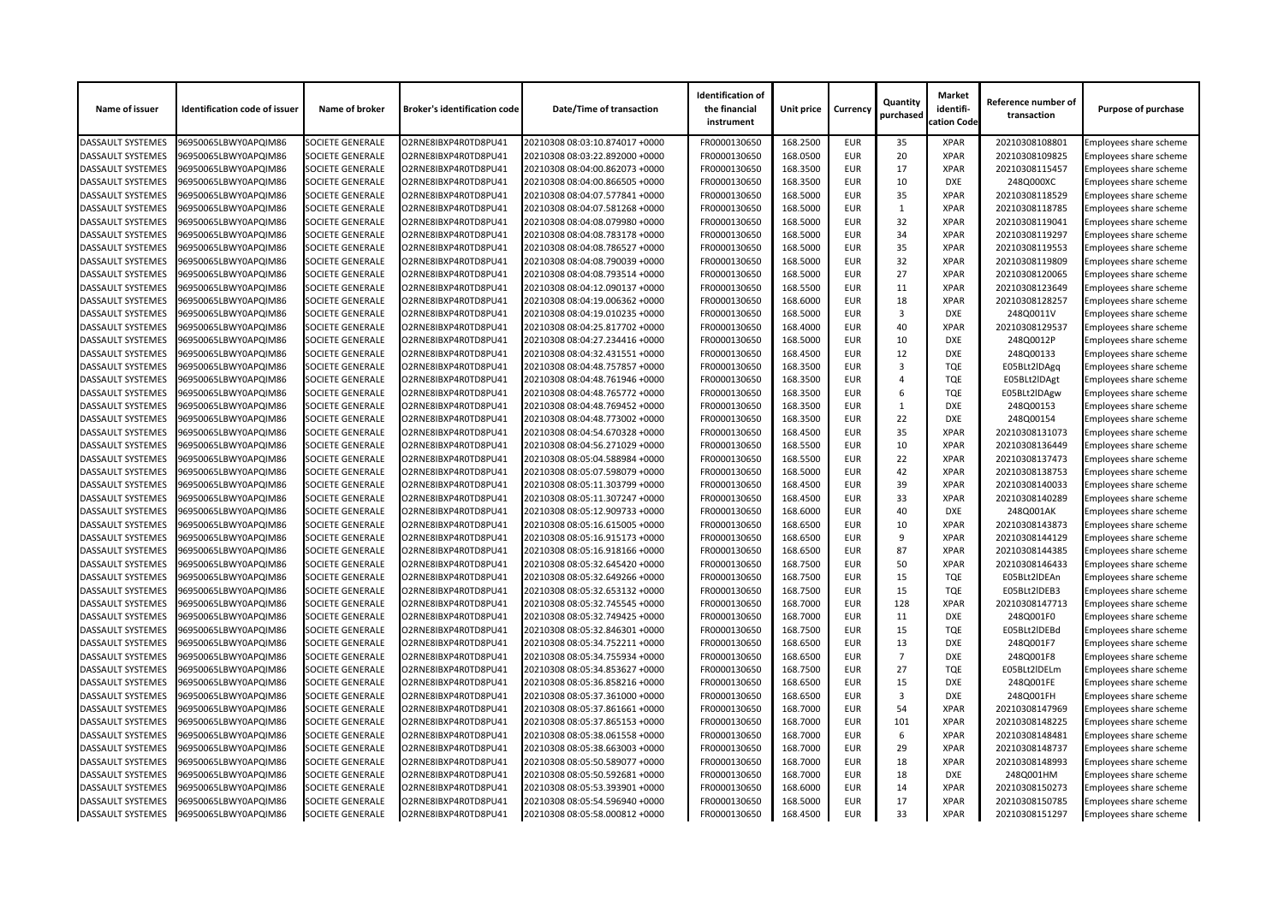| Name of issuer           | <b>Identification code of issuer</b> | Name of broker          | <b>Broker's identification code</b> | <b>Date/Time of transaction</b> | <b>Identification of</b><br>the financial<br>instrument | Unit price | <b>Currency</b> | Quantity<br>purchased | <b>Market</b><br>identifi-<br>cation Code | Reference number of<br>transaction | <b>Purpose of purchase</b>    |
|--------------------------|--------------------------------------|-------------------------|-------------------------------------|---------------------------------|---------------------------------------------------------|------------|-----------------|-----------------------|-------------------------------------------|------------------------------------|-------------------------------|
| <b>DASSAULT SYSTEMES</b> | 96950065LBWY0APQIM86                 | <b>SOCIETE GENERALE</b> | O2RNE8IBXP4R0TD8PU41                | 20210308 08:03:10.874017 +0000  | FR0000130650                                            | 168.2500   | <b>EUR</b>      | 35                    | <b>XPAR</b>                               | 20210308108801                     | Employees share scheme        |
| <b>DASSAULT SYSTEMES</b> | 96950065LBWY0APQIM86                 | <b>SOCIETE GENERALE</b> | O2RNE8IBXP4R0TD8PU41                | 20210308 08:03:22.892000 +0000  | FR0000130650                                            | 168.0500   | <b>EUR</b>      | 20                    | <b>XPAR</b>                               | 20210308109825                     | Employees share scheme        |
| <b>DASSAULT SYSTEMES</b> | 96950065LBWY0APQIM86                 | <b>SOCIETE GENERALE</b> | O2RNE8IBXP4R0TD8PU41                | 20210308 08:04:00.862073 +0000  | FR0000130650                                            | 168.3500   | <b>EUR</b>      | 17                    | <b>XPAR</b>                               | 20210308115457                     | Employees share scheme        |
| <b>DASSAULT SYSTEMES</b> | 96950065LBWY0APQIM86                 | <b>SOCIETE GENERALE</b> | O2RNE8IBXP4R0TD8PU41                | 20210308 08:04:00.866505 +0000  | FR0000130650                                            | 168.3500   | <b>EUR</b>      | 10                    | <b>DXE</b>                                | 248Q000XC                          | <b>Employees share scheme</b> |
| <b>DASSAULT SYSTEMES</b> | 96950065LBWY0APQIM86                 | <b>SOCIETE GENERALE</b> | O2RNE8IBXP4R0TD8PU41                | 20210308 08:04:07.577841 +0000  | FR0000130650                                            | 168.5000   | <b>EUR</b>      | 35                    | <b>XPAR</b>                               | 20210308118529                     | Employees share scheme        |
| <b>DASSAULT SYSTEMES</b> | 96950065LBWY0APQIM86                 | <b>SOCIETE GENERALE</b> | O2RNE8IBXP4R0TD8PU41                | 20210308 08:04:07.581268 +0000  | FR0000130650                                            | 168.5000   | <b>EUR</b>      |                       | <b>XPAR</b>                               | 20210308118785                     | Employees share scheme        |
| <b>DASSAULT SYSTEMES</b> | 96950065LBWY0APQIM86                 | <b>SOCIETE GENERALE</b> | O2RNE8IBXP4R0TD8PU41                | 20210308 08:04:08.079980 +0000  | FR0000130650                                            | 168.5000   | <b>EUR</b>      | 32                    | <b>XPAR</b>                               | 20210308119041                     | Employees share scheme        |
| <b>DASSAULT SYSTEMES</b> | 96950065LBWY0APQIM86                 | <b>SOCIETE GENERALE</b> | O2RNE8IBXP4R0TD8PU41                | 20210308 08:04:08.783178 +0000  | FR0000130650                                            | 168.5000   | <b>EUR</b>      | 34                    | <b>XPAR</b>                               | 20210308119297                     | Employees share scheme        |
| <b>DASSAULT SYSTEMES</b> | 96950065LBWY0APQIM86                 | <b>SOCIETE GENERALE</b> | O2RNE8IBXP4R0TD8PU41                | 20210308 08:04:08.786527 +0000  | FR0000130650                                            | 168.5000   | <b>EUR</b>      | 35                    | <b>XPAR</b>                               | 20210308119553                     | Employees share scheme        |
| <b>DASSAULT SYSTEMES</b> | 96950065LBWY0APQIM86                 | <b>SOCIETE GENERALE</b> | O2RNE8IBXP4R0TD8PU41                | 20210308 08:04:08.790039 +0000  | FR0000130650                                            | 168.5000   | <b>EUR</b>      | 32                    | <b>XPAR</b>                               | 20210308119809                     | Employees share scheme        |
| <b>DASSAULT SYSTEMES</b> | 96950065LBWY0APQIM86                 | <b>SOCIETE GENERALE</b> | O2RNE8IBXP4R0TD8PU41                | 20210308 08:04:08.793514 +0000  | FR0000130650                                            | 168.5000   | <b>EUR</b>      | 27                    | <b>XPAR</b>                               | 20210308120065                     | Employees share scheme        |
| <b>DASSAULT SYSTEMES</b> | 96950065LBWY0APQIM86                 | <b>SOCIETE GENERALE</b> | O2RNE8IBXP4R0TD8PU41                | 20210308 08:04:12.090137 +0000  | FR0000130650                                            | 168.5500   | <b>EUR</b>      | 11                    | <b>XPAR</b>                               | 20210308123649                     | Employees share scheme        |
| <b>DASSAULT SYSTEMES</b> | 96950065LBWY0APQIM86                 | <b>SOCIETE GENERALE</b> | O2RNE8IBXP4R0TD8PU41                | 20210308 08:04:19.006362 +0000  | FR0000130650                                            | 168.6000   | <b>EUR</b>      | 18                    | <b>XPAR</b>                               | 20210308128257                     | Employees share scheme        |
| <b>DASSAULT SYSTEMES</b> | 96950065LBWY0APQIM86                 | <b>SOCIETE GENERALE</b> | O2RNE8IBXP4R0TD8PU41                | 20210308 08:04:19.010235 +0000  | FR0000130650                                            | 168.5000   | <b>EUR</b>      | 3                     | <b>DXE</b>                                | 248Q0011V                          | Employees share scheme        |
| <b>DASSAULT SYSTEMES</b> | 96950065LBWY0APQIM86                 | <b>SOCIETE GENERALE</b> | O2RNE8IBXP4R0TD8PU41                | 20210308 08:04:25.817702 +0000  | FR0000130650                                            | 168.4000   | <b>EUR</b>      | 40                    | <b>XPAR</b>                               | 20210308129537                     | Employees share scheme        |
| <b>DASSAULT SYSTEMES</b> | 96950065LBWY0APQIM86                 | <b>SOCIETE GENERALE</b> | O2RNE8IBXP4R0TD8PU41                | 20210308 08:04:27.234416 +0000  | FR0000130650                                            | 168.5000   | <b>EUR</b>      | 10                    | <b>DXE</b>                                | 248Q0012P                          | Employees share scheme        |
| <b>DASSAULT SYSTEMES</b> | 96950065LBWY0APQIM86                 | <b>SOCIETE GENERALE</b> | O2RNE8IBXP4R0TD8PU41                |                                 | FR0000130650                                            | 168.4500   | <b>EUR</b>      | 12                    | <b>DXE</b>                                | 248Q00133                          |                               |
|                          |                                      |                         |                                     | 20210308 08:04:32.431551 +0000  |                                                         |            |                 | 3                     |                                           |                                    | Employees share scheme        |
| <b>DASSAULT SYSTEMES</b> | 96950065LBWY0APQIM86                 | <b>SOCIETE GENERALE</b> | O2RNE8IBXP4R0TD8PU41                | 20210308 08:04:48.757857 +0000  | FR0000130650                                            | 168.3500   | <b>EUR</b>      |                       | <b>TQE</b>                                | E05BLt2IDAgq                       | Employees share scheme        |
| <b>DASSAULT SYSTEMES</b> | 96950065LBWY0APQIM86                 | <b>SOCIETE GENERALE</b> | O2RNE8IBXP4R0TD8PU41                | 20210308 08:04:48.761946 +0000  | FR0000130650                                            | 168.3500   | <b>EUR</b>      | Δ                     | <b>TQE</b>                                | E05BLt2IDAgt                       | <b>Employees share scheme</b> |
| <b>DASSAULT SYSTEMES</b> | 96950065LBWY0APQIM86                 | <b>SOCIETE GENERALE</b> | O2RNE8IBXP4R0TD8PU41                | 20210308 08:04:48.765772 +0000  | FR0000130650                                            | 168.3500   | <b>EUR</b>      | 6                     | <b>TQE</b>                                | E05BLt2IDAgw                       | Employees share scheme        |
| <b>DASSAULT SYSTEMES</b> | 96950065LBWY0APQIM86                 | <b>SOCIETE GENERALE</b> | O2RNE8IBXP4R0TD8PU41                | 20210308 08:04:48.769452 +0000  | FR0000130650                                            | 168.3500   | <b>EUR</b>      |                       | <b>DXE</b>                                | 248Q00153                          | Employees share scheme        |
| <b>DASSAULT SYSTEMES</b> | 96950065LBWY0APQIM86                 | <b>SOCIETE GENERALE</b> | O2RNE8IBXP4R0TD8PU41                | 20210308 08:04:48.773002 +0000  | FR0000130650                                            | 168.3500   | <b>EUR</b>      | 22                    | <b>DXE</b>                                | 248Q00154                          | Employees share scheme        |
| <b>DASSAULT SYSTEMES</b> | 96950065LBWY0APQIM86                 | <b>SOCIETE GENERALE</b> | O2RNE8IBXP4R0TD8PU41                | 20210308 08:04:54.670328 +0000  | FR0000130650                                            | 168.4500   | <b>EUR</b>      | 35                    | <b>XPAR</b>                               | 20210308131073                     | Employees share scheme        |
| <b>DASSAULT SYSTEMES</b> | 96950065LBWY0APQIM86                 | <b>SOCIETE GENERALE</b> | O2RNE8IBXP4R0TD8PU41                | 20210308 08:04:56.271029 +0000  | FR0000130650                                            | 168.5500   | <b>EUR</b>      | 10                    | <b>XPAR</b>                               | 20210308136449                     | Employees share scheme        |
| <b>DASSAULT SYSTEMES</b> | 96950065LBWY0APQIM86                 | <b>SOCIETE GENERALE</b> | O2RNE8IBXP4R0TD8PU41                | 20210308 08:05:04.588984 +0000  | FR0000130650                                            | 168.5500   | <b>EUR</b>      | 22                    | <b>XPAR</b>                               | 20210308137473                     | Employees share scheme        |
| <b>DASSAULT SYSTEMES</b> | 96950065LBWY0APQIM86                 | <b>SOCIETE GENERALE</b> | O2RNE8IBXP4R0TD8PU41                | 20210308 08:05:07.598079 +0000  | FR0000130650                                            | 168.5000   | <b>EUR</b>      | 42                    | <b>XPAR</b>                               | 20210308138753                     | Employees share scheme        |
| <b>DASSAULT SYSTEMES</b> | 96950065LBWY0APQIM86                 | <b>SOCIETE GENERALE</b> | O2RNE8IBXP4R0TD8PU41                | 20210308 08:05:11.303799 +0000  | FR0000130650                                            | 168.4500   | <b>EUR</b>      | 39                    | <b>XPAR</b>                               | 20210308140033                     | Employees share scheme        |
| <b>DASSAULT SYSTEMES</b> | 96950065LBWY0APQIM86                 | <b>SOCIETE GENERALE</b> | O2RNE8IBXP4R0TD8PU41                | 20210308 08:05:11.307247 +0000  | FR0000130650                                            | 168.4500   | <b>EUR</b>      | 33                    | <b>XPAR</b>                               | 20210308140289                     | <b>Employees share scheme</b> |
| <b>DASSAULT SYSTEMES</b> | 96950065LBWY0APQIM86                 | <b>SOCIETE GENERALE</b> | O2RNE8IBXP4R0TD8PU41                | 20210308 08:05:12.909733 +0000  | FR0000130650                                            | 168.6000   | <b>EUR</b>      | 40                    | <b>DXE</b>                                | 248Q001AK                          | Employees share scheme        |
| <b>DASSAULT SYSTEMES</b> | 96950065LBWY0APQIM86                 | <b>SOCIETE GENERALE</b> | O2RNE8IBXP4R0TD8PU41                | 20210308 08:05:16.615005 +0000  | FR0000130650                                            | 168.6500   | <b>EUR</b>      | 10                    | <b>XPAR</b>                               | 20210308143873                     | Employees share scheme        |
| <b>DASSAULT SYSTEMES</b> | 96950065LBWY0APQIM86                 | <b>SOCIETE GENERALE</b> | O2RNE8IBXP4R0TD8PU41                | 20210308 08:05:16.915173 +0000  | FR0000130650                                            | 168.6500   | <b>EUR</b>      | 9                     | <b>XPAR</b>                               | 20210308144129                     | Employees share scheme        |
| <b>DASSAULT SYSTEMES</b> | 96950065LBWY0APQIM86                 | <b>SOCIETE GENERALE</b> | O2RNE8IBXP4R0TD8PU41                | 20210308 08:05:16.918166 +0000  | FR0000130650                                            | 168.6500   | <b>EUR</b>      | 87                    | <b>XPAR</b>                               | 20210308144385                     | <b>Employees share scheme</b> |
| <b>DASSAULT SYSTEMES</b> | 96950065LBWY0APQIM86                 | <b>SOCIETE GENERALE</b> | O2RNE8IBXP4R0TD8PU41                | 20210308 08:05:32.645420 +0000  | FR0000130650                                            | 168.7500   | <b>EUR</b>      | 50                    | <b>XPAR</b>                               | 20210308146433                     | Employees share scheme        |
| <b>DASSAULT SYSTEMES</b> | 96950065LBWY0APQIM86                 | <b>SOCIETE GENERALE</b> | O2RNE8IBXP4R0TD8PU41                | 20210308 08:05:32.649266 +0000  | FR0000130650                                            | 168.7500   | <b>EUR</b>      | 15                    | <b>TQE</b>                                | E05BLt2IDEAn                       | Employees share scheme        |
| <b>DASSAULT SYSTEMES</b> | 96950065LBWY0APQIM86                 | <b>SOCIETE GENERALE</b> | O2RNE8IBXP4R0TD8PU41                | 20210308 08:05:32.653132 +0000  | FR0000130650                                            | 168.7500   | <b>EUR</b>      | 15                    | <b>TQE</b>                                | E05BLt2IDEB3                       | Employees share scheme        |
| <b>DASSAULT SYSTEMES</b> | 96950065LBWY0APQIM86                 | <b>SOCIETE GENERALE</b> | O2RNE8IBXP4R0TD8PU41                | 20210308 08:05:32.745545 +0000  | FR0000130650                                            | 168.7000   | <b>EUR</b>      | 128                   | <b>XPAR</b>                               | 20210308147713                     | Employees share scheme        |
| <b>DASSAULT SYSTEMES</b> | 96950065LBWY0APQIM86                 | <b>SOCIETE GENERALE</b> | O2RNE8IBXP4R0TD8PU41                | 20210308 08:05:32.749425 +0000  | FR0000130650                                            | 168.7000   | <b>EUR</b>      | 11                    | <b>DXE</b>                                | 248Q001F0                          | Employees share scheme        |
| <b>DASSAULT SYSTEMES</b> | 96950065LBWY0APQIM86                 | <b>SOCIETE GENERALE</b> | O2RNE8IBXP4R0TD8PU41                | 20210308 08:05:32.846301 +0000  | FR0000130650                                            | 168.7500   | <b>EUR</b>      | 15                    | <b>TQE</b>                                | E05BLt2IDEBd                       | Employees share scheme        |
| <b>DASSAULT SYSTEMES</b> | 96950065LBWY0APQIM86                 | <b>SOCIETE GENERALE</b> | O2RNE8IBXP4R0TD8PU41                | 20210308 08:05:34.752211 +0000  | FR0000130650                                            | 168.6500   | <b>EUR</b>      | 13                    | <b>DXE</b>                                | 248Q001F7                          | Employees share scheme        |
| <b>DASSAULT SYSTEMES</b> | 96950065LBWY0APQIM86                 | <b>SOCIETE GENERALE</b> | O2RNE8IBXP4R0TD8PU41                | 20210308 08:05:34.755934 +0000  | FR0000130650                                            | 168.6500   | <b>EUR</b>      | $\overline{7}$        | <b>DXE</b>                                | 248Q001F8                          | Employees share scheme        |
| <b>DASSAULT SYSTEMES</b> | 96950065LBWY0APQIM86                 | <b>SOCIETE GENERALE</b> | O2RNE8IBXP4R0TD8PU41                | 20210308 08:05:34.853627 +0000  | FR0000130650                                            | 168.7500   | <b>EUR</b>      | 27                    | <b>TQE</b>                                | E05BLt2IDELm                       | Employees share scheme        |
| <b>DASSAULT SYSTEMES</b> | 96950065LBWY0APQIM86                 | <b>SOCIETE GENERALE</b> | O2RNE8IBXP4R0TD8PU41                | 20210308 08:05:36.858216 +0000  | FR0000130650                                            | 168.6500   | <b>EUR</b>      | 15                    | <b>DXE</b>                                | 248Q001FE                          | Employees share scheme        |
| <b>DASSAULT SYSTEMES</b> | 96950065LBWY0APQIM86                 | <b>SOCIETE GENERALE</b> | O2RNE8IBXP4R0TD8PU41                | 20210308 08:05:37.361000 +0000  | FR0000130650                                            | 168.6500   | <b>EUR</b>      | 3                     | <b>DXE</b>                                | 248Q001FH                          | Employees share scheme        |
| <b>DASSAULT SYSTEMES</b> | 96950065LBWY0APQIM86                 | <b>SOCIETE GENERALE</b> | O2RNE8IBXP4R0TD8PU41                | 20210308 08:05:37.861661 +0000  | FR0000130650                                            | 168.7000   | <b>EUR</b>      | 54                    | <b>XPAR</b>                               | 20210308147969                     | Employees share scheme        |
| <b>DASSAULT SYSTEMES</b> | 96950065LBWY0APQIM86                 | <b>SOCIETE GENERALE</b> | O2RNE8IBXP4R0TD8PU41                | 20210308 08:05:37.865153 +0000  | FR0000130650                                            | 168.7000   | <b>EUR</b>      | 101                   | <b>XPAR</b>                               | 20210308148225                     | Employees share scheme        |
| <b>DASSAULT SYSTEMES</b> | 96950065LBWY0APQIM86                 | <b>SOCIETE GENERALE</b> | O2RNE8IBXP4R0TD8PU41                | 20210308 08:05:38.061558 +0000  | FR0000130650                                            | 168.7000   | <b>EUR</b>      | 6                     | <b>XPAR</b>                               | 20210308148481                     | Employees share scheme        |
| <b>DASSAULT SYSTEMES</b> | 96950065LBWY0APQIM86                 | <b>SOCIETE GENERALE</b> | O2RNE8IBXP4R0TD8PU41                | 20210308 08:05:38.663003 +0000  | FR0000130650                                            | 168.7000   | <b>EUR</b>      | 29                    | <b>XPAR</b>                               | 20210308148737                     | <b>Employees share scheme</b> |
| <b>DASSAULT SYSTEMES</b> | 96950065LBWY0APQIM86                 | <b>SOCIETE GENERALE</b> | O2RNE8IBXP4R0TD8PU41                | 20210308 08:05:50.589077 +0000  | FR0000130650                                            | 168.7000   | <b>EUR</b>      | 18                    | <b>XPAR</b>                               | 20210308148993                     | Employees share scheme        |
| <b>DASSAULT SYSTEMES</b> | 96950065LBWY0APQIM86                 | <b>SOCIETE GENERALE</b> | O2RNE8IBXP4R0TD8PU41                | 20210308 08:05:50.592681 +0000  | FR0000130650                                            | 168.7000   | <b>EUR</b>      | 18                    | DXE                                       | 248Q001HM                          | Employees share scheme        |
| <b>DASSAULT SYSTEMES</b> | 96950065LBWY0APQIM86                 | <b>SOCIETE GENERALE</b> | O2RNE8IBXP4R0TD8PU41                | 20210308 08:05:53.393901 +0000  | FR0000130650                                            | 168.6000   | <b>EUR</b>      | 14                    | <b>XPAR</b>                               | 20210308150273                     | Employees share scheme        |
| <b>DASSAULT SYSTEMES</b> | 96950065LBWY0APQIM86                 | <b>SOCIETE GENERALE</b> | O2RNE8IBXP4R0TD8PU41                | 20210308 08:05:54.596940 +0000  | FR0000130650                                            | 168.5000   | <b>EUR</b>      | 17                    | <b>XPAR</b>                               | 20210308150785                     | Employees share scheme        |
| <b>DASSAULT SYSTEMES</b> | 96950065LBWY0APQIM86                 | <b>SOCIETE GENERALE</b> | O2RNE8IBXP4R0TD8PU41                | 20210308 08:05:58.000812 +0000  | FR0000130650                                            | 168.4500   | <b>EUR</b>      | 33                    | <b>XPAR</b>                               | 20210308151297                     | <b>Employees share scheme</b> |
|                          |                                      |                         |                                     |                                 |                                                         |            |                 |                       |                                           |                                    |                               |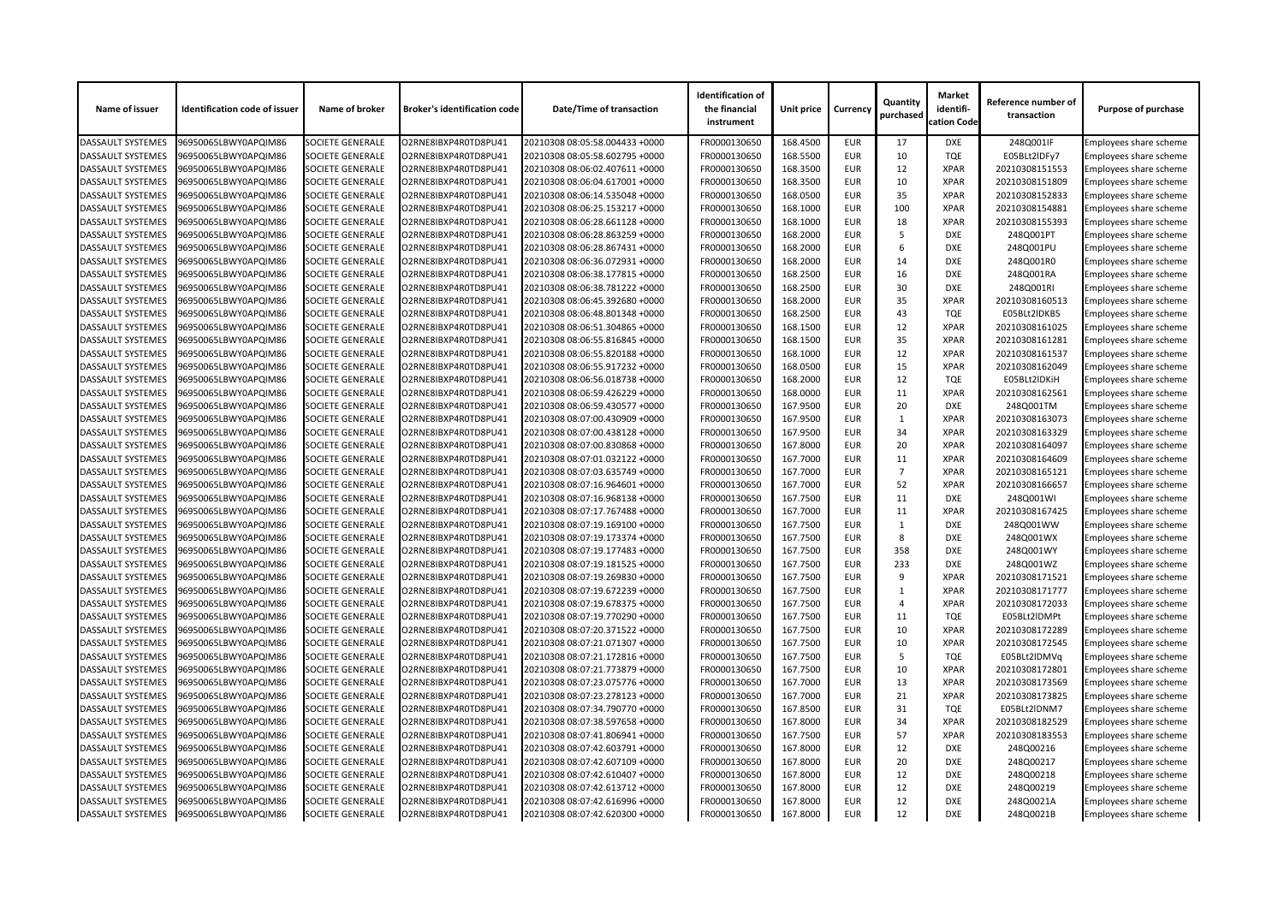| Name of issuer           | <b>Identification code of issuer</b> | Name of broker          | <b>Broker's identification code</b> | <b>Date/Time of transaction</b> | <b>Identification of</b><br>the financial<br>instrument | <b>Unit price</b> | <b>Currency</b> | Quantity<br>purchased | <b>Market</b><br>identifi-<br>cation Code | Reference number of<br>transaction | <b>Purpose of purchase</b>    |
|--------------------------|--------------------------------------|-------------------------|-------------------------------------|---------------------------------|---------------------------------------------------------|-------------------|-----------------|-----------------------|-------------------------------------------|------------------------------------|-------------------------------|
| <b>DASSAULT SYSTEMES</b> | 96950065LBWY0APQIM86                 | <b>SOCIETE GENERALE</b> | O2RNE8IBXP4R0TD8PU41                | 20210308 08:05:58.004433 +0000  | FR0000130650                                            | 168.4500          | <b>EUR</b>      | 17                    | <b>DXE</b>                                | 248Q001IF                          | Employees share scheme        |
| <b>DASSAULT SYSTEMES</b> | 96950065LBWY0APQIM86                 | <b>SOCIETE GENERALE</b> | O2RNE8IBXP4R0TD8PU41                | 20210308 08:05:58.602795 +0000  | FR0000130650                                            | 168.5500          | <b>EUR</b>      | 10                    | <b>TQE</b>                                | E05BLt2IDFy7                       | Employees share scheme        |
| <b>DASSAULT SYSTEMES</b> | 96950065LBWY0APQIM86                 | <b>SOCIETE GENERALE</b> | O2RNE8IBXP4R0TD8PU41                | 20210308 08:06:02.407611 +0000  | FR0000130650                                            | 168.3500          | <b>EUR</b>      | 12                    | <b>XPAR</b>                               | 20210308151553                     | Employees share scheme        |
| <b>DASSAULT SYSTEMES</b> | 96950065LBWY0APQIM86                 | <b>SOCIETE GENERALE</b> | O2RNE8IBXP4R0TD8PU41                | 20210308 08:06:04.617001 +0000  | FR0000130650                                            | 168.3500          | <b>EUR</b>      | 10                    | <b>XPAR</b>                               | 20210308151809                     | Employees share scheme        |
| <b>DASSAULT SYSTEMES</b> | 96950065LBWY0APQIM86                 | <b>SOCIETE GENERALE</b> | O2RNE8IBXP4R0TD8PU41                | 20210308 08:06:14.535048 +0000  | FR0000130650                                            | 168.0500          | <b>EUR</b>      | 35                    | <b>XPAR</b>                               | 20210308152833                     | Employees share scheme        |
| <b>DASSAULT SYSTEMES</b> | 96950065LBWY0APQIM86                 | <b>SOCIETE GENERALE</b> | O2RNE8IBXP4R0TD8PU41                | 20210308 08:06:25.153217 +0000  | FR0000130650                                            | 168.1000          | <b>EUR</b>      | 100                   | <b>XPAR</b>                               | 20210308154881                     | Employees share scheme        |
| <b>DASSAULT SYSTEMES</b> | 96950065LBWY0APQIM86                 | <b>SOCIETE GENERALE</b> | O2RNE8IBXP4R0TD8PU41                | 20210308 08:06:28.661128 +0000  | FR0000130650                                            | 168.1000          | <b>EUR</b>      | 18                    | <b>XPAR</b>                               | 20210308155393                     | <b>Employees share scheme</b> |
| <b>DASSAULT SYSTEMES</b> | 96950065LBWY0APQIM86                 | <b>SOCIETE GENERALE</b> | O2RNE8IBXP4R0TD8PU41                | 20210308 08:06:28.863259 +0000  | FR0000130650                                            | 168.2000          | <b>EUR</b>      |                       | <b>DXE</b>                                | 248Q001PT                          | Employees share scheme        |
| <b>DASSAULT SYSTEMES</b> | 96950065LBWY0APQIM86                 | <b>SOCIETE GENERALE</b> | O2RNE8IBXP4R0TD8PU41                | 20210308 08:06:28.867431 +0000  | FR0000130650                                            | 168.2000          | <b>EUR</b>      | 6                     | <b>DXE</b>                                | 248Q001PU                          | <b>Employees share scheme</b> |
| <b>DASSAULT SYSTEMES</b> | 96950065LBWY0APQIM86                 | <b>SOCIETE GENERALE</b> | O2RNE8IBXP4R0TD8PU41                | 20210308 08:06:36.072931 +0000  | FR0000130650                                            | 168.2000          | <b>EUR</b>      | 14                    | <b>DXE</b>                                | 248Q001R0                          | Employees share scheme        |
| <b>DASSAULT SYSTEMES</b> | 96950065LBWY0APQIM86                 | <b>SOCIETE GENERALE</b> | O2RNE8IBXP4R0TD8PU41                | 20210308 08:06:38.177815 +0000  | FR0000130650                                            | 168.2500          | <b>EUR</b>      | 16                    | <b>DXE</b>                                | 248Q001RA                          | Employees share scheme        |
| <b>DASSAULT SYSTEMES</b> | 96950065LBWY0APQIM86                 | <b>SOCIETE GENERALE</b> | O2RNE8IBXP4R0TD8PU41                | 20210308 08:06:38.781222 +0000  | FR0000130650                                            | 168.2500          | <b>EUR</b>      | 30                    | <b>DXE</b>                                | 248Q001RI                          | <b>Employees share scheme</b> |
| <b>DASSAULT SYSTEMES</b> | 96950065LBWY0APQIM86                 | <b>SOCIETE GENERALE</b> | O2RNE8IBXP4R0TD8PU41                | 20210308 08:06:45.392680 +0000  | FR0000130650                                            | 168.2000          | <b>EUR</b>      | 35                    | <b>XPAR</b>                               | 20210308160513                     | Employees share scheme        |
| <b>DASSAULT SYSTEMES</b> | 96950065LBWY0APQIM86                 | <b>SOCIETE GENERALE</b> | O2RNE8IBXP4R0TD8PU41                | 20210308 08:06:48.801348 +0000  | FR0000130650                                            | 168.2500          | <b>EUR</b>      | 43                    | <b>TQE</b>                                | E05BLt2IDKB5                       | <b>Employees share scheme</b> |
| <b>DASSAULT SYSTEMES</b> | 96950065LBWY0APQIM86                 | <b>SOCIETE GENERALE</b> | O2RNE8IBXP4R0TD8PU41                | 20210308 08:06:51.304865 +0000  | FR0000130650                                            | 168.1500          | <b>EUR</b>      | 12                    | <b>XPAR</b>                               | 20210308161025                     | Employees share scheme        |
| <b>DASSAULT SYSTEMES</b> | 96950065LBWY0APQIM86                 | <b>SOCIETE GENERALE</b> | O2RNE8IBXP4R0TD8PU41                | 20210308 08:06:55.816845 +0000  | FR0000130650                                            | 168.1500          | <b>EUR</b>      | 35                    | <b>XPAR</b>                               | 20210308161281                     | Employees share scheme        |
| <b>DASSAULT SYSTEMES</b> | 96950065LBWY0APQIM86                 | <b>SOCIETE GENERALE</b> | O2RNE8IBXP4R0TD8PU41                | 20210308 08:06:55.820188 +0000  | FR0000130650                                            | 168.1000          | <b>EUR</b>      | 12                    | <b>XPAR</b>                               | 20210308161537                     | <b>Employees share scheme</b> |
| <b>DASSAULT SYSTEMES</b> | 96950065LBWY0APQIM86                 | <b>SOCIETE GENERALE</b> | O2RNE8IBXP4R0TD8PU41                | 20210308 08:06:55.917232 +0000  | FR0000130650                                            | 168.0500          | <b>EUR</b>      | 15                    | <b>XPAR</b>                               | 20210308162049                     | Employees share scheme        |
| <b>DASSAULT SYSTEMES</b> | 96950065LBWY0APQIM86                 | <b>SOCIETE GENERALE</b> | O2RNE8IBXP4R0TD8PU41                | 20210308 08:06:56.018738 +0000  | FR0000130650                                            | 168.2000          | <b>EUR</b>      | 12                    | <b>TQE</b>                                | E05BLt2IDKiH                       | <b>Employees share scheme</b> |
| <b>DASSAULT SYSTEMES</b> | 96950065LBWY0APQIM86                 | <b>SOCIETE GENERALE</b> | O2RNE8IBXP4R0TD8PU41                | 20210308 08:06:59.426229 +0000  | FR0000130650                                            | 168.0000          | <b>EUR</b>      | 11                    | <b>XPAR</b>                               | 20210308162561                     | Employees share scheme        |
| <b>DASSAULT SYSTEMES</b> | 96950065LBWY0APQIM86                 | <b>SOCIETE GENERALE</b> | O2RNE8IBXP4R0TD8PU41                | 20210308 08:06:59.430577 +0000  | FR0000130650                                            | 167.9500          | <b>EUR</b>      | 20                    | <b>DXE</b>                                | 248Q001TM                          | Employees share scheme        |
|                          |                                      |                         |                                     |                                 |                                                         |                   |                 |                       |                                           |                                    |                               |
| <b>DASSAULT SYSTEMES</b> | 96950065LBWY0APQIM86                 | <b>SOCIETE GENERALE</b> | O2RNE8IBXP4R0TD8PU41                | 20210308 08:07:00.430909 +0000  | FR0000130650                                            | 167.9500          | <b>EUR</b>      |                       | <b>XPAR</b>                               | 20210308163073                     | <b>Employees share scheme</b> |
| <b>DASSAULT SYSTEMES</b> | 96950065LBWY0APQIM86                 | <b>SOCIETE GENERALE</b> | O2RNE8IBXP4R0TD8PU41                | 20210308 08:07:00.438128 +0000  | FR0000130650                                            | 167.9500          | <b>EUR</b>      | 34                    | <b>XPAR</b>                               | 20210308163329                     | Employees share scheme        |
| <b>DASSAULT SYSTEMES</b> | 96950065LBWY0APQIM86                 | <b>SOCIETE GENERALE</b> | O2RNE8IBXP4R0TD8PU41                | 20210308 08:07:00.830868 +0000  | FR0000130650                                            | 167.8000          | <b>EUR</b>      | 20                    | <b>XPAR</b>                               | 20210308164097                     | Employees share scheme        |
| <b>DASSAULT SYSTEMES</b> | 96950065LBWY0APQIM86                 | <b>SOCIETE GENERALE</b> | O2RNE8IBXP4R0TD8PU41                | 20210308 08:07:01.032122 +0000  | FR0000130650                                            | 167.7000          | <b>EUR</b>      | 11                    | <b>XPAR</b>                               | 20210308164609                     | <b>Employees share scheme</b> |
| <b>DASSAULT SYSTEMES</b> | 96950065LBWY0APQIM86                 | <b>SOCIETE GENERALE</b> | O2RNE8IBXP4R0TD8PU41                | 20210308 08:07:03.635749 +0000  | FR0000130650                                            | 167.7000          | <b>EUR</b>      | $\overline{7}$        | <b>XPAR</b>                               | 20210308165121                     | Employees share scheme        |
| DASSAULT SYSTEMES        | 96950065LBWY0APQIM86                 | <b>SOCIETE GENERALE</b> | O2RNE8IBXP4R0TD8PU41                | 20210308 08:07:16.964601 +0000  | FR0000130650                                            | 167.7000          | <b>EUR</b>      | 52                    | <b>XPAR</b>                               | 20210308166657                     | <b>Employees share scheme</b> |
| <b>DASSAULT SYSTEMES</b> | 96950065LBWY0APQIM86                 | <b>SOCIETE GENERALE</b> | O2RNE8IBXP4R0TD8PU41                | 20210308 08:07:16.968138 +0000  | FR0000130650                                            | 167.7500          | <b>EUR</b>      | 11                    | <b>DXE</b>                                | 248Q001WI                          | Employees share scheme        |
| <b>DASSAULT SYSTEMES</b> | 96950065LBWY0APQIM86                 | <b>SOCIETE GENERALE</b> | O2RNE8IBXP4R0TD8PU41                | 20210308 08:07:17.767488 +0000  | FR0000130650                                            | 167.7000          | <b>EUR</b>      | 11                    | <b>XPAR</b>                               | 20210308167425                     | Employees share scheme        |
| <b>DASSAULT SYSTEMES</b> | 96950065LBWY0APQIM86                 | <b>SOCIETE GENERALE</b> | O2RNE8IBXP4R0TD8PU41                | 20210308 08:07:19.169100 +0000  | FR0000130650                                            | 167.7500          | <b>EUR</b>      |                       | <b>DXE</b>                                | 248Q001WW                          | Employees share scheme        |
| <b>DASSAULT SYSTEMES</b> | 96950065LBWY0APQIM86                 | <b>SOCIETE GENERALE</b> | O2RNE8IBXP4R0TD8PU41                | 20210308 08:07:19.173374 +0000  | FR0000130650                                            | 167.7500          | <b>EUR</b>      | 8                     | <b>DXE</b>                                | 248Q001WX                          | Employees share scheme        |
| <b>DASSAULT SYSTEMES</b> | 96950065LBWY0APQIM86                 | <b>SOCIETE GENERALE</b> | O2RNE8IBXP4R0TD8PU41                | 20210308 08:07:19.177483 +0000  | FR0000130650                                            | 167.7500          | <b>EUR</b>      | 358                   | <b>DXE</b>                                | 248Q001WY                          | Employees share scheme        |
| <b>DASSAULT SYSTEMES</b> | 96950065LBWY0APQIM86                 | <b>SOCIETE GENERALE</b> | O2RNE8IBXP4R0TD8PU41                | 20210308 08:07:19.181525 +0000  | FR0000130650                                            | 167.7500          | <b>EUR</b>      | 233                   | <b>DXE</b>                                | 248Q001WZ                          | Employees share scheme        |
| <b>DASSAULT SYSTEMES</b> | 96950065LBWY0APQIM86                 | <b>SOCIETE GENERALE</b> | O2RNE8IBXP4R0TD8PU41                | 20210308 08:07:19.269830 +0000  | FR0000130650                                            | 167.7500          | <b>EUR</b>      | 9                     | <b>XPAR</b>                               | 20210308171521                     | <b>Employees share scheme</b> |
| <b>DASSAULT SYSTEMES</b> | 96950065LBWY0APQIM86                 | <b>SOCIETE GENERALE</b> | O2RNE8IBXP4R0TD8PU41                | 20210308 08:07:19.672239 +0000  | FR0000130650                                            | 167.7500          | <b>EUR</b>      |                       | <b>XPAR</b>                               | 20210308171777                     | Employees share scheme        |
| <b>DASSAULT SYSTEMES</b> | 96950065LBWY0APQIM86                 | <b>SOCIETE GENERALE</b> | O2RNE8IBXP4R0TD8PU41                | 20210308 08:07:19.678375 +0000  | FR0000130650                                            | 167.7500          | <b>EUR</b>      | $\overline{A}$        | <b>XPAR</b>                               | 20210308172033                     | Employees share scheme        |
| <b>DASSAULT SYSTEMES</b> | 96950065LBWY0APQIM86                 | <b>SOCIETE GENERALE</b> | O2RNE8IBXP4R0TD8PU41                | 20210308 08:07:19.770290 +0000  | FR0000130650                                            | 167.7500          | <b>EUR</b>      | 11                    | <b>TQE</b>                                | E05BLt2IDMPt                       | <b>Employees share scheme</b> |
| <b>DASSAULT SYSTEMES</b> | 96950065LBWY0APQIM86                 | <b>SOCIETE GENERALE</b> | O2RNE8IBXP4R0TD8PU41                | 20210308 08:07:20.371522 +0000  | FR0000130650                                            | 167.7500          | <b>EUR</b>      | 10                    | <b>XPAR</b>                               | 20210308172289                     | Employees share scheme        |
| <b>DASSAULT SYSTEMES</b> | 96950065LBWY0APQIM86                 | <b>SOCIETE GENERALE</b> | O2RNE8IBXP4R0TD8PU41                | 20210308 08:07:21.071307 +0000  | FR0000130650                                            | 167.7500          | <b>EUR</b>      | 10                    | <b>XPAR</b>                               | 20210308172545                     | <b>Employees share scheme</b> |
| <b>DASSAULT SYSTEMES</b> | 96950065LBWY0APQIM86                 | <b>SOCIETE GENERALE</b> | O2RNE8IBXP4R0TD8PU41                | 20210308 08:07:21.172816 +0000  | FR0000130650                                            | 167.7500          | <b>EUR</b>      | -5                    | <b>TQE</b>                                | E05BLt2IDMVq                       | Employees share scheme        |
| <b>DASSAULT SYSTEMES</b> | 96950065LBWY0APQIM86                 | <b>SOCIETE GENERALE</b> | O2RNE8IBXP4R0TD8PU41                | 20210308 08:07:21.773879 +0000  | FR0000130650                                            | 167.7500          | <b>EUR</b>      | 10                    | <b>XPAR</b>                               | 20210308172801                     | Employees share scheme        |
| <b>DASSAULT SYSTEMES</b> | 96950065LBWY0APQIM86                 | <b>SOCIETE GENERALE</b> | O2RNE8IBXP4R0TD8PU41                | 20210308 08:07:23.075776 +0000  | FR0000130650                                            | 167.7000          | <b>EUR</b>      | 13                    | <b>XPAR</b>                               | 20210308173569                     | <b>Employees share scheme</b> |
| <b>DASSAULT SYSTEMES</b> | 96950065LBWY0APQIM86                 | <b>SOCIETE GENERALE</b> | O2RNE8IBXP4R0TD8PU41                | 20210308 08:07:23.278123 +0000  | FR0000130650                                            | 167.7000          | <b>EUR</b>      | 21                    | <b>XPAR</b>                               | 20210308173825                     | Employees share scheme        |
| <b>DASSAULT SYSTEMES</b> | 96950065LBWY0APQIM86                 | <b>SOCIETE GENERALE</b> | O2RNE8IBXP4R0TD8PU41                | 20210308 08:07:34.790770 +0000  | FR0000130650                                            | 167.8500          | <b>EUR</b>      | 31                    | <b>TQE</b>                                | E05BLt2IDNM7                       | <b>Employees share scheme</b> |
| <b>DASSAULT SYSTEMES</b> | 96950065LBWY0APQIM86                 | <b>SOCIETE GENERALE</b> | O2RNE8IBXP4R0TD8PU41                | 20210308 08:07:38.597658 +0000  | FR0000130650                                            | 167.8000          | <b>EUR</b>      | 34                    | <b>XPAR</b>                               | 20210308182529                     | Employees share scheme        |
| <b>DASSAULT SYSTEMES</b> | 96950065LBWY0APQIM86                 | <b>SOCIETE GENERALE</b> | O2RNE8IBXP4R0TD8PU41                | 20210308 08:07:41.806941 +0000  | FR0000130650                                            | 167.7500          | <b>EUR</b>      | 57                    | <b>XPAR</b>                               | 20210308183553                     | Employees share scheme        |
| <b>DASSAULT SYSTEMES</b> | 96950065LBWY0APQIM86                 | <b>SOCIETE GENERALE</b> | O2RNE8IBXP4R0TD8PU41                | 20210308 08:07:42.603791 +0000  | FR0000130650                                            | 167.8000          | <b>EUR</b>      | 12                    | <b>DXE</b>                                | 248Q00216                          | <b>Employees share scheme</b> |
| <b>DASSAULT SYSTEMES</b> | 96950065LBWY0APQIM86                 | <b>SOCIETE GENERALE</b> | O2RNE8IBXP4R0TD8PU41                | 20210308 08:07:42.607109 +0000  | FR0000130650                                            | 167.8000          | <b>EUR</b>      | 20                    | <b>DXE</b>                                | 248Q00217                          | Employees share scheme        |
| <b>DASSAULT SYSTEMES</b> | 96950065LBWY0APQIM86                 | <b>SOCIETE GENERALE</b> | O2RNE8IBXP4R0TD8PU41                | 20210308 08:07:42.610407 +0000  | FR0000130650                                            | 167.8000          | <b>EUR</b>      | 12                    | DXE                                       | 248Q00218                          | Employees share scheme        |
| <b>DASSAULT SYSTEMES</b> | 96950065LBWY0APQIM86                 | <b>SOCIETE GENERALE</b> | O2RNE8IBXP4R0TD8PU41                | 20210308 08:07:42.613712 +0000  | FR0000130650                                            | 167.8000          | <b>EUR</b>      | 12                    | DXE                                       | 248Q00219                          | Employees share scheme        |
| <b>DASSAULT SYSTEMES</b> | 96950065LBWY0APQIM86                 | <b>SOCIETE GENERALE</b> | O2RNE8IBXP4R0TD8PU41                | 20210308 08:07:42.616996 +0000  | FR0000130650                                            | 167.8000          | <b>EUR</b>      | 12                    | <b>DXE</b>                                | 248Q0021A                          | Employees share scheme        |
| <b>DASSAULT SYSTEMES</b> | 96950065LBWY0APQIM86                 | <b>SOCIETE GENERALE</b> | O2RNE8IBXP4R0TD8PU41                | 20210308 08:07:42.620300 +0000  | FR0000130650                                            | 167.8000          | <b>EUR</b>      | 12                    | <b>DXE</b>                                | 248Q0021B                          | <b>Employees share scheme</b> |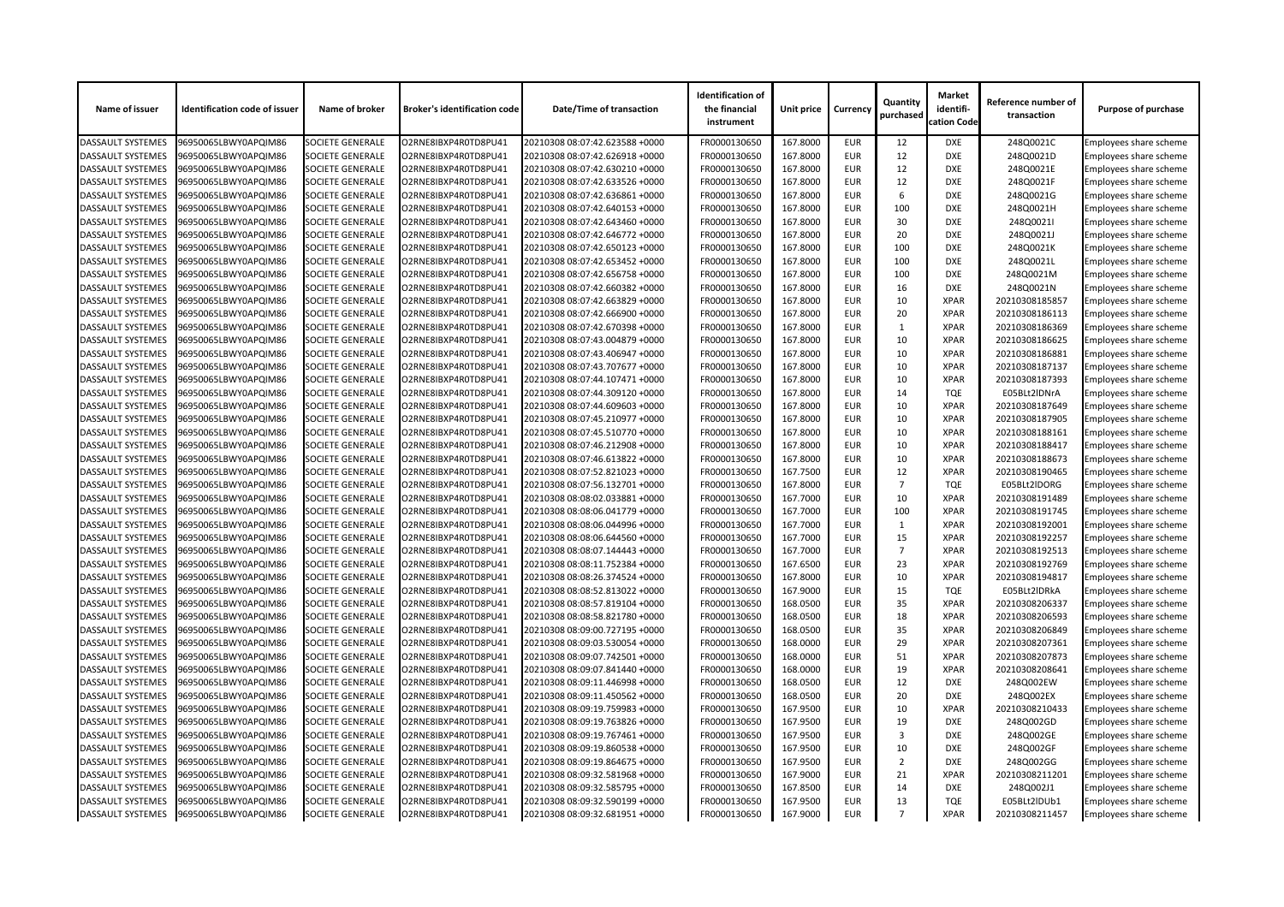| Name of issuer           | <b>Identification code of issuer</b> | Name of broker          | <b>Broker's identification code</b> | <b>Date/Time of transaction</b> | <b>Identification of</b><br>the financial<br>instrument | Unit price | <b>Currency</b> | Quantity<br>purchased | <b>Market</b><br>identifi-<br>cation Code | Reference number of<br>transaction | <b>Purpose of purchase</b>    |
|--------------------------|--------------------------------------|-------------------------|-------------------------------------|---------------------------------|---------------------------------------------------------|------------|-----------------|-----------------------|-------------------------------------------|------------------------------------|-------------------------------|
| <b>DASSAULT SYSTEMES</b> | 96950065LBWY0APQIM86                 | <b>SOCIETE GENERALE</b> | O2RNE8IBXP4R0TD8PU41                | 20210308 08:07:42.623588 +0000  | FR0000130650                                            | 167.8000   | <b>EUR</b>      | 12                    | <b>DXE</b>                                | 248Q0021C                          | Employees share scheme        |
| <b>DASSAULT SYSTEMES</b> | 96950065LBWY0APQIM86                 | <b>SOCIETE GENERALE</b> | O2RNE8IBXP4R0TD8PU41                | 20210308 08:07:42.626918 +0000  | FR0000130650                                            | 167.8000   | <b>EUR</b>      | 12                    | <b>DXE</b>                                | 248Q0021D                          | <b>Employees share scheme</b> |
| <b>DASSAULT SYSTEMES</b> | 96950065LBWY0APQIM86                 | <b>SOCIETE GENERALE</b> | O2RNE8IBXP4R0TD8PU41                | 20210308 08:07:42.630210 +0000  | FR0000130650                                            | 167.8000   | <b>EUR</b>      | 12                    | <b>DXE</b>                                | 248Q0021E                          | Employees share scheme        |
| <b>DASSAULT SYSTEMES</b> | 96950065LBWY0APQIM86                 | <b>SOCIETE GENERALE</b> | O2RNE8IBXP4R0TD8PU41                | 20210308 08:07:42.633526 +0000  | FR0000130650                                            | 167.8000   | <b>EUR</b>      | 12                    | <b>DXE</b>                                | 248Q0021F                          | <b>Employees share scheme</b> |
| <b>DASSAULT SYSTEMES</b> | 96950065LBWY0APQIM86                 | <b>SOCIETE GENERALE</b> | O2RNE8IBXP4R0TD8PU41                | 20210308 08:07:42.636861 +0000  | FR0000130650                                            | 167.8000   | <b>EUR</b>      | 6                     | <b>DXE</b>                                | 248Q0021G                          | Employees share scheme        |
| <b>DASSAULT SYSTEMES</b> | 96950065LBWY0APQIM86                 | <b>SOCIETE GENERALE</b> | O2RNE8IBXP4R0TD8PU41                | 20210308 08:07:42.640153 +0000  | FR0000130650                                            | 167.8000   | <b>EUR</b>      | 100                   | <b>DXE</b>                                | 248Q0021H                          | Employees share scheme        |
| <b>DASSAULT SYSTEMES</b> | 96950065LBWY0APQIM86                 | <b>SOCIETE GENERALE</b> | O2RNE8IBXP4R0TD8PU41                | 20210308 08:07:42.643460 +0000  | FR0000130650                                            | 167.8000   | <b>EUR</b>      | 30                    | <b>DXE</b>                                | 248Q0021l                          | Employees share scheme        |
| <b>DASSAULT SYSTEMES</b> | 96950065LBWY0APQIM86                 | <b>SOCIETE GENERALE</b> | O2RNE8IBXP4R0TD8PU41                | 20210308 08:07:42.646772 +0000  | FR0000130650                                            | 167.8000   | <b>EUR</b>      | 20                    | <b>DXE</b>                                | 248Q0021J                          | Employees share scheme        |
| <b>DASSAULT SYSTEMES</b> | 96950065LBWY0APQIM86                 | <b>SOCIETE GENERALE</b> | O2RNE8IBXP4R0TD8PU41                | 20210308 08:07:42.650123 +0000  | FR0000130650                                            | 167.8000   | <b>EUR</b>      | 100                   | <b>DXE</b>                                | 248Q0021K                          | Employees share scheme        |
| <b>DASSAULT SYSTEMES</b> | 96950065LBWY0APQIM86                 | <b>SOCIETE GENERALE</b> | O2RNE8IBXP4R0TD8PU41                | 20210308 08:07:42.653452 +0000  | FR0000130650                                            | 167.8000   | <b>EUR</b>      | 100                   | <b>DXE</b>                                | 248Q0021L                          | Employees share scheme        |
| <b>DASSAULT SYSTEMES</b> | 96950065LBWY0APQIM86                 | <b>SOCIETE GENERALE</b> | O2RNE8IBXP4R0TD8PU41                | 20210308 08:07:42.656758 +0000  | FR0000130650                                            | 167.8000   | <b>EUR</b>      | 100                   | <b>DXE</b>                                | 248Q0021M                          | Employees share scheme        |
| <b>DASSAULT SYSTEMES</b> | 96950065LBWY0APQIM86                 | <b>SOCIETE GENERALE</b> | O2RNE8IBXP4R0TD8PU41                | 20210308 08:07:42.660382 +0000  | FR0000130650                                            | 167.8000   | <b>EUR</b>      | 16                    | <b>DXE</b>                                | 248Q0021N                          | Employees share scheme        |
| <b>DASSAULT SYSTEMES</b> | 96950065LBWY0APQIM86                 | <b>SOCIETE GENERALE</b> | O2RNE8IBXP4R0TD8PU41                | 20210308 08:07:42.663829 +0000  | FR0000130650                                            | 167.8000   | <b>EUR</b>      | 10                    | <b>XPAR</b>                               | 20210308185857                     | Employees share scheme        |
| <b>DASSAULT SYSTEMES</b> | 96950065LBWY0APQIM86                 | <b>SOCIETE GENERALE</b> | O2RNE8IBXP4R0TD8PU41                | 20210308 08:07:42.666900 +0000  | FR0000130650                                            | 167.8000   | <b>EUR</b>      | 20                    | <b>XPAR</b>                               | 20210308186113                     | <b>Employees share scheme</b> |
| <b>DASSAULT SYSTEMES</b> | 96950065LBWY0APQIM86                 | <b>SOCIETE GENERALE</b> | O2RNE8IBXP4R0TD8PU41                | 20210308 08:07:42.670398 +0000  | FR0000130650                                            | 167.8000   | <b>EUR</b>      |                       | <b>XPAR</b>                               | 20210308186369                     | <b>Employees share scheme</b> |
| <b>DASSAULT SYSTEMES</b> | 96950065LBWY0APQIM86                 | <b>SOCIETE GENERALE</b> | O2RNE8IBXP4R0TD8PU41                | 20210308 08:07:43.004879 +0000  | FR0000130650                                            | 167.8000   | <b>EUR</b>      | 10                    | <b>XPAR</b>                               | 20210308186625                     | Employees share scheme        |
| <b>DASSAULT SYSTEMES</b> | 96950065LBWY0APQIM86                 | <b>SOCIETE GENERALE</b> | O2RNE8IBXP4R0TD8PU41                | 20210308 08:07:43.406947 +0000  | FR0000130650                                            | 167.8000   | <b>EUR</b>      | 10                    | <b>XPAR</b>                               | 20210308186881                     | <b>Employees share scheme</b> |
| <b>DASSAULT SYSTEMES</b> | 96950065LBWY0APQIM86                 | <b>SOCIETE GENERALE</b> | O2RNE8IBXP4R0TD8PU41                | 20210308 08:07:43.707677 +0000  | FR0000130650                                            | 167.8000   | <b>EUR</b>      | 10                    | <b>XPAR</b>                               | 20210308187137                     | Employees share scheme        |
| <b>DASSAULT SYSTEMES</b> | 96950065LBWY0APQIM86                 | <b>SOCIETE GENERALE</b> | O2RNE8IBXP4R0TD8PU41                | 20210308 08:07:44.107471 +0000  | FR0000130650                                            | 167.8000   | <b>EUR</b>      | 10                    | <b>XPAR</b>                               | 20210308187393                     | <b>Employees share scheme</b> |
| <b>DASSAULT SYSTEMES</b> | 96950065LBWY0APQIM86                 | <b>SOCIETE GENERALE</b> | O2RNE8IBXP4R0TD8PU41                | 20210308 08:07:44.309120 +0000  | FR0000130650                                            | 167.8000   | <b>EUR</b>      | 14                    | <b>TQE</b>                                | E05BLt2IDNrA                       | Employees share scheme        |
| DASSAULT SYSTEMES        | 96950065LBWY0APQIM86                 | <b>SOCIETE GENERALE</b> | O2RNE8IBXP4R0TD8PU41                | 20210308 08:07:44.609603 +0000  | FR0000130650                                            | 167.8000   | <b>EUR</b>      | 10                    | <b>XPAR</b>                               | 20210308187649                     | Employees share scheme        |
| <b>DASSAULT SYSTEMES</b> | 96950065LBWY0APQIM86                 | <b>SOCIETE GENERALE</b> | O2RNE8IBXP4R0TD8PU41                | 20210308 08:07:45.210977 +0000  | FR0000130650                                            | 167.8000   | <b>EUR</b>      | 10                    | <b>XPAR</b>                               | 20210308187905                     |                               |
|                          |                                      |                         |                                     |                                 |                                                         | 167.8000   | <b>EUR</b>      | 10                    | <b>XPAR</b>                               |                                    | Employees share scheme        |
| <b>DASSAULT SYSTEMES</b> | 96950065LBWY0APQIM86                 | <b>SOCIETE GENERALE</b> | O2RNE8IBXP4R0TD8PU41                | 20210308 08:07:45.510770 +0000  | FR0000130650                                            |            |                 |                       |                                           | 20210308188161                     | Employees share scheme        |
| <b>DASSAULT SYSTEMES</b> | 96950065LBWY0APQIM86                 | <b>SOCIETE GENERALE</b> | O2RNE8IBXP4R0TD8PU41                | 20210308 08:07:46.212908 +0000  | FR0000130650                                            | 167.8000   | <b>EUR</b>      | 10                    | <b>XPAR</b>                               | 20210308188417                     | <b>Employees share scheme</b> |
| <b>DASSAULT SYSTEMES</b> | 96950065LBWY0APQIM86                 | <b>SOCIETE GENERALE</b> | O2RNE8IBXP4R0TD8PU41                | 20210308 08:07:46.613822 +0000  | FR0000130650                                            | 167.8000   | <b>EUR</b>      | 10                    | <b>XPAR</b>                               | 20210308188673                     | <b>Employees share scheme</b> |
| <b>DASSAULT SYSTEMES</b> | 96950065LBWY0APQIM86                 | <b>SOCIETE GENERALE</b> | O2RNE8IBXP4R0TD8PU41                | 20210308 08:07:52.821023 +0000  | FR0000130650                                            | 167.7500   | <b>EUR</b>      | 12                    | <b>XPAR</b>                               | 20210308190465                     | Employees share scheme        |
| <b>DASSAULT SYSTEMES</b> | 96950065LBWY0APQIM86                 | <b>SOCIETE GENERALE</b> | O2RNE8IBXP4R0TD8PU41                | 20210308 08:07:56.132701 +0000  | FR0000130650                                            | 167.8000   | <b>EUR</b>      |                       | <b>TQE</b>                                | E05BLt2IDORG                       | Employees share scheme        |
| <b>DASSAULT SYSTEMES</b> | 96950065LBWY0APQIM86                 | <b>SOCIETE GENERALE</b> | O2RNE8IBXP4R0TD8PU41                | 20210308 08:08:02.033881 +0000  | FR0000130650                                            | 167.7000   | <b>EUR</b>      | 10                    | <b>XPAR</b>                               | 20210308191489                     | <b>Employees share scheme</b> |
| <b>DASSAULT SYSTEMES</b> | 96950065LBWY0APQIM86                 | <b>SOCIETE GENERALE</b> | O2RNE8IBXP4R0TD8PU41                | 20210308 08:08:06.041779 +0000  | FR0000130650                                            | 167.7000   | <b>EUR</b>      | 100                   | <b>XPAR</b>                               | 20210308191745                     | Employees share scheme        |
| <b>DASSAULT SYSTEMES</b> | 96950065LBWY0APQIM86                 | <b>SOCIETE GENERALE</b> | O2RNE8IBXP4R0TD8PU41                | 20210308 08:08:06.044996 +0000  | FR0000130650                                            | 167.7000   | <b>EUR</b>      |                       | <b>XPAR</b>                               | 20210308192001                     | Employees share scheme        |
| <b>DASSAULT SYSTEMES</b> | 96950065LBWY0APQIM86                 | <b>SOCIETE GENERALE</b> | O2RNE8IBXP4R0TD8PU41                | 20210308 08:08:06.644560 +0000  | FR0000130650                                            | 167.7000   | <b>EUR</b>      | 15                    | <b>XPAR</b>                               | 20210308192257                     | Employees share scheme        |
| <b>DASSAULT SYSTEMES</b> | 96950065LBWY0APQIM86                 | <b>SOCIETE GENERALE</b> | O2RNE8IBXP4R0TD8PU41                | 20210308 08:08:07.144443 +0000  | FR0000130650                                            | 167.7000   | <b>EUR</b>      | 7                     | <b>XPAR</b>                               | 20210308192513                     | <b>Employees share scheme</b> |
| <b>DASSAULT SYSTEMES</b> | 96950065LBWY0APQIM86                 | <b>SOCIETE GENERALE</b> | O2RNE8IBXP4R0TD8PU41                | 20210308 08:08:11.752384 +0000  | FR0000130650                                            | 167.6500   | <b>EUR</b>      | 23                    | <b>XPAR</b>                               | 20210308192769                     | <b>Employees share scheme</b> |
| <b>DASSAULT SYSTEMES</b> | 96950065LBWY0APQIM86                 | <b>SOCIETE GENERALE</b> | O2RNE8IBXP4R0TD8PU41                | 20210308 08:08:26.374524 +0000  | FR0000130650                                            | 167.8000   | <b>EUR</b>      | 10                    | <b>XPAR</b>                               | 20210308194817                     | <b>Employees share scheme</b> |
| <b>DASSAULT SYSTEMES</b> | 96950065LBWY0APQIM86                 | <b>SOCIETE GENERALE</b> | O2RNE8IBXP4R0TD8PU41                | 20210308 08:08:52.813022 +0000  | FR0000130650                                            | 167.9000   | <b>EUR</b>      | 15                    | <b>TQE</b>                                | E05BLt2IDRkA                       | Employees share scheme        |
| <b>DASSAULT SYSTEMES</b> | 96950065LBWY0APQIM86                 | <b>SOCIETE GENERALE</b> | O2RNE8IBXP4R0TD8PU41                | 20210308 08:08:57.819104 +0000  | FR0000130650                                            | 168.0500   | <b>EUR</b>      | 35                    | <b>XPAR</b>                               | 20210308206337                     | Employees share scheme        |
| <b>DASSAULT SYSTEMES</b> | 96950065LBWY0APQIM86                 | <b>SOCIETE GENERALE</b> | O2RNE8IBXP4R0TD8PU41                | 20210308 08:08:58.821780 +0000  | FR0000130650                                            | 168.0500   | <b>EUR</b>      | 18                    | <b>XPAR</b>                               | 20210308206593                     | <b>Employees share scheme</b> |
| <b>DASSAULT SYSTEMES</b> | 96950065LBWY0APQIM86                 | <b>SOCIETE GENERALE</b> | O2RNE8IBXP4R0TD8PU41                | 20210308 08:09:00.727195 +0000  | FR0000130650                                            | 168.0500   | <b>EUR</b>      | 35                    | <b>XPAR</b>                               | 20210308206849                     | Employees share scheme        |
| <b>DASSAULT SYSTEMES</b> | 96950065LBWY0APQIM86                 | <b>SOCIETE GENERALE</b> | O2RNE8IBXP4R0TD8PU41                | 20210308 08:09:03.530054 +0000  | FR0000130650                                            | 168.0000   | <b>EUR</b>      | 29                    | <b>XPAR</b>                               | 20210308207361                     | <b>Employees share scheme</b> |
| <b>DASSAULT SYSTEMES</b> | 96950065LBWY0APQIM86                 | <b>SOCIETE GENERALE</b> | O2RNE8IBXP4R0TD8PU41                | 20210308 08:09:07.742501 +0000  | FR0000130650                                            | 168.0000   | <b>EUR</b>      | 51                    | <b>XPAR</b>                               | 20210308207873                     | Employees share scheme        |
| <b>DASSAULT SYSTEMES</b> | 96950065LBWY0APQIM86                 | <b>SOCIETE GENERALE</b> | O2RNE8IBXP4R0TD8PU41                | 20210308 08:09:07.841440 +0000  | FR0000130650                                            | 168.0000   | <b>EUR</b>      | 19                    | <b>XPAR</b>                               | 20210308208641                     | <b>Employees share scheme</b> |
| <b>DASSAULT SYSTEMES</b> | 96950065LBWY0APQIM86                 | <b>SOCIETE GENERALE</b> | O2RNE8IBXP4R0TD8PU41                | 20210308 08:09:11.446998 +0000  | FR0000130650                                            | 168.0500   | <b>EUR</b>      | 12                    | <b>DXE</b>                                | 248Q002EW                          | <b>Employees share scheme</b> |
| <b>DASSAULT SYSTEMES</b> | 96950065LBWY0APQIM86                 | <b>SOCIETE GENERALE</b> | O2RNE8IBXP4R0TD8PU41                | 20210308 08:09:11.450562 +0000  | FR0000130650                                            | 168.0500   | <b>EUR</b>      | 20                    | <b>DXE</b>                                | 248Q002EX                          | Employees share scheme        |
| <b>DASSAULT SYSTEMES</b> | 96950065LBWY0APQIM86                 | <b>SOCIETE GENERALE</b> | O2RNE8IBXP4R0TD8PU41                | 20210308 08:09:19.759983 +0000  | FR0000130650                                            | 167.9500   | <b>EUR</b>      | 10                    | <b>XPAR</b>                               | 20210308210433                     | <b>Employees share scheme</b> |
| <b>DASSAULT SYSTEMES</b> | 96950065LBWY0APQIM86                 | <b>SOCIETE GENERALE</b> | O2RNE8IBXP4R0TD8PU41                | 20210308 08:09:19.763826 +0000  | FR0000130650                                            | 167.9500   | <b>EUR</b>      | 19                    | DXE                                       | 248Q002GD                          | Employees share scheme        |
| <b>DASSAULT SYSTEMES</b> | 96950065LBWY0APQIM86                 | <b>SOCIETE GENERALE</b> | O2RNE8IBXP4R0TD8PU41                | 20210308 08:09:19.767461 +0000  | FR0000130650                                            | 167.9500   | <b>EUR</b>      | 3                     | <b>DXE</b>                                | 248Q002GE                          | <b>Employees share scheme</b> |
| <b>DASSAULT SYSTEMES</b> | 96950065LBWY0APQIM86                 | <b>SOCIETE GENERALE</b> | O2RNE8IBXP4R0TD8PU41                | 20210308 08:09:19.860538 +0000  | FR0000130650                                            | 167.9500   | <b>EUR</b>      | 10                    | <b>DXE</b>                                | 248Q002GF                          | Employees share scheme        |
| <b>DASSAULT SYSTEMES</b> | 96950065LBWY0APQIM86                 | <b>SOCIETE GENERALE</b> | O2RNE8IBXP4R0TD8PU41                | 20210308 08:09:19.864675 +0000  | FR0000130650                                            | 167.9500   | <b>EUR</b>      | 2                     | <b>DXE</b>                                | 248Q002GG                          | Employees share scheme        |
| <b>DASSAULT SYSTEMES</b> | 96950065LBWY0APQIM86                 | <b>SOCIETE GENERALE</b> | O2RNE8IBXP4R0TD8PU41                | 20210308 08:09:32.581968 +0000  | FR0000130650                                            | 167.9000   | <b>EUR</b>      | 21                    | <b>XPAR</b>                               | 20210308211201                     | <b>Employees share scheme</b> |
| <b>DASSAULT SYSTEMES</b> | 96950065LBWY0APQIM86                 | <b>SOCIETE GENERALE</b> | O2RNE8IBXP4R0TD8PU41                | 20210308 08:09:32.585795 +0000  | FR0000130650                                            | 167.8500   | <b>EUR</b>      | 14                    | <b>DXE</b>                                | 248Q002J1                          | Employees share scheme        |
| <b>DASSAULT SYSTEMES</b> | 96950065LBWY0APQIM86                 | <b>SOCIETE GENERALE</b> | O2RNE8IBXP4R0TD8PU41                | 20210308 08:09:32.590199 +0000  | FR0000130650                                            | 167.9500   | <b>EUR</b>      | 13                    | <b>TQE</b>                                | E05BLt2IDUb1                       | <b>Employees share scheme</b> |
| <b>DASSAULT SYSTEMES</b> | 96950065LBWY0APQIM86                 | <b>SOCIETE GENERALE</b> | O2RNE8IBXP4R0TD8PU41                | 20210308 08:09:32.681951 +0000  | FR0000130650                                            | 167.9000   | <b>EUR</b>      |                       | <b>XPAR</b>                               | 20210308211457                     | <b>Employees share scheme</b> |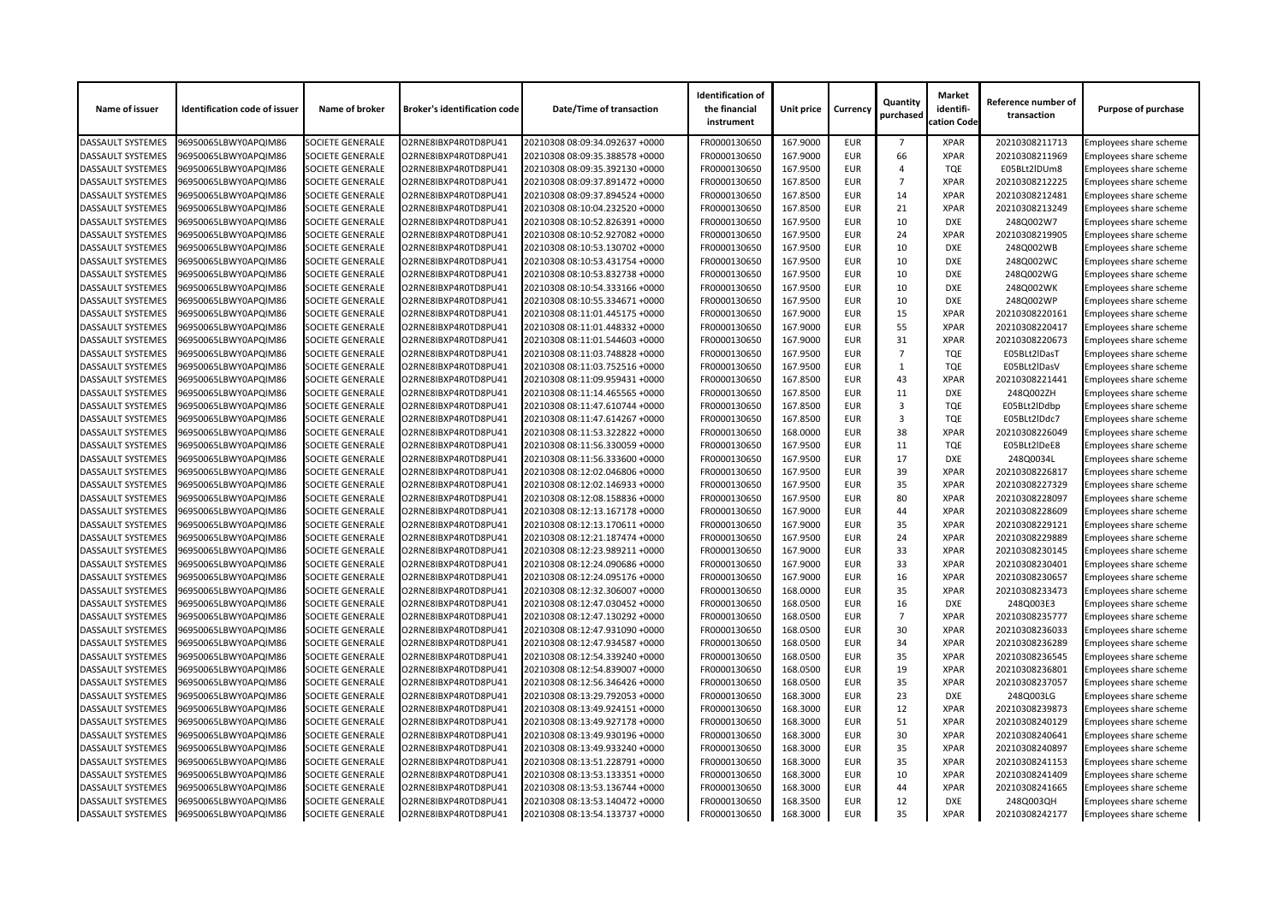| <b>Name of issuer</b>    | <b>Identification code of issuer</b> | Name of broker          | <b>Broker's identification code</b> | <b>Date/Time of transaction</b> | <b>Identification of</b><br>the financial<br>instrument | <b>Unit price</b> | <b>Currency</b> | Quantity<br>purchased | <b>Market</b><br>identifi-<br>cation Code | Reference number of<br>transaction | <b>Purpose of purchase</b>    |
|--------------------------|--------------------------------------|-------------------------|-------------------------------------|---------------------------------|---------------------------------------------------------|-------------------|-----------------|-----------------------|-------------------------------------------|------------------------------------|-------------------------------|
| <b>DASSAULT SYSTEMES</b> | 96950065LBWY0APQIM86                 | <b>SOCIETE GENERALE</b> | O2RNE8IBXP4R0TD8PU41                | 20210308 08:09:34.092637 +0000  | FR0000130650                                            | 167.9000          | <b>EUR</b>      | $\overline{7}$        | <b>XPAR</b>                               | 20210308211713                     | Employees share scheme        |
| <b>DASSAULT SYSTEMES</b> | 96950065LBWY0APQIM86                 | <b>SOCIETE GENERALE</b> | O2RNE8IBXP4R0TD8PU41                | 20210308 08:09:35.388578 +0000  | FR0000130650                                            | 167.9000          | <b>EUR</b>      | 66                    | <b>XPAR</b>                               | 20210308211969                     | Employees share scheme        |
| <b>DASSAULT SYSTEMES</b> | 96950065LBWY0APQIM86                 | <b>SOCIETE GENERALE</b> | O2RNE8IBXP4R0TD8PU41                | 20210308 08:09:35.392130 +0000  | FR0000130650                                            | 167.9500          | <b>EUR</b>      | Δ                     | <b>TQE</b>                                | E05BLt2IDUm8                       | Employees share scheme        |
| <b>DASSAULT SYSTEMES</b> | 96950065LBWY0APQIM86                 | <b>SOCIETE GENERALE</b> | O2RNE8IBXP4R0TD8PU41                | 20210308 08:09:37.891472 +0000  | FR0000130650                                            | 167.8500          | <b>EUR</b>      | $\overline{7}$        | <b>XPAR</b>                               | 20210308212225                     | Employees share scheme        |
| <b>DASSAULT SYSTEMES</b> | 96950065LBWY0APQIM86                 | <b>SOCIETE GENERALE</b> | O2RNE8IBXP4R0TD8PU41                | 20210308 08:09:37.894524 +0000  | FR0000130650                                            | 167.8500          | <b>EUR</b>      | 14                    | <b>XPAR</b>                               | 20210308212481                     | Employees share scheme        |
| <b>DASSAULT SYSTEMES</b> | 96950065LBWY0APQIM86                 | <b>SOCIETE GENERALE</b> | O2RNE8IBXP4R0TD8PU41                | 20210308 08:10:04.232520 +0000  | FR0000130650                                            | 167.8500          | <b>EUR</b>      | 21                    | <b>XPAR</b>                               | 20210308213249                     | Employees share scheme        |
| <b>DASSAULT SYSTEMES</b> | 96950065LBWY0APQIM86                 | <b>SOCIETE GENERALE</b> | O2RNE8IBXP4R0TD8PU41                | 20210308 08:10:52.826391 +0000  | FR0000130650                                            | 167.9500          | <b>EUR</b>      | 10                    | <b>DXE</b>                                | 248Q002W7                          | Employees share scheme        |
| <b>DASSAULT SYSTEMES</b> | 96950065LBWY0APQIM86                 | <b>SOCIETE GENERALE</b> | O2RNE8IBXP4R0TD8PU41                | 20210308 08:10:52.927082 +0000  | FR0000130650                                            | 167.9500          | <b>EUR</b>      | 24                    | <b>XPAR</b>                               | 20210308219905                     | Employees share scheme        |
| <b>DASSAULT SYSTEMES</b> | 96950065LBWY0APQIM86                 | <b>SOCIETE GENERALE</b> | O2RNE8IBXP4R0TD8PU41                | 20210308 08:10:53.130702 +0000  | FR0000130650                                            | 167.9500          | <b>EUR</b>      | 10                    | <b>DXE</b>                                | 248Q002WB                          | Employees share scheme        |
| <b>DASSAULT SYSTEMES</b> | 96950065LBWY0APQIM86                 | <b>SOCIETE GENERALE</b> | O2RNE8IBXP4R0TD8PU41                | 20210308 08:10:53.431754 +0000  | FR0000130650                                            | 167.9500          | <b>EUR</b>      | 10                    | <b>DXE</b>                                | 248Q002WC                          | <b>Employees share scheme</b> |
| <b>DASSAULT SYSTEMES</b> | 96950065LBWY0APQIM86                 | <b>SOCIETE GENERALE</b> | O2RNE8IBXP4R0TD8PU41                | 20210308 08:10:53.832738 +0000  | FR0000130650                                            | 167.9500          | <b>EUR</b>      | 10                    | <b>DXE</b>                                | 248Q002WG                          | <b>Employees share scheme</b> |
| <b>DASSAULT SYSTEMES</b> | 96950065LBWY0APQIM86                 | <b>SOCIETE GENERALE</b> | O2RNE8IBXP4R0TD8PU41                | 20210308 08:10:54.333166 +0000  | FR0000130650                                            | 167.9500          | <b>EUR</b>      | 10                    | <b>DXE</b>                                | 248Q002WK                          | Employees share scheme        |
| <b>DASSAULT SYSTEMES</b> | 96950065LBWY0APQIM86                 | <b>SOCIETE GENERALE</b> | O2RNE8IBXP4R0TD8PU41                | 20210308 08:10:55.334671 +0000  | FR0000130650                                            | 167.9500          | <b>EUR</b>      | 10                    | <b>DXE</b>                                | 248Q002WP                          | Employees share scheme        |
| <b>DASSAULT SYSTEMES</b> | 96950065LBWY0APQIM86                 | <b>SOCIETE GENERALE</b> | O2RNE8IBXP4R0TD8PU41                | 20210308 08:11:01.445175 +0000  | FR0000130650                                            | 167.9000          | <b>EUR</b>      | 15                    | <b>XPAR</b>                               | 20210308220161                     | <b>Employees share scheme</b> |
| <b>DASSAULT SYSTEMES</b> | 96950065LBWY0APQIM86                 | <b>SOCIETE GENERALE</b> | O2RNE8IBXP4R0TD8PU41                | 20210308 08:11:01.448332 +0000  | FR0000130650                                            | 167.9000          | <b>EUR</b>      | 55                    | <b>XPAR</b>                               | 20210308220417                     | Employees share scheme        |
| <b>DASSAULT SYSTEMES</b> | 96950065LBWY0APQIM86                 | <b>SOCIETE GENERALE</b> | O2RNE8IBXP4R0TD8PU41                | 20210308 08:11:01.544603 +0000  | FR0000130650                                            | 167.9000          | <b>EUR</b>      | 31                    | <b>XPAR</b>                               | 20210308220673                     | Employees share scheme        |
| <b>DASSAULT SYSTEMES</b> | 96950065LBWY0APQIM86                 | <b>SOCIETE GENERALE</b> | O2RNE8IBXP4R0TD8PU41                | 20210308 08:11:03.748828 +0000  | FR0000130650                                            | 167.9500          | <b>EUR</b>      | $\overline{7}$        | <b>TQE</b>                                | E05BLt2lDasT                       | <b>Employees share scheme</b> |
| <b>DASSAULT SYSTEMES</b> | 96950065LBWY0APQIM86                 | <b>SOCIETE GENERALE</b> | O2RNE8IBXP4R0TD8PU41                | 20210308 08:11:03.752516 +0000  | FR0000130650                                            | 167.9500          | <b>EUR</b>      | $\mathbf{1}$          | <b>TQE</b>                                | E05BLt2lDasV                       | Employees share scheme        |
| <b>DASSAULT SYSTEMES</b> | 96950065LBWY0APQIM86                 | <b>SOCIETE GENERALE</b> | O2RNE8IBXP4R0TD8PU41                | 20210308 08:11:09.959431 +0000  | FR0000130650                                            | 167.8500          | <b>EUR</b>      | 43                    | <b>XPAR</b>                               | 20210308221441                     | <b>Employees share scheme</b> |
| <b>DASSAULT SYSTEMES</b> | 96950065LBWY0APQIM86                 | <b>SOCIETE GENERALE</b> | O2RNE8IBXP4R0TD8PU41                | 20210308 08:11:14.465565 +0000  | FR0000130650                                            | 167.8500          | <b>EUR</b>      | 11                    | <b>DXE</b>                                | 248Q002ZH                          | Employees share scheme        |
| <b>DASSAULT SYSTEMES</b> | 96950065LBWY0APQIM86                 | <b>SOCIETE GENERALE</b> | O2RNE8IBXP4R0TD8PU41                | 20210308 08:11:47.610744 +0000  | FR0000130650                                            | 167.8500          | <b>EUR</b>      | 3                     | <b>TQE</b>                                | E05BLt2lDdbp                       | <b>Employees share scheme</b> |
| <b>DASSAULT SYSTEMES</b> | 96950065LBWY0APQIM86                 | <b>SOCIETE GENERALE</b> | O2RNE8IBXP4R0TD8PU41                | 20210308 08:11:47.614267 +0000  | FR0000130650                                            | 167.8500          | <b>EUR</b>      | 3                     | <b>TQE</b>                                | E05BLt2lDdc7                       | Employees share scheme        |
| <b>DASSAULT SYSTEMES</b> | 96950065LBWY0APQIM86                 | <b>SOCIETE GENERALE</b> | O2RNE8IBXP4R0TD8PU41                | 20210308 08:11:53.322822 +0000  | FR0000130650                                            | 168.0000          | <b>EUR</b>      | 38                    | <b>XPAR</b>                               | 20210308226049                     | Employees share scheme        |
| <b>DASSAULT SYSTEMES</b> | 96950065LBWY0APQIM86                 | <b>SOCIETE GENERALE</b> | O2RNE8IBXP4R0TD8PU41                | 20210308 08:11:56.330059 +0000  | FR0000130650                                            | 167.9500          | <b>EUR</b>      | 11                    | <b>TQE</b>                                | E05BLt2IDeE8                       | Employees share scheme        |
| <b>DASSAULT SYSTEMES</b> | 96950065LBWY0APQIM86                 | <b>SOCIETE GENERALE</b> | O2RNE8IBXP4R0TD8PU41                | 20210308 08:11:56.333600 +0000  | FR0000130650                                            | 167.9500          | <b>EUR</b>      | 17                    | <b>DXE</b>                                | 248Q0034L                          | Employees share scheme        |
| <b>DASSAULT SYSTEMES</b> | 96950065LBWY0APQIM86                 | <b>SOCIETE GENERALE</b> | O2RNE8IBXP4R0TD8PU41                | 20210308 08:12:02.046806 +0000  | FR0000130650                                            | 167.9500          | <b>EUR</b>      | 39                    | <b>XPAR</b>                               | 20210308226817                     | Employees share scheme        |
| DASSAULT SYSTEMES        | 96950065LBWY0APQIM86                 | <b>SOCIETE GENERALE</b> | O2RNE8IBXP4R0TD8PU41                | 20210308 08:12:02.146933 +0000  | FR0000130650                                            | 167.9500          | <b>EUR</b>      | 35                    | <b>XPAR</b>                               | 20210308227329                     | <b>Employees share scheme</b> |
| <b>DASSAULT SYSTEMES</b> | 96950065LBWY0APQIM86                 | <b>SOCIETE GENERALE</b> | O2RNE8IBXP4R0TD8PU41                | 20210308 08:12:08.158836 +0000  | FR0000130650                                            | 167.9500          | <b>EUR</b>      | 80                    | <b>XPAR</b>                               | 20210308228097                     | <b>Employees share scheme</b> |
| DASSAULT SYSTEMES        | 96950065LBWY0APQIM86                 | <b>SOCIETE GENERALE</b> | O2RNE8IBXP4R0TD8PU41                | 20210308 08:12:13.167178 +0000  | FR0000130650                                            | 167.9000          | <b>EUR</b>      | 44                    | <b>XPAR</b>                               | 20210308228609                     | Employees share scheme        |
| <b>DASSAULT SYSTEMES</b> | 96950065LBWY0APQIM86                 | <b>SOCIETE GENERALE</b> | O2RNE8IBXP4R0TD8PU41                | 20210308 08:12:13.170611 +0000  | FR0000130650                                            | 167.9000          | <b>EUR</b>      | 35                    | <b>XPAR</b>                               | 20210308229121                     | Employees share scheme        |
| <b>DASSAULT SYSTEMES</b> | 96950065LBWY0APQIM86                 | <b>SOCIETE GENERALE</b> | O2RNE8IBXP4R0TD8PU41                | 20210308 08:12:21.187474 +0000  | FR0000130650                                            | 167.9500          | <b>EUR</b>      | 24                    | <b>XPAR</b>                               | 20210308229889                     | Employees share scheme        |
| <b>DASSAULT SYSTEMES</b> | 96950065LBWY0APQIM86                 | <b>SOCIETE GENERALE</b> | O2RNE8IBXP4R0TD8PU41                | 20210308 08:12:23.989211 +0000  | FR0000130650                                            | 167.9000          | <b>EUR</b>      | 33                    | <b>XPAR</b>                               | 20210308230145                     | Employees share scheme        |
| <b>DASSAULT SYSTEMES</b> | 96950065LBWY0APQIM86                 | <b>SOCIETE GENERALE</b> | O2RNE8IBXP4R0TD8PU41                | 20210308 08:12:24.090686 +0000  | FR0000130650                                            | 167.9000          | <b>EUR</b>      | 33                    | <b>XPAR</b>                               | 20210308230401                     | <b>Employees share scheme</b> |
| <b>DASSAULT SYSTEMES</b> | 96950065LBWY0APQIM86                 | <b>SOCIETE GENERALE</b> | O2RNE8IBXP4R0TD8PU41                | 20210308 08:12:24.095176 +0000  | FR0000130650                                            | 167.9000          | <b>EUR</b>      | 16                    | <b>XPAR</b>                               | 20210308230657                     | <b>Employees share scheme</b> |
| <b>DASSAULT SYSTEMES</b> | 96950065LBWY0APQIM86                 | <b>SOCIETE GENERALE</b> | O2RNE8IBXP4R0TD8PU41                | 20210308 08:12:32.306007 +0000  | FR0000130650                                            | 168.0000          | <b>EUR</b>      | 35                    | <b>XPAR</b>                               | 20210308233473                     | <b>Employees share scheme</b> |
| <b>DASSAULT SYSTEMES</b> | 96950065LBWY0APQIM86                 | <b>SOCIETE GENERALE</b> | O2RNE8IBXP4R0TD8PU41                | 20210308 08:12:47.030452 +0000  | FR0000130650                                            | 168.0500          | <b>EUR</b>      | 16                    | <b>DXE</b>                                | 248Q003E3                          | <b>Employees share scheme</b> |
| <b>DASSAULT SYSTEMES</b> | 96950065LBWY0APQIM86                 | <b>SOCIETE GENERALE</b> | O2RNE8IBXP4R0TD8PU41                | 20210308 08:12:47.130292 +0000  | FR0000130650                                            | 168.0500          | <b>EUR</b>      | $\overline{7}$        | <b>XPAR</b>                               | 20210308235777                     | Employees share scheme        |
| <b>DASSAULT SYSTEMES</b> | 96950065LBWY0APQIM86                 | <b>SOCIETE GENERALE</b> | O2RNE8IBXP4R0TD8PU41                | 20210308 08:12:47.931090 +0000  | FR0000130650                                            | 168.0500          | <b>EUR</b>      | 30                    | <b>XPAR</b>                               | 20210308236033                     | Employees share scheme        |
| <b>DASSAULT SYSTEMES</b> | 96950065LBWY0APQIM86                 | <b>SOCIETE GENERALE</b> | O2RNE8IBXP4R0TD8PU41                | 20210308 08:12:47.934587 +0000  | FR0000130650                                            | 168.0500          | <b>EUR</b>      | 34                    | <b>XPAR</b>                               | 20210308236289                     | Employees share scheme        |
| <b>DASSAULT SYSTEMES</b> | 96950065LBWY0APQIM86                 | <b>SOCIETE GENERALE</b> | O2RNE8IBXP4R0TD8PU41                | 20210308 08:12:54.339240 +0000  | FR0000130650                                            | 168.0500          | <b>EUR</b>      | 35                    | <b>XPAR</b>                               | 20210308236545                     | <b>Employees share scheme</b> |
| <b>DASSAULT SYSTEMES</b> | 96950065LBWY0APQIM86                 | <b>SOCIETE GENERALE</b> | O2RNE8IBXP4R0TD8PU41                | 20210308 08:12:54.839007 +0000  | FR0000130650                                            | 168.0500          | <b>EUR</b>      | 19                    | <b>XPAR</b>                               | 20210308236801                     | <b>Employees share scheme</b> |
| <b>DASSAULT SYSTEMES</b> | 96950065LBWY0APQIM86                 | <b>SOCIETE GENERALE</b> | O2RNE8IBXP4R0TD8PU41                | 20210308 08:12:56.346426 +0000  | FR0000130650                                            | 168.0500          | <b>EUR</b>      | 35                    | <b>XPAR</b>                               | 20210308237057                     | <b>Employees share scheme</b> |
| <b>DASSAULT SYSTEMES</b> | 96950065LBWY0APQIM86                 | <b>SOCIETE GENERALE</b> | O2RNE8IBXP4R0TD8PU41                | 20210308 08:13:29.792053 +0000  | FR0000130650                                            | 168.3000          | <b>EUR</b>      | 23                    | <b>DXE</b>                                | 248Q003LG                          | Employees share scheme        |
| <b>DASSAULT SYSTEMES</b> | 96950065LBWY0APQIM86                 | <b>SOCIETE GENERALE</b> | O2RNE8IBXP4R0TD8PU41                | 20210308 08:13:49.924151 +0000  | FR0000130650                                            | 168.3000          | <b>EUR</b>      | 12                    | <b>XPAR</b>                               | 20210308239873                     | <b>Employees share scheme</b> |
| <b>DASSAULT SYSTEMES</b> | 96950065LBWY0APQIM86                 | <b>SOCIETE GENERALE</b> | O2RNE8IBXP4R0TD8PU41                | 20210308 08:13:49.927178 +0000  | FR0000130650                                            | 168.3000          | <b>EUR</b>      | 51                    | <b>XPAR</b>                               | 20210308240129                     | Employees share scheme        |
| <b>DASSAULT SYSTEMES</b> | 96950065LBWY0APQIM86                 | <b>SOCIETE GENERALE</b> | O2RNE8IBXP4R0TD8PU41                | 20210308 08:13:49.930196 +0000  | FR0000130650                                            | 168.3000          | <b>EUR</b>      | 30                    | <b>XPAR</b>                               | 20210308240641                     | <b>Employees share scheme</b> |
| <b>DASSAULT SYSTEMES</b> | 96950065LBWY0APQIM86                 | <b>SOCIETE GENERALE</b> | O2RNE8IBXP4R0TD8PU41                | 20210308 08:13:49.933240 +0000  | FR0000130650                                            | 168.3000          | <b>EUR</b>      | 35                    | <b>XPAR</b>                               | 20210308240897                     | <b>Employees share scheme</b> |
| <b>DASSAULT SYSTEMES</b> | 96950065LBWY0APQIM86                 | <b>SOCIETE GENERALE</b> | O2RNE8IBXP4R0TD8PU41                | 20210308 08:13:51.228791 +0000  | FR0000130650                                            | 168.3000          | <b>EUR</b>      | 35                    | <b>XPAR</b>                               | 20210308241153                     | Employees share scheme        |
| <b>DASSAULT SYSTEMES</b> | 96950065LBWY0APQIM86                 | <b>SOCIETE GENERALE</b> | O2RNE8IBXP4R0TD8PU41                | 20210308 08:13:53.133351 +0000  | FR0000130650                                            | 168.3000          | <b>EUR</b>      | 10                    | <b>XPAR</b>                               | 20210308241409                     | Employees share scheme        |
| <b>DASSAULT SYSTEMES</b> | 96950065LBWY0APQIM86                 | <b>SOCIETE GENERALE</b> | O2RNE8IBXP4R0TD8PU41                | 20210308 08:13:53.136744 +0000  | FR0000130650                                            | 168.3000          | <b>EUR</b>      | 44                    | <b>XPAR</b>                               | 20210308241665                     | <b>Employees share scheme</b> |
| <b>DASSAULT SYSTEMES</b> | 96950065LBWY0APQIM86                 | <b>SOCIETE GENERALE</b> | O2RNE8IBXP4R0TD8PU41                | 20210308 08:13:53.140472 +0000  | FR0000130650                                            | 168.3500          | <b>EUR</b>      | 12                    | <b>DXE</b>                                | 248Q003QH                          | <b>Employees share scheme</b> |
| DASSAULT SYSTEMES        | 96950065LBWY0APQIM86                 | <b>SOCIETE GENERALE</b> | O2RNE8IBXP4R0TD8PU41                | 20210308 08:13:54.133737 +0000  | FR0000130650                                            | 168.3000          | <b>EUR</b>      | 35                    | <b>XPAR</b>                               | 20210308242177                     | <b>Employees share scheme</b> |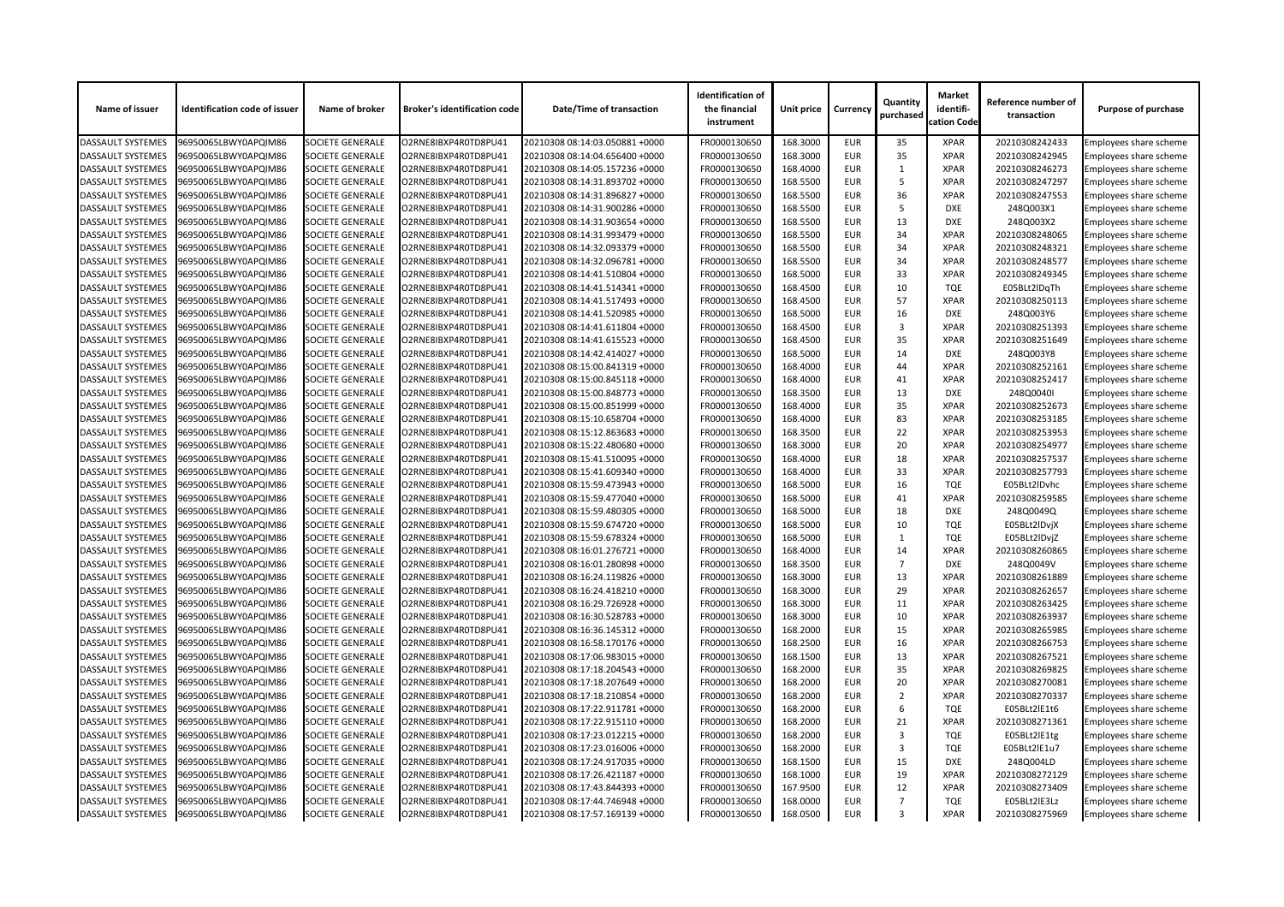| Name of issuer           | <b>Identification code of issuer</b> | Name of broker          | <b>Broker's identification code</b> | <b>Date/Time of transaction</b> | <b>Identification of</b><br>the financial<br>instrument | <b>Unit price</b> | <b>Currency</b> | Quantity<br>purchased | <b>Market</b><br>identifi-<br>cation Code | Reference number of<br>transaction | <b>Purpose of purchase</b>    |
|--------------------------|--------------------------------------|-------------------------|-------------------------------------|---------------------------------|---------------------------------------------------------|-------------------|-----------------|-----------------------|-------------------------------------------|------------------------------------|-------------------------------|
| <b>DASSAULT SYSTEMES</b> | 96950065LBWY0APQIM86                 | <b>SOCIETE GENERALE</b> | O2RNE8IBXP4R0TD8PU41                | 20210308 08:14:03.050881 +0000  | FR0000130650                                            | 168.3000          | <b>EUR</b>      | 35                    | <b>XPAR</b>                               | 20210308242433                     | Employees share scheme        |
| <b>DASSAULT SYSTEMES</b> | 96950065LBWY0APQIM86                 | <b>SOCIETE GENERALE</b> | O2RNE8IBXP4R0TD8PU41                | 20210308 08:14:04.656400 +0000  | FR0000130650                                            | 168.3000          | <b>EUR</b>      | 35                    | <b>XPAR</b>                               | 20210308242945                     | Employees share scheme        |
| <b>DASSAULT SYSTEMES</b> | 96950065LBWY0APQIM86                 | <b>SOCIETE GENERALE</b> | O2RNE8IBXP4R0TD8PU41                | 20210308 08:14:05.157236 +0000  | FR0000130650                                            | 168.4000          | <b>EUR</b>      |                       | <b>XPAR</b>                               | 20210308246273                     | Employees share scheme        |
| <b>DASSAULT SYSTEMES</b> | 96950065LBWY0APQIM86                 | <b>SOCIETE GENERALE</b> | O2RNE8IBXP4R0TD8PU41                | 20210308 08:14:31.893702 +0000  | FR0000130650                                            | 168.5500          | <b>EUR</b>      | -5                    | <b>XPAR</b>                               | 20210308247297                     | Employees share scheme        |
| <b>DASSAULT SYSTEMES</b> | 96950065LBWY0APQIM86                 | <b>SOCIETE GENERALE</b> | O2RNE8IBXP4R0TD8PU41                | 20210308 08:14:31.896827 +0000  | FR0000130650                                            | 168.5500          | <b>EUR</b>      | 36                    | <b>XPAR</b>                               | 20210308247553                     | <b>Employees share scheme</b> |
| <b>DASSAULT SYSTEMES</b> | 96950065LBWY0APQIM86                 | <b>SOCIETE GENERALE</b> | O2RNE8IBXP4R0TD8PU41                | 20210308 08:14:31.900286 +0000  | FR0000130650                                            | 168.5500          | <b>EUR</b>      | -5                    | <b>DXE</b>                                | 248Q003X1                          | Employees share scheme        |
| <b>DASSAULT SYSTEMES</b> | 96950065LBWY0APQIM86                 | <b>SOCIETE GENERALE</b> | O2RNE8IBXP4R0TD8PU41                | 20210308 08:14:31.903654 +0000  | FR0000130650                                            | 168.5500          | <b>EUR</b>      | 13                    | <b>DXE</b>                                | 248Q003X2                          | <b>Employees share scheme</b> |
| <b>DASSAULT SYSTEMES</b> | 96950065LBWY0APQIM86                 | <b>SOCIETE GENERALE</b> | O2RNE8IBXP4R0TD8PU41                | 20210308 08:14:31.993479 +0000  | FR0000130650                                            | 168.5500          | <b>EUR</b>      | 34                    | <b>XPAR</b>                               | 20210308248065                     | Employees share scheme        |
| <b>DASSAULT SYSTEMES</b> | 96950065LBWY0APQIM86                 | <b>SOCIETE GENERALE</b> | O2RNE8IBXP4R0TD8PU41                | 20210308 08:14:32.093379 +0000  | FR0000130650                                            | 168.5500          | <b>EUR</b>      | 34                    | <b>XPAR</b>                               | 20210308248321                     | Employees share scheme        |
| <b>DASSAULT SYSTEMES</b> | 96950065LBWY0APQIM86                 | <b>SOCIETE GENERALE</b> | O2RNE8IBXP4R0TD8PU41                | 20210308 08:14:32.096781 +0000  | FR0000130650                                            | 168.5500          | <b>EUR</b>      | 34                    | <b>XPAR</b>                               | 20210308248577                     | Employees share scheme        |
| <b>DASSAULT SYSTEMES</b> | 96950065LBWY0APQIM86                 | <b>SOCIETE GENERALE</b> | O2RNE8IBXP4R0TD8PU41                | 20210308 08:14:41.510804 +0000  | FR0000130650                                            | 168.5000          | <b>EUR</b>      | 33                    | <b>XPAR</b>                               | 20210308249345                     | Employees share scheme        |
| <b>DASSAULT SYSTEMES</b> | 96950065LBWY0APQIM86                 | <b>SOCIETE GENERALE</b> | O2RNE8IBXP4R0TD8PU41                | 20210308 08:14:41.514341 +0000  | FR0000130650                                            | 168.4500          | <b>EUR</b>      | 10                    | <b>TQE</b>                                | E05BLt2lDqTh                       | Employees share scheme        |
| <b>DASSAULT SYSTEMES</b> | 96950065LBWY0APQIM86                 | <b>SOCIETE GENERALE</b> | O2RNE8IBXP4R0TD8PU41                | 20210308 08:14:41.517493 +0000  | FR0000130650                                            | 168.4500          | <b>EUR</b>      | 57                    | <b>XPAR</b>                               | 20210308250113                     | Employees share scheme        |
| <b>DASSAULT SYSTEMES</b> | 96950065LBWY0APQIM86                 | <b>SOCIETE GENERALE</b> | O2RNE8IBXP4R0TD8PU41                | 20210308 08:14:41.520985 +0000  | FR0000130650                                            | 168.5000          | <b>EUR</b>      | 16                    | <b>DXE</b>                                | 248Q003Y6                          | Employees share scheme        |
| <b>DASSAULT SYSTEMES</b> | 96950065LBWY0APQIM86                 | <b>SOCIETE GENERALE</b> | O2RNE8IBXP4R0TD8PU41                | 20210308 08:14:41.611804 +0000  | FR0000130650                                            | 168.4500          | <b>EUR</b>      | 3                     | <b>XPAR</b>                               | 20210308251393                     | Employees share scheme        |
| <b>DASSAULT SYSTEMES</b> | 96950065LBWY0APQIM86                 | <b>SOCIETE GENERALE</b> | O2RNE8IBXP4R0TD8PU41                | 20210308 08:14:41.615523 +0000  | FR0000130650                                            | 168.4500          | <b>EUR</b>      | 35                    | <b>XPAR</b>                               | 20210308251649                     | Employees share scheme        |
| <b>DASSAULT SYSTEMES</b> | 96950065LBWY0APQIM86                 | <b>SOCIETE GENERALE</b> | O2RNE8IBXP4R0TD8PU41                | 20210308 08:14:42.414027 +0000  | FR0000130650                                            | 168.5000          | <b>EUR</b>      | 14                    | <b>DXE</b>                                | 248Q003Y8                          | Employees share scheme        |
| <b>DASSAULT SYSTEMES</b> | 96950065LBWY0APQIM86                 | <b>SOCIETE GENERALE</b> | O2RNE8IBXP4R0TD8PU41                | 20210308 08:15:00.841319 +0000  | FR0000130650                                            | 168.4000          | <b>EUR</b>      | 44                    | <b>XPAR</b>                               | 20210308252161                     | Employees share scheme        |
| <b>DASSAULT SYSTEMES</b> | 96950065LBWY0APQIM86                 | <b>SOCIETE GENERALE</b> | O2RNE8IBXP4R0TD8PU41                | 20210308 08:15:00.845118 +0000  | FR0000130650                                            | 168.4000          | <b>EUR</b>      | 41                    | <b>XPAR</b>                               | 20210308252417                     | Employees share scheme        |
| <b>DASSAULT SYSTEMES</b> | 96950065LBWY0APQIM86                 | <b>SOCIETE GENERALE</b> | O2RNE8IBXP4R0TD8PU41                | 20210308 08:15:00.848773 +0000  | FR0000130650                                            | 168.3500          | <b>EUR</b>      | 13                    | <b>DXE</b>                                | 248Q0040I                          | Employees share scheme        |
| <b>DASSAULT SYSTEMES</b> | 96950065LBWY0APQIM86                 | <b>SOCIETE GENERALE</b> | O2RNE8IBXP4R0TD8PU41                | 20210308 08:15:00.851999 +0000  | FR0000130650                                            | 168.4000          | <b>EUR</b>      | 35                    | <b>XPAR</b>                               | 20210308252673                     | Employees share scheme        |
| <b>DASSAULT SYSTEMES</b> | 96950065LBWY0APQIM86                 | <b>SOCIETE GENERALE</b> | O2RNE8IBXP4R0TD8PU41                | 20210308 08:15:10.658704 +0000  | FR0000130650                                            | 168.4000          | <b>EUR</b>      | 83                    | <b>XPAR</b>                               | 20210308253185                     | Employees share scheme        |
| <b>DASSAULT SYSTEMES</b> | 96950065LBWY0APQIM86                 | <b>SOCIETE GENERALE</b> | O2RNE8IBXP4R0TD8PU41                | 20210308 08:15:12.863683 +0000  | FR0000130650                                            | 168.3500          | <b>EUR</b>      | 22                    | <b>XPAR</b>                               | 20210308253953                     | Employees share scheme        |
| <b>DASSAULT SYSTEMES</b> | 96950065LBWY0APQIM86                 | <b>SOCIETE GENERALE</b> | O2RNE8IBXP4R0TD8PU41                | 20210308 08:15:22.480680 +0000  | FR0000130650                                            | 168.3000          | <b>EUR</b>      | 20                    | <b>XPAR</b>                               | 20210308254977                     | <b>Employees share scheme</b> |
| <b>DASSAULT SYSTEMES</b> | 96950065LBWY0APQIM86                 | <b>SOCIETE GENERALE</b> | O2RNE8IBXP4R0TD8PU41                | 20210308 08:15:41.510095 +0000  | FR0000130650                                            | 168.4000          | <b>EUR</b>      | 18                    | <b>XPAR</b>                               | 20210308257537                     | <b>Employees share scheme</b> |
| <b>DASSAULT SYSTEMES</b> | 96950065LBWY0APQIM86                 | <b>SOCIETE GENERALE</b> | O2RNE8IBXP4R0TD8PU41                | 20210308 08:15:41.609340 +0000  | FR0000130650                                            | 168.4000          | <b>EUR</b>      | 33                    | <b>XPAR</b>                               | 20210308257793                     | Employees share scheme        |
| DASSAULT SYSTEMES        | 96950065LBWY0APQIM86                 | <b>SOCIETE GENERALE</b> | O2RNE8IBXP4R0TD8PU41                | 20210308 08:15:59.473943 +0000  | FR0000130650                                            | 168.5000          | <b>EUR</b>      | 16                    | <b>TQE</b>                                | E05BLt2IDvhc                       | Employees share scheme        |
| <b>DASSAULT SYSTEMES</b> | 96950065LBWY0APQIM86                 | <b>SOCIETE GENERALE</b> | O2RNE8IBXP4R0TD8PU41                | 20210308 08:15:59.477040 +0000  | FR0000130650                                            | 168.5000          | <b>EUR</b>      | 41                    | <b>XPAR</b>                               | 20210308259585                     | Employees share scheme        |
| <b>DASSAULT SYSTEMES</b> | 96950065LBWY0APQIM86                 | <b>SOCIETE GENERALE</b> | O2RNE8IBXP4R0TD8PU41                | 20210308 08:15:59.480305 +0000  | FR0000130650                                            | 168.5000          | <b>EUR</b>      | 18                    | DXE                                       | 248Q0049Q                          | <b>Employees share scheme</b> |
| <b>DASSAULT SYSTEMES</b> | 96950065LBWY0APQIM86                 | <b>SOCIETE GENERALE</b> | O2RNE8IBXP4R0TD8PU41                | 20210308 08:15:59.674720 +0000  | FR0000130650                                            | 168.5000          | <b>EUR</b>      | 10                    | <b>TQE</b>                                | E05BLt2IDvjX                       | <b>Employees share scheme</b> |
| <b>DASSAULT SYSTEMES</b> | 96950065LBWY0APQIM86                 | <b>SOCIETE GENERALE</b> | O2RNE8IBXP4R0TD8PU41                | 20210308 08:15:59.678324 +0000  | FR0000130650                                            | 168.5000          | <b>EUR</b>      |                       | <b>TQE</b>                                | E05BLt2lDvjZ                       | Employees share scheme        |
| <b>DASSAULT SYSTEMES</b> | 96950065LBWY0APQIM86                 | <b>SOCIETE GENERALE</b> | O2RNE8IBXP4R0TD8PU41                | 20210308 08:16:01.276721 +0000  | FR0000130650                                            | 168.4000          | <b>EUR</b>      | 14                    | <b>XPAR</b>                               | 20210308260865                     | Employees share scheme        |
| <b>DASSAULT SYSTEMES</b> | 96950065LBWY0APQIM86                 | <b>SOCIETE GENERALE</b> | O2RNE8IBXP4R0TD8PU41                | 20210308 08:16:01.280898 +0000  | FR0000130650                                            | 168.3500          | <b>EUR</b>      | $\overline{7}$        | <b>DXE</b>                                | 248Q0049V                          | Employees share scheme        |
| <b>DASSAULT SYSTEMES</b> | 96950065LBWY0APQIM86                 | <b>SOCIETE GENERALE</b> | O2RNE8IBXP4R0TD8PU41                | 20210308 08:16:24.119826 +0000  | FR0000130650                                            | 168.3000          | <b>EUR</b>      | 13                    | <b>XPAR</b>                               | 20210308261889                     | Employees share scheme        |
| <b>DASSAULT SYSTEMES</b> | 96950065LBWY0APQIM86                 | <b>SOCIETE GENERALE</b> | O2RNE8IBXP4R0TD8PU41                | 20210308 08:16:24.418210 +0000  | FR0000130650                                            | 168.3000          | <b>EUR</b>      | 29                    | <b>XPAR</b>                               | 20210308262657                     | Employees share scheme        |
| <b>DASSAULT SYSTEMES</b> | 96950065LBWY0APQIM86                 | <b>SOCIETE GENERALE</b> | O2RNE8IBXP4R0TD8PU41                | 20210308 08:16:29.726928 +0000  | FR0000130650                                            | 168.3000          | <b>EUR</b>      | 11                    | <b>XPAR</b>                               | 20210308263425                     | Employees share scheme        |
| <b>DASSAULT SYSTEMES</b> | 96950065LBWY0APQIM86                 | <b>SOCIETE GENERALE</b> | O2RNE8IBXP4R0TD8PU41                | 20210308 08:16:30.528783 +0000  | FR0000130650                                            | 168.3000          | <b>EUR</b>      | 10                    | <b>XPAR</b>                               | 20210308263937                     | Employees share scheme        |
| <b>DASSAULT SYSTEMES</b> | 96950065LBWY0APQIM86                 | <b>SOCIETE GENERALE</b> | O2RNE8IBXP4R0TD8PU41                | 20210308 08:16:36.145312 +0000  | FR0000130650                                            | 168.2000          | <b>EUR</b>      | 15                    | <b>XPAR</b>                               | 20210308265985                     | Employees share scheme        |
| <b>DASSAULT SYSTEMES</b> | 96950065LBWY0APQIM86                 | <b>SOCIETE GENERALE</b> | O2RNE8IBXP4R0TD8PU41                | 20210308 08:16:58.170176 +0000  | FR0000130650                                            | 168.2500          | <b>EUR</b>      | 16                    | <b>XPAR</b>                               | 20210308266753                     | Employees share scheme        |
| <b>DASSAULT SYSTEMES</b> | 96950065LBWY0APQIM86                 | <b>SOCIETE GENERALE</b> | O2RNE8IBXP4R0TD8PU41                | 20210308 08:17:06.983015 +0000  | FR0000130650                                            | 168.1500          | <b>EUR</b>      | 13                    | <b>XPAR</b>                               | 20210308267521                     | Employees share scheme        |
| <b>DASSAULT SYSTEMES</b> | 96950065LBWY0APQIM86                 | <b>SOCIETE GENERALE</b> | O2RNE8IBXP4R0TD8PU41                | 20210308 08:17:18.204543 +0000  | FR0000130650                                            | 168.2000          | <b>EUR</b>      | 35                    | <b>XPAR</b>                               | 20210308269825                     | Employees share scheme        |
| <b>DASSAULT SYSTEMES</b> | 96950065LBWY0APQIM86                 | <b>SOCIETE GENERALE</b> | O2RNE8IBXP4R0TD8PU41                | 20210308 08:17:18.207649 +0000  | FR0000130650                                            | 168.2000          | <b>EUR</b>      | 20                    | <b>XPAR</b>                               | 20210308270081                     | Employees share scheme        |
| <b>DASSAULT SYSTEMES</b> | 96950065LBWY0APQIM86                 | <b>SOCIETE GENERALE</b> | O2RNE8IBXP4R0TD8PU41                | 20210308 08:17:18.210854 +0000  | FR0000130650                                            | 168.2000          | <b>EUR</b>      | 2                     | <b>XPAR</b>                               | 20210308270337                     | Employees share scheme        |
| <b>DASSAULT SYSTEMES</b> | 96950065LBWY0APQIM86                 | <b>SOCIETE GENERALE</b> | O2RNE8IBXP4R0TD8PU41                | 20210308 08:17:22.911781 +0000  | FR0000130650                                            | 168.2000          | <b>EUR</b>      | 6                     | <b>TQE</b>                                | E05BLt2IE1t6                       | Employees share scheme        |
| <b>DASSAULT SYSTEMES</b> | 96950065LBWY0APQIM86                 | <b>SOCIETE GENERALE</b> | O2RNE8IBXP4R0TD8PU41                | 20210308 08:17:22.915110 +0000  | FR0000130650                                            | 168.2000          | <b>EUR</b>      | 21                    | <b>XPAR</b>                               | 20210308271361                     | Employees share scheme        |
| <b>DASSAULT SYSTEMES</b> | 96950065LBWY0APQIM86                 | <b>SOCIETE GENERALE</b> | O2RNE8IBXP4R0TD8PU41                | 20210308 08:17:23.012215 +0000  | FR0000130650                                            | 168.2000          | <b>EUR</b>      |                       | <b>TQE</b>                                | E05BLt2lE1tg                       | Employees share scheme        |
| <b>DASSAULT SYSTEMES</b> | 96950065LBWY0APQIM86                 | <b>SOCIETE GENERALE</b> | O2RNE8IBXP4R0TD8PU41                | 20210308 08:17:23.016006 +0000  | FR0000130650                                            | 168.2000          | <b>EUR</b>      | 3                     | <b>TQE</b>                                | E05BLt2lE1u7                       | Employees share scheme        |
| <b>DASSAULT SYSTEMES</b> | 96950065LBWY0APQIM86                 | <b>SOCIETE GENERALE</b> | O2RNE8IBXP4R0TD8PU41                | 20210308 08:17:24.917035 +0000  | FR0000130650                                            | 168.1500          | <b>EUR</b>      | 15                    | <b>DXE</b>                                | 248Q004LD                          | Employees share scheme        |
| <b>DASSAULT SYSTEMES</b> | 96950065LBWY0APQIM86                 | <b>SOCIETE GENERALE</b> | O2RNE8IBXP4R0TD8PU41                | 20210308 08:17:26.421187 +0000  | FR0000130650                                            | 168.1000          | <b>EUR</b>      | 19                    | <b>XPAR</b>                               | 20210308272129                     | Employees share scheme        |
| <b>DASSAULT SYSTEMES</b> | 96950065LBWY0APQIM86                 | <b>SOCIETE GENERALE</b> | O2RNE8IBXP4R0TD8PU41                | 20210308 08:17:43.844393 +0000  | FR0000130650                                            | 167.9500          | <b>EUR</b>      | 12                    | <b>XPAR</b>                               | 20210308273409                     | Employees share scheme        |
| <b>DASSAULT SYSTEMES</b> | 96950065LBWY0APQIM86                 | <b>SOCIETE GENERALE</b> | O2RNE8IBXP4R0TD8PU41                | 20210308 08:17:44.746948 +0000  | FR0000130650                                            | 168.0000          | <b>EUR</b>      |                       | <b>TQE</b>                                | E05BLt2lE3Lz                       | Employees share scheme        |
| DASSAULT SYSTEMES        | 96950065LBWY0APQIM86                 | <b>SOCIETE GENERALE</b> | O2RNE8IBXP4R0TD8PU41                | 20210308 08:17:57.169139 +0000  | FR0000130650                                            | 168.0500          | <b>EUR</b>      | 3                     | <b>XPAR</b>                               | 20210308275969                     | Employees share scheme        |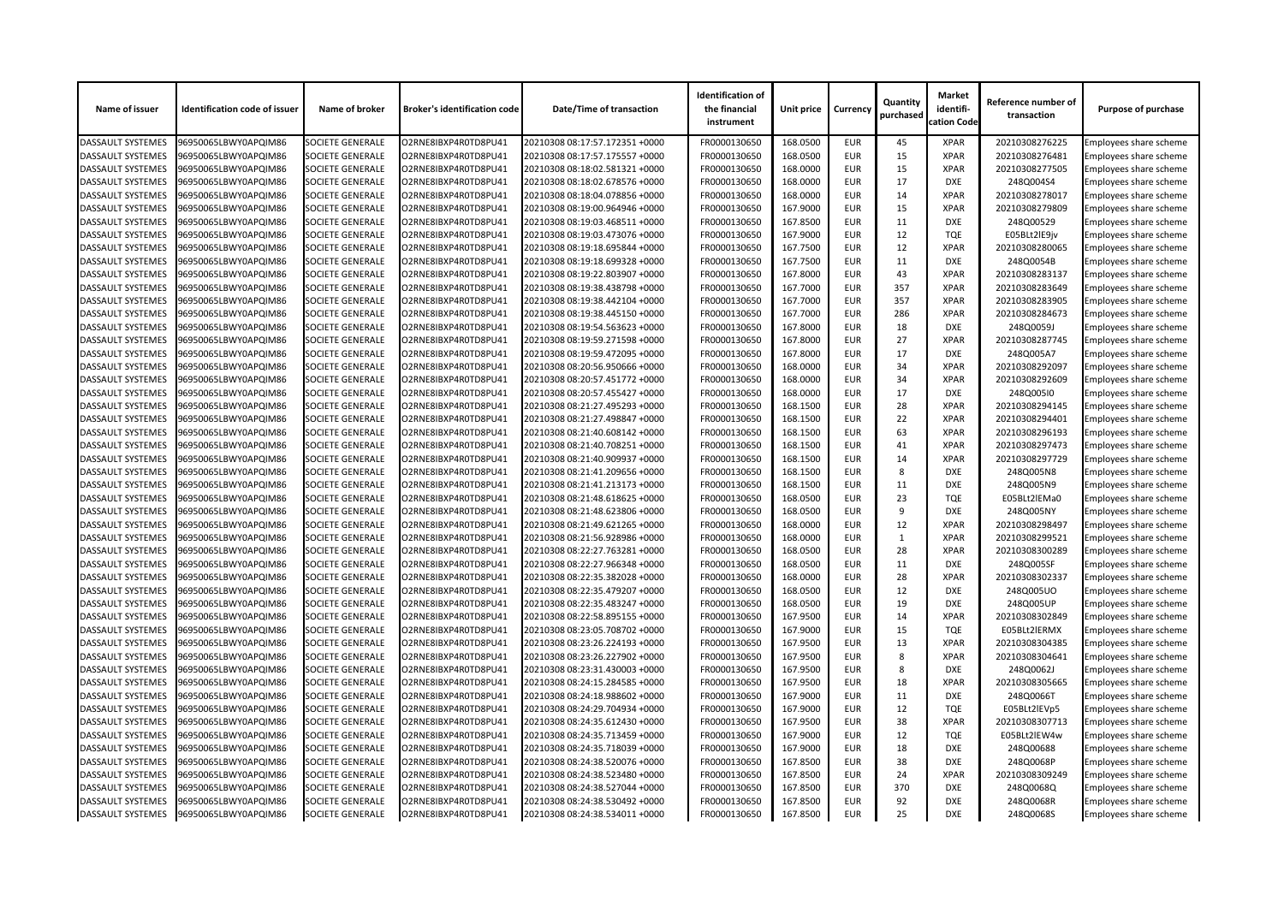| Name of issuer           | <b>Identification code of issuer</b> | Name of broker          | <b>Broker's identification code</b> | <b>Date/Time of transaction</b> | <b>Identification of</b><br>the financial<br>instrument | <b>Unit price</b> | <b>Currency</b> | Quantity<br>purchased | <b>Market</b><br>identifi-<br>cation Code | Reference number of<br>transaction | <b>Purpose of purchase</b>    |
|--------------------------|--------------------------------------|-------------------------|-------------------------------------|---------------------------------|---------------------------------------------------------|-------------------|-----------------|-----------------------|-------------------------------------------|------------------------------------|-------------------------------|
| <b>DASSAULT SYSTEMES</b> | 96950065LBWY0APQIM86                 | <b>SOCIETE GENERALE</b> | O2RNE8IBXP4R0TD8PU41                | 20210308 08:17:57.172351 +0000  | FR0000130650                                            | 168.0500          | <b>EUR</b>      | 45                    | <b>XPAR</b>                               | 20210308276225                     | Employees share scheme        |
| <b>DASSAULT SYSTEMES</b> | 96950065LBWY0APQIM86                 | <b>SOCIETE GENERALE</b> | O2RNE8IBXP4R0TD8PU41                | 20210308 08:17:57.175557 +0000  | FR0000130650                                            | 168.0500          | <b>EUR</b>      | 15                    | <b>XPAR</b>                               | 20210308276481                     | <b>Employees share scheme</b> |
| <b>DASSAULT SYSTEMES</b> | 96950065LBWY0APQIM86                 | <b>SOCIETE GENERALE</b> | O2RNE8IBXP4R0TD8PU41                | 20210308 08:18:02.581321 +0000  | FR0000130650                                            | 168.0000          | <b>EUR</b>      | 15                    | <b>XPAR</b>                               | 20210308277505                     | Employees share scheme        |
| <b>DASSAULT SYSTEMES</b> | 96950065LBWY0APQIM86                 | <b>SOCIETE GENERALE</b> | O2RNE8IBXP4R0TD8PU41                | 20210308 08:18:02.678576 +0000  | FR0000130650                                            | 168.0000          | <b>EUR</b>      | 17                    | <b>DXE</b>                                | 248Q004S4                          | <b>Employees share scheme</b> |
| <b>DASSAULT SYSTEMES</b> | 96950065LBWY0APQIM86                 | <b>SOCIETE GENERALE</b> | O2RNE8IBXP4R0TD8PU41                | 20210308 08:18:04.078856 +0000  | FR0000130650                                            | 168.0000          | <b>EUR</b>      | 14                    | <b>XPAR</b>                               | 20210308278017                     | Employees share scheme        |
| <b>DASSAULT SYSTEMES</b> | 96950065LBWY0APQIM86                 | <b>SOCIETE GENERALE</b> | O2RNE8IBXP4R0TD8PU41                | 20210308 08:19:00.964946 +0000  | FR0000130650                                            | 167.9000          | <b>EUR</b>      | 15                    | <b>XPAR</b>                               | 20210308279809                     | Employees share scheme        |
| DASSAULT SYSTEMES        | 96950065LBWY0APQIM86                 | <b>SOCIETE GENERALE</b> | O2RNE8IBXP4R0TD8PU41                | 20210308 08:19:03.468511 +0000  | FR0000130650                                            | 167.8500          | <b>EUR</b>      | 11                    | <b>DXE</b>                                | 248Q00529                          | Employees share scheme        |
| <b>DASSAULT SYSTEMES</b> | 96950065LBWY0APQIM86                 | <b>SOCIETE GENERALE</b> | O2RNE8IBXP4R0TD8PU41                | 20210308 08:19:03.473076 +0000  | FR0000130650                                            | 167.9000          | <b>EUR</b>      | 12                    | <b>TQE</b>                                | E05BLt2lE9jv                       | Employees share scheme        |
| <b>DASSAULT SYSTEMES</b> | 96950065LBWY0APQIM86                 | <b>SOCIETE GENERALE</b> | O2RNE8IBXP4R0TD8PU41                | 20210308 08:19:18.695844 +0000  | FR0000130650                                            | 167.7500          | <b>EUR</b>      | 12                    | <b>XPAR</b>                               | 20210308280065                     | <b>Employees share scheme</b> |
| <b>DASSAULT SYSTEMES</b> | 96950065LBWY0APQIM86                 | <b>SOCIETE GENERALE</b> | O2RNE8IBXP4R0TD8PU41                | 20210308 08:19:18.699328 +0000  | FR0000130650                                            | 167.7500          | <b>EUR</b>      | 11                    | <b>DXE</b>                                | 248Q0054B                          | <b>Employees share scheme</b> |
| <b>DASSAULT SYSTEMES</b> | 96950065LBWY0APQIM86                 | <b>SOCIETE GENERALE</b> | O2RNE8IBXP4R0TD8PU41                | 20210308 08:19:22.803907 +0000  | FR0000130650                                            | 167.8000          | <b>EUR</b>      | 43                    | <b>XPAR</b>                               | 20210308283137                     | Employees share scheme        |
| <b>DASSAULT SYSTEMES</b> | 96950065LBWY0APQIM86                 | <b>SOCIETE GENERALE</b> | O2RNE8IBXP4R0TD8PU41                | 20210308 08:19:38.438798 +0000  | FR0000130650                                            | 167.7000          | <b>EUR</b>      | 357                   | <b>XPAR</b>                               | 20210308283649                     | <b>Employees share scheme</b> |
| <b>DASSAULT SYSTEMES</b> | 96950065LBWY0APQIM86                 | <b>SOCIETE GENERALE</b> | O2RNE8IBXP4R0TD8PU41                | 20210308 08:19:38.442104 +0000  | FR0000130650                                            | 167.7000          | <b>EUR</b>      | 357                   | <b>XPAR</b>                               | 20210308283905                     | Employees share scheme        |
| <b>DASSAULT SYSTEMES</b> | 96950065LBWY0APQIM86                 | <b>SOCIETE GENERALE</b> | O2RNE8IBXP4R0TD8PU41                | 20210308 08:19:38.445150 +0000  | FR0000130650                                            | 167.7000          | <b>EUR</b>      | 286                   | <b>XPAR</b>                               | 20210308284673                     | <b>Employees share scheme</b> |
| <b>DASSAULT SYSTEMES</b> | 96950065LBWY0APQIM86                 | <b>SOCIETE GENERALE</b> | O2RNE8IBXP4R0TD8PU41                | 20210308 08:19:54.563623 +0000  | FR0000130650                                            | 167.8000          | <b>EUR</b>      | 18                    | <b>DXE</b>                                | 248Q0059J                          | Employees share scheme        |
| <b>DASSAULT SYSTEMES</b> | 96950065LBWY0APQIM86                 | <b>SOCIETE GENERALE</b> | O2RNE8IBXP4R0TD8PU41                | 20210308 08:19:59.271598 +0000  | FR0000130650                                            | 167.8000          | <b>EUR</b>      | 27                    | <b>XPAR</b>                               | 20210308287745                     | Employees share scheme        |
| DASSAULT SYSTEMES        | 96950065LBWY0APQIM86                 | <b>SOCIETE GENERALE</b> | O2RNE8IBXP4R0TD8PU41                | 20210308 08:19:59.472095 +0000  | FR0000130650                                            | 167.8000          | <b>EUR</b>      | 17                    | <b>DXE</b>                                | 248Q005A7                          | <b>Employees share scheme</b> |
| <b>DASSAULT SYSTEMES</b> | 96950065LBWY0APQIM86                 | <b>SOCIETE GENERALE</b> | O2RNE8IBXP4R0TD8PU41                | 20210308 08:20:56.950666 +0000  | FR0000130650                                            | 168.0000          | <b>EUR</b>      | 34                    | <b>XPAR</b>                               | 20210308292097                     | Employees share scheme        |
| <b>DASSAULT SYSTEMES</b> | 96950065LBWY0APQIM86                 | <b>SOCIETE GENERALE</b> | O2RNE8IBXP4R0TD8PU41                | 20210308 08:20:57.451772 +0000  | FR0000130650                                            | 168.0000          | <b>EUR</b>      | 34                    | <b>XPAR</b>                               | 20210308292609                     | <b>Employees share scheme</b> |
| <b>DASSAULT SYSTEMES</b> | 96950065LBWY0APQIM86                 | <b>SOCIETE GENERALE</b> | O2RNE8IBXP4R0TD8PU41                | 20210308 08:20:57.455427 +0000  | FR0000130650                                            | 168.0000          | <b>EUR</b>      | 17                    | <b>DXE</b>                                | 248Q005I0                          | Employees share scheme        |
| <b>DASSAULT SYSTEMES</b> | 96950065LBWY0APQIM86                 | <b>SOCIETE GENERALE</b> | O2RNE8IBXP4R0TD8PU41                | 20210308 08:21:27.495293 +0000  | FR0000130650                                            | 168.1500          | <b>EUR</b>      | 28                    | <b>XPAR</b>                               | 20210308294145                     |                               |
|                          |                                      |                         |                                     |                                 |                                                         |                   |                 | 22                    | <b>XPAR</b>                               |                                    | Employees share scheme        |
| DASSAULT SYSTEMES        | 96950065LBWY0APQIM86                 | <b>SOCIETE GENERALE</b> | O2RNE8IBXP4R0TD8PU41                | 20210308 08:21:27.498847 +0000  | FR0000130650                                            | 168.1500          | <b>EUR</b>      |                       |                                           | 20210308294401                     | <b>Employees share scheme</b> |
| <b>DASSAULT SYSTEMES</b> | 96950065LBWY0APQIM86                 | <b>SOCIETE GENERALE</b> | O2RNE8IBXP4R0TD8PU41                | 20210308 08:21:40.608142 +0000  | FR0000130650                                            | 168.1500          | <b>EUR</b>      | 63                    | <b>XPAR</b>                               | 20210308296193                     | Employees share scheme        |
| <b>DASSAULT SYSTEMES</b> | 96950065LBWY0APQIM86                 | <b>SOCIETE GENERALE</b> | O2RNE8IBXP4R0TD8PU41                | 20210308 08:21:40.708251 +0000  | FR0000130650                                            | 168.1500          | <b>EUR</b>      | 41                    | <b>XPAR</b>                               | 20210308297473                     | <b>Employees share scheme</b> |
| <b>DASSAULT SYSTEMES</b> | 96950065LBWY0APQIM86                 | <b>SOCIETE GENERALE</b> | O2RNE8IBXP4R0TD8PU41                | 20210308 08:21:40.909937 +0000  | FR0000130650                                            | 168.1500          | <b>EUR</b>      | 14                    | <b>XPAR</b>                               | 20210308297729                     | <b>Employees share scheme</b> |
| <b>DASSAULT SYSTEMES</b> | 96950065LBWY0APQIM86                 | <b>SOCIETE GENERALE</b> | O2RNE8IBXP4R0TD8PU41                | 20210308 08:21:41.209656 +0000  | FR0000130650                                            | 168.1500          | <b>EUR</b>      | 8                     | <b>DXE</b>                                | 248Q005N8                          | Employees share scheme        |
| DASSAULT SYSTEMES        | 96950065LBWY0APQIM86                 | <b>SOCIETE GENERALE</b> | O2RNE8IBXP4R0TD8PU41                | 20210308 08:21:41.213173 +0000  | FR0000130650                                            | 168.1500          | <b>EUR</b>      | 11                    | <b>DXE</b>                                | 248Q005N9                          | Employees share scheme        |
| <b>DASSAULT SYSTEMES</b> | 96950065LBWY0APQIM86                 | <b>SOCIETE GENERALE</b> | O2RNE8IBXP4R0TD8PU41                | 20210308 08:21:48.618625 +0000  | FR0000130650                                            | 168.0500          | <b>EUR</b>      | 23                    | <b>TQE</b>                                | E05BLt2lEMa0                       | <b>Employees share scheme</b> |
| DASSAULT SYSTEMES        | 96950065LBWY0APQIM86                 | <b>SOCIETE GENERALE</b> | O2RNE8IBXP4R0TD8PU41                | 20210308 08:21:48.623806 +0000  | FR0000130650                                            | 168.0500          | <b>EUR</b>      | 9                     | <b>DXE</b>                                | 248Q005NY                          | <b>Employees share scheme</b> |
| <b>DASSAULT SYSTEMES</b> | 96950065LBWY0APQIM86                 | <b>SOCIETE GENERALE</b> | O2RNE8IBXP4R0TD8PU41                | 20210308 08:21:49.621265 +0000  | FR0000130650                                            | 168.0000          | <b>EUR</b>      | 12                    | <b>XPAR</b>                               | 20210308298497                     | <b>Employees share scheme</b> |
| <b>DASSAULT SYSTEMES</b> | 96950065LBWY0APQIM86                 | <b>SOCIETE GENERALE</b> | O2RNE8IBXP4R0TD8PU41                | 20210308 08:21:56.928986 +0000  | FR0000130650                                            | 168.0000          | <b>EUR</b>      |                       | <b>XPAR</b>                               | 20210308299521                     | Employees share scheme        |
| DASSAULT SYSTEMES        | 96950065LBWY0APQIM86                 | <b>SOCIETE GENERALE</b> | O2RNE8IBXP4R0TD8PU41                | 20210308 08:22:27.763281 +0000  | FR0000130650                                            | 168.0500          | <b>EUR</b>      | 28                    | <b>XPAR</b>                               | 20210308300289                     | <b>Employees share scheme</b> |
| <b>DASSAULT SYSTEMES</b> | 96950065LBWY0APQIM86                 | <b>SOCIETE GENERALE</b> | O2RNE8IBXP4R0TD8PU41                | 20210308 08:22:27.966348 +0000  | FR0000130650                                            | 168.0500          | <b>EUR</b>      | 11                    | <b>DXE</b>                                | 248Q005SF                          | Employees share scheme        |
| <b>DASSAULT SYSTEMES</b> | 96950065LBWY0APQIM86                 | <b>SOCIETE GENERALE</b> | O2RNE8IBXP4R0TD8PU41                | 20210308 08:22:35.382028 +0000  | FR0000130650                                            | 168.0000          | <b>EUR</b>      | 28                    | <b>XPAR</b>                               | 20210308302337                     | Employees share scheme        |
| <b>DASSAULT SYSTEMES</b> | 96950065LBWY0APQIM86                 | <b>SOCIETE GENERALE</b> | O2RNE8IBXP4R0TD8PU41                | 20210308 08:22:35.479207 +0000  | FR0000130650                                            | 168.0500          | <b>EUR</b>      | 12                    | <b>DXE</b>                                | 248Q005UO                          | Employees share scheme        |
| <b>DASSAULT SYSTEMES</b> | 96950065LBWY0APQIM86                 | <b>SOCIETE GENERALE</b> | O2RNE8IBXP4R0TD8PU41                | 20210308 08:22:35.483247 +0000  | FR0000130650                                            | 168.0500          | <b>EUR</b>      | 19                    | <b>DXE</b>                                | 248Q005UP                          | Employees share scheme        |
| <b>DASSAULT SYSTEMES</b> | 96950065LBWY0APQIM86                 | <b>SOCIETE GENERALE</b> | O2RNE8IBXP4R0TD8PU41                | 20210308 08:22:58.895155 +0000  | FR0000130650                                            | 167.9500          | <b>EUR</b>      | 14                    | <b>XPAR</b>                               | 20210308302849                     | <b>Employees share scheme</b> |
| <b>DASSAULT SYSTEMES</b> | 96950065LBWY0APQIM86                 | <b>SOCIETE GENERALE</b> | O2RNE8IBXP4R0TD8PU41                | 20210308 08:23:05.708702 +0000  | FR0000130650                                            | 167.9000          | <b>EUR</b>      | 15                    | <b>TQE</b>                                | E05BLt2IERMX                       | Employees share scheme        |
| <b>DASSAULT SYSTEMES</b> | 96950065LBWY0APQIM86                 | <b>SOCIETE GENERALE</b> | O2RNE8IBXP4R0TD8PU41                | 20210308 08:23:26.224193 +0000  | FR0000130650                                            | 167.9500          | <b>EUR</b>      | 13                    | <b>XPAR</b>                               | 20210308304385                     | <b>Employees share scheme</b> |
| <b>DASSAULT SYSTEMES</b> | 96950065LBWY0APQIM86                 | <b>SOCIETE GENERALE</b> | O2RNE8IBXP4R0TD8PU41                | 20210308 08:23:26.227902 +0000  | FR0000130650                                            | 167.9500          | <b>EUR</b>      | 8                     | <b>XPAR</b>                               | 20210308304641                     | <b>Employees share scheme</b> |
| <b>DASSAULT SYSTEMES</b> | 96950065LBWY0APQIM86                 | <b>SOCIETE GENERALE</b> | O2RNE8IBXP4R0TD8PU41                | 20210308 08:23:31.430003 +0000  | FR0000130650                                            | 167.9500          | <b>EUR</b>      | 8                     | <b>DXE</b>                                | 248Q0062J                          | Employees share scheme        |
| DASSAULT SYSTEMES        | 96950065LBWY0APQIM86                 | <b>SOCIETE GENERALE</b> | O2RNE8IBXP4R0TD8PU41                | 20210308 08:24:15.284585 +0000  | FR0000130650                                            | 167.9500          | <b>EUR</b>      | 18                    | <b>XPAR</b>                               | 20210308305665                     | <b>Employees share scheme</b> |
| <b>DASSAULT SYSTEMES</b> | 96950065LBWY0APQIM86                 | <b>SOCIETE GENERALE</b> | O2RNE8IBXP4R0TD8PU41                | 20210308 08:24:18.988602 +0000  | FR0000130650                                            | 167.9000          | <b>EUR</b>      | 11                    | <b>DXE</b>                                | 248Q0066T                          | Employees share scheme        |
| <b>DASSAULT SYSTEMES</b> | 96950065LBWY0APQIM86                 | <b>SOCIETE GENERALE</b> | O2RNE8IBXP4R0TD8PU41                | 20210308 08:24:29.704934 +0000  | FR0000130650                                            | 167.9000          | <b>EUR</b>      | 12                    | <b>TQE</b>                                | E05BLt2lEVp5                       | <b>Employees share scheme</b> |
| <b>DASSAULT SYSTEMES</b> | 96950065LBWY0APQIM86                 | <b>SOCIETE GENERALE</b> | O2RNE8IBXP4R0TD8PU41                | 20210308 08:24:35.612430 +0000  | FR0000130650                                            | 167.9500          | <b>EUR</b>      | 38                    | <b>XPAR</b>                               | 20210308307713                     | Employees share scheme        |
| <b>DASSAULT SYSTEMES</b> | 96950065LBWY0APQIM86                 | <b>SOCIETE GENERALE</b> | O2RNE8IBXP4R0TD8PU41                | 20210308 08:24:35.713459 +0000  | FR0000130650                                            | 167.9000          | <b>EUR</b>      | 12                    | <b>TQE</b>                                | E05BLt2lEW4w                       | Employees share scheme        |
| <b>DASSAULT SYSTEMES</b> | 96950065LBWY0APQIM86                 | <b>SOCIETE GENERALE</b> | O2RNE8IBXP4R0TD8PU41                | 20210308 08:24:35.718039 +0000  | FR0000130650                                            | 167.9000          | <b>EUR</b>      | 18                    | <b>DXE</b>                                | 248Q00688                          | Employees share scheme        |
| <b>DASSAULT SYSTEMES</b> | 96950065LBWY0APQIM86                 | <b>SOCIETE GENERALE</b> | O2RNE8IBXP4R0TD8PU41                | 20210308 08:24:38.520076 +0000  | FR0000130650                                            | 167.8500          | <b>EUR</b>      | 38                    | <b>DXE</b>                                | 248Q0068P                          | Employees share scheme        |
| <b>DASSAULT SYSTEMES</b> | 96950065LBWY0APQIM86                 | <b>SOCIETE GENERALE</b> | O2RNE8IBXP4R0TD8PU41                | 20210308 08:24:38.523480 +0000  | FR0000130650                                            | 167.8500          | <b>EUR</b>      | 24                    | <b>XPAR</b>                               | 20210308309249                     | Employees share scheme        |
| <b>DASSAULT SYSTEMES</b> | 96950065LBWY0APQIM86                 | <b>SOCIETE GENERALE</b> | O2RNE8IBXP4R0TD8PU41                | 20210308 08:24:38.527044 +0000  | FR0000130650                                            | 167.8500          | <b>EUR</b>      | 370                   | <b>DXE</b>                                | 248Q0068Q                          | Employees share scheme        |
| <b>DASSAULT SYSTEMES</b> | 96950065LBWY0APQIM86                 | <b>SOCIETE GENERALE</b> | O2RNE8IBXP4R0TD8PU41                | 20210308 08:24:38.530492 +0000  | FR0000130650                                            | 167.8500          | <b>EUR</b>      | 92                    | <b>DXE</b>                                | 248Q0068R                          | <b>Employees share scheme</b> |
| <b>DASSAULT SYSTEMES</b> | 96950065LBWY0APQIM86                 | <b>SOCIETE GENERALE</b> | O2RNE8IBXP4R0TD8PU41                | 20210308 08:24:38.534011 +0000  | FR0000130650                                            | 167.8500          | EUR             | 25                    | <b>DXE</b>                                | 248Q0068S                          | <b>Employees share scheme</b> |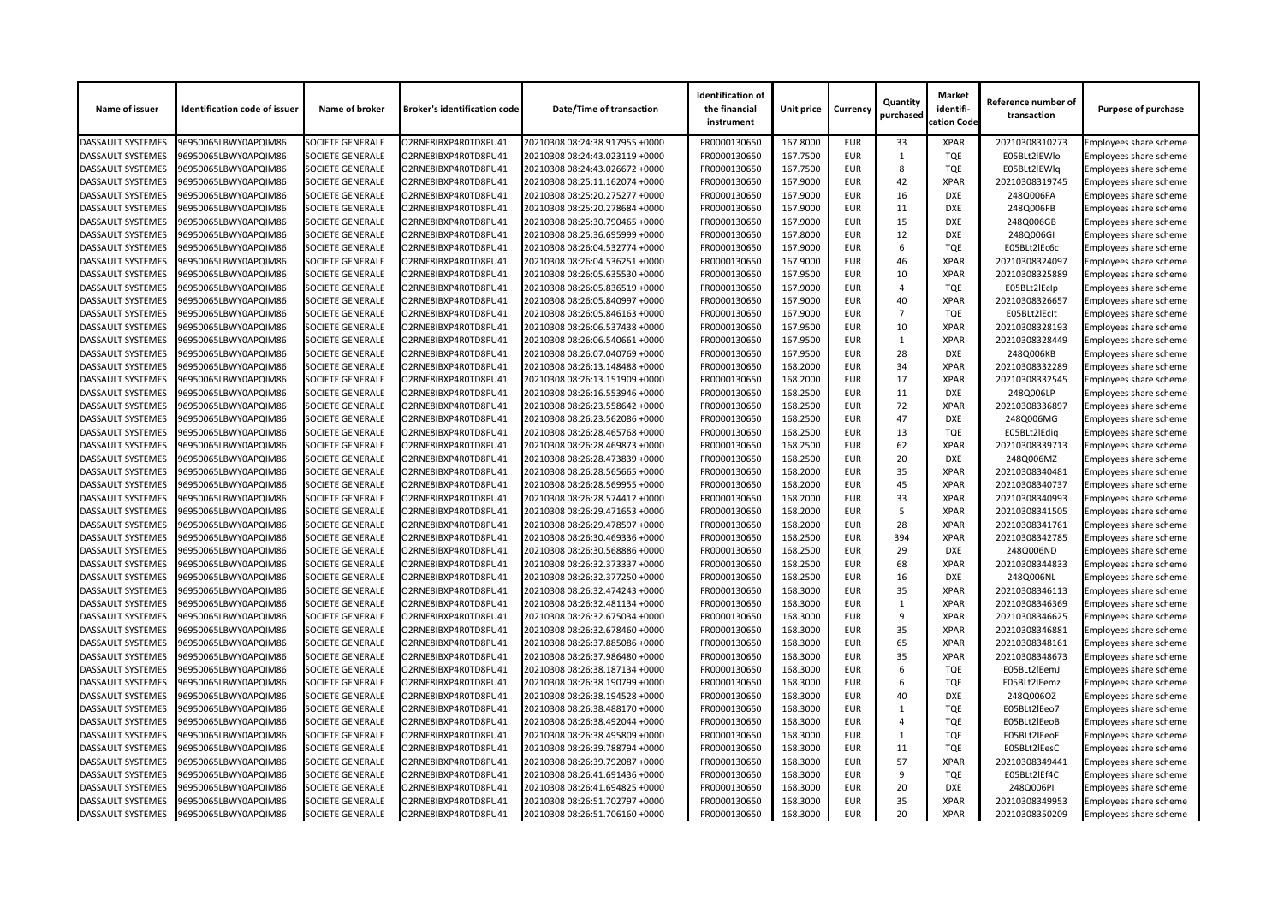| Name of issuer                                       | <b>Identification code of issuer</b> | Name of broker          | <b>Broker's identification code</b> | <b>Date/Time of transaction</b> | <b>Identification of</b><br>the financial<br>instrument | Unit price | <b>Currency</b> | Quantity<br>purchased | <b>Market</b><br>identifi-<br>cation Code | Reference number of<br>transaction | <b>Purpose of purchase</b>    |
|------------------------------------------------------|--------------------------------------|-------------------------|-------------------------------------|---------------------------------|---------------------------------------------------------|------------|-----------------|-----------------------|-------------------------------------------|------------------------------------|-------------------------------|
| <b>DASSAULT SYSTEMES</b>                             | 96950065LBWY0APQIM86                 | <b>SOCIETE GENERALE</b> | O2RNE8IBXP4R0TD8PU41                | 20210308 08:24:38.917955 +0000  | FR0000130650                                            | 167.8000   | <b>EUR</b>      | 33                    | <b>XPAR</b>                               | 20210308310273                     | Employees share scheme        |
| <b>DASSAULT SYSTEMES</b>                             | 96950065LBWY0APQIM86                 | <b>SOCIETE GENERALE</b> | O2RNE8IBXP4R0TD8PU41                | 20210308 08:24:43.023119 +0000  | FR0000130650                                            | 167.7500   | <b>EUR</b>      |                       | <b>TQE</b>                                | E05BLt2IEWlo                       | <b>Employees share scheme</b> |
| <b>DASSAULT SYSTEMES</b>                             | 96950065LBWY0APQIM86                 | <b>SOCIETE GENERALE</b> | O2RNE8IBXP4R0TD8PU41                | 20210308 08:24:43.026672 +0000  | FR0000130650                                            | 167.7500   | <b>EUR</b>      | 8                     | <b>TQE</b>                                | E05BLt2IEWlq                       | Employees share scheme        |
| <b>DASSAULT SYSTEMES</b>                             | 96950065LBWY0APQIM86                 | <b>SOCIETE GENERALE</b> | O2RNE8IBXP4R0TD8PU41                | 20210308 08:25:11.162074 +0000  | FR0000130650                                            | 167.9000   | <b>EUR</b>      | 42                    | <b>XPAR</b>                               | 20210308319745                     | Employees share scheme        |
| <b>DASSAULT SYSTEMES</b>                             | 96950065LBWY0APQIM86                 | <b>SOCIETE GENERALE</b> | O2RNE8IBXP4R0TD8PU41                | 20210308 08:25:20.275277 +0000  | FR0000130650                                            | 167.9000   | <b>EUR</b>      | 16                    | <b>DXE</b>                                | 248Q006FA                          | Employees share scheme        |
| <b>DASSAULT SYSTEMES</b>                             | 96950065LBWY0APQIM86                 | <b>SOCIETE GENERALE</b> | O2RNE8IBXP4R0TD8PU41                | 20210308 08:25:20.278684 +0000  | FR0000130650                                            | 167.9000   | <b>EUR</b>      | 11                    | <b>DXE</b>                                | 248Q006FB                          | Employees share scheme        |
| <b>DASSAULT SYSTEMES</b>                             | 96950065LBWY0APQIM86                 | <b>SOCIETE GENERALE</b> | O2RNE8IBXP4R0TD8PU41                | 20210308 08:25:30.790465 +0000  | FR0000130650                                            | 167.9000   | <b>EUR</b>      | 15                    | <b>DXE</b>                                | 248Q006GB                          | Employees share scheme        |
| <b>DASSAULT SYSTEMES</b>                             | 96950065LBWY0APQIM86                 | <b>SOCIETE GENERALE</b> | O2RNE8IBXP4R0TD8PU41                | 20210308 08:25:36.695999 +0000  | FR0000130650                                            | 167.8000   | <b>EUR</b>      | 12                    | <b>DXE</b>                                | 248Q006GI                          | Employees share scheme        |
| <b>DASSAULT SYSTEMES</b>                             | 96950065LBWY0APQIM86                 | <b>SOCIETE GENERALE</b> | O2RNE8IBXP4R0TD8PU41                | 20210308 08:26:04.532774 +0000  | FR0000130650                                            | 167.9000   | <b>EUR</b>      | 6                     | <b>TQE</b>                                | E05BLt2lEc6c                       | Employees share scheme        |
| <b>DASSAULT SYSTEMES</b>                             | 96950065LBWY0APQIM86                 | <b>SOCIETE GENERALE</b> | O2RNE8IBXP4R0TD8PU41                | 20210308 08:26:04.536251 +0000  | FR0000130650                                            | 167.9000   | <b>EUR</b>      | 46                    | <b>XPAR</b>                               | 20210308324097                     | <b>Employees share scheme</b> |
| <b>DASSAULT SYSTEMES</b>                             | 96950065LBWY0APQIM86                 | <b>SOCIETE GENERALE</b> | O2RNE8IBXP4R0TD8PU41                | 20210308 08:26:05.635530 +0000  | FR0000130650                                            | 167.9500   | <b>EUR</b>      | 10                    | <b>XPAR</b>                               | 20210308325889                     | Employees share scheme        |
| <b>DASSAULT SYSTEMES</b>                             | 96950065LBWY0APQIM86                 | <b>SOCIETE GENERALE</b> | O2RNE8IBXP4R0TD8PU41                | 20210308 08:26:05.836519 +0000  | FR0000130650                                            | 167.9000   | <b>EUR</b>      | Δ                     | <b>TQE</b>                                | E05BLt2lEclp                       | Employees share scheme        |
| <b>DASSAULT SYSTEMES</b>                             | 96950065LBWY0APQIM86                 | <b>SOCIETE GENERALE</b> | O2RNE8IBXP4R0TD8PU41                | 20210308 08:26:05.840997 +0000  | FR0000130650                                            | 167.9000   | <b>EUR</b>      | 40                    | <b>XPAR</b>                               | 20210308326657                     | Employees share scheme        |
| <b>DASSAULT SYSTEMES</b>                             | 96950065LBWY0APQIM86                 | <b>SOCIETE GENERALE</b> | O2RNE8IBXP4R0TD8PU41                | 20210308 08:26:05.846163 +0000  | FR0000130650                                            | 167.9000   | <b>EUR</b>      | $\overline{7}$        | <b>TQE</b>                                | E05BLt2lEcIt                       | Employees share scheme        |
| <b>DASSAULT SYSTEMES</b>                             | 96950065LBWY0APQIM86                 | <b>SOCIETE GENERALE</b> | O2RNE8IBXP4R0TD8PU41                | 20210308 08:26:06.537438 +0000  | FR0000130650                                            | 167.9500   | <b>EUR</b>      | 10                    | <b>XPAR</b>                               | 20210308328193                     | Employees share scheme        |
| <b>DASSAULT SYSTEMES</b>                             | 96950065LBWY0APQIM86                 | <b>SOCIETE GENERALE</b> | O2RNE8IBXP4R0TD8PU41                | 20210308 08:26:06.540661 +0000  | FR0000130650                                            | 167.9500   | <b>EUR</b>      |                       | <b>XPAR</b>                               | 20210308328449                     | Employees share scheme        |
| <b>DASSAULT SYSTEMES</b>                             | 96950065LBWY0APQIM86                 | <b>SOCIETE GENERALE</b> | O2RNE8IBXP4R0TD8PU41                | 20210308 08:26:07.040769 +0000  | FR0000130650                                            | 167.9500   | <b>EUR</b>      | 28                    | <b>DXE</b>                                | 248Q006KB                          | Employees share scheme        |
| <b>DASSAULT SYSTEMES</b>                             | 96950065LBWY0APQIM86                 | <b>SOCIETE GENERALE</b> | O2RNE8IBXP4R0TD8PU41                | 20210308 08:26:13.148488 +0000  | FR0000130650                                            | 168.2000   | <b>EUR</b>      | 34                    | <b>XPAR</b>                               | 20210308332289                     | Employees share scheme        |
| <b>DASSAULT SYSTEMES</b>                             | 96950065LBWY0APQIM86                 | <b>SOCIETE GENERALE</b> | O2RNE8IBXP4R0TD8PU41                | 20210308 08:26:13.151909 +0000  | FR0000130650                                            | 168.2000   | <b>EUR</b>      | 17                    | <b>XPAR</b>                               | 20210308332545                     | Employees share scheme        |
| <b>DASSAULT SYSTEMES</b>                             | 96950065LBWY0APQIM86                 | <b>SOCIETE GENERALE</b> | O2RNE8IBXP4R0TD8PU41                | 20210308 08:26:16.553946 +0000  | FR0000130650                                            | 168.2500   | <b>EUR</b>      | 11                    | <b>DXE</b>                                | 248Q006LP                          | Employees share scheme        |
| <b>DASSAULT SYSTEMES</b>                             | 96950065LBWY0APQIM86                 | <b>SOCIETE GENERALE</b> | O2RNE8IBXP4R0TD8PU41                | 20210308 08:26:23.558642 +0000  | FR0000130650                                            | 168.2500   | <b>EUR</b>      | 72                    | <b>XPAR</b>                               | 20210308336897                     | Employees share scheme        |
| <b>DASSAULT SYSTEMES</b>                             | 96950065LBWY0APQIM86                 | <b>SOCIETE GENERALE</b> | O2RNE8IBXP4R0TD8PU41                | 20210308 08:26:23.562086 +0000  | FR0000130650                                            | 168.2500   | <b>EUR</b>      | 47                    | <b>DXE</b>                                | 248Q006MG                          | Employees share scheme        |
| <b>DASSAULT SYSTEMES</b>                             | 96950065LBWY0APQIM86                 | <b>SOCIETE GENERALE</b> | O2RNE8IBXP4R0TD8PU41                | 20210308 08:26:28.465768 +0000  | FR0000130650                                            | 168.2500   | <b>EUR</b>      | 13                    | <b>TQE</b>                                | E05BLt2lEdiq                       | Employees share scheme        |
| <b>DASSAULT SYSTEMES</b>                             | 96950065LBWY0APQIM86                 | <b>SOCIETE GENERALE</b> | O2RNE8IBXP4R0TD8PU41                | 20210308 08:26:28.469873 +0000  | FR0000130650                                            | 168.2500   | <b>EUR</b>      | 62                    | <b>XPAR</b>                               | 20210308339713                     | Employees share scheme        |
|                                                      |                                      |                         |                                     |                                 |                                                         | 168.2500   | <b>EUR</b>      |                       | <b>DXE</b>                                |                                    |                               |
| <b>DASSAULT SYSTEMES</b><br><b>DASSAULT SYSTEMES</b> | 96950065LBWY0APQIM86                 | <b>SOCIETE GENERALE</b> | O2RNE8IBXP4R0TD8PU41                | 20210308 08:26:28.473839 +0000  | FR0000130650                                            |            |                 | 20                    |                                           | 248Q006MZ                          | Employees share scheme        |
|                                                      | 96950065LBWY0APQIM86                 | <b>SOCIETE GENERALE</b> | O2RNE8IBXP4R0TD8PU41                | 20210308 08:26:28.565665 +0000  | FR0000130650                                            | 168.2000   | <b>EUR</b>      | 35                    | <b>XPAR</b>                               | 20210308340481                     | Employees share scheme        |
| <b>DASSAULT SYSTEMES</b>                             | 96950065LBWY0APQIM86                 | <b>SOCIETE GENERALE</b> | O2RNE8IBXP4R0TD8PU41                | 20210308 08:26:28.569955 +0000  | FR0000130650                                            | 168.2000   | <b>EUR</b>      | 45                    | <b>XPAR</b>                               | 20210308340737                     | Employees share scheme        |
| <b>DASSAULT SYSTEMES</b>                             | 96950065LBWY0APQIM86                 | <b>SOCIETE GENERALE</b> | O2RNE8IBXP4R0TD8PU41                | 20210308 08:26:28.574412 +0000  | FR0000130650                                            | 168.2000   | <b>EUR</b>      | 33                    | <b>XPAR</b>                               | 20210308340993                     | <b>Employees share scheme</b> |
| <b>DASSAULT SYSTEMES</b>                             | 96950065LBWY0APQIM86                 | <b>SOCIETE GENERALE</b> | O2RNE8IBXP4R0TD8PU41                | 20210308 08:26:29.471653 +0000  | FR0000130650                                            | 168.2000   | <b>EUR</b>      | -5                    | <b>XPAR</b>                               | 20210308341505                     | Employees share scheme        |
| <b>DASSAULT SYSTEMES</b>                             | 96950065LBWY0APQIM86                 | <b>SOCIETE GENERALE</b> | O2RNE8IBXP4R0TD8PU41                | 20210308 08:26:29.478597 +0000  | FR0000130650                                            | 168.2000   | <b>EUR</b>      | 28                    | <b>XPAR</b>                               | 20210308341761                     | Employees share scheme        |
| <b>DASSAULT SYSTEMES</b>                             | 96950065LBWY0APQIM86                 | <b>SOCIETE GENERALE</b> | O2RNE8IBXP4R0TD8PU41                | 20210308 08:26:30.469336 +0000  | FR0000130650                                            | 168.2500   | <b>EUR</b>      | 394                   | <b>XPAR</b>                               | 20210308342785                     | Employees share scheme        |
| <b>DASSAULT SYSTEMES</b>                             | 96950065LBWY0APQIM86                 | <b>SOCIETE GENERALE</b> | O2RNE8IBXP4R0TD8PU41                | 20210308 08:26:30.568886 +0000  | FR0000130650                                            | 168.2500   | <b>EUR</b>      | 29                    | <b>DXE</b>                                | 248Q006ND                          | Employees share scheme        |
| <b>DASSAULT SYSTEMES</b>                             | 96950065LBWY0APQIM86                 | <b>SOCIETE GENERALE</b> | O2RNE8IBXP4R0TD8PU41                | 20210308 08:26:32.373337 +0000  | FR0000130650                                            | 168.2500   | <b>EUR</b>      | 68                    | <b>XPAR</b>                               | 20210308344833                     | Employees share scheme        |
| <b>DASSAULT SYSTEMES</b>                             | 96950065LBWY0APQIM86                 | <b>SOCIETE GENERALE</b> | O2RNE8IBXP4R0TD8PU41                | 20210308 08:26:32.377250 +0000  | FR0000130650                                            | 168.2500   | <b>EUR</b>      | 16                    | DXE                                       | 248Q006NL                          | Employees share scheme        |
| <b>DASSAULT SYSTEMES</b>                             | 96950065LBWY0APQIM86                 | <b>SOCIETE GENERALE</b> | O2RNE8IBXP4R0TD8PU41                | 20210308 08:26:32.474243 +0000  | FR0000130650                                            | 168.3000   | <b>EUR</b>      | 35                    | <b>XPAR</b>                               | 20210308346113                     | Employees share scheme        |
| <b>DASSAULT SYSTEMES</b>                             | 96950065LBWY0APQIM86                 | <b>SOCIETE GENERALE</b> | O2RNE8IBXP4R0TD8PU41                | 20210308 08:26:32.481134 +0000  | FR0000130650                                            | 168.3000   | <b>EUR</b>      |                       | <b>XPAR</b>                               | 20210308346369                     | Employees share scheme        |
| <b>DASSAULT SYSTEMES</b>                             | 96950065LBWY0APQIM86                 | <b>SOCIETE GENERALE</b> | O2RNE8IBXP4R0TD8PU41                | 20210308 08:26:32.675034 +0000  | FR0000130650                                            | 168.3000   | <b>EUR</b>      | 9                     | <b>XPAR</b>                               | 20210308346625                     | Employees share scheme        |
| <b>DASSAULT SYSTEMES</b>                             | 96950065LBWY0APQIM86                 | <b>SOCIETE GENERALE</b> | O2RNE8IBXP4R0TD8PU41                | 20210308 08:26:32.678460 +0000  | FR0000130650                                            | 168.3000   | <b>EUR</b>      | 35                    | <b>XPAR</b>                               | 20210308346881                     | Employees share scheme        |
| <b>DASSAULT SYSTEMES</b>                             | 96950065LBWY0APQIM86                 | <b>SOCIETE GENERALE</b> | O2RNE8IBXP4R0TD8PU41                | 20210308 08:26:37.885086 +0000  | FR0000130650                                            | 168.3000   | <b>EUR</b>      | 65                    | <b>XPAR</b>                               | 20210308348161                     | Employees share scheme        |
| <b>DASSAULT SYSTEMES</b>                             | 96950065LBWY0APQIM86                 | <b>SOCIETE GENERALE</b> | O2RNE8IBXP4R0TD8PU41                | 20210308 08:26:37.986480 +0000  | FR0000130650                                            | 168.3000   | <b>EUR</b>      | 35                    | <b>XPAR</b>                               | 20210308348673                     | Employees share scheme        |
| <b>DASSAULT SYSTEMES</b>                             | 96950065LBWY0APQIM86                 | <b>SOCIETE GENERALE</b> | O2RNE8IBXP4R0TD8PU41                | 20210308 08:26:38.187134 +0000  | FR0000130650                                            | 168.3000   | <b>EUR</b>      | 6                     | <b>TQE</b>                                | E05BLt2lEemJ                       | Employees share scheme        |
| <b>DASSAULT SYSTEMES</b>                             | 96950065LBWY0APQIM86                 | <b>SOCIETE GENERALE</b> | O2RNE8IBXP4R0TD8PU41                | 20210308 08:26:38.190799 +0000  | FR0000130650                                            | 168.3000   | <b>EUR</b>      | 6                     | <b>TQE</b>                                | E05BLt2lEemz                       | Employees share scheme        |
| <b>DASSAULT SYSTEMES</b>                             | 96950065LBWY0APQIM86                 | <b>SOCIETE GENERALE</b> | O2RNE8IBXP4R0TD8PU41                | 20210308 08:26:38.194528 +0000  | FR0000130650                                            | 168.3000   | <b>EUR</b>      | 40                    | <b>DXE</b>                                | 248Q006OZ                          | Employees share scheme        |
| <b>DASSAULT SYSTEMES</b>                             | 96950065LBWY0APQIM86                 | <b>SOCIETE GENERALE</b> | O2RNE8IBXP4R0TD8PU41                | 20210308 08:26:38.488170 +0000  | FR0000130650                                            | 168.3000   | <b>EUR</b>      |                       | <b>TQE</b>                                | E05BLt2lEeo7                       | Employees share scheme        |
| <b>DASSAULT SYSTEMES</b>                             | 96950065LBWY0APQIM86                 | <b>SOCIETE GENERALE</b> | O2RNE8IBXP4R0TD8PU41                | 20210308 08:26:38.492044 +0000  | FR0000130650                                            | 168.3000   | <b>EUR</b>      |                       | <b>TQE</b>                                | E05BLt2lEeoB                       | Employees share scheme        |
| <b>DASSAULT SYSTEMES</b>                             | 96950065LBWY0APQIM86                 | <b>SOCIETE GENERALE</b> | O2RNE8IBXP4R0TD8PU41                | 20210308 08:26:38.495809 +0000  | FR0000130650                                            | 168.3000   | <b>EUR</b>      |                       | <b>TQE</b>                                | E05BLt2lEeoE                       | Employees share scheme        |
| <b>DASSAULT SYSTEMES</b>                             | 96950065LBWY0APQIM86                 | <b>SOCIETE GENERALE</b> | O2RNE8IBXP4R0TD8PU41                | 20210308 08:26:39.788794 +0000  | FR0000130650                                            | 168.3000   | <b>EUR</b>      | 11                    | <b>TQE</b>                                | E05BLt2lEesC                       | <b>Employees share scheme</b> |
| <b>DASSAULT SYSTEMES</b>                             | 96950065LBWY0APQIM86                 | <b>SOCIETE GENERALE</b> | O2RNE8IBXP4R0TD8PU41                | 20210308 08:26:39.792087 +0000  | FR0000130650                                            | 168.3000   | <b>EUR</b>      | 57                    | <b>XPAR</b>                               | 20210308349441                     | Employees share scheme        |
| <b>DASSAULT SYSTEMES</b>                             | 96950065LBWY0APQIM86                 | <b>SOCIETE GENERALE</b> | O2RNE8IBXP4R0TD8PU41                | 20210308 08:26:41.691436 +0000  | FR0000130650                                            | 168.3000   | <b>EUR</b>      | 9                     | TQE                                       | E05BLt2lEf4C                       | Employees share scheme        |
| <b>DASSAULT SYSTEMES</b>                             | 96950065LBWY0APQIM86                 | <b>SOCIETE GENERALE</b> | O2RNE8IBXP4R0TD8PU41                | 20210308 08:26:41.694825 +0000  | FR0000130650                                            | 168.3000   | <b>EUR</b>      | 20                    | DXE                                       | 248Q006PI                          | Employees share scheme        |
| <b>DASSAULT SYSTEMES</b>                             | 96950065LBWY0APQIM86                 | <b>SOCIETE GENERALE</b> | O2RNE8IBXP4R0TD8PU41                | 20210308 08:26:51.702797 +0000  | FR0000130650                                            | 168.3000   | <b>EUR</b>      | 35                    | <b>XPAR</b>                               | 20210308349953                     | Employees share scheme        |
| <b>DASSAULT SYSTEMES</b>                             | 96950065LBWY0APQIM86                 | <b>SOCIETE GENERALE</b> | O2RNE8IBXP4R0TD8PU41                | 20210308 08:26:51.706160 +0000  | FR0000130650                                            | 168.3000   | <b>EUR</b>      | 20                    | <b>XPAR</b>                               | 20210308350209                     | <b>Employees share scheme</b> |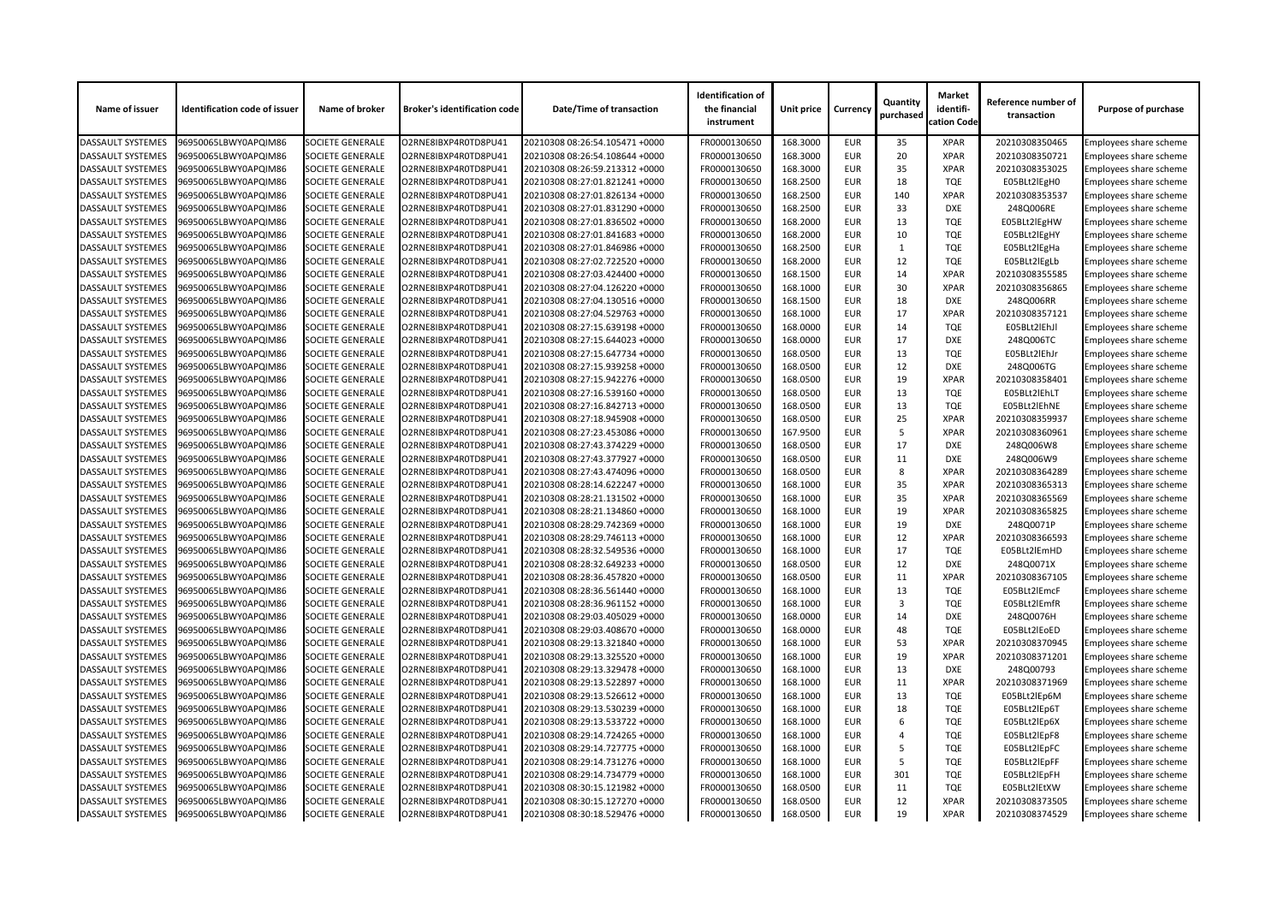| <b>SOCIETE GENERALE</b><br>O2RNE8IBXP4R0TD8PU41<br>FR0000130650<br>168.3000<br><b>EUR</b><br>35<br>20210308350465<br>Employees share scheme<br>96950065LBWY0APQIM86<br>20210308 08:26:54.105471 +0000<br><b>XPAR</b><br>168.3000<br><b>EUR</b><br>20<br>96950065LBWY0APQIM86<br><b>SOCIETE GENERALE</b><br>O2RNE8IBXP4R0TD8PU41<br>20210308 08:26:54.108644 +0000<br>FR0000130650<br><b>XPAR</b><br>20210308350721<br>Employees share scheme<br>35<br><b>EUR</b><br>168.3000<br><b>XPAR</b><br><b>DASSAULT SYSTEMES</b><br>96950065LBWY0APQIM86<br><b>SOCIETE GENERALE</b><br>O2RNE8IBXP4R0TD8PU41<br>20210308 08:26:59.213312 +0000<br>FR0000130650<br>20210308353025<br>Employees share scheme<br><b>SOCIETE GENERALE</b><br>O2RNE8IBXP4R0TD8PU41<br>FR0000130650<br>168.2500<br><b>EUR</b><br>18<br>96950065LBWY0APQIM86<br>20210308 08:27:01.821241 +0000<br><b>TQE</b><br>E05BLt2lEgH0<br>Employees share scheme<br><b>SOCIETE GENERALE</b><br>FR0000130650<br>168.2500<br><b>EUR</b><br>140<br><b>XPAR</b><br>96950065LBWY0APQIM86<br>O2RNE8IBXP4R0TD8PU41<br>20210308 08:27:01.826134 +0000<br>20210308353537<br>Employees share scheme<br><b>EUR</b><br>33<br><b>SOCIETE GENERALE</b><br>FR0000130650<br>168.2500<br><b>DXE</b><br>248Q006RE<br>96950065LBWY0APQIM86<br>O2RNE8IBXP4R0TD8PU41<br>20210308 08:27:01.831290 +0000<br>Employees share scheme<br>168.2000<br>13<br>96950065LBWY0APQIM86<br><b>SOCIETE GENERALE</b><br>O2RNE8IBXP4R0TD8PU41<br>FR0000130650<br><b>EUR</b><br><b>TQE</b><br>E05BLt2lEgHW<br>20210308 08:27:01.836502 +0000<br><b>Employees share scheme</b><br><b>EUR</b><br>FR0000130650<br>168.2000<br>10<br><b>TQE</b><br><b>DASSAULT SYSTEMES</b><br>96950065LBWY0APQIM86<br><b>SOCIETE GENERALE</b><br>O2RNE8IBXP4R0TD8PU41<br>20210308 08:27:01.841683 +0000<br>E05BLt2lEgHY<br>Employees share scheme<br><b>SOCIETE GENERALE</b><br>20210308 08:27:01.846986 +0000<br>FR0000130650<br>168.2500<br><b>EUR</b><br><b>TQE</b><br>96950065LBWY0APQIM86<br>O2RNE8IBXP4R0TD8PU41<br>E05BLt2lEgHa<br>Employees share scheme<br><b>SOCIETE GENERALE</b><br>FR0000130650<br>168.2000<br>12<br><b>TQE</b><br>E05BLt2lEgLb<br>96950065LBWY0APQIM86<br>O2RNE8IBXP4R0TD8PU41<br>20210308 08:27:02.722520 +0000<br><b>EUR</b><br>Employees share scheme<br>14<br><b>SOCIETE GENERALE</b><br>FR0000130650<br>168.1500<br><b>EUR</b><br>96950065LBWY0APQIM86<br>O2RNE8IBXP4R0TD8PU41<br>20210308 08:27:03.424400 +0000<br><b>XPAR</b><br>20210308355585<br>Employees share scheme<br>168.1000<br>30<br><b>DASSAULT SYSTEMES</b><br>96950065LBWY0APQIM86<br><b>SOCIETE GENERALE</b><br>O2RNE8IBXP4R0TD8PU41<br>FR0000130650<br><b>EUR</b><br><b>XPAR</b><br>20210308356865<br>20210308 08:27:04.126220 +0000<br><b>Employees share scheme</b><br>18<br>168.1500<br><b>EUR</b><br><b>DXE</b><br><b>DASSAULT SYSTEMES</b><br>96950065LBWY0APQIM86<br><b>SOCIETE GENERALE</b><br>O2RNE8IBXP4R0TD8PU41<br>20210308 08:27:04.130516 +0000<br>FR0000130650<br>248Q006RR<br>Employees share scheme<br>17<br><b>DASSAULT SYSTEMES</b><br><b>SOCIETE GENERALE</b><br>O2RNE8IBXP4R0TD8PU41<br>FR0000130650<br>168.1000<br><b>EUR</b><br><b>XPAR</b><br>20210308357121<br><b>Employees share scheme</b><br>96950065LBWY0APQIM86<br>20210308 08:27:04.529763 +0000<br><b>SOCIETE GENERALE</b><br>168.0000<br><b>EUR</b><br>14<br><b>TQE</b><br>E05BLt2lEhJl<br><b>DASSAULT SYSTEMES</b><br>96950065LBWY0APQIM86<br>O2RNE8IBXP4R0TD8PU41<br>20210308 08:27:15.639198 +0000<br>FR0000130650<br>Employees share scheme<br>17<br><b>SOCIETE GENERALE</b><br>FR0000130650<br>168.0000<br><b>EUR</b><br>248Q006TC<br><b>DASSAULT SYSTEMES</b><br>96950065LBWY0APQIM86<br>O2RNE8IBXP4R0TD8PU41<br>20210308 08:27:15.644023 +0000<br><b>DXE</b><br>Employees share scheme<br>FR0000130650<br>168.0500<br><b>EUR</b><br>13<br><b>DASSAULT SYSTEMES</b><br>96950065LBWY0APQIM86<br><b>SOCIETE GENERALE</b><br>O2RNE8IBXP4R0TD8PU41<br><b>TQE</b><br>E05BLt2lEhJr<br>20210308 08:27:15.647734 +0000<br><b>Employees share scheme</b><br><b>EUR</b><br>12<br>168.0500<br><b>DXE</b><br><b>DASSAULT SYSTEMES</b><br>96950065LBWY0APQIM86<br>SOCIETE GENERALE<br>O2RNE8IBXP4R0TD8PU41<br>20210308 08:27:15.939258 +0000<br>FR0000130650<br>248Q006TG<br>Employees share scheme<br><b>DASSAULT SYSTEMES</b><br><b>SOCIETE GENERALE</b><br>FR0000130650<br>168.0500<br><b>EUR</b><br>19<br>20210308358401<br>96950065LBWY0APQIM86<br>O2RNE8IBXP4R0TD8PU41<br>20210308 08:27:15.942276 +0000<br><b>XPAR</b><br><b>Employees share scheme</b><br><b>SOCIETE GENERALE</b><br>FR0000130650<br>168.0500<br><b>EUR</b><br>13<br><b>TQE</b><br>E05BLt2lEhLT<br><b>DASSAULT SYSTEMES</b><br>96950065LBWY0APQIM86<br>O2RNE8IBXP4R0TD8PU41<br>20210308 08:27:16.539160 +0000<br><b>Employees share scheme</b><br><b>EUR</b><br>13<br><b>SOCIETE GENERALE</b><br>FR0000130650<br>168.0500<br><b>TQE</b><br>E05BLt2lEhNE<br><b>DASSAULT SYSTEMES</b><br>96950065LBWY0APQIM86<br>O2RNE8IBXP4R0TD8PU41<br>20210308 08:27:16.842713 +0000<br>Employees share scheme<br>25<br>96950065LBWY0APQIM86<br><b>SOCIETE GENERALE</b><br>O2RNE8IBXP4R0TD8PU41<br>FR0000130650<br>168.0500<br><b>EUR</b><br><b>XPAR</b><br>20210308359937<br><b>DASSAULT SYSTEMES</b><br>20210308 08:27:18.945908 +0000<br><b>Employees share scheme</b><br>FR0000130650<br>167.9500<br><b>EUR</b><br><b>XPAR</b><br><b>DASSAULT SYSTEMES</b><br>96950065LBWY0APQIM86<br><b>SOCIETE GENERALE</b><br>O2RNE8IBXP4R0TD8PU41<br>20210308 08:27:23.453086 +0000<br>-5<br>20210308360961<br>Employees share scheme<br><b>DASSAULT SYSTEMES</b><br><b>SOCIETE GENERALE</b><br>O2RNE8IBXP4R0TD8PU41<br>FR0000130650<br>168.0500<br><b>EUR</b><br>17<br>248Q006W8<br>Employees share scheme<br>96950065LBWY0APQIM86<br>20210308 08:27:43.374229 +0000<br><b>DXE</b><br><b>SOCIETE GENERALE</b><br>O2RNE8IBXP4R0TD8PU41<br>168.0500<br><b>DASSAULT SYSTEMES</b><br>96950065LBWY0APQIM86<br>20210308 08:27:43.377927 +0000<br>FR0000130650<br><b>EUR</b><br>11<br><b>DXE</b><br>248Q006W9<br><b>Employees share scheme</b><br>168.0500<br>8<br><b>DASSAULT SYSTEMES</b><br>96950065LBWY0APQIM86<br><b>SOCIETE GENERALE</b><br>O2RNE8IBXP4R0TD8PU41<br>20210308 08:27:43.474096 +0000<br>FR0000130650<br><b>EUR</b><br><b>XPAR</b><br>20210308364289<br>Employees share scheme<br>35<br><b>DASSAULT SYSTEMES</b><br><b>SOCIETE GENERALE</b><br>O2RNE8IBXP4R0TD8PU41<br>20210308 08:28:14.622247 +0000<br>FR0000130650<br>168.1000<br><b>EUR</b><br><b>XPAR</b><br>20210308365313<br>96950065LBWY0APQIM86<br>Employees share scheme<br>168.1000<br><b>EUR</b><br>35<br><b>DASSAULT SYSTEMES</b><br>96950065LBWY0APQIM86<br><b>SOCIETE GENERALE</b><br>O2RNE8IBXP4R0TD8PU41<br>FR0000130650<br><b>XPAR</b><br>20210308365569<br>20210308 08:28:21.131502 +0000<br><b>Employees share scheme</b><br><b>DASSAULT SYSTEMES</b><br><b>SOCIETE GENERALE</b><br>FR0000130650<br>168.1000<br><b>EUR</b><br>19<br>20210308365825<br>96950065LBWY0APQIM86<br>O2RNE8IBXP4R0TD8PU41<br>20210308 08:28:21.134860 +0000<br><b>XPAR</b><br><b>Employees share scheme</b><br>168.1000<br><b>EUR</b><br>19<br><b>DASSAULT SYSTEMES</b><br>96950065LBWY0APQIM86<br><b>SOCIETE GENERALE</b><br>O2RNE8IBXP4R0TD8PU41<br>20210308 08:28:29.742369 +0000<br>FR0000130650<br><b>DXE</b><br>248Q0071P<br><b>Employees share scheme</b><br>12<br>168.1000<br><b>EUR</b><br><b>DASSAULT SYSTEMES</b><br>96950065LBWY0APQIM86<br><b>SOCIETE GENERALE</b><br>O2RNE8IBXP4R0TD8PU41<br>20210308 08:28:29.746113 +0000<br>FR0000130650<br><b>XPAR</b><br>20210308366593<br>Employees share scheme<br><b>DASSAULT SYSTEMES</b><br><b>SOCIETE GENERALE</b><br>FR0000130650<br>168.1000<br>17<br><b>TQE</b><br>E05BLt2lEmHD<br>96950065LBWY0APQIM86<br>O2RNE8IBXP4R0TD8PU41<br>20210308 08:28:32.549536 +0000<br><b>EUR</b><br><b>Employees share scheme</b><br>168.0500<br><b>EUR</b><br>12<br><b>DASSAULT SYSTEMES</b><br>96950065LBWY0APQIM86<br><b>SOCIETE GENERALE</b><br>O2RNE8IBXP4R0TD8PU41<br>20210308 08:28:32.649233 +0000<br>FR0000130650<br><b>DXE</b><br>248Q0071X<br>Employees share scheme<br><b>DASSAULT SYSTEMES</b><br>20210308367105<br><b>Employees share scheme</b><br>96950065LBWY0APQIM86<br><b>SOCIETE GENERALE</b><br>O2RNE8IBXP4R0TD8PU41<br>20210308 08:28:36.457820 +0000<br>FR0000130650<br>168.0500<br><b>EUR</b><br>11<br><b>XPAR</b><br>168.1000<br>13<br><b>DASSAULT SYSTEMES</b><br><b>SOCIETE GENERALE</b><br>O2RNE8IBXP4R0TD8PU41<br>20210308 08:28:36.561440 +0000<br>FR0000130650<br><b>EUR</b><br><b>TQE</b><br>E05BLt2IEmcF<br><b>Employees share scheme</b><br>96950065LBWY0APQIM86<br>168.1000<br><b>EUR</b><br>E05BLt2lEmfR<br>Employees share scheme<br><b>DASSAULT SYSTEMES</b><br>96950065LBWY0APQIM86<br><b>SOCIETE GENERALE</b><br>O2RNE8IBXP4R0TD8PU41<br>20210308 08:28:36.961152 +0000<br>FR0000130650<br>3<br>TQE<br><b>DASSAULT SYSTEMES</b><br><b>SOCIETE GENERALE</b><br>FR0000130650<br>168.0000<br><b>Employees share scheme</b><br>96950065LBWY0APQIM86<br>O2RNE8IBXP4R0TD8PU41<br>20210308 08:29:03.405029 +0000<br><b>EUR</b><br>14<br><b>DXE</b><br>248Q0076H<br>168.0000<br><b>EUR</b><br>48<br><b>DASSAULT SYSTEMES</b><br>96950065LBWY0APQIM86<br><b>SOCIETE GENERALE</b><br>O2RNE8IBXP4R0TD8PU41<br>20210308 08:29:03.408670 +0000<br>FR0000130650<br><b>TQE</b><br>E05BLt2lEoED<br>Employees share scheme<br><b>DASSAULT SYSTEMES</b><br>FR0000130650<br>168.1000<br><b>EUR</b><br>53<br>20210308370945<br>96950065LBWY0APQIM86<br><b>SOCIETE GENERALE</b><br>O2RNE8IBXP4R0TD8PU41<br>20210308 08:29:13.321840 +0000<br><b>XPAR</b><br>Employees share scheme<br>168.1000<br>19<br><b>DASSAULT SYSTEMES</b><br>96950065LBWY0APQIM86<br><b>SOCIETE GENERALE</b><br>O2RNE8IBXP4R0TD8PU41<br>FR0000130650<br><b>EUR</b><br><b>XPAR</b><br>20210308371201<br><b>Employees share scheme</b><br>20210308 08:29:13.325520 +0000<br><b>DASSAULT SYSTEMES</b><br><b>SOCIETE GENERALE</b><br>FR0000130650<br>168.1000<br><b>EUR</b><br>13<br>248Q00793<br><b>Employees share scheme</b><br>96950065LBWY0APQIM86<br>O2RNE8IBXP4R0TD8PU41<br>20210308 08:29:13.329478 +0000<br><b>DXE</b><br><b>DASSAULT SYSTEMES</b><br><b>SOCIETE GENERALE</b><br>FR0000130650<br>168.1000<br>96950065LBWY0APQIM86<br>O2RNE8IBXP4R0TD8PU41<br>20210308 08:29:13.522897 +0000<br><b>EUR</b><br>11<br><b>XPAR</b><br>20210308371969<br>Employees share scheme<br>168.1000<br><b>EUR</b><br>13<br><b>TQE</b><br><b>DASSAULT SYSTEMES</b><br>96950065LBWY0APQIM86<br><b>SOCIETE GENERALE</b><br>O2RNE8IBXP4R0TD8PU41<br>20210308 08:29:13.526612 +0000<br>FR0000130650<br>E05BLt2lEp6M<br>Employees share scheme<br><b>DASSAULT SYSTEMES</b><br>FR0000130650<br>168.1000<br>E05BLt2lEp6T<br>96950065LBWY0APQIM86<br><b>SOCIETE GENERALE</b><br>O2RNE8IBXP4R0TD8PU41<br>20210308 08:29:13.530239 +0000<br><b>EUR</b><br>18<br><b>TQE</b><br><b>Employees share scheme</b><br>168.1000<br><b>DASSAULT SYSTEMES</b><br>96950065LBWY0APQIM86<br><b>SOCIETE GENERALE</b><br>O2RNE8IBXP4R0TD8PU41<br>20210308 08:29:13.533722 +0000<br>FR0000130650<br><b>EUR</b><br>6<br><b>TQE</b><br>E05BLt2lEp6X<br><b>Employees share scheme</b><br>168.1000<br><b>Employees share scheme</b><br><b>DASSAULT SYSTEMES</b><br>96950065LBWY0APQIM86<br><b>SOCIETE GENERALE</b><br>O2RNE8IBXP4R0TD8PU41<br>20210308 08:29:14.724265 +0000<br>FR0000130650<br><b>EUR</b><br>E05BLt2lEpF8<br>TQE<br>FR0000130650<br>168.1000<br><b>Employees share scheme</b><br><b>DASSAULT SYSTEMES</b><br>96950065LBWY0APQIM86<br><b>SOCIETE GENERALE</b><br>O2RNE8IBXP4R0TD8PU41<br>20210308 08:29:14.727775 +0000<br><b>TQE</b><br>E05BLt2lEpFC<br><b>EUR</b><br>-5<br>168.1000<br><b>DASSAULT SYSTEMES</b><br>96950065LBWY0APQIM86<br><b>SOCIETE GENERALE</b><br>O2RNE8IBXP4R0TD8PU41<br>20210308 08:29:14.731276 +0000<br>FR0000130650<br><b>EUR</b><br><b>TQE</b><br>E05BLt2lEpFF<br>Employees share scheme<br>-5<br><b>DASSAULT SYSTEMES</b><br>168.1000<br>301<br>96950065LBWY0APQIM86<br><b>SOCIETE GENERALE</b><br>O2RNE8IBXP4R0TD8PU41<br>20210308 08:29:14.734779 +0000<br>FR0000130650<br><b>EUR</b><br>E05BLt2lEpFH<br><b>Employees share scheme</b><br>TQE<br><b>DASSAULT SYSTEMES</b><br><b>SOCIETE GENERALE</b><br>O2RNE8IBXP4R0TD8PU41<br>20210308 08:30:15.121982 +0000<br>FR0000130650<br>168.0500<br><b>EUR</b><br>11<br><b>TQE</b><br>E05BLt2IEtXW<br><b>Employees share scheme</b><br>96950065LBWY0APQIM86<br><b>DASSAULT SYSTEMES</b><br><b>SOCIETE GENERALE</b><br>168.0500<br><b>EUR</b><br>12<br>20210308373505<br><b>Employees share scheme</b><br>96950065LBWY0APQIM86<br>O2RNE8IBXP4R0TD8PU41<br>20210308 08:30:15.127270 +0000<br>FR0000130650<br><b>XPAR</b><br>96950065LBWY0APQIM86<br><b>SOCIETE GENERALE</b><br>O2RNE8IBXP4R0TD8PU41<br>20210308 08:30:18.529476 +0000<br>FR0000130650<br>168.0500<br><b>EUR</b><br>19<br><b>XPAR</b><br>20210308374529<br><b>Employees share scheme</b> | Name of issuer           | <b>Identification code of issuer</b> | Name of broker | <b>Broker's identification code</b> | Date/Time of transaction | <b>Identification of</b><br>the financial<br>instrument | Unit price | <b>Currency</b> | Quantity<br>purchased | <b>Market</b><br>identifi-<br>cation Code | Reference number of<br>transaction | <b>Purpose of purchase</b> |
|---------------------------------------------------------------------------------------------------------------------------------------------------------------------------------------------------------------------------------------------------------------------------------------------------------------------------------------------------------------------------------------------------------------------------------------------------------------------------------------------------------------------------------------------------------------------------------------------------------------------------------------------------------------------------------------------------------------------------------------------------------------------------------------------------------------------------------------------------------------------------------------------------------------------------------------------------------------------------------------------------------------------------------------------------------------------------------------------------------------------------------------------------------------------------------------------------------------------------------------------------------------------------------------------------------------------------------------------------------------------------------------------------------------------------------------------------------------------------------------------------------------------------------------------------------------------------------------------------------------------------------------------------------------------------------------------------------------------------------------------------------------------------------------------------------------------------------------------------------------------------------------------------------------------------------------------------------------------------------------------------------------------------------------------------------------------------------------------------------------------------------------------------------------------------------------------------------------------------------------------------------------------------------------------------------------------------------------------------------------------------------------------------------------------------------------------------------------------------------------------------------------------------------------------------------------------------------------------------------------------------------------------------------------------------------------------------------------------------------------------------------------------------------------------------------------------------------------------------------------------------------------------------------------------------------------------------------------------------------------------------------------------------------------------------------------------------------------------------------------------------------------------------------------------------------------------------------------------------------------------------------------------------------------------------------------------------------------------------------------------------------------------------------------------------------------------------------------------------------------------------------------------------------------------------------------------------------------------------------------------------------------------------------------------------------------------------------------------------------------------------------------------------------------------------------------------------------------------------------------------------------------------------------------------------------------------------------------------------------------------------------------------------------------------------------------------------------------------------------------------------------------------------------------------------------------------------------------------------------------------------------------------------------------------------------------------------------------------------------------------------------------------------------------------------------------------------------------------------------------------------------------------------------------------------------------------------------------------------------------------------------------------------------------------------------------------------------------------------------------------------------------------------------------------------------------------------------------------------------------------------------------------------------------------------------------------------------------------------------------------------------------------------------------------------------------------------------------------------------------------------------------------------------------------------------------------------------------------------------------------------------------------------------------------------------------------------------------------------------------------------------------------------------------------------------------------------------------------------------------------------------------------------------------------------------------------------------------------------------------------------------------------------------------------------------------------------------------------------------------------------------------------------------------------------------------------------------------------------------------------------------------------------------------------------------------------------------------------------------------------------------------------------------------------------------------------------------------------------------------------------------------------------------------------------------------------------------------------------------------------------------------------------------------------------------------------------------------------------------------------------------------------------------------------------------------------------------------------------------------------------------------------------------------------------------------------------------------------------------------------------------------------------------------------------------------------------------------------------------------------------------------------------------------------------------------------------------------------------------------------------------------------------------------------------------------------------------------------------------------------------------------------------------------------------------------------------------------------------------------------------------------------------------------------------------------------------------------------------------------------------------------------------------------------------------------------------------------------------------------------------------------------------------------------------------------------------------------------------------------------------------------------------------------------------------------------------------------------------------------------------------------------------------------------------------------------------------------------------------------------------------------------------------------------------------------------------------------------------------------------------------------------------------------------------------------------------------------------------------------------------------------------------------------------------------------------------------------------------------------------------------------------------------------------------------------------------------------------------------------------------------------------------------------------------------------------------------------------------------------------------------------------------------------------------------------------------------------------------------------------------------------------------------------------------------------------------------------------------------------------------------------------------------------------------------------------------------------------------------------------------------------------------------------------------------------------------------------------------------------------------------------------------------------------------------------------------------------------------------------------------------------------------------------------------------------------------------------------------------------------------------------------------------------------------------------------------------------------------------------------------------------------------------------------------------------------------------------------------------------------------------------------------------------------------------------------------------------------------------------------------------------------------------------------------------------------------------------------------------------------------------------------------------------------------------------------------------------------------------------------------------------------------------------------------------------------------------------------------------------------------------------------------------------------------------------------------------------------------------------------------------------------------------------------------------------------------------------------------------------------------------------------------------------------------------------------------------------------------------------------------------------------------------------------------------------------------------------------------------------------------------------------------------------------------------------------------------------------------------------------------------------------------------------------------------------------------------------------------------------------------------------------------------------------------------------------------------------------------------------------------------------------------------------------------------------------------------------------------------------------------------------------------------------------------------------------------------------------------------------------------------------------------------------------------------------------------------------------------------------------------------------------------------------------------------------------------------------------------------------------------------------------------------------------------------------------------------------------------------------------------------------------------------------------------------------------------------------------------------------------------------------------------------------------------------------------------------------------------------------------------------------------------------------------------------------------------------------------------------------------------------------------------------------------------------------------------------------------------------------------------------------------------------------------------------------------------------------------------------------------------------------------------------------------------------------------------------------------------------------------------------------------------------------------------------------------------------------------------------------------------------------------------------------------------------------------------------------------------------------------------------------------------------------------------------------------------------------------------------------------------------------------------------------------------------------------------------------------------------------------------------------------------------------------------------------------------------------------------------------------------------------------------------------------------------------------------------------------------------------------------------------------------------------------------------|--------------------------|--------------------------------------|----------------|-------------------------------------|--------------------------|---------------------------------------------------------|------------|-----------------|-----------------------|-------------------------------------------|------------------------------------|----------------------------|
|                                                                                                                                                                                                                                                                                                                                                                                                                                                                                                                                                                                                                                                                                                                                                                                                                                                                                                                                                                                                                                                                                                                                                                                                                                                                                                                                                                                                                                                                                                                                                                                                                                                                                                                                                                                                                                                                                                                                                                                                                                                                                                                                                                                                                                                                                                                                                                                                                                                                                                                                                                                                                                                                                                                                                                                                                                                                                                                                                                                                                                                                                                                                                                                                                                                                                                                                                                                                                                                                                                                                                                                                                                                                                                                                                                                                                                                                                                                                                                                                                                                                                                                                                                                                                                                                                                                                                                                                                                                                                                                                                                                                                                                                                                                                                                                                                                                                                                                                                                                                                                                                                                                                                                                                                                                                                                                                                                                                                                                                                                                                                                                                                                                                                                                                                                                                                                                                                                                                                                                                                                                                                                                                                                                                                                                                                                                                                                                                                                                                                                                                                                                                                                                                                                                                                                                                                                                                                                                                                                                                                                                                                                                                                                                                                                                                                                                                                                                                                                                                                                                                                                                                                                                                                                                                                                                                                                                                                                                                                                                                                                                                                                                                                                                                                                                                                                                                                                                                                                                                                                                                                                                                                                                                                                                                                                                                                                                                                                                                                                                                                                                                                                                                                                                                                                                                                                                                                                                                                                                                                                                                                                                                                                                                                                                                                                                                                                                                                                                                                                                                                                                                                                                                                                                                                                                                                                                                                                                                                                                                                                                                                                                                                                                                                                                                                                                                                                                                                                                                                                                                                                                                                                                                                                                                                                                                                                                                                                                                                                                                                                                                                                                                                                                                                                                                                                                                                                                                                                                                                                                                                                                                                                                                                                                                                                                                                                                                                                                                                                                                                                                                                                                                                                                                                                                                                                                                                                                                                                                                 | <b>DASSAULT SYSTEMES</b> |                                      |                |                                     |                          |                                                         |            |                 |                       |                                           |                                    |                            |
|                                                                                                                                                                                                                                                                                                                                                                                                                                                                                                                                                                                                                                                                                                                                                                                                                                                                                                                                                                                                                                                                                                                                                                                                                                                                                                                                                                                                                                                                                                                                                                                                                                                                                                                                                                                                                                                                                                                                                                                                                                                                                                                                                                                                                                                                                                                                                                                                                                                                                                                                                                                                                                                                                                                                                                                                                                                                                                                                                                                                                                                                                                                                                                                                                                                                                                                                                                                                                                                                                                                                                                                                                                                                                                                                                                                                                                                                                                                                                                                                                                                                                                                                                                                                                                                                                                                                                                                                                                                                                                                                                                                                                                                                                                                                                                                                                                                                                                                                                                                                                                                                                                                                                                                                                                                                                                                                                                                                                                                                                                                                                                                                                                                                                                                                                                                                                                                                                                                                                                                                                                                                                                                                                                                                                                                                                                                                                                                                                                                                                                                                                                                                                                                                                                                                                                                                                                                                                                                                                                                                                                                                                                                                                                                                                                                                                                                                                                                                                                                                                                                                                                                                                                                                                                                                                                                                                                                                                                                                                                                                                                                                                                                                                                                                                                                                                                                                                                                                                                                                                                                                                                                                                                                                                                                                                                                                                                                                                                                                                                                                                                                                                                                                                                                                                                                                                                                                                                                                                                                                                                                                                                                                                                                                                                                                                                                                                                                                                                                                                                                                                                                                                                                                                                                                                                                                                                                                                                                                                                                                                                                                                                                                                                                                                                                                                                                                                                                                                                                                                                                                                                                                                                                                                                                                                                                                                                                                                                                                                                                                                                                                                                                                                                                                                                                                                                                                                                                                                                                                                                                                                                                                                                                                                                                                                                                                                                                                                                                                                                                                                                                                                                                                                                                                                                                                                                                                                                                                                                                                 | <b>DASSAULT SYSTEMES</b> |                                      |                |                                     |                          |                                                         |            |                 |                       |                                           |                                    |                            |
|                                                                                                                                                                                                                                                                                                                                                                                                                                                                                                                                                                                                                                                                                                                                                                                                                                                                                                                                                                                                                                                                                                                                                                                                                                                                                                                                                                                                                                                                                                                                                                                                                                                                                                                                                                                                                                                                                                                                                                                                                                                                                                                                                                                                                                                                                                                                                                                                                                                                                                                                                                                                                                                                                                                                                                                                                                                                                                                                                                                                                                                                                                                                                                                                                                                                                                                                                                                                                                                                                                                                                                                                                                                                                                                                                                                                                                                                                                                                                                                                                                                                                                                                                                                                                                                                                                                                                                                                                                                                                                                                                                                                                                                                                                                                                                                                                                                                                                                                                                                                                                                                                                                                                                                                                                                                                                                                                                                                                                                                                                                                                                                                                                                                                                                                                                                                                                                                                                                                                                                                                                                                                                                                                                                                                                                                                                                                                                                                                                                                                                                                                                                                                                                                                                                                                                                                                                                                                                                                                                                                                                                                                                                                                                                                                                                                                                                                                                                                                                                                                                                                                                                                                                                                                                                                                                                                                                                                                                                                                                                                                                                                                                                                                                                                                                                                                                                                                                                                                                                                                                                                                                                                                                                                                                                                                                                                                                                                                                                                                                                                                                                                                                                                                                                                                                                                                                                                                                                                                                                                                                                                                                                                                                                                                                                                                                                                                                                                                                                                                                                                                                                                                                                                                                                                                                                                                                                                                                                                                                                                                                                                                                                                                                                                                                                                                                                                                                                                                                                                                                                                                                                                                                                                                                                                                                                                                                                                                                                                                                                                                                                                                                                                                                                                                                                                                                                                                                                                                                                                                                                                                                                                                                                                                                                                                                                                                                                                                                                                                                                                                                                                                                                                                                                                                                                                                                                                                                                                                                                                 |                          |                                      |                |                                     |                          |                                                         |            |                 |                       |                                           |                                    |                            |
|                                                                                                                                                                                                                                                                                                                                                                                                                                                                                                                                                                                                                                                                                                                                                                                                                                                                                                                                                                                                                                                                                                                                                                                                                                                                                                                                                                                                                                                                                                                                                                                                                                                                                                                                                                                                                                                                                                                                                                                                                                                                                                                                                                                                                                                                                                                                                                                                                                                                                                                                                                                                                                                                                                                                                                                                                                                                                                                                                                                                                                                                                                                                                                                                                                                                                                                                                                                                                                                                                                                                                                                                                                                                                                                                                                                                                                                                                                                                                                                                                                                                                                                                                                                                                                                                                                                                                                                                                                                                                                                                                                                                                                                                                                                                                                                                                                                                                                                                                                                                                                                                                                                                                                                                                                                                                                                                                                                                                                                                                                                                                                                                                                                                                                                                                                                                                                                                                                                                                                                                                                                                                                                                                                                                                                                                                                                                                                                                                                                                                                                                                                                                                                                                                                                                                                                                                                                                                                                                                                                                                                                                                                                                                                                                                                                                                                                                                                                                                                                                                                                                                                                                                                                                                                                                                                                                                                                                                                                                                                                                                                                                                                                                                                                                                                                                                                                                                                                                                                                                                                                                                                                                                                                                                                                                                                                                                                                                                                                                                                                                                                                                                                                                                                                                                                                                                                                                                                                                                                                                                                                                                                                                                                                                                                                                                                                                                                                                                                                                                                                                                                                                                                                                                                                                                                                                                                                                                                                                                                                                                                                                                                                                                                                                                                                                                                                                                                                                                                                                                                                                                                                                                                                                                                                                                                                                                                                                                                                                                                                                                                                                                                                                                                                                                                                                                                                                                                                                                                                                                                                                                                                                                                                                                                                                                                                                                                                                                                                                                                                                                                                                                                                                                                                                                                                                                                                                                                                                                                                                 | <b>DASSAULT SYSTEMES</b> |                                      |                |                                     |                          |                                                         |            |                 |                       |                                           |                                    |                            |
|                                                                                                                                                                                                                                                                                                                                                                                                                                                                                                                                                                                                                                                                                                                                                                                                                                                                                                                                                                                                                                                                                                                                                                                                                                                                                                                                                                                                                                                                                                                                                                                                                                                                                                                                                                                                                                                                                                                                                                                                                                                                                                                                                                                                                                                                                                                                                                                                                                                                                                                                                                                                                                                                                                                                                                                                                                                                                                                                                                                                                                                                                                                                                                                                                                                                                                                                                                                                                                                                                                                                                                                                                                                                                                                                                                                                                                                                                                                                                                                                                                                                                                                                                                                                                                                                                                                                                                                                                                                                                                                                                                                                                                                                                                                                                                                                                                                                                                                                                                                                                                                                                                                                                                                                                                                                                                                                                                                                                                                                                                                                                                                                                                                                                                                                                                                                                                                                                                                                                                                                                                                                                                                                                                                                                                                                                                                                                                                                                                                                                                                                                                                                                                                                                                                                                                                                                                                                                                                                                                                                                                                                                                                                                                                                                                                                                                                                                                                                                                                                                                                                                                                                                                                                                                                                                                                                                                                                                                                                                                                                                                                                                                                                                                                                                                                                                                                                                                                                                                                                                                                                                                                                                                                                                                                                                                                                                                                                                                                                                                                                                                                                                                                                                                                                                                                                                                                                                                                                                                                                                                                                                                                                                                                                                                                                                                                                                                                                                                                                                                                                                                                                                                                                                                                                                                                                                                                                                                                                                                                                                                                                                                                                                                                                                                                                                                                                                                                                                                                                                                                                                                                                                                                                                                                                                                                                                                                                                                                                                                                                                                                                                                                                                                                                                                                                                                                                                                                                                                                                                                                                                                                                                                                                                                                                                                                                                                                                                                                                                                                                                                                                                                                                                                                                                                                                                                                                                                                                                                                                 | <b>DASSAULT SYSTEMES</b> |                                      |                |                                     |                          |                                                         |            |                 |                       |                                           |                                    |                            |
|                                                                                                                                                                                                                                                                                                                                                                                                                                                                                                                                                                                                                                                                                                                                                                                                                                                                                                                                                                                                                                                                                                                                                                                                                                                                                                                                                                                                                                                                                                                                                                                                                                                                                                                                                                                                                                                                                                                                                                                                                                                                                                                                                                                                                                                                                                                                                                                                                                                                                                                                                                                                                                                                                                                                                                                                                                                                                                                                                                                                                                                                                                                                                                                                                                                                                                                                                                                                                                                                                                                                                                                                                                                                                                                                                                                                                                                                                                                                                                                                                                                                                                                                                                                                                                                                                                                                                                                                                                                                                                                                                                                                                                                                                                                                                                                                                                                                                                                                                                                                                                                                                                                                                                                                                                                                                                                                                                                                                                                                                                                                                                                                                                                                                                                                                                                                                                                                                                                                                                                                                                                                                                                                                                                                                                                                                                                                                                                                                                                                                                                                                                                                                                                                                                                                                                                                                                                                                                                                                                                                                                                                                                                                                                                                                                                                                                                                                                                                                                                                                                                                                                                                                                                                                                                                                                                                                                                                                                                                                                                                                                                                                                                                                                                                                                                                                                                                                                                                                                                                                                                                                                                                                                                                                                                                                                                                                                                                                                                                                                                                                                                                                                                                                                                                                                                                                                                                                                                                                                                                                                                                                                                                                                                                                                                                                                                                                                                                                                                                                                                                                                                                                                                                                                                                                                                                                                                                                                                                                                                                                                                                                                                                                                                                                                                                                                                                                                                                                                                                                                                                                                                                                                                                                                                                                                                                                                                                                                                                                                                                                                                                                                                                                                                                                                                                                                                                                                                                                                                                                                                                                                                                                                                                                                                                                                                                                                                                                                                                                                                                                                                                                                                                                                                                                                                                                                                                                                                                                                                                 | <b>DASSAULT SYSTEMES</b> |                                      |                |                                     |                          |                                                         |            |                 |                       |                                           |                                    |                            |
|                                                                                                                                                                                                                                                                                                                                                                                                                                                                                                                                                                                                                                                                                                                                                                                                                                                                                                                                                                                                                                                                                                                                                                                                                                                                                                                                                                                                                                                                                                                                                                                                                                                                                                                                                                                                                                                                                                                                                                                                                                                                                                                                                                                                                                                                                                                                                                                                                                                                                                                                                                                                                                                                                                                                                                                                                                                                                                                                                                                                                                                                                                                                                                                                                                                                                                                                                                                                                                                                                                                                                                                                                                                                                                                                                                                                                                                                                                                                                                                                                                                                                                                                                                                                                                                                                                                                                                                                                                                                                                                                                                                                                                                                                                                                                                                                                                                                                                                                                                                                                                                                                                                                                                                                                                                                                                                                                                                                                                                                                                                                                                                                                                                                                                                                                                                                                                                                                                                                                                                                                                                                                                                                                                                                                                                                                                                                                                                                                                                                                                                                                                                                                                                                                                                                                                                                                                                                                                                                                                                                                                                                                                                                                                                                                                                                                                                                                                                                                                                                                                                                                                                                                                                                                                                                                                                                                                                                                                                                                                                                                                                                                                                                                                                                                                                                                                                                                                                                                                                                                                                                                                                                                                                                                                                                                                                                                                                                                                                                                                                                                                                                                                                                                                                                                                                                                                                                                                                                                                                                                                                                                                                                                                                                                                                                                                                                                                                                                                                                                                                                                                                                                                                                                                                                                                                                                                                                                                                                                                                                                                                                                                                                                                                                                                                                                                                                                                                                                                                                                                                                                                                                                                                                                                                                                                                                                                                                                                                                                                                                                                                                                                                                                                                                                                                                                                                                                                                                                                                                                                                                                                                                                                                                                                                                                                                                                                                                                                                                                                                                                                                                                                                                                                                                                                                                                                                                                                                                                                                                 | <b>DASSAULT SYSTEMES</b> |                                      |                |                                     |                          |                                                         |            |                 |                       |                                           |                                    |                            |
|                                                                                                                                                                                                                                                                                                                                                                                                                                                                                                                                                                                                                                                                                                                                                                                                                                                                                                                                                                                                                                                                                                                                                                                                                                                                                                                                                                                                                                                                                                                                                                                                                                                                                                                                                                                                                                                                                                                                                                                                                                                                                                                                                                                                                                                                                                                                                                                                                                                                                                                                                                                                                                                                                                                                                                                                                                                                                                                                                                                                                                                                                                                                                                                                                                                                                                                                                                                                                                                                                                                                                                                                                                                                                                                                                                                                                                                                                                                                                                                                                                                                                                                                                                                                                                                                                                                                                                                                                                                                                                                                                                                                                                                                                                                                                                                                                                                                                                                                                                                                                                                                                                                                                                                                                                                                                                                                                                                                                                                                                                                                                                                                                                                                                                                                                                                                                                                                                                                                                                                                                                                                                                                                                                                                                                                                                                                                                                                                                                                                                                                                                                                                                                                                                                                                                                                                                                                                                                                                                                                                                                                                                                                                                                                                                                                                                                                                                                                                                                                                                                                                                                                                                                                                                                                                                                                                                                                                                                                                                                                                                                                                                                                                                                                                                                                                                                                                                                                                                                                                                                                                                                                                                                                                                                                                                                                                                                                                                                                                                                                                                                                                                                                                                                                                                                                                                                                                                                                                                                                                                                                                                                                                                                                                                                                                                                                                                                                                                                                                                                                                                                                                                                                                                                                                                                                                                                                                                                                                                                                                                                                                                                                                                                                                                                                                                                                                                                                                                                                                                                                                                                                                                                                                                                                                                                                                                                                                                                                                                                                                                                                                                                                                                                                                                                                                                                                                                                                                                                                                                                                                                                                                                                                                                                                                                                                                                                                                                                                                                                                                                                                                                                                                                                                                                                                                                                                                                                                                                                                                 |                          |                                      |                |                                     |                          |                                                         |            |                 |                       |                                           |                                    |                            |
|                                                                                                                                                                                                                                                                                                                                                                                                                                                                                                                                                                                                                                                                                                                                                                                                                                                                                                                                                                                                                                                                                                                                                                                                                                                                                                                                                                                                                                                                                                                                                                                                                                                                                                                                                                                                                                                                                                                                                                                                                                                                                                                                                                                                                                                                                                                                                                                                                                                                                                                                                                                                                                                                                                                                                                                                                                                                                                                                                                                                                                                                                                                                                                                                                                                                                                                                                                                                                                                                                                                                                                                                                                                                                                                                                                                                                                                                                                                                                                                                                                                                                                                                                                                                                                                                                                                                                                                                                                                                                                                                                                                                                                                                                                                                                                                                                                                                                                                                                                                                                                                                                                                                                                                                                                                                                                                                                                                                                                                                                                                                                                                                                                                                                                                                                                                                                                                                                                                                                                                                                                                                                                                                                                                                                                                                                                                                                                                                                                                                                                                                                                                                                                                                                                                                                                                                                                                                                                                                                                                                                                                                                                                                                                                                                                                                                                                                                                                                                                                                                                                                                                                                                                                                                                                                                                                                                                                                                                                                                                                                                                                                                                                                                                                                                                                                                                                                                                                                                                                                                                                                                                                                                                                                                                                                                                                                                                                                                                                                                                                                                                                                                                                                                                                                                                                                                                                                                                                                                                                                                                                                                                                                                                                                                                                                                                                                                                                                                                                                                                                                                                                                                                                                                                                                                                                                                                                                                                                                                                                                                                                                                                                                                                                                                                                                                                                                                                                                                                                                                                                                                                                                                                                                                                                                                                                                                                                                                                                                                                                                                                                                                                                                                                                                                                                                                                                                                                                                                                                                                                                                                                                                                                                                                                                                                                                                                                                                                                                                                                                                                                                                                                                                                                                                                                                                                                                                                                                                                                                                 | <b>DASSAULT SYSTEMES</b> |                                      |                |                                     |                          |                                                         |            |                 |                       |                                           |                                    |                            |
|                                                                                                                                                                                                                                                                                                                                                                                                                                                                                                                                                                                                                                                                                                                                                                                                                                                                                                                                                                                                                                                                                                                                                                                                                                                                                                                                                                                                                                                                                                                                                                                                                                                                                                                                                                                                                                                                                                                                                                                                                                                                                                                                                                                                                                                                                                                                                                                                                                                                                                                                                                                                                                                                                                                                                                                                                                                                                                                                                                                                                                                                                                                                                                                                                                                                                                                                                                                                                                                                                                                                                                                                                                                                                                                                                                                                                                                                                                                                                                                                                                                                                                                                                                                                                                                                                                                                                                                                                                                                                                                                                                                                                                                                                                                                                                                                                                                                                                                                                                                                                                                                                                                                                                                                                                                                                                                                                                                                                                                                                                                                                                                                                                                                                                                                                                                                                                                                                                                                                                                                                                                                                                                                                                                                                                                                                                                                                                                                                                                                                                                                                                                                                                                                                                                                                                                                                                                                                                                                                                                                                                                                                                                                                                                                                                                                                                                                                                                                                                                                                                                                                                                                                                                                                                                                                                                                                                                                                                                                                                                                                                                                                                                                                                                                                                                                                                                                                                                                                                                                                                                                                                                                                                                                                                                                                                                                                                                                                                                                                                                                                                                                                                                                                                                                                                                                                                                                                                                                                                                                                                                                                                                                                                                                                                                                                                                                                                                                                                                                                                                                                                                                                                                                                                                                                                                                                                                                                                                                                                                                                                                                                                                                                                                                                                                                                                                                                                                                                                                                                                                                                                                                                                                                                                                                                                                                                                                                                                                                                                                                                                                                                                                                                                                                                                                                                                                                                                                                                                                                                                                                                                                                                                                                                                                                                                                                                                                                                                                                                                                                                                                                                                                                                                                                                                                                                                                                                                                                                                                                 | <b>DASSAULT SYSTEMES</b> |                                      |                |                                     |                          |                                                         |            |                 |                       |                                           |                                    |                            |
|                                                                                                                                                                                                                                                                                                                                                                                                                                                                                                                                                                                                                                                                                                                                                                                                                                                                                                                                                                                                                                                                                                                                                                                                                                                                                                                                                                                                                                                                                                                                                                                                                                                                                                                                                                                                                                                                                                                                                                                                                                                                                                                                                                                                                                                                                                                                                                                                                                                                                                                                                                                                                                                                                                                                                                                                                                                                                                                                                                                                                                                                                                                                                                                                                                                                                                                                                                                                                                                                                                                                                                                                                                                                                                                                                                                                                                                                                                                                                                                                                                                                                                                                                                                                                                                                                                                                                                                                                                                                                                                                                                                                                                                                                                                                                                                                                                                                                                                                                                                                                                                                                                                                                                                                                                                                                                                                                                                                                                                                                                                                                                                                                                                                                                                                                                                                                                                                                                                                                                                                                                                                                                                                                                                                                                                                                                                                                                                                                                                                                                                                                                                                                                                                                                                                                                                                                                                                                                                                                                                                                                                                                                                                                                                                                                                                                                                                                                                                                                                                                                                                                                                                                                                                                                                                                                                                                                                                                                                                                                                                                                                                                                                                                                                                                                                                                                                                                                                                                                                                                                                                                                                                                                                                                                                                                                                                                                                                                                                                                                                                                                                                                                                                                                                                                                                                                                                                                                                                                                                                                                                                                                                                                                                                                                                                                                                                                                                                                                                                                                                                                                                                                                                                                                                                                                                                                                                                                                                                                                                                                                                                                                                                                                                                                                                                                                                                                                                                                                                                                                                                                                                                                                                                                                                                                                                                                                                                                                                                                                                                                                                                                                                                                                                                                                                                                                                                                                                                                                                                                                                                                                                                                                                                                                                                                                                                                                                                                                                                                                                                                                                                                                                                                                                                                                                                                                                                                                                                                                                                 | <b>DASSAULT SYSTEMES</b> |                                      |                |                                     |                          |                                                         |            |                 |                       |                                           |                                    |                            |
|                                                                                                                                                                                                                                                                                                                                                                                                                                                                                                                                                                                                                                                                                                                                                                                                                                                                                                                                                                                                                                                                                                                                                                                                                                                                                                                                                                                                                                                                                                                                                                                                                                                                                                                                                                                                                                                                                                                                                                                                                                                                                                                                                                                                                                                                                                                                                                                                                                                                                                                                                                                                                                                                                                                                                                                                                                                                                                                                                                                                                                                                                                                                                                                                                                                                                                                                                                                                                                                                                                                                                                                                                                                                                                                                                                                                                                                                                                                                                                                                                                                                                                                                                                                                                                                                                                                                                                                                                                                                                                                                                                                                                                                                                                                                                                                                                                                                                                                                                                                                                                                                                                                                                                                                                                                                                                                                                                                                                                                                                                                                                                                                                                                                                                                                                                                                                                                                                                                                                                                                                                                                                                                                                                                                                                                                                                                                                                                                                                                                                                                                                                                                                                                                                                                                                                                                                                                                                                                                                                                                                                                                                                                                                                                                                                                                                                                                                                                                                                                                                                                                                                                                                                                                                                                                                                                                                                                                                                                                                                                                                                                                                                                                                                                                                                                                                                                                                                                                                                                                                                                                                                                                                                                                                                                                                                                                                                                                                                                                                                                                                                                                                                                                                                                                                                                                                                                                                                                                                                                                                                                                                                                                                                                                                                                                                                                                                                                                                                                                                                                                                                                                                                                                                                                                                                                                                                                                                                                                                                                                                                                                                                                                                                                                                                                                                                                                                                                                                                                                                                                                                                                                                                                                                                                                                                                                                                                                                                                                                                                                                                                                                                                                                                                                                                                                                                                                                                                                                                                                                                                                                                                                                                                                                                                                                                                                                                                                                                                                                                                                                                                                                                                                                                                                                                                                                                                                                                                                                                                                 |                          |                                      |                |                                     |                          |                                                         |            |                 |                       |                                           |                                    |                            |
|                                                                                                                                                                                                                                                                                                                                                                                                                                                                                                                                                                                                                                                                                                                                                                                                                                                                                                                                                                                                                                                                                                                                                                                                                                                                                                                                                                                                                                                                                                                                                                                                                                                                                                                                                                                                                                                                                                                                                                                                                                                                                                                                                                                                                                                                                                                                                                                                                                                                                                                                                                                                                                                                                                                                                                                                                                                                                                                                                                                                                                                                                                                                                                                                                                                                                                                                                                                                                                                                                                                                                                                                                                                                                                                                                                                                                                                                                                                                                                                                                                                                                                                                                                                                                                                                                                                                                                                                                                                                                                                                                                                                                                                                                                                                                                                                                                                                                                                                                                                                                                                                                                                                                                                                                                                                                                                                                                                                                                                                                                                                                                                                                                                                                                                                                                                                                                                                                                                                                                                                                                                                                                                                                                                                                                                                                                                                                                                                                                                                                                                                                                                                                                                                                                                                                                                                                                                                                                                                                                                                                                                                                                                                                                                                                                                                                                                                                                                                                                                                                                                                                                                                                                                                                                                                                                                                                                                                                                                                                                                                                                                                                                                                                                                                                                                                                                                                                                                                                                                                                                                                                                                                                                                                                                                                                                                                                                                                                                                                                                                                                                                                                                                                                                                                                                                                                                                                                                                                                                                                                                                                                                                                                                                                                                                                                                                                                                                                                                                                                                                                                                                                                                                                                                                                                                                                                                                                                                                                                                                                                                                                                                                                                                                                                                                                                                                                                                                                                                                                                                                                                                                                                                                                                                                                                                                                                                                                                                                                                                                                                                                                                                                                                                                                                                                                                                                                                                                                                                                                                                                                                                                                                                                                                                                                                                                                                                                                                                                                                                                                                                                                                                                                                                                                                                                                                                                                                                                                                                                                 |                          |                                      |                |                                     |                          |                                                         |            |                 |                       |                                           |                                    |                            |
|                                                                                                                                                                                                                                                                                                                                                                                                                                                                                                                                                                                                                                                                                                                                                                                                                                                                                                                                                                                                                                                                                                                                                                                                                                                                                                                                                                                                                                                                                                                                                                                                                                                                                                                                                                                                                                                                                                                                                                                                                                                                                                                                                                                                                                                                                                                                                                                                                                                                                                                                                                                                                                                                                                                                                                                                                                                                                                                                                                                                                                                                                                                                                                                                                                                                                                                                                                                                                                                                                                                                                                                                                                                                                                                                                                                                                                                                                                                                                                                                                                                                                                                                                                                                                                                                                                                                                                                                                                                                                                                                                                                                                                                                                                                                                                                                                                                                                                                                                                                                                                                                                                                                                                                                                                                                                                                                                                                                                                                                                                                                                                                                                                                                                                                                                                                                                                                                                                                                                                                                                                                                                                                                                                                                                                                                                                                                                                                                                                                                                                                                                                                                                                                                                                                                                                                                                                                                                                                                                                                                                                                                                                                                                                                                                                                                                                                                                                                                                                                                                                                                                                                                                                                                                                                                                                                                                                                                                                                                                                                                                                                                                                                                                                                                                                                                                                                                                                                                                                                                                                                                                                                                                                                                                                                                                                                                                                                                                                                                                                                                                                                                                                                                                                                                                                                                                                                                                                                                                                                                                                                                                                                                                                                                                                                                                                                                                                                                                                                                                                                                                                                                                                                                                                                                                                                                                                                                                                                                                                                                                                                                                                                                                                                                                                                                                                                                                                                                                                                                                                                                                                                                                                                                                                                                                                                                                                                                                                                                                                                                                                                                                                                                                                                                                                                                                                                                                                                                                                                                                                                                                                                                                                                                                                                                                                                                                                                                                                                                                                                                                                                                                                                                                                                                                                                                                                                                                                                                                                                                 |                          |                                      |                |                                     |                          |                                                         |            |                 |                       |                                           |                                    |                            |
|                                                                                                                                                                                                                                                                                                                                                                                                                                                                                                                                                                                                                                                                                                                                                                                                                                                                                                                                                                                                                                                                                                                                                                                                                                                                                                                                                                                                                                                                                                                                                                                                                                                                                                                                                                                                                                                                                                                                                                                                                                                                                                                                                                                                                                                                                                                                                                                                                                                                                                                                                                                                                                                                                                                                                                                                                                                                                                                                                                                                                                                                                                                                                                                                                                                                                                                                                                                                                                                                                                                                                                                                                                                                                                                                                                                                                                                                                                                                                                                                                                                                                                                                                                                                                                                                                                                                                                                                                                                                                                                                                                                                                                                                                                                                                                                                                                                                                                                                                                                                                                                                                                                                                                                                                                                                                                                                                                                                                                                                                                                                                                                                                                                                                                                                                                                                                                                                                                                                                                                                                                                                                                                                                                                                                                                                                                                                                                                                                                                                                                                                                                                                                                                                                                                                                                                                                                                                                                                                                                                                                                                                                                                                                                                                                                                                                                                                                                                                                                                                                                                                                                                                                                                                                                                                                                                                                                                                                                                                                                                                                                                                                                                                                                                                                                                                                                                                                                                                                                                                                                                                                                                                                                                                                                                                                                                                                                                                                                                                                                                                                                                                                                                                                                                                                                                                                                                                                                                                                                                                                                                                                                                                                                                                                                                                                                                                                                                                                                                                                                                                                                                                                                                                                                                                                                                                                                                                                                                                                                                                                                                                                                                                                                                                                                                                                                                                                                                                                                                                                                                                                                                                                                                                                                                                                                                                                                                                                                                                                                                                                                                                                                                                                                                                                                                                                                                                                                                                                                                                                                                                                                                                                                                                                                                                                                                                                                                                                                                                                                                                                                                                                                                                                                                                                                                                                                                                                                                                                                                                 |                          |                                      |                |                                     |                          |                                                         |            |                 |                       |                                           |                                    |                            |
|                                                                                                                                                                                                                                                                                                                                                                                                                                                                                                                                                                                                                                                                                                                                                                                                                                                                                                                                                                                                                                                                                                                                                                                                                                                                                                                                                                                                                                                                                                                                                                                                                                                                                                                                                                                                                                                                                                                                                                                                                                                                                                                                                                                                                                                                                                                                                                                                                                                                                                                                                                                                                                                                                                                                                                                                                                                                                                                                                                                                                                                                                                                                                                                                                                                                                                                                                                                                                                                                                                                                                                                                                                                                                                                                                                                                                                                                                                                                                                                                                                                                                                                                                                                                                                                                                                                                                                                                                                                                                                                                                                                                                                                                                                                                                                                                                                                                                                                                                                                                                                                                                                                                                                                                                                                                                                                                                                                                                                                                                                                                                                                                                                                                                                                                                                                                                                                                                                                                                                                                                                                                                                                                                                                                                                                                                                                                                                                                                                                                                                                                                                                                                                                                                                                                                                                                                                                                                                                                                                                                                                                                                                                                                                                                                                                                                                                                                                                                                                                                                                                                                                                                                                                                                                                                                                                                                                                                                                                                                                                                                                                                                                                                                                                                                                                                                                                                                                                                                                                                                                                                                                                                                                                                                                                                                                                                                                                                                                                                                                                                                                                                                                                                                                                                                                                                                                                                                                                                                                                                                                                                                                                                                                                                                                                                                                                                                                                                                                                                                                                                                                                                                                                                                                                                                                                                                                                                                                                                                                                                                                                                                                                                                                                                                                                                                                                                                                                                                                                                                                                                                                                                                                                                                                                                                                                                                                                                                                                                                                                                                                                                                                                                                                                                                                                                                                                                                                                                                                                                                                                                                                                                                                                                                                                                                                                                                                                                                                                                                                                                                                                                                                                                                                                                                                                                                                                                                                                                                                                                 |                          |                                      |                |                                     |                          |                                                         |            |                 |                       |                                           |                                    |                            |
|                                                                                                                                                                                                                                                                                                                                                                                                                                                                                                                                                                                                                                                                                                                                                                                                                                                                                                                                                                                                                                                                                                                                                                                                                                                                                                                                                                                                                                                                                                                                                                                                                                                                                                                                                                                                                                                                                                                                                                                                                                                                                                                                                                                                                                                                                                                                                                                                                                                                                                                                                                                                                                                                                                                                                                                                                                                                                                                                                                                                                                                                                                                                                                                                                                                                                                                                                                                                                                                                                                                                                                                                                                                                                                                                                                                                                                                                                                                                                                                                                                                                                                                                                                                                                                                                                                                                                                                                                                                                                                                                                                                                                                                                                                                                                                                                                                                                                                                                                                                                                                                                                                                                                                                                                                                                                                                                                                                                                                                                                                                                                                                                                                                                                                                                                                                                                                                                                                                                                                                                                                                                                                                                                                                                                                                                                                                                                                                                                                                                                                                                                                                                                                                                                                                                                                                                                                                                                                                                                                                                                                                                                                                                                                                                                                                                                                                                                                                                                                                                                                                                                                                                                                                                                                                                                                                                                                                                                                                                                                                                                                                                                                                                                                                                                                                                                                                                                                                                                                                                                                                                                                                                                                                                                                                                                                                                                                                                                                                                                                                                                                                                                                                                                                                                                                                                                                                                                                                                                                                                                                                                                                                                                                                                                                                                                                                                                                                                                                                                                                                                                                                                                                                                                                                                                                                                                                                                                                                                                                                                                                                                                                                                                                                                                                                                                                                                                                                                                                                                                                                                                                                                                                                                                                                                                                                                                                                                                                                                                                                                                                                                                                                                                                                                                                                                                                                                                                                                                                                                                                                                                                                                                                                                                                                                                                                                                                                                                                                                                                                                                                                                                                                                                                                                                                                                                                                                                                                                                                                                 |                          |                                      |                |                                     |                          |                                                         |            |                 |                       |                                           |                                    |                            |
|                                                                                                                                                                                                                                                                                                                                                                                                                                                                                                                                                                                                                                                                                                                                                                                                                                                                                                                                                                                                                                                                                                                                                                                                                                                                                                                                                                                                                                                                                                                                                                                                                                                                                                                                                                                                                                                                                                                                                                                                                                                                                                                                                                                                                                                                                                                                                                                                                                                                                                                                                                                                                                                                                                                                                                                                                                                                                                                                                                                                                                                                                                                                                                                                                                                                                                                                                                                                                                                                                                                                                                                                                                                                                                                                                                                                                                                                                                                                                                                                                                                                                                                                                                                                                                                                                                                                                                                                                                                                                                                                                                                                                                                                                                                                                                                                                                                                                                                                                                                                                                                                                                                                                                                                                                                                                                                                                                                                                                                                                                                                                                                                                                                                                                                                                                                                                                                                                                                                                                                                                                                                                                                                                                                                                                                                                                                                                                                                                                                                                                                                                                                                                                                                                                                                                                                                                                                                                                                                                                                                                                                                                                                                                                                                                                                                                                                                                                                                                                                                                                                                                                                                                                                                                                                                                                                                                                                                                                                                                                                                                                                                                                                                                                                                                                                                                                                                                                                                                                                                                                                                                                                                                                                                                                                                                                                                                                                                                                                                                                                                                                                                                                                                                                                                                                                                                                                                                                                                                                                                                                                                                                                                                                                                                                                                                                                                                                                                                                                                                                                                                                                                                                                                                                                                                                                                                                                                                                                                                                                                                                                                                                                                                                                                                                                                                                                                                                                                                                                                                                                                                                                                                                                                                                                                                                                                                                                                                                                                                                                                                                                                                                                                                                                                                                                                                                                                                                                                                                                                                                                                                                                                                                                                                                                                                                                                                                                                                                                                                                                                                                                                                                                                                                                                                                                                                                                                                                                                                                                                 |                          |                                      |                |                                     |                          |                                                         |            |                 |                       |                                           |                                    |                            |
|                                                                                                                                                                                                                                                                                                                                                                                                                                                                                                                                                                                                                                                                                                                                                                                                                                                                                                                                                                                                                                                                                                                                                                                                                                                                                                                                                                                                                                                                                                                                                                                                                                                                                                                                                                                                                                                                                                                                                                                                                                                                                                                                                                                                                                                                                                                                                                                                                                                                                                                                                                                                                                                                                                                                                                                                                                                                                                                                                                                                                                                                                                                                                                                                                                                                                                                                                                                                                                                                                                                                                                                                                                                                                                                                                                                                                                                                                                                                                                                                                                                                                                                                                                                                                                                                                                                                                                                                                                                                                                                                                                                                                                                                                                                                                                                                                                                                                                                                                                                                                                                                                                                                                                                                                                                                                                                                                                                                                                                                                                                                                                                                                                                                                                                                                                                                                                                                                                                                                                                                                                                                                                                                                                                                                                                                                                                                                                                                                                                                                                                                                                                                                                                                                                                                                                                                                                                                                                                                                                                                                                                                                                                                                                                                                                                                                                                                                                                                                                                                                                                                                                                                                                                                                                                                                                                                                                                                                                                                                                                                                                                                                                                                                                                                                                                                                                                                                                                                                                                                                                                                                                                                                                                                                                                                                                                                                                                                                                                                                                                                                                                                                                                                                                                                                                                                                                                                                                                                                                                                                                                                                                                                                                                                                                                                                                                                                                                                                                                                                                                                                                                                                                                                                                                                                                                                                                                                                                                                                                                                                                                                                                                                                                                                                                                                                                                                                                                                                                                                                                                                                                                                                                                                                                                                                                                                                                                                                                                                                                                                                                                                                                                                                                                                                                                                                                                                                                                                                                                                                                                                                                                                                                                                                                                                                                                                                                                                                                                                                                                                                                                                                                                                                                                                                                                                                                                                                                                                                                                                 |                          |                                      |                |                                     |                          |                                                         |            |                 |                       |                                           |                                    |                            |
|                                                                                                                                                                                                                                                                                                                                                                                                                                                                                                                                                                                                                                                                                                                                                                                                                                                                                                                                                                                                                                                                                                                                                                                                                                                                                                                                                                                                                                                                                                                                                                                                                                                                                                                                                                                                                                                                                                                                                                                                                                                                                                                                                                                                                                                                                                                                                                                                                                                                                                                                                                                                                                                                                                                                                                                                                                                                                                                                                                                                                                                                                                                                                                                                                                                                                                                                                                                                                                                                                                                                                                                                                                                                                                                                                                                                                                                                                                                                                                                                                                                                                                                                                                                                                                                                                                                                                                                                                                                                                                                                                                                                                                                                                                                                                                                                                                                                                                                                                                                                                                                                                                                                                                                                                                                                                                                                                                                                                                                                                                                                                                                                                                                                                                                                                                                                                                                                                                                                                                                                                                                                                                                                                                                                                                                                                                                                                                                                                                                                                                                                                                                                                                                                                                                                                                                                                                                                                                                                                                                                                                                                                                                                                                                                                                                                                                                                                                                                                                                                                                                                                                                                                                                                                                                                                                                                                                                                                                                                                                                                                                                                                                                                                                                                                                                                                                                                                                                                                                                                                                                                                                                                                                                                                                                                                                                                                                                                                                                                                                                                                                                                                                                                                                                                                                                                                                                                                                                                                                                                                                                                                                                                                                                                                                                                                                                                                                                                                                                                                                                                                                                                                                                                                                                                                                                                                                                                                                                                                                                                                                                                                                                                                                                                                                                                                                                                                                                                                                                                                                                                                                                                                                                                                                                                                                                                                                                                                                                                                                                                                                                                                                                                                                                                                                                                                                                                                                                                                                                                                                                                                                                                                                                                                                                                                                                                                                                                                                                                                                                                                                                                                                                                                                                                                                                                                                                                                                                                                                                                 |                          |                                      |                |                                     |                          |                                                         |            |                 |                       |                                           |                                    |                            |
|                                                                                                                                                                                                                                                                                                                                                                                                                                                                                                                                                                                                                                                                                                                                                                                                                                                                                                                                                                                                                                                                                                                                                                                                                                                                                                                                                                                                                                                                                                                                                                                                                                                                                                                                                                                                                                                                                                                                                                                                                                                                                                                                                                                                                                                                                                                                                                                                                                                                                                                                                                                                                                                                                                                                                                                                                                                                                                                                                                                                                                                                                                                                                                                                                                                                                                                                                                                                                                                                                                                                                                                                                                                                                                                                                                                                                                                                                                                                                                                                                                                                                                                                                                                                                                                                                                                                                                                                                                                                                                                                                                                                                                                                                                                                                                                                                                                                                                                                                                                                                                                                                                                                                                                                                                                                                                                                                                                                                                                                                                                                                                                                                                                                                                                                                                                                                                                                                                                                                                                                                                                                                                                                                                                                                                                                                                                                                                                                                                                                                                                                                                                                                                                                                                                                                                                                                                                                                                                                                                                                                                                                                                                                                                                                                                                                                                                                                                                                                                                                                                                                                                                                                                                                                                                                                                                                                                                                                                                                                                                                                                                                                                                                                                                                                                                                                                                                                                                                                                                                                                                                                                                                                                                                                                                                                                                                                                                                                                                                                                                                                                                                                                                                                                                                                                                                                                                                                                                                                                                                                                                                                                                                                                                                                                                                                                                                                                                                                                                                                                                                                                                                                                                                                                                                                                                                                                                                                                                                                                                                                                                                                                                                                                                                                                                                                                                                                                                                                                                                                                                                                                                                                                                                                                                                                                                                                                                                                                                                                                                                                                                                                                                                                                                                                                                                                                                                                                                                                                                                                                                                                                                                                                                                                                                                                                                                                                                                                                                                                                                                                                                                                                                                                                                                                                                                                                                                                                                                                                                                 |                          |                                      |                |                                     |                          |                                                         |            |                 |                       |                                           |                                    |                            |
|                                                                                                                                                                                                                                                                                                                                                                                                                                                                                                                                                                                                                                                                                                                                                                                                                                                                                                                                                                                                                                                                                                                                                                                                                                                                                                                                                                                                                                                                                                                                                                                                                                                                                                                                                                                                                                                                                                                                                                                                                                                                                                                                                                                                                                                                                                                                                                                                                                                                                                                                                                                                                                                                                                                                                                                                                                                                                                                                                                                                                                                                                                                                                                                                                                                                                                                                                                                                                                                                                                                                                                                                                                                                                                                                                                                                                                                                                                                                                                                                                                                                                                                                                                                                                                                                                                                                                                                                                                                                                                                                                                                                                                                                                                                                                                                                                                                                                                                                                                                                                                                                                                                                                                                                                                                                                                                                                                                                                                                                                                                                                                                                                                                                                                                                                                                                                                                                                                                                                                                                                                                                                                                                                                                                                                                                                                                                                                                                                                                                                                                                                                                                                                                                                                                                                                                                                                                                                                                                                                                                                                                                                                                                                                                                                                                                                                                                                                                                                                                                                                                                                                                                                                                                                                                                                                                                                                                                                                                                                                                                                                                                                                                                                                                                                                                                                                                                                                                                                                                                                                                                                                                                                                                                                                                                                                                                                                                                                                                                                                                                                                                                                                                                                                                                                                                                                                                                                                                                                                                                                                                                                                                                                                                                                                                                                                                                                                                                                                                                                                                                                                                                                                                                                                                                                                                                                                                                                                                                                                                                                                                                                                                                                                                                                                                                                                                                                                                                                                                                                                                                                                                                                                                                                                                                                                                                                                                                                                                                                                                                                                                                                                                                                                                                                                                                                                                                                                                                                                                                                                                                                                                                                                                                                                                                                                                                                                                                                                                                                                                                                                                                                                                                                                                                                                                                                                                                                                                                                                                                 |                          |                                      |                |                                     |                          |                                                         |            |                 |                       |                                           |                                    |                            |
|                                                                                                                                                                                                                                                                                                                                                                                                                                                                                                                                                                                                                                                                                                                                                                                                                                                                                                                                                                                                                                                                                                                                                                                                                                                                                                                                                                                                                                                                                                                                                                                                                                                                                                                                                                                                                                                                                                                                                                                                                                                                                                                                                                                                                                                                                                                                                                                                                                                                                                                                                                                                                                                                                                                                                                                                                                                                                                                                                                                                                                                                                                                                                                                                                                                                                                                                                                                                                                                                                                                                                                                                                                                                                                                                                                                                                                                                                                                                                                                                                                                                                                                                                                                                                                                                                                                                                                                                                                                                                                                                                                                                                                                                                                                                                                                                                                                                                                                                                                                                                                                                                                                                                                                                                                                                                                                                                                                                                                                                                                                                                                                                                                                                                                                                                                                                                                                                                                                                                                                                                                                                                                                                                                                                                                                                                                                                                                                                                                                                                                                                                                                                                                                                                                                                                                                                                                                                                                                                                                                                                                                                                                                                                                                                                                                                                                                                                                                                                                                                                                                                                                                                                                                                                                                                                                                                                                                                                                                                                                                                                                                                                                                                                                                                                                                                                                                                                                                                                                                                                                                                                                                                                                                                                                                                                                                                                                                                                                                                                                                                                                                                                                                                                                                                                                                                                                                                                                                                                                                                                                                                                                                                                                                                                                                                                                                                                                                                                                                                                                                                                                                                                                                                                                                                                                                                                                                                                                                                                                                                                                                                                                                                                                                                                                                                                                                                                                                                                                                                                                                                                                                                                                                                                                                                                                                                                                                                                                                                                                                                                                                                                                                                                                                                                                                                                                                                                                                                                                                                                                                                                                                                                                                                                                                                                                                                                                                                                                                                                                                                                                                                                                                                                                                                                                                                                                                                                                                                                                                                 |                          |                                      |                |                                     |                          |                                                         |            |                 |                       |                                           |                                    |                            |
|                                                                                                                                                                                                                                                                                                                                                                                                                                                                                                                                                                                                                                                                                                                                                                                                                                                                                                                                                                                                                                                                                                                                                                                                                                                                                                                                                                                                                                                                                                                                                                                                                                                                                                                                                                                                                                                                                                                                                                                                                                                                                                                                                                                                                                                                                                                                                                                                                                                                                                                                                                                                                                                                                                                                                                                                                                                                                                                                                                                                                                                                                                                                                                                                                                                                                                                                                                                                                                                                                                                                                                                                                                                                                                                                                                                                                                                                                                                                                                                                                                                                                                                                                                                                                                                                                                                                                                                                                                                                                                                                                                                                                                                                                                                                                                                                                                                                                                                                                                                                                                                                                                                                                                                                                                                                                                                                                                                                                                                                                                                                                                                                                                                                                                                                                                                                                                                                                                                                                                                                                                                                                                                                                                                                                                                                                                                                                                                                                                                                                                                                                                                                                                                                                                                                                                                                                                                                                                                                                                                                                                                                                                                                                                                                                                                                                                                                                                                                                                                                                                                                                                                                                                                                                                                                                                                                                                                                                                                                                                                                                                                                                                                                                                                                                                                                                                                                                                                                                                                                                                                                                                                                                                                                                                                                                                                                                                                                                                                                                                                                                                                                                                                                                                                                                                                                                                                                                                                                                                                                                                                                                                                                                                                                                                                                                                                                                                                                                                                                                                                                                                                                                                                                                                                                                                                                                                                                                                                                                                                                                                                                                                                                                                                                                                                                                                                                                                                                                                                                                                                                                                                                                                                                                                                                                                                                                                                                                                                                                                                                                                                                                                                                                                                                                                                                                                                                                                                                                                                                                                                                                                                                                                                                                                                                                                                                                                                                                                                                                                                                                                                                                                                                                                                                                                                                                                                                                                                                                                                                 |                          |                                      |                |                                     |                          |                                                         |            |                 |                       |                                           |                                    |                            |
|                                                                                                                                                                                                                                                                                                                                                                                                                                                                                                                                                                                                                                                                                                                                                                                                                                                                                                                                                                                                                                                                                                                                                                                                                                                                                                                                                                                                                                                                                                                                                                                                                                                                                                                                                                                                                                                                                                                                                                                                                                                                                                                                                                                                                                                                                                                                                                                                                                                                                                                                                                                                                                                                                                                                                                                                                                                                                                                                                                                                                                                                                                                                                                                                                                                                                                                                                                                                                                                                                                                                                                                                                                                                                                                                                                                                                                                                                                                                                                                                                                                                                                                                                                                                                                                                                                                                                                                                                                                                                                                                                                                                                                                                                                                                                                                                                                                                                                                                                                                                                                                                                                                                                                                                                                                                                                                                                                                                                                                                                                                                                                                                                                                                                                                                                                                                                                                                                                                                                                                                                                                                                                                                                                                                                                                                                                                                                                                                                                                                                                                                                                                                                                                                                                                                                                                                                                                                                                                                                                                                                                                                                                                                                                                                                                                                                                                                                                                                                                                                                                                                                                                                                                                                                                                                                                                                                                                                                                                                                                                                                                                                                                                                                                                                                                                                                                                                                                                                                                                                                                                                                                                                                                                                                                                                                                                                                                                                                                                                                                                                                                                                                                                                                                                                                                                                                                                                                                                                                                                                                                                                                                                                                                                                                                                                                                                                                                                                                                                                                                                                                                                                                                                                                                                                                                                                                                                                                                                                                                                                                                                                                                                                                                                                                                                                                                                                                                                                                                                                                                                                                                                                                                                                                                                                                                                                                                                                                                                                                                                                                                                                                                                                                                                                                                                                                                                                                                                                                                                                                                                                                                                                                                                                                                                                                                                                                                                                                                                                                                                                                                                                                                                                                                                                                                                                                                                                                                                                                                                                 |                          |                                      |                |                                     |                          |                                                         |            |                 |                       |                                           |                                    |                            |
|                                                                                                                                                                                                                                                                                                                                                                                                                                                                                                                                                                                                                                                                                                                                                                                                                                                                                                                                                                                                                                                                                                                                                                                                                                                                                                                                                                                                                                                                                                                                                                                                                                                                                                                                                                                                                                                                                                                                                                                                                                                                                                                                                                                                                                                                                                                                                                                                                                                                                                                                                                                                                                                                                                                                                                                                                                                                                                                                                                                                                                                                                                                                                                                                                                                                                                                                                                                                                                                                                                                                                                                                                                                                                                                                                                                                                                                                                                                                                                                                                                                                                                                                                                                                                                                                                                                                                                                                                                                                                                                                                                                                                                                                                                                                                                                                                                                                                                                                                                                                                                                                                                                                                                                                                                                                                                                                                                                                                                                                                                                                                                                                                                                                                                                                                                                                                                                                                                                                                                                                                                                                                                                                                                                                                                                                                                                                                                                                                                                                                                                                                                                                                                                                                                                                                                                                                                                                                                                                                                                                                                                                                                                                                                                                                                                                                                                                                                                                                                                                                                                                                                                                                                                                                                                                                                                                                                                                                                                                                                                                                                                                                                                                                                                                                                                                                                                                                                                                                                                                                                                                                                                                                                                                                                                                                                                                                                                                                                                                                                                                                                                                                                                                                                                                                                                                                                                                                                                                                                                                                                                                                                                                                                                                                                                                                                                                                                                                                                                                                                                                                                                                                                                                                                                                                                                                                                                                                                                                                                                                                                                                                                                                                                                                                                                                                                                                                                                                                                                                                                                                                                                                                                                                                                                                                                                                                                                                                                                                                                                                                                                                                                                                                                                                                                                                                                                                                                                                                                                                                                                                                                                                                                                                                                                                                                                                                                                                                                                                                                                                                                                                                                                                                                                                                                                                                                                                                                                                                                                                 |                          |                                      |                |                                     |                          |                                                         |            |                 |                       |                                           |                                    |                            |
|                                                                                                                                                                                                                                                                                                                                                                                                                                                                                                                                                                                                                                                                                                                                                                                                                                                                                                                                                                                                                                                                                                                                                                                                                                                                                                                                                                                                                                                                                                                                                                                                                                                                                                                                                                                                                                                                                                                                                                                                                                                                                                                                                                                                                                                                                                                                                                                                                                                                                                                                                                                                                                                                                                                                                                                                                                                                                                                                                                                                                                                                                                                                                                                                                                                                                                                                                                                                                                                                                                                                                                                                                                                                                                                                                                                                                                                                                                                                                                                                                                                                                                                                                                                                                                                                                                                                                                                                                                                                                                                                                                                                                                                                                                                                                                                                                                                                                                                                                                                                                                                                                                                                                                                                                                                                                                                                                                                                                                                                                                                                                                                                                                                                                                                                                                                                                                                                                                                                                                                                                                                                                                                                                                                                                                                                                                                                                                                                                                                                                                                                                                                                                                                                                                                                                                                                                                                                                                                                                                                                                                                                                                                                                                                                                                                                                                                                                                                                                                                                                                                                                                                                                                                                                                                                                                                                                                                                                                                                                                                                                                                                                                                                                                                                                                                                                                                                                                                                                                                                                                                                                                                                                                                                                                                                                                                                                                                                                                                                                                                                                                                                                                                                                                                                                                                                                                                                                                                                                                                                                                                                                                                                                                                                                                                                                                                                                                                                                                                                                                                                                                                                                                                                                                                                                                                                                                                                                                                                                                                                                                                                                                                                                                                                                                                                                                                                                                                                                                                                                                                                                                                                                                                                                                                                                                                                                                                                                                                                                                                                                                                                                                                                                                                                                                                                                                                                                                                                                                                                                                                                                                                                                                                                                                                                                                                                                                                                                                                                                                                                                                                                                                                                                                                                                                                                                                                                                                                                                                                                 |                          |                                      |                |                                     |                          |                                                         |            |                 |                       |                                           |                                    |                            |
|                                                                                                                                                                                                                                                                                                                                                                                                                                                                                                                                                                                                                                                                                                                                                                                                                                                                                                                                                                                                                                                                                                                                                                                                                                                                                                                                                                                                                                                                                                                                                                                                                                                                                                                                                                                                                                                                                                                                                                                                                                                                                                                                                                                                                                                                                                                                                                                                                                                                                                                                                                                                                                                                                                                                                                                                                                                                                                                                                                                                                                                                                                                                                                                                                                                                                                                                                                                                                                                                                                                                                                                                                                                                                                                                                                                                                                                                                                                                                                                                                                                                                                                                                                                                                                                                                                                                                                                                                                                                                                                                                                                                                                                                                                                                                                                                                                                                                                                                                                                                                                                                                                                                                                                                                                                                                                                                                                                                                                                                                                                                                                                                                                                                                                                                                                                                                                                                                                                                                                                                                                                                                                                                                                                                                                                                                                                                                                                                                                                                                                                                                                                                                                                                                                                                                                                                                                                                                                                                                                                                                                                                                                                                                                                                                                                                                                                                                                                                                                                                                                                                                                                                                                                                                                                                                                                                                                                                                                                                                                                                                                                                                                                                                                                                                                                                                                                                                                                                                                                                                                                                                                                                                                                                                                                                                                                                                                                                                                                                                                                                                                                                                                                                                                                                                                                                                                                                                                                                                                                                                                                                                                                                                                                                                                                                                                                                                                                                                                                                                                                                                                                                                                                                                                                                                                                                                                                                                                                                                                                                                                                                                                                                                                                                                                                                                                                                                                                                                                                                                                                                                                                                                                                                                                                                                                                                                                                                                                                                                                                                                                                                                                                                                                                                                                                                                                                                                                                                                                                                                                                                                                                                                                                                                                                                                                                                                                                                                                                                                                                                                                                                                                                                                                                                                                                                                                                                                                                                                                                                 |                          |                                      |                |                                     |                          |                                                         |            |                 |                       |                                           |                                    |                            |
|                                                                                                                                                                                                                                                                                                                                                                                                                                                                                                                                                                                                                                                                                                                                                                                                                                                                                                                                                                                                                                                                                                                                                                                                                                                                                                                                                                                                                                                                                                                                                                                                                                                                                                                                                                                                                                                                                                                                                                                                                                                                                                                                                                                                                                                                                                                                                                                                                                                                                                                                                                                                                                                                                                                                                                                                                                                                                                                                                                                                                                                                                                                                                                                                                                                                                                                                                                                                                                                                                                                                                                                                                                                                                                                                                                                                                                                                                                                                                                                                                                                                                                                                                                                                                                                                                                                                                                                                                                                                                                                                                                                                                                                                                                                                                                                                                                                                                                                                                                                                                                                                                                                                                                                                                                                                                                                                                                                                                                                                                                                                                                                                                                                                                                                                                                                                                                                                                                                                                                                                                                                                                                                                                                                                                                                                                                                                                                                                                                                                                                                                                                                                                                                                                                                                                                                                                                                                                                                                                                                                                                                                                                                                                                                                                                                                                                                                                                                                                                                                                                                                                                                                                                                                                                                                                                                                                                                                                                                                                                                                                                                                                                                                                                                                                                                                                                                                                                                                                                                                                                                                                                                                                                                                                                                                                                                                                                                                                                                                                                                                                                                                                                                                                                                                                                                                                                                                                                                                                                                                                                                                                                                                                                                                                                                                                                                                                                                                                                                                                                                                                                                                                                                                                                                                                                                                                                                                                                                                                                                                                                                                                                                                                                                                                                                                                                                                                                                                                                                                                                                                                                                                                                                                                                                                                                                                                                                                                                                                                                                                                                                                                                                                                                                                                                                                                                                                                                                                                                                                                                                                                                                                                                                                                                                                                                                                                                                                                                                                                                                                                                                                                                                                                                                                                                                                                                                                                                                                                                                                 |                          |                                      |                |                                     |                          |                                                         |            |                 |                       |                                           |                                    |                            |
|                                                                                                                                                                                                                                                                                                                                                                                                                                                                                                                                                                                                                                                                                                                                                                                                                                                                                                                                                                                                                                                                                                                                                                                                                                                                                                                                                                                                                                                                                                                                                                                                                                                                                                                                                                                                                                                                                                                                                                                                                                                                                                                                                                                                                                                                                                                                                                                                                                                                                                                                                                                                                                                                                                                                                                                                                                                                                                                                                                                                                                                                                                                                                                                                                                                                                                                                                                                                                                                                                                                                                                                                                                                                                                                                                                                                                                                                                                                                                                                                                                                                                                                                                                                                                                                                                                                                                                                                                                                                                                                                                                                                                                                                                                                                                                                                                                                                                                                                                                                                                                                                                                                                                                                                                                                                                                                                                                                                                                                                                                                                                                                                                                                                                                                                                                                                                                                                                                                                                                                                                                                                                                                                                                                                                                                                                                                                                                                                                                                                                                                                                                                                                                                                                                                                                                                                                                                                                                                                                                                                                                                                                                                                                                                                                                                                                                                                                                                                                                                                                                                                                                                                                                                                                                                                                                                                                                                                                                                                                                                                                                                                                                                                                                                                                                                                                                                                                                                                                                                                                                                                                                                                                                                                                                                                                                                                                                                                                                                                                                                                                                                                                                                                                                                                                                                                                                                                                                                                                                                                                                                                                                                                                                                                                                                                                                                                                                                                                                                                                                                                                                                                                                                                                                                                                                                                                                                                                                                                                                                                                                                                                                                                                                                                                                                                                                                                                                                                                                                                                                                                                                                                                                                                                                                                                                                                                                                                                                                                                                                                                                                                                                                                                                                                                                                                                                                                                                                                                                                                                                                                                                                                                                                                                                                                                                                                                                                                                                                                                                                                                                                                                                                                                                                                                                                                                                                                                                                                                                                                 |                          |                                      |                |                                     |                          |                                                         |            |                 |                       |                                           |                                    |                            |
|                                                                                                                                                                                                                                                                                                                                                                                                                                                                                                                                                                                                                                                                                                                                                                                                                                                                                                                                                                                                                                                                                                                                                                                                                                                                                                                                                                                                                                                                                                                                                                                                                                                                                                                                                                                                                                                                                                                                                                                                                                                                                                                                                                                                                                                                                                                                                                                                                                                                                                                                                                                                                                                                                                                                                                                                                                                                                                                                                                                                                                                                                                                                                                                                                                                                                                                                                                                                                                                                                                                                                                                                                                                                                                                                                                                                                                                                                                                                                                                                                                                                                                                                                                                                                                                                                                                                                                                                                                                                                                                                                                                                                                                                                                                                                                                                                                                                                                                                                                                                                                                                                                                                                                                                                                                                                                                                                                                                                                                                                                                                                                                                                                                                                                                                                                                                                                                                                                                                                                                                                                                                                                                                                                                                                                                                                                                                                                                                                                                                                                                                                                                                                                                                                                                                                                                                                                                                                                                                                                                                                                                                                                                                                                                                                                                                                                                                                                                                                                                                                                                                                                                                                                                                                                                                                                                                                                                                                                                                                                                                                                                                                                                                                                                                                                                                                                                                                                                                                                                                                                                                                                                                                                                                                                                                                                                                                                                                                                                                                                                                                                                                                                                                                                                                                                                                                                                                                                                                                                                                                                                                                                                                                                                                                                                                                                                                                                                                                                                                                                                                                                                                                                                                                                                                                                                                                                                                                                                                                                                                                                                                                                                                                                                                                                                                                                                                                                                                                                                                                                                                                                                                                                                                                                                                                                                                                                                                                                                                                                                                                                                                                                                                                                                                                                                                                                                                                                                                                                                                                                                                                                                                                                                                                                                                                                                                                                                                                                                                                                                                                                                                                                                                                                                                                                                                                                                                                                                                                                                                 |                          |                                      |                |                                     |                          |                                                         |            |                 |                       |                                           |                                    |                            |
|                                                                                                                                                                                                                                                                                                                                                                                                                                                                                                                                                                                                                                                                                                                                                                                                                                                                                                                                                                                                                                                                                                                                                                                                                                                                                                                                                                                                                                                                                                                                                                                                                                                                                                                                                                                                                                                                                                                                                                                                                                                                                                                                                                                                                                                                                                                                                                                                                                                                                                                                                                                                                                                                                                                                                                                                                                                                                                                                                                                                                                                                                                                                                                                                                                                                                                                                                                                                                                                                                                                                                                                                                                                                                                                                                                                                                                                                                                                                                                                                                                                                                                                                                                                                                                                                                                                                                                                                                                                                                                                                                                                                                                                                                                                                                                                                                                                                                                                                                                                                                                                                                                                                                                                                                                                                                                                                                                                                                                                                                                                                                                                                                                                                                                                                                                                                                                                                                                                                                                                                                                                                                                                                                                                                                                                                                                                                                                                                                                                                                                                                                                                                                                                                                                                                                                                                                                                                                                                                                                                                                                                                                                                                                                                                                                                                                                                                                                                                                                                                                                                                                                                                                                                                                                                                                                                                                                                                                                                                                                                                                                                                                                                                                                                                                                                                                                                                                                                                                                                                                                                                                                                                                                                                                                                                                                                                                                                                                                                                                                                                                                                                                                                                                                                                                                                                                                                                                                                                                                                                                                                                                                                                                                                                                                                                                                                                                                                                                                                                                                                                                                                                                                                                                                                                                                                                                                                                                                                                                                                                                                                                                                                                                                                                                                                                                                                                                                                                                                                                                                                                                                                                                                                                                                                                                                                                                                                                                                                                                                                                                                                                                                                                                                                                                                                                                                                                                                                                                                                                                                                                                                                                                                                                                                                                                                                                                                                                                                                                                                                                                                                                                                                                                                                                                                                                                                                                                                                                                                                                 |                          |                                      |                |                                     |                          |                                                         |            |                 |                       |                                           |                                    |                            |
|                                                                                                                                                                                                                                                                                                                                                                                                                                                                                                                                                                                                                                                                                                                                                                                                                                                                                                                                                                                                                                                                                                                                                                                                                                                                                                                                                                                                                                                                                                                                                                                                                                                                                                                                                                                                                                                                                                                                                                                                                                                                                                                                                                                                                                                                                                                                                                                                                                                                                                                                                                                                                                                                                                                                                                                                                                                                                                                                                                                                                                                                                                                                                                                                                                                                                                                                                                                                                                                                                                                                                                                                                                                                                                                                                                                                                                                                                                                                                                                                                                                                                                                                                                                                                                                                                                                                                                                                                                                                                                                                                                                                                                                                                                                                                                                                                                                                                                                                                                                                                                                                                                                                                                                                                                                                                                                                                                                                                                                                                                                                                                                                                                                                                                                                                                                                                                                                                                                                                                                                                                                                                                                                                                                                                                                                                                                                                                                                                                                                                                                                                                                                                                                                                                                                                                                                                                                                                                                                                                                                                                                                                                                                                                                                                                                                                                                                                                                                                                                                                                                                                                                                                                                                                                                                                                                                                                                                                                                                                                                                                                                                                                                                                                                                                                                                                                                                                                                                                                                                                                                                                                                                                                                                                                                                                                                                                                                                                                                                                                                                                                                                                                                                                                                                                                                                                                                                                                                                                                                                                                                                                                                                                                                                                                                                                                                                                                                                                                                                                                                                                                                                                                                                                                                                                                                                                                                                                                                                                                                                                                                                                                                                                                                                                                                                                                                                                                                                                                                                                                                                                                                                                                                                                                                                                                                                                                                                                                                                                                                                                                                                                                                                                                                                                                                                                                                                                                                                                                                                                                                                                                                                                                                                                                                                                                                                                                                                                                                                                                                                                                                                                                                                                                                                                                                                                                                                                                                                                                                                 |                          |                                      |                |                                     |                          |                                                         |            |                 |                       |                                           |                                    |                            |
|                                                                                                                                                                                                                                                                                                                                                                                                                                                                                                                                                                                                                                                                                                                                                                                                                                                                                                                                                                                                                                                                                                                                                                                                                                                                                                                                                                                                                                                                                                                                                                                                                                                                                                                                                                                                                                                                                                                                                                                                                                                                                                                                                                                                                                                                                                                                                                                                                                                                                                                                                                                                                                                                                                                                                                                                                                                                                                                                                                                                                                                                                                                                                                                                                                                                                                                                                                                                                                                                                                                                                                                                                                                                                                                                                                                                                                                                                                                                                                                                                                                                                                                                                                                                                                                                                                                                                                                                                                                                                                                                                                                                                                                                                                                                                                                                                                                                                                                                                                                                                                                                                                                                                                                                                                                                                                                                                                                                                                                                                                                                                                                                                                                                                                                                                                                                                                                                                                                                                                                                                                                                                                                                                                                                                                                                                                                                                                                                                                                                                                                                                                                                                                                                                                                                                                                                                                                                                                                                                                                                                                                                                                                                                                                                                                                                                                                                                                                                                                                                                                                                                                                                                                                                                                                                                                                                                                                                                                                                                                                                                                                                                                                                                                                                                                                                                                                                                                                                                                                                                                                                                                                                                                                                                                                                                                                                                                                                                                                                                                                                                                                                                                                                                                                                                                                                                                                                                                                                                                                                                                                                                                                                                                                                                                                                                                                                                                                                                                                                                                                                                                                                                                                                                                                                                                                                                                                                                                                                                                                                                                                                                                                                                                                                                                                                                                                                                                                                                                                                                                                                                                                                                                                                                                                                                                                                                                                                                                                                                                                                                                                                                                                                                                                                                                                                                                                                                                                                                                                                                                                                                                                                                                                                                                                                                                                                                                                                                                                                                                                                                                                                                                                                                                                                                                                                                                                                                                                                                                                                 |                          |                                      |                |                                     |                          |                                                         |            |                 |                       |                                           |                                    |                            |
|                                                                                                                                                                                                                                                                                                                                                                                                                                                                                                                                                                                                                                                                                                                                                                                                                                                                                                                                                                                                                                                                                                                                                                                                                                                                                                                                                                                                                                                                                                                                                                                                                                                                                                                                                                                                                                                                                                                                                                                                                                                                                                                                                                                                                                                                                                                                                                                                                                                                                                                                                                                                                                                                                                                                                                                                                                                                                                                                                                                                                                                                                                                                                                                                                                                                                                                                                                                                                                                                                                                                                                                                                                                                                                                                                                                                                                                                                                                                                                                                                                                                                                                                                                                                                                                                                                                                                                                                                                                                                                                                                                                                                                                                                                                                                                                                                                                                                                                                                                                                                                                                                                                                                                                                                                                                                                                                                                                                                                                                                                                                                                                                                                                                                                                                                                                                                                                                                                                                                                                                                                                                                                                                                                                                                                                                                                                                                                                                                                                                                                                                                                                                                                                                                                                                                                                                                                                                                                                                                                                                                                                                                                                                                                                                                                                                                                                                                                                                                                                                                                                                                                                                                                                                                                                                                                                                                                                                                                                                                                                                                                                                                                                                                                                                                                                                                                                                                                                                                                                                                                                                                                                                                                                                                                                                                                                                                                                                                                                                                                                                                                                                                                                                                                                                                                                                                                                                                                                                                                                                                                                                                                                                                                                                                                                                                                                                                                                                                                                                                                                                                                                                                                                                                                                                                                                                                                                                                                                                                                                                                                                                                                                                                                                                                                                                                                                                                                                                                                                                                                                                                                                                                                                                                                                                                                                                                                                                                                                                                                                                                                                                                                                                                                                                                                                                                                                                                                                                                                                                                                                                                                                                                                                                                                                                                                                                                                                                                                                                                                                                                                                                                                                                                                                                                                                                                                                                                                                                                                                                 |                          |                                      |                |                                     |                          |                                                         |            |                 |                       |                                           |                                    |                            |
|                                                                                                                                                                                                                                                                                                                                                                                                                                                                                                                                                                                                                                                                                                                                                                                                                                                                                                                                                                                                                                                                                                                                                                                                                                                                                                                                                                                                                                                                                                                                                                                                                                                                                                                                                                                                                                                                                                                                                                                                                                                                                                                                                                                                                                                                                                                                                                                                                                                                                                                                                                                                                                                                                                                                                                                                                                                                                                                                                                                                                                                                                                                                                                                                                                                                                                                                                                                                                                                                                                                                                                                                                                                                                                                                                                                                                                                                                                                                                                                                                                                                                                                                                                                                                                                                                                                                                                                                                                                                                                                                                                                                                                                                                                                                                                                                                                                                                                                                                                                                                                                                                                                                                                                                                                                                                                                                                                                                                                                                                                                                                                                                                                                                                                                                                                                                                                                                                                                                                                                                                                                                                                                                                                                                                                                                                                                                                                                                                                                                                                                                                                                                                                                                                                                                                                                                                                                                                                                                                                                                                                                                                                                                                                                                                                                                                                                                                                                                                                                                                                                                                                                                                                                                                                                                                                                                                                                                                                                                                                                                                                                                                                                                                                                                                                                                                                                                                                                                                                                                                                                                                                                                                                                                                                                                                                                                                                                                                                                                                                                                                                                                                                                                                                                                                                                                                                                                                                                                                                                                                                                                                                                                                                                                                                                                                                                                                                                                                                                                                                                                                                                                                                                                                                                                                                                                                                                                                                                                                                                                                                                                                                                                                                                                                                                                                                                                                                                                                                                                                                                                                                                                                                                                                                                                                                                                                                                                                                                                                                                                                                                                                                                                                                                                                                                                                                                                                                                                                                                                                                                                                                                                                                                                                                                                                                                                                                                                                                                                                                                                                                                                                                                                                                                                                                                                                                                                                                                                                                                                 |                          |                                      |                |                                     |                          |                                                         |            |                 |                       |                                           |                                    |                            |
|                                                                                                                                                                                                                                                                                                                                                                                                                                                                                                                                                                                                                                                                                                                                                                                                                                                                                                                                                                                                                                                                                                                                                                                                                                                                                                                                                                                                                                                                                                                                                                                                                                                                                                                                                                                                                                                                                                                                                                                                                                                                                                                                                                                                                                                                                                                                                                                                                                                                                                                                                                                                                                                                                                                                                                                                                                                                                                                                                                                                                                                                                                                                                                                                                                                                                                                                                                                                                                                                                                                                                                                                                                                                                                                                                                                                                                                                                                                                                                                                                                                                                                                                                                                                                                                                                                                                                                                                                                                                                                                                                                                                                                                                                                                                                                                                                                                                                                                                                                                                                                                                                                                                                                                                                                                                                                                                                                                                                                                                                                                                                                                                                                                                                                                                                                                                                                                                                                                                                                                                                                                                                                                                                                                                                                                                                                                                                                                                                                                                                                                                                                                                                                                                                                                                                                                                                                                                                                                                                                                                                                                                                                                                                                                                                                                                                                                                                                                                                                                                                                                                                                                                                                                                                                                                                                                                                                                                                                                                                                                                                                                                                                                                                                                                                                                                                                                                                                                                                                                                                                                                                                                                                                                                                                                                                                                                                                                                                                                                                                                                                                                                                                                                                                                                                                                                                                                                                                                                                                                                                                                                                                                                                                                                                                                                                                                                                                                                                                                                                                                                                                                                                                                                                                                                                                                                                                                                                                                                                                                                                                                                                                                                                                                                                                                                                                                                                                                                                                                                                                                                                                                                                                                                                                                                                                                                                                                                                                                                                                                                                                                                                                                                                                                                                                                                                                                                                                                                                                                                                                                                                                                                                                                                                                                                                                                                                                                                                                                                                                                                                                                                                                                                                                                                                                                                                                                                                                                                                                                                 |                          |                                      |                |                                     |                          |                                                         |            |                 |                       |                                           |                                    |                            |
|                                                                                                                                                                                                                                                                                                                                                                                                                                                                                                                                                                                                                                                                                                                                                                                                                                                                                                                                                                                                                                                                                                                                                                                                                                                                                                                                                                                                                                                                                                                                                                                                                                                                                                                                                                                                                                                                                                                                                                                                                                                                                                                                                                                                                                                                                                                                                                                                                                                                                                                                                                                                                                                                                                                                                                                                                                                                                                                                                                                                                                                                                                                                                                                                                                                                                                                                                                                                                                                                                                                                                                                                                                                                                                                                                                                                                                                                                                                                                                                                                                                                                                                                                                                                                                                                                                                                                                                                                                                                                                                                                                                                                                                                                                                                                                                                                                                                                                                                                                                                                                                                                                                                                                                                                                                                                                                                                                                                                                                                                                                                                                                                                                                                                                                                                                                                                                                                                                                                                                                                                                                                                                                                                                                                                                                                                                                                                                                                                                                                                                                                                                                                                                                                                                                                                                                                                                                                                                                                                                                                                                                                                                                                                                                                                                                                                                                                                                                                                                                                                                                                                                                                                                                                                                                                                                                                                                                                                                                                                                                                                                                                                                                                                                                                                                                                                                                                                                                                                                                                                                                                                                                                                                                                                                                                                                                                                                                                                                                                                                                                                                                                                                                                                                                                                                                                                                                                                                                                                                                                                                                                                                                                                                                                                                                                                                                                                                                                                                                                                                                                                                                                                                                                                                                                                                                                                                                                                                                                                                                                                                                                                                                                                                                                                                                                                                                                                                                                                                                                                                                                                                                                                                                                                                                                                                                                                                                                                                                                                                                                                                                                                                                                                                                                                                                                                                                                                                                                                                                                                                                                                                                                                                                                                                                                                                                                                                                                                                                                                                                                                                                                                                                                                                                                                                                                                                                                                                                                                                                                 |                          |                                      |                |                                     |                          |                                                         |            |                 |                       |                                           |                                    |                            |
|                                                                                                                                                                                                                                                                                                                                                                                                                                                                                                                                                                                                                                                                                                                                                                                                                                                                                                                                                                                                                                                                                                                                                                                                                                                                                                                                                                                                                                                                                                                                                                                                                                                                                                                                                                                                                                                                                                                                                                                                                                                                                                                                                                                                                                                                                                                                                                                                                                                                                                                                                                                                                                                                                                                                                                                                                                                                                                                                                                                                                                                                                                                                                                                                                                                                                                                                                                                                                                                                                                                                                                                                                                                                                                                                                                                                                                                                                                                                                                                                                                                                                                                                                                                                                                                                                                                                                                                                                                                                                                                                                                                                                                                                                                                                                                                                                                                                                                                                                                                                                                                                                                                                                                                                                                                                                                                                                                                                                                                                                                                                                                                                                                                                                                                                                                                                                                                                                                                                                                                                                                                                                                                                                                                                                                                                                                                                                                                                                                                                                                                                                                                                                                                                                                                                                                                                                                                                                                                                                                                                                                                                                                                                                                                                                                                                                                                                                                                                                                                                                                                                                                                                                                                                                                                                                                                                                                                                                                                                                                                                                                                                                                                                                                                                                                                                                                                                                                                                                                                                                                                                                                                                                                                                                                                                                                                                                                                                                                                                                                                                                                                                                                                                                                                                                                                                                                                                                                                                                                                                                                                                                                                                                                                                                                                                                                                                                                                                                                                                                                                                                                                                                                                                                                                                                                                                                                                                                                                                                                                                                                                                                                                                                                                                                                                                                                                                                                                                                                                                                                                                                                                                                                                                                                                                                                                                                                                                                                                                                                                                                                                                                                                                                                                                                                                                                                                                                                                                                                                                                                                                                                                                                                                                                                                                                                                                                                                                                                                                                                                                                                                                                                                                                                                                                                                                                                                                                                                                                                                                 |                          |                                      |                |                                     |                          |                                                         |            |                 |                       |                                           |                                    |                            |
|                                                                                                                                                                                                                                                                                                                                                                                                                                                                                                                                                                                                                                                                                                                                                                                                                                                                                                                                                                                                                                                                                                                                                                                                                                                                                                                                                                                                                                                                                                                                                                                                                                                                                                                                                                                                                                                                                                                                                                                                                                                                                                                                                                                                                                                                                                                                                                                                                                                                                                                                                                                                                                                                                                                                                                                                                                                                                                                                                                                                                                                                                                                                                                                                                                                                                                                                                                                                                                                                                                                                                                                                                                                                                                                                                                                                                                                                                                                                                                                                                                                                                                                                                                                                                                                                                                                                                                                                                                                                                                                                                                                                                                                                                                                                                                                                                                                                                                                                                                                                                                                                                                                                                                                                                                                                                                                                                                                                                                                                                                                                                                                                                                                                                                                                                                                                                                                                                                                                                                                                                                                                                                                                                                                                                                                                                                                                                                                                                                                                                                                                                                                                                                                                                                                                                                                                                                                                                                                                                                                                                                                                                                                                                                                                                                                                                                                                                                                                                                                                                                                                                                                                                                                                                                                                                                                                                                                                                                                                                                                                                                                                                                                                                                                                                                                                                                                                                                                                                                                                                                                                                                                                                                                                                                                                                                                                                                                                                                                                                                                                                                                                                                                                                                                                                                                                                                                                                                                                                                                                                                                                                                                                                                                                                                                                                                                                                                                                                                                                                                                                                                                                                                                                                                                                                                                                                                                                                                                                                                                                                                                                                                                                                                                                                                                                                                                                                                                                                                                                                                                                                                                                                                                                                                                                                                                                                                                                                                                                                                                                                                                                                                                                                                                                                                                                                                                                                                                                                                                                                                                                                                                                                                                                                                                                                                                                                                                                                                                                                                                                                                                                                                                                                                                                                                                                                                                                                                                                                                                                 |                          |                                      |                |                                     |                          |                                                         |            |                 |                       |                                           |                                    |                            |
|                                                                                                                                                                                                                                                                                                                                                                                                                                                                                                                                                                                                                                                                                                                                                                                                                                                                                                                                                                                                                                                                                                                                                                                                                                                                                                                                                                                                                                                                                                                                                                                                                                                                                                                                                                                                                                                                                                                                                                                                                                                                                                                                                                                                                                                                                                                                                                                                                                                                                                                                                                                                                                                                                                                                                                                                                                                                                                                                                                                                                                                                                                                                                                                                                                                                                                                                                                                                                                                                                                                                                                                                                                                                                                                                                                                                                                                                                                                                                                                                                                                                                                                                                                                                                                                                                                                                                                                                                                                                                                                                                                                                                                                                                                                                                                                                                                                                                                                                                                                                                                                                                                                                                                                                                                                                                                                                                                                                                                                                                                                                                                                                                                                                                                                                                                                                                                                                                                                                                                                                                                                                                                                                                                                                                                                                                                                                                                                                                                                                                                                                                                                                                                                                                                                                                                                                                                                                                                                                                                                                                                                                                                                                                                                                                                                                                                                                                                                                                                                                                                                                                                                                                                                                                                                                                                                                                                                                                                                                                                                                                                                                                                                                                                                                                                                                                                                                                                                                                                                                                                                                                                                                                                                                                                                                                                                                                                                                                                                                                                                                                                                                                                                                                                                                                                                                                                                                                                                                                                                                                                                                                                                                                                                                                                                                                                                                                                                                                                                                                                                                                                                                                                                                                                                                                                                                                                                                                                                                                                                                                                                                                                                                                                                                                                                                                                                                                                                                                                                                                                                                                                                                                                                                                                                                                                                                                                                                                                                                                                                                                                                                                                                                                                                                                                                                                                                                                                                                                                                                                                                                                                                                                                                                                                                                                                                                                                                                                                                                                                                                                                                                                                                                                                                                                                                                                                                                                                                                                                                                 |                          |                                      |                |                                     |                          |                                                         |            |                 |                       |                                           |                                    |                            |
|                                                                                                                                                                                                                                                                                                                                                                                                                                                                                                                                                                                                                                                                                                                                                                                                                                                                                                                                                                                                                                                                                                                                                                                                                                                                                                                                                                                                                                                                                                                                                                                                                                                                                                                                                                                                                                                                                                                                                                                                                                                                                                                                                                                                                                                                                                                                                                                                                                                                                                                                                                                                                                                                                                                                                                                                                                                                                                                                                                                                                                                                                                                                                                                                                                                                                                                                                                                                                                                                                                                                                                                                                                                                                                                                                                                                                                                                                                                                                                                                                                                                                                                                                                                                                                                                                                                                                                                                                                                                                                                                                                                                                                                                                                                                                                                                                                                                                                                                                                                                                                                                                                                                                                                                                                                                                                                                                                                                                                                                                                                                                                                                                                                                                                                                                                                                                                                                                                                                                                                                                                                                                                                                                                                                                                                                                                                                                                                                                                                                                                                                                                                                                                                                                                                                                                                                                                                                                                                                                                                                                                                                                                                                                                                                                                                                                                                                                                                                                                                                                                                                                                                                                                                                                                                                                                                                                                                                                                                                                                                                                                                                                                                                                                                                                                                                                                                                                                                                                                                                                                                                                                                                                                                                                                                                                                                                                                                                                                                                                                                                                                                                                                                                                                                                                                                                                                                                                                                                                                                                                                                                                                                                                                                                                                                                                                                                                                                                                                                                                                                                                                                                                                                                                                                                                                                                                                                                                                                                                                                                                                                                                                                                                                                                                                                                                                                                                                                                                                                                                                                                                                                                                                                                                                                                                                                                                                                                                                                                                                                                                                                                                                                                                                                                                                                                                                                                                                                                                                                                                                                                                                                                                                                                                                                                                                                                                                                                                                                                                                                                                                                                                                                                                                                                                                                                                                                                                                                                                                                                 |                          |                                      |                |                                     |                          |                                                         |            |                 |                       |                                           |                                    |                            |
|                                                                                                                                                                                                                                                                                                                                                                                                                                                                                                                                                                                                                                                                                                                                                                                                                                                                                                                                                                                                                                                                                                                                                                                                                                                                                                                                                                                                                                                                                                                                                                                                                                                                                                                                                                                                                                                                                                                                                                                                                                                                                                                                                                                                                                                                                                                                                                                                                                                                                                                                                                                                                                                                                                                                                                                                                                                                                                                                                                                                                                                                                                                                                                                                                                                                                                                                                                                                                                                                                                                                                                                                                                                                                                                                                                                                                                                                                                                                                                                                                                                                                                                                                                                                                                                                                                                                                                                                                                                                                                                                                                                                                                                                                                                                                                                                                                                                                                                                                                                                                                                                                                                                                                                                                                                                                                                                                                                                                                                                                                                                                                                                                                                                                                                                                                                                                                                                                                                                                                                                                                                                                                                                                                                                                                                                                                                                                                                                                                                                                                                                                                                                                                                                                                                                                                                                                                                                                                                                                                                                                                                                                                                                                                                                                                                                                                                                                                                                                                                                                                                                                                                                                                                                                                                                                                                                                                                                                                                                                                                                                                                                                                                                                                                                                                                                                                                                                                                                                                                                                                                                                                                                                                                                                                                                                                                                                                                                                                                                                                                                                                                                                                                                                                                                                                                                                                                                                                                                                                                                                                                                                                                                                                                                                                                                                                                                                                                                                                                                                                                                                                                                                                                                                                                                                                                                                                                                                                                                                                                                                                                                                                                                                                                                                                                                                                                                                                                                                                                                                                                                                                                                                                                                                                                                                                                                                                                                                                                                                                                                                                                                                                                                                                                                                                                                                                                                                                                                                                                                                                                                                                                                                                                                                                                                                                                                                                                                                                                                                                                                                                                                                                                                                                                                                                                                                                                                                                                                                                                                 |                          |                                      |                |                                     |                          |                                                         |            |                 |                       |                                           |                                    |                            |
|                                                                                                                                                                                                                                                                                                                                                                                                                                                                                                                                                                                                                                                                                                                                                                                                                                                                                                                                                                                                                                                                                                                                                                                                                                                                                                                                                                                                                                                                                                                                                                                                                                                                                                                                                                                                                                                                                                                                                                                                                                                                                                                                                                                                                                                                                                                                                                                                                                                                                                                                                                                                                                                                                                                                                                                                                                                                                                                                                                                                                                                                                                                                                                                                                                                                                                                                                                                                                                                                                                                                                                                                                                                                                                                                                                                                                                                                                                                                                                                                                                                                                                                                                                                                                                                                                                                                                                                                                                                                                                                                                                                                                                                                                                                                                                                                                                                                                                                                                                                                                                                                                                                                                                                                                                                                                                                                                                                                                                                                                                                                                                                                                                                                                                                                                                                                                                                                                                                                                                                                                                                                                                                                                                                                                                                                                                                                                                                                                                                                                                                                                                                                                                                                                                                                                                                                                                                                                                                                                                                                                                                                                                                                                                                                                                                                                                                                                                                                                                                                                                                                                                                                                                                                                                                                                                                                                                                                                                                                                                                                                                                                                                                                                                                                                                                                                                                                                                                                                                                                                                                                                                                                                                                                                                                                                                                                                                                                                                                                                                                                                                                                                                                                                                                                                                                                                                                                                                                                                                                                                                                                                                                                                                                                                                                                                                                                                                                                                                                                                                                                                                                                                                                                                                                                                                                                                                                                                                                                                                                                                                                                                                                                                                                                                                                                                                                                                                                                                                                                                                                                                                                                                                                                                                                                                                                                                                                                                                                                                                                                                                                                                                                                                                                                                                                                                                                                                                                                                                                                                                                                                                                                                                                                                                                                                                                                                                                                                                                                                                                                                                                                                                                                                                                                                                                                                                                                                                                                                                                                 |                          |                                      |                |                                     |                          |                                                         |            |                 |                       |                                           |                                    |                            |
|                                                                                                                                                                                                                                                                                                                                                                                                                                                                                                                                                                                                                                                                                                                                                                                                                                                                                                                                                                                                                                                                                                                                                                                                                                                                                                                                                                                                                                                                                                                                                                                                                                                                                                                                                                                                                                                                                                                                                                                                                                                                                                                                                                                                                                                                                                                                                                                                                                                                                                                                                                                                                                                                                                                                                                                                                                                                                                                                                                                                                                                                                                                                                                                                                                                                                                                                                                                                                                                                                                                                                                                                                                                                                                                                                                                                                                                                                                                                                                                                                                                                                                                                                                                                                                                                                                                                                                                                                                                                                                                                                                                                                                                                                                                                                                                                                                                                                                                                                                                                                                                                                                                                                                                                                                                                                                                                                                                                                                                                                                                                                                                                                                                                                                                                                                                                                                                                                                                                                                                                                                                                                                                                                                                                                                                                                                                                                                                                                                                                                                                                                                                                                                                                                                                                                                                                                                                                                                                                                                                                                                                                                                                                                                                                                                                                                                                                                                                                                                                                                                                                                                                                                                                                                                                                                                                                                                                                                                                                                                                                                                                                                                                                                                                                                                                                                                                                                                                                                                                                                                                                                                                                                                                                                                                                                                                                                                                                                                                                                                                                                                                                                                                                                                                                                                                                                                                                                                                                                                                                                                                                                                                                                                                                                                                                                                                                                                                                                                                                                                                                                                                                                                                                                                                                                                                                                                                                                                                                                                                                                                                                                                                                                                                                                                                                                                                                                                                                                                                                                                                                                                                                                                                                                                                                                                                                                                                                                                                                                                                                                                                                                                                                                                                                                                                                                                                                                                                                                                                                                                                                                                                                                                                                                                                                                                                                                                                                                                                                                                                                                                                                                                                                                                                                                                                                                                                                                                                                                                                                 |                          |                                      |                |                                     |                          |                                                         |            |                 |                       |                                           |                                    |                            |
|                                                                                                                                                                                                                                                                                                                                                                                                                                                                                                                                                                                                                                                                                                                                                                                                                                                                                                                                                                                                                                                                                                                                                                                                                                                                                                                                                                                                                                                                                                                                                                                                                                                                                                                                                                                                                                                                                                                                                                                                                                                                                                                                                                                                                                                                                                                                                                                                                                                                                                                                                                                                                                                                                                                                                                                                                                                                                                                                                                                                                                                                                                                                                                                                                                                                                                                                                                                                                                                                                                                                                                                                                                                                                                                                                                                                                                                                                                                                                                                                                                                                                                                                                                                                                                                                                                                                                                                                                                                                                                                                                                                                                                                                                                                                                                                                                                                                                                                                                                                                                                                                                                                                                                                                                                                                                                                                                                                                                                                                                                                                                                                                                                                                                                                                                                                                                                                                                                                                                                                                                                                                                                                                                                                                                                                                                                                                                                                                                                                                                                                                                                                                                                                                                                                                                                                                                                                                                                                                                                                                                                                                                                                                                                                                                                                                                                                                                                                                                                                                                                                                                                                                                                                                                                                                                                                                                                                                                                                                                                                                                                                                                                                                                                                                                                                                                                                                                                                                                                                                                                                                                                                                                                                                                                                                                                                                                                                                                                                                                                                                                                                                                                                                                                                                                                                                                                                                                                                                                                                                                                                                                                                                                                                                                                                                                                                                                                                                                                                                                                                                                                                                                                                                                                                                                                                                                                                                                                                                                                                                                                                                                                                                                                                                                                                                                                                                                                                                                                                                                                                                                                                                                                                                                                                                                                                                                                                                                                                                                                                                                                                                                                                                                                                                                                                                                                                                                                                                                                                                                                                                                                                                                                                                                                                                                                                                                                                                                                                                                                                                                                                                                                                                                                                                                                                                                                                                                                                                                                                                 |                          |                                      |                |                                     |                          |                                                         |            |                 |                       |                                           |                                    |                            |
|                                                                                                                                                                                                                                                                                                                                                                                                                                                                                                                                                                                                                                                                                                                                                                                                                                                                                                                                                                                                                                                                                                                                                                                                                                                                                                                                                                                                                                                                                                                                                                                                                                                                                                                                                                                                                                                                                                                                                                                                                                                                                                                                                                                                                                                                                                                                                                                                                                                                                                                                                                                                                                                                                                                                                                                                                                                                                                                                                                                                                                                                                                                                                                                                                                                                                                                                                                                                                                                                                                                                                                                                                                                                                                                                                                                                                                                                                                                                                                                                                                                                                                                                                                                                                                                                                                                                                                                                                                                                                                                                                                                                                                                                                                                                                                                                                                                                                                                                                                                                                                                                                                                                                                                                                                                                                                                                                                                                                                                                                                                                                                                                                                                                                                                                                                                                                                                                                                                                                                                                                                                                                                                                                                                                                                                                                                                                                                                                                                                                                                                                                                                                                                                                                                                                                                                                                                                                                                                                                                                                                                                                                                                                                                                                                                                                                                                                                                                                                                                                                                                                                                                                                                                                                                                                                                                                                                                                                                                                                                                                                                                                                                                                                                                                                                                                                                                                                                                                                                                                                                                                                                                                                                                                                                                                                                                                                                                                                                                                                                                                                                                                                                                                                                                                                                                                                                                                                                                                                                                                                                                                                                                                                                                                                                                                                                                                                                                                                                                                                                                                                                                                                                                                                                                                                                                                                                                                                                                                                                                                                                                                                                                                                                                                                                                                                                                                                                                                                                                                                                                                                                                                                                                                                                                                                                                                                                                                                                                                                                                                                                                                                                                                                                                                                                                                                                                                                                                                                                                                                                                                                                                                                                                                                                                                                                                                                                                                                                                                                                                                                                                                                                                                                                                                                                                                                                                                                                                                                                                                 |                          |                                      |                |                                     |                          |                                                         |            |                 |                       |                                           |                                    |                            |
|                                                                                                                                                                                                                                                                                                                                                                                                                                                                                                                                                                                                                                                                                                                                                                                                                                                                                                                                                                                                                                                                                                                                                                                                                                                                                                                                                                                                                                                                                                                                                                                                                                                                                                                                                                                                                                                                                                                                                                                                                                                                                                                                                                                                                                                                                                                                                                                                                                                                                                                                                                                                                                                                                                                                                                                                                                                                                                                                                                                                                                                                                                                                                                                                                                                                                                                                                                                                                                                                                                                                                                                                                                                                                                                                                                                                                                                                                                                                                                                                                                                                                                                                                                                                                                                                                                                                                                                                                                                                                                                                                                                                                                                                                                                                                                                                                                                                                                                                                                                                                                                                                                                                                                                                                                                                                                                                                                                                                                                                                                                                                                                                                                                                                                                                                                                                                                                                                                                                                                                                                                                                                                                                                                                                                                                                                                                                                                                                                                                                                                                                                                                                                                                                                                                                                                                                                                                                                                                                                                                                                                                                                                                                                                                                                                                                                                                                                                                                                                                                                                                                                                                                                                                                                                                                                                                                                                                                                                                                                                                                                                                                                                                                                                                                                                                                                                                                                                                                                                                                                                                                                                                                                                                                                                                                                                                                                                                                                                                                                                                                                                                                                                                                                                                                                                                                                                                                                                                                                                                                                                                                                                                                                                                                                                                                                                                                                                                                                                                                                                                                                                                                                                                                                                                                                                                                                                                                                                                                                                                                                                                                                                                                                                                                                                                                                                                                                                                                                                                                                                                                                                                                                                                                                                                                                                                                                                                                                                                                                                                                                                                                                                                                                                                                                                                                                                                                                                                                                                                                                                                                                                                                                                                                                                                                                                                                                                                                                                                                                                                                                                                                                                                                                                                                                                                                                                                                                                                                                                                                 |                          |                                      |                |                                     |                          |                                                         |            |                 |                       |                                           |                                    |                            |
|                                                                                                                                                                                                                                                                                                                                                                                                                                                                                                                                                                                                                                                                                                                                                                                                                                                                                                                                                                                                                                                                                                                                                                                                                                                                                                                                                                                                                                                                                                                                                                                                                                                                                                                                                                                                                                                                                                                                                                                                                                                                                                                                                                                                                                                                                                                                                                                                                                                                                                                                                                                                                                                                                                                                                                                                                                                                                                                                                                                                                                                                                                                                                                                                                                                                                                                                                                                                                                                                                                                                                                                                                                                                                                                                                                                                                                                                                                                                                                                                                                                                                                                                                                                                                                                                                                                                                                                                                                                                                                                                                                                                                                                                                                                                                                                                                                                                                                                                                                                                                                                                                                                                                                                                                                                                                                                                                                                                                                                                                                                                                                                                                                                                                                                                                                                                                                                                                                                                                                                                                                                                                                                                                                                                                                                                                                                                                                                                                                                                                                                                                                                                                                                                                                                                                                                                                                                                                                                                                                                                                                                                                                                                                                                                                                                                                                                                                                                                                                                                                                                                                                                                                                                                                                                                                                                                                                                                                                                                                                                                                                                                                                                                                                                                                                                                                                                                                                                                                                                                                                                                                                                                                                                                                                                                                                                                                                                                                                                                                                                                                                                                                                                                                                                                                                                                                                                                                                                                                                                                                                                                                                                                                                                                                                                                                                                                                                                                                                                                                                                                                                                                                                                                                                                                                                                                                                                                                                                                                                                                                                                                                                                                                                                                                                                                                                                                                                                                                                                                                                                                                                                                                                                                                                                                                                                                                                                                                                                                                                                                                                                                                                                                                                                                                                                                                                                                                                                                                                                                                                                                                                                                                                                                                                                                                                                                                                                                                                                                                                                                                                                                                                                                                                                                                                                                                                                                                                                                                                                                 |                          |                                      |                |                                     |                          |                                                         |            |                 |                       |                                           |                                    |                            |
|                                                                                                                                                                                                                                                                                                                                                                                                                                                                                                                                                                                                                                                                                                                                                                                                                                                                                                                                                                                                                                                                                                                                                                                                                                                                                                                                                                                                                                                                                                                                                                                                                                                                                                                                                                                                                                                                                                                                                                                                                                                                                                                                                                                                                                                                                                                                                                                                                                                                                                                                                                                                                                                                                                                                                                                                                                                                                                                                                                                                                                                                                                                                                                                                                                                                                                                                                                                                                                                                                                                                                                                                                                                                                                                                                                                                                                                                                                                                                                                                                                                                                                                                                                                                                                                                                                                                                                                                                                                                                                                                                                                                                                                                                                                                                                                                                                                                                                                                                                                                                                                                                                                                                                                                                                                                                                                                                                                                                                                                                                                                                                                                                                                                                                                                                                                                                                                                                                                                                                                                                                                                                                                                                                                                                                                                                                                                                                                                                                                                                                                                                                                                                                                                                                                                                                                                                                                                                                                                                                                                                                                                                                                                                                                                                                                                                                                                                                                                                                                                                                                                                                                                                                                                                                                                                                                                                                                                                                                                                                                                                                                                                                                                                                                                                                                                                                                                                                                                                                                                                                                                                                                                                                                                                                                                                                                                                                                                                                                                                                                                                                                                                                                                                                                                                                                                                                                                                                                                                                                                                                                                                                                                                                                                                                                                                                                                                                                                                                                                                                                                                                                                                                                                                                                                                                                                                                                                                                                                                                                                                                                                                                                                                                                                                                                                                                                                                                                                                                                                                                                                                                                                                                                                                                                                                                                                                                                                                                                                                                                                                                                                                                                                                                                                                                                                                                                                                                                                                                                                                                                                                                                                                                                                                                                                                                                                                                                                                                                                                                                                                                                                                                                                                                                                                                                                                                                                                                                                                                                                 |                          |                                      |                |                                     |                          |                                                         |            |                 |                       |                                           |                                    |                            |
|                                                                                                                                                                                                                                                                                                                                                                                                                                                                                                                                                                                                                                                                                                                                                                                                                                                                                                                                                                                                                                                                                                                                                                                                                                                                                                                                                                                                                                                                                                                                                                                                                                                                                                                                                                                                                                                                                                                                                                                                                                                                                                                                                                                                                                                                                                                                                                                                                                                                                                                                                                                                                                                                                                                                                                                                                                                                                                                                                                                                                                                                                                                                                                                                                                                                                                                                                                                                                                                                                                                                                                                                                                                                                                                                                                                                                                                                                                                                                                                                                                                                                                                                                                                                                                                                                                                                                                                                                                                                                                                                                                                                                                                                                                                                                                                                                                                                                                                                                                                                                                                                                                                                                                                                                                                                                                                                                                                                                                                                                                                                                                                                                                                                                                                                                                                                                                                                                                                                                                                                                                                                                                                                                                                                                                                                                                                                                                                                                                                                                                                                                                                                                                                                                                                                                                                                                                                                                                                                                                                                                                                                                                                                                                                                                                                                                                                                                                                                                                                                                                                                                                                                                                                                                                                                                                                                                                                                                                                                                                                                                                                                                                                                                                                                                                                                                                                                                                                                                                                                                                                                                                                                                                                                                                                                                                                                                                                                                                                                                                                                                                                                                                                                                                                                                                                                                                                                                                                                                                                                                                                                                                                                                                                                                                                                                                                                                                                                                                                                                                                                                                                                                                                                                                                                                                                                                                                                                                                                                                                                                                                                                                                                                                                                                                                                                                                                                                                                                                                                                                                                                                                                                                                                                                                                                                                                                                                                                                                                                                                                                                                                                                                                                                                                                                                                                                                                                                                                                                                                                                                                                                                                                                                                                                                                                                                                                                                                                                                                                                                                                                                                                                                                                                                                                                                                                                                                                                                                                                                                 |                          |                                      |                |                                     |                          |                                                         |            |                 |                       |                                           |                                    |                            |
|                                                                                                                                                                                                                                                                                                                                                                                                                                                                                                                                                                                                                                                                                                                                                                                                                                                                                                                                                                                                                                                                                                                                                                                                                                                                                                                                                                                                                                                                                                                                                                                                                                                                                                                                                                                                                                                                                                                                                                                                                                                                                                                                                                                                                                                                                                                                                                                                                                                                                                                                                                                                                                                                                                                                                                                                                                                                                                                                                                                                                                                                                                                                                                                                                                                                                                                                                                                                                                                                                                                                                                                                                                                                                                                                                                                                                                                                                                                                                                                                                                                                                                                                                                                                                                                                                                                                                                                                                                                                                                                                                                                                                                                                                                                                                                                                                                                                                                                                                                                                                                                                                                                                                                                                                                                                                                                                                                                                                                                                                                                                                                                                                                                                                                                                                                                                                                                                                                                                                                                                                                                                                                                                                                                                                                                                                                                                                                                                                                                                                                                                                                                                                                                                                                                                                                                                                                                                                                                                                                                                                                                                                                                                                                                                                                                                                                                                                                                                                                                                                                                                                                                                                                                                                                                                                                                                                                                                                                                                                                                                                                                                                                                                                                                                                                                                                                                                                                                                                                                                                                                                                                                                                                                                                                                                                                                                                                                                                                                                                                                                                                                                                                                                                                                                                                                                                                                                                                                                                                                                                                                                                                                                                                                                                                                                                                                                                                                                                                                                                                                                                                                                                                                                                                                                                                                                                                                                                                                                                                                                                                                                                                                                                                                                                                                                                                                                                                                                                                                                                                                                                                                                                                                                                                                                                                                                                                                                                                                                                                                                                                                                                                                                                                                                                                                                                                                                                                                                                                                                                                                                                                                                                                                                                                                                                                                                                                                                                                                                                                                                                                                                                                                                                                                                                                                                                                                                                                                                                                                                 | <b>DASSAULT SYSTEMES</b> |                                      |                |                                     |                          |                                                         |            |                 |                       |                                           |                                    |                            |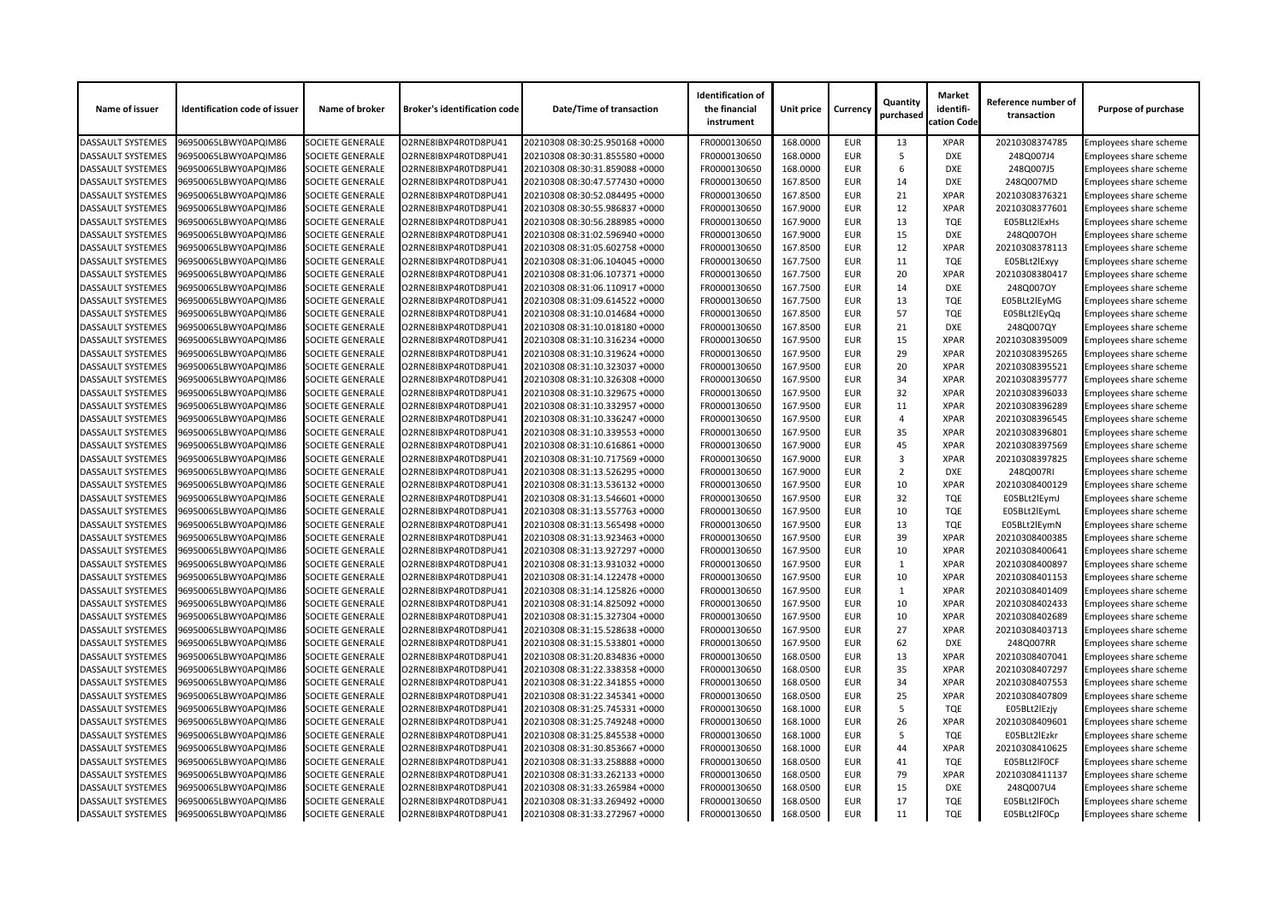| Name of issuer           | <b>Identification code of issuer</b> | Name of broker          | <b>Broker's identification code</b> | <b>Date/Time of transaction</b> | <b>Identification of</b><br>the financial<br>instrument | Unit price | <b>Currency</b> | Quantity<br>purchased | <b>Market</b><br>identifi-<br>cation Code | Reference number of<br>transaction | <b>Purpose of purchase</b>    |
|--------------------------|--------------------------------------|-------------------------|-------------------------------------|---------------------------------|---------------------------------------------------------|------------|-----------------|-----------------------|-------------------------------------------|------------------------------------|-------------------------------|
| <b>DASSAULT SYSTEMES</b> | 96950065LBWY0APQIM86                 | <b>SOCIETE GENERALE</b> | O2RNE8IBXP4R0TD8PU41                | 20210308 08:30:25.950168 +0000  | FR0000130650                                            | 168.0000   | <b>EUR</b>      | 13                    | <b>XPAR</b>                               | 20210308374785                     | Employees share scheme        |
| <b>DASSAULT SYSTEMES</b> | 96950065LBWY0APQIM86                 | <b>SOCIETE GENERALE</b> | O2RNE8IBXP4R0TD8PU41                | 20210308 08:30:31.855580 +0000  | FR0000130650                                            | 168.0000   | <b>EUR</b>      | .5                    | <b>DXE</b>                                | 248Q007J4                          | <b>Employees share scheme</b> |
| <b>DASSAULT SYSTEMES</b> | 96950065LBWY0APQIM86                 | SOCIETE GENERALE        | O2RNE8IBXP4R0TD8PU41                | 20210308 08:30:31.859088 +0000  | FR0000130650                                            | 168.0000   | <b>EUR</b>      | -6                    | <b>DXE</b>                                | 248Q007J5                          | Employees share scheme        |
| <b>DASSAULT SYSTEMES</b> | 96950065LBWY0APQIM86                 | SOCIETE GENERALE        | O2RNE8IBXP4R0TD8PU41                | 20210308 08:30:47.577430 +0000  | FR0000130650                                            | 167.8500   | <b>EUR</b>      | 14                    | <b>DXE</b>                                | 248Q007MD                          | <b>Employees share scheme</b> |
| <b>DASSAULT SYSTEMES</b> | 96950065LBWY0APQIM86                 | <b>SOCIETE GENERALE</b> | O2RNE8IBXP4R0TD8PU41                | 20210308 08:30:52.084495 +0000  | FR0000130650                                            | 167.8500   | <b>EUR</b>      | 21                    | <b>XPAR</b>                               | 20210308376321                     | Employees share scheme        |
| <b>DASSAULT SYSTEMES</b> | 96950065LBWY0APQIM86                 | <b>SOCIETE GENERALE</b> | O2RNE8IBXP4R0TD8PU41                | 20210308 08:30:55.986837 +0000  | FR0000130650                                            | 167.9000   | <b>EUR</b>      | 12                    | <b>XPAR</b>                               | 20210308377601                     | Employees share scheme        |
| <b>DASSAULT SYSTEMES</b> | 96950065LBWY0APQIM86                 | <b>SOCIETE GENERALE</b> | O2RNE8IBXP4R0TD8PU41                | 20210308 08:30:56.288985 +0000  | FR0000130650                                            | 167.9000   | <b>EUR</b>      | 13                    | <b>TQE</b>                                | E05BLt2lExHs                       | Employees share scheme        |
| <b>DASSAULT SYSTEMES</b> | 96950065LBWY0APQIM86                 | SOCIETE GENERALE        | O2RNE8IBXP4R0TD8PU41                | 20210308 08:31:02.596940 +0000  | FR0000130650                                            | 167.9000   | <b>EUR</b>      | 15                    | <b>DXE</b>                                | 248Q007OH                          | Employees share scheme        |
| <b>DASSAULT SYSTEMES</b> | 96950065LBWY0APQIM86                 | <b>SOCIETE GENERALE</b> | O2RNE8IBXP4R0TD8PU41                | 20210308 08:31:05.602758 +0000  | FR0000130650                                            | 167.8500   | <b>EUR</b>      | 12                    | <b>XPAR</b>                               | 20210308378113                     | <b>Employees share scheme</b> |
| <b>DASSAULT SYSTEMES</b> | 96950065LBWY0APQIM86                 | <b>SOCIETE GENERALE</b> | O2RNE8IBXP4R0TD8PU41                | 20210308 08:31:06.104045 +0000  | FR0000130650                                            | 167.7500   | <b>EUR</b>      | 11                    | <b>TQE</b>                                | E05BLt2lExyy                       | Employees share scheme        |
| <b>DASSAULT SYSTEMES</b> | 96950065LBWY0APQIM86                 | <b>SOCIETE GENERALE</b> | O2RNE8IBXP4R0TD8PU41                | 20210308 08:31:06.107371 +0000  | FR0000130650                                            | 167.7500   | <b>EUR</b>      | 20                    | <b>XPAR</b>                               | 20210308380417                     | Employees share scheme        |
| <b>DASSAULT SYSTEMES</b> | 96950065LBWY0APQIM86                 | <b>SOCIETE GENERALE</b> | O2RNE8IBXP4R0TD8PU41                | 20210308 08:31:06.110917 +0000  | FR0000130650                                            | 167.7500   | <b>EUR</b>      | 14                    | <b>DXE</b>                                | 248Q007OY                          | <b>Employees share scheme</b> |
| <b>DASSAULT SYSTEMES</b> | 96950065LBWY0APQIM86                 | SOCIETE GENERALE        | O2RNE8IBXP4R0TD8PU41                | 20210308 08:31:09.614522 +0000  | FR0000130650                                            | 167.7500   | <b>EUR</b>      | 13                    | <b>TQE</b>                                | E05BLt2lEyMG                       | Employees share scheme        |
| <b>DASSAULT SYSTEMES</b> | 96950065LBWY0APQIM86                 | <b>SOCIETE GENERALE</b> | O2RNE8IBXP4R0TD8PU41                | 20210308 08:31:10.014684 +0000  | FR0000130650                                            | 167.8500   | <b>EUR</b>      | 57                    | <b>TQE</b>                                | E05BLt2lEyQq                       | Employees share scheme        |
| <b>DASSAULT SYSTEMES</b> | 96950065LBWY0APQIM86                 | <b>SOCIETE GENERALE</b> | O2RNE8IBXP4R0TD8PU41                | 20210308 08:31:10.018180 +0000  | FR0000130650                                            | 167.8500   | <b>EUR</b>      | 21                    | <b>DXE</b>                                | 248Q007QY                          | Employees share scheme        |
| <b>DASSAULT SYSTEMES</b> | 96950065LBWY0APQIM86                 | <b>SOCIETE GENERALE</b> | O2RNE8IBXP4R0TD8PU41                | 20210308 08:31:10.316234 +0000  | FR0000130650                                            | 167.9500   | <b>EUR</b>      | 15                    | <b>XPAR</b>                               | 20210308395009                     | Employees share scheme        |
| <b>DASSAULT SYSTEMES</b> | 96950065LBWY0APQIM86                 | <b>SOCIETE GENERALE</b> | O2RNE8IBXP4R0TD8PU41                | 20210308 08:31:10.319624 +0000  | FR0000130650                                            | 167.9500   | <b>EUR</b>      | 29                    | <b>XPAR</b>                               | 20210308395265                     | Employees share scheme        |
| <b>DASSAULT SYSTEMES</b> | 96950065LBWY0APQIM86                 | SOCIETE GENERALE        | O2RNE8IBXP4R0TD8PU41                | 20210308 08:31:10.323037 +0000  | FR0000130650                                            | 167.9500   | <b>EUR</b>      | 20                    | <b>XPAR</b>                               | 20210308395521                     | Employees share scheme        |
| <b>DASSAULT SYSTEMES</b> | 96950065LBWY0APQIM86                 | <b>SOCIETE GENERALE</b> | O2RNE8IBXP4R0TD8PU41                | 20210308 08:31:10.326308 +0000  | FR0000130650                                            | 167.9500   | <b>EUR</b>      | 34                    | <b>XPAR</b>                               | 20210308395777                     | <b>Employees share scheme</b> |
| <b>DASSAULT SYSTEMES</b> | 96950065LBWY0APQIM86                 | <b>SOCIETE GENERALE</b> | O2RNE8IBXP4R0TD8PU41                | 20210308 08:31:10.329675 +0000  | FR0000130650                                            | 167.9500   | <b>EUR</b>      | 32                    | <b>XPAR</b>                               | 20210308396033                     | Employees share scheme        |
| <b>DASSAULT SYSTEMES</b> | 96950065LBWY0APQIM86                 | <b>SOCIETE GENERALE</b> | O2RNE8IBXP4R0TD8PU41                | 20210308 08:31:10.332957 +0000  | FR0000130650                                            | 167.9500   | <b>EUR</b>      | 11                    | <b>XPAR</b>                               | 20210308396289                     | Employees share scheme        |
|                          |                                      |                         |                                     |                                 |                                                         | 167.9500   | <b>EUR</b>      | 4                     | <b>XPAR</b>                               |                                    |                               |
| <b>DASSAULT SYSTEMES</b> | 96950065LBWY0APQIM86                 | <b>SOCIETE GENERALE</b> | O2RNE8IBXP4R0TD8PU41                | 20210308 08:31:10.336247 +0000  | FR0000130650                                            |            |                 | 35                    | <b>XPAR</b>                               | 20210308396545                     | <b>Employees share scheme</b> |
| <b>DASSAULT SYSTEMES</b> | 96950065LBWY0APQIM86                 | <b>SOCIETE GENERALE</b> | O2RNE8IBXP4R0TD8PU41                | 20210308 08:31:10.339553 +0000  | FR0000130650                                            | 167.9500   | <b>EUR</b>      |                       |                                           | 20210308396801                     | Employees share scheme        |
| <b>DASSAULT SYSTEMES</b> | 96950065LBWY0APQIM86                 | <b>SOCIETE GENERALE</b> | O2RNE8IBXP4R0TD8PU41                | 20210308 08:31:10.616861 +0000  | FR0000130650                                            | 167.9000   | <b>EUR</b>      | 45                    | <b>XPAR</b>                               | 20210308397569                     | Employees share scheme        |
| <b>DASSAULT SYSTEMES</b> | 96950065LBWY0APQIM86                 | <b>SOCIETE GENERALE</b> | O2RNE8IBXP4R0TD8PU41                | 20210308 08:31:10.717569 +0000  | FR0000130650                                            | 167.9000   | <b>EUR</b>      | 3                     | <b>XPAR</b>                               | 20210308397825                     | <b>Employees share scheme</b> |
| <b>DASSAULT SYSTEMES</b> | 96950065LBWY0APQIM86                 | SOCIETE GENERALE        | O2RNE8IBXP4R0TD8PU41                | 20210308 08:31:13.526295 +0000  | FR0000130650                                            | 167.9000   | <b>EUR</b>      | $\overline{2}$        | <b>DXE</b>                                | 248Q007RI                          | Employees share scheme        |
| <b>DASSAULT SYSTEMES</b> | 96950065LBWY0APQIM86                 | <b>SOCIETE GENERALE</b> | O2RNE8IBXP4R0TD8PU41                | 20210308 08:31:13.536132 +0000  | FR0000130650                                            | 167.9500   | <b>EUR</b>      | 10                    | <b>XPAR</b>                               | 20210308400129                     | <b>Employees share scheme</b> |
| <b>DASSAULT SYSTEMES</b> | 96950065LBWY0APQIM86                 | <b>SOCIETE GENERALE</b> | O2RNE8IBXP4R0TD8PU41                | 20210308 08:31:13.546601 +0000  | FR0000130650                                            | 167.9500   | <b>EUR</b>      | 32                    | <b>TQE</b>                                | E05BLt2lEymJ                       | <b>Employees share scheme</b> |
| <b>DASSAULT SYSTEMES</b> | 96950065LBWY0APQIM86                 | <b>SOCIETE GENERALE</b> | O2RNE8IBXP4R0TD8PU41                | 20210308 08:31:13.557763 +0000  | FR0000130650                                            | 167.9500   | <b>EUR</b>      | 10                    | TQE                                       | E05BLt2lEymL                       | <b>Employees share scheme</b> |
| <b>DASSAULT SYSTEMES</b> | 96950065LBWY0APQIM86                 | <b>SOCIETE GENERALE</b> | O2RNE8IBXP4R0TD8PU41                | 20210308 08:31:13.565498 +0000  | FR0000130650                                            | 167.9500   | <b>EUR</b>      | 13                    | <b>TQE</b>                                | E05BLt2lEymN                       | Employees share scheme        |
| <b>DASSAULT SYSTEMES</b> | 96950065LBWY0APQIM86                 | <b>SOCIETE GENERALE</b> | O2RNE8IBXP4R0TD8PU41                | 20210308 08:31:13.923463 +0000  | FR0000130650                                            | 167.9500   | <b>EUR</b>      | 39                    | <b>XPAR</b>                               | 20210308400385                     | Employees share scheme        |
| <b>DASSAULT SYSTEMES</b> | 96950065LBWY0APQIM86                 | <b>SOCIETE GENERALE</b> | O2RNE8IBXP4R0TD8PU41                | 20210308 08:31:13.927297 +0000  | FR0000130650                                            | 167.9500   | <b>EUR</b>      | 10                    | <b>XPAR</b>                               | 20210308400641                     | <b>Employees share scheme</b> |
| <b>DASSAULT SYSTEMES</b> | 96950065LBWY0APQIM86                 | <b>SOCIETE GENERALE</b> | O2RNE8IBXP4R0TD8PU41                | 20210308 08:31:13.931032 +0000  | FR0000130650                                            | 167.9500   | <b>EUR</b>      | 1                     | <b>XPAR</b>                               | 20210308400897                     | Employees share scheme        |
| <b>DASSAULT SYSTEMES</b> | 96950065LBWY0APQIM86                 | <b>SOCIETE GENERALE</b> | O2RNE8IBXP4R0TD8PU41                | 20210308 08:31:14.122478 +0000  | FR0000130650                                            | 167.9500   | <b>EUR</b>      | 10                    | <b>XPAR</b>                               | 20210308401153                     | Employees share scheme        |
| <b>DASSAULT SYSTEMES</b> | 96950065LBWY0APQIM86                 | <b>SOCIETE GENERALE</b> | O2RNE8IBXP4R0TD8PU41                | 20210308 08:31:14.125826 +0000  | FR0000130650                                            | 167.9500   | <b>EUR</b>      |                       | <b>XPAR</b>                               | 20210308401409                     | Employees share scheme        |
| <b>DASSAULT SYSTEMES</b> | 96950065LBWY0APQIM86                 | <b>SOCIETE GENERALE</b> | O2RNE8IBXP4R0TD8PU41                | 20210308 08:31:14.825092 +0000  | FR0000130650                                            | 167.9500   | <b>EUR</b>      | 10                    | <b>XPAR</b>                               | 20210308402433                     | Employees share scheme        |
| <b>DASSAULT SYSTEMES</b> | 96950065LBWY0APQIM86                 | <b>SOCIETE GENERALE</b> | O2RNE8IBXP4R0TD8PU41                | 20210308 08:31:15.327304 +0000  | FR0000130650                                            | 167.9500   | <b>EUR</b>      | 10                    | <b>XPAR</b>                               | 20210308402689                     | <b>Employees share scheme</b> |
| <b>DASSAULT SYSTEMES</b> | 96950065LBWY0APQIM86                 | <b>SOCIETE GENERALE</b> | O2RNE8IBXP4R0TD8PU41                | 20210308 08:31:15.528638 +0000  | FR0000130650                                            | 167.9500   | <b>EUR</b>      | 27                    | <b>XPAR</b>                               | 20210308403713                     | Employees share scheme        |
| <b>DASSAULT SYSTEMES</b> | 96950065LBWY0APQIM86                 | <b>SOCIETE GENERALE</b> | O2RNE8IBXP4R0TD8PU41                | 20210308 08:31:15.533801 +0000  | FR0000130650                                            | 167.9500   | <b>EUR</b>      | 62                    | <b>DXE</b>                                | 248Q007RR                          | <b>Employees share scheme</b> |
| <b>DASSAULT SYSTEMES</b> | 96950065LBWY0APQIM86                 | <b>SOCIETE GENERALE</b> | O2RNE8IBXP4R0TD8PU41                | 20210308 08:31:20.834836 +0000  | FR0000130650                                            | 168.0500   | <b>EUR</b>      | 13                    | <b>XPAR</b>                               | 20210308407041                     | Employees share scheme        |
| <b>DASSAULT SYSTEMES</b> | 96950065LBWY0APQIM86                 | <b>SOCIETE GENERALE</b> | O2RNE8IBXP4R0TD8PU41                | 20210308 08:31:22.338358 +0000  | FR0000130650                                            | 168.0500   | <b>EUR</b>      | 35                    | <b>XPAR</b>                               | 20210308407297                     | Employees share scheme        |
| <b>DASSAULT SYSTEMES</b> | 96950065LBWY0APQIM86                 | <b>SOCIETE GENERALE</b> | O2RNE8IBXP4R0TD8PU41                | 20210308 08:31:22.341855 +0000  | FR0000130650                                            | 168.0500   | <b>EUR</b>      | 34                    | <b>XPAR</b>                               | 20210308407553                     | <b>Employees share scheme</b> |
| <b>DASSAULT SYSTEMES</b> | 96950065LBWY0APQIM86                 | <b>SOCIETE GENERALE</b> | O2RNE8IBXP4R0TD8PU41                | 20210308 08:31:22.345341 +0000  | FR0000130650                                            | 168.0500   | <b>EUR</b>      | 25                    | <b>XPAR</b>                               | 20210308407809                     | Employees share scheme        |
| <b>DASSAULT SYSTEMES</b> | 96950065LBWY0APQIM86                 | <b>SOCIETE GENERALE</b> | O2RNE8IBXP4R0TD8PU41                | 20210308 08:31:25.745331 +0000  | FR0000130650                                            | 168.1000   | <b>EUR</b>      | .5                    | <b>TQE</b>                                | E05BLt2lEzjy                       | <b>Employees share scheme</b> |
| <b>DASSAULT SYSTEMES</b> | 96950065LBWY0APQIM86                 | <b>SOCIETE GENERALE</b> | O2RNE8IBXP4R0TD8PU41                | 20210308 08:31:25.749248 +0000  | FR0000130650                                            | 168.1000   | <b>EUR</b>      | 26                    | <b>XPAR</b>                               | 20210308409601                     | <b>Employees share scheme</b> |
| <b>DASSAULT SYSTEMES</b> | 96950065LBWY0APQIM86                 | <b>SOCIETE GENERALE</b> | O2RNE8IBXP4R0TD8PU41                | 20210308 08:31:25.845538 +0000  | FR0000130650                                            | 168.1000   | <b>EUR</b>      | -5                    | <b>TQE</b>                                | E05BLt2lEzkr                       | Employees share scheme        |
| <b>DASSAULT SYSTEMES</b> | 96950065LBWY0APQIM86                 | <b>SOCIETE GENERALE</b> | O2RNE8IBXP4R0TD8PU41                | 20210308 08:31:30.853667 +0000  | FR0000130650                                            | 168.1000   | <b>EUR</b>      | 44                    | <b>XPAR</b>                               | 20210308410625                     | Employees share scheme        |
| <b>DASSAULT SYSTEMES</b> | 96950065LBWY0APQIM86                 | <b>SOCIETE GENERALE</b> | O2RNE8IBXP4R0TD8PU41                | 20210308 08:31:33.258888 +0000  | FR0000130650                                            | 168.0500   | <b>EUR</b>      | 41                    | <b>TQE</b>                                | E05BLt2IFOCF                       | Employees share scheme        |
| <b>DASSAULT SYSTEMES</b> | 96950065LBWY0APQIM86                 | <b>SOCIETE GENERALE</b> | O2RNE8IBXP4R0TD8PU41                | 20210308 08:31:33.262133 +0000  | FR0000130650                                            | 168.0500   | <b>EUR</b>      | 79                    | <b>XPAR</b>                               | 20210308411137                     | <b>Employees share scheme</b> |
| <b>DASSAULT SYSTEMES</b> | 96950065LBWY0APQIM86                 | <b>SOCIETE GENERALE</b> | O2RNE8IBXP4R0TD8PU41                | 20210308 08:31:33.265984 +0000  | FR0000130650                                            | 168.0500   | <b>EUR</b>      | 15                    | <b>DXE</b>                                | 248Q007U4                          | Employees share scheme        |
| <b>DASSAULT SYSTEMES</b> | 96950065LBWY0APQIM86                 | <b>SOCIETE GENERALE</b> | O2RNE8IBXP4R0TD8PU41                | 20210308 08:31:33.269492 +0000  | FR0000130650                                            | 168.0500   | <b>EUR</b>      | 17                    | <b>TQE</b>                                | E05BLt2lF0Ch                       | Employees share scheme        |
| <b>DASSAULT SYSTEMES</b> | 96950065LBWY0APQIM86                 | <b>SOCIETE GENERALE</b> | O2RNE8IBXP4R0TD8PU41                | 20210308 08:31:33.272967 +0000  | FR0000130650                                            | 168.0500   | <b>EUR</b>      | 11                    | <b>TQE</b>                                | E05BLt2IF0Cp                       | <b>Employees share scheme</b> |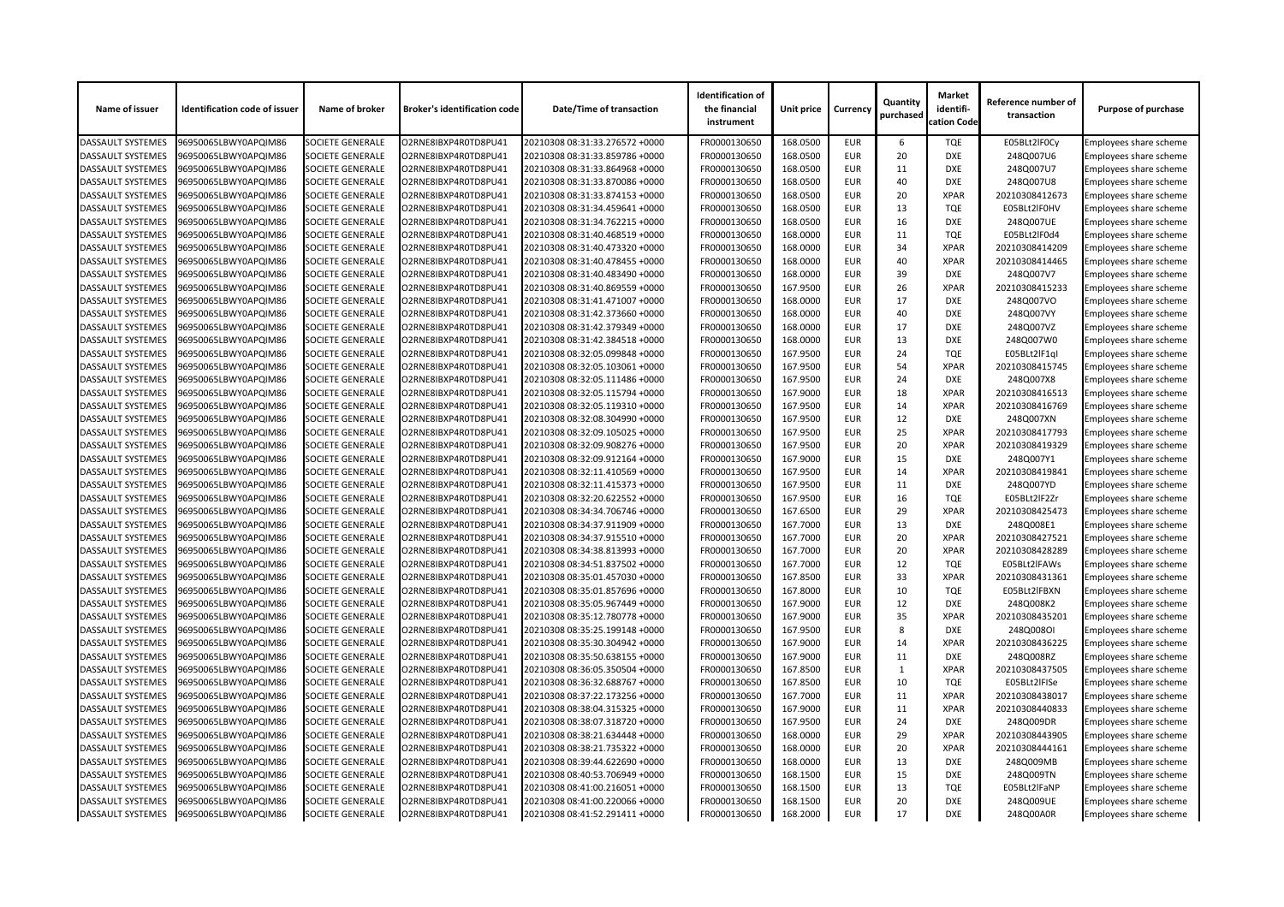| Name of issuer           | <b>Identification code of issuer</b> | Name of broker          | <b>Broker's identification code</b> | <b>Date/Time of transaction</b> | <b>Identification of</b><br>the financial<br>instrument | Unit price | <b>Currency</b> | Quantity<br>purchased | <b>Market</b><br>identifi-<br>cation Code | Reference number of<br>transaction | <b>Purpose of purchase</b>    |
|--------------------------|--------------------------------------|-------------------------|-------------------------------------|---------------------------------|---------------------------------------------------------|------------|-----------------|-----------------------|-------------------------------------------|------------------------------------|-------------------------------|
| <b>DASSAULT SYSTEMES</b> | 96950065LBWY0APQIM86                 | <b>SOCIETE GENERALE</b> | O2RNE8IBXP4R0TD8PU41                | 20210308 08:31:33.276572 +0000  | FR0000130650                                            | 168.0500   | <b>EUR</b>      | 6                     | <b>TQE</b>                                | E05BLt2IF0Cy                       | Employees share scheme        |
| <b>DASSAULT SYSTEMES</b> | 96950065LBWY0APQIM86                 | <b>SOCIETE GENERALE</b> | O2RNE8IBXP4R0TD8PU41                | 20210308 08:31:33.859786 +0000  | FR0000130650                                            | 168.0500   | <b>EUR</b>      | 20                    | <b>DXE</b>                                | 248Q007U6                          | <b>Employees share scheme</b> |
| <b>DASSAULT SYSTEMES</b> | 96950065LBWY0APQIM86                 | SOCIETE GENERALE        | O2RNE8IBXP4R0TD8PU41                | 20210308 08:31:33.864968 +0000  | FR0000130650                                            | 168.0500   | <b>EUR</b>      | 11                    | <b>DXE</b>                                | 248Q007U7                          | Employees share scheme        |
| <b>DASSAULT SYSTEMES</b> | 96950065LBWY0APQIM86                 | <b>SOCIETE GENERALE</b> | O2RNE8IBXP4R0TD8PU41                | 20210308 08:31:33.870086 +0000  | FR0000130650                                            | 168.0500   | <b>EUR</b>      | 40                    | <b>DXE</b>                                | 248Q007U8                          | <b>Employees share scheme</b> |
| <b>DASSAULT SYSTEMES</b> | 96950065LBWY0APQIM86                 | <b>SOCIETE GENERALE</b> | O2RNE8IBXP4R0TD8PU41                | 20210308 08:31:33.874153 +0000  | FR0000130650                                            | 168.0500   | <b>EUR</b>      | 20                    | <b>XPAR</b>                               | 20210308412673                     | Employees share scheme        |
| <b>DASSAULT SYSTEMES</b> | 96950065LBWY0APQIM86                 | <b>SOCIETE GENERALE</b> | O2RNE8IBXP4R0TD8PU41                | 20210308 08:31:34.459641 +0000  | FR0000130650                                            | 168.0500   | <b>EUR</b>      | 13                    | <b>TQE</b>                                | E05BLt2IF0HV                       | Employees share scheme        |
| <b>DASSAULT SYSTEMES</b> | 96950065LBWY0APQIM86                 | <b>SOCIETE GENERALE</b> | O2RNE8IBXP4R0TD8PU41                | 20210308 08:31:34.762215 +0000  | FR0000130650                                            | 168.0500   | <b>EUR</b>      | 16                    | <b>DXE</b>                                | 248Q007UE                          | Employees share scheme        |
| <b>DASSAULT SYSTEMES</b> | 96950065LBWY0APQIM86                 | SOCIETE GENERALE        | O2RNE8IBXP4R0TD8PU41                | 20210308 08:31:40.468519 +0000  | FR0000130650                                            | 168.0000   | <b>EUR</b>      | 11                    | <b>TQE</b>                                | E05BLt2lF0d4                       | Employees share scheme        |
| <b>DASSAULT SYSTEMES</b> | 96950065LBWY0APQIM86                 | <b>SOCIETE GENERALE</b> | O2RNE8IBXP4R0TD8PU41                | 20210308 08:31:40.473320 +0000  | FR0000130650                                            | 168.0000   | <b>EUR</b>      | 34                    | <b>XPAR</b>                               | 20210308414209                     | Employees share scheme        |
| <b>DASSAULT SYSTEMES</b> | 96950065LBWY0APQIM86                 | <b>SOCIETE GENERALE</b> | O2RNE8IBXP4R0TD8PU41                | 20210308 08:31:40.478455 +0000  | FR0000130650                                            | 168.0000   | <b>EUR</b>      | 40                    | <b>XPAR</b>                               | 20210308414465                     | <b>Employees share scheme</b> |
| <b>DASSAULT SYSTEMES</b> | 96950065LBWY0APQIM86                 | <b>SOCIETE GENERALE</b> | O2RNE8IBXP4R0TD8PU41                | 20210308 08:31:40.483490 +0000  | FR0000130650                                            | 168.0000   | <b>EUR</b>      | 39                    | <b>DXE</b>                                | 248Q007V7                          | Employees share scheme        |
| <b>DASSAULT SYSTEMES</b> | 96950065LBWY0APQIM86                 | <b>SOCIETE GENERALE</b> | O2RNE8IBXP4R0TD8PU41                | 20210308 08:31:40.869559 +0000  | FR0000130650                                            | 167.9500   | <b>EUR</b>      | 26                    | <b>XPAR</b>                               | 20210308415233                     | <b>Employees share scheme</b> |
| <b>DASSAULT SYSTEMES</b> | 96950065LBWY0APQIM86                 | SOCIETE GENERALE        | O2RNE8IBXP4R0TD8PU41                | 20210308 08:31:41.471007 +0000  | FR0000130650                                            | 168.0000   | <b>EUR</b>      | 17                    | <b>DXE</b>                                | 248Q007VO                          | Employees share scheme        |
| <b>DASSAULT SYSTEMES</b> | 96950065LBWY0APQIM86                 | <b>SOCIETE GENERALE</b> | O2RNE8IBXP4R0TD8PU41                | 20210308 08:31:42.373660 +0000  | FR0000130650                                            | 168.0000   | <b>EUR</b>      | 40                    | <b>DXE</b>                                | 248Q007VY                          | <b>Employees share scheme</b> |
| <b>DASSAULT SYSTEMES</b> | 96950065LBWY0APQIM86                 | <b>SOCIETE GENERALE</b> | O2RNE8IBXP4R0TD8PU41                | 20210308 08:31:42.379349 +0000  | FR0000130650                                            | 168.0000   | <b>EUR</b>      | 17                    | <b>DXE</b>                                | 248Q007VZ                          | Employees share scheme        |
| <b>DASSAULT SYSTEMES</b> | 96950065LBWY0APQIM86                 | <b>SOCIETE GENERALE</b> | O2RNE8IBXP4R0TD8PU41                | 20210308 08:31:42.384518 +0000  | FR0000130650                                            | 168.0000   | <b>EUR</b>      | 13                    | <b>DXE</b>                                | 248Q007W0                          | Employees share scheme        |
| <b>DASSAULT SYSTEMES</b> | 96950065LBWY0APQIM86                 | <b>SOCIETE GENERALE</b> | O2RNE8IBXP4R0TD8PU41                | 20210308 08:32:05.099848 +0000  | FR0000130650                                            | 167.9500   | <b>EUR</b>      | 24                    | <b>TQE</b>                                | E05BLt2lF1ql                       | <b>Employees share scheme</b> |
| <b>DASSAULT SYSTEMES</b> | 96950065LBWY0APQIM86                 | SOCIETE GENERALE        | O2RNE8IBXP4R0TD8PU41                | 20210308 08:32:05.103061 +0000  | FR0000130650                                            | 167.9500   | <b>EUR</b>      | 54                    | <b>XPAR</b>                               | 20210308415745                     | Employees share scheme        |
| <b>DASSAULT SYSTEMES</b> | 96950065LBWY0APQIM86                 | <b>SOCIETE GENERALE</b> | O2RNE8IBXP4R0TD8PU41                | 20210308 08:32:05.111486 +0000  | FR0000130650                                            | 167.9500   | <b>EUR</b>      | 24                    | <b>DXE</b>                                | 248Q007X8                          | <b>Employees share scheme</b> |
| <b>DASSAULT SYSTEMES</b> | 96950065LBWY0APQIM86                 | <b>SOCIETE GENERALE</b> | O2RNE8IBXP4R0TD8PU41                | 20210308 08:32:05.115794 +0000  | FR0000130650                                            | 167.9000   | <b>EUR</b>      | 18                    | <b>XPAR</b>                               | 20210308416513                     | Employees share scheme        |
| <b>DASSAULT SYSTEMES</b> | 96950065LBWY0APQIM86                 | <b>SOCIETE GENERALE</b> | O2RNE8IBXP4R0TD8PU41                | 20210308 08:32:05.119310 +0000  | FR0000130650                                            | 167.9500   | <b>EUR</b>      | 14                    | <b>XPAR</b>                               | 20210308416769                     | Employees share scheme        |
| <b>DASSAULT SYSTEMES</b> | 96950065LBWY0APQIM86                 | <b>SOCIETE GENERALE</b> | O2RNE8IBXP4R0TD8PU41                |                                 | FR0000130650                                            | 167.9500   | <b>EUR</b>      | 12                    | <b>DXE</b>                                | 248Q007XN                          |                               |
|                          |                                      |                         |                                     | 20210308 08:32:08.304990 +0000  |                                                         |            | <b>EUR</b>      | 25                    | <b>XPAR</b>                               |                                    | <b>Employees share scheme</b> |
| <b>DASSAULT SYSTEMES</b> | 96950065LBWY0APQIM86                 | <b>SOCIETE GENERALE</b> | O2RNE8IBXP4R0TD8PU41                | 20210308 08:32:09.105025 +0000  | FR0000130650                                            | 167.9500   |                 |                       |                                           | 20210308417793                     | Employees share scheme        |
| <b>DASSAULT SYSTEMES</b> | 96950065LBWY0APQIM86                 | <b>SOCIETE GENERALE</b> | O2RNE8IBXP4R0TD8PU41                | 20210308 08:32:09.908276 +0000  | FR0000130650                                            | 167.9500   | <b>EUR</b>      | 20                    | <b>XPAR</b>                               | 20210308419329                     | Employees share scheme        |
| <b>DASSAULT SYSTEMES</b> | 96950065LBWY0APQIM86                 | <b>SOCIETE GENERALE</b> | O2RNE8IBXP4R0TD8PU41                | 20210308 08:32:09.912164 +0000  | FR0000130650                                            | 167.9000   | <b>EUR</b>      | 15                    | <b>DXE</b>                                | 248Q007Y1                          | <b>Employees share scheme</b> |
| <b>DASSAULT SYSTEMES</b> | 96950065LBWY0APQIM86                 | SOCIETE GENERALE        | O2RNE8IBXP4R0TD8PU41                | 20210308 08:32:11.410569 +0000  | FR0000130650                                            | 167.9500   | <b>EUR</b>      | 14                    | <b>XPAR</b>                               | 20210308419841                     | Employees share scheme        |
| <b>DASSAULT SYSTEMES</b> | 96950065LBWY0APQIM86                 | <b>SOCIETE GENERALE</b> | O2RNE8IBXP4R0TD8PU41                | 20210308 08:32:11.415373 +0000  | FR0000130650                                            | 167.9500   | <b>EUR</b>      | 11                    | <b>DXE</b>                                | 248Q007YD                          | Employees share scheme        |
| <b>DASSAULT SYSTEMES</b> | 96950065LBWY0APQIM86                 | <b>SOCIETE GENERALE</b> | O2RNE8IBXP4R0TD8PU41                | 20210308 08:32:20.622552 +0000  | FR0000130650                                            | 167.9500   | <b>EUR</b>      | 16                    | <b>TQE</b>                                | E05BLt2lF2Zr                       | <b>Employees share scheme</b> |
| <b>DASSAULT SYSTEMES</b> | 96950065LBWY0APQIM86                 | <b>SOCIETE GENERALE</b> | O2RNE8IBXP4R0TD8PU41                | 20210308 08:34:34.706746 +0000  | FR0000130650                                            | 167.6500   | <b>EUR</b>      | 29                    | <b>XPAR</b>                               | 20210308425473                     | <b>Employees share scheme</b> |
| <b>DASSAULT SYSTEMES</b> | 96950065LBWY0APQIM86                 | <b>SOCIETE GENERALE</b> | O2RNE8IBXP4R0TD8PU41                | 20210308 08:34:37.911909 +0000  | FR0000130650                                            | 167.7000   | <b>EUR</b>      | 13                    | <b>DXE</b>                                | 248Q008E1                          | Employees share scheme        |
| <b>DASSAULT SYSTEMES</b> | 96950065LBWY0APQIM86                 | <b>SOCIETE GENERALE</b> | O2RNE8IBXP4R0TD8PU41                | 20210308 08:34:37.915510 +0000  | FR0000130650                                            | 167.7000   | <b>EUR</b>      | 20                    | <b>XPAR</b>                               | 20210308427521                     | Employees share scheme        |
| <b>DASSAULT SYSTEMES</b> | 96950065LBWY0APQIM86                 | <b>SOCIETE GENERALE</b> | O2RNE8IBXP4R0TD8PU41                | 20210308 08:34:38.813993 +0000  | FR0000130650                                            | 167.7000   | <b>EUR</b>      | 20                    | <b>XPAR</b>                               | 20210308428289                     | <b>Employees share scheme</b> |
| <b>DASSAULT SYSTEMES</b> | 96950065LBWY0APQIM86                 | <b>SOCIETE GENERALE</b> | O2RNE8IBXP4R0TD8PU41                | 20210308 08:34:51.837502 +0000  | FR0000130650                                            | 167.7000   | <b>EUR</b>      | 12                    | <b>TQE</b>                                | E05BLt2IFAWs                       | Employees share scheme        |
| <b>DASSAULT SYSTEMES</b> | 96950065LBWY0APQIM86                 | <b>SOCIETE GENERALE</b> | O2RNE8IBXP4R0TD8PU41                | 20210308 08:35:01.457030 +0000  | FR0000130650                                            | 167.8500   | <b>EUR</b>      | 33                    | <b>XPAR</b>                               | 20210308431361                     | Employees share scheme        |
| <b>DASSAULT SYSTEMES</b> | 96950065LBWY0APQIM86                 | <b>SOCIETE GENERALE</b> | O2RNE8IBXP4R0TD8PU41                | 20210308 08:35:01.857696 +0000  | FR0000130650                                            | 167.8000   | <b>EUR</b>      | 10                    | <b>TQE</b>                                | E05BLt2IFBXN                       | Employees share scheme        |
| <b>DASSAULT SYSTEMES</b> | 96950065LBWY0APQIM86                 | <b>SOCIETE GENERALE</b> | O2RNE8IBXP4R0TD8PU41                | 20210308 08:35:05.967449 +0000  | FR0000130650                                            | 167.9000   | <b>EUR</b>      | 12                    | <b>DXE</b>                                | 248Q008K2                          | Employees share scheme        |
| <b>DASSAULT SYSTEMES</b> | 96950065LBWY0APQIM86                 | <b>SOCIETE GENERALE</b> | O2RNE8IBXP4R0TD8PU41                | 20210308 08:35:12.780778 +0000  | FR0000130650                                            | 167.9000   | <b>EUR</b>      | 35                    | <b>XPAR</b>                               | 20210308435201                     | <b>Employees share scheme</b> |
| <b>DASSAULT SYSTEMES</b> | 96950065LBWY0APQIM86                 | <b>SOCIETE GENERALE</b> | O2RNE8IBXP4R0TD8PU41                | 20210308 08:35:25.199148 +0000  | FR0000130650                                            | 167.9500   | <b>EUR</b>      | 8                     | <b>DXE</b>                                | 248Q008OI                          | Employees share scheme        |
| <b>DASSAULT SYSTEMES</b> | 96950065LBWY0APQIM86                 | <b>SOCIETE GENERALE</b> | O2RNE8IBXP4R0TD8PU41                | 20210308 08:35:30.304942 +0000  | FR0000130650                                            | 167.9000   | <b>EUR</b>      | 14                    | <b>XPAR</b>                               | 20210308436225                     | <b>Employees share scheme</b> |
| <b>DASSAULT SYSTEMES</b> | 96950065LBWY0APQIM86                 | <b>SOCIETE GENERALE</b> | O2RNE8IBXP4R0TD8PU41                | 20210308 08:35:50.638155 +0000  | FR0000130650                                            | 167.9000   | <b>EUR</b>      | 11                    | <b>DXE</b>                                | 248Q008RZ                          | Employees share scheme        |
| <b>DASSAULT SYSTEMES</b> | 96950065LBWY0APQIM86                 | <b>SOCIETE GENERALE</b> | O2RNE8IBXP4R0TD8PU41                | 20210308 08:36:05.350504 +0000  | FR0000130650                                            | 167.8500   | <b>EUR</b>      | 1                     | <b>XPAR</b>                               | 20210308437505                     | Employees share scheme        |
| <b>DASSAULT SYSTEMES</b> | 96950065LBWY0APQIM86                 | <b>SOCIETE GENERALE</b> | O2RNE8IBXP4R0TD8PU41                | 20210308 08:36:32.688767 +0000  | FR0000130650                                            | 167.8500   | <b>EUR</b>      | 10                    | <b>TQE</b>                                | E05BLt2IFISe                       | <b>Employees share scheme</b> |
| <b>DASSAULT SYSTEMES</b> | 96950065LBWY0APQIM86                 | <b>SOCIETE GENERALE</b> | O2RNE8IBXP4R0TD8PU41                | 20210308 08:37:22.173256 +0000  | FR0000130650                                            | 167.7000   | <b>EUR</b>      | 11                    | <b>XPAR</b>                               | 20210308438017                     | Employees share scheme        |
| <b>DASSAULT SYSTEMES</b> | 96950065LBWY0APQIM86                 | <b>SOCIETE GENERALE</b> | O2RNE8IBXP4R0TD8PU41                | 20210308 08:38:04.315325 +0000  | FR0000130650                                            | 167.9000   | <b>EUR</b>      | 11                    | <b>XPAR</b>                               | 20210308440833                     | <b>Employees share scheme</b> |
| <b>DASSAULT SYSTEMES</b> | 96950065LBWY0APQIM86                 | <b>SOCIETE GENERALE</b> | O2RNE8IBXP4R0TD8PU41                | 20210308 08:38:07.318720 +0000  | FR0000130650                                            | 167.9500   | <b>EUR</b>      | 24                    | <b>DXE</b>                                | 248Q009DR                          | Employees share scheme        |
| <b>DASSAULT SYSTEMES</b> | 96950065LBWY0APQIM86                 | <b>SOCIETE GENERALE</b> | O2RNE8IBXP4R0TD8PU41                | 20210308 08:38:21.634448 +0000  | FR0000130650                                            | 168.0000   | <b>EUR</b>      | 29                    | <b>XPAR</b>                               | 20210308443905                     | Employees share scheme        |
| <b>DASSAULT SYSTEMES</b> | 96950065LBWY0APQIM86                 | <b>SOCIETE GENERALE</b> | O2RNE8IBXP4R0TD8PU41                | 20210308 08:38:21.735322 +0000  | FR0000130650                                            | 168.0000   | <b>EUR</b>      | 20                    | <b>XPAR</b>                               | 20210308444161                     | <b>Employees share scheme</b> |
| <b>DASSAULT SYSTEMES</b> | 96950065LBWY0APQIM86                 | <b>SOCIETE GENERALE</b> | O2RNE8IBXP4R0TD8PU41                | 20210308 08:39:44.622690 +0000  | FR0000130650                                            | 168.0000   | <b>EUR</b>      | 13                    | <b>DXE</b>                                | 248Q009MB                          | Employees share scheme        |
| <b>DASSAULT SYSTEMES</b> | 96950065LBWY0APQIM86                 | <b>SOCIETE GENERALE</b> | O2RNE8IBXP4R0TD8PU41                | 20210308 08:40:53.706949 +0000  | FR0000130650                                            | 168.1500   | <b>EUR</b>      | 15                    | <b>DXE</b>                                | 248Q009TN                          | Employees share scheme        |
| <b>DASSAULT SYSTEMES</b> | 96950065LBWY0APQIM86                 | <b>SOCIETE GENERALE</b> | O2RNE8IBXP4R0TD8PU41                | 20210308 08:41:00.216051 +0000  | FR0000130650                                            | 168.1500   | <b>EUR</b>      | 13                    | <b>TQE</b>                                | E05BLt2lFaNP                       | Employees share scheme        |
| <b>DASSAULT SYSTEMES</b> | 96950065LBWY0APQIM86                 | <b>SOCIETE GENERALE</b> | O2RNE8IBXP4R0TD8PU41                | 20210308 08:41:00.220066 +0000  | FR0000130650                                            | 168.1500   | <b>EUR</b>      | 20                    | <b>DXE</b>                                | 248Q009UE                          | <b>Employees share scheme</b> |
| <b>DASSAULT SYSTEMES</b> | 96950065LBWY0APQIM86                 | <b>SOCIETE GENERALE</b> | O2RNE8IBXP4R0TD8PU41                | 20210308 08:41:52.291411 +0000  | FR0000130650                                            | 168.2000   | EUR             | 17                    | <b>DXE</b>                                | 248Q00A0R                          | <b>Employees share scheme</b> |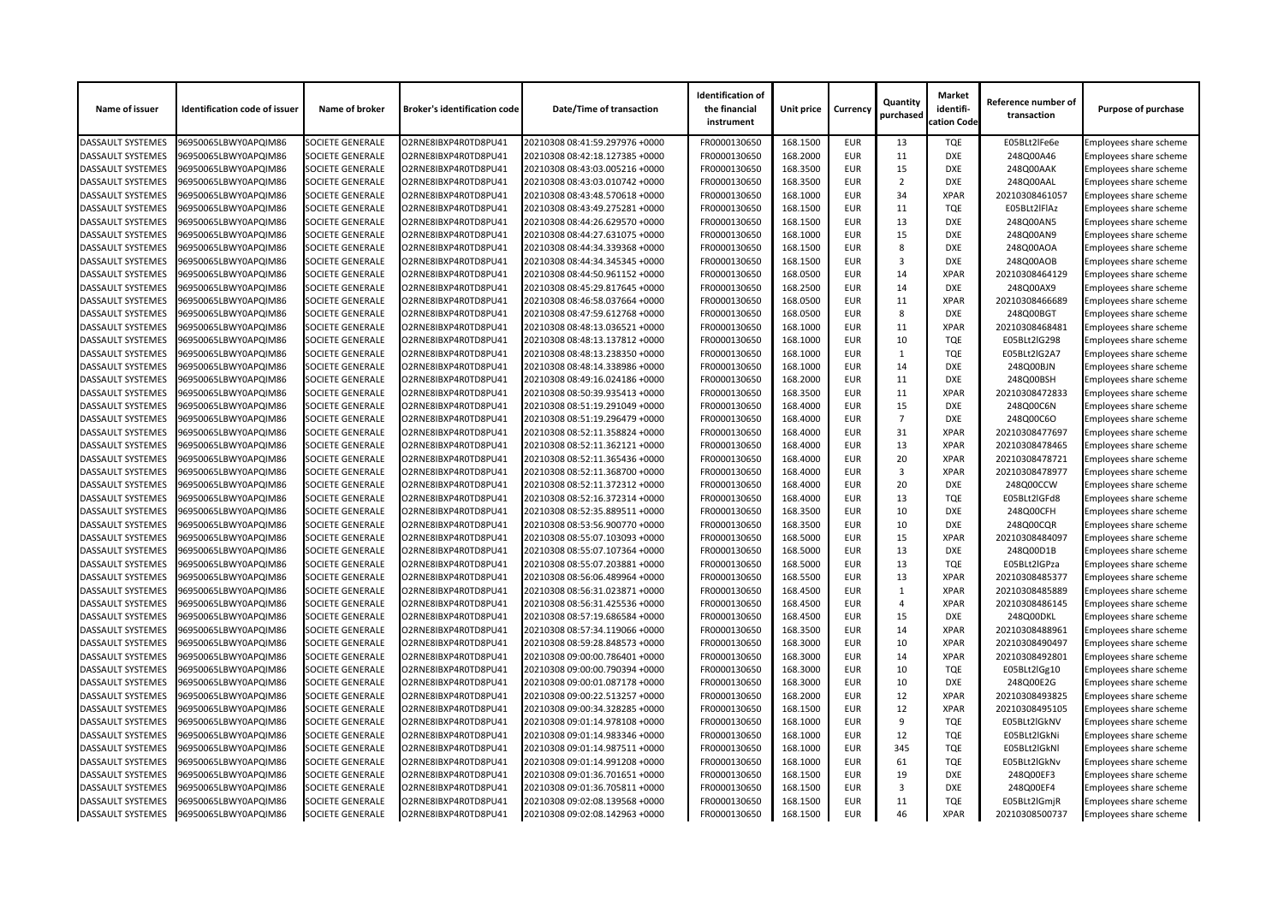| Name of issuer           | <b>Identification code of issuer</b> | Name of broker          | <b>Broker's identification code</b> | <b>Date/Time of transaction</b> | <b>Identification of</b><br>the financial<br>instrument | <b>Unit price</b> | <b>Currency</b> | Quantity<br>purchased | <b>Market</b><br>identifi-<br>cation Code | Reference number of<br>transaction | <b>Purpose of purchase</b>    |
|--------------------------|--------------------------------------|-------------------------|-------------------------------------|---------------------------------|---------------------------------------------------------|-------------------|-----------------|-----------------------|-------------------------------------------|------------------------------------|-------------------------------|
| <b>DASSAULT SYSTEMES</b> | 96950065LBWY0APQIM86                 | <b>SOCIETE GENERALE</b> | O2RNE8IBXP4R0TD8PU41                | 20210308 08:41:59.297976 +0000  | FR0000130650                                            | 168.1500          | <b>EUR</b>      | 13                    | <b>TQE</b>                                | E05BLt2lFe6e                       | Employees share scheme        |
| <b>DASSAULT SYSTEMES</b> | 96950065LBWY0APQIM86                 | <b>SOCIETE GENERALE</b> | O2RNE8IBXP4R0TD8PU41                | 20210308 08:42:18.127385 +0000  | FR0000130650                                            | 168.2000          | <b>EUR</b>      | 11                    | <b>DXE</b>                                | 248Q00A46                          | Employees share scheme        |
| <b>DASSAULT SYSTEMES</b> | 96950065LBWY0APQIM86                 | <b>SOCIETE GENERALE</b> | O2RNE8IBXP4R0TD8PU41                | 20210308 08:43:03.005216 +0000  | FR0000130650                                            | 168.3500          | <b>EUR</b>      | 15                    | <b>DXE</b>                                | 248Q00AAK                          | Employees share scheme        |
| <b>DASSAULT SYSTEMES</b> | 96950065LBWY0APQIM86                 | <b>SOCIETE GENERALE</b> | O2RNE8IBXP4R0TD8PU41                | 20210308 08:43:03.010742 +0000  | FR0000130650                                            | 168.3500          | <b>EUR</b>      | $\overline{2}$        | <b>DXE</b>                                | 248Q00AAL                          | Employees share scheme        |
| <b>DASSAULT SYSTEMES</b> | 96950065LBWY0APQIM86                 | <b>SOCIETE GENERALE</b> | O2RNE8IBXP4R0TD8PU41                | 20210308 08:43:48.570618 +0000  | FR0000130650                                            | 168.1000          | <b>EUR</b>      | 34                    | <b>XPAR</b>                               | 20210308461057                     | Employees share scheme        |
| <b>DASSAULT SYSTEMES</b> | 96950065LBWY0APQIM86                 | <b>SOCIETE GENERALE</b> | O2RNE8IBXP4R0TD8PU41                | 20210308 08:43:49.275281 +0000  | FR0000130650                                            | 168.1500          | <b>EUR</b>      | 11                    | <b>TQE</b>                                | E05BLt2IFIAz                       | Employees share scheme        |
| <b>DASSAULT SYSTEMES</b> | 96950065LBWY0APQIM86                 | <b>SOCIETE GENERALE</b> | O2RNE8IBXP4R0TD8PU41                | 20210308 08:44:26.629570 +0000  | FR0000130650                                            | 168.1500          | <b>EUR</b>      | 13                    | <b>DXE</b>                                | 248Q00AN5                          | Employees share scheme        |
| <b>DASSAULT SYSTEMES</b> | 96950065LBWY0APQIM86                 | <b>SOCIETE GENERALE</b> | O2RNE8IBXP4R0TD8PU41                | 20210308 08:44:27.631075 +0000  | FR0000130650                                            | 168.1000          | <b>EUR</b>      | 15                    | <b>DXE</b>                                | 248Q00AN9                          | Employees share scheme        |
| <b>DASSAULT SYSTEMES</b> | 96950065LBWY0APQIM86                 | <b>SOCIETE GENERALE</b> | O2RNE8IBXP4R0TD8PU41                | 20210308 08:44:34.339368 +0000  | FR0000130650                                            | 168.1500          | <b>EUR</b>      | 8                     | <b>DXE</b>                                | 248Q00AOA                          | Employees share scheme        |
| <b>DASSAULT SYSTEMES</b> | 96950065LBWY0APQIM86                 | <b>SOCIETE GENERALE</b> | O2RNE8IBXP4R0TD8PU41                | 20210308 08:44:34.345345 +0000  | FR0000130650                                            | 168.1500          | <b>EUR</b>      | 3                     | <b>DXE</b>                                | 248Q00AOB                          | Employees share scheme        |
| <b>DASSAULT SYSTEMES</b> | 96950065LBWY0APQIM86                 | <b>SOCIETE GENERALE</b> | O2RNE8IBXP4R0TD8PU41                | 20210308 08:44:50.961152 +0000  | FR0000130650                                            | 168.0500          | <b>EUR</b>      | 14                    | <b>XPAR</b>                               | 20210308464129                     | Employees share scheme        |
| <b>DASSAULT SYSTEMES</b> | 96950065LBWY0APQIM86                 | <b>SOCIETE GENERALE</b> | O2RNE8IBXP4R0TD8PU41                | 20210308 08:45:29.817645 +0000  | FR0000130650                                            | 168.2500          | <b>EUR</b>      | 14                    | <b>DXE</b>                                | 248Q00AX9                          | Employees share scheme        |
| <b>DASSAULT SYSTEMES</b> | 96950065LBWY0APQIM86                 | <b>SOCIETE GENERALE</b> | O2RNE8IBXP4R0TD8PU41                | 20210308 08:46:58.037664 +0000  | FR0000130650                                            | 168.0500          | <b>EUR</b>      | 11                    | <b>XPAR</b>                               | 20210308466689                     | Employees share scheme        |
| <b>DASSAULT SYSTEMES</b> | 96950065LBWY0APQIM86                 | <b>SOCIETE GENERALE</b> | O2RNE8IBXP4R0TD8PU41                | 20210308 08:47:59.612768 +0000  | FR0000130650                                            | 168.0500          | <b>EUR</b>      | 8                     | <b>DXE</b>                                | 248Q00BGT                          | Employees share scheme        |
| <b>DASSAULT SYSTEMES</b> | 96950065LBWY0APQIM86                 | <b>SOCIETE GENERALE</b> | O2RNE8IBXP4R0TD8PU41                | 20210308 08:48:13.036521 +0000  | FR0000130650                                            | 168.1000          | <b>EUR</b>      | 11                    | <b>XPAR</b>                               | 20210308468481                     | <b>Employees share scheme</b> |
| <b>DASSAULT SYSTEMES</b> | 96950065LBWY0APQIM86                 | <b>SOCIETE GENERALE</b> | O2RNE8IBXP4R0TD8PU41                | 20210308 08:48:13.137812 +0000  | FR0000130650                                            | 168.1000          | <b>EUR</b>      | 10                    | <b>TQE</b>                                | E05BLt2IG298                       | Employees share scheme        |
| <b>DASSAULT SYSTEMES</b> | 96950065LBWY0APQIM86                 | <b>SOCIETE GENERALE</b> | O2RNE8IBXP4R0TD8PU41                | 20210308 08:48:13.238350 +0000  | FR0000130650                                            | 168.1000          | <b>EUR</b>      | $\mathbf{1}$          | <b>TQE</b>                                | E05BLt2IG2A7                       | <b>Employees share scheme</b> |
| <b>DASSAULT SYSTEMES</b> | 96950065LBWY0APQIM86                 | <b>SOCIETE GENERALE</b> | O2RNE8IBXP4R0TD8PU41                | 20210308 08:48:14.338986 +0000  | FR0000130650                                            | 168.1000          | <b>EUR</b>      | 14                    | <b>DXE</b>                                | 248Q00BJN                          | Employees share scheme        |
| <b>DASSAULT SYSTEMES</b> | 96950065LBWY0APQIM86                 | <b>SOCIETE GENERALE</b> | O2RNE8IBXP4R0TD8PU41                | 20210308 08:49:16.024186 +0000  | FR0000130650                                            | 168.2000          | <b>EUR</b>      | 11                    | <b>DXE</b>                                | 248Q00BSH                          | Employees share scheme        |
| <b>DASSAULT SYSTEMES</b> | 96950065LBWY0APQIM86                 | <b>SOCIETE GENERALE</b> | O2RNE8IBXP4R0TD8PU41                | 20210308 08:50:39.935413 +0000  | FR0000130650                                            | 168.3500          | <b>EUR</b>      | 11                    | <b>XPAR</b>                               | 20210308472833                     |                               |
| <b>DASSAULT SYSTEMES</b> | 96950065LBWY0APQIM86                 | <b>SOCIETE GENERALE</b> | O2RNE8IBXP4R0TD8PU41                | 20210308 08:51:19.291049 +0000  | FR0000130650                                            | 168.4000          | <b>EUR</b>      | 15                    | <b>DXE</b>                                | 248Q00C6N                          | Employees share scheme        |
|                          |                                      |                         |                                     |                                 |                                                         |                   |                 | $\overline{7}$        | <b>DXE</b>                                |                                    | Employees share scheme        |
| <b>DASSAULT SYSTEMES</b> | 96950065LBWY0APQIM86                 | <b>SOCIETE GENERALE</b> | O2RNE8IBXP4R0TD8PU41                | 20210308 08:51:19.296479 +0000  | FR0000130650                                            | 168.4000          | <b>EUR</b>      |                       |                                           | 248Q00C6O                          | Employees share scheme        |
| <b>DASSAULT SYSTEMES</b> | 96950065LBWY0APQIM86                 | <b>SOCIETE GENERALE</b> | O2RNE8IBXP4R0TD8PU41                | 20210308 08:52:11.358824 +0000  | FR0000130650                                            | 168.4000          | <b>EUR</b>      | 31                    | <b>XPAR</b>                               | 20210308477697                     | Employees share scheme        |
| <b>DASSAULT SYSTEMES</b> | 96950065LBWY0APQIM86                 | <b>SOCIETE GENERALE</b> | O2RNE8IBXP4R0TD8PU41                | 20210308 08:52:11.362121 +0000  | FR0000130650                                            | 168.4000          | <b>EUR</b>      | 13                    | <b>XPAR</b>                               | 20210308478465                     | Employees share scheme        |
| <b>DASSAULT SYSTEMES</b> | 96950065LBWY0APQIM86                 | <b>SOCIETE GENERALE</b> | O2RNE8IBXP4R0TD8PU41                | 20210308 08:52:11.365436 +0000  | FR0000130650                                            | 168.4000          | <b>EUR</b>      | 20                    | <b>XPAR</b>                               | 20210308478721                     | Employees share scheme        |
| <b>DASSAULT SYSTEMES</b> | 96950065LBWY0APQIM86                 | <b>SOCIETE GENERALE</b> | O2RNE8IBXP4R0TD8PU41                | 20210308 08:52:11.368700 +0000  | FR0000130650                                            | 168.4000          | <b>EUR</b>      | 3                     | <b>XPAR</b>                               | 20210308478977                     | Employees share scheme        |
| <b>DASSAULT SYSTEMES</b> | 96950065LBWY0APQIM86                 | <b>SOCIETE GENERALE</b> | O2RNE8IBXP4R0TD8PU41                | 20210308 08:52:11.372312 +0000  | FR0000130650                                            | 168.4000          | <b>EUR</b>      | 20                    | <b>DXE</b>                                | 248Q00CCW                          | <b>Employees share scheme</b> |
| <b>DASSAULT SYSTEMES</b> | 96950065LBWY0APQIM86                 | <b>SOCIETE GENERALE</b> | O2RNE8IBXP4R0TD8PU41                | 20210308 08:52:16.372314 +0000  | FR0000130650                                            | 168.4000          | <b>EUR</b>      | 13                    | <b>TQE</b>                                | E05BLt2IGFd8                       | <b>Employees share scheme</b> |
| <b>DASSAULT SYSTEMES</b> | 96950065LBWY0APQIM86                 | <b>SOCIETE GENERALE</b> | O2RNE8IBXP4R0TD8PU41                | 20210308 08:52:35.889511 +0000  | FR0000130650                                            | 168.3500          | <b>EUR</b>      | 10                    | <b>DXE</b>                                | 248Q00CFH                          | <b>Employees share scheme</b> |
| <b>DASSAULT SYSTEMES</b> | 96950065LBWY0APQIM86                 | <b>SOCIETE GENERALE</b> | O2RNE8IBXP4R0TD8PU41                | 20210308 08:53:56.900770 +0000  | FR0000130650                                            | 168.3500          | <b>EUR</b>      | 10                    | <b>DXE</b>                                | 248Q00CQR                          | <b>Employees share scheme</b> |
| <b>DASSAULT SYSTEMES</b> | 96950065LBWY0APQIM86                 | <b>SOCIETE GENERALE</b> | O2RNE8IBXP4R0TD8PU41                | 20210308 08:55:07.103093 +0000  | FR0000130650                                            | 168.5000          | <b>EUR</b>      | 15                    | <b>XPAR</b>                               | 20210308484097                     | Employees share scheme        |
| <b>DASSAULT SYSTEMES</b> | 96950065LBWY0APQIM86                 | <b>SOCIETE GENERALE</b> | O2RNE8IBXP4R0TD8PU41                | 20210308 08:55:07.107364 +0000  | FR0000130650                                            | 168.5000          | <b>EUR</b>      | 13                    | <b>DXE</b>                                | 248Q00D1B                          | Employees share scheme        |
| <b>DASSAULT SYSTEMES</b> | 96950065LBWY0APQIM86                 | <b>SOCIETE GENERALE</b> | O2RNE8IBXP4R0TD8PU41                | 20210308 08:55:07.203881 +0000  | FR0000130650                                            | 168.5000          | <b>EUR</b>      | 13                    | <b>TQE</b>                                | E05BLt2IGPza                       | Employees share scheme        |
| <b>DASSAULT SYSTEMES</b> | 96950065LBWY0APQIM86                 | <b>SOCIETE GENERALE</b> | O2RNE8IBXP4R0TD8PU41                | 20210308 08:56:06.489964 +0000  | FR0000130650                                            | 168.5500          | <b>EUR</b>      | 13                    | <b>XPAR</b>                               | 20210308485377                     | Employees share scheme        |
| <b>DASSAULT SYSTEMES</b> | 96950065LBWY0APQIM86                 | <b>SOCIETE GENERALE</b> | O2RNE8IBXP4R0TD8PU41                | 20210308 08:56:31.023871 +0000  | FR0000130650                                            | 168.4500          | <b>EUR</b>      |                       | <b>XPAR</b>                               | 20210308485889                     | Employees share scheme        |
| <b>DASSAULT SYSTEMES</b> | 96950065LBWY0APQIM86                 | <b>SOCIETE GENERALE</b> | O2RNE8IBXP4R0TD8PU41                | 20210308 08:56:31.425536 +0000  | FR0000130650                                            | 168.4500          | <b>EUR</b>      | 4                     | <b>XPAR</b>                               | 20210308486145                     | Employees share scheme        |
| <b>DASSAULT SYSTEMES</b> | 96950065LBWY0APQIM86                 | <b>SOCIETE GENERALE</b> | O2RNE8IBXP4R0TD8PU41                | 20210308 08:57:19.686584 +0000  | FR0000130650                                            | 168.4500          | <b>EUR</b>      | 15                    | <b>DXE</b>                                | 248Q00DKL                          | Employees share scheme        |
| <b>DASSAULT SYSTEMES</b> | 96950065LBWY0APQIM86                 | <b>SOCIETE GENERALE</b> | O2RNE8IBXP4R0TD8PU41                | 20210308 08:57:34.119066 +0000  | FR0000130650                                            | 168.3500          | <b>EUR</b>      | 14                    | <b>XPAR</b>                               | 20210308488961                     | Employees share scheme        |
| <b>DASSAULT SYSTEMES</b> | 96950065LBWY0APQIM86                 | <b>SOCIETE GENERALE</b> | O2RNE8IBXP4R0TD8PU41                | 20210308 08:59:28.848573 +0000  | FR0000130650                                            | 168.3000          | <b>EUR</b>      | 10                    | <b>XPAR</b>                               | 20210308490497                     | Employees share scheme        |
| <b>DASSAULT SYSTEMES</b> | 96950065LBWY0APQIM86                 | <b>SOCIETE GENERALE</b> | O2RNE8IBXP4R0TD8PU41                | 20210308 09:00:00.786401 +0000  | FR0000130650                                            | 168.3000          | <b>EUR</b>      | 14                    | <b>XPAR</b>                               | 20210308492801                     | Employees share scheme        |
| <b>DASSAULT SYSTEMES</b> | 96950065LBWY0APQIM86                 | <b>SOCIETE GENERALE</b> | O2RNE8IBXP4R0TD8PU41                | 20210308 09:00:00.790394 +0000  | FR0000130650                                            | 168.3000          | <b>EUR</b>      | 10                    | <b>TQE</b>                                | E05BLt2lGg10                       | Employees share scheme        |
| <b>DASSAULT SYSTEMES</b> | 96950065LBWY0APQIM86                 | <b>SOCIETE GENERALE</b> | O2RNE8IBXP4R0TD8PU41                | 20210308 09:00:01.087178 +0000  | FR0000130650                                            | 168.3000          | <b>EUR</b>      | 10                    | <b>DXE</b>                                | 248Q00E2G                          | Employees share scheme        |
| <b>DASSAULT SYSTEMES</b> | 96950065LBWY0APQIM86                 | <b>SOCIETE GENERALE</b> | O2RNE8IBXP4R0TD8PU41                | 20210308 09:00:22.513257 +0000  | FR0000130650                                            | 168.2000          | <b>EUR</b>      | 12                    | <b>XPAR</b>                               | 20210308493825                     | Employees share scheme        |
| <b>DASSAULT SYSTEMES</b> | 96950065LBWY0APQIM86                 | <b>SOCIETE GENERALE</b> | O2RNE8IBXP4R0TD8PU41                | 20210308 09:00:34.328285 +0000  | FR0000130650                                            | 168.1500          | <b>EUR</b>      | 12                    | <b>XPAR</b>                               | 20210308495105                     | Employees share scheme        |
| <b>DASSAULT SYSTEMES</b> | 96950065LBWY0APQIM86                 | <b>SOCIETE GENERALE</b> | O2RNE8IBXP4R0TD8PU41                | 20210308 09:01:14.978108 +0000  | FR0000130650                                            | 168.1000          | <b>EUR</b>      | -9                    | <b>TQE</b>                                | E05BLt2IGkNV                       | Employees share scheme        |
| <b>DASSAULT SYSTEMES</b> | 96950065LBWY0APQIM86                 | <b>SOCIETE GENERALE</b> | O2RNE8IBXP4R0TD8PU41                | 20210308 09:01:14.983346 +0000  | FR0000130650                                            | 168.1000          | <b>EUR</b>      | 12                    | <b>TQE</b>                                | E05BLt2lGkNi                       | Employees share scheme        |
| <b>DASSAULT SYSTEMES</b> | 96950065LBWY0APQIM86                 | <b>SOCIETE GENERALE</b> | O2RNE8IBXP4R0TD8PU41                | 20210308 09:01:14.987511 +0000  | FR0000130650                                            | 168.1000          | <b>EUR</b>      | 345                   | <b>TQE</b>                                | E05BLt2lGkNl                       | Employees share scheme        |
| <b>DASSAULT SYSTEMES</b> | 96950065LBWY0APQIM86                 | <b>SOCIETE GENERALE</b> | O2RNE8IBXP4R0TD8PU41                | 20210308 09:01:14.991208 +0000  | FR0000130650                                            | 168.1000          | <b>EUR</b>      | 61                    | <b>TQE</b>                                | E05BLt2IGkNv                       | Employees share scheme        |
| <b>DASSAULT SYSTEMES</b> | 96950065LBWY0APQIM86                 | <b>SOCIETE GENERALE</b> | O2RNE8IBXP4R0TD8PU41                | 20210308 09:01:36.701651 +0000  | FR0000130650                                            | 168.1500          | <b>EUR</b>      | 19                    | <b>DXE</b>                                | 248Q00EF3                          | Employees share scheme        |
| <b>DASSAULT SYSTEMES</b> | 96950065LBWY0APQIM86                 | <b>SOCIETE GENERALE</b> | O2RNE8IBXP4R0TD8PU41                | 20210308 09:01:36.705811 +0000  | FR0000130650                                            | 168.1500          | <b>EUR</b>      | 3                     | <b>DXE</b>                                | 248Q00EF4                          | Employees share scheme        |
| <b>DASSAULT SYSTEMES</b> | 96950065LBWY0APQIM86                 | <b>SOCIETE GENERALE</b> | O2RNE8IBXP4R0TD8PU41                | 20210308 09:02:08.139568 +0000  | FR0000130650                                            | 168.1500          | <b>EUR</b>      | 11                    | <b>TQE</b>                                | E05BLt2lGmjR                       | Employees share scheme        |
| <b>DASSAULT SYSTEMES</b> | 96950065LBWY0APQIM86                 | <b>SOCIETE GENERALE</b> | O2RNE8IBXP4R0TD8PU41                | 20210308 09:02:08.142963 +0000  | FR0000130650                                            | 168.1500          | EUR             | 46                    | <b>XPAR</b>                               | 20210308500737                     | Employees share scheme        |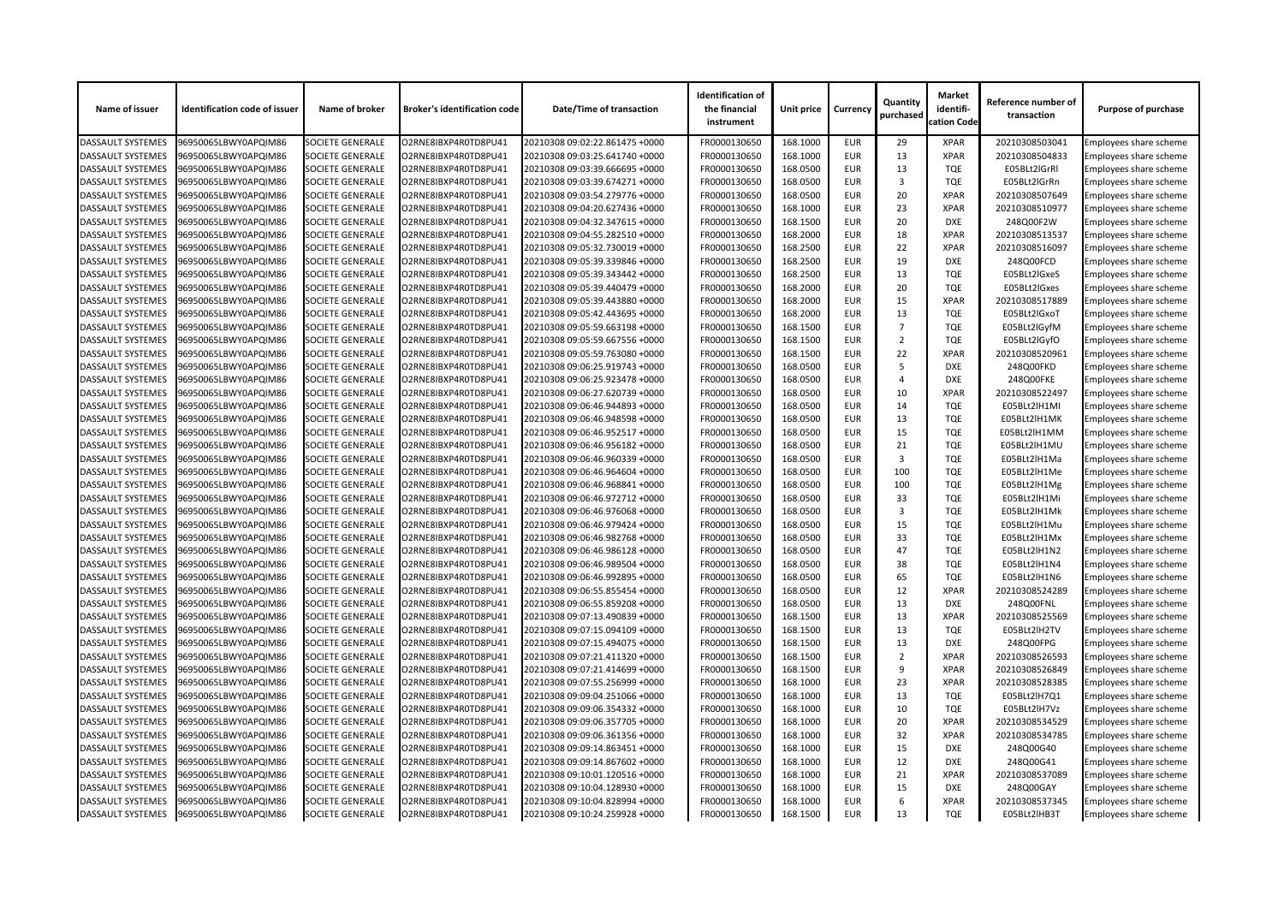| Name of issuer           | <b>Identification code of issuer</b> | Name of broker          | <b>Broker's identification code</b> | Date/Time of transaction       | <b>Identification of</b><br>the financial<br>instrument | Unit price | <b>Currency</b> | Quantity<br>purchased | <b>Market</b><br>identifi-<br>cation Code | Reference number of<br>transaction | <b>Purpose of purchase</b>    |
|--------------------------|--------------------------------------|-------------------------|-------------------------------------|--------------------------------|---------------------------------------------------------|------------|-----------------|-----------------------|-------------------------------------------|------------------------------------|-------------------------------|
| <b>DASSAULT SYSTEMES</b> | 96950065LBWY0APQIM86                 | <b>SOCIETE GENERALE</b> | O2RNE8IBXP4R0TD8PU41                | 20210308 09:02:22.861475 +0000 | FR0000130650                                            | 168.1000   | <b>EUR</b>      | 29                    | <b>XPAR</b>                               | 20210308503041                     | Employees share scheme        |
| <b>DASSAULT SYSTEMES</b> | 96950065LBWY0APQIM86                 | <b>SOCIETE GENERALE</b> | O2RNE8IBXP4R0TD8PU41                | 20210308 09:03:25.641740 +0000 | FR0000130650                                            | 168.1000   | <b>EUR</b>      | 13                    | <b>XPAR</b>                               | 20210308504833                     | <b>Employees share scheme</b> |
| <b>DASSAULT SYSTEMES</b> | 96950065LBWY0APQIM86                 | SOCIETE GENERALE        | O2RNE8IBXP4R0TD8PU41                | 20210308 09:03:39.666695 +0000 | FR0000130650                                            | 168.0500   | <b>EUR</b>      | 13                    | <b>TQE</b>                                | E05BLt2IGrRI                       | Employees share scheme        |
| <b>DASSAULT SYSTEMES</b> | 96950065LBWY0APQIM86                 | <b>SOCIETE GENERALE</b> | O2RNE8IBXP4R0TD8PU41                | 20210308 09:03:39.674271 +0000 | FR0000130650                                            | 168.0500   | <b>EUR</b>      | 3                     | <b>TQE</b>                                | E05BLt2lGrRn                       | <b>Employees share scheme</b> |
| <b>DASSAULT SYSTEMES</b> | 96950065LBWY0APQIM86                 | <b>SOCIETE GENERALE</b> | O2RNE8IBXP4R0TD8PU41                | 20210308 09:03:54.279776 +0000 | FR0000130650                                            | 168.0500   | <b>EUR</b>      | 20                    | <b>XPAR</b>                               | 20210308507649                     | Employees share scheme        |
| <b>DASSAULT SYSTEMES</b> | 96950065LBWY0APQIM86                 | <b>SOCIETE GENERALE</b> | O2RNE8IBXP4R0TD8PU41                | 20210308 09:04:20.627436 +0000 | FR0000130650                                            | 168.1000   | <b>EUR</b>      | 23                    | <b>XPAR</b>                               | 20210308510977                     | Employees share scheme        |
| <b>DASSAULT SYSTEMES</b> | 96950065LBWY0APQIM86                 | <b>SOCIETE GENERALE</b> | O2RNE8IBXP4R0TD8PU41                | 20210308 09:04:32.347615 +0000 | FR0000130650                                            | 168.1500   | <b>EUR</b>      | 20                    | <b>DXE</b>                                | 248Q00F2W                          | Employees share scheme        |
| <b>DASSAULT SYSTEMES</b> | 96950065LBWY0APQIM86                 | SOCIETE GENERALE        | O2RNE8IBXP4R0TD8PU41                | 20210308 09:04:55.282510 +0000 | FR0000130650                                            | 168.2000   | <b>EUR</b>      | 18                    | <b>XPAR</b>                               | 20210308513537                     | Employees share scheme        |
| <b>DASSAULT SYSTEMES</b> | 96950065LBWY0APQIM86                 | <b>SOCIETE GENERALE</b> | O2RNE8IBXP4R0TD8PU41                | 20210308 09:05:32.730019 +0000 | FR0000130650                                            | 168.2500   | <b>EUR</b>      | 22                    | <b>XPAR</b>                               | 20210308516097                     | <b>Employees share scheme</b> |
| <b>DASSAULT SYSTEMES</b> | 96950065LBWY0APQIM86                 | <b>SOCIETE GENERALE</b> | O2RNE8IBXP4R0TD8PU41                | 20210308 09:05:39.339846 +0000 | FR0000130650                                            | 168.2500   | <b>EUR</b>      | 19                    | <b>DXE</b>                                | 248Q00FCD                          | Employees share scheme        |
| <b>DASSAULT SYSTEMES</b> | 96950065LBWY0APQIM86                 | <b>SOCIETE GENERALE</b> | O2RNE8IBXP4R0TD8PU41                | 20210308 09:05:39.343442 +0000 | FR0000130650                                            | 168.2500   | <b>EUR</b>      | 13                    | <b>TQE</b>                                | E05BLt2lGxeS                       | <b>Employees share scheme</b> |
| <b>DASSAULT SYSTEMES</b> | 96950065LBWY0APQIM86                 | <b>SOCIETE GENERALE</b> | O2RNE8IBXP4R0TD8PU41                | 20210308 09:05:39.440479 +0000 | FR0000130650                                            | 168.2000   | <b>EUR</b>      | 20                    | <b>TQE</b>                                | E05BLt2lGxes                       | <b>Employees share scheme</b> |
| <b>DASSAULT SYSTEMES</b> | 96950065LBWY0APQIM86                 | SOCIETE GENERALE        | O2RNE8IBXP4R0TD8PU41                | 20210308 09:05:39.443880 +0000 | FR0000130650                                            | 168.2000   | <b>EUR</b>      | 15                    | <b>XPAR</b>                               | 20210308517889                     | Employees share scheme        |
| <b>DASSAULT SYSTEMES</b> | 96950065LBWY0APQIM86                 | <b>SOCIETE GENERALE</b> | O2RNE8IBXP4R0TD8PU41                | 20210308 09:05:42.443695 +0000 | FR0000130650                                            | 168.2000   | <b>EUR</b>      | 13                    | <b>TQE</b>                                | E05BLt2lGxoT                       | Employees share scheme        |
| <b>DASSAULT SYSTEMES</b> | 96950065LBWY0APQIM86                 | <b>SOCIETE GENERALE</b> | O2RNE8IBXP4R0TD8PU41                | 20210308 09:05:59.663198 +0000 | FR0000130650                                            | 168.1500   | <b>EUR</b>      | $\overline{7}$        | <b>TQE</b>                                | E05BLt2lGyfM                       | Employees share scheme        |
| <b>DASSAULT SYSTEMES</b> | 96950065LBWY0APQIM86                 | <b>SOCIETE GENERALE</b> | O2RNE8IBXP4R0TD8PU41                | 20210308 09:05:59.667556 +0000 | FR0000130650                                            | 168.1500   | <b>EUR</b>      | $\overline{2}$        | <b>TQE</b>                                | E05BLt2lGyfO                       | Employees share scheme        |
| <b>DASSAULT SYSTEMES</b> | 96950065LBWY0APQIM86                 | <b>SOCIETE GENERALE</b> | O2RNE8IBXP4R0TD8PU41                | 20210308 09:05:59.763080 +0000 | FR0000130650                                            | 168.1500   | <b>EUR</b>      | 22                    | <b>XPAR</b>                               | 20210308520961                     | <b>Employees share scheme</b> |
| <b>DASSAULT SYSTEMES</b> | 96950065LBWY0APQIM86                 | SOCIETE GENERALE        | O2RNE8IBXP4R0TD8PU41                | 20210308 09:06:25.919743 +0000 | FR0000130650                                            | 168.0500   | <b>EUR</b>      | -5                    | <b>DXE</b>                                | 248Q00FKD                          | Employees share scheme        |
| <b>DASSAULT SYSTEMES</b> | 96950065LBWY0APQIM86                 | <b>SOCIETE GENERALE</b> | O2RNE8IBXP4R0TD8PU41                | 20210308 09:06:25.923478 +0000 | FR0000130650                                            | 168.0500   | <b>EUR</b>      | $\Delta$              | <b>DXE</b>                                | 248Q00FKE                          | <b>Employees share scheme</b> |
| <b>DASSAULT SYSTEMES</b> | 96950065LBWY0APQIM86                 | <b>SOCIETE GENERALE</b> | O2RNE8IBXP4R0TD8PU41                | 20210308 09:06:27.620739 +0000 | FR0000130650                                            | 168.0500   | <b>EUR</b>      | 10                    | <b>XPAR</b>                               | 20210308522497                     | Employees share scheme        |
| <b>DASSAULT SYSTEMES</b> | 96950065LBWY0APQIM86                 | <b>SOCIETE GENERALE</b> | O2RNE8IBXP4R0TD8PU41                | 20210308 09:06:46.944893 +0000 | FR0000130650                                            | 168.0500   | <b>EUR</b>      | 14                    | <b>TQE</b>                                | E05BLt2lH1MI                       | Employees share scheme        |
|                          |                                      |                         |                                     |                                |                                                         |            | <b>EUR</b>      |                       | <b>TQE</b>                                | E05BLt2lH1MK                       |                               |
| <b>DASSAULT SYSTEMES</b> | 96950065LBWY0APQIM86                 | <b>SOCIETE GENERALE</b> | O2RNE8IBXP4R0TD8PU41                | 20210308 09:06:46.948598 +0000 | FR0000130650                                            | 168.0500   |                 | 13                    |                                           |                                    | Employees share scheme        |
| <b>DASSAULT SYSTEMES</b> | 96950065LBWY0APQIM86                 | SOCIETE GENERALE        | O2RNE8IBXP4R0TD8PU41                | 20210308 09:06:46.952517 +0000 | FR0000130650                                            | 168.0500   | <b>EUR</b>      | 15                    | <b>TQE</b>                                | E05BLt2lH1MM                       | Employees share scheme        |
| <b>DASSAULT SYSTEMES</b> | 96950065LBWY0APQIM86                 | <b>SOCIETE GENERALE</b> | O2RNE8IBXP4R0TD8PU41                | 20210308 09:06:46.956182 +0000 | FR0000130650                                            | 168.0500   | <b>EUR</b>      | 21                    | <b>TQE</b>                                | E05BLt2lH1MU                       | Employees share scheme        |
| <b>DASSAULT SYSTEMES</b> | 96950065LBWY0APQIM86                 | <b>SOCIETE GENERALE</b> | O2RNE8IBXP4R0TD8PU41                | 20210308 09:06:46.960339 +0000 | FR0000130650                                            | 168.0500   | <b>EUR</b>      | 3                     | <b>TQE</b>                                | E05BLt2lH1Ma                       | <b>Employees share scheme</b> |
| <b>DASSAULT SYSTEMES</b> | 96950065LBWY0APQIM86                 | <b>SOCIETE GENERALE</b> | O2RNE8IBXP4R0TD8PU41                | 20210308 09:06:46.964604 +0000 | FR0000130650                                            | 168.0500   | <b>EUR</b>      | 100                   | <b>TQE</b>                                | E05BLt2lH1Me                       | Employees share scheme        |
| <b>DASSAULT SYSTEMES</b> | 96950065LBWY0APQIM86                 | <b>SOCIETE GENERALE</b> | O2RNE8IBXP4R0TD8PU41                | 20210308 09:06:46.968841 +0000 | FR0000130650                                            | 168.0500   | <b>EUR</b>      | 100                   | <b>TQE</b>                                | E05BLt2lH1Mg                       | <b>Employees share scheme</b> |
| <b>DASSAULT SYSTEMES</b> | 96950065LBWY0APQIM86                 | <b>SOCIETE GENERALE</b> | O2RNE8IBXP4R0TD8PU41                | 20210308 09:06:46.972712 +0000 | FR0000130650                                            | 168.0500   | <b>EUR</b>      | 33                    | <b>TQE</b>                                | E05BLt2lH1Mi                       | <b>Employees share scheme</b> |
| <b>DASSAULT SYSTEMES</b> | 96950065LBWY0APQIM86                 | <b>SOCIETE GENERALE</b> | O2RNE8IBXP4R0TD8PU41                | 20210308 09:06:46.976068 +0000 | FR0000130650                                            | 168.0500   | <b>EUR</b>      | 3                     | <b>TQE</b>                                | E05BLt2lH1Mk                       | <b>Employees share scheme</b> |
| <b>DASSAULT SYSTEMES</b> | 96950065LBWY0APQIM86                 | <b>SOCIETE GENERALE</b> | O2RNE8IBXP4R0TD8PU41                | 20210308 09:06:46.979424 +0000 | FR0000130650                                            | 168.0500   | <b>EUR</b>      | 15                    | <b>TQE</b>                                | E05BLt2lH1Mu                       | Employees share scheme        |
| <b>DASSAULT SYSTEMES</b> | 96950065LBWY0APQIM86                 | <b>SOCIETE GENERALE</b> | O2RNE8IBXP4R0TD8PU41                | 20210308 09:06:46.982768 +0000 | FR0000130650                                            | 168.0500   | <b>EUR</b>      | 33                    | <b>TQE</b>                                | E05BLt2lH1Mx                       | Employees share scheme        |
| <b>DASSAULT SYSTEMES</b> | 96950065LBWY0APQIM86                 | <b>SOCIETE GENERALE</b> | O2RNE8IBXP4R0TD8PU41                | 20210308 09:06:46.986128 +0000 | FR0000130650                                            | 168.0500   | <b>EUR</b>      | 47                    | <b>TQE</b>                                | E05BLt2lH1N2                       | <b>Employees share scheme</b> |
| <b>DASSAULT SYSTEMES</b> | 96950065LBWY0APQIM86                 | <b>SOCIETE GENERALE</b> | O2RNE8IBXP4R0TD8PU41                | 20210308 09:06:46.989504 +0000 | FR0000130650                                            | 168.0500   | <b>EUR</b>      | 38                    | TQE                                       | E05BLt2lH1N4                       | Employees share scheme        |
| <b>DASSAULT SYSTEMES</b> | 96950065LBWY0APQIM86                 | <b>SOCIETE GENERALE</b> | O2RNE8IBXP4R0TD8PU41                | 20210308 09:06:46.992895 +0000 | FR0000130650                                            | 168.0500   | <b>EUR</b>      | 65                    | <b>TQE</b>                                | E05BLt2lH1N6                       | Employees share scheme        |
| <b>DASSAULT SYSTEMES</b> | 96950065LBWY0APQIM86                 | <b>SOCIETE GENERALE</b> | O2RNE8IBXP4R0TD8PU41                | 20210308 09:06:55.855454 +0000 | FR0000130650                                            | 168.0500   | <b>EUR</b>      | 12                    | <b>XPAR</b>                               | 20210308524289                     | Employees share scheme        |
| <b>DASSAULT SYSTEMES</b> | 96950065LBWY0APQIM86                 | <b>SOCIETE GENERALE</b> | O2RNE8IBXP4R0TD8PU41                | 20210308 09:06:55.859208 +0000 | FR0000130650                                            | 168.0500   | <b>EUR</b>      | 13                    | <b>DXE</b>                                | 248Q00FNL                          | Employees share scheme        |
| <b>DASSAULT SYSTEMES</b> | 96950065LBWY0APQIM86                 | <b>SOCIETE GENERALE</b> | O2RNE8IBXP4R0TD8PU41                | 20210308 09:07:13.490839 +0000 | FR0000130650                                            | 168.1500   | <b>EUR</b>      | 13                    | <b>XPAR</b>                               | 20210308525569                     | <b>Employees share scheme</b> |
| <b>DASSAULT SYSTEMES</b> | 96950065LBWY0APQIM86                 | <b>SOCIETE GENERALE</b> | O2RNE8IBXP4R0TD8PU41                | 20210308 09:07:15.094109 +0000 | FR0000130650                                            | 168.1500   | <b>EUR</b>      | 13                    | <b>TQE</b>                                | E05BLt2lH2TV                       | Employees share scheme        |
| <b>DASSAULT SYSTEMES</b> | 96950065LBWY0APQIM86                 | <b>SOCIETE GENERALE</b> | O2RNE8IBXP4R0TD8PU41                | 20210308 09:07:15.494075 +0000 | FR0000130650                                            | 168.1500   | <b>EUR</b>      | 13                    | <b>DXE</b>                                | 248Q00FPG                          | <b>Employees share scheme</b> |
| <b>DASSAULT SYSTEMES</b> | 96950065LBWY0APQIM86                 | <b>SOCIETE GENERALE</b> | O2RNE8IBXP4R0TD8PU41                | 20210308 09:07:21.411320 +0000 | FR0000130650                                            | 168.1500   | <b>EUR</b>      | 2                     | <b>XPAR</b>                               | 20210308526593                     | Employees share scheme        |
| <b>DASSAULT SYSTEMES</b> | 96950065LBWY0APQIM86                 | <b>SOCIETE GENERALE</b> | O2RNE8IBXP4R0TD8PU41                | 20210308 09:07:21.414699 +0000 | FR0000130650                                            | 168.1500   | <b>EUR</b>      | 9                     | <b>XPAR</b>                               | 20210308526849                     | Employees share scheme        |
| <b>DASSAULT SYSTEMES</b> | 96950065LBWY0APQIM86                 | <b>SOCIETE GENERALE</b> | O2RNE8IBXP4R0TD8PU41                | 20210308 09:07:55.256999 +0000 | FR0000130650                                            | 168.1000   | <b>EUR</b>      | 23                    | <b>XPAR</b>                               | 20210308528385                     | <b>Employees share scheme</b> |
| <b>DASSAULT SYSTEMES</b> | 96950065LBWY0APQIM86                 | <b>SOCIETE GENERALE</b> | O2RNE8IBXP4R0TD8PU41                | 20210308 09:09:04.251066 +0000 | FR0000130650                                            | 168.1000   | <b>EUR</b>      | 13                    | <b>TQE</b>                                | E05BLt2lH7Q1                       | Employees share scheme        |
| <b>DASSAULT SYSTEMES</b> | 96950065LBWY0APQIM86                 | <b>SOCIETE GENERALE</b> | O2RNE8IBXP4R0TD8PU41                | 20210308 09:09:06.354332 +0000 | FR0000130650                                            | 168.1000   | <b>EUR</b>      | 10                    | <b>TQE</b>                                | E05BLt2lH7Vz                       | <b>Employees share scheme</b> |
| <b>DASSAULT SYSTEMES</b> | 96950065LBWY0APQIM86                 | <b>SOCIETE GENERALE</b> | O2RNE8IBXP4R0TD8PU41                | 20210308 09:09:06.357705 +0000 | FR0000130650                                            | 168.1000   | <b>EUR</b>      | 20                    | <b>XPAR</b>                               | 20210308534529                     | Employees share scheme        |
| <b>DASSAULT SYSTEMES</b> | 96950065LBWY0APQIM86                 | <b>SOCIETE GENERALE</b> | O2RNE8IBXP4R0TD8PU41                | 20210308 09:09:06.361356 +0000 | FR0000130650                                            | 168.1000   | <b>EUR</b>      | 32                    | <b>XPAR</b>                               | 20210308534785                     | Employees share scheme        |
| <b>DASSAULT SYSTEMES</b> | 96950065LBWY0APQIM86                 | <b>SOCIETE GENERALE</b> | O2RNE8IBXP4R0TD8PU41                | 20210308 09:09:14.863451 +0000 | FR0000130650                                            | 168.1000   | <b>EUR</b>      | 15                    | <b>DXE</b>                                | 248Q00G40                          | Employees share scheme        |
| <b>DASSAULT SYSTEMES</b> | 96950065LBWY0APQIM86                 | <b>SOCIETE GENERALE</b> | O2RNE8IBXP4R0TD8PU41                | 20210308 09:09:14.867602 +0000 | FR0000130650                                            | 168.1000   | <b>EUR</b>      | 12                    | <b>DXE</b>                                | 248Q00G41                          | Employees share scheme        |
| <b>DASSAULT SYSTEMES</b> | 96950065LBWY0APQIM86                 | <b>SOCIETE GENERALE</b> | O2RNE8IBXP4R0TD8PU41                | 20210308 09:10:01.120516 +0000 | FR0000130650                                            | 168.1000   | <b>EUR</b>      | 21                    | <b>XPAR</b>                               | 20210308537089                     | Employees share scheme        |
| <b>DASSAULT SYSTEMES</b> | 96950065LBWY0APQIM86                 | <b>SOCIETE GENERALE</b> | O2RNE8IBXP4R0TD8PU41                | 20210308 09:10:04.128930 +0000 | FR0000130650                                            | 168.1000   | <b>EUR</b>      | 15                    | <b>DXE</b>                                | 248Q00GAY                          | Employees share scheme        |
| <b>DASSAULT SYSTEMES</b> | 96950065LBWY0APQIM86                 | <b>SOCIETE GENERALE</b> | O2RNE8IBXP4R0TD8PU41                | 20210308 09:10:04.828994 +0000 | FR0000130650                                            | 168.1000   | <b>EUR</b>      |                       | <b>XPAR</b>                               | 20210308537345                     | Employees share scheme        |
| <b>DASSAULT SYSTEMES</b> | 96950065LBWY0APQIM86                 | <b>SOCIETE GENERALE</b> | O2RNE8IBXP4R0TD8PU41                | 20210308 09:10:24.259928 +0000 | FR0000130650                                            | 168.1500   | EUR             | 13                    | <b>TQE</b>                                | E05BLt2lHB3T                       | <b>Employees share scheme</b> |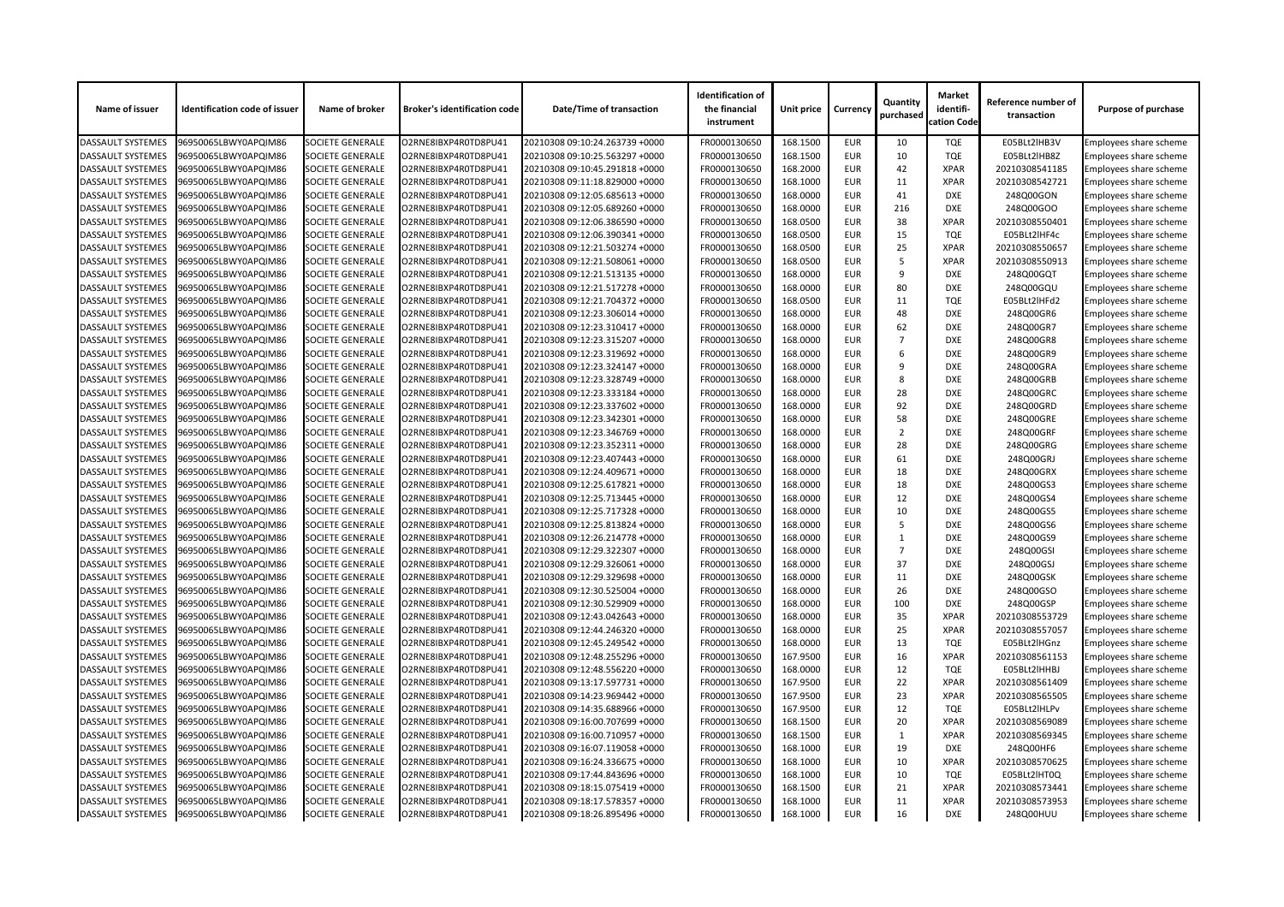| Name of issuer           | <b>Identification code of issuer</b> | Name of broker          | <b>Broker's identification code</b> | <b>Date/Time of transaction</b> | <b>Identification of</b><br>the financial<br>instrument | <b>Unit price</b> | <b>Currency</b> | Quantity<br>purchased | <b>Market</b><br>identifi-<br>cation Code | Reference number of<br>transaction | <b>Purpose of purchase</b>                       |
|--------------------------|--------------------------------------|-------------------------|-------------------------------------|---------------------------------|---------------------------------------------------------|-------------------|-----------------|-----------------------|-------------------------------------------|------------------------------------|--------------------------------------------------|
| <b>DASSAULT SYSTEMES</b> | 96950065LBWY0APQIM86                 | <b>SOCIETE GENERALE</b> | O2RNE8IBXP4R0TD8PU41                | 20210308 09:10:24.263739 +0000  | FR0000130650                                            | 168.1500          | <b>EUR</b>      | 10                    | <b>TQE</b>                                | E05BLt2lHB3V                       | Employees share scheme                           |
| <b>DASSAULT SYSTEMES</b> | 96950065LBWY0APQIM86                 | <b>SOCIETE GENERALE</b> | O2RNE8IBXP4R0TD8PU41                | 20210308 09:10:25.563297 +0000  | FR0000130650                                            | 168.1500          | <b>EUR</b>      | 10                    | <b>TQE</b>                                | E05BLt2lHB8Z                       | <b>Employees share scheme</b>                    |
| <b>DASSAULT SYSTEMES</b> | 96950065LBWY0APQIM86                 | <b>SOCIETE GENERALE</b> | O2RNE8IBXP4R0TD8PU41                | 20210308 09:10:45.291818 +0000  | FR0000130650                                            | 168.2000          | <b>EUR</b>      | 42                    | <b>XPAR</b>                               | 20210308541185                     | Employees share scheme                           |
| <b>DASSAULT SYSTEMES</b> | 96950065LBWY0APQIM86                 | <b>SOCIETE GENERALE</b> | O2RNE8IBXP4R0TD8PU41                | 20210308 09:11:18.829000 +0000  | FR0000130650                                            | 168.1000          | <b>EUR</b>      | 11                    | <b>XPAR</b>                               | 20210308542721                     | Employees share scheme                           |
| <b>DASSAULT SYSTEMES</b> | 96950065LBWY0APQIM86                 | <b>SOCIETE GENERALE</b> | O2RNE8IBXP4R0TD8PU41                | 20210308 09:12:05.685613 +0000  | FR0000130650                                            | 168.0000          | <b>EUR</b>      | 41                    | <b>DXE</b>                                | 248Q00GON                          | <b>Employees share scheme</b>                    |
| <b>DASSAULT SYSTEMES</b> | 96950065LBWY0APQIM86                 | <b>SOCIETE GENERALE</b> | O2RNE8IBXP4R0TD8PU41                | 20210308 09:12:05.689260 +0000  | FR0000130650                                            | 168.0000          | <b>EUR</b>      | 216                   | <b>DXE</b>                                | 248Q00GOO                          | Employees share scheme                           |
| <b>DASSAULT SYSTEMES</b> | 96950065LBWY0APQIM86                 | <b>SOCIETE GENERALE</b> | O2RNE8IBXP4R0TD8PU41                | 20210308 09:12:06.386590 +0000  | FR0000130650                                            | 168.0500          | <b>EUR</b>      | 38                    | <b>XPAR</b>                               | 20210308550401                     | Employees share scheme                           |
| <b>DASSAULT SYSTEMES</b> | 96950065LBWY0APQIM86                 | <b>SOCIETE GENERALE</b> | O2RNE8IBXP4R0TD8PU41                | 20210308 09:12:06.390341 +0000  | FR0000130650                                            | 168.0500          | <b>EUR</b>      | 15                    | <b>TQE</b>                                | E05BLt2lHF4c                       | Employees share scheme                           |
| <b>DASSAULT SYSTEMES</b> | 96950065LBWY0APQIM86                 | <b>SOCIETE GENERALE</b> | O2RNE8IBXP4R0TD8PU41                | 20210308 09:12:21.503274 +0000  | FR0000130650                                            | 168.0500          | <b>EUR</b>      | 25                    | <b>XPAR</b>                               | 20210308550657                     | Employees share scheme                           |
| <b>DASSAULT SYSTEMES</b> | 96950065LBWY0APQIM86                 | <b>SOCIETE GENERALE</b> | O2RNE8IBXP4R0TD8PU41                | 20210308 09:12:21.508061 +0000  | FR0000130650                                            | 168.0500          | <b>EUR</b>      | -5                    | <b>XPAR</b>                               | 20210308550913                     | Employees share scheme                           |
| <b>DASSAULT SYSTEMES</b> | 96950065LBWY0APQIM86                 | <b>SOCIETE GENERALE</b> | O2RNE8IBXP4R0TD8PU41                | 20210308 09:12:21.513135 +0000  | FR0000130650                                            | 168.0000          | <b>EUR</b>      | 9                     | <b>DXE</b>                                | 248Q00GQT                          | Employees share scheme                           |
| <b>DASSAULT SYSTEMES</b> | 96950065LBWY0APQIM86                 | <b>SOCIETE GENERALE</b> | O2RNE8IBXP4R0TD8PU41                | 20210308 09:12:21.517278 +0000  | FR0000130650                                            | 168.0000          | <b>EUR</b>      | 80                    | <b>DXE</b>                                | 248Q00GQU                          | Employees share scheme                           |
| <b>DASSAULT SYSTEMES</b> | 96950065LBWY0APQIM86                 | <b>SOCIETE GENERALE</b> | O2RNE8IBXP4R0TD8PU41                | 20210308 09:12:21.704372 +0000  | FR0000130650                                            | 168.0500          | <b>EUR</b>      | 11                    | <b>TQE</b>                                | E05BLt2lHFd2                       | <b>Employees share scheme</b>                    |
| <b>DASSAULT SYSTEMES</b> | 96950065LBWY0APQIM86                 | <b>SOCIETE GENERALE</b> | O2RNE8IBXP4R0TD8PU41                | 20210308 09:12:23.306014 +0000  | FR0000130650                                            | 168.0000          | <b>EUR</b>      | 48                    | <b>DXE</b>                                | 248Q00GR6                          | Employees share scheme                           |
| <b>DASSAULT SYSTEMES</b> | 96950065LBWY0APQIM86                 | <b>SOCIETE GENERALE</b> | O2RNE8IBXP4R0TD8PU41                | 20210308 09:12:23.310417 +0000  | FR0000130650                                            | 168.0000          | <b>EUR</b>      | 62                    | <b>DXE</b>                                | 248Q00GR7                          | Employees share scheme                           |
| <b>DASSAULT SYSTEMES</b> | 96950065LBWY0APQIM86                 | <b>SOCIETE GENERALE</b> | O2RNE8IBXP4R0TD8PU41                | 20210308 09:12:23.315207 +0000  | FR0000130650                                            | 168.0000          | <b>EUR</b>      | $\overline{7}$        | <b>DXE</b>                                | 248Q00GR8                          | Employees share scheme                           |
| <b>DASSAULT SYSTEMES</b> | 96950065LBWY0APQIM86                 | <b>SOCIETE GENERALE</b> | O2RNE8IBXP4R0TD8PU41                | 20210308 09:12:23.319692 +0000  | FR0000130650                                            | 168.0000          | <b>EUR</b>      | 6                     | <b>DXE</b>                                | 248Q00GR9                          | Employees share scheme                           |
| <b>DASSAULT SYSTEMES</b> | 96950065LBWY0APQIM86                 | <b>SOCIETE GENERALE</b> | O2RNE8IBXP4R0TD8PU41                | 20210308 09:12:23.324147 +0000  | FR0000130650                                            | 168.0000          | <b>EUR</b>      | q                     | <b>DXE</b>                                | 248Q00GRA                          | Employees share scheme                           |
| <b>DASSAULT SYSTEMES</b> | 96950065LBWY0APQIM86                 | <b>SOCIETE GENERALE</b> | O2RNE8IBXP4R0TD8PU41                | 20210308 09:12:23.328749 +0000  | FR0000130650                                            | 168.0000          | <b>EUR</b>      | 8                     | <b>DXE</b>                                | 248Q00GRB                          | Employees share scheme                           |
| <b>DASSAULT SYSTEMES</b> | 96950065LBWY0APQIM86                 | <b>SOCIETE GENERALE</b> | O2RNE8IBXP4R0TD8PU41                | 20210308 09:12:23.333184 +0000  | FR0000130650                                            | 168.0000          | <b>EUR</b>      | 28                    | <b>DXE</b>                                | 248Q00GRC                          | Employees share scheme                           |
| <b>DASSAULT SYSTEMES</b> | 96950065LBWY0APQIM86                 | <b>SOCIETE GENERALE</b> | O2RNE8IBXP4R0TD8PU41                | 20210308 09:12:23.337602 +0000  | FR0000130650                                            | 168.0000          | <b>EUR</b>      | 92                    | <b>DXE</b>                                | 248Q00GRD                          | Employees share scheme                           |
| <b>DASSAULT SYSTEMES</b> | 96950065LBWY0APQIM86                 | <b>SOCIETE GENERALE</b> | O2RNE8IBXP4R0TD8PU41                | 20210308 09:12:23.342301 +0000  | FR0000130650                                            | 168.0000          | <b>EUR</b>      | 58                    | <b>DXE</b>                                | 248Q00GRE                          | Employees share scheme                           |
| <b>DASSAULT SYSTEMES</b> | 96950065LBWY0APQIM86                 | <b>SOCIETE GENERALE</b> | O2RNE8IBXP4R0TD8PU41                | 20210308 09:12:23.346769 +0000  | FR0000130650                                            | 168.0000          | <b>EUR</b>      | $\overline{2}$        | <b>DXE</b>                                | 248Q00GRF                          | Employees share scheme                           |
| <b>DASSAULT SYSTEMES</b> | 96950065LBWY0APQIM86                 | <b>SOCIETE GENERALE</b> | O2RNE8IBXP4R0TD8PU41                | 20210308 09:12:23.352311 +0000  | FR0000130650                                            | 168.0000          | <b>EUR</b>      | 28                    | <b>DXE</b>                                | 248Q00GRG                          | Employees share scheme                           |
| <b>DASSAULT SYSTEMES</b> | 96950065LBWY0APQIM86                 | <b>SOCIETE GENERALE</b> | O2RNE8IBXP4R0TD8PU41                | 20210308 09:12:23.407443 +0000  | FR0000130650                                            | 168.0000          | <b>EUR</b>      | 61                    | <b>DXE</b>                                | 248Q00GRJ                          | Employees share scheme                           |
| <b>DASSAULT SYSTEMES</b> | 96950065LBWY0APQIM86                 | <b>SOCIETE GENERALE</b> | O2RNE8IBXP4R0TD8PU41                | 20210308 09:12:24.409671 +0000  | FR0000130650                                            | 168.0000          | <b>EUR</b>      | 18                    | <b>DXE</b>                                | 248Q00GRX                          | Employees share scheme                           |
| <b>DASSAULT SYSTEMES</b> | 96950065LBWY0APQIM86                 | <b>SOCIETE GENERALE</b> | O2RNE8IBXP4R0TD8PU41                | 20210308 09:12:25.617821 +0000  | FR0000130650                                            | 168.0000          | <b>EUR</b>      | 18                    | <b>DXE</b>                                | 248Q00GS3                          | Employees share scheme                           |
| <b>DASSAULT SYSTEMES</b> | 96950065LBWY0APQIM86                 | <b>SOCIETE GENERALE</b> | O2RNE8IBXP4R0TD8PU41                | 20210308 09:12:25.713445 +0000  | FR0000130650                                            | 168.0000          | <b>EUR</b>      | 12                    | <b>DXE</b>                                | 248Q00GS4                          | Employees share scheme                           |
| <b>DASSAULT SYSTEMES</b> | 96950065LBWY0APQIM86                 | <b>SOCIETE GENERALE</b> | O2RNE8IBXP4R0TD8PU41                | 20210308 09:12:25.717328 +0000  | FR0000130650                                            | 168.0000          | <b>EUR</b>      | 10                    | <b>DXE</b>                                | 248Q00GS5                          | <b>Employees share scheme</b>                    |
| <b>DASSAULT SYSTEMES</b> | 96950065LBWY0APQIM86                 | <b>SOCIETE GENERALE</b> | O2RNE8IBXP4R0TD8PU41                | 20210308 09:12:25.813824 +0000  | FR0000130650                                            | 168.0000          | <b>EUR</b>      | -5                    | <b>DXE</b>                                | 248Q00GS6                          | Employees share scheme                           |
| <b>DASSAULT SYSTEMES</b> | 96950065LBWY0APQIM86                 | <b>SOCIETE GENERALE</b> | O2RNE8IBXP4R0TD8PU41                | 20210308 09:12:26.214778 +0000  | FR0000130650                                            | 168.0000          | <b>EUR</b>      |                       | <b>DXE</b>                                | 248Q00GS9                          | Employees share scheme                           |
| <b>DASSAULT SYSTEMES</b> | 96950065LBWY0APQIM86                 | <b>SOCIETE GENERALE</b> | O2RNE8IBXP4R0TD8PU41                | 20210308 09:12:29.322307 +0000  | FR0000130650                                            | 168.0000          | <b>EUR</b>      | $\overline{7}$        | <b>DXE</b>                                | 248Q00GSI                          | Employees share scheme                           |
| <b>DASSAULT SYSTEMES</b> | 96950065LBWY0APQIM86                 | <b>SOCIETE GENERALE</b> | O2RNE8IBXP4R0TD8PU41                | 20210308 09:12:29.326061 +0000  | FR0000130650                                            | 168.0000          | <b>EUR</b>      | 37                    | <b>DXE</b>                                | 248Q00GSJ                          | Employees share scheme                           |
| <b>DASSAULT SYSTEMES</b> | 96950065LBWY0APQIM86                 | <b>SOCIETE GENERALE</b> | O2RNE8IBXP4R0TD8PU41                | 20210308 09:12:29.329698 +0000  | FR0000130650                                            | 168.0000          | <b>EUR</b>      | 11                    | <b>DXE</b>                                | 248Q00GSK                          | <b>Employees share scheme</b>                    |
| <b>DASSAULT SYSTEMES</b> | 96950065LBWY0APQIM86                 | <b>SOCIETE GENERALE</b> | O2RNE8IBXP4R0TD8PU41                | 20210308 09:12:30.525004 +0000  | FR0000130650                                            | 168.0000          | <b>EUR</b>      | 26                    | <b>DXE</b>                                | 248Q00GSO                          | Employees share scheme                           |
| <b>DASSAULT SYSTEMES</b> | 96950065LBWY0APQIM86                 | <b>SOCIETE GENERALE</b> | O2RNE8IBXP4R0TD8PU41                | 20210308 09:12:30.529909 +0000  | FR0000130650                                            | 168.0000          | <b>EUR</b>      | 100                   | <b>DXE</b>                                | 248Q00GSP                          | Employees share scheme                           |
| <b>DASSAULT SYSTEMES</b> | 96950065LBWY0APQIM86                 | <b>SOCIETE GENERALE</b> | O2RNE8IBXP4R0TD8PU41                | 20210308 09:12:43.042643 +0000  | FR0000130650                                            | 168.0000          | <b>EUR</b>      | 35                    | <b>XPAR</b>                               | 20210308553729                     | Employees share scheme                           |
| <b>DASSAULT SYSTEMES</b> | 96950065LBWY0APQIM86                 | <b>SOCIETE GENERALE</b> | O2RNE8IBXP4R0TD8PU41                | 20210308 09:12:44.246320 +0000  | FR0000130650                                            | 168.0000          | <b>EUR</b>      | 25                    | <b>XPAR</b>                               | 20210308557057                     | Employees share scheme                           |
| <b>DASSAULT SYSTEMES</b> | 96950065LBWY0APQIM86                 | <b>SOCIETE GENERALE</b> | O2RNE8IBXP4R0TD8PU41                | 20210308 09:12:45.249542 +0000  | FR0000130650                                            | 168.0000          | <b>EUR</b>      | 13                    | <b>TQE</b>                                | E05BLt2lHGnz                       | Employees share scheme                           |
| <b>DASSAULT SYSTEMES</b> | 96950065LBWY0APQIM86                 | <b>SOCIETE GENERALE</b> | O2RNE8IBXP4R0TD8PU41                | 20210308 09:12:48.255296 +0000  | FR0000130650                                            | 167.9500          | <b>EUR</b>      | 16                    | <b>XPAR</b>                               | 20210308561153                     | Employees share scheme                           |
| <b>DASSAULT SYSTEMES</b> | 96950065LBWY0APQIM86                 | <b>SOCIETE GENERALE</b> | O2RNE8IBXP4R0TD8PU41                | 20210308 09:12:48.556220 +0000  | FR0000130650                                            | 168.0000          | <b>EUR</b>      | 12                    | <b>TQE</b>                                | E05BLt2lHHBJ                       | Employees share scheme                           |
| <b>DASSAULT SYSTEMES</b> | 96950065LBWY0APQIM86                 | <b>SOCIETE GENERALE</b> | O2RNE8IBXP4R0TD8PU41                | 20210308 09:13:17.597731 +0000  | FR0000130650                                            | 167.9500          | <b>EUR</b>      | 22                    | <b>XPAR</b>                               | 20210308561409                     | Employees share scheme                           |
| <b>DASSAULT SYSTEMES</b> | 96950065LBWY0APQIM86                 | <b>SOCIETE GENERALE</b> | O2RNE8IBXP4R0TD8PU41                | 20210308 09:14:23.969442 +0000  | FR0000130650                                            | 167.9500          | <b>EUR</b>      | 23                    | <b>XPAR</b>                               | 20210308565505                     | Employees share scheme                           |
| <b>DASSAULT SYSTEMES</b> | 96950065LBWY0APQIM86                 | <b>SOCIETE GENERALE</b> | O2RNE8IBXP4R0TD8PU41                | 20210308 09:14:35.688966 +0000  | FR0000130650                                            | 167.9500          | <b>EUR</b>      | 12                    | <b>TQE</b>                                | E05BLt2lHLPv                       | Employees share scheme                           |
| <b>DASSAULT SYSTEMES</b> | 96950065LBWY0APQIM86                 | <b>SOCIETE GENERALE</b> | O2RNE8IBXP4R0TD8PU41                | 20210308 09:16:00.707699 +0000  | FR0000130650                                            | 168.1500          | <b>EUR</b>      | 20                    | <b>XPAR</b>                               | 20210308569089                     | Employees share scheme                           |
| <b>DASSAULT SYSTEMES</b> | 96950065LBWY0APQIM86                 | <b>SOCIETE GENERALE</b> | O2RNE8IBXP4R0TD8PU41                | 20210308 09:16:00.710957 +0000  | FR0000130650                                            | 168.1500          | <b>EUR</b>      |                       | <b>XPAR</b>                               | 20210308569345                     |                                                  |
| <b>DASSAULT SYSTEMES</b> | 96950065LBWY0APQIM86                 | <b>SOCIETE GENERALE</b> | O2RNE8IBXP4R0TD8PU41                | 20210308 09:16:07.119058 +0000  | FR0000130650                                            | 168.1000          | <b>EUR</b>      | 19                    | <b>DXE</b>                                | 248Q00HF6                          | Employees share scheme<br>Employees share scheme |
| <b>DASSAULT SYSTEMES</b> | 96950065LBWY0APQIM86                 | <b>SOCIETE GENERALE</b> | O2RNE8IBXP4R0TD8PU41                | 20210308 09:16:24.336675 +0000  | FR0000130650                                            | 168.1000          | <b>EUR</b>      | 10                    | <b>XPAR</b>                               | 20210308570625                     | Employees share scheme                           |
| <b>DASSAULT SYSTEMES</b> | 96950065LBWY0APQIM86                 | <b>SOCIETE GENERALE</b> | O2RNE8IBXP4R0TD8PU41                | 20210308 09:17:44.843696 +0000  | FR0000130650                                            | 168.1000          | <b>EUR</b>      | 10                    | <b>TQE</b>                                | E05BLt2lHT0Q                       | Employees share scheme                           |
| <b>DASSAULT SYSTEMES</b> | 96950065LBWY0APQIM86                 | <b>SOCIETE GENERALE</b> | O2RNE8IBXP4R0TD8PU41                | 20210308 09:18:15.075419 +0000  | FR0000130650                                            | 168.1500          | <b>EUR</b>      | 21                    | <b>XPAR</b>                               | 20210308573441                     |                                                  |
| <b>DASSAULT SYSTEMES</b> | 96950065LBWY0APQIM86                 | <b>SOCIETE GENERALE</b> | O2RNE8IBXP4R0TD8PU41                | 20210308 09:18:17.578357 +0000  | FR0000130650                                            | 168.1000          | <b>EUR</b>      |                       | <b>XPAR</b>                               | 20210308573953                     | Employees share scheme<br>Employees share scheme |
| <b>DASSAULT SYSTEMES</b> | 96950065LBWY0APQIM86                 | <b>SOCIETE GENERALE</b> | O2RNE8IBXP4R0TD8PU41                | 20210308 09:18:26.895496 +0000  | FR0000130650                                            |                   |                 | 11                    | DXE                                       | 248Q00HUU                          | Employees share scheme                           |
|                          |                                      |                         |                                     |                                 |                                                         | 168.1000          | EUR             | 16                    |                                           |                                    |                                                  |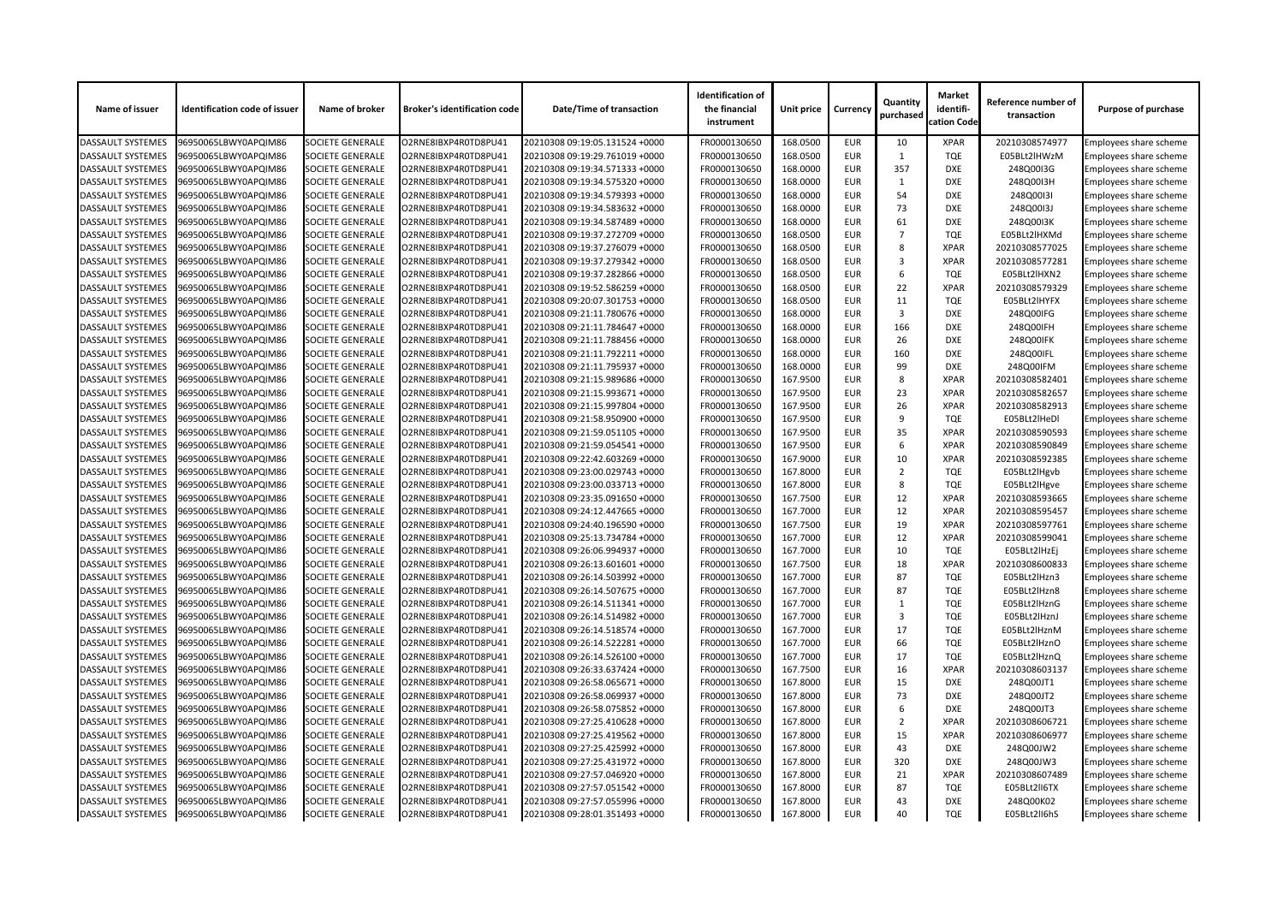| Name of issuer           | <b>Identification code of issuer</b> | Name of broker          | <b>Broker's identification code</b> | <b>Date/Time of transaction</b> | <b>Identification of</b><br>the financial<br>instrument | Unit price | <b>Currency</b> | Quantity<br>purchased | <b>Market</b><br>identifi-<br>cation Code | Reference number of<br>transaction | <b>Purpose of purchase</b>    |
|--------------------------|--------------------------------------|-------------------------|-------------------------------------|---------------------------------|---------------------------------------------------------|------------|-----------------|-----------------------|-------------------------------------------|------------------------------------|-------------------------------|
| <b>DASSAULT SYSTEMES</b> | 96950065LBWY0APQIM86                 | <b>SOCIETE GENERALE</b> | O2RNE8IBXP4R0TD8PU41                | 20210308 09:19:05.131524 +0000  | FR0000130650                                            | 168.0500   | <b>EUR</b>      | 10                    | <b>XPAR</b>                               | 20210308574977                     | Employees share scheme        |
| <b>DASSAULT SYSTEMES</b> | 96950065LBWY0APQIM86                 | <b>SOCIETE GENERALE</b> | O2RNE8IBXP4R0TD8PU41                | 20210308 09:19:29.761019 +0000  | FR0000130650                                            | 168.0500   | <b>EUR</b>      | 1                     | <b>TQE</b>                                | E05BLt2lHWzM                       | <b>Employees share scheme</b> |
| <b>DASSAULT SYSTEMES</b> | 96950065LBWY0APQIM86                 | <b>SOCIETE GENERALE</b> | O2RNE8IBXP4R0TD8PU41                | 20210308 09:19:34.571333 +0000  | FR0000130650                                            | 168.0000   | <b>EUR</b>      | 357                   | <b>DXE</b>                                | 248Q00I3G                          | Employees share scheme        |
| <b>DASSAULT SYSTEMES</b> | 96950065LBWY0APQIM86                 | <b>SOCIETE GENERALE</b> | O2RNE8IBXP4R0TD8PU41                | 20210308 09:19:34.575320 +0000  | FR0000130650                                            | 168.0000   | <b>EUR</b>      |                       | <b>DXE</b>                                | 248Q00I3H                          | <b>Employees share scheme</b> |
| <b>DASSAULT SYSTEMES</b> | 96950065LBWY0APQIM86                 | <b>SOCIETE GENERALE</b> | O2RNE8IBXP4R0TD8PU41                | 20210308 09:19:34.579393 +0000  | FR0000130650                                            | 168.0000   | <b>EUR</b>      | 54                    | <b>DXE</b>                                | 248Q00I3I                          | <b>Employees share scheme</b> |
| <b>DASSAULT SYSTEMES</b> | 96950065LBWY0APQIM86                 | <b>SOCIETE GENERALE</b> | O2RNE8IBXP4R0TD8PU41                | 20210308 09:19:34.583632 +0000  | FR0000130650                                            | 168.0000   | <b>EUR</b>      | 73                    | <b>DXE</b>                                | 248Q00I3J                          | Employees share scheme        |
| <b>DASSAULT SYSTEMES</b> | 96950065LBWY0APQIM86                 | <b>SOCIETE GENERALE</b> | O2RNE8IBXP4R0TD8PU41                | 20210308 09:19:34.587489 +0000  | FR0000130650                                            | 168.0000   | <b>EUR</b>      | 61                    | <b>DXE</b>                                | 248Q0013K                          | <b>Employees share scheme</b> |
| <b>DASSAULT SYSTEMES</b> | 96950065LBWY0APQIM86                 | <b>SOCIETE GENERALE</b> | O2RNE8IBXP4R0TD8PU41                | 20210308 09:19:37.272709 +0000  | FR0000130650                                            | 168.0500   | <b>EUR</b>      | $\overline{7}$        | <b>TQE</b>                                | E05BLt2lHXMd                       | Employees share scheme        |
| <b>DASSAULT SYSTEMES</b> | 96950065LBWY0APQIM86                 | <b>SOCIETE GENERALE</b> | O2RNE8IBXP4R0TD8PU41                | 20210308 09:19:37.276079 +0000  | FR0000130650                                            | 168.0500   | <b>EUR</b>      | 8                     | <b>XPAR</b>                               | 20210308577025                     | Employees share scheme        |
| <b>DASSAULT SYSTEMES</b> | 96950065LBWY0APQIM86                 | <b>SOCIETE GENERALE</b> | O2RNE8IBXP4R0TD8PU41                | 20210308 09:19:37.279342 +0000  | FR0000130650                                            | 168.0500   | <b>EUR</b>      | 3                     | <b>XPAR</b>                               | 20210308577281                     | <b>Employees share scheme</b> |
| <b>DASSAULT SYSTEMES</b> | 96950065LBWY0APQIM86                 | <b>SOCIETE GENERALE</b> | O2RNE8IBXP4R0TD8PU41                | 20210308 09:19:37.282866 +0000  | FR0000130650                                            | 168.0500   | <b>EUR</b>      | 6                     | <b>TQE</b>                                | E05BLt2lHXN2                       | Employees share scheme        |
| <b>DASSAULT SYSTEMES</b> | 96950065LBWY0APQIM86                 | <b>SOCIETE GENERALE</b> | O2RNE8IBXP4R0TD8PU41                | 20210308 09:19:52.586259 +0000  | FR0000130650                                            | 168.0500   | <b>EUR</b>      | 22                    | <b>XPAR</b>                               | 20210308579329                     | <b>Employees share scheme</b> |
| <b>DASSAULT SYSTEMES</b> | 96950065LBWY0APQIM86                 | <b>SOCIETE GENERALE</b> | O2RNE8IBXP4R0TD8PU41                | 20210308 09:20:07.301753 +0000  | FR0000130650                                            | 168.0500   | <b>EUR</b>      | 11                    | <b>TQE</b>                                | E05BLt2lHYFX                       | Employees share scheme        |
| <b>DASSAULT SYSTEMES</b> | 96950065LBWY0APQIM86                 | <b>SOCIETE GENERALE</b> | O2RNE8IBXP4R0TD8PU41                | 20210308 09:21:11.780676 +0000  | FR0000130650                                            | 168.0000   | <b>EUR</b>      | 3                     | <b>DXE</b>                                | 248Q00IFG                          | <b>Employees share scheme</b> |
| <b>DASSAULT SYSTEMES</b> | 96950065LBWY0APQIM86                 | <b>SOCIETE GENERALE</b> | O2RNE8IBXP4R0TD8PU41                | 20210308 09:21:11.784647 +0000  | FR0000130650                                            | 168.0000   | <b>EUR</b>      | 166                   | <b>DXE</b>                                | 248Q00IFH                          | Employees share scheme        |
| <b>DASSAULT SYSTEMES</b> | 96950065LBWY0APQIM86                 | <b>SOCIETE GENERALE</b> | O2RNE8IBXP4R0TD8PU41                | 20210308 09:21:11.788456 +0000  | FR0000130650                                            | 168.0000   | <b>EUR</b>      | 26                    | <b>DXE</b>                                | 248Q00IFK                          | Employees share scheme        |
| <b>DASSAULT SYSTEMES</b> | 96950065LBWY0APQIM86                 | <b>SOCIETE GENERALE</b> | O2RNE8IBXP4R0TD8PU41                | 20210308 09:21:11.792211 +0000  | FR0000130650                                            | 168.0000   | <b>EUR</b>      | 160                   | <b>DXE</b>                                | 248Q00IFL                          | <b>Employees share scheme</b> |
| <b>DASSAULT SYSTEMES</b> | 96950065LBWY0APQIM86                 | <b>SOCIETE GENERALE</b> | O2RNE8IBXP4R0TD8PU41                | 20210308 09:21:11.795937 +0000  | FR0000130650                                            | 168.0000   | <b>EUR</b>      | 99                    | <b>DXE</b>                                | 248Q00IFM                          | Employees share scheme        |
| <b>DASSAULT SYSTEMES</b> | 96950065LBWY0APQIM86                 | <b>SOCIETE GENERALE</b> | O2RNE8IBXP4R0TD8PU41                | 20210308 09:21:15.989686 +0000  | FR0000130650                                            | 167.9500   | <b>EUR</b>      | 8                     | <b>XPAR</b>                               | 20210308582401                     | Employees share scheme        |
| <b>DASSAULT SYSTEMES</b> | 96950065LBWY0APQIM86                 | <b>SOCIETE GENERALE</b> | O2RNE8IBXP4R0TD8PU41                | 20210308 09:21:15.993671 +0000  | FR0000130650                                            | 167.9500   | <b>EUR</b>      | 23                    | <b>XPAR</b>                               | 20210308582657                     | Employees share scheme        |
| <b>DASSAULT SYSTEMES</b> | 96950065LBWY0APQIM86                 | <b>SOCIETE GENERALE</b> | O2RNE8IBXP4R0TD8PU41                | 20210308 09:21:15.997804 +0000  | FR0000130650                                            | 167.9500   | <b>EUR</b>      | 26                    | <b>XPAR</b>                               | 20210308582913                     | Employees share scheme        |
|                          |                                      |                         |                                     |                                 |                                                         | 167.9500   | <b>EUR</b>      | 9                     | <b>TQE</b>                                | E05BLt2lHeDl                       |                               |
| <b>DASSAULT SYSTEMES</b> | 96950065LBWY0APQIM86                 | <b>SOCIETE GENERALE</b> | O2RNE8IBXP4R0TD8PU41                | 20210308 09:21:58.950900 +0000  | FR0000130650                                            |            | <b>EUR</b>      | 35                    | <b>XPAR</b>                               |                                    | <b>Employees share scheme</b> |
| <b>DASSAULT SYSTEMES</b> | 96950065LBWY0APQIM86                 | <b>SOCIETE GENERALE</b> | O2RNE8IBXP4R0TD8PU41                | 20210308 09:21:59.051105 +0000  | FR0000130650                                            | 167.9500   |                 | 6                     |                                           | 20210308590593                     | Employees share scheme        |
| <b>DASSAULT SYSTEMES</b> | 96950065LBWY0APQIM86                 | <b>SOCIETE GENERALE</b> | O2RNE8IBXP4R0TD8PU41                | 20210308 09:21:59.054541 +0000  | FR0000130650                                            | 167.9500   | <b>EUR</b>      |                       | <b>XPAR</b>                               | 20210308590849                     | Employees share scheme        |
| <b>DASSAULT SYSTEMES</b> | 96950065LBWY0APQIM86                 | <b>SOCIETE GENERALE</b> | O2RNE8IBXP4R0TD8PU41                | 20210308 09:22:42.603269 +0000  | FR0000130650                                            | 167.9000   | <b>EUR</b>      | 10                    | <b>XPAR</b>                               | 20210308592385                     | <b>Employees share scheme</b> |
| <b>DASSAULT SYSTEMES</b> | 96950065LBWY0APQIM86                 | <b>SOCIETE GENERALE</b> | O2RNE8IBXP4R0TD8PU41                | 20210308 09:23:00.029743 +0000  | FR0000130650                                            | 167.8000   | <b>EUR</b>      | $\mathcal{P}$         | <b>TQE</b>                                | E05BLt2lHgvb                       | Employees share scheme        |
| <b>DASSAULT SYSTEMES</b> | 96950065LBWY0APQIM86                 | <b>SOCIETE GENERALE</b> | O2RNE8IBXP4R0TD8PU41                | 20210308 09:23:00.033713 +0000  | FR0000130650                                            | 167.8000   | <b>EUR</b>      | 8                     | <b>TQE</b>                                | E05BLt2lHgve                       | Employees share scheme        |
| <b>DASSAULT SYSTEMES</b> | 96950065LBWY0APQIM86                 | <b>SOCIETE GENERALE</b> | O2RNE8IBXP4R0TD8PU41                | 20210308 09:23:35.091650 +0000  | FR0000130650                                            | 167.7500   | <b>EUR</b>      | 12                    | <b>XPAR</b>                               | 20210308593665                     | <b>Employees share scheme</b> |
| <b>DASSAULT SYSTEMES</b> | 96950065LBWY0APQIM86                 | <b>SOCIETE GENERALE</b> | O2RNE8IBXP4R0TD8PU41                | 20210308 09:24:12.447665 +0000  | FR0000130650                                            | 167.7000   | <b>EUR</b>      | 12                    | <b>XPAR</b>                               | 20210308595457                     | <b>Employees share scheme</b> |
| <b>DASSAULT SYSTEMES</b> | 96950065LBWY0APQIM86                 | <b>SOCIETE GENERALE</b> | O2RNE8IBXP4R0TD8PU41                | 20210308 09:24:40.196590 +0000  | FR0000130650                                            | 167.7500   | <b>EUR</b>      | 19                    | <b>XPAR</b>                               | 20210308597761                     | Employees share scheme        |
| <b>DASSAULT SYSTEMES</b> | 96950065LBWY0APQIM86                 | <b>SOCIETE GENERALE</b> | O2RNE8IBXP4R0TD8PU41                | 20210308 09:25:13.734784 +0000  | FR0000130650                                            | 167.7000   | <b>EUR</b>      | 12                    | <b>XPAR</b>                               | 20210308599041                     | Employees share scheme        |
| <b>DASSAULT SYSTEMES</b> | 96950065LBWY0APQIM86                 | <b>SOCIETE GENERALE</b> | O2RNE8IBXP4R0TD8PU41                | 20210308 09:26:06.994937 +0000  | FR0000130650                                            | 167.7000   | <b>EUR</b>      | 10                    | <b>TQE</b>                                | E05BLt2lHzEj                       | <b>Employees share scheme</b> |
| <b>DASSAULT SYSTEMES</b> | 96950065LBWY0APQIM86                 | <b>SOCIETE GENERALE</b> | O2RNE8IBXP4R0TD8PU41                | 20210308 09:26:13.601601 +0000  | FR0000130650                                            | 167.7500   | <b>EUR</b>      | 18                    | <b>XPAR</b>                               | 20210308600833                     | Employees share scheme        |
| <b>DASSAULT SYSTEMES</b> | 96950065LBWY0APQIM86                 | <b>SOCIETE GENERALE</b> | O2RNE8IBXP4R0TD8PU41                | 20210308 09:26:14.503992 +0000  | FR0000130650                                            | 167.7000   | <b>EUR</b>      | 87                    | <b>TQE</b>                                | E05BLt2lHzn3                       | <b>Employees share scheme</b> |
| <b>DASSAULT SYSTEMES</b> | 96950065LBWY0APQIM86                 | <b>SOCIETE GENERALE</b> | O2RNE8IBXP4R0TD8PU41                | 20210308 09:26:14.507675 +0000  | FR0000130650                                            | 167.7000   | <b>EUR</b>      | 87                    | <b>TQE</b>                                | E05BLt2lHzn8                       | Employees share scheme        |
| <b>DASSAULT SYSTEMES</b> | 96950065LBWY0APQIM86                 | <b>SOCIETE GENERALE</b> | O2RNE8IBXP4R0TD8PU41                | 20210308 09:26:14.511341 +0000  | FR0000130650                                            | 167.7000   | <b>EUR</b>      |                       | <b>TQE</b>                                | E05BLt2lHznG                       | Employees share scheme        |
| <b>DASSAULT SYSTEMES</b> | 96950065LBWY0APQIM86                 | <b>SOCIETE GENERALE</b> | O2RNE8IBXP4R0TD8PU41                | 20210308 09:26:14.514982 +0000  | FR0000130650                                            | 167.7000   | <b>EUR</b>      | 3                     | <b>TQE</b>                                | E05BLt2lHznJ                       | <b>Employees share scheme</b> |
| <b>DASSAULT SYSTEMES</b> | 96950065LBWY0APQIM86                 | <b>SOCIETE GENERALE</b> | O2RNE8IBXP4R0TD8PU41                | 20210308 09:26:14.518574 +0000  | FR0000130650                                            | 167.7000   | <b>EUR</b>      | 17                    | <b>TQE</b>                                | E05BLt2lHznM                       | Employees share scheme        |
| <b>DASSAULT SYSTEMES</b> | 96950065LBWY0APQIM86                 | <b>SOCIETE GENERALE</b> | O2RNE8IBXP4R0TD8PU41                | 20210308 09:26:14.522281 +0000  | FR0000130650                                            | 167.7000   | <b>EUR</b>      | 66                    | <b>TQE</b>                                | E05BLt2lHznO                       | <b>Employees share scheme</b> |
| <b>DASSAULT SYSTEMES</b> | 96950065LBWY0APQIM86                 | <b>SOCIETE GENERALE</b> | O2RNE8IBXP4R0TD8PU41                | 20210308 09:26:14.526100 +0000  | FR0000130650                                            | 167.7000   | <b>EUR</b>      | 17                    | <b>TQE</b>                                | E05BLt2lHznQ                       | Employees share scheme        |
| <b>DASSAULT SYSTEMES</b> | 96950065LBWY0APQIM86                 | <b>SOCIETE GENERALE</b> | O2RNE8IBXP4R0TD8PU41                | 20210308 09:26:33.637424 +0000  | FR0000130650                                            | 167.7500   | <b>EUR</b>      | 16                    | <b>XPAR</b>                               | 20210308603137                     | Employees share scheme        |
| <b>DASSAULT SYSTEMES</b> | 96950065LBWY0APQIM86                 | <b>SOCIETE GENERALE</b> | O2RNE8IBXP4R0TD8PU41                | 20210308 09:26:58.065671 +0000  | FR0000130650                                            | 167.8000   | <b>EUR</b>      | 15                    | <b>DXE</b>                                | 248Q00JT1                          | <b>Employees share scheme</b> |
| <b>DASSAULT SYSTEMES</b> | 96950065LBWY0APQIM86                 | <b>SOCIETE GENERALE</b> | O2RNE8IBXP4R0TD8PU41                | 20210308 09:26:58.069937 +0000  | FR0000130650                                            | 167.8000   | <b>EUR</b>      | 73                    | <b>DXE</b>                                | 248Q00JT2                          | Employees share scheme        |
| <b>DASSAULT SYSTEMES</b> | 96950065LBWY0APQIM86                 | <b>SOCIETE GENERALE</b> | O2RNE8IBXP4R0TD8PU41                | 20210308 09:26:58.075852 +0000  | FR0000130650                                            | 167.8000   | <b>EUR</b>      | 6                     | <b>DXE</b>                                | 248Q00JT3                          | <b>Employees share scheme</b> |
| <b>DASSAULT SYSTEMES</b> | 96950065LBWY0APQIM86                 | <b>SOCIETE GENERALE</b> | O2RNE8IBXP4R0TD8PU41                | 20210308 09:27:25.410628 +0000  | FR0000130650                                            | 167.8000   | <b>EUR</b>      | $\overline{2}$        | <b>XPAR</b>                               | 20210308606721                     | Employees share scheme        |
| <b>DASSAULT SYSTEMES</b> | 96950065LBWY0APQIM86                 | <b>SOCIETE GENERALE</b> | O2RNE8IBXP4R0TD8PU41                | 20210308 09:27:25.419562 +0000  | FR0000130650                                            | 167.8000   | <b>EUR</b>      | 15                    | <b>XPAR</b>                               | 20210308606977                     | Employees share scheme        |
| <b>DASSAULT SYSTEMES</b> | 96950065LBWY0APQIM86                 | <b>SOCIETE GENERALE</b> | O2RNE8IBXP4R0TD8PU41                | 20210308 09:27:25.425992 +0000  | FR0000130650                                            | 167.8000   | <b>EUR</b>      | 43                    | <b>DXE</b>                                | 248Q00JW2                          | Employees share scheme        |
| <b>DASSAULT SYSTEMES</b> | 96950065LBWY0APQIM86                 | <b>SOCIETE GENERALE</b> | O2RNE8IBXP4R0TD8PU41                | 20210308 09:27:25.431972 +0000  | FR0000130650                                            | 167.8000   | <b>EUR</b>      | 320                   | <b>DXE</b>                                | 248Q00JW3                          | Employees share scheme        |
| <b>DASSAULT SYSTEMES</b> | 96950065LBWY0APQIM86                 | <b>SOCIETE GENERALE</b> | O2RNE8IBXP4R0TD8PU41                | 20210308 09:27:57.046920 +0000  | FR0000130650                                            | 167.8000   | <b>EUR</b>      | 21                    | <b>XPAR</b>                               | 20210308607489                     | Employees share scheme        |
| <b>DASSAULT SYSTEMES</b> | 96950065LBWY0APQIM86                 | <b>SOCIETE GENERALE</b> | O2RNE8IBXP4R0TD8PU41                | 20210308 09:27:57.051542 +0000  | FR0000130650                                            | 167.8000   | <b>EUR</b>      | 87                    | <b>TQE</b>                                | E05BLt2lI6TX                       | <b>Employees share scheme</b> |
| <b>DASSAULT SYSTEMES</b> | 96950065LBWY0APQIM86                 | <b>SOCIETE GENERALE</b> | O2RNE8IBXP4R0TD8PU41                | 20210308 09:27:57.055996 +0000  | FR0000130650                                            | 167.8000   | <b>EUR</b>      | 43                    | <b>DXE</b>                                | 248Q00K02                          | <b>Employees share scheme</b> |
| <b>DASSAULT SYSTEMES</b> | 96950065LBWY0APQIM86                 | <b>SOCIETE GENERALE</b> | O2RNE8IBXP4R0TD8PU41                | 20210308 09:28:01.351493 +0000  | FR0000130650                                            | 167.8000   | EUR             | 40                    | <b>TQE</b>                                | E05BLt2lI6hS                       | <b>Employees share scheme</b> |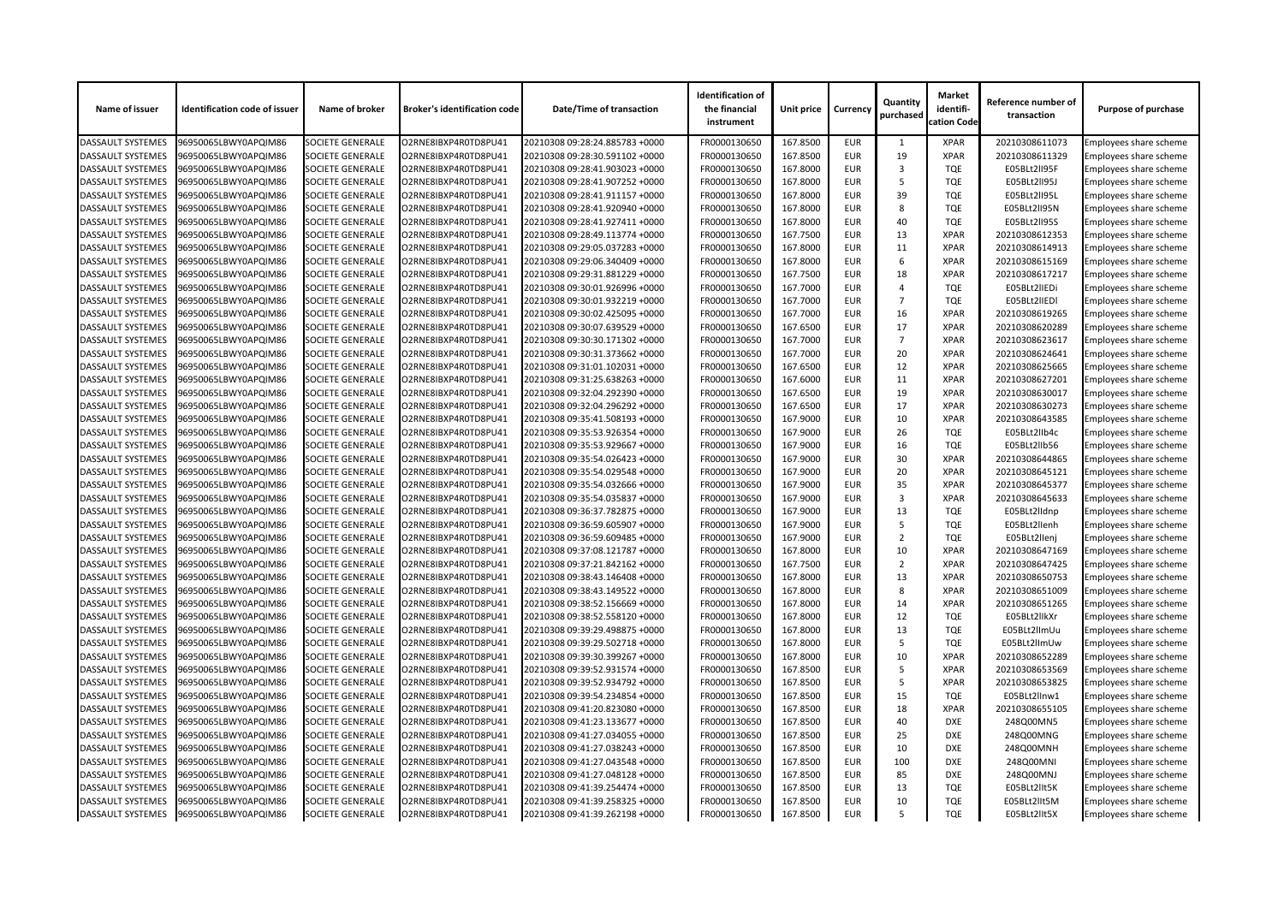| Name of issuer           | <b>Identification code of issuer</b> | Name of broker          | <b>Broker's identification code</b> | Date/Time of transaction       | <b>Identification of</b><br>the financial<br>instrument | Unit price | <b>Currency</b> | Quantity<br>purchased | <b>Market</b><br>identifi-<br>cation Code | Reference number of<br>transaction | <b>Purpose of purchase</b>    |
|--------------------------|--------------------------------------|-------------------------|-------------------------------------|--------------------------------|---------------------------------------------------------|------------|-----------------|-----------------------|-------------------------------------------|------------------------------------|-------------------------------|
| <b>DASSAULT SYSTEMES</b> | 96950065LBWY0APQIM86                 | <b>SOCIETE GENERALE</b> | O2RNE8IBXP4R0TD8PU41                | 20210308 09:28:24.885783 +0000 | FR0000130650                                            | 167.8500   | <b>EUR</b>      |                       | <b>XPAR</b>                               | 20210308611073                     | Employees share scheme        |
| <b>DASSAULT SYSTEMES</b> | 96950065LBWY0APQIM86                 | <b>SOCIETE GENERALE</b> | O2RNE8IBXP4R0TD8PU41                | 20210308 09:28:30.591102 +0000 | FR0000130650                                            | 167.8500   | <b>EUR</b>      | 19                    | <b>XPAR</b>                               | 20210308611329                     | <b>Employees share scheme</b> |
| <b>DASSAULT SYSTEMES</b> | 96950065LBWY0APQIM86                 | <b>SOCIETE GENERALE</b> | O2RNE8IBXP4R0TD8PU41                | 20210308 09:28:41.903023 +0000 | FR0000130650                                            | 167.8000   | <b>EUR</b>      | 3                     | <b>TQE</b>                                | E05BLt2lI95F                       | Employees share scheme        |
| <b>DASSAULT SYSTEMES</b> | 96950065LBWY0APQIM86                 | <b>SOCIETE GENERALE</b> | O2RNE8IBXP4R0TD8PU41                | 20210308 09:28:41.907252 +0000 | FR0000130650                                            | 167.8000   | <b>EUR</b>      | 5                     | <b>TQE</b>                                | E05BLt2lI95J                       | <b>Employees share scheme</b> |
| <b>DASSAULT SYSTEMES</b> | 96950065LBWY0APQIM86                 | <b>SOCIETE GENERALE</b> | O2RNE8IBXP4R0TD8PU41                | 20210308 09:28:41.911157 +0000 | FR0000130650                                            | 167.8000   | <b>EUR</b>      | 39                    | <b>TQE</b>                                | E05BLt2lI95L                       | Employees share scheme        |
| <b>DASSAULT SYSTEMES</b> | 96950065LBWY0APQIM86                 | <b>SOCIETE GENERALE</b> | O2RNE8IBXP4R0TD8PU41                | 20210308 09:28:41.920940 +0000 | FR0000130650                                            | 167.8000   | <b>EUR</b>      | 8                     | <b>TQE</b>                                | E05BLt2lI95N                       | Employees share scheme        |
| <b>DASSAULT SYSTEMES</b> | 96950065LBWY0APQIM86                 | <b>SOCIETE GENERALE</b> | O2RNE8IBXP4R0TD8PU41                | 20210308 09:28:41.927411 +0000 | FR0000130650                                            | 167.8000   | <b>EUR</b>      | 40                    | <b>TQE</b>                                | E05BLt2lI95S                       | <b>Employees share scheme</b> |
| <b>DASSAULT SYSTEMES</b> | 96950065LBWY0APQIM86                 | <b>SOCIETE GENERALE</b> | O2RNE8IBXP4R0TD8PU41                | 20210308 09:28:49.113774 +0000 | FR0000130650                                            | 167.7500   | <b>EUR</b>      | 13                    | <b>XPAR</b>                               | 20210308612353                     | Employees share scheme        |
| <b>DASSAULT SYSTEMES</b> | 96950065LBWY0APQIM86                 | <b>SOCIETE GENERALE</b> | O2RNE8IBXP4R0TD8PU41                | 20210308 09:29:05.037283 +0000 | FR0000130650                                            | 167.8000   | <b>EUR</b>      | 11                    | <b>XPAR</b>                               | 20210308614913                     | <b>Employees share scheme</b> |
| <b>DASSAULT SYSTEMES</b> | 96950065LBWY0APQIM86                 | <b>SOCIETE GENERALE</b> | O2RNE8IBXP4R0TD8PU41                | 20210308 09:29:06.340409 +0000 | FR0000130650                                            | 167.8000   | <b>EUR</b>      | 6                     | <b>XPAR</b>                               | 20210308615169                     | Employees share scheme        |
| <b>DASSAULT SYSTEMES</b> | 96950065LBWY0APQIM86                 | <b>SOCIETE GENERALE</b> | O2RNE8IBXP4R0TD8PU41                | 20210308 09:29:31.881229 +0000 | FR0000130650                                            | 167.7500   | <b>EUR</b>      | 18                    | <b>XPAR</b>                               | 20210308617217                     | <b>Employees share scheme</b> |
| <b>DASSAULT SYSTEMES</b> | 96950065LBWY0APQIM86                 | <b>SOCIETE GENERALE</b> | O2RNE8IBXP4R0TD8PU41                | 20210308 09:30:01.926996 +0000 | FR0000130650                                            | 167.7000   | <b>EUR</b>      | $\Delta$              | <b>TQE</b>                                | E05BLt2lIEDi                       | <b>Employees share scheme</b> |
| <b>DASSAULT SYSTEMES</b> | 96950065LBWY0APQIM86                 | <b>SOCIETE GENERALE</b> | O2RNE8IBXP4R0TD8PU41                | 20210308 09:30:01.932219 +0000 | FR0000130650                                            | 167.7000   | <b>EUR</b>      | $\overline{7}$        | <b>TQE</b>                                | E05BLt2lIEDI                       | Employees share scheme        |
| <b>DASSAULT SYSTEMES</b> | 96950065LBWY0APQIM86                 | <b>SOCIETE GENERALE</b> | O2RNE8IBXP4R0TD8PU41                | 20210308 09:30:02.425095 +0000 | FR0000130650                                            | 167.7000   | <b>EUR</b>      | 16                    | <b>XPAR</b>                               | 20210308619265                     | Employees share scheme        |
| <b>DASSAULT SYSTEMES</b> | 96950065LBWY0APQIM86                 | <b>SOCIETE GENERALE</b> | O2RNE8IBXP4R0TD8PU41                | 20210308 09:30:07.639529 +0000 | FR0000130650                                            | 167.6500   | <b>EUR</b>      | 17                    | <b>XPAR</b>                               | 20210308620289                     | Employees share scheme        |
| <b>DASSAULT SYSTEMES</b> | 96950065LBWY0APQIM86                 | <b>SOCIETE GENERALE</b> | O2RNE8IBXP4R0TD8PU41                | 20210308 09:30:30.171302 +0000 | FR0000130650                                            | 167.7000   | <b>EUR</b>      | $\overline{7}$        | <b>XPAR</b>                               | 20210308623617                     | Employees share scheme        |
| <b>DASSAULT SYSTEMES</b> | 96950065LBWY0APQIM86                 | <b>SOCIETE GENERALE</b> | O2RNE8IBXP4R0TD8PU41                | 20210308 09:30:31.373662 +0000 | FR0000130650                                            | 167.7000   | <b>EUR</b>      | 20                    | <b>XPAR</b>                               | 20210308624641                     | <b>Employees share scheme</b> |
| <b>DASSAULT SYSTEMES</b> | 96950065LBWY0APQIM86                 | <b>SOCIETE GENERALE</b> | O2RNE8IBXP4R0TD8PU41                | 20210308 09:31:01.102031 +0000 | FR0000130650                                            | 167.6500   | <b>EUR</b>      | 12                    | <b>XPAR</b>                               | 20210308625665                     | Employees share scheme        |
| <b>DASSAULT SYSTEMES</b> | 96950065LBWY0APQIM86                 | <b>SOCIETE GENERALE</b> | O2RNE8IBXP4R0TD8PU41                | 20210308 09:31:25.638263 +0000 | FR0000130650                                            | 167.6000   | <b>EUR</b>      | 11                    | <b>XPAR</b>                               | 20210308627201                     | <b>Employees share scheme</b> |
| <b>DASSAULT SYSTEMES</b> | 96950065LBWY0APQIM86                 | <b>SOCIETE GENERALE</b> | O2RNE8IBXP4R0TD8PU41                | 20210308 09:32:04.292390 +0000 | FR0000130650                                            | 167.6500   | <b>EUR</b>      | 19                    | <b>XPAR</b>                               | 20210308630017                     | Employees share scheme        |
| <b>DASSAULT SYSTEMES</b> | 96950065LBWY0APQIM86                 | <b>SOCIETE GENERALE</b> | O2RNE8IBXP4R0TD8PU41                | 20210308 09:32:04.296292 +0000 | FR0000130650                                            | 167.6500   | <b>EUR</b>      | 17                    | <b>XPAR</b>                               | 20210308630273                     | Employees share scheme        |
| <b>DASSAULT SYSTEMES</b> | 96950065LBWY0APQIM86                 | <b>SOCIETE GENERALE</b> | O2RNE8IBXP4R0TD8PU41                |                                | FR0000130650                                            | 167.9000   | <b>EUR</b>      | 10                    | <b>XPAR</b>                               | 20210308643585                     |                               |
|                          |                                      |                         |                                     | 20210308 09:35:41.508193 +0000 |                                                         |            | <b>EUR</b>      | 26                    | <b>TQE</b>                                |                                    | <b>Employees share scheme</b> |
| <b>DASSAULT SYSTEMES</b> | 96950065LBWY0APQIM86                 | <b>SOCIETE GENERALE</b> | O2RNE8IBXP4R0TD8PU41                | 20210308 09:35:53.926354 +0000 | FR0000130650                                            | 167.9000   |                 |                       |                                           | E05BLt2lIb4c                       | Employees share scheme        |
| <b>DASSAULT SYSTEMES</b> | 96950065LBWY0APQIM86                 | <b>SOCIETE GENERALE</b> | O2RNE8IBXP4R0TD8PU41                | 20210308 09:35:53.929667 +0000 | FR0000130650                                            | 167.9000   | <b>EUR</b>      | 16                    | <b>TQE</b>                                | E05BLt2lIb56                       | Employees share scheme        |
| <b>DASSAULT SYSTEMES</b> | 96950065LBWY0APQIM86                 | <b>SOCIETE GENERALE</b> | O2RNE8IBXP4R0TD8PU41                | 20210308 09:35:54.026423 +0000 | FR0000130650                                            | 167.9000   | <b>EUR</b>      | 30                    | <b>XPAR</b>                               | 20210308644865                     | <b>Employees share scheme</b> |
| <b>DASSAULT SYSTEMES</b> | 96950065LBWY0APQIM86                 | <b>SOCIETE GENERALE</b> | O2RNE8IBXP4R0TD8PU41                | 20210308 09:35:54.029548 +0000 | FR0000130650                                            | 167.9000   | <b>EUR</b>      | 20                    | <b>XPAR</b>                               | 20210308645121                     | Employees share scheme        |
| <b>DASSAULT SYSTEMES</b> | 96950065LBWY0APQIM86                 | <b>SOCIETE GENERALE</b> | O2RNE8IBXP4R0TD8PU41                | 20210308 09:35:54.032666 +0000 | FR0000130650                                            | 167.9000   | <b>EUR</b>      | 35                    | <b>XPAR</b>                               | 20210308645377                     | Employees share scheme        |
| <b>DASSAULT SYSTEMES</b> | 96950065LBWY0APQIM86                 | <b>SOCIETE GENERALE</b> | O2RNE8IBXP4R0TD8PU41                | 20210308 09:35:54.035837 +0000 | FR0000130650                                            | 167.9000   | <b>EUR</b>      | 3                     | <b>XPAR</b>                               | 20210308645633                     | <b>Employees share scheme</b> |
| <b>DASSAULT SYSTEMES</b> | 96950065LBWY0APQIM86                 | <b>SOCIETE GENERALE</b> | O2RNE8IBXP4R0TD8PU41                | 20210308 09:36:37.782875 +0000 | FR0000130650                                            | 167.9000   | <b>EUR</b>      | 13                    | <b>TQE</b>                                | E05BLt2lldnp                       | <b>Employees share scheme</b> |
| <b>DASSAULT SYSTEMES</b> | 96950065LBWY0APQIM86                 | <b>SOCIETE GENERALE</b> | O2RNE8IBXP4R0TD8PU41                | 20210308 09:36:59.605907 +0000 | FR0000130650                                            | 167.9000   | <b>EUR</b>      | -5                    | <b>TQE</b>                                | E05BLt2llenh                       | Employees share scheme        |
| <b>DASSAULT SYSTEMES</b> | 96950065LBWY0APQIM86                 | <b>SOCIETE GENERALE</b> | O2RNE8IBXP4R0TD8PU41                | 20210308 09:36:59.609485 +0000 | FR0000130650                                            | 167.9000   | <b>EUR</b>      | 2                     | <b>TQE</b>                                | E05BLt2llenj                       | Employees share scheme        |
| <b>DASSAULT SYSTEMES</b> | 96950065LBWY0APQIM86                 | <b>SOCIETE GENERALE</b> | O2RNE8IBXP4R0TD8PU41                | 20210308 09:37:08.121787 +0000 | FR0000130650                                            | 167.8000   | <b>EUR</b>      | 10                    | <b>XPAR</b>                               | 20210308647169                     | Employees share scheme        |
| <b>DASSAULT SYSTEMES</b> | 96950065LBWY0APQIM86                 | <b>SOCIETE GENERALE</b> | O2RNE8IBXP4R0TD8PU41                | 20210308 09:37:21.842162 +0000 | FR0000130650                                            | 167.7500   | <b>EUR</b>      | 2                     | <b>XPAR</b>                               | 20210308647425                     | <b>Employees share scheme</b> |
| <b>DASSAULT SYSTEMES</b> | 96950065LBWY0APQIM86                 | <b>SOCIETE GENERALE</b> | O2RNE8IBXP4R0TD8PU41                | 20210308 09:38:43.146408 +0000 | FR0000130650                                            | 167.8000   | <b>EUR</b>      | 13                    | <b>XPAR</b>                               | 20210308650753                     | Employees share scheme        |
| <b>DASSAULT SYSTEMES</b> | 96950065LBWY0APQIM86                 | <b>SOCIETE GENERALE</b> | O2RNE8IBXP4R0TD8PU41                | 20210308 09:38:43.149522 +0000 | FR0000130650                                            | 167.8000   | <b>EUR</b>      | 8                     | <b>XPAR</b>                               | 20210308651009                     | Employees share scheme        |
| <b>DASSAULT SYSTEMES</b> | 96950065LBWY0APQIM86                 | <b>SOCIETE GENERALE</b> | O2RNE8IBXP4R0TD8PU41                | 20210308 09:38:52.156669 +0000 | FR0000130650                                            | 167.8000   | <b>EUR</b>      | 14                    | <b>XPAR</b>                               | 20210308651265                     | Employees share scheme        |
| <b>DASSAULT SYSTEMES</b> | 96950065LBWY0APQIM86                 | <b>SOCIETE GENERALE</b> | O2RNE8IBXP4R0TD8PU41                | 20210308 09:38:52.558120 +0000 | FR0000130650                                            | 167.8000   | <b>EUR</b>      | 12                    | <b>TQE</b>                                | E05BLt2llkXr                       | <b>Employees share scheme</b> |
| <b>DASSAULT SYSTEMES</b> | 96950065LBWY0APQIM86                 | <b>SOCIETE GENERALE</b> | O2RNE8IBXP4R0TD8PU41                | 20210308 09:39:29.498875 +0000 | FR0000130650                                            | 167.8000   | <b>EUR</b>      | 13                    | <b>TQE</b>                                | E05BLt2llmUu                       | Employees share scheme        |
| <b>DASSAULT SYSTEMES</b> | 96950065LBWY0APQIM86                 | <b>SOCIETE GENERALE</b> | O2RNE8IBXP4R0TD8PU41                | 20210308 09:39:29.502718 +0000 | FR0000130650                                            | 167.8000   | <b>EUR</b>      | -5                    | <b>TQE</b>                                | E05BLt2llmUw                       | <b>Employees share scheme</b> |
| <b>DASSAULT SYSTEMES</b> | 96950065LBWY0APQIM86                 | <b>SOCIETE GENERALE</b> | O2RNE8IBXP4R0TD8PU41                | 20210308 09:39:30.399267 +0000 | FR0000130650                                            | 167.8000   | <b>EUR</b>      | 10                    | <b>XPAR</b>                               | 20210308652289                     | Employees share scheme        |
| <b>DASSAULT SYSTEMES</b> | 96950065LBWY0APQIM86                 | <b>SOCIETE GENERALE</b> | O2RNE8IBXP4R0TD8PU41                | 20210308 09:39:52.931574 +0000 | FR0000130650                                            | 167.8500   | <b>EUR</b>      | -5                    | <b>XPAR</b>                               | 20210308653569                     | Employees share scheme        |
| <b>DASSAULT SYSTEMES</b> | 96950065LBWY0APQIM86                 | <b>SOCIETE GENERALE</b> | O2RNE8IBXP4R0TD8PU41                | 20210308 09:39:52.934792 +0000 | FR0000130650                                            | 167.8500   | <b>EUR</b>      | -5                    | <b>XPAR</b>                               | 20210308653825                     | <b>Employees share scheme</b> |
| <b>DASSAULT SYSTEMES</b> | 96950065LBWY0APQIM86                 | <b>SOCIETE GENERALE</b> | O2RNE8IBXP4R0TD8PU41                | 20210308 09:39:54.234854 +0000 | FR0000130650                                            | 167.8500   | <b>EUR</b>      | 15                    | <b>TQE</b>                                | E05BLt2lInw1                       | Employees share scheme        |
| <b>DASSAULT SYSTEMES</b> | 96950065LBWY0APQIM86                 | <b>SOCIETE GENERALE</b> | O2RNE8IBXP4R0TD8PU41                | 20210308 09:41:20.823080 +0000 | FR0000130650                                            | 167.8500   | <b>EUR</b>      | 18                    | <b>XPAR</b>                               | 20210308655105                     | Employees share scheme        |
| <b>DASSAULT SYSTEMES</b> | 96950065LBWY0APQIM86                 | <b>SOCIETE GENERALE</b> | O2RNE8IBXP4R0TD8PU41                | 20210308 09:41:23.133677 +0000 | FR0000130650                                            | 167.8500   | <b>EUR</b>      | 40                    | <b>DXE</b>                                | 248Q00MN5                          | Employees share scheme        |
| <b>DASSAULT SYSTEMES</b> | 96950065LBWY0APQIM86                 | <b>SOCIETE GENERALE</b> | O2RNE8IBXP4R0TD8PU41                | 20210308 09:41:27.034055 +0000 | FR0000130650                                            | 167.8500   | <b>EUR</b>      | 25                    | <b>DXE</b>                                | 248Q00MNG                          | Employees share scheme        |
| <b>DASSAULT SYSTEMES</b> | 96950065LBWY0APQIM86                 | <b>SOCIETE GENERALE</b> | O2RNE8IBXP4R0TD8PU41                | 20210308 09:41:27.038243 +0000 | FR0000130650                                            | 167.8500   | <b>EUR</b>      | 10                    | <b>DXE</b>                                | 248Q00MNH                          | Employees share scheme        |
| <b>DASSAULT SYSTEMES</b> | 96950065LBWY0APQIM86                 | <b>SOCIETE GENERALE</b> | O2RNE8IBXP4R0TD8PU41                | 20210308 09:41:27.043548 +0000 | FR0000130650                                            | 167.8500   | <b>EUR</b>      | 100                   | <b>DXE</b>                                | 248Q00MNI                          | Employees share scheme        |
| <b>DASSAULT SYSTEMES</b> | 96950065LBWY0APQIM86                 | <b>SOCIETE GENERALE</b> | O2RNE8IBXP4R0TD8PU41                | 20210308 09:41:27.048128 +0000 | FR0000130650                                            | 167.8500   | <b>EUR</b>      | 85                    | <b>DXE</b>                                | 248Q00MNJ                          | Employees share scheme        |
| <b>DASSAULT SYSTEMES</b> | 96950065LBWY0APQIM86                 | <b>SOCIETE GENERALE</b> | O2RNE8IBXP4R0TD8PU41                | 20210308 09:41:39.254474 +0000 | FR0000130650                                            | 167.8500   | <b>EUR</b>      | 13                    | <b>TQE</b>                                | E05BLt2lIt5K                       | <b>Employees share scheme</b> |
| <b>DASSAULT SYSTEMES</b> | 96950065LBWY0APQIM86                 | <b>SOCIETE GENERALE</b> | O2RNE8IBXP4R0TD8PU41                | 20210308 09:41:39.258325 +0000 | FR0000130650                                            | 167.8500   | <b>EUR</b>      | 10                    | <b>TQE</b>                                | E05BLt2lIt5M                       | <b>Employees share scheme</b> |
| <b>DASSAULT SYSTEMES</b> | 96950065LBWY0APQIM86                 | <b>SOCIETE GENERALE</b> | O2RNE8IBXP4R0TD8PU41                | 20210308 09:41:39.262198 +0000 | FR0000130650                                            | 167.8500   | <b>EUR</b>      |                       | <b>TQE</b>                                | E05BLt2lIt5X                       | <b>Employees share scheme</b> |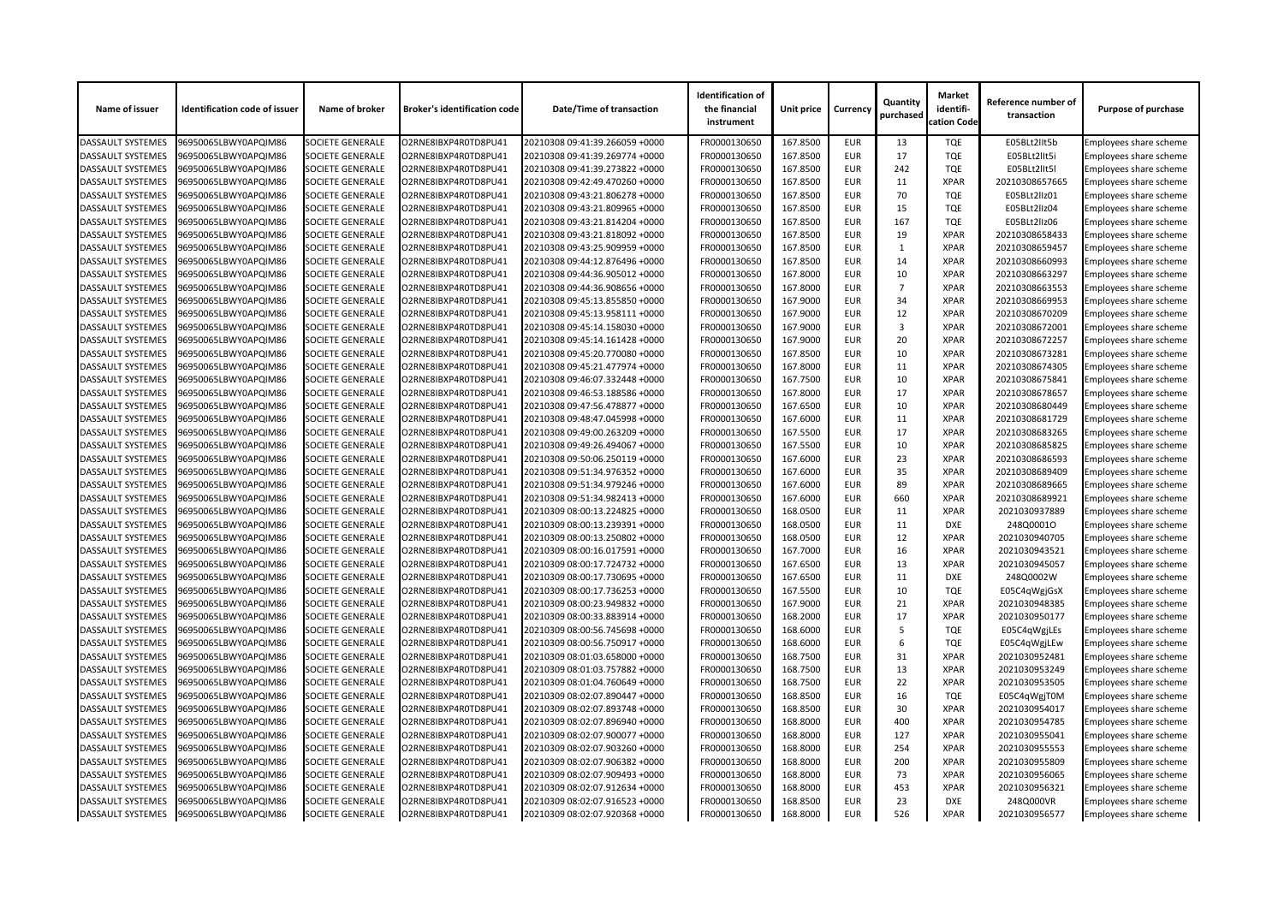| Name of issuer           | <b>Identification code of issuer</b> | Name of broker          | <b>Broker's identification code</b> | <b>Date/Time of transaction</b> | <b>Identification of</b><br>the financial<br>instrument | Unit price | <b>Currency</b> | Quantity<br>purchased | <b>Market</b><br>identifi-<br>cation Code | Reference number of<br>transaction | <b>Purpose of purchase</b>    |
|--------------------------|--------------------------------------|-------------------------|-------------------------------------|---------------------------------|---------------------------------------------------------|------------|-----------------|-----------------------|-------------------------------------------|------------------------------------|-------------------------------|
| <b>DASSAULT SYSTEMES</b> | 96950065LBWY0APQIM86                 | <b>SOCIETE GENERALE</b> | O2RNE8IBXP4R0TD8PU41                | 20210308 09:41:39.266059 +0000  | FR0000130650                                            | 167.8500   | <b>EUR</b>      | 13                    | <b>TQE</b>                                | E05BLt2lIt5b                       | Employees share scheme        |
| <b>DASSAULT SYSTEMES</b> | 96950065LBWY0APQIM86                 | <b>SOCIETE GENERALE</b> | O2RNE8IBXP4R0TD8PU41                | 20210308 09:41:39.269774 +0000  | FR0000130650                                            | 167.8500   | <b>EUR</b>      | 17                    | <b>TQE</b>                                | E05BLt2llt5i                       | Employees share scheme        |
| <b>DASSAULT SYSTEMES</b> | 96950065LBWY0APQIM86                 | <b>SOCIETE GENERALE</b> | O2RNE8IBXP4R0TD8PU41                | 20210308 09:41:39.273822 +0000  | FR0000130650                                            | 167.8500   | <b>EUR</b>      | 242                   | <b>TQE</b>                                | E05BLt2lIt5l                       | Employees share scheme        |
| <b>DASSAULT SYSTEMES</b> | 96950065LBWY0APQIM86                 | <b>SOCIETE GENERALE</b> | O2RNE8IBXP4R0TD8PU41                | 20210308 09:42:49.470260 +0000  | FR0000130650                                            | 167.8500   | <b>EUR</b>      | 11                    | <b>XPAR</b>                               | 20210308657665                     | Employees share scheme        |
| <b>DASSAULT SYSTEMES</b> | 96950065LBWY0APQIM86                 | <b>SOCIETE GENERALE</b> | O2RNE8IBXP4R0TD8PU41                | 20210308 09:43:21.806278 +0000  | FR0000130650                                            | 167.8500   | <b>EUR</b>      | 70                    | <b>TQE</b>                                | E05BLt2llz01                       | Employees share scheme        |
| <b>DASSAULT SYSTEMES</b> | 96950065LBWY0APQIM86                 | <b>SOCIETE GENERALE</b> | O2RNE8IBXP4R0TD8PU41                | 20210308 09:43:21.809965 +0000  | FR0000130650                                            | 167.8500   | <b>EUR</b>      | 15                    | <b>TQE</b>                                | E05BLt2llz04                       | Employees share scheme        |
| <b>DASSAULT SYSTEMES</b> | 96950065LBWY0APQIM86                 | <b>SOCIETE GENERALE</b> | O2RNE8IBXP4R0TD8PU41                | 20210308 09:43:21.814204 +0000  | FR0000130650                                            | 167.8500   | <b>EUR</b>      | 167                   | <b>TQE</b>                                | E05BLt2llz06                       | <b>Employees share scheme</b> |
| <b>DASSAULT SYSTEMES</b> | 96950065LBWY0APQIM86                 | <b>SOCIETE GENERALE</b> | O2RNE8IBXP4R0TD8PU41                | 20210308 09:43:21.818092 +0000  | FR0000130650                                            | 167.8500   | <b>EUR</b>      | 19                    | <b>XPAR</b>                               | 20210308658433                     | Employees share scheme        |
| <b>DASSAULT SYSTEMES</b> | 96950065LBWY0APQIM86                 | <b>SOCIETE GENERALE</b> | O2RNE8IBXP4R0TD8PU41                | 20210308 09:43:25.909959 +0000  | FR0000130650                                            | 167.8500   | <b>EUR</b>      |                       | <b>XPAR</b>                               | 20210308659457                     | Employees share scheme        |
| <b>DASSAULT SYSTEMES</b> | 96950065LBWY0APQIM86                 | <b>SOCIETE GENERALE</b> | O2RNE8IBXP4R0TD8PU41                | 20210308 09:44:12.876496 +0000  | FR0000130650                                            | 167.8500   | <b>EUR</b>      | 14                    | <b>XPAR</b>                               | 20210308660993                     | Employees share scheme        |
| <b>DASSAULT SYSTEMES</b> | 96950065LBWY0APQIM86                 | <b>SOCIETE GENERALE</b> | O2RNE8IBXP4R0TD8PU41                | 20210308 09:44:36.905012 +0000  | FR0000130650                                            | 167.8000   | <b>EUR</b>      | 10                    | <b>XPAR</b>                               | 20210308663297                     | Employees share scheme        |
| <b>DASSAULT SYSTEMES</b> | 96950065LBWY0APQIM86                 | <b>SOCIETE GENERALE</b> | O2RNE8IBXP4R0TD8PU41                | 20210308 09:44:36.908656 +0000  | FR0000130650                                            | 167.8000   | <b>EUR</b>      | $\overline{7}$        | <b>XPAR</b>                               | 20210308663553                     | <b>Employees share scheme</b> |
| <b>DASSAULT SYSTEMES</b> | 96950065LBWY0APQIM86                 | <b>SOCIETE GENERALE</b> | O2RNE8IBXP4R0TD8PU41                | 20210308 09:45:13.855850 +0000  | FR0000130650                                            | 167.9000   | <b>EUR</b>      | 34                    | <b>XPAR</b>                               | 20210308669953                     | Employees share scheme        |
| <b>DASSAULT SYSTEMES</b> | 96950065LBWY0APQIM86                 | <b>SOCIETE GENERALE</b> | O2RNE8IBXP4R0TD8PU41                | 20210308 09:45:13.958111 +0000  | FR0000130650                                            | 167.9000   | <b>EUR</b>      | 12                    | <b>XPAR</b>                               | 20210308670209                     | <b>Employees share scheme</b> |
| <b>DASSAULT SYSTEMES</b> | 96950065LBWY0APQIM86                 | <b>SOCIETE GENERALE</b> | O2RNE8IBXP4R0TD8PU41                | 20210308 09:45:14.158030 +0000  | FR0000130650                                            | 167.9000   | <b>EUR</b>      | 3                     | <b>XPAR</b>                               | 20210308672001                     | Employees share scheme        |
| <b>DASSAULT SYSTEMES</b> | 96950065LBWY0APQIM86                 | <b>SOCIETE GENERALE</b> | O2RNE8IBXP4R0TD8PU41                | 20210308 09:45:14.161428 +0000  | FR0000130650                                            | 167.9000   | <b>EUR</b>      | 20                    | <b>XPAR</b>                               | 20210308672257                     | Employees share scheme        |
| <b>DASSAULT SYSTEMES</b> | 96950065LBWY0APQIM86                 | <b>SOCIETE GENERALE</b> | O2RNE8IBXP4R0TD8PU41                | 20210308 09:45:20.770080 +0000  | FR0000130650                                            | 167.8500   | <b>EUR</b>      | 10                    | <b>XPAR</b>                               | 20210308673281                     | <b>Employees share scheme</b> |
| <b>DASSAULT SYSTEMES</b> | 96950065LBWY0APQIM86                 | <b>SOCIETE GENERALE</b> | O2RNE8IBXP4R0TD8PU41                | 20210308 09:45:21.477974 +0000  | FR0000130650                                            | 167.8000   | <b>EUR</b>      | 11                    | <b>XPAR</b>                               | 20210308674305                     | Employees share scheme        |
| <b>DASSAULT SYSTEMES</b> | 96950065LBWY0APQIM86                 | <b>SOCIETE GENERALE</b> | O2RNE8IBXP4R0TD8PU41                | 20210308 09:46:07.332448 +0000  | FR0000130650                                            | 167.7500   | <b>EUR</b>      | 10                    | <b>XPAR</b>                               | 20210308675841                     | Employees share scheme        |
| <b>DASSAULT SYSTEMES</b> | 96950065LBWY0APQIM86                 | <b>SOCIETE GENERALE</b> | O2RNE8IBXP4R0TD8PU41                | 20210308 09:46:53.188586 +0000  | FR0000130650                                            | 167.8000   | <b>EUR</b>      | 17                    | <b>XPAR</b>                               | 20210308678657                     | Employees share scheme        |
| <b>DASSAULT SYSTEMES</b> | 96950065LBWY0APQIM86                 | <b>SOCIETE GENERALE</b> | O2RNE8IBXP4R0TD8PU41                | 20210308 09:47:56.478877 +0000  | FR0000130650                                            | 167.6500   | <b>EUR</b>      | 10                    | <b>XPAR</b>                               | 20210308680449                     | Employees share scheme        |
| <b>DASSAULT SYSTEMES</b> | 96950065LBWY0APQIM86                 | <b>SOCIETE GENERALE</b> | O2RNE8IBXP4R0TD8PU41                | 20210308 09:48:47.045998 +0000  | FR0000130650                                            | 167.6000   | <b>EUR</b>      | 11                    | <b>XPAR</b>                               | 20210308681729                     |                               |
| <b>DASSAULT SYSTEMES</b> | 96950065LBWY0APQIM86                 | <b>SOCIETE GENERALE</b> | O2RNE8IBXP4R0TD8PU41                | 20210308 09:49:00.263209 +0000  | FR0000130650                                            | 167.5500   | <b>EUR</b>      | 17                    | <b>XPAR</b>                               | 20210308683265                     | <b>Employees share scheme</b> |
| <b>DASSAULT SYSTEMES</b> |                                      |                         |                                     |                                 | FR0000130650                                            |            |                 |                       |                                           | 20210308685825                     | Employees share scheme        |
|                          | 96950065LBWY0APQIM86                 | <b>SOCIETE GENERALE</b> | O2RNE8IBXP4R0TD8PU41                | 20210308 09:49:26.494067 +0000  |                                                         | 167.5500   | <b>EUR</b>      | 10                    | <b>XPAR</b>                               |                                    | Employees share scheme        |
| <b>DASSAULT SYSTEMES</b> | 96950065LBWY0APQIM86                 | <b>SOCIETE GENERALE</b> | O2RNE8IBXP4R0TD8PU41                | 20210308 09:50:06.250119 +0000  | FR0000130650                                            | 167.6000   | <b>EUR</b>      | 23                    | <b>XPAR</b>                               | 20210308686593                     | <b>Employees share scheme</b> |
| <b>DASSAULT SYSTEMES</b> | 96950065LBWY0APQIM86                 | <b>SOCIETE GENERALE</b> | O2RNE8IBXP4R0TD8PU41                | 20210308 09:51:34.976352 +0000  | FR0000130650                                            | 167.6000   | <b>EUR</b>      | 35                    | <b>XPAR</b>                               | 20210308689409                     | Employees share scheme        |
| <b>DASSAULT SYSTEMES</b> | 96950065LBWY0APQIM86                 | <b>SOCIETE GENERALE</b> | O2RNE8IBXP4R0TD8PU41                | 20210308 09:51:34.979246 +0000  | FR0000130650                                            | 167.6000   | <b>EUR</b>      | 89                    | <b>XPAR</b>                               | 20210308689665                     | Employees share scheme        |
| <b>DASSAULT SYSTEMES</b> | 96950065LBWY0APQIM86                 | <b>SOCIETE GENERALE</b> | O2RNE8IBXP4R0TD8PU41                | 20210308 09:51:34.982413 +0000  | FR0000130650                                            | 167.6000   | <b>EUR</b>      | 660                   | <b>XPAR</b>                               | 20210308689921                     | <b>Employees share scheme</b> |
| <b>DASSAULT SYSTEMES</b> | 96950065LBWY0APQIM86                 | <b>SOCIETE GENERALE</b> | O2RNE8IBXP4R0TD8PU41                | 20210309 08:00:13.224825 +0000  | FR0000130650                                            | 168.0500   | <b>EUR</b>      | 11                    | <b>XPAR</b>                               | 2021030937889                      | <b>Employees share scheme</b> |
| <b>DASSAULT SYSTEMES</b> | 96950065LBWY0APQIM86                 | <b>SOCIETE GENERALE</b> | O2RNE8IBXP4R0TD8PU41                | 20210309 08:00:13.239391 +0000  | FR0000130650                                            | 168.0500   | <b>EUR</b>      | 11                    | <b>DXE</b>                                | 248Q0001O                          | <b>Employees share scheme</b> |
| <b>DASSAULT SYSTEMES</b> | 96950065LBWY0APQIM86                 | <b>SOCIETE GENERALE</b> | O2RNE8IBXP4R0TD8PU41                | 20210309 08:00:13.250802 +0000  | FR0000130650                                            | 168.0500   | <b>EUR</b>      | 12                    | <b>XPAR</b>                               | 2021030940705                      | Employees share scheme        |
| <b>DASSAULT SYSTEMES</b> | 96950065LBWY0APQIM86                 | <b>SOCIETE GENERALE</b> | O2RNE8IBXP4R0TD8PU41                | 20210309 08:00:16.017591 +0000  | FR0000130650                                            | 167.7000   | <b>EUR</b>      | 16                    | <b>XPAR</b>                               | 2021030943521                      | <b>Employees share scheme</b> |
| <b>DASSAULT SYSTEMES</b> | 96950065LBWY0APQIM86                 | <b>SOCIETE GENERALE</b> | O2RNE8IBXP4R0TD8PU41                | 20210309 08:00:17.724732 +0000  | FR0000130650                                            | 167.6500   | <b>EUR</b>      | 13                    | <b>XPAR</b>                               | 2021030945057                      | Employees share scheme        |
| <b>DASSAULT SYSTEMES</b> | 96950065LBWY0APQIM86                 | <b>SOCIETE GENERALE</b> | O2RNE8IBXP4R0TD8PU41                | 20210309 08:00:17.730695 +0000  | FR0000130650                                            | 167.6500   | <b>EUR</b>      | 11                    | DXE                                       | 248Q0002W                          | Employees share scheme        |
| <b>DASSAULT SYSTEMES</b> | 96950065LBWY0APQIM86                 | <b>SOCIETE GENERALE</b> | O2RNE8IBXP4R0TD8PU41                | 20210309 08:00:17.736253 +0000  | FR0000130650                                            | 167.5500   | <b>EUR</b>      | 10                    | <b>TQE</b>                                | E05C4qWgjGsX                       | <b>Employees share scheme</b> |
| <b>DASSAULT SYSTEMES</b> | 96950065LBWY0APQIM86                 | <b>SOCIETE GENERALE</b> | O2RNE8IBXP4R0TD8PU41                | 20210309 08:00:23.949832 +0000  | FR0000130650                                            | 167.9000   | <b>EUR</b>      | 21                    | <b>XPAR</b>                               | 2021030948385                      | <b>Employees share scheme</b> |
| <b>DASSAULT SYSTEMES</b> | 96950065LBWY0APQIM86                 | <b>SOCIETE GENERALE</b> | O2RNE8IBXP4R0TD8PU41                | 20210309 08:00:33.883914 +0000  | FR0000130650                                            | 168.2000   | <b>EUR</b>      | 17                    | <b>XPAR</b>                               | 2021030950177                      | <b>Employees share scheme</b> |
| <b>DASSAULT SYSTEMES</b> | 96950065LBWY0APQIM86                 | <b>SOCIETE GENERALE</b> | O2RNE8IBXP4R0TD8PU41                | 20210309 08:00:56.745698 +0000  | FR0000130650                                            | 168.6000   | <b>EUR</b>      | -5                    | <b>TQE</b>                                | E05C4qWgjLEs                       | Employees share scheme        |
| <b>DASSAULT SYSTEMES</b> | 96950065LBWY0APQIM86                 | <b>SOCIETE GENERALE</b> | O2RNE8IBXP4R0TD8PU41                | 20210309 08:00:56.750917 +0000  | FR0000130650                                            | 168.6000   | <b>EUR</b>      | 6                     | TQE                                       | E05C4qWgjLEw                       | <b>Employees share scheme</b> |
| <b>DASSAULT SYSTEMES</b> | 96950065LBWY0APQIM86                 | <b>SOCIETE GENERALE</b> | O2RNE8IBXP4R0TD8PU41                | 20210309 08:01:03.658000 +0000  | FR0000130650                                            | 168.7500   | <b>EUR</b>      | 31                    | <b>XPAR</b>                               | 2021030952481                      | <b>Employees share scheme</b> |
| <b>DASSAULT SYSTEMES</b> | 96950065LBWY0APQIM86                 | <b>SOCIETE GENERALE</b> | O2RNE8IBXP4R0TD8PU41                | 20210309 08:01:03.757882 +0000  | FR0000130650                                            | 168.7500   | <b>EUR</b>      | 13                    | <b>XPAR</b>                               | 2021030953249                      | Employees share scheme        |
| <b>DASSAULT SYSTEMES</b> | 96950065LBWY0APQIM86                 | <b>SOCIETE GENERALE</b> | O2RNE8IBXP4R0TD8PU41                | 20210309 08:01:04.760649 +0000  | FR0000130650                                            | 168.7500   | <b>EUR</b>      | 22                    | <b>XPAR</b>                               | 2021030953505                      | <b>Employees share scheme</b> |
| <b>DASSAULT SYSTEMES</b> | 96950065LBWY0APQIM86                 | <b>SOCIETE GENERALE</b> | O2RNE8IBXP4R0TD8PU41                | 20210309 08:02:07.890447 +0000  | FR0000130650                                            | 168.8500   | <b>EUR</b>      | 16                    | <b>TQE</b>                                | E05C4qWgjT0M                       | Employees share scheme        |
| <b>DASSAULT SYSTEMES</b> | 96950065LBWY0APQIM86                 | <b>SOCIETE GENERALE</b> | O2RNE8IBXP4R0TD8PU41                | 20210309 08:02:07.893748 +0000  | FR0000130650                                            | 168.8500   | <b>EUR</b>      | 30                    | <b>XPAR</b>                               | 2021030954017                      | <b>Employees share scheme</b> |
| <b>DASSAULT SYSTEMES</b> | 96950065LBWY0APQIM86                 | <b>SOCIETE GENERALE</b> | O2RNE8IBXP4R0TD8PU41                | 20210309 08:02:07.896940 +0000  | FR0000130650                                            | 168.8000   | <b>EUR</b>      | 400                   | <b>XPAR</b>                               | 2021030954785                      | <b>Employees share scheme</b> |
| <b>DASSAULT SYSTEMES</b> | 96950065LBWY0APQIM86                 | <b>SOCIETE GENERALE</b> | O2RNE8IBXP4R0TD8PU41                | 20210309 08:02:07.900077 +0000  | FR0000130650                                            | 168.8000   | <b>EUR</b>      | 127                   | <b>XPAR</b>                               | 2021030955041                      | <b>Employees share scheme</b> |
| <b>DASSAULT SYSTEMES</b> | 96950065LBWY0APQIM86                 | <b>SOCIETE GENERALE</b> | O2RNE8IBXP4R0TD8PU41                | 20210309 08:02:07.903260 +0000  | FR0000130650                                            | 168.8000   | <b>EUR</b>      | 254                   | <b>XPAR</b>                               | 2021030955553                      | <b>Employees share scheme</b> |
| <b>DASSAULT SYSTEMES</b> | 96950065LBWY0APQIM86                 | <b>SOCIETE GENERALE</b> | O2RNE8IBXP4R0TD8PU41                | 20210309 08:02:07.906382 +0000  | FR0000130650                                            | 168.8000   | <b>EUR</b>      | 200                   | <b>XPAR</b>                               | 2021030955809                      | Employees share scheme        |
| <b>DASSAULT SYSTEMES</b> | 96950065LBWY0APQIM86                 | <b>SOCIETE GENERALE</b> | O2RNE8IBXP4R0TD8PU41                | 20210309 08:02:07.909493 +0000  | FR0000130650                                            | 168.8000   | <b>EUR</b>      | 73                    | <b>XPAR</b>                               | 2021030956065                      | <b>Employees share scheme</b> |
| <b>DASSAULT SYSTEMES</b> | 96950065LBWY0APQIM86                 | <b>SOCIETE GENERALE</b> | O2RNE8IBXP4R0TD8PU41                | 20210309 08:02:07.912634 +0000  | FR0000130650                                            | 168.8000   | <b>EUR</b>      | 453                   | <b>XPAR</b>                               | 2021030956321                      | <b>Employees share scheme</b> |
| <b>DASSAULT SYSTEMES</b> | 96950065LBWY0APQIM86                 | <b>SOCIETE GENERALE</b> | O2RNE8IBXP4R0TD8PU41                | 20210309 08:02:07.916523 +0000  | FR0000130650                                            | 168.8500   | <b>EUR</b>      | 23                    | <b>DXE</b>                                | 248Q000VR                          | <b>Employees share scheme</b> |
| <b>DASSAULT SYSTEMES</b> | 96950065LBWY0APQIM86                 | <b>SOCIETE GENERALE</b> | O2RNE8IBXP4R0TD8PU41                | 20210309 08:02:07.920368 +0000  | FR0000130650                                            | 168.8000   | <b>EUR</b>      | 526                   | <b>XPAR</b>                               | 2021030956577                      | <b>Employees share scheme</b> |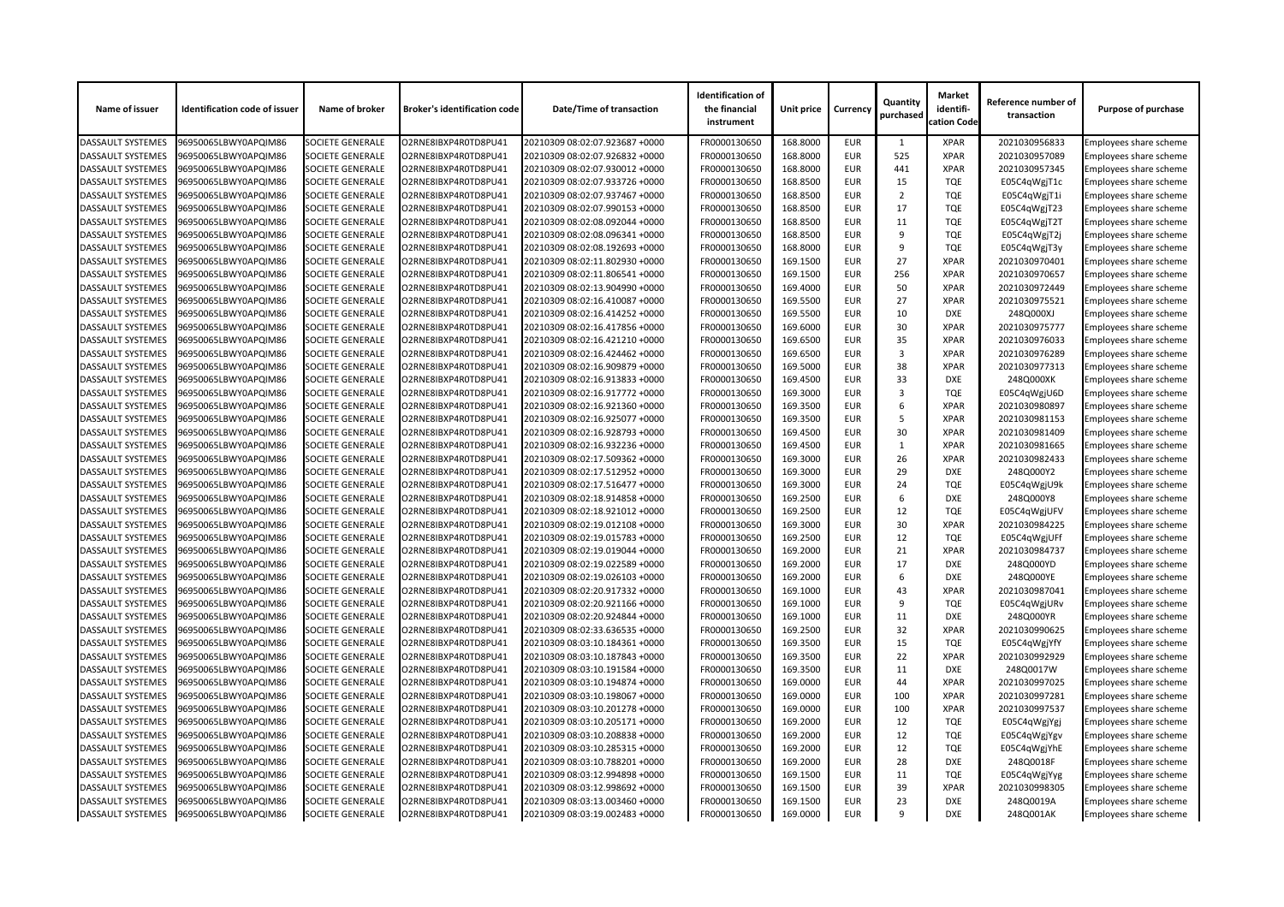| Name of issuer           | <b>Identification code of issuer</b> | Name of broker          | <b>Broker's identification code</b> | <b>Date/Time of transaction</b> | <b>Identification of</b><br>the financial<br>instrument | Unit price | <b>Currency</b> | Quantity<br>purchased | <b>Market</b><br>identifi-<br>cation Code | Reference number of<br>transaction | <b>Purpose of purchase</b> |
|--------------------------|--------------------------------------|-------------------------|-------------------------------------|---------------------------------|---------------------------------------------------------|------------|-----------------|-----------------------|-------------------------------------------|------------------------------------|----------------------------|
| <b>DASSAULT SYSTEMES</b> | 96950065LBWY0APQIM86                 | <b>SOCIETE GENERALE</b> | O2RNE8IBXP4R0TD8PU41                | 20210309 08:02:07.923687 +0000  | FR0000130650                                            | 168.8000   | <b>EUR</b>      |                       | <b>XPAR</b>                               | 2021030956833                      | Employees share scheme     |
| <b>DASSAULT SYSTEMES</b> | 96950065LBWY0APQIM86                 | <b>SOCIETE GENERALE</b> | O2RNE8IBXP4R0TD8PU41                | 20210309 08:02:07.926832 +0000  | FR0000130650                                            | 168.8000   | <b>EUR</b>      | 525                   | <b>XPAR</b>                               | 2021030957089                      | Employees share scheme     |
| <b>DASSAULT SYSTEMES</b> | 96950065LBWY0APQIM86                 | <b>SOCIETE GENERALE</b> | O2RNE8IBXP4R0TD8PU41                | 20210309 08:02:07.930012 +0000  | FR0000130650                                            | 168.8000   | <b>EUR</b>      | 441                   | <b>XPAR</b>                               | 2021030957345                      | Employees share scheme     |
| <b>DASSAULT SYSTEMES</b> | 96950065LBWY0APQIM86                 | <b>SOCIETE GENERALE</b> | O2RNE8IBXP4R0TD8PU41                | 20210309 08:02:07.933726 +0000  | FR0000130650                                            | 168.8500   | <b>EUR</b>      | 15                    | <b>TQE</b>                                | E05C4qWgjT1c                       | Employees share scheme     |
| <b>DASSAULT SYSTEMES</b> | 96950065LBWY0APQIM86                 | <b>SOCIETE GENERALE</b> | O2RNE8IBXP4R0TD8PU41                | 20210309 08:02:07.937467 +0000  | FR0000130650                                            | 168.8500   | <b>EUR</b>      | 2                     | <b>TQE</b>                                | E05C4qWgjT1i                       | Employees share scheme     |
| <b>DASSAULT SYSTEMES</b> | 96950065LBWY0APQIM86                 | <b>SOCIETE GENERALE</b> | O2RNE8IBXP4R0TD8PU41                | 20210309 08:02:07.990153 +0000  | FR0000130650                                            | 168.8500   | <b>EUR</b>      | 17                    | <b>TQE</b>                                | E05C4qWgjT23                       | Employees share scheme     |
| <b>DASSAULT SYSTEMES</b> | 96950065LBWY0APQIM86                 | <b>SOCIETE GENERALE</b> | O2RNE8IBXP4R0TD8PU41                | 20210309 08:02:08.092044 +0000  | FR0000130650                                            | 168.8500   | <b>EUR</b>      | 11                    | <b>TQE</b>                                | E05C4qWgjT2T                       | Employees share scheme     |
| <b>DASSAULT SYSTEMES</b> | 96950065LBWY0APQIM86                 | <b>SOCIETE GENERALE</b> | O2RNE8IBXP4R0TD8PU41                | 20210309 08:02:08.096341 +0000  | FR0000130650                                            | 168.8500   | <b>EUR</b>      | -9                    | <b>TQE</b>                                | E05C4qWgjT2j                       | Employees share scheme     |
| <b>DASSAULT SYSTEMES</b> | 96950065LBWY0APQIM86                 | <b>SOCIETE GENERALE</b> | O2RNE8IBXP4R0TD8PU41                | 20210309 08:02:08.192693 +0000  | FR0000130650                                            | 168.8000   | <b>EUR</b>      | 9                     | <b>TQE</b>                                | E05C4qWgjT3y                       | Employees share scheme     |
| <b>DASSAULT SYSTEMES</b> | 96950065LBWY0APQIM86                 | <b>SOCIETE GENERALE</b> | O2RNE8IBXP4R0TD8PU41                | 20210309 08:02:11.802930 +0000  | FR0000130650                                            | 169.1500   | <b>EUR</b>      | 27                    | <b>XPAR</b>                               | 2021030970401                      | Employees share scheme     |
| <b>DASSAULT SYSTEMES</b> | 96950065LBWY0APQIM86                 | <b>SOCIETE GENERALE</b> | O2RNE8IBXP4R0TD8PU41                | 20210309 08:02:11.806541 +0000  | FR0000130650                                            | 169.1500   | <b>EUR</b>      | 256                   | <b>XPAR</b>                               | 2021030970657                      | Employees share scheme     |
| <b>DASSAULT SYSTEMES</b> | 96950065LBWY0APQIM86                 | <b>SOCIETE GENERALE</b> | O2RNE8IBXP4R0TD8PU41                | 20210309 08:02:13.904990 +0000  | FR0000130650                                            | 169.4000   | <b>EUR</b>      | 50                    | <b>XPAR</b>                               | 2021030972449                      | Employees share scheme     |
| <b>DASSAULT SYSTEMES</b> | 96950065LBWY0APQIM86                 | <b>SOCIETE GENERALE</b> | O2RNE8IBXP4R0TD8PU41                | 20210309 08:02:16.410087 +0000  | FR0000130650                                            | 169.5500   | <b>EUR</b>      | 27                    | <b>XPAR</b>                               | 2021030975521                      | Employees share scheme     |
| <b>DASSAULT SYSTEMES</b> | 96950065LBWY0APQIM86                 | <b>SOCIETE GENERALE</b> | O2RNE8IBXP4R0TD8PU41                | 20210309 08:02:16.414252 +0000  | FR0000130650                                            | 169.5500   | <b>EUR</b>      | 10                    | <b>DXE</b>                                | 248Q000XJ                          | Employees share scheme     |
| <b>DASSAULT SYSTEMES</b> | 96950065LBWY0APQIM86                 | <b>SOCIETE GENERALE</b> | O2RNE8IBXP4R0TD8PU41                | 20210309 08:02:16.417856 +0000  | FR0000130650                                            | 169.6000   | <b>EUR</b>      | 30                    | <b>XPAR</b>                               | 2021030975777                      | Employees share scheme     |
| <b>DASSAULT SYSTEMES</b> | 96950065LBWY0APQIM86                 | <b>SOCIETE GENERALE</b> | O2RNE8IBXP4R0TD8PU41                | 20210309 08:02:16.421210 +0000  | FR0000130650                                            | 169.6500   | <b>EUR</b>      | 35                    | <b>XPAR</b>                               | 2021030976033                      | Employees share scheme     |
| <b>DASSAULT SYSTEMES</b> | 96950065LBWY0APQIM86                 | <b>SOCIETE GENERALE</b> | O2RNE8IBXP4R0TD8PU41                | 20210309 08:02:16.424462 +0000  | FR0000130650                                            | 169.6500   | <b>EUR</b>      | 3                     | <b>XPAR</b>                               | 2021030976289                      | Employees share scheme     |
| <b>DASSAULT SYSTEMES</b> | 96950065LBWY0APQIM86                 | <b>SOCIETE GENERALE</b> | O2RNE8IBXP4R0TD8PU41                | 20210309 08:02:16.909879 +0000  | FR0000130650                                            | 169.5000   | <b>EUR</b>      | 38                    | <b>XPAR</b>                               | 2021030977313                      | Employees share scheme     |
| <b>DASSAULT SYSTEMES</b> | 96950065LBWY0APQIM86                 | <b>SOCIETE GENERALE</b> | O2RNE8IBXP4R0TD8PU41                | 20210309 08:02:16.913833 +0000  | FR0000130650                                            | 169.4500   | <b>EUR</b>      | 33                    | <b>DXE</b>                                | 248Q000XK                          |                            |
|                          |                                      |                         |                                     |                                 |                                                         |            |                 |                       |                                           |                                    | Employees share scheme     |
| <b>DASSAULT SYSTEMES</b> | 96950065LBWY0APQIM86                 | <b>SOCIETE GENERALE</b> | O2RNE8IBXP4R0TD8PU41                | 20210309 08:02:16.917772 +0000  | FR0000130650                                            | 169.3000   | <b>EUR</b>      | 3                     | <b>TQE</b>                                | E05C4qWgjU6D                       | Employees share scheme     |
| <b>DASSAULT SYSTEMES</b> | 96950065LBWY0APQIM86                 | <b>SOCIETE GENERALE</b> | O2RNE8IBXP4R0TD8PU41                | 20210309 08:02:16.921360 +0000  | FR0000130650                                            | 169.3500   | <b>EUR</b>      | 6                     | <b>XPAR</b>                               | 2021030980897                      | Employees share scheme     |
| <b>DASSAULT SYSTEMES</b> | 96950065LBWY0APQIM86                 | <b>SOCIETE GENERALE</b> | O2RNE8IBXP4R0TD8PU41                | 20210309 08:02:16.925077 +0000  | FR0000130650                                            | 169.3500   | <b>EUR</b>      | 5                     | <b>XPAR</b>                               | 2021030981153                      | Employees share scheme     |
| <b>DASSAULT SYSTEMES</b> | 96950065LBWY0APQIM86                 | <b>SOCIETE GENERALE</b> | O2RNE8IBXP4R0TD8PU41                | 20210309 08:02:16.928793 +0000  | FR0000130650                                            | 169.4500   | <b>EUR</b>      | 30                    | <b>XPAR</b>                               | 2021030981409                      | Employees share scheme     |
| <b>DASSAULT SYSTEMES</b> | 96950065LBWY0APQIM86                 | <b>SOCIETE GENERALE</b> | O2RNE8IBXP4R0TD8PU41                | 20210309 08:02:16.932236 +0000  | FR0000130650                                            | 169.4500   | <b>EUR</b>      | 1                     | <b>XPAR</b>                               | 2021030981665                      | Employees share scheme     |
| <b>DASSAULT SYSTEMES</b> | 96950065LBWY0APQIM86                 | <b>SOCIETE GENERALE</b> | O2RNE8IBXP4R0TD8PU41                | 20210309 08:02:17.509362 +0000  | FR0000130650                                            | 169.3000   | <b>EUR</b>      | 26                    | <b>XPAR</b>                               | 2021030982433                      | Employees share scheme     |
| <b>DASSAULT SYSTEMES</b> | 96950065LBWY0APQIM86                 | <b>SOCIETE GENERALE</b> | O2RNE8IBXP4R0TD8PU41                | 20210309 08:02:17.512952 +0000  | FR0000130650                                            | 169.3000   | <b>EUR</b>      | 29                    | <b>DXE</b>                                | 248Q000Y2                          | Employees share scheme     |
| <b>DASSAULT SYSTEMES</b> | 96950065LBWY0APQIM86                 | <b>SOCIETE GENERALE</b> | O2RNE8IBXP4R0TD8PU41                | 20210309 08:02:17.516477 +0000  | FR0000130650                                            | 169.3000   | <b>EUR</b>      | 24                    | <b>TQE</b>                                | E05C4qWgjU9k                       | Employees share scheme     |
| <b>DASSAULT SYSTEMES</b> | 96950065LBWY0APQIM86                 | <b>SOCIETE GENERALE</b> | O2RNE8IBXP4R0TD8PU41                | 20210309 08:02:18.914858 +0000  | FR0000130650                                            | 169.2500   | <b>EUR</b>      | -6                    | <b>DXE</b>                                | 248Q000Y8                          | Employees share scheme     |
| <b>DASSAULT SYSTEMES</b> | 96950065LBWY0APQIM86                 | <b>SOCIETE GENERALE</b> | O2RNE8IBXP4R0TD8PU41                | 20210309 08:02:18.921012 +0000  | FR0000130650                                            | 169.2500   | <b>EUR</b>      | 12                    | <b>TQE</b>                                | E05C4qWgjUFV                       | Employees share scheme     |
| <b>DASSAULT SYSTEMES</b> | 96950065LBWY0APQIM86                 | <b>SOCIETE GENERALE</b> | O2RNE8IBXP4R0TD8PU41                | 20210309 08:02:19.012108 +0000  | FR0000130650                                            | 169.3000   | <b>EUR</b>      | 30                    | <b>XPAR</b>                               | 2021030984225                      | Employees share scheme     |
| <b>DASSAULT SYSTEMES</b> | 96950065LBWY0APQIM86                 | <b>SOCIETE GENERALE</b> | O2RNE8IBXP4R0TD8PU41                | 20210309 08:02:19.015783 +0000  | FR0000130650                                            | 169.2500   | <b>EUR</b>      | 12                    | <b>TQE</b>                                | E05C4qWgjUFf                       | Employees share scheme     |
| <b>DASSAULT SYSTEMES</b> | 96950065LBWY0APQIM86                 | <b>SOCIETE GENERALE</b> | O2RNE8IBXP4R0TD8PU41                | 20210309 08:02:19.019044 +0000  | FR0000130650                                            | 169.2000   | <b>EUR</b>      | 21                    | <b>XPAR</b>                               | 2021030984737                      | Employees share scheme     |
| <b>DASSAULT SYSTEMES</b> | 96950065LBWY0APQIM86                 | <b>SOCIETE GENERALE</b> | O2RNE8IBXP4R0TD8PU41                | 20210309 08:02:19.022589 +0000  | FR0000130650                                            | 169.2000   | <b>EUR</b>      | 17                    | <b>DXE</b>                                | 248Q000YD                          | Employees share scheme     |
| <b>DASSAULT SYSTEMES</b> | 96950065LBWY0APQIM86                 | <b>SOCIETE GENERALE</b> | O2RNE8IBXP4R0TD8PU41                | 20210309 08:02:19.026103 +0000  | FR0000130650                                            | 169.2000   | <b>EUR</b>      | 6                     | <b>DXE</b>                                | 248Q000YE                          | Employees share scheme     |
| <b>DASSAULT SYSTEMES</b> | 96950065LBWY0APQIM86                 | <b>SOCIETE GENERALE</b> | O2RNE8IBXP4R0TD8PU41                | 20210309 08:02:20.917332 +0000  | FR0000130650                                            | 169.1000   | <b>EUR</b>      | 43                    | <b>XPAR</b>                               | 2021030987041                      | Employees share scheme     |
| <b>DASSAULT SYSTEMES</b> | 96950065LBWY0APQIM86                 | <b>SOCIETE GENERALE</b> | O2RNE8IBXP4R0TD8PU41                | 20210309 08:02:20.921166 +0000  | FR0000130650                                            | 169.1000   | <b>EUR</b>      | 9                     | <b>TQE</b>                                | E05C4qWgjURv                       | Employees share scheme     |
| <b>DASSAULT SYSTEMES</b> | 96950065LBWY0APQIM86                 | <b>SOCIETE GENERALE</b> | O2RNE8IBXP4R0TD8PU41                | 20210309 08:02:20.924844 +0000  | FR0000130650                                            | 169.1000   | <b>EUR</b>      | 11                    | <b>DXE</b>                                | 248Q000YR                          | Employees share scheme     |
| <b>DASSAULT SYSTEMES</b> | 96950065LBWY0APQIM86                 | <b>SOCIETE GENERALE</b> | O2RNE8IBXP4R0TD8PU41                | 20210309 08:02:33.636535 +0000  | FR0000130650                                            | 169.2500   | <b>EUR</b>      | 32                    | <b>XPAR</b>                               | 2021030990625                      | Employees share scheme     |
| <b>DASSAULT SYSTEMES</b> | 96950065LBWY0APQIM86                 | <b>SOCIETE GENERALE</b> | O2RNE8IBXP4R0TD8PU41                | 20210309 08:03:10.184361 +0000  | FR0000130650                                            | 169.3500   | <b>EUR</b>      | 15                    | <b>TQE</b>                                | E05C4qWgjYfY                       | Employees share scheme     |
| <b>DASSAULT SYSTEMES</b> | 96950065LBWY0APQIM86                 | <b>SOCIETE GENERALE</b> | O2RNE8IBXP4R0TD8PU41                | 20210309 08:03:10.187843 +0000  | FR0000130650                                            | 169.3500   | <b>EUR</b>      | 22                    | <b>XPAR</b>                               | 2021030992929                      | Employees share scheme     |
| <b>DASSAULT SYSTEMES</b> | 96950065LBWY0APQIM86                 | <b>SOCIETE GENERALE</b> | O2RNE8IBXP4R0TD8PU41                | 20210309 08:03:10.191584 +0000  | FR0000130650                                            | 169.3500   | <b>EUR</b>      | 11                    | <b>DXE</b>                                | 248Q0017W                          | Employees share scheme     |
| <b>DASSAULT SYSTEMES</b> | 96950065LBWY0APQIM86                 | <b>SOCIETE GENERALE</b> | O2RNE8IBXP4R0TD8PU41                | 20210309 08:03:10.194874 +0000  | FR0000130650                                            | 169.0000   | <b>EUR</b>      | 44                    | <b>XPAR</b>                               | 2021030997025                      | Employees share scheme     |
| <b>DASSAULT SYSTEMES</b> | 96950065LBWY0APQIM86                 | <b>SOCIETE GENERALE</b> | O2RNE8IBXP4R0TD8PU41                | 20210309 08:03:10.198067 +0000  | FR0000130650                                            | 169.0000   | <b>EUR</b>      | 100                   | <b>XPAR</b>                               | 2021030997281                      | Employees share scheme     |
| <b>DASSAULT SYSTEMES</b> | 96950065LBWY0APQIM86                 | <b>SOCIETE GENERALE</b> | O2RNE8IBXP4R0TD8PU41                | 20210309 08:03:10.201278 +0000  | FR0000130650                                            | 169.0000   | <b>EUR</b>      | 100                   | XPAR                                      | 2021030997537                      | Employees share scheme     |
| <b>DASSAULT SYSTEMES</b> | 96950065LBWY0APQIM86                 | <b>SOCIETE GENERALE</b> | O2RNE8IBXP4R0TD8PU41                | 20210309 08:03:10.205171 +0000  | FR0000130650                                            | 169.2000   | <b>EUR</b>      | 12                    | <b>TQE</b>                                | E05C4qWgjYgj                       | Employees share scheme     |
| <b>DASSAULT SYSTEMES</b> | 96950065LBWY0APQIM86                 | <b>SOCIETE GENERALE</b> | O2RNE8IBXP4R0TD8PU41                | 20210309 08:03:10.208838 +0000  | FR0000130650                                            | 169.2000   | <b>EUR</b>      | 12                    | <b>TQE</b>                                | E05C4qWgjYgv                       | Employees share scheme     |
| <b>DASSAULT SYSTEMES</b> | 96950065LBWY0APQIM86                 | <b>SOCIETE GENERALE</b> | O2RNE8IBXP4R0TD8PU41                | 20210309 08:03:10.285315 +0000  | FR0000130650                                            | 169.2000   | <b>EUR</b>      | 12                    | <b>TQE</b>                                | E05C4qWgjYhE                       | Employees share scheme     |
| <b>DASSAULT SYSTEMES</b> | 96950065LBWY0APQIM86                 | <b>SOCIETE GENERALE</b> | O2RNE8IBXP4R0TD8PU41                | 20210309 08:03:10.788201 +0000  | FR0000130650                                            | 169.2000   | <b>EUR</b>      | 28                    | <b>DXE</b>                                | 248Q0018F                          | Employees share scheme     |
| <b>DASSAULT SYSTEMES</b> | 96950065LBWY0APQIM86                 | <b>SOCIETE GENERALE</b> | O2RNE8IBXP4R0TD8PU41                | 20210309 08:03:12.994898 +0000  | FR0000130650                                            | 169.1500   | <b>EUR</b>      | 11                    | <b>TQE</b>                                | E05C4qWgjYyg                       | Employees share scheme     |
| <b>DASSAULT SYSTEMES</b> | 96950065LBWY0APQIM86                 | <b>SOCIETE GENERALE</b> | O2RNE8IBXP4R0TD8PU41                | 20210309 08:03:12.998692 +0000  | FR0000130650                                            | 169.1500   | <b>EUR</b>      | 39                    | <b>XPAR</b>                               | 2021030998305                      | Employees share scheme     |
| <b>DASSAULT SYSTEMES</b> | 96950065LBWY0APQIM86                 | <b>SOCIETE GENERALE</b> | O2RNE8IBXP4R0TD8PU41                | 20210309 08:03:13.003460 +0000  | FR0000130650                                            | 169.1500   | <b>EUR</b>      | 23                    | <b>DXE</b>                                | 248Q0019A                          | Employees share scheme     |
| <b>DASSAULT SYSTEMES</b> | 96950065LBWY0APQIM86                 | SOCIETE GENERALE        | O2RNE8IBXP4R0TD8PU41                | 20210309 08:03:19.002483 +0000  | FR0000130650                                            | 169.0000   | <b>EUR</b>      | 9                     | <b>DXE</b>                                | 248Q001AK                          | Employees share scheme     |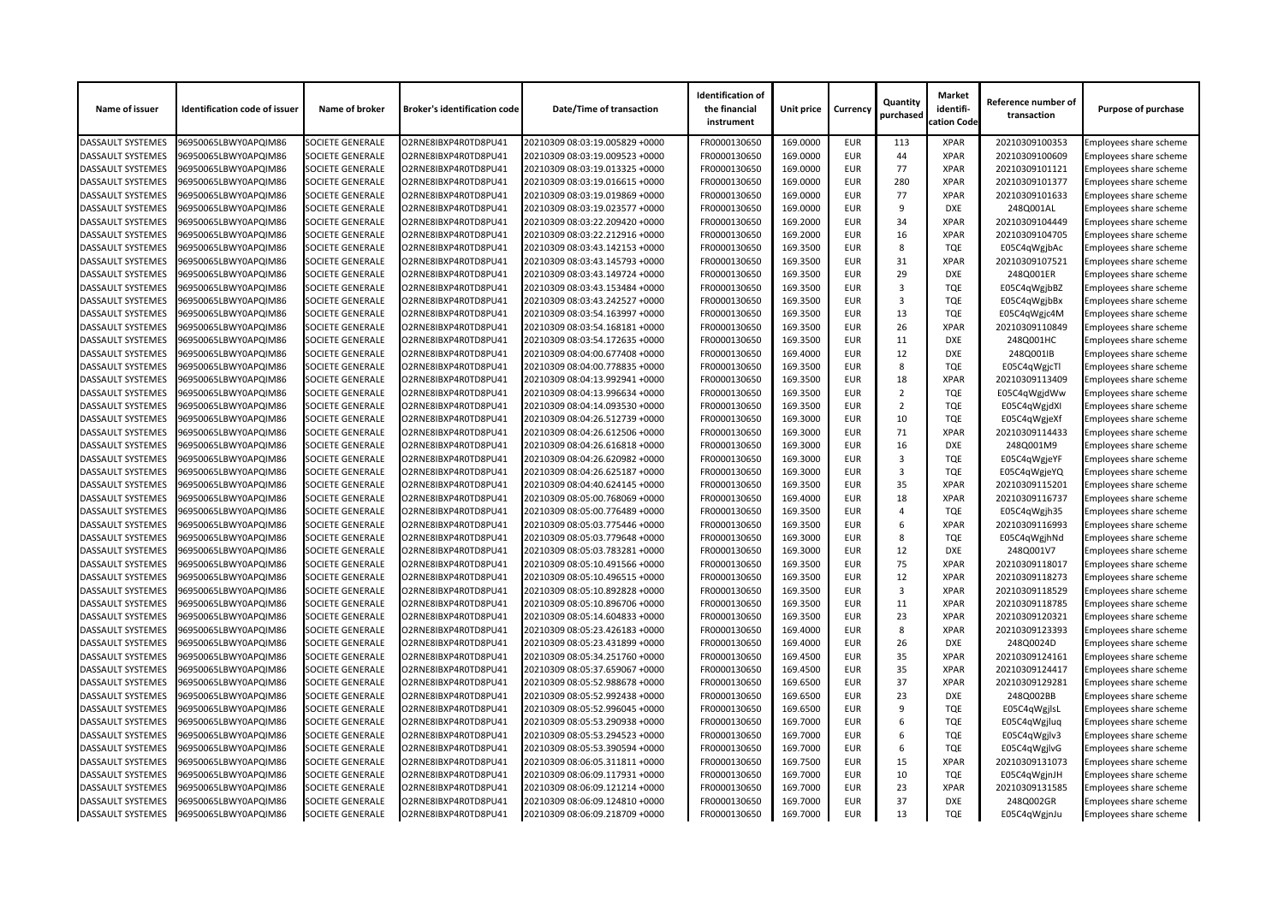| Name of issuer           | <b>Identification code of issuer</b> | Name of broker          | <b>Broker's identification code</b> | <b>Date/Time of transaction</b> | <b>Identification of</b><br>the financial<br>instrument | <b>Unit price</b> | <b>Currency</b> | Quantity<br>purchased | <b>Market</b><br>identifi-<br>cation Code | Reference number of<br>transaction | <b>Purpose of purchase</b>    |
|--------------------------|--------------------------------------|-------------------------|-------------------------------------|---------------------------------|---------------------------------------------------------|-------------------|-----------------|-----------------------|-------------------------------------------|------------------------------------|-------------------------------|
| <b>DASSAULT SYSTEMES</b> | 96950065LBWY0APQIM86                 | <b>SOCIETE GENERALE</b> | O2RNE8IBXP4R0TD8PU41                | 20210309 08:03:19.005829 +0000  | FR0000130650                                            | 169.0000          | <b>EUR</b>      | 113                   | <b>XPAR</b>                               | 20210309100353                     | Employees share scheme        |
| <b>DASSAULT SYSTEMES</b> | 96950065LBWY0APQIM86                 | <b>SOCIETE GENERALE</b> | O2RNE8IBXP4R0TD8PU41                | 20210309 08:03:19.009523 +0000  | FR0000130650                                            | 169.0000          | <b>EUR</b>      | 44                    | <b>XPAR</b>                               | 20210309100609                     | Employees share scheme        |
| <b>DASSAULT SYSTEMES</b> | 96950065LBWY0APQIM86                 | <b>SOCIETE GENERALE</b> | O2RNE8IBXP4R0TD8PU41                | 20210309 08:03:19.013325 +0000  | FR0000130650                                            | 169.0000          | <b>EUR</b>      | 77                    | <b>XPAR</b>                               | 20210309101121                     | Employees share scheme        |
| <b>DASSAULT SYSTEMES</b> | 96950065LBWY0APQIM86                 | <b>SOCIETE GENERALE</b> | O2RNE8IBXP4R0TD8PU41                | 20210309 08:03:19.016615 +0000  | FR0000130650                                            | 169.0000          | <b>EUR</b>      | 280                   | <b>XPAR</b>                               | 20210309101377                     | Employees share scheme        |
| <b>DASSAULT SYSTEMES</b> | 96950065LBWY0APQIM86                 | <b>SOCIETE GENERALE</b> | O2RNE8IBXP4R0TD8PU41                | 20210309 08:03:19.019869 +0000  | FR0000130650                                            | 169.0000          | <b>EUR</b>      | 77                    | <b>XPAR</b>                               | 20210309101633                     | <b>Employees share scheme</b> |
| <b>DASSAULT SYSTEMES</b> | 96950065LBWY0APQIM86                 | <b>SOCIETE GENERALE</b> | O2RNE8IBXP4R0TD8PU41                | 20210309 08:03:19.023577 +0000  | FR0000130650                                            | 169.0000          | <b>EUR</b>      | 9                     | <b>DXE</b>                                | 248Q001AL                          | Employees share scheme        |
| <b>DASSAULT SYSTEMES</b> | 96950065LBWY0APQIM86                 | <b>SOCIETE GENERALE</b> | O2RNE8IBXP4R0TD8PU41                | 20210309 08:03:22.209420 +0000  | FR0000130650                                            | 169.2000          | <b>EUR</b>      | 34                    | <b>XPAR</b>                               | 20210309104449                     | Employees share scheme        |
| <b>DASSAULT SYSTEMES</b> | 96950065LBWY0APQIM86                 | <b>SOCIETE GENERALE</b> | O2RNE8IBXP4R0TD8PU41                | 20210309 08:03:22.212916 +0000  | FR0000130650                                            | 169.2000          | <b>EUR</b>      | 16                    | <b>XPAR</b>                               | 20210309104705                     | Employees share scheme        |
| <b>DASSAULT SYSTEMES</b> | 96950065LBWY0APQIM86                 | <b>SOCIETE GENERALE</b> | O2RNE8IBXP4R0TD8PU41                | 20210309 08:03:43.142153 +0000  | FR0000130650                                            | 169.3500          | <b>EUR</b>      | 8                     | <b>TQE</b>                                | E05C4qWgjbAc                       | Employees share scheme        |
| <b>DASSAULT SYSTEMES</b> | 96950065LBWY0APQIM86                 | <b>SOCIETE GENERALE</b> | O2RNE8IBXP4R0TD8PU41                | 20210309 08:03:43.145793 +0000  | FR0000130650                                            | 169.3500          | <b>EUR</b>      | 31                    | <b>XPAR</b>                               | 20210309107521                     | Employees share scheme        |
| <b>DASSAULT SYSTEMES</b> | 96950065LBWY0APQIM86                 | <b>SOCIETE GENERALE</b> | O2RNE8IBXP4R0TD8PU41                | 20210309 08:03:43.149724 +0000  | FR0000130650                                            | 169.3500          | <b>EUR</b>      | 29                    | <b>DXE</b>                                | 248Q001ER                          | Employees share scheme        |
| <b>DASSAULT SYSTEMES</b> | 96950065LBWY0APQIM86                 | <b>SOCIETE GENERALE</b> | O2RNE8IBXP4R0TD8PU41                | 20210309 08:03:43.153484 +0000  | FR0000130650                                            | 169.3500          | <b>EUR</b>      | 3                     | <b>TQE</b>                                | E05C4qWgjbBZ                       | Employees share scheme        |
| <b>DASSAULT SYSTEMES</b> | 96950065LBWY0APQIM86                 | <b>SOCIETE GENERALE</b> | O2RNE8IBXP4R0TD8PU41                | 20210309 08:03:43.242527 +0000  | FR0000130650                                            | 169.3500          | <b>EUR</b>      | 3                     | <b>TQE</b>                                | E05C4qWgjbBx                       | Employees share scheme        |
| <b>DASSAULT SYSTEMES</b> | 96950065LBWY0APQIM86                 | <b>SOCIETE GENERALE</b> | O2RNE8IBXP4R0TD8PU41                | 20210309 08:03:54.163997 +0000  | FR0000130650                                            | 169.3500          | <b>EUR</b>      | 13                    | <b>TQE</b>                                | E05C4qWgjc4M                       | Employees share scheme        |
| <b>DASSAULT SYSTEMES</b> | 96950065LBWY0APQIM86                 | <b>SOCIETE GENERALE</b> | O2RNE8IBXP4R0TD8PU41                | 20210309 08:03:54.168181 +0000  | FR0000130650                                            | 169.3500          | <b>EUR</b>      | 26                    | <b>XPAR</b>                               | 20210309110849                     | <b>Employees share scheme</b> |
| <b>DASSAULT SYSTEMES</b> | 96950065LBWY0APQIM86                 | <b>SOCIETE GENERALE</b> | O2RNE8IBXP4R0TD8PU41                | 20210309 08:03:54.172635 +0000  | FR0000130650                                            | 169.3500          | <b>EUR</b>      | 11                    | <b>DXE</b>                                | 248Q001HC                          | Employees share scheme        |
| <b>DASSAULT SYSTEMES</b> | 96950065LBWY0APQIM86                 | <b>SOCIETE GENERALE</b> | O2RNE8IBXP4R0TD8PU41                | 20210309 08:04:00.677408 +0000  | FR0000130650                                            | 169.4000          | <b>EUR</b>      | 12                    | <b>DXE</b>                                | 248Q001IB                          | Employees share scheme        |
| <b>DASSAULT SYSTEMES</b> | 96950065LBWY0APQIM86                 | <b>SOCIETE GENERALE</b> | O2RNE8IBXP4R0TD8PU41                | 20210309 08:04:00.778835 +0000  | FR0000130650                                            | 169.3500          | <b>EUR</b>      | 8                     | <b>TQE</b>                                | E05C4qWgjcTl                       | Employees share scheme        |
| <b>DASSAULT SYSTEMES</b> | 96950065LBWY0APQIM86                 | <b>SOCIETE GENERALE</b> | O2RNE8IBXP4R0TD8PU41                | 20210309 08:04:13.992941 +0000  | FR0000130650                                            | 169.3500          | <b>EUR</b>      | 18                    | <b>XPAR</b>                               | 20210309113409                     | Employees share scheme        |
| <b>DASSAULT SYSTEMES</b> | 96950065LBWY0APQIM86                 | <b>SOCIETE GENERALE</b> | O2RNE8IBXP4R0TD8PU41                | 20210309 08:04:13.996634 +0000  | FR0000130650                                            | 169.3500          | <b>EUR</b>      | $\overline{2}$        | <b>TQE</b>                                | E05C4qWgjdWw                       | Employees share scheme        |
| <b>DASSAULT SYSTEMES</b> | 96950065LBWY0APQIM86                 | <b>SOCIETE GENERALE</b> | O2RNE8IBXP4R0TD8PU41                | 20210309 08:04:14.093530 +0000  | FR0000130650                                            | 169.3500          | <b>EUR</b>      | $\overline{2}$        | <b>TQE</b>                                | E05C4qWgjdXI                       | Employees share scheme        |
|                          |                                      |                         |                                     |                                 | FR0000130650                                            | 169.3000          |                 | 10                    | <b>TQE</b>                                |                                    |                               |
| <b>DASSAULT SYSTEMES</b> | 96950065LBWY0APQIM86                 | <b>SOCIETE GENERALE</b> | O2RNE8IBXP4R0TD8PU41                | 20210309 08:04:26.512739 +0000  |                                                         |                   | <b>EUR</b>      |                       |                                           | E05C4qWgjeXf                       | Employees share scheme        |
| <b>DASSAULT SYSTEMES</b> | 96950065LBWY0APQIM86                 | <b>SOCIETE GENERALE</b> | O2RNE8IBXP4R0TD8PU41                | 20210309 08:04:26.612506 +0000  | FR0000130650                                            | 169.3000          | <b>EUR</b>      | 71                    | <b>XPAR</b>                               | 20210309114433                     | Employees share scheme        |
| <b>DASSAULT SYSTEMES</b> | 96950065LBWY0APQIM86                 | <b>SOCIETE GENERALE</b> | O2RNE8IBXP4R0TD8PU41                | 20210309 08:04:26.616818 +0000  | FR0000130650                                            | 169.3000          | <b>EUR</b>      | 16                    | <b>DXE</b>                                | 248Q001M9                          | Employees share scheme        |
| <b>DASSAULT SYSTEMES</b> | 96950065LBWY0APQIM86                 | <b>SOCIETE GENERALE</b> | O2RNE8IBXP4R0TD8PU41                | 20210309 08:04:26.620982 +0000  | FR0000130650                                            | 169.3000          | <b>EUR</b>      | 3                     | <b>TQE</b>                                | E05C4qWgjeYF                       | <b>Employees share scheme</b> |
| <b>DASSAULT SYSTEMES</b> | 96950065LBWY0APQIM86                 | <b>SOCIETE GENERALE</b> | O2RNE8IBXP4R0TD8PU41                | 20210309 08:04:26.625187 +0000  | FR0000130650                                            | 169.3000          | <b>EUR</b>      | 3                     | <b>TQE</b>                                | E05C4qWgjeYQ                       | Employees share scheme        |
| <b>DASSAULT SYSTEMES</b> | 96950065LBWY0APQIM86                 | <b>SOCIETE GENERALE</b> | O2RNE8IBXP4R0TD8PU41                | 20210309 08:04:40.624145 +0000  | FR0000130650                                            | 169.3500          | <b>EUR</b>      | 35                    | <b>XPAR</b>                               | 20210309115201                     | <b>Employees share scheme</b> |
| <b>DASSAULT SYSTEMES</b> | 96950065LBWY0APQIM86                 | <b>SOCIETE GENERALE</b> | O2RNE8IBXP4R0TD8PU41                | 20210309 08:05:00.768069 +0000  | FR0000130650                                            | 169.4000          | <b>EUR</b>      | 18                    | <b>XPAR</b>                               | 20210309116737                     | Employees share scheme        |
| <b>DASSAULT SYSTEMES</b> | 96950065LBWY0APQIM86                 | <b>SOCIETE GENERALE</b> | O2RNE8IBXP4R0TD8PU41                | 20210309 08:05:00.776489 +0000  | FR0000130650                                            | 169.3500          | <b>EUR</b>      | 4                     | <b>TQE</b>                                | E05C4qWgjh35                       | <b>Employees share scheme</b> |
| <b>DASSAULT SYSTEMES</b> | 96950065LBWY0APQIM86                 | <b>SOCIETE GENERALE</b> | O2RNE8IBXP4R0TD8PU41                | 20210309 08:05:03.775446 +0000  | FR0000130650                                            | 169.3500          | <b>EUR</b>      | 6                     | <b>XPAR</b>                               | 20210309116993                     | Employees share scheme        |
| <b>DASSAULT SYSTEMES</b> | 96950065LBWY0APQIM86                 | <b>SOCIETE GENERALE</b> | O2RNE8IBXP4R0TD8PU41                | 20210309 08:05:03.779648 +0000  | FR0000130650                                            | 169.3000          | <b>EUR</b>      | 8                     | <b>TQE</b>                                | E05C4qWgjhNd                       | Employees share scheme        |
| <b>DASSAULT SYSTEMES</b> | 96950065LBWY0APQIM86                 | <b>SOCIETE GENERALE</b> | O2RNE8IBXP4R0TD8PU41                | 20210309 08:05:03.783281 +0000  | FR0000130650                                            | 169.3000          | <b>EUR</b>      | 12                    | <b>DXE</b>                                | 248Q001V7                          | Employees share scheme        |
| <b>DASSAULT SYSTEMES</b> | 96950065LBWY0APQIM86                 | <b>SOCIETE GENERALE</b> | O2RNE8IBXP4R0TD8PU41                | 20210309 08:05:10.491566 +0000  | FR0000130650                                            | 169.3500          | <b>EUR</b>      | 75                    | <b>XPAR</b>                               | 20210309118017                     | Employees share scheme        |
| <b>DASSAULT SYSTEMES</b> | 96950065LBWY0APQIM86                 | <b>SOCIETE GENERALE</b> | O2RNE8IBXP4R0TD8PU41                | 20210309 08:05:10.496515 +0000  | FR0000130650                                            | 169.3500          | <b>EUR</b>      | 12                    | <b>XPAR</b>                               | 20210309118273                     | Employees share scheme        |
| <b>DASSAULT SYSTEMES</b> | 96950065LBWY0APQIM86                 | <b>SOCIETE GENERALE</b> | O2RNE8IBXP4R0TD8PU41                | 20210309 08:05:10.892828 +0000  | FR0000130650                                            | 169.3500          | <b>EUR</b>      | 3                     | <b>XPAR</b>                               | 20210309118529                     | Employees share scheme        |
| <b>DASSAULT SYSTEMES</b> | 96950065LBWY0APQIM86                 | <b>SOCIETE GENERALE</b> | O2RNE8IBXP4R0TD8PU41                | 20210309 08:05:10.896706 +0000  | FR0000130650                                            | 169.3500          | <b>EUR</b>      | 11                    | <b>XPAR</b>                               | 20210309118785                     | Employees share scheme        |
| <b>DASSAULT SYSTEMES</b> | 96950065LBWY0APQIM86                 | <b>SOCIETE GENERALE</b> | O2RNE8IBXP4R0TD8PU41                | 20210309 08:05:14.604833 +0000  | FR0000130650                                            | 169.3500          | <b>EUR</b>      | 23                    | <b>XPAR</b>                               | 20210309120321                     | Employees share scheme        |
| <b>DASSAULT SYSTEMES</b> | 96950065LBWY0APQIM86                 | <b>SOCIETE GENERALE</b> | O2RNE8IBXP4R0TD8PU41                | 20210309 08:05:23.426183 +0000  | FR0000130650                                            | 169.4000          | <b>EUR</b>      | -8                    | <b>XPAR</b>                               | 20210309123393                     | Employees share scheme        |
| <b>DASSAULT SYSTEMES</b> | 96950065LBWY0APQIM86                 | <b>SOCIETE GENERALE</b> | O2RNE8IBXP4R0TD8PU41                | 20210309 08:05:23.431899 +0000  | FR0000130650                                            | 169.4000          | <b>EUR</b>      | 26                    | DXE                                       | 248Q0024D                          | Employees share scheme        |
| <b>DASSAULT SYSTEMES</b> | 96950065LBWY0APQIM86                 | <b>SOCIETE GENERALE</b> | O2RNE8IBXP4R0TD8PU41                | 20210309 08:05:34.251760 +0000  | FR0000130650                                            | 169.4500          | <b>EUR</b>      | 35                    | <b>XPAR</b>                               | 20210309124161                     | Employees share scheme        |
| <b>DASSAULT SYSTEMES</b> | 96950065LBWY0APQIM86                 | <b>SOCIETE GENERALE</b> | O2RNE8IBXP4R0TD8PU41                | 20210309 08:05:37.659067 +0000  | FR0000130650                                            | 169.4500          | <b>EUR</b>      | 35                    | <b>XPAR</b>                               | 20210309124417                     | Employees share scheme        |
| <b>DASSAULT SYSTEMES</b> | 96950065LBWY0APQIM86                 | <b>SOCIETE GENERALE</b> | O2RNE8IBXP4R0TD8PU41                | 20210309 08:05:52.988678 +0000  | FR0000130650                                            | 169.6500          | <b>EUR</b>      | 37                    | <b>XPAR</b>                               | 20210309129281                     | <b>Employees share scheme</b> |
| <b>DASSAULT SYSTEMES</b> | 96950065LBWY0APQIM86                 | <b>SOCIETE GENERALE</b> | O2RNE8IBXP4R0TD8PU41                | 20210309 08:05:52.992438 +0000  | FR0000130650                                            | 169.6500          | <b>EUR</b>      | 23                    | <b>DXE</b>                                | 248Q002BB                          | Employees share scheme        |
| <b>DASSAULT SYSTEMES</b> | 96950065LBWY0APQIM86                 | <b>SOCIETE GENERALE</b> | O2RNE8IBXP4R0TD8PU41                | 20210309 08:05:52.996045 +0000  | FR0000130650                                            | 169.6500          | <b>EUR</b>      | 9                     | <b>TQE</b>                                | E05C4qWgjlsL                       | Employees share scheme        |
| <b>DASSAULT SYSTEMES</b> | 96950065LBWY0APQIM86                 | <b>SOCIETE GENERALE</b> | O2RNE8IBXP4R0TD8PU41                | 20210309 08:05:53.290938 +0000  | FR0000130650                                            | 169.7000          | <b>EUR</b>      | 6                     | <b>TQE</b>                                | E05C4qWgjluq                       | Employees share scheme        |
| <b>DASSAULT SYSTEMES</b> | 96950065LBWY0APQIM86                 | <b>SOCIETE GENERALE</b> | O2RNE8IBXP4R0TD8PU41                | 20210309 08:05:53.294523 +0000  | FR0000130650                                            | 169.7000          | <b>EUR</b>      | 6                     | <b>TQE</b>                                | E05C4qWgjlv3                       | Employees share scheme        |
| <b>DASSAULT SYSTEMES</b> | 96950065LBWY0APQIM86                 | <b>SOCIETE GENERALE</b> | O2RNE8IBXP4R0TD8PU41                | 20210309 08:05:53.390594 +0000  | FR0000130650                                            | 169.7000          | <b>EUR</b>      | 6                     | <b>TQE</b>                                | E05C4qWgjlvG                       | Employees share scheme        |
| <b>DASSAULT SYSTEMES</b> | 96950065LBWY0APQIM86                 | <b>SOCIETE GENERALE</b> | O2RNE8IBXP4R0TD8PU41                | 20210309 08:06:05.311811 +0000  | FR0000130650                                            | 169.7500          | <b>EUR</b>      | 15                    | <b>XPAR</b>                               | 20210309131073                     | Employees share scheme        |
| <b>DASSAULT SYSTEMES</b> | 96950065LBWY0APQIM86                 | <b>SOCIETE GENERALE</b> | O2RNE8IBXP4R0TD8PU41                | 20210309 08:06:09.117931 +0000  | FR0000130650                                            | 169.7000          | <b>EUR</b>      | 10                    | <b>TQE</b>                                | E05C4qWgjnJH                       | Employees share scheme        |
| <b>DASSAULT SYSTEMES</b> | 96950065LBWY0APQIM86                 | <b>SOCIETE GENERALE</b> | O2RNE8IBXP4R0TD8PU41                | 20210309 08:06:09.121214 +0000  | FR0000130650                                            | 169.7000          | <b>EUR</b>      | 23                    | <b>XPAR</b>                               | 20210309131585                     | Employees share scheme        |
| <b>DASSAULT SYSTEMES</b> | 96950065LBWY0APQIM86                 | <b>SOCIETE GENERALE</b> | O2RNE8IBXP4R0TD8PU41                | 20210309 08:06:09.124810 +0000  | FR0000130650                                            | 169.7000          | <b>EUR</b>      | 37                    | <b>DXE</b>                                | 248Q002GR                          | Employees share scheme        |
| <b>DASSAULT SYSTEMES</b> | 96950065LBWY0APQIM86                 | <b>SOCIETE GENERALE</b> | O2RNE8IBXP4R0TD8PU41                | 20210309 08:06:09.218709 +0000  | FR0000130650                                            | 169.7000          | <b>EUR</b>      | 13                    | <b>TQE</b>                                | E05C4qWgjnJu                       | Employees share scheme        |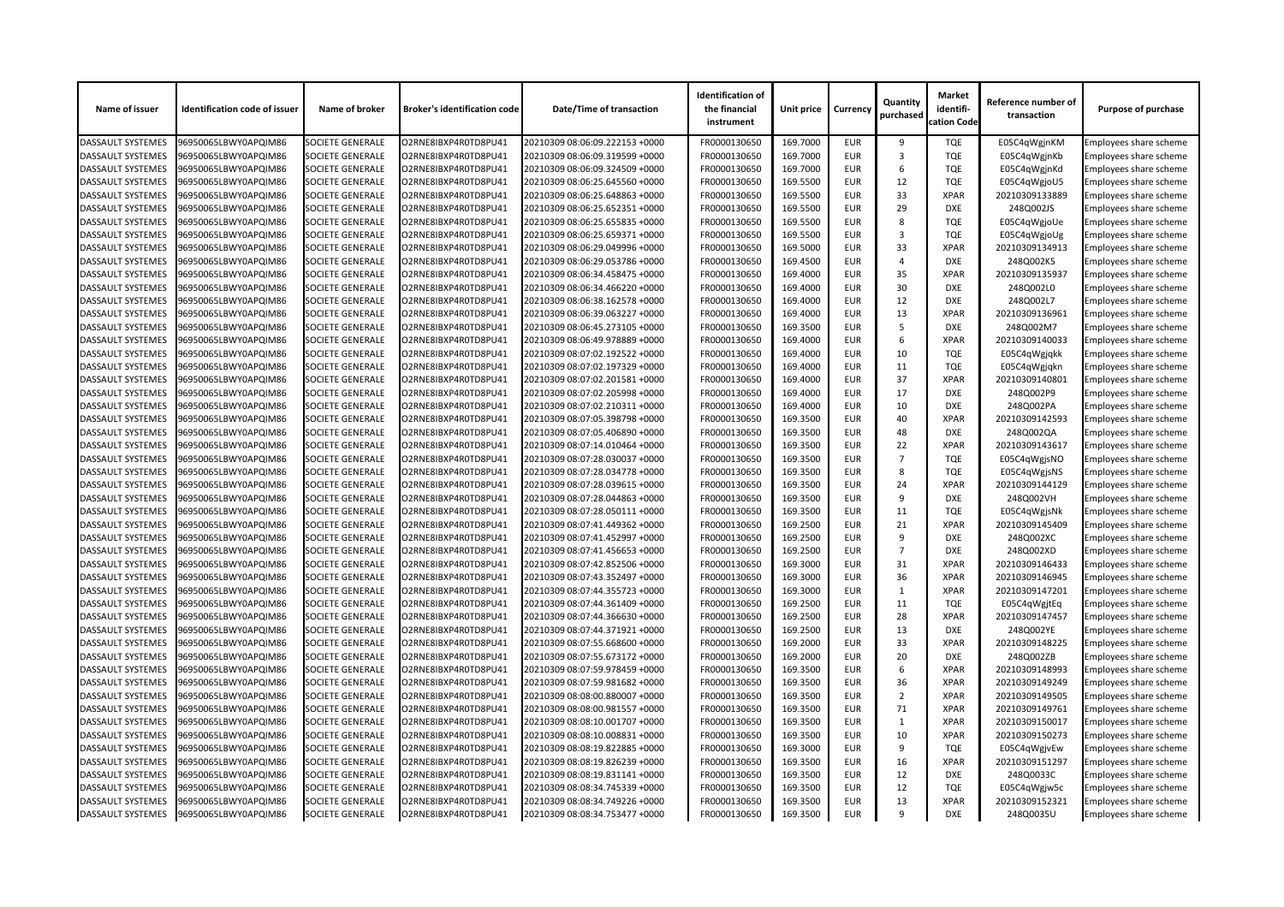| Name of issuer           | <b>Identification code of issuer</b> | Name of broker          | <b>Broker's identification code</b> | <b>Date/Time of transaction</b> | <b>Identification of</b><br>the financial<br>instrument | Unit price | <b>Currency</b> | Quantity<br>purchased | <b>Market</b><br>identifi-<br>cation Code | Reference number of<br>transaction | <b>Purpose of purchase</b>    |
|--------------------------|--------------------------------------|-------------------------|-------------------------------------|---------------------------------|---------------------------------------------------------|------------|-----------------|-----------------------|-------------------------------------------|------------------------------------|-------------------------------|
| <b>DASSAULT SYSTEMES</b> | 96950065LBWY0APQIM86                 | <b>SOCIETE GENERALE</b> | O2RNE8IBXP4R0TD8PU41                | 20210309 08:06:09.222153 +0000  | FR0000130650                                            | 169.7000   | <b>EUR</b>      | 9                     | <b>TQE</b>                                | E05C4qWgjnKM                       | Employees share scheme        |
| <b>DASSAULT SYSTEMES</b> | 96950065LBWY0APQIM86                 | <b>SOCIETE GENERALE</b> | O2RNE8IBXP4R0TD8PU41                | 20210309 08:06:09.319599 +0000  | FR0000130650                                            | 169.7000   | <b>EUR</b>      | 3                     | <b>TQE</b>                                | E05C4qWgjnKb                       | Employees share scheme        |
| <b>DASSAULT SYSTEMES</b> | 96950065LBWY0APQIM86                 | <b>SOCIETE GENERALE</b> | O2RNE8IBXP4R0TD8PU41                | 20210309 08:06:09.324509 +0000  | FR0000130650                                            | 169.7000   | <b>EUR</b>      | 6                     | <b>TQE</b>                                | E05C4qWgjnKd                       | Employees share scheme        |
| <b>DASSAULT SYSTEMES</b> | 96950065LBWY0APQIM86                 | <b>SOCIETE GENERALE</b> | O2RNE8IBXP4R0TD8PU41                | 20210309 08:06:25.645560 +0000  | FR0000130650                                            | 169.5500   | <b>EUR</b>      | 12                    | <b>TQE</b>                                | E05C4qWgjoU5                       | Employees share scheme        |
| <b>DASSAULT SYSTEMES</b> | 96950065LBWY0APQIM86                 | <b>SOCIETE GENERALE</b> | O2RNE8IBXP4R0TD8PU41                | 20210309 08:06:25.648863 +0000  | FR0000130650                                            | 169.5500   | <b>EUR</b>      | 33                    | <b>XPAR</b>                               | 20210309133889                     | Employees share scheme        |
| <b>DASSAULT SYSTEMES</b> | 96950065LBWY0APQIM86                 | <b>SOCIETE GENERALE</b> | O2RNE8IBXP4R0TD8PU41                | 20210309 08:06:25.652351 +0000  | FR0000130650                                            | 169.5500   | <b>EUR</b>      | 29                    | <b>DXE</b>                                | 248Q002JS                          | Employees share scheme        |
| <b>DASSAULT SYSTEMES</b> | 96950065LBWY0APQIM86                 | <b>SOCIETE GENERALE</b> | O2RNE8IBXP4R0TD8PU41                | 20210309 08:06:25.655835 +0000  | FR0000130650                                            | 169.5500   | <b>EUR</b>      | 8                     | <b>TQE</b>                                | E05C4qWgjoUe                       | <b>Employees share scheme</b> |
| <b>DASSAULT SYSTEMES</b> | 96950065LBWY0APQIM86                 | <b>SOCIETE GENERALE</b> | O2RNE8IBXP4R0TD8PU41                | 20210309 08:06:25.659371 +0000  | FR0000130650                                            | 169.5500   | <b>EUR</b>      | 3                     | <b>TQE</b>                                | E05C4qWgjoUg                       | Employees share scheme        |
| <b>DASSAULT SYSTEMES</b> | 96950065LBWY0APQIM86                 | <b>SOCIETE GENERALE</b> | O2RNE8IBXP4R0TD8PU41                | 20210309 08:06:29.049996 +0000  | FR0000130650                                            | 169.5000   | <b>EUR</b>      | 33                    | <b>XPAR</b>                               | 20210309134913                     | <b>Employees share scheme</b> |
| <b>DASSAULT SYSTEMES</b> | 96950065LBWY0APQIM86                 | <b>SOCIETE GENERALE</b> | O2RNE8IBXP4R0TD8PU41                | 20210309 08:06:29.053786 +0000  | FR0000130650                                            | 169.4500   | <b>EUR</b>      | 4                     | <b>DXE</b>                                | 248Q002K5                          | Employees share scheme        |
| <b>DASSAULT SYSTEMES</b> | 96950065LBWY0APQIM86                 | <b>SOCIETE GENERALE</b> | O2RNE8IBXP4R0TD8PU41                | 20210309 08:06:34.458475 +0000  | FR0000130650                                            | 169.4000   | <b>EUR</b>      | 35                    | <b>XPAR</b>                               | 20210309135937                     | Employees share scheme        |
| <b>DASSAULT SYSTEMES</b> | 96950065LBWY0APQIM86                 | <b>SOCIETE GENERALE</b> | O2RNE8IBXP4R0TD8PU41                | 20210309 08:06:34.466220 +0000  | FR0000130650                                            | 169.4000   | <b>EUR</b>      | 30                    | <b>DXE</b>                                | 248Q002L0                          | <b>Employees share scheme</b> |
| <b>DASSAULT SYSTEMES</b> | 96950065LBWY0APQIM86                 | <b>SOCIETE GENERALE</b> | O2RNE8IBXP4R0TD8PU41                | 20210309 08:06:38.162578 +0000  | FR0000130650                                            | 169.4000   | <b>EUR</b>      | 12                    | <b>DXE</b>                                | 248Q002L7                          | Employees share scheme        |
| <b>DASSAULT SYSTEMES</b> | 96950065LBWY0APQIM86                 | <b>SOCIETE GENERALE</b> | O2RNE8IBXP4R0TD8PU41                | 20210309 08:06:39.063227 +0000  | FR0000130650                                            | 169.4000   | <b>EUR</b>      | 13                    | <b>XPAR</b>                               | 20210309136961                     | <b>Employees share scheme</b> |
| <b>DASSAULT SYSTEMES</b> | 96950065LBWY0APQIM86                 | <b>SOCIETE GENERALE</b> | O2RNE8IBXP4R0TD8PU41                | 20210309 08:06:45.273105 +0000  | FR0000130650                                            | 169.3500   | <b>EUR</b>      | .5                    | <b>DXE</b>                                | 248Q002M7                          | Employees share scheme        |
| <b>DASSAULT SYSTEMES</b> | 96950065LBWY0APQIM86                 | <b>SOCIETE GENERALE</b> | O2RNE8IBXP4R0TD8PU41                | 20210309 08:06:49.978889 +0000  | FR0000130650                                            | 169.4000   | <b>EUR</b>      | 6                     | <b>XPAR</b>                               | 20210309140033                     | Employees share scheme        |
| <b>DASSAULT SYSTEMES</b> | 96950065LBWY0APQIM86                 | <b>SOCIETE GENERALE</b> | O2RNE8IBXP4R0TD8PU41                | 20210309 08:07:02.192522 +0000  | FR0000130650                                            | 169.4000   | <b>EUR</b>      | 10                    | <b>TQE</b>                                |                                    |                               |
|                          |                                      |                         |                                     |                                 |                                                         |            | <b>EUR</b>      |                       |                                           | E05C4qWgjqkk                       | Employees share scheme        |
| <b>DASSAULT SYSTEMES</b> | 96950065LBWY0APQIM86                 | <b>SOCIETE GENERALE</b> | O2RNE8IBXP4R0TD8PU41                | 20210309 08:07:02.197329 +0000  | FR0000130650                                            | 169.4000   |                 | 11                    | <b>TQE</b>                                | E05C4qWgjqkn                       | Employees share scheme        |
| <b>DASSAULT SYSTEMES</b> | 96950065LBWY0APQIM86                 | <b>SOCIETE GENERALE</b> | O2RNE8IBXP4R0TD8PU41                | 20210309 08:07:02.201581 +0000  | FR0000130650                                            | 169.4000   | <b>EUR</b>      | 37                    | <b>XPAR</b>                               | 20210309140801                     | <b>Employees share scheme</b> |
| <b>DASSAULT SYSTEMES</b> | 96950065LBWY0APQIM86                 | <b>SOCIETE GENERALE</b> | O2RNE8IBXP4R0TD8PU41                | 20210309 08:07:02.205998 +0000  | FR0000130650                                            | 169.4000   | <b>EUR</b>      | 17                    | <b>DXE</b>                                | 248Q002P9                          | <b>Employees share scheme</b> |
| <b>DASSAULT SYSTEMES</b> | 96950065LBWY0APQIM86                 | <b>SOCIETE GENERALE</b> | O2RNE8IBXP4R0TD8PU41                | 20210309 08:07:02.210311 +0000  | FR0000130650                                            | 169.4000   | <b>EUR</b>      | 10                    | <b>DXE</b>                                | 248Q002PA                          | Employees share scheme        |
| <b>DASSAULT SYSTEMES</b> | 96950065LBWY0APQIM86                 | <b>SOCIETE GENERALE</b> | O2RNE8IBXP4R0TD8PU41                | 20210309 08:07:05.398798 +0000  | FR0000130650                                            | 169.3500   | <b>EUR</b>      | 40                    | <b>XPAR</b>                               | 20210309142593                     | <b>Employees share scheme</b> |
| <b>DASSAULT SYSTEMES</b> | 96950065LBWY0APQIM86                 | <b>SOCIETE GENERALE</b> | O2RNE8IBXP4R0TD8PU41                | 20210309 08:07:05.406890 +0000  | FR0000130650                                            | 169.3500   | <b>EUR</b>      | 48                    | <b>DXE</b>                                | 248Q002QA                          | Employees share scheme        |
| <b>DASSAULT SYSTEMES</b> | 96950065LBWY0APQIM86                 | <b>SOCIETE GENERALE</b> | O2RNE8IBXP4R0TD8PU41                | 20210309 08:07:14.010464 +0000  | FR0000130650                                            | 169.3500   | <b>EUR</b>      | 22                    | <b>XPAR</b>                               | 20210309143617                     | Employees share scheme        |
| <b>DASSAULT SYSTEMES</b> | 96950065LBWY0APQIM86                 | <b>SOCIETE GENERALE</b> | O2RNE8IBXP4R0TD8PU41                | 20210309 08:07:28.030037 +0000  | FR0000130650                                            | 169.3500   | <b>EUR</b>      | $\overline{7}$        | <b>TQE</b>                                | E05C4qWgjsNO                       | Employees share scheme        |
| <b>DASSAULT SYSTEMES</b> | 96950065LBWY0APQIM86                 | <b>SOCIETE GENERALE</b> | O2RNE8IBXP4R0TD8PU41                | 20210309 08:07:28.034778 +0000  | FR0000130650                                            | 169.3500   | <b>EUR</b>      | 8                     | <b>TQE</b>                                | E05C4qWgjsNS                       | Employees share scheme        |
| <b>DASSAULT SYSTEMES</b> | 96950065LBWY0APQIM86                 | <b>SOCIETE GENERALE</b> | O2RNE8IBXP4R0TD8PU41                | 20210309 08:07:28.039615 +0000  | FR0000130650                                            | 169.3500   | <b>EUR</b>      | 24                    | <b>XPAR</b>                               | 20210309144129                     | Employees share scheme        |
| <b>DASSAULT SYSTEMES</b> | 96950065LBWY0APQIM86                 | <b>SOCIETE GENERALE</b> | O2RNE8IBXP4R0TD8PU41                | 20210309 08:07:28.044863 +0000  | FR0000130650                                            | 169.3500   | <b>EUR</b>      | 9                     | <b>DXE</b>                                | 248Q002VH                          | <b>Employees share scheme</b> |
| <b>DASSAULT SYSTEMES</b> | 96950065LBWY0APQIM86                 | <b>SOCIETE GENERALE</b> | O2RNE8IBXP4R0TD8PU41                | 20210309 08:07:28.050111 +0000  | FR0000130650                                            | 169.3500   | <b>EUR</b>      | 11                    | <b>TQE</b>                                | E05C4qWgjsNk                       | <b>Employees share scheme</b> |
| <b>DASSAULT SYSTEMES</b> | 96950065LBWY0APQIM86                 | <b>SOCIETE GENERALE</b> | O2RNE8IBXP4R0TD8PU41                | 20210309 08:07:41.449362 +0000  | FR0000130650                                            | 169.2500   | <b>EUR</b>      | 21                    | <b>XPAR</b>                               | 20210309145409                     | <b>Employees share scheme</b> |
| <b>DASSAULT SYSTEMES</b> | 96950065LBWY0APQIM86                 | <b>SOCIETE GENERALE</b> | O2RNE8IBXP4R0TD8PU41                | 20210309 08:07:41.452997 +0000  | FR0000130650                                            | 169.2500   | <b>EUR</b>      | 9                     | <b>DXE</b>                                | 248Q002XC                          | Employees share scheme        |
| <b>DASSAULT SYSTEMES</b> | 96950065LBWY0APQIM86                 | <b>SOCIETE GENERALE</b> | O2RNE8IBXP4R0TD8PU41                | 20210309 08:07:41.456653 +0000  | FR0000130650                                            | 169.2500   | <b>EUR</b>      | $\overline{7}$        | <b>DXE</b>                                | 248Q002XD                          | Employees share scheme        |
| <b>DASSAULT SYSTEMES</b> | 96950065LBWY0APQIM86                 | <b>SOCIETE GENERALE</b> | O2RNE8IBXP4R0TD8PU41                | 20210309 08:07:42.852506 +0000  | FR0000130650                                            | 169.3000   | <b>EUR</b>      | 31                    | <b>XPAR</b>                               | 20210309146433                     | Employees share scheme        |
| <b>DASSAULT SYSTEMES</b> | 96950065LBWY0APQIM86                 | <b>SOCIETE GENERALE</b> | O2RNE8IBXP4R0TD8PU41                | 20210309 08:07:43.352497 +0000  | FR0000130650                                            | 169.3000   | <b>EUR</b>      | 36                    | <b>XPAR</b>                               | 20210309146945                     | Employees share scheme        |
| <b>DASSAULT SYSTEMES</b> | 96950065LBWY0APQIM86                 | <b>SOCIETE GENERALE</b> | O2RNE8IBXP4R0TD8PU41                | 20210309 08:07:44.355723 +0000  | FR0000130650                                            | 169.3000   | <b>EUR</b>      |                       | <b>XPAR</b>                               | 20210309147201                     | <b>Employees share scheme</b> |
| <b>DASSAULT SYSTEMES</b> | 96950065LBWY0APQIM86                 | <b>SOCIETE GENERALE</b> | O2RNE8IBXP4R0TD8PU41                | 20210309 08:07:44.361409 +0000  | FR0000130650                                            | 169.2500   | <b>EUR</b>      | 11                    | <b>TQE</b>                                | E05C4qWgjtEq                       | <b>Employees share scheme</b> |
| <b>DASSAULT SYSTEMES</b> | 96950065LBWY0APQIM86                 | <b>SOCIETE GENERALE</b> | O2RNE8IBXP4R0TD8PU41                | 20210309 08:07:44.366630 +0000  | FR0000130650                                            | 169.2500   | <b>EUR</b>      | 28                    | <b>XPAR</b>                               | 20210309147457                     | <b>Employees share scheme</b> |
| <b>DASSAULT SYSTEMES</b> | 96950065LBWY0APQIM86                 | <b>SOCIETE GENERALE</b> | O2RNE8IBXP4R0TD8PU41                | 20210309 08:07:44.371921 +0000  | FR0000130650                                            | 169.2500   | <b>EUR</b>      | 13                    | <b>DXE</b>                                | 248Q002YE                          | Employees share scheme        |
| <b>DASSAULT SYSTEMES</b> | 96950065LBWY0APQIM86                 | <b>SOCIETE GENERALE</b> | O2RNE8IBXP4R0TD8PU41                | 20210309 08:07:55.668600 +0000  | FR0000130650                                            | 169.2000   | <b>EUR</b>      | 33                    | <b>XPAR</b>                               | 20210309148225                     | <b>Employees share scheme</b> |
| <b>DASSAULT SYSTEMES</b> | 96950065LBWY0APQIM86                 | <b>SOCIETE GENERALE</b> | O2RNE8IBXP4R0TD8PU41                | 20210309 08:07:55.673172 +0000  | FR0000130650                                            | 169.2000   | <b>EUR</b>      | 20                    | <b>DXE</b>                                | 248Q002ZB                          | <b>Employees share scheme</b> |
| <b>DASSAULT SYSTEMES</b> | 96950065LBWY0APQIM86                 | <b>SOCIETE GENERALE</b> | O2RNE8IBXP4R0TD8PU41                | 20210309 08:07:59.978459 +0000  | FR0000130650                                            | 169.3500   | <b>EUR</b>      | 6                     | <b>XPAR</b>                               | 20210309148993                     | Employees share scheme        |
| <b>DASSAULT SYSTEMES</b> | 96950065LBWY0APQIM86                 | <b>SOCIETE GENERALE</b> | O2RNE8IBXP4R0TD8PU41                | 20210309 08:07:59.981682 +0000  | FR0000130650                                            | 169.3500   | <b>EUR</b>      | 36                    | <b>XPAR</b>                               | 20210309149249                     | Employees share scheme        |
| <b>DASSAULT SYSTEMES</b> | 96950065LBWY0APQIM86                 | <b>SOCIETE GENERALE</b> | O2RNE8IBXP4R0TD8PU41                | 20210309 08:08:00.880007 +0000  | FR0000130650                                            | 169.3500   | <b>EUR</b>      | 2                     | <b>XPAR</b>                               | 20210309149505                     | Employees share scheme        |
| <b>DASSAULT SYSTEMES</b> | 96950065LBWY0APQIM86                 | <b>SOCIETE GENERALE</b> | O2RNE8IBXP4R0TD8PU41                | 20210309 08:08:00.981557 +0000  | FR0000130650                                            | 169.3500   | <b>EUR</b>      | 71                    | <b>XPAR</b>                               | 20210309149761                     | <b>Employees share scheme</b> |
| <b>DASSAULT SYSTEMES</b> | 96950065LBWY0APQIM86                 | <b>SOCIETE GENERALE</b> | O2RNE8IBXP4R0TD8PU41                | 20210309 08:08:10.001707 +0000  | FR0000130650                                            | 169.3500   | <b>EUR</b>      |                       | <b>XPAR</b>                               | 20210309150017                     | <b>Employees share scheme</b> |
| <b>DASSAULT SYSTEMES</b> | 96950065LBWY0APQIM86                 | <b>SOCIETE GENERALE</b> | O2RNE8IBXP4R0TD8PU41                | 20210309 08:08:10.008831 +0000  | FR0000130650                                            | 169.3500   | <b>EUR</b>      | 10                    | <b>XPAR</b>                               | 20210309150273                     | Employees share scheme        |
| <b>DASSAULT SYSTEMES</b> | 96950065LBWY0APQIM86                 | <b>SOCIETE GENERALE</b> | O2RNE8IBXP4R0TD8PU41                | 20210309 08:08:19.822885 +0000  | FR0000130650                                            | 169.3000   | <b>EUR</b>      | 9                     | <b>TQE</b>                                |                                    | <b>Employees share scheme</b> |
|                          |                                      |                         |                                     |                                 |                                                         |            |                 |                       | <b>XPAR</b>                               | E05C4qWgjvEw                       |                               |
| <b>DASSAULT SYSTEMES</b> | 96950065LBWY0APQIM86                 | <b>SOCIETE GENERALE</b> | O2RNE8IBXP4R0TD8PU41                | 20210309 08:08:19.826239 +0000  | FR0000130650                                            | 169.3500   | <b>EUR</b>      | 16                    |                                           | 20210309151297                     | Employees share scheme        |
| <b>DASSAULT SYSTEMES</b> | 96950065LBWY0APQIM86                 | <b>SOCIETE GENERALE</b> | O2RNE8IBXP4R0TD8PU41                | 20210309 08:08:19.831141 +0000  | FR0000130650                                            | 169.3500   | <b>EUR</b>      | 12                    | DXE                                       | 248Q0033C                          | Employees share scheme        |
| <b>DASSAULT SYSTEMES</b> | 96950065LBWY0APQIM86                 | <b>SOCIETE GENERALE</b> | O2RNE8IBXP4R0TD8PU41                | 20210309 08:08:34.745339 +0000  | FR0000130650                                            | 169.3500   | <b>EUR</b>      | 12                    | <b>TQE</b>                                | E05C4qWgjw5c                       | <b>Employees share scheme</b> |
| <b>DASSAULT SYSTEMES</b> | 96950065LBWY0APQIM86                 | <b>SOCIETE GENERALE</b> | O2RNE8IBXP4R0TD8PU41                | 20210309 08:08:34.749226 +0000  | FR0000130650                                            | 169.3500   | <b>EUR</b>      | 13                    | <b>XPAR</b>                               | 20210309152321                     | <b>Employees share scheme</b> |
| <b>DASSAULT SYSTEMES</b> | 96950065LBWY0APQIM86                 | <b>SOCIETE GENERALE</b> | O2RNE8IBXP4R0TD8PU41                | 20210309 08:08:34.753477 +0000  | FR0000130650                                            | 169.3500   | <b>EUR</b>      | q                     | <b>DXE</b>                                | 248Q0035U                          | <b>Employees share scheme</b> |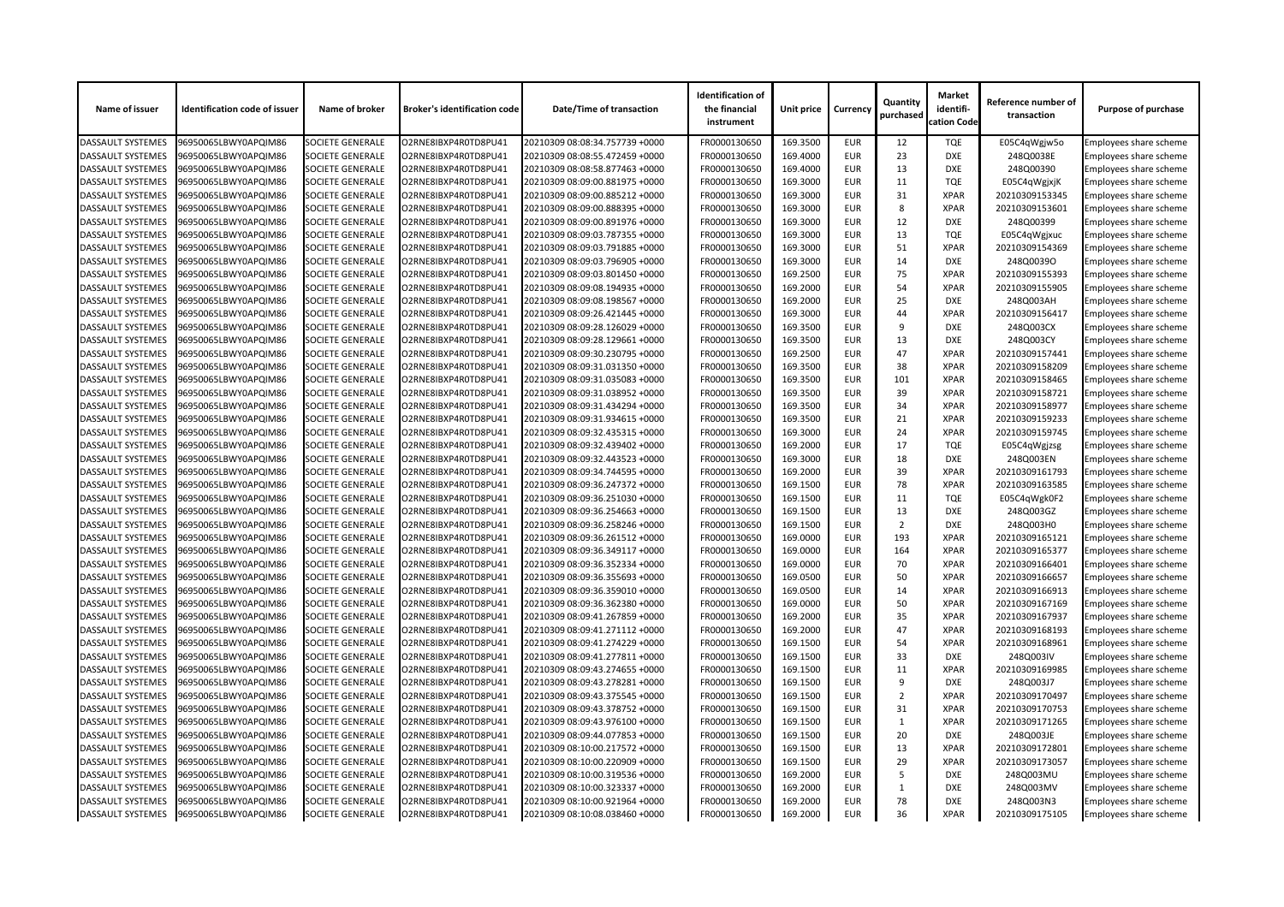| Name of issuer           | <b>Identification code of issuer</b> | Name of broker          | <b>Broker's identification code</b> | <b>Date/Time of transaction</b> | <b>Identification of</b><br>the financial<br>instrument | <b>Unit price</b> | <b>Currency</b> | Quantity<br>purchased | <b>Market</b><br>identifi-<br>cation Code | Reference number of<br>transaction | <b>Purpose of purchase</b>    |
|--------------------------|--------------------------------------|-------------------------|-------------------------------------|---------------------------------|---------------------------------------------------------|-------------------|-----------------|-----------------------|-------------------------------------------|------------------------------------|-------------------------------|
| <b>DASSAULT SYSTEMES</b> | 96950065LBWY0APQIM86                 | <b>SOCIETE GENERALE</b> | O2RNE8IBXP4R0TD8PU41                | 20210309 08:08:34.757739 +0000  | FR0000130650                                            | 169.3500          | <b>EUR</b>      | 12                    | <b>TQE</b>                                | E05C4qWgjw5o                       | Employees share scheme        |
| <b>DASSAULT SYSTEMES</b> | 96950065LBWY0APQIM86                 | <b>SOCIETE GENERALE</b> | O2RNE8IBXP4R0TD8PU41                | 20210309 08:08:55.472459 +0000  | FR0000130650                                            | 169.4000          | <b>EUR</b>      | 23                    | <b>DXE</b>                                | 248Q0038E                          | Employees share scheme        |
| <b>DASSAULT SYSTEMES</b> | 96950065LBWY0APQIM86                 | <b>SOCIETE GENERALE</b> | O2RNE8IBXP4R0TD8PU41                | 20210309 08:08:58.877463 +0000  | FR0000130650                                            | 169.4000          | <b>EUR</b>      | 13                    | <b>DXE</b>                                | 248Q00390                          | Employees share scheme        |
| <b>DASSAULT SYSTEMES</b> | 96950065LBWY0APQIM86                 | <b>SOCIETE GENERALE</b> | O2RNE8IBXP4R0TD8PU41                | 20210309 08:09:00.881975 +0000  | FR0000130650                                            | 169.3000          | <b>EUR</b>      | 11                    | <b>TQE</b>                                | E05C4qWgjxjK                       | Employees share scheme        |
| <b>DASSAULT SYSTEMES</b> | 96950065LBWY0APQIM86                 | <b>SOCIETE GENERALE</b> | O2RNE8IBXP4R0TD8PU41                | 20210309 08:09:00.885212 +0000  | FR0000130650                                            | 169.3000          | <b>EUR</b>      | 31                    | <b>XPAR</b>                               | 20210309153345                     | Employees share scheme        |
| <b>DASSAULT SYSTEMES</b> | 96950065LBWY0APQIM86                 | <b>SOCIETE GENERALE</b> | O2RNE8IBXP4R0TD8PU41                | 20210309 08:09:00.888395 +0000  | FR0000130650                                            | 169.3000          | <b>EUR</b>      | 8                     | <b>XPAR</b>                               | 20210309153601                     | Employees share scheme        |
| <b>DASSAULT SYSTEMES</b> | 96950065LBWY0APQIM86                 | <b>SOCIETE GENERALE</b> | O2RNE8IBXP4R0TD8PU41                | 20210309 08:09:00.891976 +0000  | FR0000130650                                            | 169.3000          | <b>EUR</b>      | 12                    | <b>DXE</b>                                | 248Q00399                          | <b>Employees share scheme</b> |
| <b>DASSAULT SYSTEMES</b> | 96950065LBWY0APQIM86                 | <b>SOCIETE GENERALE</b> | O2RNE8IBXP4R0TD8PU41                | 20210309 08:09:03.787355 +0000  | FR0000130650                                            | 169.3000          | <b>EUR</b>      | 13                    | <b>TQE</b>                                | E05C4qWgjxuc                       | Employees share scheme        |
| <b>DASSAULT SYSTEMES</b> | 96950065LBWY0APQIM86                 | <b>SOCIETE GENERALE</b> | O2RNE8IBXP4R0TD8PU41                | 20210309 08:09:03.791885 +0000  | FR0000130650                                            | 169.3000          | <b>EUR</b>      | 51                    | <b>XPAR</b>                               | 20210309154369                     | Employees share scheme        |
| <b>DASSAULT SYSTEMES</b> | 96950065LBWY0APQIM86                 | <b>SOCIETE GENERALE</b> | O2RNE8IBXP4R0TD8PU41                | 20210309 08:09:03.796905 +0000  | FR0000130650                                            | 169.3000          | <b>EUR</b>      | 14                    | <b>DXE</b>                                | 248Q0039O                          | Employees share scheme        |
| <b>DASSAULT SYSTEMES</b> | 96950065LBWY0APQIM86                 | <b>SOCIETE GENERALE</b> | O2RNE8IBXP4R0TD8PU41                | 20210309 08:09:03.801450 +0000  | FR0000130650                                            | 169.2500          | <b>EUR</b>      | 75                    | <b>XPAR</b>                               | 20210309155393                     | Employees share scheme        |
| <b>DASSAULT SYSTEMES</b> | 96950065LBWY0APQIM86                 | <b>SOCIETE GENERALE</b> | O2RNE8IBXP4R0TD8PU41                | 20210309 08:09:08.194935 +0000  | FR0000130650                                            | 169.2000          | <b>EUR</b>      | 54                    | <b>XPAR</b>                               | 20210309155905                     | Employees share scheme        |
| <b>DASSAULT SYSTEMES</b> | 96950065LBWY0APQIM86                 | <b>SOCIETE GENERALE</b> | O2RNE8IBXP4R0TD8PU41                | 20210309 08:09:08.198567 +0000  | FR0000130650                                            | 169.2000          | <b>EUR</b>      | 25                    | <b>DXE</b>                                | 248Q003AH                          | Employees share scheme        |
| <b>DASSAULT SYSTEMES</b> | 96950065LBWY0APQIM86                 | <b>SOCIETE GENERALE</b> | O2RNE8IBXP4R0TD8PU41                | 20210309 08:09:26.421445 +0000  | FR0000130650                                            | 169.3000          | <b>EUR</b>      | 44                    | <b>XPAR</b>                               | 20210309156417                     | Employees share scheme        |
| <b>DASSAULT SYSTEMES</b> | 96950065LBWY0APQIM86                 | <b>SOCIETE GENERALE</b> | O2RNE8IBXP4R0TD8PU41                | 20210309 08:09:28.126029 +0000  | FR0000130650                                            | 169.3500          | <b>EUR</b>      | 9                     | <b>DXE</b>                                | 248Q003CX                          | Employees share scheme        |
| <b>DASSAULT SYSTEMES</b> | 96950065LBWY0APQIM86                 | <b>SOCIETE GENERALE</b> | O2RNE8IBXP4R0TD8PU41                | 20210309 08:09:28.129661 +0000  | FR0000130650                                            | 169.3500          | <b>EUR</b>      | 13                    | <b>DXE</b>                                | 248Q003CY                          | Employees share scheme        |
| <b>DASSAULT SYSTEMES</b> | 96950065LBWY0APQIM86                 | <b>SOCIETE GENERALE</b> | O2RNE8IBXP4R0TD8PU41                | 20210309 08:09:30.230795 +0000  | FR0000130650                                            | 169.2500          | <b>EUR</b>      | 47                    | <b>XPAR</b>                               | 20210309157441                     | Employees share scheme        |
| <b>DASSAULT SYSTEMES</b> | 96950065LBWY0APQIM86                 | <b>SOCIETE GENERALE</b> | O2RNE8IBXP4R0TD8PU41                | 20210309 08:09:31.031350 +0000  | FR0000130650                                            | 169.3500          | <b>EUR</b>      | 38                    | <b>XPAR</b>                               | 20210309158209                     | Employees share scheme        |
| <b>DASSAULT SYSTEMES</b> | 96950065LBWY0APQIM86                 | <b>SOCIETE GENERALE</b> | O2RNE8IBXP4R0TD8PU41                | 20210309 08:09:31.035083 +0000  | FR0000130650                                            | 169.3500          | <b>EUR</b>      | 101                   | <b>XPAR</b>                               | 20210309158465                     | Employees share scheme        |
| <b>DASSAULT SYSTEMES</b> | 96950065LBWY0APQIM86                 | <b>SOCIETE GENERALE</b> | O2RNE8IBXP4R0TD8PU41                | 20210309 08:09:31.038952 +0000  | FR0000130650                                            | 169.3500          | <b>EUR</b>      | 39                    | <b>XPAR</b>                               | 20210309158721                     | Employees share scheme        |
| <b>DASSAULT SYSTEMES</b> | 96950065LBWY0APQIM86                 | <b>SOCIETE GENERALE</b> | O2RNE8IBXP4R0TD8PU41                | 20210309 08:09:31.434294 +0000  | FR0000130650                                            | 169.3500          | <b>EUR</b>      | 34                    | <b>XPAR</b>                               | 20210309158977                     | Employees share scheme        |
|                          |                                      |                         |                                     |                                 | FR0000130650                                            | 169.3500          |                 | 21                    | <b>XPAR</b>                               |                                    |                               |
| <b>DASSAULT SYSTEMES</b> | 96950065LBWY0APQIM86                 | <b>SOCIETE GENERALE</b> | O2RNE8IBXP4R0TD8PU41                | 20210309 08:09:31.934615 +0000  |                                                         |                   | <b>EUR</b>      |                       |                                           | 20210309159233                     | Employees share scheme        |
| <b>DASSAULT SYSTEMES</b> | 96950065LBWY0APQIM86                 | <b>SOCIETE GENERALE</b> | O2RNE8IBXP4R0TD8PU41                | 20210309 08:09:32.435315 +0000  | FR0000130650                                            | 169.3000          | <b>EUR</b>      | 24                    | <b>XPAR</b>                               | 20210309159745                     | Employees share scheme        |
| <b>DASSAULT SYSTEMES</b> | 96950065LBWY0APQIM86                 | <b>SOCIETE GENERALE</b> | O2RNE8IBXP4R0TD8PU41                | 20210309 08:09:32.439402 +0000  | FR0000130650                                            | 169.2000          | <b>EUR</b>      | 17                    | <b>TQE</b>                                | E05C4qWgjzsg                       | <b>Employees share scheme</b> |
| <b>DASSAULT SYSTEMES</b> | 96950065LBWY0APQIM86                 | <b>SOCIETE GENERALE</b> | O2RNE8IBXP4R0TD8PU41                | 20210309 08:09:32.443523 +0000  | FR0000130650                                            | 169.3000          | <b>EUR</b>      | 18                    | <b>DXE</b>                                | 248Q003EN                          | Employees share scheme        |
| <b>DASSAULT SYSTEMES</b> | 96950065LBWY0APQIM86                 | <b>SOCIETE GENERALE</b> | O2RNE8IBXP4R0TD8PU41                | 20210309 08:09:34.744595 +0000  | FR0000130650                                            | 169.2000          | <b>EUR</b>      | 39                    | <b>XPAR</b>                               | 20210309161793                     | Employees share scheme        |
| <b>DASSAULT SYSTEMES</b> | 96950065LBWY0APQIM86                 | <b>SOCIETE GENERALE</b> | O2RNE8IBXP4R0TD8PU41                | 20210309 08:09:36.247372 +0000  | FR0000130650                                            | 169.1500          | <b>EUR</b>      | 78                    | <b>XPAR</b>                               | 20210309163585                     | Employees share scheme        |
| <b>DASSAULT SYSTEMES</b> | 96950065LBWY0APQIM86                 | <b>SOCIETE GENERALE</b> | O2RNE8IBXP4R0TD8PU41                | 20210309 08:09:36.251030 +0000  | FR0000130650                                            | 169.1500          | <b>EUR</b>      | 11                    | <b>TQE</b>                                | E05C4qWgk0F2                       | <b>Employees share scheme</b> |
| <b>DASSAULT SYSTEMES</b> | 96950065LBWY0APQIM86                 | <b>SOCIETE GENERALE</b> | O2RNE8IBXP4R0TD8PU41                | 20210309 08:09:36.254663 +0000  | FR0000130650                                            | 169.1500          | <b>EUR</b>      | 13                    | <b>DXE</b>                                | 248Q003GZ                          | <b>Employees share scheme</b> |
| <b>DASSAULT SYSTEMES</b> | 96950065LBWY0APQIM86                 | <b>SOCIETE GENERALE</b> | O2RNE8IBXP4R0TD8PU41                | 20210309 08:09:36.258246 +0000  | FR0000130650                                            | 169.1500          | <b>EUR</b>      | 2                     | <b>DXE</b>                                | 248Q003H0                          | <b>Employees share scheme</b> |
| <b>DASSAULT SYSTEMES</b> | 96950065LBWY0APQIM86                 | <b>SOCIETE GENERALE</b> | O2RNE8IBXP4R0TD8PU41                | 20210309 08:09:36.261512 +0000  | FR0000130650                                            | 169.0000          | <b>EUR</b>      | 193                   | <b>XPAR</b>                               | 20210309165121                     | Employees share scheme        |
| <b>DASSAULT SYSTEMES</b> | 96950065LBWY0APQIM86                 | <b>SOCIETE GENERALE</b> | O2RNE8IBXP4R0TD8PU41                | 20210309 08:09:36.349117 +0000  | FR0000130650                                            | 169.0000          | <b>EUR</b>      | 164                   | <b>XPAR</b>                               | 20210309165377                     | Employees share scheme        |
| <b>DASSAULT SYSTEMES</b> | 96950065LBWY0APQIM86                 | <b>SOCIETE GENERALE</b> | O2RNE8IBXP4R0TD8PU41                | 20210309 08:09:36.352334 +0000  | FR0000130650                                            | 169.0000          | <b>EUR</b>      | 70                    | <b>XPAR</b>                               | 20210309166401                     | Employees share scheme        |
| <b>DASSAULT SYSTEMES</b> | 96950065LBWY0APQIM86                 | <b>SOCIETE GENERALE</b> | O2RNE8IBXP4R0TD8PU41                | 20210309 08:09:36.355693 +0000  | FR0000130650                                            | 169.0500          | <b>EUR</b>      | 50                    | <b>XPAR</b>                               | 20210309166657                     | Employees share scheme        |
| <b>DASSAULT SYSTEMES</b> | 96950065LBWY0APQIM86                 | <b>SOCIETE GENERALE</b> | O2RNE8IBXP4R0TD8PU41                | 20210309 08:09:36.359010 +0000  | FR0000130650                                            | 169.0500          | <b>EUR</b>      | 14                    | <b>XPAR</b>                               | 20210309166913                     | Employees share scheme        |
| <b>DASSAULT SYSTEMES</b> | 96950065LBWY0APQIM86                 | <b>SOCIETE GENERALE</b> | O2RNE8IBXP4R0TD8PU41                | 20210309 08:09:36.362380 +0000  | FR0000130650                                            | 169.0000          | <b>EUR</b>      | 50                    | <b>XPAR</b>                               | 20210309167169                     | Employees share scheme        |
| <b>DASSAULT SYSTEMES</b> | 96950065LBWY0APQIM86                 | <b>SOCIETE GENERALE</b> | O2RNE8IBXP4R0TD8PU41                | 20210309 08:09:41.267859 +0000  | FR0000130650                                            | 169.2000          | <b>EUR</b>      | 35                    | <b>XPAR</b>                               | 20210309167937                     | Employees share scheme        |
| <b>DASSAULT SYSTEMES</b> | 96950065LBWY0APQIM86                 | <b>SOCIETE GENERALE</b> | O2RNE8IBXP4R0TD8PU41                | 20210309 08:09:41.271112 +0000  | FR0000130650                                            | 169.2000          | <b>EUR</b>      | 47                    | <b>XPAR</b>                               | 20210309168193                     | Employees share scheme        |
| <b>DASSAULT SYSTEMES</b> | 96950065LBWY0APQIM86                 | <b>SOCIETE GENERALE</b> | O2RNE8IBXP4R0TD8PU41                | 20210309 08:09:41.274229 +0000  | FR0000130650                                            | 169.1500          | <b>EUR</b>      | 54                    | <b>XPAR</b>                               | 20210309168961                     | Employees share scheme        |
| <b>DASSAULT SYSTEMES</b> | 96950065LBWY0APQIM86                 | <b>SOCIETE GENERALE</b> | O2RNE8IBXP4R0TD8PU41                | 20210309 08:09:41.277811 +0000  | FR0000130650                                            | 169.1500          | <b>EUR</b>      | 33                    | <b>DXE</b>                                | 248Q003IV                          | Employees share scheme        |
| <b>DASSAULT SYSTEMES</b> | 96950065LBWY0APQIM86                 | <b>SOCIETE GENERALE</b> | O2RNE8IBXP4R0TD8PU41                | 20210309 08:09:43.274655 +0000  | FR0000130650                                            | 169.1500          | <b>EUR</b>      | 11                    | <b>XPAR</b>                               | 20210309169985                     | Employees share scheme        |
| <b>DASSAULT SYSTEMES</b> | 96950065LBWY0APQIM86                 | <b>SOCIETE GENERALE</b> | O2RNE8IBXP4R0TD8PU41                | 20210309 08:09:43.278281 +0000  | FR0000130650                                            | 169.1500          | <b>EUR</b>      | 9                     | <b>DXE</b>                                | 248Q003J7                          | Employees share scheme        |
| <b>DASSAULT SYSTEMES</b> | 96950065LBWY0APQIM86                 | <b>SOCIETE GENERALE</b> | O2RNE8IBXP4R0TD8PU41                | 20210309 08:09:43.375545 +0000  | FR0000130650                                            | 169.1500          | <b>EUR</b>      | 2                     | <b>XPAR</b>                               | 20210309170497                     | Employees share scheme        |
| <b>DASSAULT SYSTEMES</b> | 96950065LBWY0APQIM86                 | <b>SOCIETE GENERALE</b> | O2RNE8IBXP4R0TD8PU41                | 20210309 08:09:43.378752 +0000  | FR0000130650                                            | 169.1500          | <b>EUR</b>      | 31                    | <b>XPAR</b>                               | 20210309170753                     | Employees share scheme        |
| <b>DASSAULT SYSTEMES</b> | 96950065LBWY0APQIM86                 | <b>SOCIETE GENERALE</b> | O2RNE8IBXP4R0TD8PU41                | 20210309 08:09:43.976100 +0000  | FR0000130650                                            | 169.1500          | <b>EUR</b>      |                       | <b>XPAR</b>                               | 20210309171265                     | Employees share scheme        |
| <b>DASSAULT SYSTEMES</b> | 96950065LBWY0APQIM86                 | <b>SOCIETE GENERALE</b> | O2RNE8IBXP4R0TD8PU41                | 20210309 08:09:44.077853 +0000  | FR0000130650                                            | 169.1500          | <b>EUR</b>      | 20                    | <b>DXE</b>                                | 248Q003JE                          | Employees share scheme        |
| <b>DASSAULT SYSTEMES</b> | 96950065LBWY0APQIM86                 | <b>SOCIETE GENERALE</b> | O2RNE8IBXP4R0TD8PU41                | 20210309 08:10:00.217572 +0000  | FR0000130650                                            | 169.1500          | <b>EUR</b>      | 13                    | <b>XPAR</b>                               | 20210309172801                     | Employees share scheme        |
| <b>DASSAULT SYSTEMES</b> | 96950065LBWY0APQIM86                 | <b>SOCIETE GENERALE</b> | O2RNE8IBXP4R0TD8PU41                | 20210309 08:10:00.220909 +0000  | FR0000130650                                            | 169.1500          | <b>EUR</b>      | 29                    | <b>XPAR</b>                               | 20210309173057                     | Employees share scheme        |
| <b>DASSAULT SYSTEMES</b> | 96950065LBWY0APQIM86                 | <b>SOCIETE GENERALE</b> | O2RNE8IBXP4R0TD8PU41                | 20210309 08:10:00.319536 +0000  | FR0000130650                                            | 169.2000          | <b>EUR</b>      | -5                    | <b>DXE</b>                                | 248Q003MU                          | Employees share scheme        |
| <b>DASSAULT SYSTEMES</b> | 96950065LBWY0APQIM86                 | <b>SOCIETE GENERALE</b> | O2RNE8IBXP4R0TD8PU41                | 20210309 08:10:00.323337 +0000  | FR0000130650                                            | 169.2000          | <b>EUR</b>      |                       | <b>DXE</b>                                | 248Q003MV                          | Employees share scheme        |
| <b>DASSAULT SYSTEMES</b> | 96950065LBWY0APQIM86                 | <b>SOCIETE GENERALE</b> | O2RNE8IBXP4R0TD8PU41                | 20210309 08:10:00.921964 +0000  | FR0000130650                                            | 169.2000          | <b>EUR</b>      | 78                    | <b>DXE</b>                                | 248Q003N3                          | Employees share scheme        |
| <b>DASSAULT SYSTEMES</b> | 96950065LBWY0APQIM86                 | <b>SOCIETE GENERALE</b> | O2RNE8IBXP4R0TD8PU41                | 20210309 08:10:08.038460 +0000  | FR0000130650                                            | 169.2000          | <b>EUR</b>      | 36                    | <b>XPAR</b>                               | 20210309175105                     | Employees share scheme        |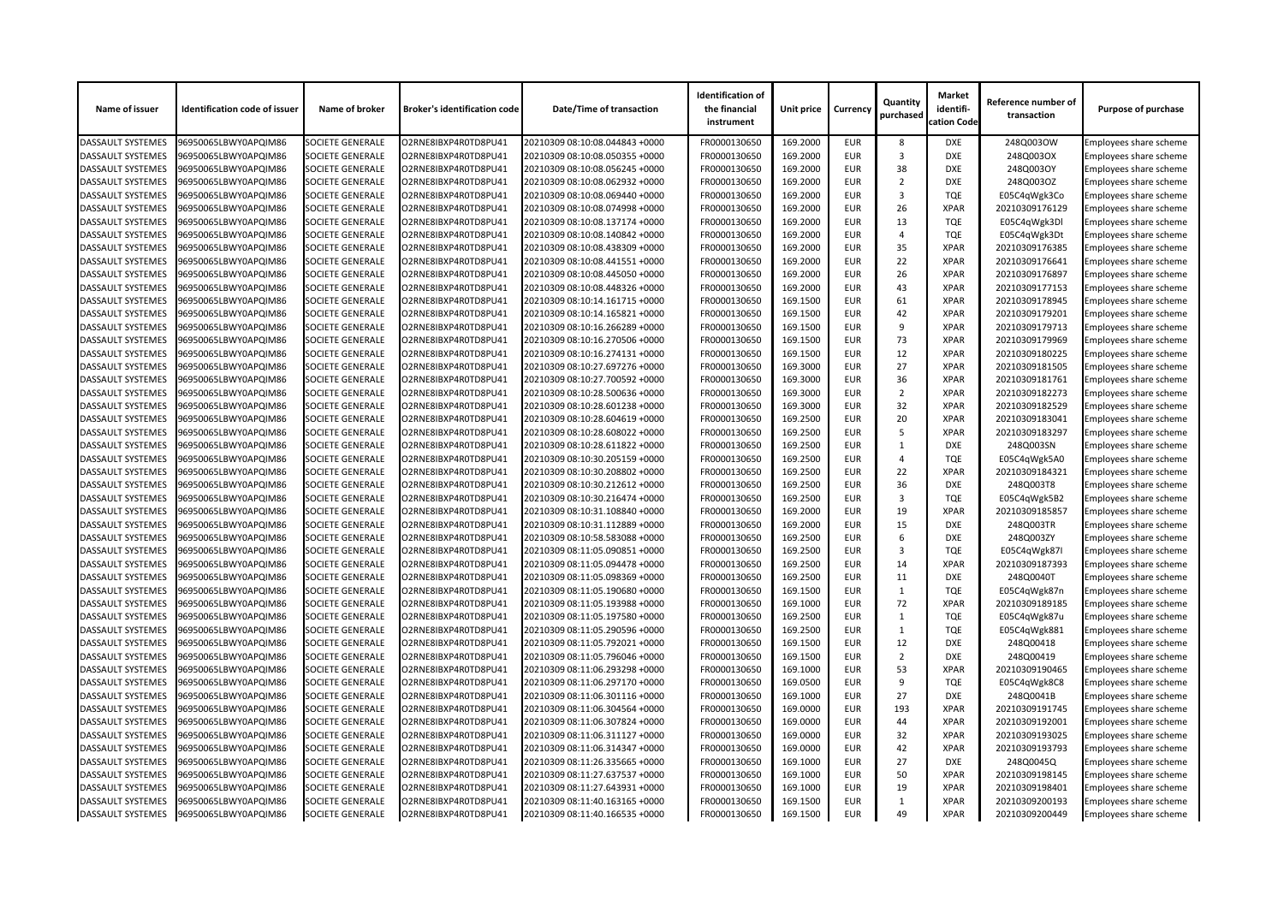| Name of issuer           | <b>Identification code of issuer</b> | Name of broker          | <b>Broker's identification code</b> | <b>Date/Time of transaction</b> | <b>Identification of</b><br>the financial<br>instrument | <b>Unit price</b> | <b>Currency</b> | Quantity<br>purchased | <b>Market</b><br>identifi-<br>cation Code | Reference number of<br>transaction | <b>Purpose of purchase</b>    |
|--------------------------|--------------------------------------|-------------------------|-------------------------------------|---------------------------------|---------------------------------------------------------|-------------------|-----------------|-----------------------|-------------------------------------------|------------------------------------|-------------------------------|
| <b>DASSAULT SYSTEMES</b> | 96950065LBWY0APQIM86                 | <b>SOCIETE GENERALE</b> | O2RNE8IBXP4R0TD8PU41                | 20210309 08:10:08.044843 +0000  | FR0000130650                                            | 169.2000          | <b>EUR</b>      | 8                     | <b>DXE</b>                                | 248Q003OW                          | Employees share scheme        |
| <b>DASSAULT SYSTEMES</b> | 96950065LBWY0APQIM86                 | <b>SOCIETE GENERALE</b> | O2RNE8IBXP4R0TD8PU41                | 20210309 08:10:08.050355 +0000  | FR0000130650                                            | 169.2000          | <b>EUR</b>      | 3                     | <b>DXE</b>                                | 248Q003OX                          | <b>Employees share scheme</b> |
| <b>DASSAULT SYSTEMES</b> | 96950065LBWY0APQIM86                 | <b>SOCIETE GENERALE</b> | O2RNE8IBXP4R0TD8PU41                | 20210309 08:10:08.056245 +0000  | FR0000130650                                            | 169.2000          | <b>EUR</b>      | 38                    | <b>DXE</b>                                | 248Q003OY                          | Employees share scheme        |
| <b>DASSAULT SYSTEMES</b> | 96950065LBWY0APQIM86                 | <b>SOCIETE GENERALE</b> | O2RNE8IBXP4R0TD8PU41                | 20210309 08:10:08.062932 +0000  | FR0000130650                                            | 169.2000          | <b>EUR</b>      | $\overline{2}$        | <b>DXE</b>                                | 248Q003OZ                          | <b>Employees share scheme</b> |
| <b>DASSAULT SYSTEMES</b> | 96950065LBWY0APQIM86                 | <b>SOCIETE GENERALE</b> | O2RNE8IBXP4R0TD8PU41                | 20210309 08:10:08.069440 +0000  | FR0000130650                                            | 169.2000          | <b>EUR</b>      | 3                     | <b>TQE</b>                                | E05C4qWgk3Co                       | Employees share scheme        |
| <b>DASSAULT SYSTEMES</b> | 96950065LBWY0APQIM86                 | <b>SOCIETE GENERALE</b> | O2RNE8IBXP4R0TD8PU41                | 20210309 08:10:08.074998 +0000  | FR0000130650                                            | 169.2000          | <b>EUR</b>      | 26                    | <b>XPAR</b>                               | 20210309176129                     | Employees share scheme        |
| <b>DASSAULT SYSTEMES</b> | 96950065LBWY0APQIM86                 | <b>SOCIETE GENERALE</b> | O2RNE8IBXP4R0TD8PU41                | 20210309 08:10:08.137174 +0000  | FR0000130650                                            | 169.2000          | <b>EUR</b>      | 13                    | <b>TQE</b>                                | E05C4qWgk3Dl                       | Employees share scheme        |
| <b>DASSAULT SYSTEMES</b> | 96950065LBWY0APQIM86                 | <b>SOCIETE GENERALE</b> | O2RNE8IBXP4R0TD8PU41                | 20210309 08:10:08.140842 +0000  | FR0000130650                                            | 169.2000          | <b>EUR</b>      | 4                     | <b>TQE</b>                                | E05C4qWgk3Dt                       | Employees share scheme        |
| <b>DASSAULT SYSTEMES</b> | 96950065LBWY0APQIM86                 | <b>SOCIETE GENERALE</b> | O2RNE8IBXP4R0TD8PU41                | 20210309 08:10:08.438309 +0000  | FR0000130650                                            | 169.2000          | <b>EUR</b>      | 35                    | <b>XPAR</b>                               | 20210309176385                     | <b>Employees share scheme</b> |
| <b>DASSAULT SYSTEMES</b> | 96950065LBWY0APQIM86                 | <b>SOCIETE GENERALE</b> | O2RNE8IBXP4R0TD8PU41                | 20210309 08:10:08.441551 +0000  | FR0000130650                                            | 169.2000          | <b>EUR</b>      | 22                    | <b>XPAR</b>                               | 20210309176641                     | Employees share scheme        |
| <b>DASSAULT SYSTEMES</b> | 96950065LBWY0APQIM86                 | <b>SOCIETE GENERALE</b> | O2RNE8IBXP4R0TD8PU41                | 20210309 08:10:08.445050 +0000  | FR0000130650                                            | 169.2000          | <b>EUR</b>      | 26                    | <b>XPAR</b>                               | 20210309176897                     | Employees share scheme        |
| <b>DASSAULT SYSTEMES</b> | 96950065LBWY0APQIM86                 | <b>SOCIETE GENERALE</b> | O2RNE8IBXP4R0TD8PU41                | 20210309 08:10:08.448326 +0000  | FR0000130650                                            | 169.2000          | <b>EUR</b>      | 43                    | <b>XPAR</b>                               | 20210309177153                     | <b>Employees share scheme</b> |
| <b>DASSAULT SYSTEMES</b> | 96950065LBWY0APQIM86                 | <b>SOCIETE GENERALE</b> | O2RNE8IBXP4R0TD8PU41                | 20210309 08:10:14.161715 +0000  | FR0000130650                                            | 169.1500          | <b>EUR</b>      | 61                    | <b>XPAR</b>                               | 20210309178945                     | Employees share scheme        |
| <b>DASSAULT SYSTEMES</b> | 96950065LBWY0APQIM86                 | <b>SOCIETE GENERALE</b> | O2RNE8IBXP4R0TD8PU41                | 20210309 08:10:14.165821 +0000  | FR0000130650                                            | 169.1500          | <b>EUR</b>      | 42                    | <b>XPAR</b>                               | 20210309179201                     | Employees share scheme        |
| <b>DASSAULT SYSTEMES</b> | 96950065LBWY0APQIM86                 | <b>SOCIETE GENERALE</b> | O2RNE8IBXP4R0TD8PU41                | 20210309 08:10:16.266289 +0000  | FR0000130650                                            | 169.1500          | <b>EUR</b>      | 9                     | <b>XPAR</b>                               | 20210309179713                     | Employees share scheme        |
| <b>DASSAULT SYSTEMES</b> | 96950065LBWY0APQIM86                 | <b>SOCIETE GENERALE</b> | O2RNE8IBXP4R0TD8PU41                | 20210309 08:10:16.270506 +0000  | FR0000130650                                            | 169.1500          | <b>EUR</b>      | 73                    | <b>XPAR</b>                               | 20210309179969                     | Employees share scheme        |
| <b>DASSAULT SYSTEMES</b> | 96950065LBWY0APQIM86                 | <b>SOCIETE GENERALE</b> | O2RNE8IBXP4R0TD8PU41                | 20210309 08:10:16.274131 +0000  | FR0000130650                                            | 169.1500          | <b>EUR</b>      | 12                    | <b>XPAR</b>                               | 20210309180225                     | Employees share scheme        |
| <b>DASSAULT SYSTEMES</b> | 96950065LBWY0APQIM86                 | <b>SOCIETE GENERALE</b> | O2RNE8IBXP4R0TD8PU41                | 20210309 08:10:27.697276 +0000  | FR0000130650                                            | 169.3000          | <b>EUR</b>      | 27                    | <b>XPAR</b>                               | 20210309181505                     | Employees share scheme        |
| <b>DASSAULT SYSTEMES</b> | 96950065LBWY0APQIM86                 | <b>SOCIETE GENERALE</b> | O2RNE8IBXP4R0TD8PU41                | 20210309 08:10:27.700592 +0000  | FR0000130650                                            | 169.3000          | <b>EUR</b>      | 36                    | <b>XPAR</b>                               | 20210309181761                     | <b>Employees share scheme</b> |
| <b>DASSAULT SYSTEMES</b> | 96950065LBWY0APQIM86                 | <b>SOCIETE GENERALE</b> | O2RNE8IBXP4R0TD8PU41                | 20210309 08:10:28.500636 +0000  | FR0000130650                                            | 169.3000          | <b>EUR</b>      | $\overline{2}$        | <b>XPAR</b>                               | 20210309182273                     | Employees share scheme        |
| <b>DASSAULT SYSTEMES</b> | 96950065LBWY0APQIM86                 | <b>SOCIETE GENERALE</b> | O2RNE8IBXP4R0TD8PU41                | 20210309 08:10:28.601238 +0000  | FR0000130650                                            | 169.3000          | <b>EUR</b>      | 32                    | <b>XPAR</b>                               | 20210309182529                     | Employees share scheme        |
|                          |                                      |                         |                                     |                                 |                                                         | 169.2500          | <b>EUR</b>      | 20                    | <b>XPAR</b>                               |                                    |                               |
| <b>DASSAULT SYSTEMES</b> | 96950065LBWY0APQIM86                 | <b>SOCIETE GENERALE</b> | O2RNE8IBXP4R0TD8PU41                | 20210309 08:10:28.604619 +0000  | FR0000130650                                            |                   |                 | $\overline{5}$        | <b>XPAR</b>                               | 20210309183041                     | <b>Employees share scheme</b> |
| <b>DASSAULT SYSTEMES</b> | 96950065LBWY0APQIM86                 | <b>SOCIETE GENERALE</b> | O2RNE8IBXP4R0TD8PU41                | 20210309 08:10:28.608022 +0000  | FR0000130650                                            | 169.2500          | <b>EUR</b>      |                       |                                           | 20210309183297                     | Employees share scheme        |
| <b>DASSAULT SYSTEMES</b> | 96950065LBWY0APQIM86                 | <b>SOCIETE GENERALE</b> | O2RNE8IBXP4R0TD8PU41                | 20210309 08:10:28.611822 +0000  | FR0000130650                                            | 169.2500          | <b>EUR</b>      |                       | <b>DXE</b>                                | 248Q003SN                          | Employees share scheme        |
| <b>DASSAULT SYSTEMES</b> | 96950065LBWY0APQIM86                 | <b>SOCIETE GENERALE</b> | O2RNE8IBXP4R0TD8PU41                | 20210309 08:10:30.205159 +0000  | FR0000130650                                            | 169.2500          | <b>EUR</b>      | 4                     | <b>TQE</b>                                | E05C4qWgk5A0                       | <b>Employees share scheme</b> |
| <b>DASSAULT SYSTEMES</b> | 96950065LBWY0APQIM86                 | <b>SOCIETE GENERALE</b> | O2RNE8IBXP4R0TD8PU41                | 20210309 08:10:30.208802 +0000  | FR0000130650                                            | 169.2500          | <b>EUR</b>      | 22                    | <b>XPAR</b>                               | 20210309184321                     | Employees share scheme        |
| <b>DASSAULT SYSTEMES</b> | 96950065LBWY0APQIM86                 | <b>SOCIETE GENERALE</b> | O2RNE8IBXP4R0TD8PU41                | 20210309 08:10:30.212612 +0000  | FR0000130650                                            | 169.2500          | <b>EUR</b>      | 36                    | <b>DXE</b>                                | 248Q003T8                          | Employees share scheme        |
| <b>DASSAULT SYSTEMES</b> | 96950065LBWY0APQIM86                 | <b>SOCIETE GENERALE</b> | O2RNE8IBXP4R0TD8PU41                | 20210309 08:10:30.216474 +0000  | FR0000130650                                            | 169.2500          | <b>EUR</b>      | 3                     | <b>TQE</b>                                | E05C4qWgk5B2                       | <b>Employees share scheme</b> |
| <b>DASSAULT SYSTEMES</b> | 96950065LBWY0APQIM86                 | <b>SOCIETE GENERALE</b> | O2RNE8IBXP4R0TD8PU41                | 20210309 08:10:31.108840 +0000  | FR0000130650                                            | 169.2000          | <b>EUR</b>      | 19                    | <b>XPAR</b>                               | 20210309185857                     | <b>Employees share scheme</b> |
| <b>DASSAULT SYSTEMES</b> | 96950065LBWY0APQIM86                 | <b>SOCIETE GENERALE</b> | O2RNE8IBXP4R0TD8PU41                | 20210309 08:10:31.112889 +0000  | FR0000130650                                            | 169.2000          | <b>EUR</b>      | 15                    | <b>DXE</b>                                | 248Q003TR                          | Employees share scheme        |
| <b>DASSAULT SYSTEMES</b> | 96950065LBWY0APQIM86                 | <b>SOCIETE GENERALE</b> | O2RNE8IBXP4R0TD8PU41                | 20210309 08:10:58.583088 +0000  | FR0000130650                                            | 169.2500          | <b>EUR</b>      |                       | <b>DXE</b>                                | 248Q003ZY                          | Employees share scheme        |
| <b>DASSAULT SYSTEMES</b> | 96950065LBWY0APQIM86                 | <b>SOCIETE GENERALE</b> | O2RNE8IBXP4R0TD8PU41                | 20210309 08:11:05.090851 +0000  | FR0000130650                                            | 169.2500          | <b>EUR</b>      | 3                     | <b>TQE</b>                                | E05C4qWgk87I                       | <b>Employees share scheme</b> |
| <b>DASSAULT SYSTEMES</b> | 96950065LBWY0APQIM86                 | <b>SOCIETE GENERALE</b> | O2RNE8IBXP4R0TD8PU41                | 20210309 08:11:05.094478 +0000  | FR0000130650                                            | 169.2500          | <b>EUR</b>      | 14                    | <b>XPAR</b>                               | 20210309187393                     | Employees share scheme        |
| <b>DASSAULT SYSTEMES</b> | 96950065LBWY0APQIM86                 | <b>SOCIETE GENERALE</b> | O2RNE8IBXP4R0TD8PU41                | 20210309 08:11:05.098369 +0000  | FR0000130650                                            | 169.2500          | <b>EUR</b>      | 11                    | <b>DXE</b>                                | 248Q0040T                          | Employees share scheme        |
| <b>DASSAULT SYSTEMES</b> | 96950065LBWY0APQIM86                 | <b>SOCIETE GENERALE</b> | O2RNE8IBXP4R0TD8PU41                | 20210309 08:11:05.190680 +0000  | FR0000130650                                            | 169.1500          | <b>EUR</b>      |                       | <b>TQE</b>                                | E05C4qWgk87n                       | Employees share scheme        |
| <b>DASSAULT SYSTEMES</b> | 96950065LBWY0APQIM86                 | <b>SOCIETE GENERALE</b> | O2RNE8IBXP4R0TD8PU41                | 20210309 08:11:05.193988 +0000  | FR0000130650                                            | 169.1000          | <b>EUR</b>      | 72                    | <b>XPAR</b>                               | 20210309189185                     | Employees share scheme        |
| <b>DASSAULT SYSTEMES</b> | 96950065LBWY0APQIM86                 | <b>SOCIETE GENERALE</b> | O2RNE8IBXP4R0TD8PU41                | 20210309 08:11:05.197580 +0000  | FR0000130650                                            | 169.2500          | <b>EUR</b>      |                       | <b>TQE</b>                                | E05C4qWgk87u                       | <b>Employees share scheme</b> |
| <b>DASSAULT SYSTEMES</b> | 96950065LBWY0APQIM86                 | <b>SOCIETE GENERALE</b> | O2RNE8IBXP4R0TD8PU41                | 20210309 08:11:05.290596 +0000  | FR0000130650                                            | 169.2500          | <b>EUR</b>      |                       | <b>TQE</b>                                | E05C4qWgk881                       | <b>Employees share scheme</b> |
| <b>DASSAULT SYSTEMES</b> | 96950065LBWY0APQIM86                 | <b>SOCIETE GENERALE</b> | O2RNE8IBXP4R0TD8PU41                | 20210309 08:11:05.792021 +0000  | FR0000130650                                            | 169.1500          | <b>EUR</b>      | 12                    | <b>DXE</b>                                | 248Q00418                          | <b>Employees share scheme</b> |
| <b>DASSAULT SYSTEMES</b> | 96950065LBWY0APQIM86                 | <b>SOCIETE GENERALE</b> | O2RNE8IBXP4R0TD8PU41                | 20210309 08:11:05.796046 +0000  | FR0000130650                                            | 169.1500          | <b>EUR</b>      | 2                     | <b>DXE</b>                                | 248Q00419                          | Employees share scheme        |
| <b>DASSAULT SYSTEMES</b> | 96950065LBWY0APQIM86                 | <b>SOCIETE GENERALE</b> | O2RNE8IBXP4R0TD8PU41                | 20210309 08:11:06.293298 +0000  | FR0000130650                                            | 169.1000          | <b>EUR</b>      | 53                    | <b>XPAR</b>                               | 20210309190465                     | Employees share scheme        |
| <b>DASSAULT SYSTEMES</b> | 96950065LBWY0APQIM86                 | <b>SOCIETE GENERALE</b> | O2RNE8IBXP4R0TD8PU41                | 20210309 08:11:06.297170 +0000  | FR0000130650                                            | 169.0500          | <b>EUR</b>      | 9                     | <b>TQE</b>                                | E05C4qWgk8C8                       | <b>Employees share scheme</b> |
| <b>DASSAULT SYSTEMES</b> | 96950065LBWY0APQIM86                 | <b>SOCIETE GENERALE</b> | O2RNE8IBXP4R0TD8PU41                | 20210309 08:11:06.301116 +0000  | FR0000130650                                            | 169.1000          | <b>EUR</b>      | 27                    | <b>DXE</b>                                | 248Q0041B                          | Employees share scheme        |
| <b>DASSAULT SYSTEMES</b> | 96950065LBWY0APQIM86                 | <b>SOCIETE GENERALE</b> | O2RNE8IBXP4R0TD8PU41                | 20210309 08:11:06.304564 +0000  | FR0000130650                                            | 169.0000          | <b>EUR</b>      | 193                   | <b>XPAR</b>                               | 20210309191745                     | Employees share scheme        |
| <b>DASSAULT SYSTEMES</b> | 96950065LBWY0APQIM86                 | <b>SOCIETE GENERALE</b> | O2RNE8IBXP4R0TD8PU41                | 20210309 08:11:06.307824 +0000  | FR0000130650                                            | 169.0000          | <b>EUR</b>      | 44                    | <b>XPAR</b>                               | 20210309192001                     | <b>Employees share scheme</b> |
| <b>DASSAULT SYSTEMES</b> | 96950065LBWY0APQIM86                 | <b>SOCIETE GENERALE</b> | O2RNE8IBXP4R0TD8PU41                | 20210309 08:11:06.311127 +0000  | FR0000130650                                            | 169.0000          | <b>EUR</b>      | 32                    | <b>XPAR</b>                               | 20210309193025                     | Employees share scheme        |
| <b>DASSAULT SYSTEMES</b> | 96950065LBWY0APQIM86                 | <b>SOCIETE GENERALE</b> | O2RNE8IBXP4R0TD8PU41                | 20210309 08:11:06.314347 +0000  | FR0000130650                                            | 169.0000          | <b>EUR</b>      | 42                    | <b>XPAR</b>                               | 20210309193793                     | <b>Employees share scheme</b> |
| <b>DASSAULT SYSTEMES</b> | 96950065LBWY0APQIM86                 | <b>SOCIETE GENERALE</b> | O2RNE8IBXP4R0TD8PU41                | 20210309 08:11:26.335665 +0000  | FR0000130650                                            | 169.1000          | <b>EUR</b>      | 27                    | <b>DXE</b>                                | 248Q0045Q                          | Employees share scheme        |
| <b>DASSAULT SYSTEMES</b> | 96950065LBWY0APQIM86                 | <b>SOCIETE GENERALE</b> | O2RNE8IBXP4R0TD8PU41                | 20210309 08:11:27.637537 +0000  | FR0000130650                                            | 169.1000          | <b>EUR</b>      | 50                    | <b>XPAR</b>                               | 20210309198145                     | Employees share scheme        |
| <b>DASSAULT SYSTEMES</b> | 96950065LBWY0APQIM86                 | <b>SOCIETE GENERALE</b> | O2RNE8IBXP4R0TD8PU41                | 20210309 08:11:27.643931 +0000  | FR0000130650                                            | 169.1000          | <b>EUR</b>      | 19                    | <b>XPAR</b>                               | 20210309198401                     | Employees share scheme        |
| <b>DASSAULT SYSTEMES</b> | 96950065LBWY0APQIM86                 | <b>SOCIETE GENERALE</b> | O2RNE8IBXP4R0TD8PU41                | 20210309 08:11:40.163165 +0000  | FR0000130650                                            | 169.1500          | <b>EUR</b>      |                       | <b>XPAR</b>                               | 20210309200193                     | Employees share scheme        |
| <b>DASSAULT SYSTEMES</b> | 96950065LBWY0APQIM86                 | <b>SOCIETE GENERALE</b> | O2RNE8IBXP4R0TD8PU41                | 20210309 08:11:40.166535 +0000  | FR0000130650                                            | 169.1500          | EUR             | 49                    | <b>XPAR</b>                               | 20210309200449                     | <b>Employees share scheme</b> |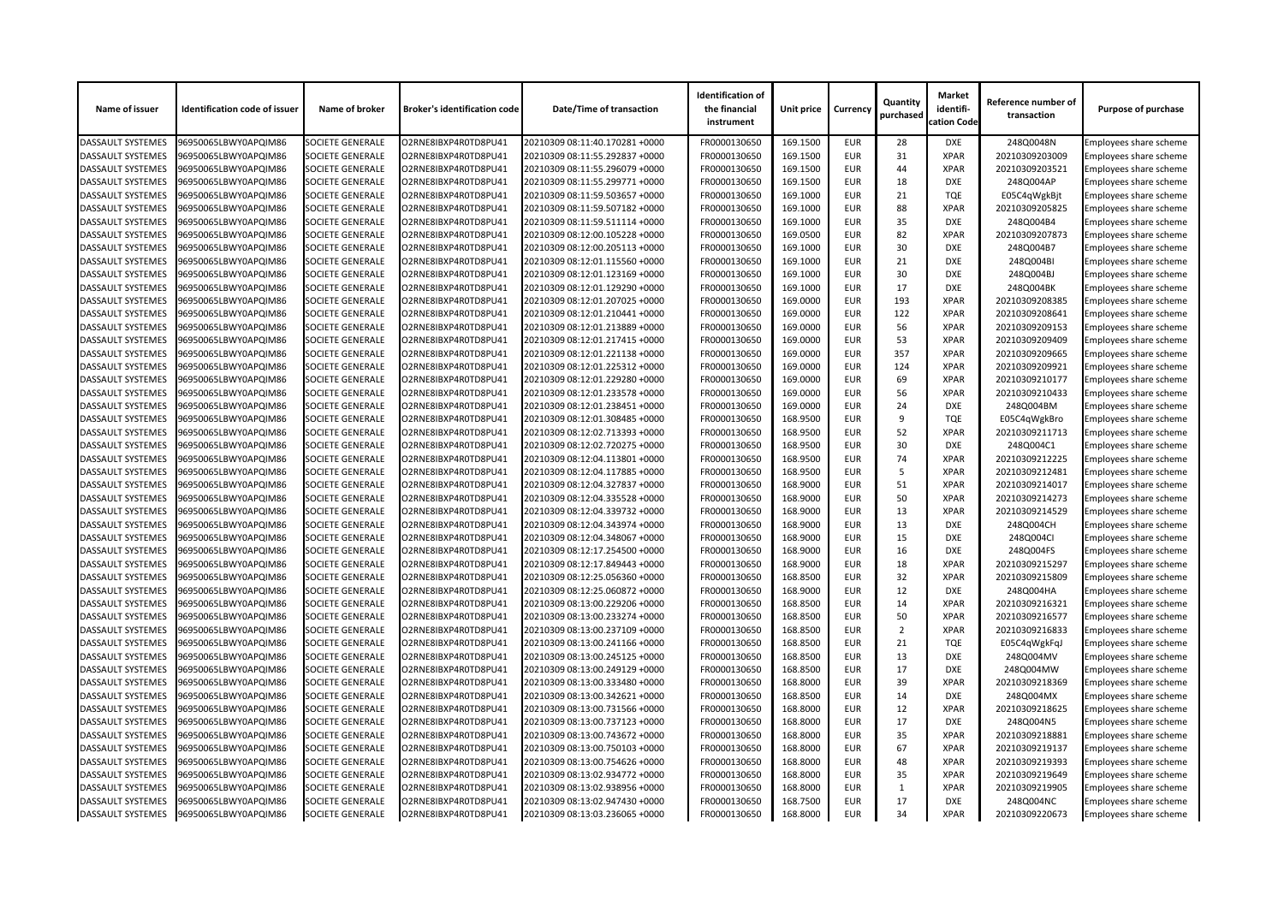| Name of issuer           | <b>Identification code of issuer</b> | Name of broker          | <b>Broker's identification code</b> | <b>Date/Time of transaction</b> | <b>Identification of</b><br>the financial<br>instrument | Unit price | <b>Currency</b> | Quantity<br>purchased | <b>Market</b><br>identifi-<br>cation Code | Reference number of<br>transaction | <b>Purpose of purchase</b>    |
|--------------------------|--------------------------------------|-------------------------|-------------------------------------|---------------------------------|---------------------------------------------------------|------------|-----------------|-----------------------|-------------------------------------------|------------------------------------|-------------------------------|
| <b>DASSAULT SYSTEMES</b> | 96950065LBWY0APQIM86                 | <b>SOCIETE GENERALE</b> | O2RNE8IBXP4R0TD8PU41                | 20210309 08:11:40.170281 +0000  | FR0000130650                                            | 169.1500   | <b>EUR</b>      | 28                    | <b>DXE</b>                                | 248Q0048N                          | Employees share scheme        |
| <b>DASSAULT SYSTEMES</b> | 96950065LBWY0APQIM86                 | <b>SOCIETE GENERALE</b> | O2RNE8IBXP4R0TD8PU41                | 20210309 08:11:55.292837 +0000  | FR0000130650                                            | 169.1500   | <b>EUR</b>      | 31                    | <b>XPAR</b>                               | 20210309203009                     | <b>Employees share scheme</b> |
| <b>DASSAULT SYSTEMES</b> | 96950065LBWY0APQIM86                 | <b>SOCIETE GENERALE</b> | O2RNE8IBXP4R0TD8PU41                | 20210309 08:11:55.296079 +0000  | FR0000130650                                            | 169.1500   | <b>EUR</b>      | 44                    | <b>XPAR</b>                               | 20210309203521                     | Employees share scheme        |
| <b>DASSAULT SYSTEMES</b> | 96950065LBWY0APQIM86                 | <b>SOCIETE GENERALE</b> | O2RNE8IBXP4R0TD8PU41                | 20210309 08:11:55.299771 +0000  | FR0000130650                                            | 169.1500   | <b>EUR</b>      | 18                    | <b>DXE</b>                                | 248Q004AP                          | <b>Employees share scheme</b> |
| <b>DASSAULT SYSTEMES</b> | 96950065LBWY0APQIM86                 | <b>SOCIETE GENERALE</b> | O2RNE8IBXP4R0TD8PU41                | 20210309 08:11:59.503657 +0000  | FR0000130650                                            | 169.1000   | <b>EUR</b>      | 21                    | <b>TQE</b>                                | E05C4qWgkBjt                       | Employees share scheme        |
| <b>DASSAULT SYSTEMES</b> | 96950065LBWY0APQIM86                 | <b>SOCIETE GENERALE</b> | O2RNE8IBXP4R0TD8PU41                | 20210309 08:11:59.507182 +0000  | FR0000130650                                            | 169.1000   | <b>EUR</b>      | 88                    | <b>XPAR</b>                               | 20210309205825                     | Employees share scheme        |
| <b>DASSAULT SYSTEMES</b> | 96950065LBWY0APQIM86                 | <b>SOCIETE GENERALE</b> | O2RNE8IBXP4R0TD8PU41                | 20210309 08:11:59.511114 +0000  | FR0000130650                                            | 169.1000   | <b>EUR</b>      | 35                    | <b>DXE</b>                                | 248Q004B4                          | Employees share scheme        |
| <b>DASSAULT SYSTEMES</b> | 96950065LBWY0APQIM86                 | <b>SOCIETE GENERALE</b> | O2RNE8IBXP4R0TD8PU41                | 20210309 08:12:00.105228 +0000  | FR0000130650                                            | 169.0500   | <b>EUR</b>      | 82                    | <b>XPAR</b>                               | 20210309207873                     | Employees share scheme        |
| <b>DASSAULT SYSTEMES</b> | 96950065LBWY0APQIM86                 | <b>SOCIETE GENERALE</b> | O2RNE8IBXP4R0TD8PU41                | 20210309 08:12:00.205113 +0000  | FR0000130650                                            | 169.1000   | <b>EUR</b>      | 30                    | <b>DXE</b>                                | 248Q004B7                          | <b>Employees share scheme</b> |
| <b>DASSAULT SYSTEMES</b> | 96950065LBWY0APQIM86                 | <b>SOCIETE GENERALE</b> | O2RNE8IBXP4R0TD8PU41                | 20210309 08:12:01.115560 +0000  | FR0000130650                                            | 169.1000   | <b>EUR</b>      | 21                    | <b>DXE</b>                                | 248Q004BI                          | Employees share scheme        |
| <b>DASSAULT SYSTEMES</b> | 96950065LBWY0APQIM86                 | <b>SOCIETE GENERALE</b> | O2RNE8IBXP4R0TD8PU41                | 20210309 08:12:01.123169 +0000  | FR0000130650                                            | 169.1000   | <b>EUR</b>      | 30                    | <b>DXE</b>                                | 248Q004BJ                          | Employees share scheme        |
| <b>DASSAULT SYSTEMES</b> | 96950065LBWY0APQIM86                 | <b>SOCIETE GENERALE</b> | O2RNE8IBXP4R0TD8PU41                | 20210309 08:12:01.129290 +0000  | FR0000130650                                            | 169.1000   | <b>EUR</b>      | 17                    | <b>DXE</b>                                | 248Q004BK                          | <b>Employees share scheme</b> |
| <b>DASSAULT SYSTEMES</b> | 96950065LBWY0APQIM86                 | <b>SOCIETE GENERALE</b> | O2RNE8IBXP4R0TD8PU41                | 20210309 08:12:01.207025 +0000  | FR0000130650                                            | 169.0000   | <b>EUR</b>      | 193                   | <b>XPAR</b>                               | 20210309208385                     | Employees share scheme        |
| <b>DASSAULT SYSTEMES</b> | 96950065LBWY0APQIM86                 | <b>SOCIETE GENERALE</b> | O2RNE8IBXP4R0TD8PU41                | 20210309 08:12:01.210441 +0000  | FR0000130650                                            | 169.0000   | <b>EUR</b>      | 122                   | <b>XPAR</b>                               | 20210309208641                     | <b>Employees share scheme</b> |
| <b>DASSAULT SYSTEMES</b> | 96950065LBWY0APQIM86                 | <b>SOCIETE GENERALE</b> | O2RNE8IBXP4R0TD8PU41                | 20210309 08:12:01.213889 +0000  | FR0000130650                                            | 169.0000   | <b>EUR</b>      | 56                    | <b>XPAR</b>                               | 20210309209153                     | Employees share scheme        |
| <b>DASSAULT SYSTEMES</b> | 96950065LBWY0APQIM86                 | <b>SOCIETE GENERALE</b> | O2RNE8IBXP4R0TD8PU41                | 20210309 08:12:01.217415 +0000  | FR0000130650                                            | 169.0000   | <b>EUR</b>      | 53                    | <b>XPAR</b>                               | 20210309209409                     | Employees share scheme        |
| <b>DASSAULT SYSTEMES</b> | 96950065LBWY0APQIM86                 | <b>SOCIETE GENERALE</b> | O2RNE8IBXP4R0TD8PU41                | 20210309 08:12:01.221138 +0000  | FR0000130650                                            | 169.0000   | <b>EUR</b>      | 357                   | <b>XPAR</b>                               | 20210309209665                     | Employees share scheme        |
| <b>DASSAULT SYSTEMES</b> | 96950065LBWY0APQIM86                 | SOCIETE GENERALE        | O2RNE8IBXP4R0TD8PU41                | 20210309 08:12:01.225312 +0000  | FR0000130650                                            | 169.0000   | <b>EUR</b>      | 124                   | <b>XPAR</b>                               | 20210309209921                     | Employees share scheme        |
| <b>DASSAULT SYSTEMES</b> | 96950065LBWY0APQIM86                 | <b>SOCIETE GENERALE</b> | O2RNE8IBXP4R0TD8PU41                | 20210309 08:12:01.229280 +0000  | FR0000130650                                            | 169.0000   | <b>EUR</b>      | 69                    | <b>XPAR</b>                               | 20210309210177                     | <b>Employees share scheme</b> |
| <b>DASSAULT SYSTEMES</b> | 96950065LBWY0APQIM86                 | <b>SOCIETE GENERALE</b> | O2RNE8IBXP4R0TD8PU41                | 20210309 08:12:01.233578 +0000  | FR0000130650                                            | 169.0000   | <b>EUR</b>      | 56                    | <b>XPAR</b>                               | 20210309210433                     | Employees share scheme        |
| <b>DASSAULT SYSTEMES</b> | 96950065LBWY0APQIM86                 | <b>SOCIETE GENERALE</b> | O2RNE8IBXP4R0TD8PU41                | 20210309 08:12:01.238451 +0000  | FR0000130650                                            | 169.0000   | <b>EUR</b>      | 24                    | <b>DXE</b>                                | 248Q004BM                          | Employees share scheme        |
|                          |                                      |                         |                                     |                                 |                                                         |            | <b>EUR</b>      | 9                     | <b>TQE</b>                                |                                    |                               |
| <b>DASSAULT SYSTEMES</b> | 96950065LBWY0APQIM86                 | <b>SOCIETE GENERALE</b> | O2RNE8IBXP4R0TD8PU41                | 20210309 08:12:01.308485 +0000  | FR0000130650                                            | 168.9500   |                 | 52                    |                                           | E05C4qWgkBro                       | <b>Employees share scheme</b> |
| <b>DASSAULT SYSTEMES</b> | 96950065LBWY0APQIM86                 | <b>SOCIETE GENERALE</b> | O2RNE8IBXP4R0TD8PU41                | 20210309 08:12:02.713393 +0000  | FR0000130650                                            | 168.9500   | <b>EUR</b>      |                       | <b>XPAR</b>                               | 20210309211713                     | Employees share scheme        |
| <b>DASSAULT SYSTEMES</b> | 96950065LBWY0APQIM86                 | <b>SOCIETE GENERALE</b> | O2RNE8IBXP4R0TD8PU41                | 20210309 08:12:02.720275 +0000  | FR0000130650                                            | 168.9500   | <b>EUR</b>      | 30                    | <b>DXE</b>                                | 248Q004C1                          | Employees share scheme        |
| <b>DASSAULT SYSTEMES</b> | 96950065LBWY0APQIM86                 | <b>SOCIETE GENERALE</b> | O2RNE8IBXP4R0TD8PU41                | 20210309 08:12:04.113801 +0000  | FR0000130650                                            | 168.9500   | <b>EUR</b>      | 74                    | <b>XPAR</b>                               | 20210309212225                     | <b>Employees share scheme</b> |
| <b>DASSAULT SYSTEMES</b> | 96950065LBWY0APQIM86                 | SOCIETE GENERALE        | O2RNE8IBXP4R0TD8PU41                | 20210309 08:12:04.117885 +0000  | FR0000130650                                            | 168.9500   | <b>EUR</b>      | 5                     | <b>XPAR</b>                               | 20210309212481                     | Employees share scheme        |
| <b>DASSAULT SYSTEMES</b> | 96950065LBWY0APQIM86                 | <b>SOCIETE GENERALE</b> | O2RNE8IBXP4R0TD8PU41                | 20210309 08:12:04.327837 +0000  | FR0000130650                                            | 168.9000   | <b>EUR</b>      | 51                    | <b>XPAR</b>                               | 20210309214017                     | Employees share scheme        |
| <b>DASSAULT SYSTEMES</b> | 96950065LBWY0APQIM86                 | <b>SOCIETE GENERALE</b> | O2RNE8IBXP4R0TD8PU41                | 20210309 08:12:04.335528 +0000  | FR0000130650                                            | 168.9000   | <b>EUR</b>      | 50                    | <b>XPAR</b>                               | 20210309214273                     | <b>Employees share scheme</b> |
| <b>DASSAULT SYSTEMES</b> | 96950065LBWY0APQIM86                 | <b>SOCIETE GENERALE</b> | O2RNE8IBXP4R0TD8PU41                | 20210309 08:12:04.339732 +0000  | FR0000130650                                            | 168.9000   | <b>EUR</b>      | 13                    | <b>XPAR</b>                               | 20210309214529                     | <b>Employees share scheme</b> |
| <b>DASSAULT SYSTEMES</b> | 96950065LBWY0APQIM86                 | <b>SOCIETE GENERALE</b> | O2RNE8IBXP4R0TD8PU41                | 20210309 08:12:04.343974 +0000  | FR0000130650                                            | 168.9000   | <b>EUR</b>      | 13                    | <b>DXE</b>                                | 248Q004CH                          | Employees share scheme        |
| <b>DASSAULT SYSTEMES</b> | 96950065LBWY0APQIM86                 | <b>SOCIETE GENERALE</b> | O2RNE8IBXP4R0TD8PU41                | 20210309 08:12:04.348067 +0000  | FR0000130650                                            | 168.9000   | <b>EUR</b>      | 15                    | <b>DXE</b>                                | 248Q004Cl                          | Employees share scheme        |
| <b>DASSAULT SYSTEMES</b> | 96950065LBWY0APQIM86                 | <b>SOCIETE GENERALE</b> | O2RNE8IBXP4R0TD8PU41                | 20210309 08:12:17.254500 +0000  | FR0000130650                                            | 168.9000   | <b>EUR</b>      | 16                    | <b>DXE</b>                                | 248Q004FS                          | <b>Employees share scheme</b> |
| <b>DASSAULT SYSTEMES</b> | 96950065LBWY0APQIM86                 | <b>SOCIETE GENERALE</b> | O2RNE8IBXP4R0TD8PU41                | 20210309 08:12:17.849443 +0000  | FR0000130650                                            | 168.9000   | <b>EUR</b>      | 18                    | <b>XPAR</b>                               | 20210309215297                     | <b>Employees share scheme</b> |
| <b>DASSAULT SYSTEMES</b> | 96950065LBWY0APQIM86                 | <b>SOCIETE GENERALE</b> | O2RNE8IBXP4R0TD8PU41                | 20210309 08:12:25.056360 +0000  | FR0000130650                                            | 168.8500   | <b>EUR</b>      | 32                    | <b>XPAR</b>                               | 20210309215809                     | <b>Employees share scheme</b> |
| <b>DASSAULT SYSTEMES</b> | 96950065LBWY0APQIM86                 | <b>SOCIETE GENERALE</b> | O2RNE8IBXP4R0TD8PU41                | 20210309 08:12:25.060872 +0000  | FR0000130650                                            | 168.9000   | <b>EUR</b>      | 12                    | <b>DXE</b>                                | 248Q004HA                          | Employees share scheme        |
| <b>DASSAULT SYSTEMES</b> | 96950065LBWY0APQIM86                 | <b>SOCIETE GENERALE</b> | O2RNE8IBXP4R0TD8PU41                | 20210309 08:13:00.229206 +0000  | FR0000130650                                            | 168.8500   | <b>EUR</b>      | 14                    | <b>XPAR</b>                               | 20210309216321                     | Employees share scheme        |
| <b>DASSAULT SYSTEMES</b> | 96950065LBWY0APQIM86                 | <b>SOCIETE GENERALE</b> | O2RNE8IBXP4R0TD8PU41                | 20210309 08:13:00.233274 +0000  | FR0000130650                                            | 168.8500   | <b>EUR</b>      | 50                    | <b>XPAR</b>                               | 20210309216577                     | <b>Employees share scheme</b> |
| <b>DASSAULT SYSTEMES</b> | 96950065LBWY0APQIM86                 | <b>SOCIETE GENERALE</b> | O2RNE8IBXP4R0TD8PU41                | 20210309 08:13:00.237109 +0000  | FR0000130650                                            | 168.8500   | <b>EUR</b>      | 2                     | <b>XPAR</b>                               | 20210309216833                     | Employees share scheme        |
| <b>DASSAULT SYSTEMES</b> | 96950065LBWY0APQIM86                 | <b>SOCIETE GENERALE</b> | O2RNE8IBXP4R0TD8PU41                | 20210309 08:13:00.241166 +0000  | FR0000130650                                            | 168.8500   | <b>EUR</b>      | 21                    | <b>TQE</b>                                | E05C4qWgkFqJ                       | <b>Employees share scheme</b> |
| <b>DASSAULT SYSTEMES</b> | 96950065LBWY0APQIM86                 | <b>SOCIETE GENERALE</b> | O2RNE8IBXP4R0TD8PU41                | 20210309 08:13:00.245125 +0000  | FR0000130650                                            | 168.8500   | <b>EUR</b>      | 13                    | <b>DXE</b>                                | 248Q004MV                          | Employees share scheme        |
| <b>DASSAULT SYSTEMES</b> | 96950065LBWY0APQIM86                 | <b>SOCIETE GENERALE</b> | O2RNE8IBXP4R0TD8PU41                | 20210309 08:13:00.249129 +0000  | FR0000130650                                            | 168.8500   | <b>EUR</b>      | 17                    | <b>DXE</b>                                | 248Q004MW                          | Employees share scheme        |
| <b>DASSAULT SYSTEMES</b> | 96950065LBWY0APQIM86                 | <b>SOCIETE GENERALE</b> | O2RNE8IBXP4R0TD8PU41                | 20210309 08:13:00.333480 +0000  | FR0000130650                                            | 168.8000   | <b>EUR</b>      | 39                    | <b>XPAR</b>                               | 20210309218369                     | <b>Employees share scheme</b> |
| <b>DASSAULT SYSTEMES</b> | 96950065LBWY0APQIM86                 | <b>SOCIETE GENERALE</b> | O2RNE8IBXP4R0TD8PU41                | 20210309 08:13:00.342621 +0000  | FR0000130650                                            | 168.8500   | <b>EUR</b>      | 14                    | <b>DXE</b>                                | 248Q004MX                          | Employees share scheme        |
| <b>DASSAULT SYSTEMES</b> | 96950065LBWY0APQIM86                 | <b>SOCIETE GENERALE</b> | O2RNE8IBXP4R0TD8PU41                | 20210309 08:13:00.731566 +0000  | FR0000130650                                            | 168.8000   | <b>EUR</b>      | 12                    | <b>XPAR</b>                               | 20210309218625                     | Employees share scheme        |
| <b>DASSAULT SYSTEMES</b> | 96950065LBWY0APQIM86                 | <b>SOCIETE GENERALE</b> | O2RNE8IBXP4R0TD8PU41                | 20210309 08:13:00.737123 +0000  | FR0000130650                                            | 168.8000   | <b>EUR</b>      | 17                    | <b>DXE</b>                                | 248Q004N5                          | Employees share scheme        |
| <b>DASSAULT SYSTEMES</b> | 96950065LBWY0APQIM86                 | <b>SOCIETE GENERALE</b> | O2RNE8IBXP4R0TD8PU41                | 20210309 08:13:00.743672 +0000  | FR0000130650                                            | 168.8000   | <b>EUR</b>      | 35                    | <b>XPAR</b>                               | 20210309218881                     | Employees share scheme        |
| <b>DASSAULT SYSTEMES</b> | 96950065LBWY0APQIM86                 | <b>SOCIETE GENERALE</b> | O2RNE8IBXP4R0TD8PU41                | 20210309 08:13:00.750103 +0000  | FR0000130650                                            | 168.8000   | <b>EUR</b>      | 67                    | <b>XPAR</b>                               | 20210309219137                     | <b>Employees share scheme</b> |
| <b>DASSAULT SYSTEMES</b> | 96950065LBWY0APQIM86                 | <b>SOCIETE GENERALE</b> | O2RNE8IBXP4R0TD8PU41                | 20210309 08:13:00.754626 +0000  | FR0000130650                                            | 168.8000   | <b>EUR</b>      | 48                    | <b>XPAR</b>                               | 20210309219393                     | Employees share scheme        |
| <b>DASSAULT SYSTEMES</b> | 96950065LBWY0APQIM86                 | <b>SOCIETE GENERALE</b> | O2RNE8IBXP4R0TD8PU41                | 20210309 08:13:02.934772 +0000  | FR0000130650                                            | 168.8000   | <b>EUR</b>      | 35                    | <b>XPAR</b>                               | 20210309219649                     | Employees share scheme        |
| <b>DASSAULT SYSTEMES</b> | 96950065LBWY0APQIM86                 | <b>SOCIETE GENERALE</b> | O2RNE8IBXP4R0TD8PU41                | 20210309 08:13:02.938956 +0000  | FR0000130650                                            | 168.8000   | <b>EUR</b>      |                       | <b>XPAR</b>                               | 20210309219905                     | Employees share scheme        |
| <b>DASSAULT SYSTEMES</b> | 96950065LBWY0APQIM86                 | <b>SOCIETE GENERALE</b> | O2RNE8IBXP4R0TD8PU41                | 20210309 08:13:02.947430 +0000  | FR0000130650                                            | 168.7500   | <b>EUR</b>      | 17                    | <b>DXE</b>                                | 248Q004NC                          | <b>Employees share scheme</b> |
| <b>DASSAULT SYSTEMES</b> | 96950065LBWY0APQIM86                 | <b>SOCIETE GENERALE</b> | O2RNE8IBXP4R0TD8PU41                | 20210309 08:13:03.236065 +0000  | FR0000130650                                            | 168.8000   | <b>EUR</b>      | 34                    | <b>XPAR</b>                               | 20210309220673                     | <b>Employees share scheme</b> |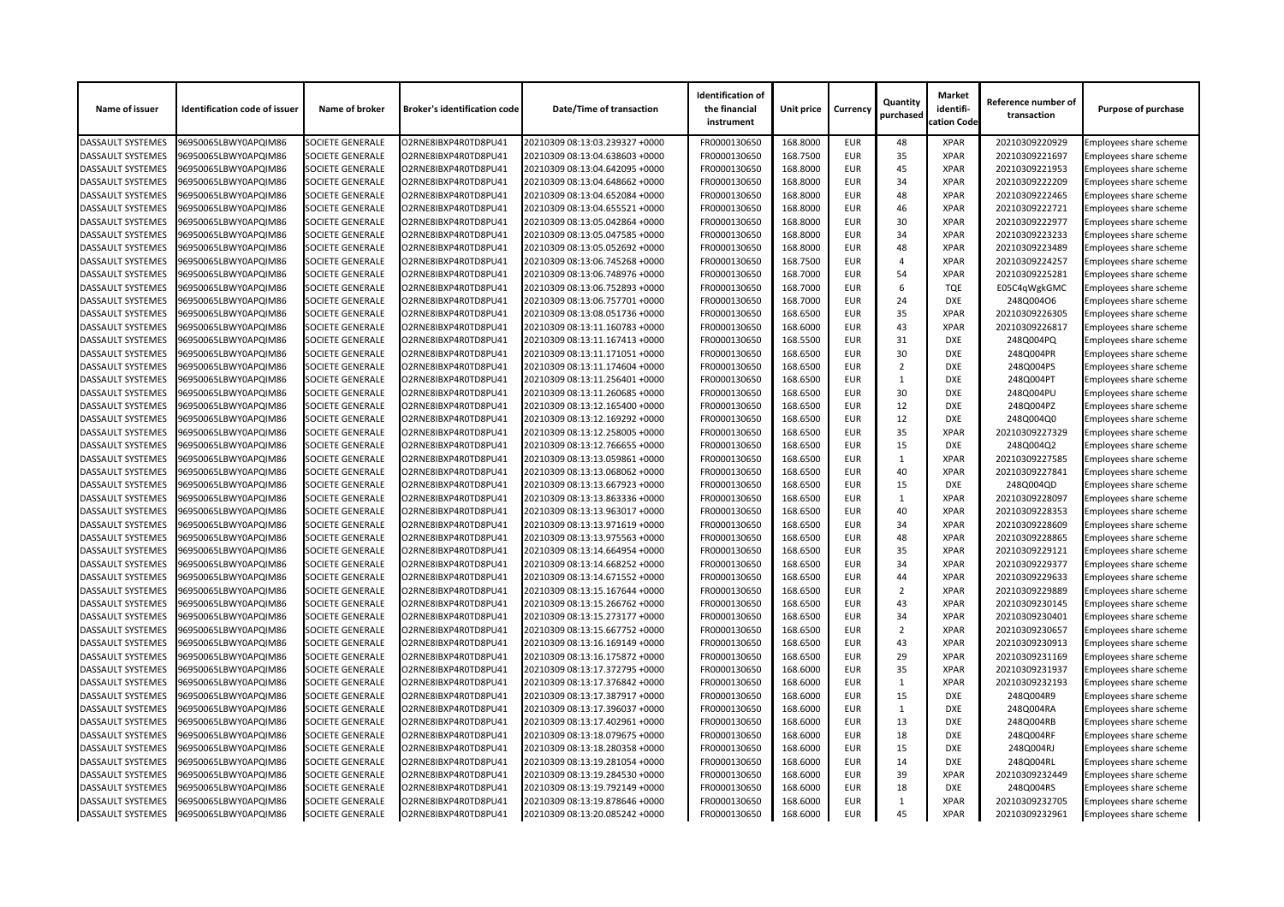| <b>Identification of</b><br>Quantity<br>identifi-<br>Name of issuer<br><b>Identification code of issuer</b><br><b>Broker's identification code</b><br><b>Date/Time of transaction</b><br><b>Unit price</b><br>Name of broker<br>the financial<br><b>Currency</b><br>purchased<br>cation Code<br>instrument | <b>Market</b><br>Reference number of<br>transaction | <b>Purpose of purchase</b>    |
|------------------------------------------------------------------------------------------------------------------------------------------------------------------------------------------------------------------------------------------------------------------------------------------------------------|-----------------------------------------------------|-------------------------------|
| 168.8000<br>96950065LBWY0APQIM86<br><b>SOCIETE GENERALE</b><br>O2RNE8IBXP4R0TD8PU41<br>20210309 08:13:03.239327 +0000<br>FR0000130650<br><b>EUR</b><br>48<br><b>DASSAULT SYSTEMES</b><br><b>XPAR</b>                                                                                                       | 20210309220929                                      | Employees share scheme        |
| 168.7500<br>35<br><b>DASSAULT SYSTEMES</b><br><b>SOCIETE GENERALE</b><br>FR0000130650<br><b>EUR</b><br><b>XPAR</b><br>96950065LBWY0APQIM86<br>O2RNE8IBXP4R0TD8PU41<br>20210309 08:13:04.638603 +0000                                                                                                       | 20210309221697                                      | <b>Employees share scheme</b> |
| 45<br>168.8000<br><b>EUR</b><br><b>XPAR</b><br><b>DASSAULT SYSTEMES</b><br>96950065LBWY0APQIM86<br><b>SOCIETE GENERALE</b><br>O2RNE8IBXP4R0TD8PU41<br>20210309 08:13:04.642095 +0000<br>FR0000130650                                                                                                       | 20210309221953                                      | Employees share scheme        |
| 34<br><b>DASSAULT SYSTEMES</b><br><b>SOCIETE GENERALE</b><br>168.8000<br><b>EUR</b><br>96950065LBWY0APQIM86<br>O2RNE8IBXP4R0TD8PU41<br>20210309 08:13:04.648662 +0000<br>FR0000130650<br><b>XPAR</b>                                                                                                       | 20210309222209                                      | Employees share scheme        |
| 48<br><b>SOCIETE GENERALE</b><br>FR0000130650<br>168.8000<br><b>XPAR</b><br><b>DASSAULT SYSTEMES</b><br>96950065LBWY0APQIM86<br>O2RNE8IBXP4R0TD8PU41<br>20210309 08:13:04.652084 +0000<br><b>EUR</b>                                                                                                       | 20210309222465                                      | Employees share scheme        |
| 46<br><b>SOCIETE GENERALE</b><br>FR0000130650<br>168.8000<br><b>EUR</b><br><b>XPAR</b><br><b>DASSAULT SYSTEMES</b><br>96950065LBWY0APQIM86<br>O2RNE8IBXP4R0TD8PU41<br>20210309 08:13:04.655521 +0000                                                                                                       | 20210309222721                                      | Employees share scheme        |
| 168.8000<br><b>EUR</b><br>30<br>DASSAULT SYSTEMES<br><b>SOCIETE GENERALE</b><br>O2RNE8IBXP4R0TD8PU41<br>FR0000130650<br><b>XPAR</b><br>96950065LBWY0APQIM86<br>20210309 08:13:05.042864 +0000                                                                                                              | 20210309222977                                      | Employees share scheme        |
| 34<br><b>EUR</b><br>168.8000<br><b>XPAR</b><br><b>DASSAULT SYSTEMES</b><br>96950065LBWY0APQIM86<br><b>SOCIETE GENERALE</b><br>O2RNE8IBXP4R0TD8PU41<br>20210309 08:13:05.047585 +0000<br>FR0000130650                                                                                                       | 20210309223233                                      | Employees share scheme        |
| 48<br><b>DASSAULT SYSTEMES</b><br><b>SOCIETE GENERALE</b><br>168.8000<br><b>EUR</b><br>96950065LBWY0APQIM86<br>O2RNE8IBXP4R0TD8PU41<br>20210309 08:13:05.052692 +0000<br>FR0000130650<br><b>XPAR</b>                                                                                                       | 20210309223489                                      | <b>Employees share scheme</b> |
| 168.7500<br><b>SOCIETE GENERALE</b><br>O2RNE8IBXP4R0TD8PU41<br>FR0000130650<br><b>EUR</b><br><b>XPAR</b><br><b>DASSAULT SYSTEMES</b><br>96950065LBWY0APQIM86<br>20210309 08:13:06.745268 +0000<br>$\overline{A}$                                                                                           | 20210309224257                                      | Employees share scheme        |
| 54<br>168.7000<br><b>SOCIETE GENERALE</b><br>FR0000130650<br><b>EUR</b><br><b>XPAR</b><br><b>DASSAULT SYSTEMES</b><br>96950065LBWY0APQIM86<br>O2RNE8IBXP4R0TD8PU41<br>20210309 08:13:06.748976 +0000                                                                                                       | 20210309225281                                      | Employees share scheme        |
| 168.7000<br><b>DASSAULT SYSTEMES</b><br><b>SOCIETE GENERALE</b><br>FR0000130650<br><b>EUR</b><br>6<br><b>TQE</b><br>96950065LBWY0APQIM86<br>O2RNE8IBXP4R0TD8PU41<br>20210309 08:13:06.752893 +0000                                                                                                         | E05C4qWgkGMC                                        | <b>Employees share scheme</b> |
| 168.7000<br>24<br><b>EUR</b><br><b>DXE</b><br><b>DASSAULT SYSTEMES</b><br>96950065LBWY0APQIM86<br><b>SOCIETE GENERALE</b><br>O2RNE8IBXP4R0TD8PU41<br>20210309 08:13:06.757701 +0000<br>FR0000130650                                                                                                        | 248Q004O6                                           | Employees share scheme        |
| 35<br><b>DASSAULT SYSTEMES</b><br><b>SOCIETE GENERALE</b><br>O2RNE8IBXP4R0TD8PU41<br>20210309 08:13:08.051736 +0000<br>FR0000130650<br>168.6500<br><b>EUR</b><br>96950065LBWY0APQIM86<br><b>XPAR</b>                                                                                                       | 20210309226305                                      | Employees share scheme        |
| 43<br><b>SOCIETE GENERALE</b><br>FR0000130650<br>168.6000<br><b>XPAR</b><br><b>DASSAULT SYSTEMES</b><br>96950065LBWY0APQIM86<br>O2RNE8IBXP4R0TD8PU41<br>20210309 08:13:11.160783 +0000<br><b>EUR</b>                                                                                                       | 20210309226817                                      | Employees share scheme        |
| 31<br><b>SOCIETE GENERALE</b><br>FR0000130650<br>168.5500<br><b>EUR</b><br><b>DXE</b><br><b>DASSAULT SYSTEMES</b><br>96950065LBWY0APQIM86<br>O2RNE8IBXP4R0TD8PU41<br>20210309 08:13:11.167413 +0000                                                                                                        | 248Q004PQ                                           | Employees share scheme        |
| 168.6500<br>30<br>DASSAULT SYSTEMES<br><b>SOCIETE GENERALE</b><br>O2RNE8IBXP4R0TD8PU41<br>FR0000130650<br><b>EUR</b><br><b>DXE</b><br>96950065LBWY0APQIM86<br>20210309 08:13:11.171051 +0000                                                                                                               | 248Q004PR                                           | <b>Employees share scheme</b> |
| 168.6500<br><b>EUR</b><br><b>DASSAULT SYSTEMES</b><br>96950065LBWY0APQIM86<br><b>SOCIETE GENERALE</b><br>O2RNE8IBXP4R0TD8PU41<br>20210309 08:13:11.174604 +0000<br>FR0000130650<br>2<br><b>DXE</b>                                                                                                         | 248Q004PS                                           | Employees share scheme        |
| <b>DASSAULT SYSTEMES</b><br><b>SOCIETE GENERALE</b><br>O2RNE8IBXP4R0TD8PU41<br>20210309 08:13:11.256401 +0000<br>FR0000130650<br>168.6500<br><b>EUR</b><br>96950065LBWY0APQIM86<br><b>DXE</b>                                                                                                              | 248Q004PT                                           | <b>Employees share scheme</b> |
| 30<br><b>SOCIETE GENERALE</b><br>FR0000130650<br>168.6500<br><b>EUR</b><br><b>DASSAULT SYSTEMES</b><br>96950065LBWY0APQIM86<br>O2RNE8IBXP4R0TD8PU41<br>20210309 08:13:11.260685 +0000<br><b>DXE</b>                                                                                                        | 248Q004PU                                           | Employees share scheme        |
| 12<br><b>SOCIETE GENERALE</b><br>FR0000130650<br>168.6500<br><b>EUR</b><br><b>DXE</b><br><b>DASSAULT SYSTEMES</b><br>96950065LBWY0APQIM86<br>O2RNE8IBXP4R0TD8PU41<br>20210309 08:13:12.165400 +0000                                                                                                        | 248Q004PZ                                           | Employees share scheme        |
| 168.6500<br><b>EUR</b><br>12<br>DASSAULT SYSTEMES<br><b>SOCIETE GENERALE</b><br>O2RNE8IBXP4R0TD8PU41<br>FR0000130650<br><b>DXE</b><br>96950065LBWY0APQIM86<br>20210309 08:13:12.169292 +0000                                                                                                               | 248Q004Q0                                           | <b>Employees share scheme</b> |
| 35<br><b>EUR</b><br><b>DASSAULT SYSTEMES</b><br>168.6500<br><b>XPAR</b><br>96950065LBWY0APQIM86<br><b>SOCIETE GENERALE</b><br>O2RNE8IBXP4R0TD8PU41<br>20210309 08:13:12.258005 +0000<br>FR0000130650                                                                                                       | 20210309227329                                      | Employees share scheme        |
| <b>DASSAULT SYSTEMES</b><br><b>SOCIETE GENERALE</b><br>O2RNE8IBXP4R0TD8PU41<br>20210309 08:13:12.766655 +0000<br>FR0000130650<br>168.6500<br><b>EUR</b><br>15<br>96950065LBWY0APQIM86<br><b>DXE</b>                                                                                                        | 248Q004Q2                                           | Employees share scheme        |
| <b>SOCIETE GENERALE</b><br>O2RNE8IBXP4R0TD8PU41<br>FR0000130650<br>168.6500<br><b>XPAR</b><br><b>DASSAULT SYSTEMES</b><br>96950065LBWY0APQIM86<br>20210309 08:13:13.059861 +0000<br><b>EUR</b>                                                                                                             | 20210309227585                                      | <b>Employees share scheme</b> |
| 40<br><b>SOCIETE GENERALE</b><br>168.6500<br><b>EUR</b><br><b>XPAR</b><br><b>DASSAULT SYSTEMES</b><br>96950065LBWY0APQIM86<br>O2RNE8IBXP4R0TD8PU41<br>20210309 08:13:13.068062 +0000<br>FR0000130650                                                                                                       | 20210309227841                                      | Employees share scheme        |
| DASSAULT SYSTEMES<br>FR0000130650<br>168.6500<br><b>EUR</b><br>15<br><b>DXE</b><br>96950065LBWY0APQIM86<br><b>SOCIETE GENERALE</b><br>O2RNE8IBXP4R0TD8PU41<br>20210309 08:13:13.667923 +0000                                                                                                               | 248Q004QD                                           | Employees share scheme        |
| 168.6500<br><b>DASSAULT SYSTEMES</b><br>96950065LBWY0APQIM86<br><b>SOCIETE GENERALE</b><br>FR0000130650<br><b>EUR</b><br><b>XPAR</b><br>O2RNE8IBXP4R0TD8PU41<br>20210309 08:13:13.863336 +0000                                                                                                             | 20210309228097                                      | Employees share scheme        |
| DASSAULT SYSTEMES<br><b>SOCIETE GENERALE</b><br>168.6500<br>40<br>96950065LBWY0APQIM86<br>O2RNE8IBXP4R0TD8PU41<br>20210309 08:13:13.963017 +0000<br>FR0000130650<br><b>EUR</b><br><b>XPAR</b>                                                                                                              | 20210309228353                                      | <b>Employees share scheme</b> |
| 168.6500<br>34<br><b>DASSAULT SYSTEMES</b><br>96950065LBWY0APQIM86<br><b>SOCIETE GENERALE</b><br>O2RNE8IBXP4R0TD8PU41<br>20210309 08:13:13.971619 +0000<br>FR0000130650<br><b>EUR</b><br><b>XPAR</b>                                                                                                       | 20210309228609                                      | <b>Employees share scheme</b> |
| 48<br>168.6500<br><b>EUR</b><br><b>DASSAULT SYSTEMES</b><br>96950065LBWY0APQIM86<br><b>SOCIETE GENERALE</b><br>O2RNE8IBXP4R0TD8PU41<br>20210309 08:13:13.975563 +0000<br>FR0000130650<br><b>XPAR</b>                                                                                                       | 20210309228865                                      | Employees share scheme        |
| DASSAULT SYSTEMES<br>FR0000130650<br>168.6500<br><b>EUR</b><br>35<br>96950065LBWY0APQIM86<br><b>SOCIETE GENERALE</b><br>O2RNE8IBXP4R0TD8PU41<br>20210309 08:13:14.664954 +0000<br><b>XPAR</b>                                                                                                              | 20210309229121                                      | <b>Employees share scheme</b> |
| 168.6500<br>34<br><b>DASSAULT SYSTEMES</b><br><b>SOCIETE GENERALE</b><br>O2RNE8IBXP4R0TD8PU41<br>FR0000130650<br><b>EUR</b><br><b>XPAR</b><br>96950065LBWY0APQIM86<br>20210309 08:13:14.668252 +0000                                                                                                       | 20210309229377                                      | Employees share scheme        |
| <b>DASSAULT SYSTEMES</b><br>44<br>96950065LBWY0APQIM86<br><b>SOCIETE GENERALE</b><br>O2RNE8IBXP4R0TD8PU41<br>20210309 08:13:14.671552 +0000<br>FR0000130650<br>168.6500<br><b>EUR</b><br><b>XPAR</b>                                                                                                       | 20210309229633                                      | <b>Employees share scheme</b> |
| FR0000130650<br>168.6500<br>$\overline{2}$<br><b>DASSAULT SYSTEMES</b><br>96950065LBWY0APQIM86<br><b>SOCIETE GENERALE</b><br>O2RNE8IBXP4R0TD8PU41<br>20210309 08:13:15.167644 +0000<br><b>EUR</b><br><b>XPAR</b>                                                                                           | 20210309229889                                      | Employees share scheme        |
| <b>DASSAULT SYSTEMES</b><br>168.6500<br><b>EUR</b><br>43<br>96950065LBWY0APQIM86<br><b>SOCIETE GENERALE</b><br>O2RNE8IBXP4R0TD8PU41<br>20210309 08:13:15.266762 +0000<br>FR0000130650<br><b>XPAR</b>                                                                                                       | 20210309230145                                      | Employees share scheme        |
| 34<br><b>DASSAULT SYSTEMES</b><br>FR0000130650<br>168.6500<br>96950065LBWY0APQIM86<br><b>SOCIETE GENERALE</b><br>O2RNE8IBXP4R0TD8PU41<br>20210309 08:13:15.273177 +0000<br><b>EUR</b><br><b>XPAR</b>                                                                                                       | 20210309230401                                      | <b>Employees share scheme</b> |
| 168.6500<br>$\overline{2}$<br><b>DASSAULT SYSTEMES</b><br><b>SOCIETE GENERALE</b><br>O2RNE8IBXP4R0TD8PU41<br>FR0000130650<br><b>EUR</b><br><b>XPAR</b><br>96950065LBWY0APQIM86<br>20210309 08:13:15.667752 +0000                                                                                           | 20210309230657                                      | Employees share scheme        |
| <b>DASSAULT SYSTEMES</b><br>43<br>96950065LBWY0APQIM86<br><b>SOCIETE GENERALE</b><br>O2RNE8IBXP4R0TD8PU41<br>20210309 08:13:16.169149 +0000<br>FR0000130650<br>168.6500<br><b>EUR</b><br><b>XPAR</b>                                                                                                       | 20210309230913                                      | <b>Employees share scheme</b> |
| 168.6500<br>29<br><b>DASSAULT SYSTEMES</b><br><b>SOCIETE GENERALE</b><br>O2RNE8IBXP4R0TD8PU41<br>20210309 08:13:16.175872 +0000<br>FR0000130650<br><b>EUR</b><br><b>XPAR</b><br>96950065LBWY0APQIM86                                                                                                       | 20210309231169                                      | Employees share scheme        |
| <b>DASSAULT SYSTEMES</b><br>168.6000<br><b>EUR</b><br>35<br>96950065LBWY0APQIM86<br><b>SOCIETE GENERALE</b><br>O2RNE8IBXP4R0TD8PU41<br>20210309 08:13:17.372795 +0000<br>FR0000130650<br><b>XPAR</b>                                                                                                       | 20210309231937                                      | Employees share scheme        |
| DASSAULT SYSTEMES<br>FR0000130650<br>168.6000<br>96950065LBWY0APQIM86<br><b>SOCIETE GENERALE</b><br>O2RNE8IBXP4R0TD8PU41<br>20210309 08:13:17.376842 +0000<br><b>EUR</b><br><b>XPAR</b><br>1                                                                                                               | 20210309232193                                      | <b>Employees share scheme</b> |
| 168.6000<br><b>DASSAULT SYSTEMES</b><br><b>SOCIETE GENERALE</b><br>O2RNE8IBXP4R0TD8PU41<br>FR0000130650<br><b>EUR</b><br>15<br><b>DXE</b><br>96950065LBWY0APQIM86<br>20210309 08:13:17.387917 +0000                                                                                                        | 248Q004R9                                           | Employees share scheme        |
| <b>DASSAULT SYSTEMES</b><br>168.6000<br>96950065LBWY0APQIM86<br><b>SOCIETE GENERALE</b><br>O2RNE8IBXP4R0TD8PU41<br>20210309 08:13:17.396037 +0000<br>FR0000130650<br><b>EUR</b><br><b>DXE</b>                                                                                                              | 248Q004RA                                           | <b>Employees share scheme</b> |
| 168.6000<br>13<br><b>DASSAULT SYSTEMES</b><br>96950065LBWY0APQIM86<br><b>SOCIETE GENERALE</b><br>O2RNE8IBXP4R0TD8PU41<br>20210309 08:13:17.402961 +0000<br>FR0000130650<br><b>EUR</b><br><b>DXE</b>                                                                                                        | 248Q004RB                                           | Employees share scheme        |
| <b>DASSAULT SYSTEMES</b><br>168.6000<br><b>EUR</b><br>18<br>96950065LBWY0APQIM86<br><b>SOCIETE GENERALE</b><br>O2RNE8IBXP4R0TD8PU41<br>20210309 08:13:18.079675 +0000<br>FR0000130650<br><b>DXE</b>                                                                                                        | 248Q004RF                                           | Employees share scheme        |
| <b>DASSAULT SYSTEMES</b><br>FR0000130650<br>168.6000<br><b>EUR</b><br>15<br>96950065LBWY0APQIM86<br><b>SOCIETE GENERALE</b><br>O2RNE8IBXP4R0TD8PU41<br>20210309 08:13:18.280358 +0000<br><b>DXE</b>                                                                                                        | 248Q004RJ                                           | Employees share scheme        |
| 168.6000<br><b>EUR</b><br>14<br><b>DASSAULT SYSTEMES</b><br><b>SOCIETE GENERALE</b><br>O2RNE8IBXP4R0TD8PU41<br>FR0000130650<br><b>DXE</b><br>96950065LBWY0APQIM86<br>20210309 08:13:19.281054 +0000                                                                                                        | 248Q004RL                                           | Employees share scheme        |
| <b>DASSAULT SYSTEMES</b><br>39<br>96950065LBWY0APQIM86<br><b>SOCIETE GENERALE</b><br>O2RNE8IBXP4R0TD8PU41<br>20210309 08:13:19.284530 +0000<br>FR0000130650<br>168.6000<br><b>EUR</b><br><b>XPAR</b>                                                                                                       | 20210309232449                                      | Employees share scheme        |
| 168.6000<br>18<br><b>DASSAULT SYSTEMES</b><br>96950065LBWY0APQIM86<br><b>SOCIETE GENERALE</b><br>O2RNE8IBXP4R0TD8PU41<br>20210309 08:13:19.792149 +0000<br>FR0000130650<br><b>EUR</b><br><b>DXE</b>                                                                                                        | 248Q004RS                                           | <b>Employees share scheme</b> |
| 168.6000<br><b>DASSAULT SYSTEMES</b><br>96950065LBWY0APQIM86<br><b>SOCIETE GENERALE</b><br>O2RNE8IBXP4R0TD8PU41<br>20210309 08:13:19.878646 +0000<br>FR0000130650<br><b>EUR</b><br><b>XPAR</b>                                                                                                             | 20210309232705                                      | Employees share scheme        |
| <b>DASSAULT SYSTEMES</b><br>96950065LBWY0APQIM86<br><b>SOCIETE GENERALE</b><br>O2RNE8IBXP4R0TD8PU41<br>20210309 08:13:20.085242 +0000<br>FR0000130650<br>168.6000<br>45<br><b>XPAR</b><br><b>EUR</b>                                                                                                       | 20210309232961                                      | <b>Employees share scheme</b> |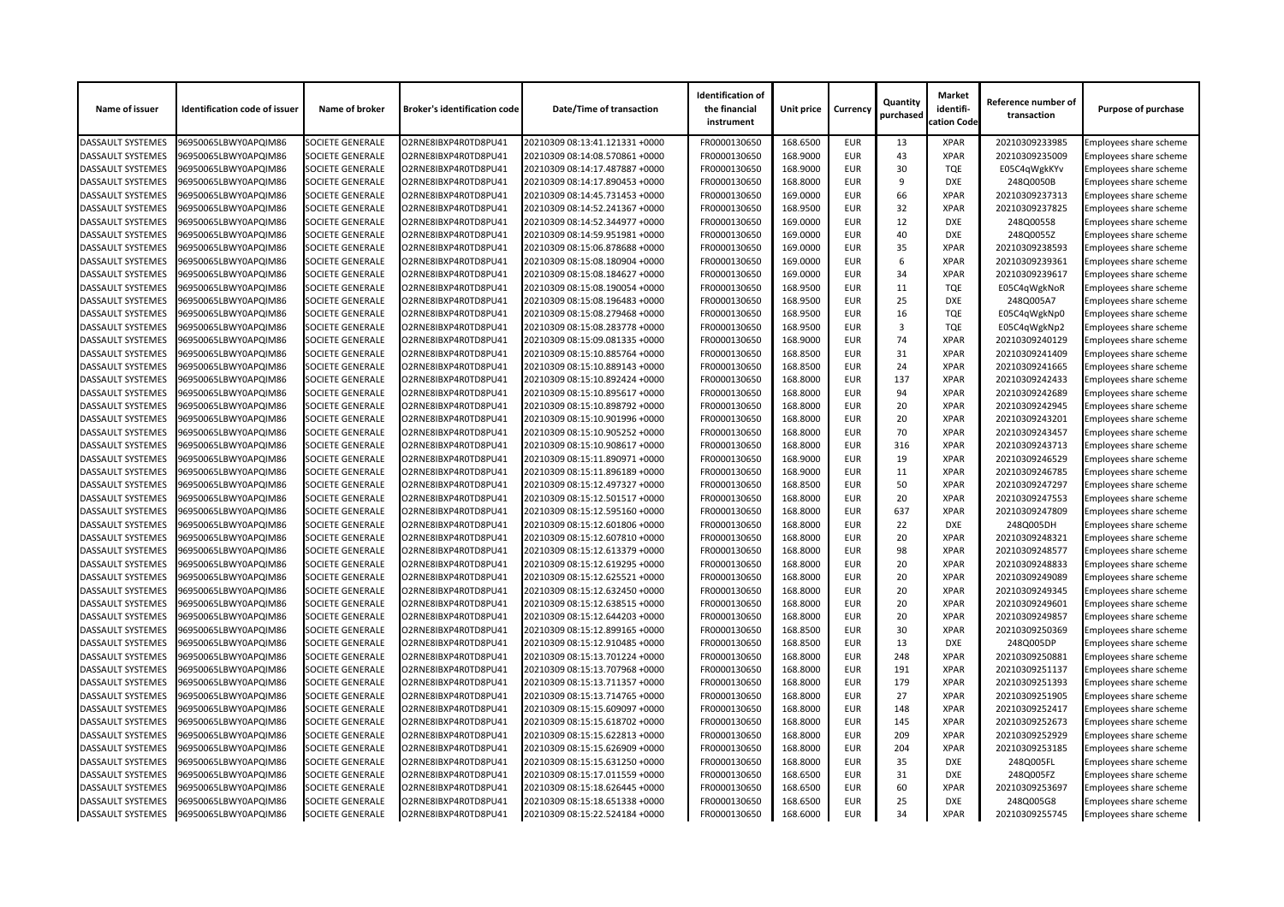| Name of issuer           | <b>Identification code of issuer</b> | Name of broker          | <b>Broker's identification code</b> | <b>Date/Time of transaction</b> | <b>Identification of</b><br>the financial<br>instrument | <b>Unit price</b> | <b>Currency</b>          | Quantity<br>purchased | <b>Market</b><br>identifi-<br>cation Code | Reference number of<br>transaction | <b>Purpose of purchase</b>    |
|--------------------------|--------------------------------------|-------------------------|-------------------------------------|---------------------------------|---------------------------------------------------------|-------------------|--------------------------|-----------------------|-------------------------------------------|------------------------------------|-------------------------------|
| <b>DASSAULT SYSTEMES</b> | 96950065LBWY0APQIM86                 | <b>SOCIETE GENERALE</b> | O2RNE8IBXP4R0TD8PU41                | 20210309 08:13:41.121331 +0000  | FR0000130650                                            | 168.6500          | <b>EUR</b>               | 13                    | <b>XPAR</b>                               | 20210309233985                     | Employees share scheme        |
| <b>DASSAULT SYSTEMES</b> | 96950065LBWY0APQIM86                 | <b>SOCIETE GENERALE</b> | O2RNE8IBXP4R0TD8PU41                | 20210309 08:14:08.570861 +0000  | FR0000130650                                            | 168.9000          | <b>EUR</b>               | 43                    | <b>XPAR</b>                               | 20210309235009                     | Employees share scheme        |
| <b>DASSAULT SYSTEMES</b> | 96950065LBWY0APQIM86                 | <b>SOCIETE GENERALE</b> | O2RNE8IBXP4R0TD8PU41                | 20210309 08:14:17.487887 +0000  | FR0000130650                                            | 168.9000          | <b>EUR</b>               | 30                    | <b>TQE</b>                                | E05C4qWgkKYv                       | <b>Employees share scheme</b> |
| <b>DASSAULT SYSTEMES</b> | 96950065LBWY0APQIM86                 | <b>SOCIETE GENERALE</b> | O2RNE8IBXP4R0TD8PU41                | 20210309 08:14:17.890453 +0000  | FR0000130650                                            | 168.8000          | <b>EUR</b>               | 9                     | <b>DXE</b>                                | 248Q0050B                          | Employees share scheme        |
| <b>DASSAULT SYSTEMES</b> | 96950065LBWY0APQIM86                 | <b>SOCIETE GENERALE</b> | O2RNE8IBXP4R0TD8PU41                | 20210309 08:14:45.731453 +0000  | FR0000130650                                            | 169.0000          | <b>EUR</b>               | 66                    | <b>XPAR</b>                               | 20210309237313                     | Employees share scheme        |
| <b>DASSAULT SYSTEMES</b> | 96950065LBWY0APQIM86                 | <b>SOCIETE GENERALE</b> | O2RNE8IBXP4R0TD8PU41                | 20210309 08:14:52.241367 +0000  | FR0000130650                                            | 168.9500          | <b>EUR</b>               | 32                    | <b>XPAR</b>                               | 20210309237825                     | Employees share scheme        |
| <b>DASSAULT SYSTEMES</b> | 96950065LBWY0APQIM86                 | <b>SOCIETE GENERALE</b> | O2RNE8IBXP4R0TD8PU41                | 20210309 08:14:52.344977 +0000  | FR0000130650                                            | 169.0000          | <b>EUR</b>               | 12                    | <b>DXE</b>                                | 248Q00558                          | <b>Employees share scheme</b> |
| <b>DASSAULT SYSTEMES</b> | 96950065LBWY0APQIM86                 | <b>SOCIETE GENERALE</b> | O2RNE8IBXP4R0TD8PU41                | 20210309 08:14:59.951981 +0000  | FR0000130650                                            | 169.0000          | <b>EUR</b>               | 40                    | <b>DXE</b>                                | 248Q0055Z                          | Employees share scheme        |
| <b>DASSAULT SYSTEMES</b> | 96950065LBWY0APQIM86                 | <b>SOCIETE GENERALE</b> | O2RNE8IBXP4R0TD8PU41                | 20210309 08:15:06.878688 +0000  | FR0000130650                                            | 169.0000          | <b>EUR</b>               | 35                    | <b>XPAR</b>                               | 20210309238593                     | Employees share scheme        |
| <b>DASSAULT SYSTEMES</b> | 96950065LBWY0APQIM86                 | <b>SOCIETE GENERALE</b> | O2RNE8IBXP4R0TD8PU41                | 20210309 08:15:08.180904 +0000  | FR0000130650                                            | 169.0000          | <b>EUR</b>               | 6                     | <b>XPAR</b>                               | 20210309239361                     | Employees share scheme        |
| <b>DASSAULT SYSTEMES</b> | 96950065LBWY0APQIM86                 | <b>SOCIETE GENERALE</b> | O2RNE8IBXP4R0TD8PU41                | 20210309 08:15:08.184627 +0000  | FR0000130650                                            | 169.0000          | <b>EUR</b>               | 34                    | <b>XPAR</b>                               | 20210309239617                     | Employees share scheme        |
| <b>DASSAULT SYSTEMES</b> | 96950065LBWY0APQIM86                 | <b>SOCIETE GENERALE</b> | O2RNE8IBXP4R0TD8PU41                | 20210309 08:15:08.190054 +0000  | FR0000130650                                            | 168.9500          | <b>EUR</b>               | 11                    | <b>TQE</b>                                | E05C4qWgkNoR                       | Employees share scheme        |
| <b>DASSAULT SYSTEMES</b> | 96950065LBWY0APQIM86                 | <b>SOCIETE GENERALE</b> | O2RNE8IBXP4R0TD8PU41                | 20210309 08:15:08.196483 +0000  | FR0000130650                                            | 168.9500          | <b>EUR</b>               | 25                    | <b>DXE</b>                                | 248Q005A7                          | Employees share scheme        |
| <b>DASSAULT SYSTEMES</b> | 96950065LBWY0APQIM86                 | <b>SOCIETE GENERALE</b> | O2RNE8IBXP4R0TD8PU41                | 20210309 08:15:08.279468 +0000  | FR0000130650                                            | 168.9500          | <b>EUR</b>               | 16                    | <b>TQE</b>                                | E05C4qWgkNp0                       | Employees share scheme        |
| <b>DASSAULT SYSTEMES</b> | 96950065LBWY0APQIM86                 | <b>SOCIETE GENERALE</b> | O2RNE8IBXP4R0TD8PU41                | 20210309 08:15:08.283778 +0000  | FR0000130650                                            | 168.9500          | <b>EUR</b>               | 3                     | <b>TQE</b>                                | E05C4qWgkNp2                       | <b>Employees share scheme</b> |
| <b>DASSAULT SYSTEMES</b> | 96950065LBWY0APQIM86                 | <b>SOCIETE GENERALE</b> | O2RNE8IBXP4R0TD8PU41                | 20210309 08:15:09.081335 +0000  | FR0000130650                                            | 168.9000          | <b>EUR</b>               | 74                    | <b>XPAR</b>                               | 20210309240129                     | Employees share scheme        |
| <b>DASSAULT SYSTEMES</b> | 96950065LBWY0APQIM86                 | <b>SOCIETE GENERALE</b> | O2RNE8IBXP4R0TD8PU41                | 20210309 08:15:10.885764 +0000  | FR0000130650                                            | 168.8500          | <b>EUR</b>               | 31                    | <b>XPAR</b>                               | 20210309241409                     | Employees share scheme        |
| <b>DASSAULT SYSTEMES</b> | 96950065LBWY0APQIM86                 | <b>SOCIETE GENERALE</b> | O2RNE8IBXP4R0TD8PU41                | 20210309 08:15:10.889143 +0000  | FR0000130650                                            | 168.8500          | <b>EUR</b>               | 24                    | <b>XPAR</b>                               | 20210309241665                     | Employees share scheme        |
| <b>DASSAULT SYSTEMES</b> | 96950065LBWY0APQIM86                 | <b>SOCIETE GENERALE</b> | O2RNE8IBXP4R0TD8PU41                | 20210309 08:15:10.892424 +0000  | FR0000130650                                            | 168.8000          | <b>EUR</b>               | 137                   | <b>XPAR</b>                               | 20210309242433                     | Employees share scheme        |
| <b>DASSAULT SYSTEMES</b> | 96950065LBWY0APQIM86                 | <b>SOCIETE GENERALE</b> | O2RNE8IBXP4R0TD8PU41                | 20210309 08:15:10.895617 +0000  | FR0000130650                                            | 168.8000          | <b>EUR</b>               | 94                    | <b>XPAR</b>                               | 20210309242689                     | Employees share scheme        |
| <b>DASSAULT SYSTEMES</b> | 96950065LBWY0APQIM86                 | <b>SOCIETE GENERALE</b> | O2RNE8IBXP4R0TD8PU41                | 20210309 08:15:10.898792 +0000  | FR0000130650                                            | 168.8000          | <b>EUR</b>               | 20                    | <b>XPAR</b>                               | 20210309242945                     | Employees share scheme        |
|                          |                                      |                         |                                     |                                 | FR0000130650                                            |                   |                          | 20                    | <b>XPAR</b>                               |                                    |                               |
| <b>DASSAULT SYSTEMES</b> | 96950065LBWY0APQIM86                 | <b>SOCIETE GENERALE</b> | O2RNE8IBXP4R0TD8PU41                | 20210309 08:15:10.901996 +0000  |                                                         | 168.8000          | <b>EUR</b><br><b>EUR</b> | 70                    | <b>XPAR</b>                               | 20210309243201                     | Employees share scheme        |
| <b>DASSAULT SYSTEMES</b> | 96950065LBWY0APQIM86                 | <b>SOCIETE GENERALE</b> | O2RNE8IBXP4R0TD8PU41                | 20210309 08:15:10.905252 +0000  | FR0000130650                                            | 168.8000          |                          |                       |                                           | 20210309243457                     | Employees share scheme        |
| <b>DASSAULT SYSTEMES</b> | 96950065LBWY0APQIM86                 | <b>SOCIETE GENERALE</b> | O2RNE8IBXP4R0TD8PU41                | 20210309 08:15:10.908617 +0000  | FR0000130650                                            | 168.8000          | <b>EUR</b>               | 316                   | <b>XPAR</b>                               | 20210309243713                     | Employees share scheme        |
| <b>DASSAULT SYSTEMES</b> | 96950065LBWY0APQIM86                 | <b>SOCIETE GENERALE</b> | O2RNE8IBXP4R0TD8PU41                | 20210309 08:15:11.890971 +0000  | FR0000130650                                            | 168.9000          | <b>EUR</b>               | 19                    | <b>XPAR</b>                               | 20210309246529                     | Employees share scheme        |
| <b>DASSAULT SYSTEMES</b> | 96950065LBWY0APQIM86                 | <b>SOCIETE GENERALE</b> | O2RNE8IBXP4R0TD8PU41                | 20210309 08:15:11.896189 +0000  | FR0000130650                                            | 168.9000          | <b>EUR</b>               | 11                    | <b>XPAR</b>                               | 20210309246785                     | Employees share scheme        |
| <b>DASSAULT SYSTEMES</b> | 96950065LBWY0APQIM86                 | <b>SOCIETE GENERALE</b> | O2RNE8IBXP4R0TD8PU41                | 20210309 08:15:12.497327 +0000  | FR0000130650                                            | 168.8500          | <b>EUR</b>               | 50                    | <b>XPAR</b>                               | 20210309247297                     | <b>Employees share scheme</b> |
| <b>DASSAULT SYSTEMES</b> | 96950065LBWY0APQIM86                 | <b>SOCIETE GENERALE</b> | O2RNE8IBXP4R0TD8PU41                | 20210309 08:15:12.501517 +0000  | FR0000130650                                            | 168.8000          | <b>EUR</b>               | 20                    | <b>XPAR</b>                               | 20210309247553                     | <b>Employees share scheme</b> |
| <b>DASSAULT SYSTEMES</b> | 96950065LBWY0APQIM86                 | <b>SOCIETE GENERALE</b> | O2RNE8IBXP4R0TD8PU41                | 20210309 08:15:12.595160 +0000  | FR0000130650                                            | 168.8000          | <b>EUR</b>               | 637                   | <b>XPAR</b>                               | 20210309247809                     | <b>Employees share scheme</b> |
| <b>DASSAULT SYSTEMES</b> | 96950065LBWY0APQIM86                 | <b>SOCIETE GENERALE</b> | O2RNE8IBXP4R0TD8PU41                | 20210309 08:15:12.601806 +0000  | FR0000130650                                            | 168.8000          | <b>EUR</b>               | 22                    | <b>DXE</b>                                | 248Q005DH                          | <b>Employees share scheme</b> |
| <b>DASSAULT SYSTEMES</b> | 96950065LBWY0APQIM86                 | <b>SOCIETE GENERALE</b> | O2RNE8IBXP4R0TD8PU41                | 20210309 08:15:12.607810 +0000  | FR0000130650                                            | 168.8000          | <b>EUR</b>               | 20                    | <b>XPAR</b>                               | 20210309248321                     | Employees share scheme        |
| <b>DASSAULT SYSTEMES</b> | 96950065LBWY0APQIM86                 | <b>SOCIETE GENERALE</b> | O2RNE8IBXP4R0TD8PU41                | 20210309 08:15:12.613379 +0000  | FR0000130650                                            | 168.8000          | <b>EUR</b>               | 98                    | <b>XPAR</b>                               | 20210309248577                     | <b>Employees share scheme</b> |
| <b>DASSAULT SYSTEMES</b> | 96950065LBWY0APQIM86                 | <b>SOCIETE GENERALE</b> | O2RNE8IBXP4R0TD8PU41                | 20210309 08:15:12.619295 +0000  | FR0000130650                                            | 168.8000          | <b>EUR</b>               | 20                    | <b>XPAR</b>                               | 20210309248833                     | Employees share scheme        |
| <b>DASSAULT SYSTEMES</b> | 96950065LBWY0APQIM86                 | <b>SOCIETE GENERALE</b> | O2RNE8IBXP4R0TD8PU41                | 20210309 08:15:12.625521 +0000  | FR0000130650                                            | 168.8000          | <b>EUR</b>               | 20                    | <b>XPAR</b>                               | 20210309249089                     | Employees share scheme        |
| <b>DASSAULT SYSTEMES</b> | 96950065LBWY0APQIM86                 | <b>SOCIETE GENERALE</b> | O2RNE8IBXP4R0TD8PU41                | 20210309 08:15:12.632450 +0000  | FR0000130650                                            | 168.8000          | <b>EUR</b>               | 20                    | <b>XPAR</b>                               | 20210309249345                     | Employees share scheme        |
| <b>DASSAULT SYSTEMES</b> | 96950065LBWY0APQIM86                 | <b>SOCIETE GENERALE</b> | O2RNE8IBXP4R0TD8PU41                | 20210309 08:15:12.638515 +0000  | FR0000130650                                            | 168.8000          | <b>EUR</b>               | 20                    | <b>XPAR</b>                               | 20210309249601                     | Employees share scheme        |
| <b>DASSAULT SYSTEMES</b> | 96950065LBWY0APQIM86                 | <b>SOCIETE GENERALE</b> | O2RNE8IBXP4R0TD8PU41                | 20210309 08:15:12.644203 +0000  | FR0000130650                                            | 168.8000          | <b>EUR</b>               | 20                    | <b>XPAR</b>                               | 20210309249857                     | Employees share scheme        |
| <b>DASSAULT SYSTEMES</b> | 96950065LBWY0APQIM86                 | <b>SOCIETE GENERALE</b> | O2RNE8IBXP4R0TD8PU41                | 20210309 08:15:12.899165 +0000  | FR0000130650                                            | 168.8500          | <b>EUR</b>               | 30                    | <b>XPAR</b>                               | 20210309250369                     | Employees share scheme        |
| <b>DASSAULT SYSTEMES</b> | 96950065LBWY0APQIM86                 | <b>SOCIETE GENERALE</b> | O2RNE8IBXP4R0TD8PU41                | 20210309 08:15:12.910485 +0000  | FR0000130650                                            | 168.8500          | <b>EUR</b>               | 13                    | DXE                                       | 248Q005DP                          | Employees share scheme        |
| <b>DASSAULT SYSTEMES</b> | 96950065LBWY0APQIM86                 | <b>SOCIETE GENERALE</b> | O2RNE8IBXP4R0TD8PU41                | 20210309 08:15:13.701224 +0000  | FR0000130650                                            | 168.8000          | <b>EUR</b>               | 248                   | <b>XPAR</b>                               | 20210309250881                     | <b>Employees share scheme</b> |
| <b>DASSAULT SYSTEMES</b> | 96950065LBWY0APQIM86                 | <b>SOCIETE GENERALE</b> | O2RNE8IBXP4R0TD8PU41                | 20210309 08:15:13.707968 +0000  | FR0000130650                                            | 168.8000          | <b>EUR</b>               | 191                   | <b>XPAR</b>                               | 20210309251137                     | Employees share scheme        |
| <b>DASSAULT SYSTEMES</b> | 96950065LBWY0APQIM86                 | <b>SOCIETE GENERALE</b> | O2RNE8IBXP4R0TD8PU41                | 20210309 08:15:13.711357 +0000  | FR0000130650                                            | 168.8000          | <b>EUR</b>               | 179                   | <b>XPAR</b>                               | 20210309251393                     | Employees share scheme        |
| <b>DASSAULT SYSTEMES</b> | 96950065LBWY0APQIM86                 | <b>SOCIETE GENERALE</b> | O2RNE8IBXP4R0TD8PU41                | 20210309 08:15:13.714765 +0000  | FR0000130650                                            | 168.8000          | <b>EUR</b>               | 27                    | <b>XPAR</b>                               | 20210309251905                     | Employees share scheme        |
| <b>DASSAULT SYSTEMES</b> | 96950065LBWY0APQIM86                 | <b>SOCIETE GENERALE</b> | O2RNE8IBXP4R0TD8PU41                | 20210309 08:15:15.609097 +0000  | FR0000130650                                            | 168.8000          | <b>EUR</b>               | 148                   | <b>XPAR</b>                               | 20210309252417                     | Employees share scheme        |
| <b>DASSAULT SYSTEMES</b> | 96950065LBWY0APQIM86                 | <b>SOCIETE GENERALE</b> | O2RNE8IBXP4R0TD8PU41                | 20210309 08:15:15.618702 +0000  | FR0000130650                                            | 168.8000          | <b>EUR</b>               | 145                   | <b>XPAR</b>                               | 20210309252673                     | Employees share scheme        |
| <b>DASSAULT SYSTEMES</b> | 96950065LBWY0APQIM86                 | <b>SOCIETE GENERALE</b> | O2RNE8IBXP4R0TD8PU41                | 20210309 08:15:15.622813 +0000  | FR0000130650                                            | 168.8000          | <b>EUR</b>               | 209                   | <b>XPAR</b>                               | 20210309252929                     | Employees share scheme        |
| <b>DASSAULT SYSTEMES</b> | 96950065LBWY0APQIM86                 | <b>SOCIETE GENERALE</b> | O2RNE8IBXP4R0TD8PU41                | 20210309 08:15:15.626909 +0000  | FR0000130650                                            | 168.8000          | <b>EUR</b>               | 204                   | <b>XPAR</b>                               | 20210309253185                     | Employees share scheme        |
| <b>DASSAULT SYSTEMES</b> | 96950065LBWY0APQIM86                 | <b>SOCIETE GENERALE</b> | O2RNE8IBXP4R0TD8PU41                | 20210309 08:15:15.631250 +0000  | FR0000130650                                            | 168.8000          | <b>EUR</b>               | 35                    | <b>DXE</b>                                | 248Q005FL                          | Employees share scheme        |
| <b>DASSAULT SYSTEMES</b> | 96950065LBWY0APQIM86                 | <b>SOCIETE GENERALE</b> | O2RNE8IBXP4R0TD8PU41                | 20210309 08:15:17.011559 +0000  | FR0000130650                                            | 168.6500          | <b>EUR</b>               | 31                    | <b>DXE</b>                                | 248Q005FZ                          | Employees share scheme        |
| <b>DASSAULT SYSTEMES</b> | 96950065LBWY0APQIM86                 | <b>SOCIETE GENERALE</b> | O2RNE8IBXP4R0TD8PU41                | 20210309 08:15:18.626445 +0000  | FR0000130650                                            | 168.6500          | <b>EUR</b>               | 60                    | <b>XPAR</b>                               | 20210309253697                     | <b>Employees share scheme</b> |
| <b>DASSAULT SYSTEMES</b> | 96950065LBWY0APQIM86                 | <b>SOCIETE GENERALE</b> | O2RNE8IBXP4R0TD8PU41                | 20210309 08:15:18.651338 +0000  | FR0000130650                                            | 168.6500          | <b>EUR</b>               | 25                    | <b>DXE</b>                                | 248Q005G8                          | Employees share scheme        |
| <b>DASSAULT SYSTEMES</b> | 96950065LBWY0APQIM86                 | <b>SOCIETE GENERALE</b> | O2RNE8IBXP4R0TD8PU41                | 20210309 08:15:22.524184 +0000  | FR0000130650                                            | 168.6000          | <b>EUR</b>               | 34                    | <b>XPAR</b>                               | 20210309255745                     | Employees share scheme        |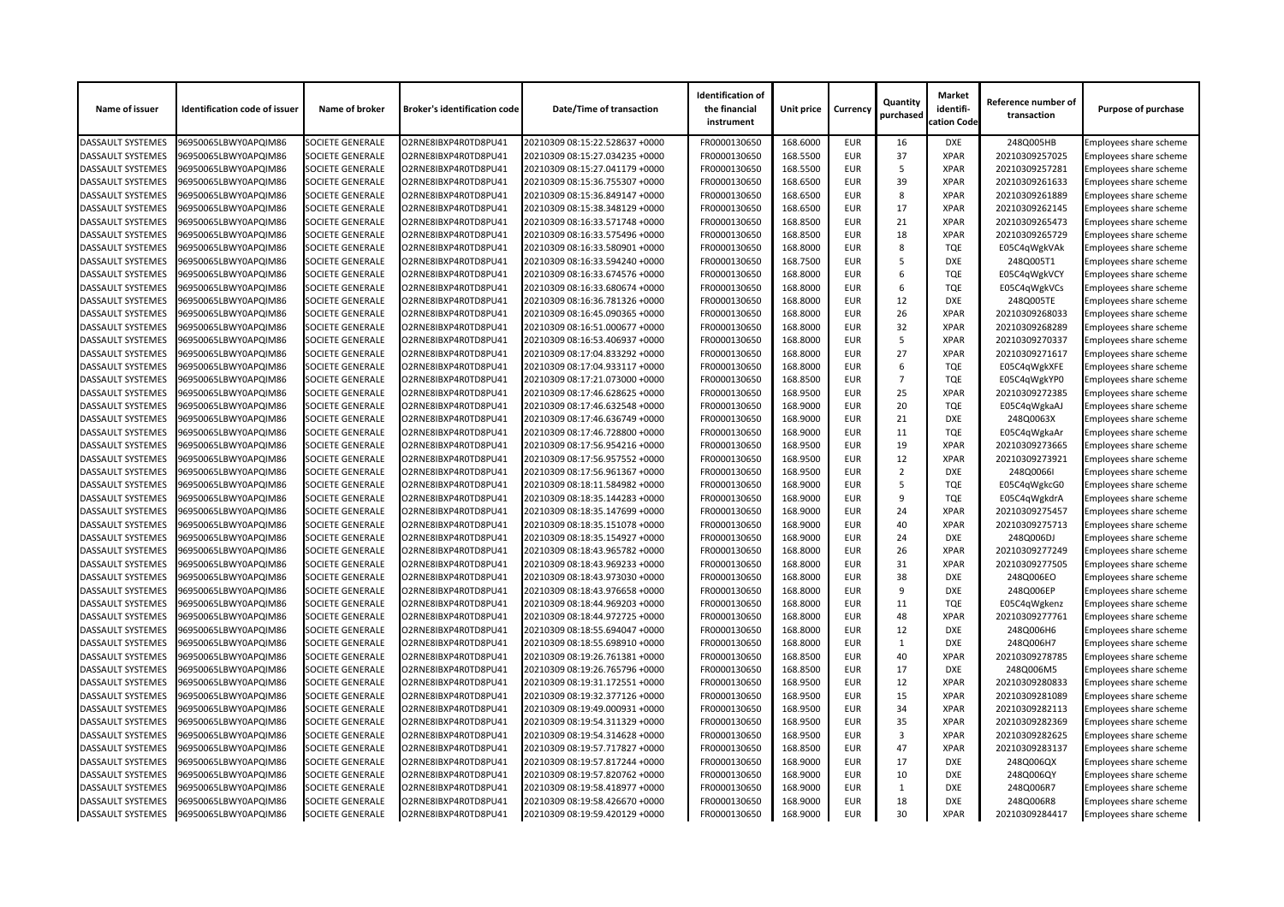| Name of issuer           | <b>Identification code of issuer</b> | Name of broker          | <b>Broker's identification code</b> | <b>Date/Time of transaction</b> | <b>Identification of</b><br>the financial<br>instrument | <b>Unit price</b> | <b>Currency</b> | Quantity<br>purchased | <b>Market</b><br>identifi-<br>cation Code | Reference number of<br>transaction | <b>Purpose of purchase</b>    |
|--------------------------|--------------------------------------|-------------------------|-------------------------------------|---------------------------------|---------------------------------------------------------|-------------------|-----------------|-----------------------|-------------------------------------------|------------------------------------|-------------------------------|
| <b>DASSAULT SYSTEMES</b> | 96950065LBWY0APQIM86                 | <b>SOCIETE GENERALE</b> | O2RNE8IBXP4R0TD8PU41                | 20210309 08:15:22.528637 +0000  | FR0000130650                                            | 168.6000          | <b>EUR</b>      | 16                    | <b>DXE</b>                                | 248Q005HB                          | Employees share scheme        |
| <b>DASSAULT SYSTEMES</b> | 96950065LBWY0APQIM86                 | <b>SOCIETE GENERALE</b> | O2RNE8IBXP4R0TD8PU41                | 20210309 08:15:27.034235 +0000  | FR0000130650                                            | 168.5500          | <b>EUR</b>      | 37                    | <b>XPAR</b>                               | 20210309257025                     | Employees share scheme        |
| <b>DASSAULT SYSTEMES</b> | 96950065LBWY0APQIM86                 | <b>SOCIETE GENERALE</b> | O2RNE8IBXP4R0TD8PU41                | 20210309 08:15:27.041179 +0000  | FR0000130650                                            | 168.5500          | <b>EUR</b>      | -5                    | <b>XPAR</b>                               | 20210309257281                     | Employees share scheme        |
| <b>DASSAULT SYSTEMES</b> | 96950065LBWY0APQIM86                 | <b>SOCIETE GENERALE</b> | O2RNE8IBXP4R0TD8PU41                | 20210309 08:15:36.755307 +0000  | FR0000130650                                            | 168.6500          | <b>EUR</b>      | 39                    | <b>XPAR</b>                               | 20210309261633                     | Employees share scheme        |
| <b>DASSAULT SYSTEMES</b> | 96950065LBWY0APQIM86                 | <b>SOCIETE GENERALE</b> | O2RNE8IBXP4R0TD8PU41                | 20210309 08:15:36.849147 +0000  | FR0000130650                                            | 168.6500          | <b>EUR</b>      | 8                     | <b>XPAR</b>                               | 20210309261889                     | <b>Employees share scheme</b> |
| <b>DASSAULT SYSTEMES</b> | 96950065LBWY0APQIM86                 | <b>SOCIETE GENERALE</b> | O2RNE8IBXP4R0TD8PU41                | 20210309 08:15:38.348129 +0000  | FR0000130650                                            | 168.6500          | <b>EUR</b>      | 17                    | <b>XPAR</b>                               | 20210309262145                     | Employees share scheme        |
| <b>DASSAULT SYSTEMES</b> | 96950065LBWY0APQIM86                 | <b>SOCIETE GENERALE</b> | O2RNE8IBXP4R0TD8PU41                | 20210309 08:16:33.571748 +0000  | FR0000130650                                            | 168.8500          | <b>EUR</b>      | 21                    | <b>XPAR</b>                               | 20210309265473                     | Employees share scheme        |
| <b>DASSAULT SYSTEMES</b> | 96950065LBWY0APQIM86                 | <b>SOCIETE GENERALE</b> | O2RNE8IBXP4R0TD8PU41                | 20210309 08:16:33.575496 +0000  | FR0000130650                                            | 168.8500          | <b>EUR</b>      | 18                    | <b>XPAR</b>                               | 20210309265729                     | Employees share scheme        |
| <b>DASSAULT SYSTEMES</b> | 96950065LBWY0APQIM86                 | <b>SOCIETE GENERALE</b> | O2RNE8IBXP4R0TD8PU41                | 20210309 08:16:33.580901 +0000  | FR0000130650                                            | 168.8000          | <b>EUR</b>      | 8                     | <b>TQE</b>                                | E05C4qWgkVAk                       | Employees share scheme        |
| <b>DASSAULT SYSTEMES</b> | 96950065LBWY0APQIM86                 | <b>SOCIETE GENERALE</b> | O2RNE8IBXP4R0TD8PU41                | 20210309 08:16:33.594240 +0000  | FR0000130650                                            | 168.7500          | <b>EUR</b>      |                       | <b>DXE</b>                                | 248Q005T1                          | Employees share scheme        |
| <b>DASSAULT SYSTEMES</b> | 96950065LBWY0APQIM86                 | <b>SOCIETE GENERALE</b> | O2RNE8IBXP4R0TD8PU41                | 20210309 08:16:33.674576 +0000  | FR0000130650                                            | 168.8000          | <b>EUR</b>      | 6                     | <b>TQE</b>                                | E05C4qWgkVCY                       | Employees share scheme        |
| <b>DASSAULT SYSTEMES</b> | 96950065LBWY0APQIM86                 | <b>SOCIETE GENERALE</b> | O2RNE8IBXP4R0TD8PU41                | 20210309 08:16:33.680674 +0000  | FR0000130650                                            | 168.8000          | <b>EUR</b>      | 6                     | <b>TQE</b>                                | E05C4qWgkVCs                       | Employees share scheme        |
| <b>DASSAULT SYSTEMES</b> | 96950065LBWY0APQIM86                 | <b>SOCIETE GENERALE</b> | O2RNE8IBXP4R0TD8PU41                | 20210309 08:16:36.781326 +0000  | FR0000130650                                            | 168.8000          | <b>EUR</b>      | 12                    | <b>DXE</b>                                | 248Q005TE                          | Employees share scheme        |
| <b>DASSAULT SYSTEMES</b> | 96950065LBWY0APQIM86                 | <b>SOCIETE GENERALE</b> | O2RNE8IBXP4R0TD8PU41                | 20210309 08:16:45.090365 +0000  | FR0000130650                                            | 168.8000          | <b>EUR</b>      | 26                    | <b>XPAR</b>                               | 20210309268033                     | Employees share scheme        |
| <b>DASSAULT SYSTEMES</b> | 96950065LBWY0APQIM86                 | <b>SOCIETE GENERALE</b> | O2RNE8IBXP4R0TD8PU41                | 20210309 08:16:51.000677 +0000  | FR0000130650                                            | 168.8000          | <b>EUR</b>      | 32                    | <b>XPAR</b>                               | 20210309268289                     | Employees share scheme        |
| <b>DASSAULT SYSTEMES</b> | 96950065LBWY0APQIM86                 | <b>SOCIETE GENERALE</b> | O2RNE8IBXP4R0TD8PU41                | 20210309 08:16:53.406937 +0000  | FR0000130650                                            | 168.8000          | <b>EUR</b>      | -5                    | <b>XPAR</b>                               | 20210309270337                     | Employees share scheme        |
| <b>DASSAULT SYSTEMES</b> | 96950065LBWY0APQIM86                 | <b>SOCIETE GENERALE</b> | O2RNE8IBXP4R0TD8PU41                | 20210309 08:17:04.833292 +0000  | FR0000130650                                            | 168.8000          | <b>EUR</b>      | 27                    | <b>XPAR</b>                               | 20210309271617                     | Employees share scheme        |
| <b>DASSAULT SYSTEMES</b> | 96950065LBWY0APQIM86                 | <b>SOCIETE GENERALE</b> | O2RNE8IBXP4R0TD8PU41                | 20210309 08:17:04.933117 +0000  | FR0000130650                                            | 168.8000          | <b>EUR</b>      | 6                     | <b>TQE</b>                                | E05C4qWgkXFE                       | Employees share scheme        |
| <b>DASSAULT SYSTEMES</b> | 96950065LBWY0APQIM86                 | <b>SOCIETE GENERALE</b> | O2RNE8IBXP4R0TD8PU41                | 20210309 08:17:21.073000 +0000  | FR0000130650                                            | 168.8500          | <b>EUR</b>      | $\overline{7}$        | <b>TQE</b>                                | E05C4qWgkYP0                       | Employees share scheme        |
| <b>DASSAULT SYSTEMES</b> | 96950065LBWY0APQIM86                 | <b>SOCIETE GENERALE</b> | O2RNE8IBXP4R0TD8PU41                | 20210309 08:17:46.628625 +0000  | FR0000130650                                            | 168.9500          | <b>EUR</b>      | 25                    | <b>XPAR</b>                               | 20210309272385                     | Employees share scheme        |
| <b>DASSAULT SYSTEMES</b> | 96950065LBWY0APQIM86                 | <b>SOCIETE GENERALE</b> | O2RNE8IBXP4R0TD8PU41                | 20210309 08:17:46.632548 +0000  | FR0000130650                                            | 168.9000          | <b>EUR</b>      | 20                    | <b>TQE</b>                                | E05C4qWgkaAJ                       | Employees share scheme        |
| <b>DASSAULT SYSTEMES</b> | 96950065LBWY0APQIM86                 | <b>SOCIETE GENERALE</b> | O2RNE8IBXP4R0TD8PU41                | 20210309 08:17:46.636749 +0000  | FR0000130650                                            | 168.9000          | <b>EUR</b>      | 21                    | <b>DXE</b>                                | 248Q0063X                          | Employees share scheme        |
| <b>DASSAULT SYSTEMES</b> | 96950065LBWY0APQIM86                 | <b>SOCIETE GENERALE</b> | O2RNE8IBXP4R0TD8PU41                | 20210309 08:17:46.728800 +0000  | FR0000130650                                            | 168.9000          | <b>EUR</b>      | 11                    | <b>TQE</b>                                |                                    | Employees share scheme        |
| <b>DASSAULT SYSTEMES</b> |                                      |                         |                                     |                                 | FR0000130650                                            |                   |                 |                       | <b>XPAR</b>                               | E05C4qWgkaAr                       |                               |
|                          | 96950065LBWY0APQIM86                 | <b>SOCIETE GENERALE</b> | O2RNE8IBXP4R0TD8PU41                | 20210309 08:17:56.954216 +0000  |                                                         | 168.9500          | <b>EUR</b>      | 19                    |                                           | 20210309273665                     | Employees share scheme        |
| <b>DASSAULT SYSTEMES</b> | 96950065LBWY0APQIM86                 | <b>SOCIETE GENERALE</b> | O2RNE8IBXP4R0TD8PU41                | 20210309 08:17:56.957552 +0000  | FR0000130650                                            | 168.9500          | <b>EUR</b>      | 12                    | <b>XPAR</b>                               | 20210309273921                     | Employees share scheme        |
| <b>DASSAULT SYSTEMES</b> | 96950065LBWY0APQIM86                 | <b>SOCIETE GENERALE</b> | O2RNE8IBXP4R0TD8PU41                | 20210309 08:17:56.961367 +0000  | FR0000130650                                            | 168.9500          | <b>EUR</b>      | $\overline{2}$        | <b>DXE</b>                                | 248Q0066I                          | Employees share scheme        |
| <b>DASSAULT SYSTEMES</b> | 96950065LBWY0APQIM86                 | <b>SOCIETE GENERALE</b> | O2RNE8IBXP4R0TD8PU41                | 20210309 08:18:11.584982 +0000  | FR0000130650                                            | 168.9000          | <b>EUR</b>      |                       | <b>TQE</b>                                | E05C4qWgkcG0                       | <b>Employees share scheme</b> |
| <b>DASSAULT SYSTEMES</b> | 96950065LBWY0APQIM86                 | <b>SOCIETE GENERALE</b> | O2RNE8IBXP4R0TD8PU41                | 20210309 08:18:35.144283 +0000  | FR0000130650                                            | 168.9000          | <b>EUR</b>      | 9                     | <b>TQE</b>                                | E05C4qWgkdrA                       | <b>Employees share scheme</b> |
| <b>DASSAULT SYSTEMES</b> | 96950065LBWY0APQIM86                 | <b>SOCIETE GENERALE</b> | O2RNE8IBXP4R0TD8PU41                | 20210309 08:18:35.147699 +0000  | FR0000130650                                            | 168.9000          | <b>EUR</b>      | 24                    | <b>XPAR</b>                               | 20210309275457                     | <b>Employees share scheme</b> |
| <b>DASSAULT SYSTEMES</b> | 96950065LBWY0APQIM86                 | <b>SOCIETE GENERALE</b> | O2RNE8IBXP4R0TD8PU41                | 20210309 08:18:35.151078 +0000  | FR0000130650                                            | 168.9000          | <b>EUR</b>      | 40                    | <b>XPAR</b>                               | 20210309275713                     | <b>Employees share scheme</b> |
| <b>DASSAULT SYSTEMES</b> | 96950065LBWY0APQIM86                 | <b>SOCIETE GENERALE</b> | O2RNE8IBXP4R0TD8PU41                | 20210309 08:18:35.154927 +0000  | FR0000130650                                            | 168.9000          | <b>EUR</b>      | 24                    | <b>DXE</b>                                | 248Q006DJ                          | Employees share scheme        |
| <b>DASSAULT SYSTEMES</b> | 96950065LBWY0APQIM86                 | <b>SOCIETE GENERALE</b> | O2RNE8IBXP4R0TD8PU41                | 20210309 08:18:43.965782 +0000  | FR0000130650                                            | 168.8000          | <b>EUR</b>      | 26                    | <b>XPAR</b>                               | 20210309277249                     | <b>Employees share scheme</b> |
| <b>DASSAULT SYSTEMES</b> | 96950065LBWY0APQIM86                 | <b>SOCIETE GENERALE</b> | O2RNE8IBXP4R0TD8PU41                | 20210309 08:18:43.969233 +0000  | FR0000130650                                            | 168.8000          | <b>EUR</b>      | 31                    | <b>XPAR</b>                               | 20210309277505                     | Employees share scheme        |
| <b>DASSAULT SYSTEMES</b> | 96950065LBWY0APQIM86                 | <b>SOCIETE GENERALE</b> | O2RNE8IBXP4R0TD8PU41                | 20210309 08:18:43.973030 +0000  | FR0000130650                                            | 168.8000          | <b>EUR</b>      | 38                    | <b>DXE</b>                                | 248Q006EO                          | Employees share scheme        |
| <b>DASSAULT SYSTEMES</b> | 96950065LBWY0APQIM86                 | <b>SOCIETE GENERALE</b> | O2RNE8IBXP4R0TD8PU41                | 20210309 08:18:43.976658 +0000  | FR0000130650                                            | 168.8000          | <b>EUR</b>      | -9                    | <b>DXE</b>                                | 248Q006EP                          | Employees share scheme        |
| <b>DASSAULT SYSTEMES</b> | 96950065LBWY0APQIM86                 | <b>SOCIETE GENERALE</b> | O2RNE8IBXP4R0TD8PU41                | 20210309 08:18:44.969203 +0000  | FR0000130650                                            | 168.8000          | <b>EUR</b>      | 11                    | <b>TQE</b>                                | E05C4qWgkenz                       | Employees share scheme        |
| <b>DASSAULT SYSTEMES</b> | 96950065LBWY0APQIM86                 | <b>SOCIETE GENERALE</b> | O2RNE8IBXP4R0TD8PU41                | 20210309 08:18:44.972725 +0000  | FR0000130650                                            | 168.8000          | <b>EUR</b>      | 48                    | <b>XPAR</b>                               | 20210309277761                     | Employees share scheme        |
| <b>DASSAULT SYSTEMES</b> | 96950065LBWY0APQIM86                 | <b>SOCIETE GENERALE</b> | O2RNE8IBXP4R0TD8PU41                | 20210309 08:18:55.694047 +0000  | FR0000130650                                            | 168.8000          | <b>EUR</b>      | 12                    | <b>DXE</b>                                | 248Q006H6                          | Employees share scheme        |
| <b>DASSAULT SYSTEMES</b> | 96950065LBWY0APQIM86                 | <b>SOCIETE GENERALE</b> | O2RNE8IBXP4R0TD8PU41                | 20210309 08:18:55.698910 +0000  | FR0000130650                                            | 168.8000          | <b>EUR</b>      |                       | DXE                                       | 248Q006H7                          | Employees share scheme        |
| <b>DASSAULT SYSTEMES</b> | 96950065LBWY0APQIM86                 | <b>SOCIETE GENERALE</b> | O2RNE8IBXP4R0TD8PU41                | 20210309 08:19:26.761381 +0000  | FR0000130650                                            | 168.8500          | <b>EUR</b>      | 40                    | <b>XPAR</b>                               | 20210309278785                     | <b>Employees share scheme</b> |
| <b>DASSAULT SYSTEMES</b> | 96950065LBWY0APQIM86                 | <b>SOCIETE GENERALE</b> | O2RNE8IBXP4R0TD8PU41                | 20210309 08:19:26.765796 +0000  | FR0000130650                                            | 168.8500          | <b>EUR</b>      | 17                    | <b>DXE</b>                                | 248Q006M5                          | Employees share scheme        |
| <b>DASSAULT SYSTEMES</b> | 96950065LBWY0APQIM86                 | <b>SOCIETE GENERALE</b> | O2RNE8IBXP4R0TD8PU41                | 20210309 08:19:31.172551 +0000  | FR0000130650                                            | 168.9500          | <b>EUR</b>      | 12                    | <b>XPAR</b>                               | 20210309280833                     | Employees share scheme        |
| <b>DASSAULT SYSTEMES</b> | 96950065LBWY0APQIM86                 | <b>SOCIETE GENERALE</b> | O2RNE8IBXP4R0TD8PU41                | 20210309 08:19:32.377126 +0000  | FR0000130650                                            | 168.9500          | <b>EUR</b>      | 15                    | <b>XPAR</b>                               | 20210309281089                     | Employees share scheme        |
| <b>DASSAULT SYSTEMES</b> | 96950065LBWY0APQIM86                 | <b>SOCIETE GENERALE</b> | O2RNE8IBXP4R0TD8PU41                | 20210309 08:19:49.000931 +0000  | FR0000130650                                            | 168.9500          | <b>EUR</b>      | 34                    | <b>XPAR</b>                               | 20210309282113                     | Employees share scheme        |
| <b>DASSAULT SYSTEMES</b> | 96950065LBWY0APQIM86                 | <b>SOCIETE GENERALE</b> | O2RNE8IBXP4R0TD8PU41                | 20210309 08:19:54.311329 +0000  | FR0000130650                                            | 168.9500          | <b>EUR</b>      | 35                    | <b>XPAR</b>                               | 20210309282369                     | Employees share scheme        |
| <b>DASSAULT SYSTEMES</b> | 96950065LBWY0APQIM86                 | <b>SOCIETE GENERALE</b> | O2RNE8IBXP4R0TD8PU41                | 20210309 08:19:54.314628 +0000  | FR0000130650                                            | 168.9500          | <b>EUR</b>      | 3                     | <b>XPAR</b>                               | 20210309282625                     | Employees share scheme        |
| <b>DASSAULT SYSTEMES</b> | 96950065LBWY0APQIM86                 | <b>SOCIETE GENERALE</b> | O2RNE8IBXP4R0TD8PU41                | 20210309 08:19:57.717827 +0000  | FR0000130650                                            | 168.8500          | <b>EUR</b>      | 47                    | <b>XPAR</b>                               | 20210309283137                     | Employees share scheme        |
| <b>DASSAULT SYSTEMES</b> | 96950065LBWY0APQIM86                 | <b>SOCIETE GENERALE</b> | O2RNE8IBXP4R0TD8PU41                | 20210309 08:19:57.817244 +0000  | FR0000130650                                            | 168.9000          | <b>EUR</b>      | 17                    | <b>DXE</b>                                | 248Q006QX                          | Employees share scheme        |
| <b>DASSAULT SYSTEMES</b> | 96950065LBWY0APQIM86                 | <b>SOCIETE GENERALE</b> | O2RNE8IBXP4R0TD8PU41                | 20210309 08:19:57.820762 +0000  | FR0000130650                                            | 168.9000          | <b>EUR</b>      | 10                    | <b>DXE</b>                                | 248Q006QY                          | Employees share scheme        |
| <b>DASSAULT SYSTEMES</b> | 96950065LBWY0APQIM86                 | <b>SOCIETE GENERALE</b> | O2RNE8IBXP4R0TD8PU41                | 20210309 08:19:58.418977 +0000  | FR0000130650                                            | 168.9000          | <b>EUR</b>      |                       | <b>DXE</b>                                | 248Q006R7                          | <b>Employees share scheme</b> |
| <b>DASSAULT SYSTEMES</b> | 96950065LBWY0APQIM86                 | <b>SOCIETE GENERALE</b> | O2RNE8IBXP4R0TD8PU41                | 20210309 08:19:58.426670 +0000  | FR0000130650                                            | 168.9000          | <b>EUR</b>      | 18                    | <b>DXE</b>                                | 248Q006R8                          | Employees share scheme        |
| <b>DASSAULT SYSTEMES</b> | 96950065LBWY0APQIM86                 | <b>SOCIETE GENERALE</b> | O2RNE8IBXP4R0TD8PU41                | 20210309 08:19:59.420129 +0000  | FR0000130650                                            | 168.9000          | EUR             | 30                    | <b>XPAR</b>                               | 20210309284417                     | Employees share scheme        |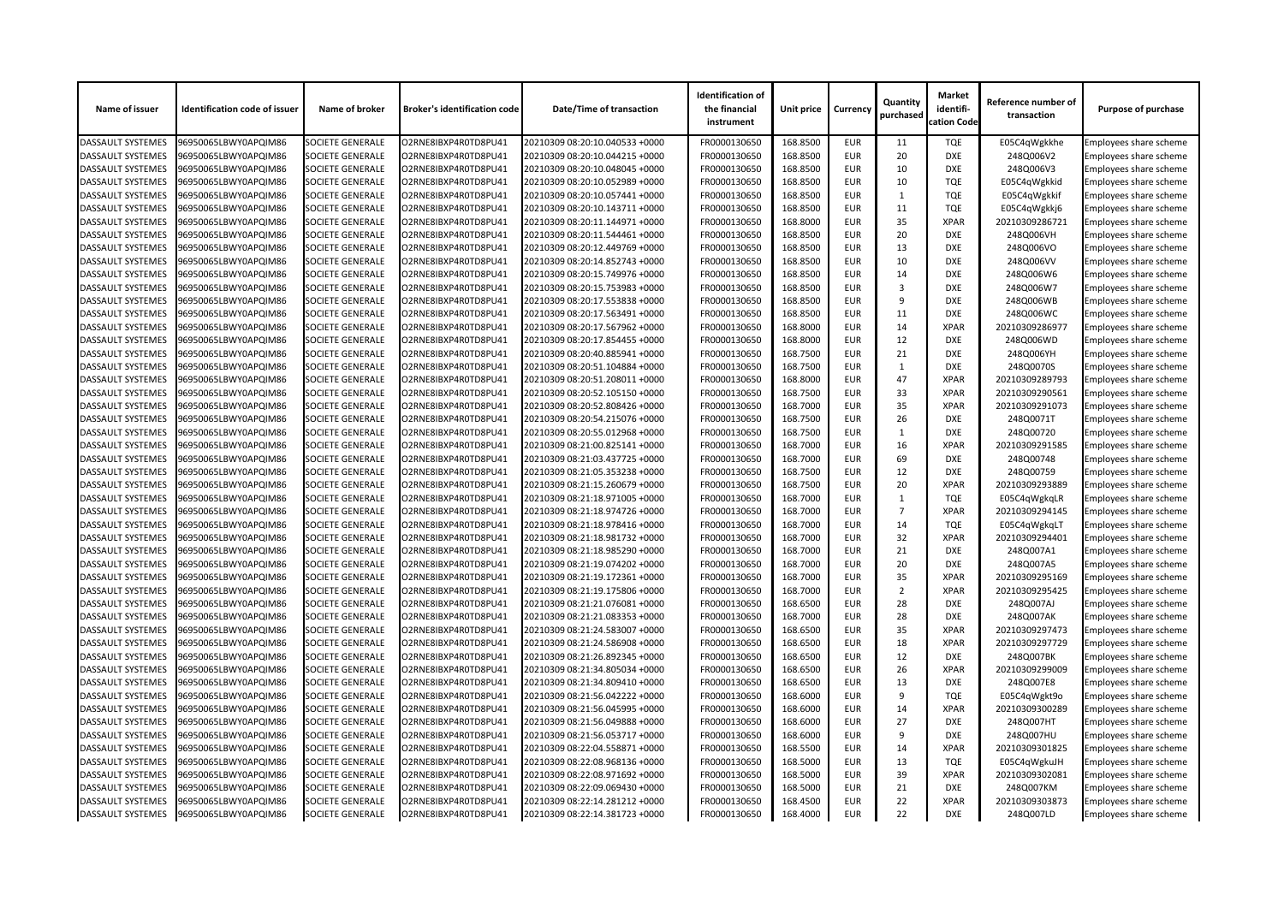| Name of issuer           | <b>Identification code of issuer</b> | Name of broker          | <b>Broker's identification code</b> | <b>Date/Time of transaction</b> | <b>Identification of</b><br>the financial<br>instrument | Unit price | <b>Currency</b> | Quantity<br>purchased | <b>Market</b><br>identifi-<br>cation Code | Reference number of<br>transaction | <b>Purpose of purchase</b> |
|--------------------------|--------------------------------------|-------------------------|-------------------------------------|---------------------------------|---------------------------------------------------------|------------|-----------------|-----------------------|-------------------------------------------|------------------------------------|----------------------------|
| <b>DASSAULT SYSTEMES</b> | 96950065LBWY0APQIM86                 | <b>SOCIETE GENERALE</b> | O2RNE8IBXP4R0TD8PU41                | 20210309 08:20:10.040533 +0000  | FR0000130650                                            | 168.8500   | <b>EUR</b>      | 11                    | <b>TQE</b>                                | E05C4qWgkkhe                       | Employees share scheme     |
| <b>DASSAULT SYSTEMES</b> | 96950065LBWY0APQIM86                 | <b>SOCIETE GENERALE</b> | O2RNE8IBXP4R0TD8PU41                | 20210309 08:20:10.044215 +0000  | FR0000130650                                            | 168.8500   | <b>EUR</b>      | 20                    | <b>DXE</b>                                | 248Q006V2                          | Employees share scheme     |
| <b>DASSAULT SYSTEMES</b> | 96950065LBWY0APQIM86                 | <b>SOCIETE GENERALE</b> | O2RNE8IBXP4R0TD8PU41                | 20210309 08:20:10.048045 +0000  | FR0000130650                                            | 168.8500   | <b>EUR</b>      | 10                    | <b>DXE</b>                                | 248Q006V3                          | Employees share scheme     |
| <b>DASSAULT SYSTEMES</b> | 96950065LBWY0APQIM86                 | <b>SOCIETE GENERALE</b> | O2RNE8IBXP4R0TD8PU41                | 20210309 08:20:10.052989 +0000  | FR0000130650                                            | 168.8500   | <b>EUR</b>      | 10                    | <b>TQE</b>                                | E05C4qWgkkid                       | Employees share scheme     |
| <b>DASSAULT SYSTEMES</b> | 96950065LBWY0APQIM86                 | <b>SOCIETE GENERALE</b> | O2RNE8IBXP4R0TD8PU41                | 20210309 08:20:10.057441 +0000  | FR0000130650                                            | 168.8500   | <b>EUR</b>      | $\mathbf{1}$          | <b>TQE</b>                                | E05C4qWgkkif                       | Employees share scheme     |
| <b>DASSAULT SYSTEMES</b> | 96950065LBWY0APQIM86                 | <b>SOCIETE GENERALE</b> | O2RNE8IBXP4R0TD8PU41                | 20210309 08:20:10.143711 +0000  | FR0000130650                                            | 168.8500   | <b>EUR</b>      | 11                    | <b>TQE</b>                                | E05C4qWgkkj6                       | Employees share scheme     |
| DASSAULT SYSTEMES        | 96950065LBWY0APQIM86                 | <b>SOCIETE GENERALE</b> | O2RNE8IBXP4R0TD8PU41                | 20210309 08:20:11.144971 +0000  | FR0000130650                                            | 168.8000   | <b>EUR</b>      | 35                    | <b>XPAR</b>                               | 20210309286721                     | Employees share scheme     |
| <b>DASSAULT SYSTEMES</b> | 96950065LBWY0APQIM86                 | <b>SOCIETE GENERALE</b> | O2RNE8IBXP4R0TD8PU41                | 20210309 08:20:11.544461 +0000  | FR0000130650                                            | 168.8500   | <b>EUR</b>      | 20                    | <b>DXE</b>                                | 248Q006VH                          | Employees share scheme     |
| <b>DASSAULT SYSTEMES</b> | 96950065LBWY0APQIM86                 | <b>SOCIETE GENERALE</b> | O2RNE8IBXP4R0TD8PU41                | 20210309 08:20:12.449769 +0000  | FR0000130650                                            | 168.8500   | <b>EUR</b>      | 13                    | <b>DXE</b>                                | 248Q006VO                          | Employees share scheme     |
| <b>DASSAULT SYSTEMES</b> | 96950065LBWY0APQIM86                 | <b>SOCIETE GENERALE</b> | O2RNE8IBXP4R0TD8PU41                | 20210309 08:20:14.852743 +0000  | FR0000130650                                            | 168.8500   | <b>EUR</b>      | 10                    | <b>DXE</b>                                | 248Q006VV                          | Employees share scheme     |
| <b>DASSAULT SYSTEMES</b> | 96950065LBWY0APQIM86                 | <b>SOCIETE GENERALE</b> | O2RNE8IBXP4R0TD8PU41                | 20210309 08:20:15.749976 +0000  | FR0000130650                                            | 168.8500   | <b>EUR</b>      | 14                    | <b>DXE</b>                                | 248Q006W6                          | Employees share scheme     |
| <b>DASSAULT SYSTEMES</b> | 96950065LBWY0APQIM86                 | <b>SOCIETE GENERALE</b> | O2RNE8IBXP4R0TD8PU41                | 20210309 08:20:15.753983 +0000  | FR0000130650                                            | 168.8500   | <b>EUR</b>      | 3                     | <b>DXE</b>                                | 248Q006W7                          | Employees share scheme     |
| <b>DASSAULT SYSTEMES</b> | 96950065LBWY0APQIM86                 | <b>SOCIETE GENERALE</b> | O2RNE8IBXP4R0TD8PU41                | 20210309 08:20:17.553838 +0000  | FR0000130650                                            | 168.8500   | <b>EUR</b>      | q                     | <b>DXE</b>                                | 248Q006WB                          | Employees share scheme     |
| <b>DASSAULT SYSTEMES</b> | 96950065LBWY0APQIM86                 | <b>SOCIETE GENERALE</b> | O2RNE8IBXP4R0TD8PU41                | 20210309 08:20:17.563491 +0000  | FR0000130650                                            | 168.8500   | <b>EUR</b>      | 11                    | <b>DXE</b>                                | 248Q006WC                          | Employees share scheme     |
| <b>DASSAULT SYSTEMES</b> | 96950065LBWY0APQIM86                 | <b>SOCIETE GENERALE</b> | O2RNE8IBXP4R0TD8PU41                | 20210309 08:20:17.567962 +0000  | FR0000130650                                            | 168.8000   | <b>EUR</b>      | 14                    | <b>XPAR</b>                               | 20210309286977                     | Employees share scheme     |
| <b>DASSAULT SYSTEMES</b> | 96950065LBWY0APQIM86                 | <b>SOCIETE GENERALE</b> | O2RNE8IBXP4R0TD8PU41                | 20210309 08:20:17.854455 +0000  | FR0000130650                                            | 168.8000   | <b>EUR</b>      | 12                    | <b>DXE</b>                                | 248Q006WD                          | Employees share scheme     |
| DASSAULT SYSTEMES        | 96950065LBWY0APQIM86                 | <b>SOCIETE GENERALE</b> | O2RNE8IBXP4R0TD8PU41                | 20210309 08:20:40.885941 +0000  | FR0000130650                                            | 168.7500   | <b>EUR</b>      | 21                    | <b>DXE</b>                                | 248Q006YH                          | Employees share scheme     |
| <b>DASSAULT SYSTEMES</b> | 96950065LBWY0APQIM86                 | <b>SOCIETE GENERALE</b> | O2RNE8IBXP4R0TD8PU41                | 20210309 08:20:51.104884 +0000  | FR0000130650                                            | 168.7500   | <b>EUR</b>      |                       | <b>DXE</b>                                | 248Q0070S                          | Employees share scheme     |
| <b>DASSAULT SYSTEMES</b> | 96950065LBWY0APQIM86                 | <b>SOCIETE GENERALE</b> | O2RNE8IBXP4R0TD8PU41                | 20210309 08:20:51.208011 +0000  | FR0000130650                                            | 168.8000   | <b>EUR</b>      | 47                    | <b>XPAR</b>                               | 20210309289793                     | Employees share scheme     |
| <b>DASSAULT SYSTEMES</b> | 96950065LBWY0APQIM86                 | <b>SOCIETE GENERALE</b> | O2RNE8IBXP4R0TD8PU41                | 20210309 08:20:52.105150 +0000  | FR0000130650                                            | 168.7500   | <b>EUR</b>      | 33                    | <b>XPAR</b>                               | 20210309290561                     |                            |
|                          |                                      |                         |                                     |                                 |                                                         | 168.7000   | <b>EUR</b>      | 35                    | <b>XPAR</b>                               |                                    | Employees share scheme     |
| <b>DASSAULT SYSTEMES</b> | 96950065LBWY0APQIM86                 | <b>SOCIETE GENERALE</b> | O2RNE8IBXP4R0TD8PU41                | 20210309 08:20:52.808426 +0000  | FR0000130650                                            |            |                 |                       |                                           | 20210309291073                     | Employees share scheme     |
| DASSAULT SYSTEMES        | 96950065LBWY0APQIM86                 | <b>SOCIETE GENERALE</b> | O2RNE8IBXP4R0TD8PU41                | 20210309 08:20:54.215076 +0000  | FR0000130650                                            | 168.7500   | <b>EUR</b>      | 26                    | <b>DXE</b>                                | 248Q0071T                          | Employees share scheme     |
| <b>DASSAULT SYSTEMES</b> | 96950065LBWY0APQIM86                 | <b>SOCIETE GENERALE</b> | O2RNE8IBXP4R0TD8PU41                | 20210309 08:20:55.012968 +0000  | FR0000130650                                            | 168.7500   | <b>EUR</b>      |                       | <b>DXE</b>                                | 248Q00720                          | Employees share scheme     |
| <b>DASSAULT SYSTEMES</b> | 96950065LBWY0APQIM86                 | <b>SOCIETE GENERALE</b> | O2RNE8IBXP4R0TD8PU41                | 20210309 08:21:00.825141 +0000  | FR0000130650                                            | 168.7000   | <b>EUR</b>      | 16                    | <b>XPAR</b>                               | 20210309291585                     | Employees share scheme     |
| <b>DASSAULT SYSTEMES</b> | 96950065LBWY0APQIM86                 | <b>SOCIETE GENERALE</b> | O2RNE8IBXP4R0TD8PU41                | 20210309 08:21:03.437725 +0000  | FR0000130650                                            | 168.7000   | <b>EUR</b>      | 69                    | <b>DXE</b>                                | 248Q00748                          | Employees share scheme     |
| <b>DASSAULT SYSTEMES</b> | 96950065LBWY0APQIM86                 | <b>SOCIETE GENERALE</b> | O2RNE8IBXP4R0TD8PU41                | 20210309 08:21:05.353238 +0000  | FR0000130650                                            | 168.7500   | <b>EUR</b>      | 12                    | <b>DXE</b>                                | 248Q00759                          | Employees share scheme     |
| DASSAULT SYSTEMES        | 96950065LBWY0APQIM86                 | <b>SOCIETE GENERALE</b> | O2RNE8IBXP4R0TD8PU41                | 20210309 08:21:15.260679 +0000  | FR0000130650                                            | 168.7500   | <b>EUR</b>      | 20                    | <b>XPAR</b>                               | 20210309293889                     | Employees share scheme     |
| <b>DASSAULT SYSTEMES</b> | 96950065LBWY0APQIM86                 | <b>SOCIETE GENERALE</b> | O2RNE8IBXP4R0TD8PU41                | 20210309 08:21:18.971005 +0000  | FR0000130650                                            | 168.7000   | <b>EUR</b>      |                       | <b>TQE</b>                                | E05C4qWgkqLR                       | Employees share scheme     |
| DASSAULT SYSTEMES        | 96950065LBWY0APQIM86                 | <b>SOCIETE GENERALE</b> | O2RNE8IBXP4R0TD8PU41                | 20210309 08:21:18.974726 +0000  | FR0000130650                                            | 168.7000   | <b>EUR</b>      | 7                     | <b>XPAR</b>                               | 20210309294145                     | Employees share scheme     |
| <b>DASSAULT SYSTEMES</b> | 96950065LBWY0APQIM86                 | <b>SOCIETE GENERALE</b> | O2RNE8IBXP4R0TD8PU41                | 20210309 08:21:18.978416 +0000  | FR0000130650                                            | 168.7000   | <b>EUR</b>      | 14                    | <b>TQE</b>                                | E05C4qWgkqLT                       | Employees share scheme     |
| <b>DASSAULT SYSTEMES</b> | 96950065LBWY0APQIM86                 | <b>SOCIETE GENERALE</b> | O2RNE8IBXP4R0TD8PU41                | 20210309 08:21:18.981732 +0000  | FR0000130650                                            | 168.7000   | <b>EUR</b>      | 32                    | <b>XPAR</b>                               | 20210309294401                     | Employees share scheme     |
| <b>DASSAULT SYSTEMES</b> | 96950065LBWY0APQIM86                 | <b>SOCIETE GENERALE</b> | O2RNE8IBXP4R0TD8PU41                | 20210309 08:21:18.985290 +0000  | FR0000130650                                            | 168.7000   | <b>EUR</b>      | 21                    | <b>DXE</b>                                | 248Q007A1                          | Employees share scheme     |
| <b>DASSAULT SYSTEMES</b> | 96950065LBWY0APQIM86                 | <b>SOCIETE GENERALE</b> | O2RNE8IBXP4R0TD8PU41                | 20210309 08:21:19.074202 +0000  | FR0000130650                                            | 168.7000   | <b>EUR</b>      | 20                    | <b>DXE</b>                                | 248Q007A5                          | Employees share scheme     |
| <b>DASSAULT SYSTEMES</b> | 96950065LBWY0APQIM86                 | <b>SOCIETE GENERALE</b> | O2RNE8IBXP4R0TD8PU41                | 20210309 08:21:19.172361 +0000  | FR0000130650                                            | 168.7000   | <b>EUR</b>      | 35                    | <b>XPAR</b>                               | 20210309295169                     | Employees share scheme     |
| <b>DASSAULT SYSTEMES</b> | 96950065LBWY0APQIM86                 | <b>SOCIETE GENERALE</b> | O2RNE8IBXP4R0TD8PU41                | 20210309 08:21:19.175806 +0000  | FR0000130650                                            | 168.7000   | <b>EUR</b>      | 2                     | <b>XPAR</b>                               | 20210309295425                     | Employees share scheme     |
| <b>DASSAULT SYSTEMES</b> | 96950065LBWY0APQIM86                 | <b>SOCIETE GENERALE</b> | O2RNE8IBXP4R0TD8PU41                | 20210309 08:21:21.076081 +0000  | FR0000130650                                            | 168.6500   | <b>EUR</b>      | 28                    | <b>DXE</b>                                | 248Q007AJ                          | Employees share scheme     |
| <b>DASSAULT SYSTEMES</b> | 96950065LBWY0APQIM86                 | <b>SOCIETE GENERALE</b> | O2RNE8IBXP4R0TD8PU41                | 20210309 08:21:21.083353 +0000  | FR0000130650                                            | 168.7000   | <b>EUR</b>      | 28                    | <b>DXE</b>                                | 248Q007AK                          | Employees share scheme     |
| <b>DASSAULT SYSTEMES</b> | 96950065LBWY0APQIM86                 | <b>SOCIETE GENERALE</b> | O2RNE8IBXP4R0TD8PU41                | 20210309 08:21:24.583007 +0000  | FR0000130650                                            | 168.6500   | <b>EUR</b>      | 35                    | <b>XPAR</b>                               | 20210309297473                     | Employees share scheme     |
| <b>DASSAULT SYSTEMES</b> | 96950065LBWY0APQIM86                 | <b>SOCIETE GENERALE</b> | O2RNE8IBXP4R0TD8PU41                | 20210309 08:21:24.586908 +0000  | FR0000130650                                            | 168.6500   | <b>EUR</b>      | 18                    | <b>XPAR</b>                               | 20210309297729                     | Employees share scheme     |
| <b>DASSAULT SYSTEMES</b> | 96950065LBWY0APQIM86                 | <b>SOCIETE GENERALE</b> | O2RNE8IBXP4R0TD8PU41                | 20210309 08:21:26.892345 +0000  | FR0000130650                                            | 168.6500   | <b>EUR</b>      | 12                    | <b>DXE</b>                                | 248Q007BK                          | Employees share scheme     |
| <b>DASSAULT SYSTEMES</b> | 96950065LBWY0APQIM86                 | <b>SOCIETE GENERALE</b> | O2RNE8IBXP4R0TD8PU41                | 20210309 08:21:34.805034 +0000  | FR0000130650                                            | 168.6500   | <b>EUR</b>      | 26                    | <b>XPAR</b>                               | 20210309299009                     | Employees share scheme     |
| DASSAULT SYSTEMES        | 96950065LBWY0APQIM86                 | <b>SOCIETE GENERALE</b> | O2RNE8IBXP4R0TD8PU41                | 20210309 08:21:34.809410 +0000  | FR0000130650                                            | 168.6500   | <b>EUR</b>      | 13                    | <b>DXE</b>                                | 248Q007E8                          | Employees share scheme     |
| <b>DASSAULT SYSTEMES</b> | 96950065LBWY0APQIM86                 | <b>SOCIETE GENERALE</b> | O2RNE8IBXP4R0TD8PU41                | 20210309 08:21:56.042222 +0000  | FR0000130650                                            | 168.6000   | <b>EUR</b>      | 9                     | <b>TQE</b>                                | E05C4qWgkt9o                       | Employees share scheme     |
| <b>DASSAULT SYSTEMES</b> | 96950065LBWY0APQIM86                 | <b>SOCIETE GENERALE</b> | O2RNE8IBXP4R0TD8PU41                | 20210309 08:21:56.045995 +0000  | FR0000130650                                            | 168.6000   | <b>EUR</b>      | 14                    | <b>XPAR</b>                               | 20210309300289                     | Employees share scheme     |
| <b>DASSAULT SYSTEMES</b> | 96950065LBWY0APQIM86                 | <b>SOCIETE GENERALE</b> | O2RNE8IBXP4R0TD8PU41                | 20210309 08:21:56.049888 +0000  | FR0000130650                                            | 168.6000   | <b>EUR</b>      | 27                    | <b>DXE</b>                                | 248Q007HT                          | Employees share scheme     |
| <b>DASSAULT SYSTEMES</b> | 96950065LBWY0APQIM86                 | <b>SOCIETE GENERALE</b> | O2RNE8IBXP4R0TD8PU41                | 20210309 08:21:56.053717 +0000  | FR0000130650                                            | 168.6000   | <b>EUR</b>      | 9                     | <b>DXE</b>                                | 248Q007HU                          | Employees share scheme     |
| <b>DASSAULT SYSTEMES</b> | 96950065LBWY0APQIM86                 | <b>SOCIETE GENERALE</b> | O2RNE8IBXP4R0TD8PU41                | 20210309 08:22:04.558871 +0000  | FR0000130650                                            | 168.5500   | <b>EUR</b>      | 14                    | <b>XPAR</b>                               | 20210309301825                     | Employees share scheme     |
| <b>DASSAULT SYSTEMES</b> | 96950065LBWY0APQIM86                 | <b>SOCIETE GENERALE</b> | O2RNE8IBXP4R0TD8PU41                | 20210309 08:22:08.968136 +0000  | FR0000130650                                            | 168.5000   | <b>EUR</b>      | 13                    | <b>TQE</b>                                | E05C4qWgkuJH                       | Employees share scheme     |
| <b>DASSAULT SYSTEMES</b> | 96950065LBWY0APQIM86                 | <b>SOCIETE GENERALE</b> | O2RNE8IBXP4R0TD8PU41                | 20210309 08:22:08.971692 +0000  | FR0000130650                                            | 168.5000   | <b>EUR</b>      | 39                    | <b>XPAR</b>                               | 20210309302081                     | Employees share scheme     |
| <b>DASSAULT SYSTEMES</b> | 96950065LBWY0APQIM86                 | <b>SOCIETE GENERALE</b> | O2RNE8IBXP4R0TD8PU41                | 20210309 08:22:09.069430 +0000  | FR0000130650                                            | 168.5000   | <b>EUR</b>      | 21                    | <b>DXE</b>                                | 248Q007KM                          | Employees share scheme     |
| <b>DASSAULT SYSTEMES</b> | 96950065LBWY0APQIM86                 | <b>SOCIETE GENERALE</b> | O2RNE8IBXP4R0TD8PU41                | 20210309 08:22:14.281212 +0000  | FR0000130650                                            | 168.4500   | <b>EUR</b>      | 22                    | <b>XPAR</b>                               | 20210309303873                     | Employees share scheme     |
| <b>DASSAULT SYSTEMES</b> | 96950065LBWY0APQIM86                 | <b>SOCIETE GENERALE</b> | O2RNE8IBXP4R0TD8PU41                | 20210309 08:22:14.381723 +0000  | FR0000130650                                            | 168.4000   | EUR             | 22                    | <b>DXE</b>                                | 248Q007LD                          | Employees share scheme     |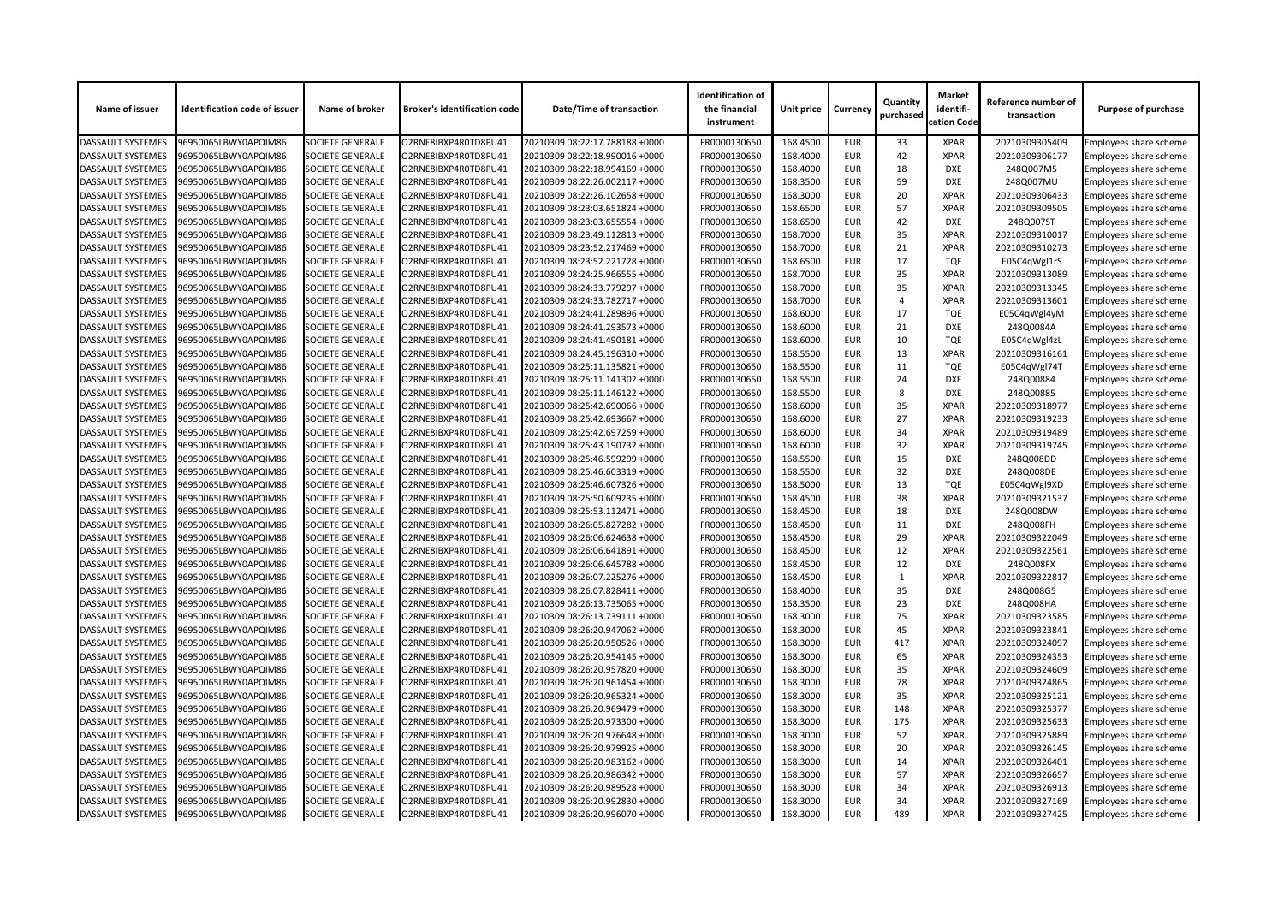| Name of issuer           | <b>Identification code of issuer</b> | Name of broker          | <b>Broker's identification code</b> | <b>Date/Time of transaction</b> | <b>Identification of</b><br>the financial<br>instrument | Unit price | <b>Currency</b> | Quantity<br>purchased | <b>Market</b><br>identifi-<br>cation Code | Reference number of<br>transaction | <b>Purpose of purchase</b>    |
|--------------------------|--------------------------------------|-------------------------|-------------------------------------|---------------------------------|---------------------------------------------------------|------------|-----------------|-----------------------|-------------------------------------------|------------------------------------|-------------------------------|
| <b>DASSAULT SYSTEMES</b> | 96950065LBWY0APQIM86                 | <b>SOCIETE GENERALE</b> | O2RNE8IBXP4R0TD8PU41                | 20210309 08:22:17.788188 +0000  | FR0000130650                                            | 168.4500   | <b>EUR</b>      | 33                    | <b>XPAR</b>                               | 20210309305409                     | Employees share scheme        |
| <b>DASSAULT SYSTEMES</b> | 96950065LBWY0APQIM86                 | <b>SOCIETE GENERALE</b> | O2RNE8IBXP4R0TD8PU41                | 20210309 08:22:18.990016 +0000  | FR0000130650                                            | 168.4000   | <b>EUR</b>      | 42                    | <b>XPAR</b>                               | 20210309306177                     | Employees share scheme        |
| <b>DASSAULT SYSTEMES</b> | 96950065LBWY0APQIM86                 | <b>SOCIETE GENERALE</b> | O2RNE8IBXP4R0TD8PU41                | 20210309 08:22:18.994169 +0000  | FR0000130650                                            | 168.4000   | <b>EUR</b>      | 18                    | <b>DXE</b>                                | 248Q007M5                          | Employees share scheme        |
| <b>DASSAULT SYSTEMES</b> | 96950065LBWY0APQIM86                 | <b>SOCIETE GENERALE</b> | O2RNE8IBXP4R0TD8PU41                | 20210309 08:22:26.002117 +0000  | FR0000130650                                            | 168.3500   | <b>EUR</b>      | 59                    | <b>DXE</b>                                | 248Q007MU                          | <b>Employees share scheme</b> |
| <b>DASSAULT SYSTEMES</b> | 96950065LBWY0APQIM86                 | <b>SOCIETE GENERALE</b> | O2RNE8IBXP4R0TD8PU41                | 20210309 08:22:26.102658 +0000  | FR0000130650                                            | 168.3000   | <b>EUR</b>      | 20                    | <b>XPAR</b>                               | 20210309306433                     | Employees share scheme        |
| <b>DASSAULT SYSTEMES</b> | 96950065LBWY0APQIM86                 | <b>SOCIETE GENERALE</b> | O2RNE8IBXP4R0TD8PU41                | 20210309 08:23:03.651824 +0000  | FR0000130650                                            | 168.6500   | <b>EUR</b>      | 57                    | <b>XPAR</b>                               | 20210309309505                     | Employees share scheme        |
| <b>DASSAULT SYSTEMES</b> | 96950065LBWY0APQIM86                 | <b>SOCIETE GENERALE</b> | O2RNE8IBXP4R0TD8PU41                | 20210309 08:23:03.655554 +0000  | FR0000130650                                            | 168.6500   | <b>EUR</b>      | 42                    | <b>DXE</b>                                | 248Q007ST                          | Employees share scheme        |
| <b>DASSAULT SYSTEMES</b> | 96950065LBWY0APQIM86                 | <b>SOCIETE GENERALE</b> | O2RNE8IBXP4R0TD8PU41                | 20210309 08:23:49.112813 +0000  | FR0000130650                                            | 168.7000   | <b>EUR</b>      | 35                    | <b>XPAR</b>                               | 20210309310017                     | Employees share scheme        |
| <b>DASSAULT SYSTEMES</b> | 96950065LBWY0APQIM86                 | <b>SOCIETE GENERALE</b> | O2RNE8IBXP4R0TD8PU41                | 20210309 08:23:52.217469 +0000  | FR0000130650                                            | 168.7000   | <b>EUR</b>      | 21                    | <b>XPAR</b>                               | 20210309310273                     | <b>Employees share scheme</b> |
| <b>DASSAULT SYSTEMES</b> | 96950065LBWY0APQIM86                 | <b>SOCIETE GENERALE</b> | O2RNE8IBXP4R0TD8PU41                | 20210309 08:23:52.221728 +0000  | FR0000130650                                            | 168.6500   | <b>EUR</b>      | 17                    | <b>TQE</b>                                | E05C4qWgl1rS                       | <b>Employees share scheme</b> |
| <b>DASSAULT SYSTEMES</b> | 96950065LBWY0APQIM86                 | <b>SOCIETE GENERALE</b> | O2RNE8IBXP4R0TD8PU41                | 20210309 08:24:25.966555 +0000  | FR0000130650                                            | 168.7000   | <b>EUR</b>      | 35                    | <b>XPAR</b>                               | 20210309313089                     | Employees share scheme        |
| <b>DASSAULT SYSTEMES</b> | 96950065LBWY0APQIM86                 | <b>SOCIETE GENERALE</b> | O2RNE8IBXP4R0TD8PU41                | 20210309 08:24:33.779297 +0000  | FR0000130650                                            | 168.7000   | <b>EUR</b>      | 35                    | <b>XPAR</b>                               | 20210309313345                     | Employees share scheme        |
| <b>DASSAULT SYSTEMES</b> | 96950065LBWY0APQIM86                 | <b>SOCIETE GENERALE</b> | O2RNE8IBXP4R0TD8PU41                | 20210309 08:24:33.782717 +0000  | FR0000130650                                            | 168.7000   | <b>EUR</b>      | $\overline{A}$        | <b>XPAR</b>                               | 20210309313601                     | Employees share scheme        |
| <b>DASSAULT SYSTEMES</b> | 96950065LBWY0APQIM86                 | <b>SOCIETE GENERALE</b> | O2RNE8IBXP4R0TD8PU41                | 20210309 08:24:41.289896 +0000  | FR0000130650                                            | 168.6000   | <b>EUR</b>      | 17                    | <b>TQE</b>                                | E05C4qWgl4yM                       | <b>Employees share scheme</b> |
| <b>DASSAULT SYSTEMES</b> | 96950065LBWY0APQIM86                 | <b>SOCIETE GENERALE</b> | O2RNE8IBXP4R0TD8PU41                | 20210309 08:24:41.293573 +0000  | FR0000130650                                            | 168.6000   | <b>EUR</b>      | 21                    | <b>DXE</b>                                | 248Q0084A                          | Employees share scheme        |
| <b>DASSAULT SYSTEMES</b> | 96950065LBWY0APQIM86                 | <b>SOCIETE GENERALE</b> | O2RNE8IBXP4R0TD8PU41                | 20210309 08:24:41.490181 +0000  | FR0000130650                                            | 168.6000   | <b>EUR</b>      | 10                    | <b>TQE</b>                                | E05C4qWgl4zL                       | Employees share scheme        |
| <b>DASSAULT SYSTEMES</b> | 96950065LBWY0APQIM86                 | <b>SOCIETE GENERALE</b> | O2RNE8IBXP4R0TD8PU41                | 20210309 08:24:45.196310 +0000  | FR0000130650                                            | 168.5500   | <b>EUR</b>      | 13                    | <b>XPAR</b>                               | 20210309316161                     | Employees share scheme        |
| <b>DASSAULT SYSTEMES</b> | 96950065LBWY0APQIM86                 | <b>SOCIETE GENERALE</b> | O2RNE8IBXP4R0TD8PU41                | 20210309 08:25:11.135821 +0000  | FR0000130650                                            | 168.5500   | <b>EUR</b>      | 11                    | <b>TQE</b>                                | E05C4qWgl74T                       | Employees share scheme        |
| <b>DASSAULT SYSTEMES</b> | 96950065LBWY0APQIM86                 | <b>SOCIETE GENERALE</b> | O2RNE8IBXP4R0TD8PU41                | 20210309 08:25:11.141302 +0000  | FR0000130650                                            | 168.5500   | <b>EUR</b>      | 24                    | <b>DXE</b>                                | 248Q00884                          | Employees share scheme        |
| <b>DASSAULT SYSTEMES</b> | 96950065LBWY0APQIM86                 | <b>SOCIETE GENERALE</b> | O2RNE8IBXP4R0TD8PU41                | 20210309 08:25:11.146122 +0000  | FR0000130650                                            | 168.5500   | <b>EUR</b>      | 8                     | <b>DXE</b>                                | 248Q00885                          | Employees share scheme        |
| <b>DASSAULT SYSTEMES</b> | 96950065LBWY0APQIM86                 | <b>SOCIETE GENERALE</b> | O2RNE8IBXP4R0TD8PU41                | 20210309 08:25:42.690066 +0000  | FR0000130650                                            | 168.6000   | <b>EUR</b>      | 35                    | <b>XPAR</b>                               | 20210309318977                     | Employees share scheme        |
| <b>DASSAULT SYSTEMES</b> | 96950065LBWY0APQIM86                 | <b>SOCIETE GENERALE</b> | O2RNE8IBXP4R0TD8PU41                | 20210309 08:25:42.693667 +0000  | FR0000130650                                            | 168.6000   | <b>EUR</b>      | 27                    | <b>XPAR</b>                               | 20210309319233                     | Employees share scheme        |
| <b>DASSAULT SYSTEMES</b> | 96950065LBWY0APQIM86                 | <b>SOCIETE GENERALE</b> | O2RNE8IBXP4R0TD8PU41                | 20210309 08:25:42.697259 +0000  | FR0000130650                                            | 168.6000   | <b>EUR</b>      | 34                    | <b>XPAR</b>                               | 20210309319489                     | Employees share scheme        |
| <b>DASSAULT SYSTEMES</b> | 96950065LBWY0APQIM86                 | <b>SOCIETE GENERALE</b> | O2RNE8IBXP4R0TD8PU41                | 20210309 08:25:43.190732 +0000  | FR0000130650                                            | 168.6000   | <b>EUR</b>      | 32                    | <b>XPAR</b>                               | 20210309319745                     | Employees share scheme        |
| <b>DASSAULT SYSTEMES</b> | 96950065LBWY0APQIM86                 | <b>SOCIETE GENERALE</b> | O2RNE8IBXP4R0TD8PU41                | 20210309 08:25:46.599299 +0000  | FR0000130650                                            | 168.5500   | <b>EUR</b>      | 15                    | <b>DXE</b>                                | 248Q008DD                          | Employees share scheme        |
| <b>DASSAULT SYSTEMES</b> | 96950065LBWY0APQIM86                 | <b>SOCIETE GENERALE</b> | O2RNE8IBXP4R0TD8PU41                | 20210309 08:25:46.603319 +0000  | FR0000130650                                            | 168.5500   | <b>EUR</b>      | 32                    | <b>DXE</b>                                | 248Q008DE                          | Employees share scheme        |
| <b>DASSAULT SYSTEMES</b> | 96950065LBWY0APQIM86                 | <b>SOCIETE GENERALE</b> | O2RNE8IBXP4R0TD8PU41                | 20210309 08:25:46.607326 +0000  | FR0000130650                                            | 168.5000   | <b>EUR</b>      | 13                    | <b>TQE</b>                                | E05C4qWgl9XD                       | <b>Employees share scheme</b> |
| <b>DASSAULT SYSTEMES</b> | 96950065LBWY0APQIM86                 | <b>SOCIETE GENERALE</b> | O2RNE8IBXP4R0TD8PU41                | 20210309 08:25:50.609235 +0000  | FR0000130650                                            | 168.4500   | <b>EUR</b>      | 38                    | <b>XPAR</b>                               | 20210309321537                     | <b>Employees share scheme</b> |
| <b>DASSAULT SYSTEMES</b> | 96950065LBWY0APQIM86                 | <b>SOCIETE GENERALE</b> | O2RNE8IBXP4R0TD8PU41                | 20210309 08:25:53.112471 +0000  | FR0000130650                                            | 168.4500   | <b>EUR</b>      | 18                    | <b>DXE</b>                                | 248Q008DW                          | Employees share scheme        |
| <b>DASSAULT SYSTEMES</b> | 96950065LBWY0APQIM86                 | <b>SOCIETE GENERALE</b> | O2RNE8IBXP4R0TD8PU41                | 20210309 08:26:05.827282 +0000  | FR0000130650                                            | 168.4500   | <b>EUR</b>      | 11                    | <b>DXE</b>                                | 248Q008FH                          | Employees share scheme        |
| <b>DASSAULT SYSTEMES</b> | 96950065LBWY0APQIM86                 | <b>SOCIETE GENERALE</b> | O2RNE8IBXP4R0TD8PU41                | 20210309 08:26:06.624638 +0000  | FR0000130650                                            | 168.4500   | <b>EUR</b>      | 29                    | <b>XPAR</b>                               | 20210309322049                     | Employees share scheme        |
| <b>DASSAULT SYSTEMES</b> | 96950065LBWY0APQIM86                 | <b>SOCIETE GENERALE</b> | O2RNE8IBXP4R0TD8PU41                | 20210309 08:26:06.641891 +0000  | FR0000130650                                            | 168.4500   | <b>EUR</b>      | 12                    | <b>XPAR</b>                               | 20210309322561                     | <b>Employees share scheme</b> |
| <b>DASSAULT SYSTEMES</b> | 96950065LBWY0APQIM86                 | <b>SOCIETE GENERALE</b> | O2RNE8IBXP4R0TD8PU41                | 20210309 08:26:06.645788 +0000  | FR0000130650                                            | 168.4500   | <b>EUR</b>      | 12                    | <b>DXE</b>                                | 248Q008FX                          | Employees share scheme        |
| <b>DASSAULT SYSTEMES</b> | 96950065LBWY0APQIM86                 | <b>SOCIETE GENERALE</b> | O2RNE8IBXP4R0TD8PU41                | 20210309 08:26:07.225276 +0000  | FR0000130650                                            | 168.4500   | <b>EUR</b>      |                       | <b>XPAR</b>                               | 20210309322817                     | Employees share scheme        |
| <b>DASSAULT SYSTEMES</b> | 96950065LBWY0APQIM86                 | <b>SOCIETE GENERALE</b> | O2RNE8IBXP4R0TD8PU41                | 20210309 08:26:07.828411 +0000  | FR0000130650                                            | 168.4000   | <b>EUR</b>      | 35                    | <b>DXE</b>                                | 248Q008G5                          | Employees share scheme        |
| <b>DASSAULT SYSTEMES</b> | 96950065LBWY0APQIM86                 | <b>SOCIETE GENERALE</b> | O2RNE8IBXP4R0TD8PU41                | 20210309 08:26:13.735065 +0000  | FR0000130650                                            | 168.3500   | <b>EUR</b>      | 23                    | <b>DXE</b>                                | 248Q008HA                          | Employees share scheme        |
| <b>DASSAULT SYSTEMES</b> | 96950065LBWY0APQIM86                 | <b>SOCIETE GENERALE</b> | O2RNE8IBXP4R0TD8PU41                | 20210309 08:26:13.739111 +0000  | FR0000130650                                            | 168.3000   | <b>EUR</b>      | 75                    | <b>XPAR</b>                               | 20210309323585                     | Employees share scheme        |
| <b>DASSAULT SYSTEMES</b> | 96950065LBWY0APQIM86                 | <b>SOCIETE GENERALE</b> | O2RNE8IBXP4R0TD8PU41                | 20210309 08:26:20.947062 +0000  | FR0000130650                                            | 168.3000   | <b>EUR</b>      | 45                    | <b>XPAR</b>                               | 20210309323841                     | Employees share scheme        |
| <b>DASSAULT SYSTEMES</b> | 96950065LBWY0APQIM86                 | <b>SOCIETE GENERALE</b> | O2RNE8IBXP4R0TD8PU41                | 20210309 08:26:20.950526 +0000  | FR0000130650                                            | 168.3000   | <b>EUR</b>      | 417                   | <b>XPAR</b>                               | 20210309324097                     | Employees share scheme        |
| <b>DASSAULT SYSTEMES</b> | 96950065LBWY0APQIM86                 | <b>SOCIETE GENERALE</b> | O2RNE8IBXP4R0TD8PU41                | 20210309 08:26:20.954145 +0000  | FR0000130650                                            | 168.3000   | <b>EUR</b>      | 65                    | <b>XPAR</b>                               | 20210309324353                     | Employees share scheme        |
| <b>DASSAULT SYSTEMES</b> | 96950065LBWY0APQIM86                 | <b>SOCIETE GENERALE</b> | O2RNE8IBXP4R0TD8PU41                | 20210309 08:26:20.957820 +0000  | FR0000130650                                            | 168.3000   | <b>EUR</b>      | 35                    | <b>XPAR</b>                               | 20210309324609                     | Employees share scheme        |
| <b>DASSAULT SYSTEMES</b> | 96950065LBWY0APQIM86                 | <b>SOCIETE GENERALE</b> | O2RNE8IBXP4R0TD8PU41                | 20210309 08:26:20.961454 +0000  | FR0000130650                                            | 168.3000   | <b>EUR</b>      | 78                    | <b>XPAR</b>                               | 20210309324865                     | Employees share scheme        |
| <b>DASSAULT SYSTEMES</b> | 96950065LBWY0APQIM86                 | <b>SOCIETE GENERALE</b> | O2RNE8IBXP4R0TD8PU41                | 20210309 08:26:20.965324 +0000  | FR0000130650                                            | 168.3000   | <b>EUR</b>      | 35                    | <b>XPAR</b>                               | 20210309325121                     | Employees share scheme        |
| <b>DASSAULT SYSTEMES</b> | 96950065LBWY0APQIM86                 | <b>SOCIETE GENERALE</b> | O2RNE8IBXP4R0TD8PU41                | 20210309 08:26:20.969479 +0000  | FR0000130650                                            | 168.3000   | <b>EUR</b>      | 148                   | <b>XPAR</b>                               | 20210309325377                     | Employees share scheme        |
| <b>DASSAULT SYSTEMES</b> | 96950065LBWY0APQIM86                 | <b>SOCIETE GENERALE</b> | O2RNE8IBXP4R0TD8PU41                | 20210309 08:26:20.973300 +0000  | FR0000130650                                            | 168.3000   | <b>EUR</b>      | 175                   | <b>XPAR</b>                               | 20210309325633                     | Employees share scheme        |
| <b>DASSAULT SYSTEMES</b> | 96950065LBWY0APQIM86                 | <b>SOCIETE GENERALE</b> | O2RNE8IBXP4R0TD8PU41                | 20210309 08:26:20.976648 +0000  | FR0000130650                                            | 168.3000   | <b>EUR</b>      | 52                    | <b>XPAR</b>                               | 20210309325889                     | Employees share scheme        |
| <b>DASSAULT SYSTEMES</b> | 96950065LBWY0APQIM86                 | <b>SOCIETE GENERALE</b> | O2RNE8IBXP4R0TD8PU41                | 20210309 08:26:20.979925 +0000  | FR0000130650                                            | 168.3000   | <b>EUR</b>      | 20                    | <b>XPAR</b>                               | 20210309326145                     | Employees share scheme        |
| <b>DASSAULT SYSTEMES</b> | 96950065LBWY0APQIM86                 | <b>SOCIETE GENERALE</b> | O2RNE8IBXP4R0TD8PU41                | 20210309 08:26:20.983162 +0000  | FR0000130650                                            | 168.3000   | <b>EUR</b>      | 14                    | <b>XPAR</b>                               | 20210309326401                     | Employees share scheme        |
| <b>DASSAULT SYSTEMES</b> | 96950065LBWY0APQIM86                 | <b>SOCIETE GENERALE</b> | O2RNE8IBXP4R0TD8PU41                | 20210309 08:26:20.986342 +0000  | FR0000130650                                            | 168.3000   | <b>EUR</b>      | 57                    | <b>XPAR</b>                               | 20210309326657                     | Employees share scheme        |
| <b>DASSAULT SYSTEMES</b> | 96950065LBWY0APQIM86                 | <b>SOCIETE GENERALE</b> | O2RNE8IBXP4R0TD8PU41                | 20210309 08:26:20.989528 +0000  | FR0000130650                                            | 168.3000   | <b>EUR</b>      | 34                    | <b>XPAR</b>                               | 20210309326913                     | Employees share scheme        |
| <b>DASSAULT SYSTEMES</b> | 96950065LBWY0APQIM86                 | <b>SOCIETE GENERALE</b> | O2RNE8IBXP4R0TD8PU41                | 20210309 08:26:20.992830 +0000  | FR0000130650                                            | 168.3000   | <b>EUR</b>      | 34                    | <b>XPAR</b>                               | 20210309327169                     | Employees share scheme        |
| <b>DASSAULT SYSTEMES</b> | 96950065LBWY0APQIM86                 | <b>SOCIETE GENERALE</b> | O2RNE8IBXP4R0TD8PU41                | 20210309 08:26:20.996070 +0000  | FR0000130650                                            | 168.3000   | <b>EUR</b>      | 489                   | <b>XPAR</b>                               | 20210309327425                     | <b>Employees share scheme</b> |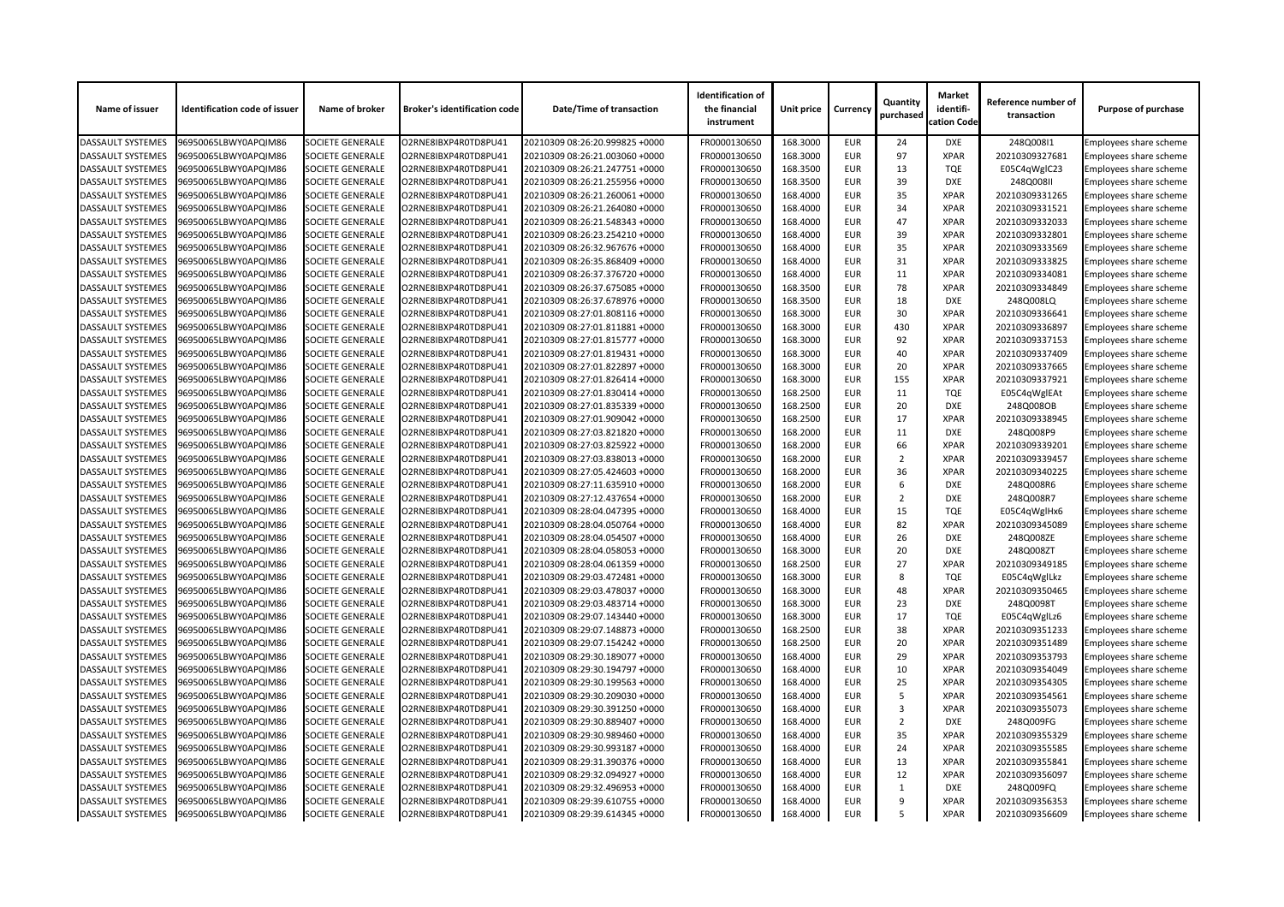| Name of issuer           | <b>Identification code of issuer</b> | Name of broker          | <b>Broker's identification code</b> | Date/Time of transaction       | <b>Identification of</b><br>the financial<br>instrument | Unit price | <b>Currency</b> | Quantity<br>purchased | <b>Market</b><br>identifi-<br>cation Code | Reference number of<br>transaction | <b>Purpose of purchase</b>    |
|--------------------------|--------------------------------------|-------------------------|-------------------------------------|--------------------------------|---------------------------------------------------------|------------|-----------------|-----------------------|-------------------------------------------|------------------------------------|-------------------------------|
| <b>DASSAULT SYSTEMES</b> | 96950065LBWY0APQIM86                 | <b>SOCIETE GENERALE</b> | O2RNE8IBXP4R0TD8PU41                | 20210309 08:26:20.999825 +0000 | FR0000130650                                            | 168.3000   | <b>EUR</b>      | 24                    | <b>DXE</b>                                | 248Q008I1                          | Employees share scheme        |
| <b>DASSAULT SYSTEMES</b> | 96950065LBWY0APQIM86                 | <b>SOCIETE GENERALE</b> | O2RNE8IBXP4R0TD8PU41                | 20210309 08:26:21.003060 +0000 | FR0000130650                                            | 168.3000   | <b>EUR</b>      | 97                    | <b>XPAR</b>                               | 20210309327681                     | <b>Employees share scheme</b> |
| <b>DASSAULT SYSTEMES</b> | 96950065LBWY0APQIM86                 | SOCIETE GENERALE        | O2RNE8IBXP4R0TD8PU41                | 20210309 08:26:21.247751 +0000 | FR0000130650                                            | 168.3500   | <b>EUR</b>      | 13                    | <b>TQE</b>                                | E05C4qWglC23                       | Employees share scheme        |
| <b>DASSAULT SYSTEMES</b> | 96950065LBWY0APQIM86                 | SOCIETE GENERALE        | O2RNE8IBXP4R0TD8PU41                | 20210309 08:26:21.255956 +0000 | FR0000130650                                            | 168.3500   | <b>EUR</b>      | 39                    | <b>DXE</b>                                | 248Q008II                          | <b>Employees share scheme</b> |
| <b>DASSAULT SYSTEMES</b> | 96950065LBWY0APQIM86                 | <b>SOCIETE GENERALE</b> | O2RNE8IBXP4R0TD8PU41                | 20210309 08:26:21.260061 +0000 | FR0000130650                                            | 168.4000   | <b>EUR</b>      | 35                    | <b>XPAR</b>                               | 20210309331265                     | Employees share scheme        |
| <b>DASSAULT SYSTEMES</b> | 96950065LBWY0APQIM86                 | <b>SOCIETE GENERALE</b> | O2RNE8IBXP4R0TD8PU41                | 20210309 08:26:21.264080 +0000 | FR0000130650                                            | 168.4000   | <b>EUR</b>      | 34                    | <b>XPAR</b>                               | 20210309331521                     | Employees share scheme        |
| <b>DASSAULT SYSTEMES</b> | 96950065LBWY0APQIM86                 | <b>SOCIETE GENERALE</b> | O2RNE8IBXP4R0TD8PU41                | 20210309 08:26:21.548343 +0000 | FR0000130650                                            | 168.4000   | <b>EUR</b>      | 47                    | <b>XPAR</b>                               | 20210309332033                     | Employees share scheme        |
| <b>DASSAULT SYSTEMES</b> | 96950065LBWY0APQIM86                 | SOCIETE GENERALE        | O2RNE8IBXP4R0TD8PU41                | 20210309 08:26:23.254210 +0000 | FR0000130650                                            | 168.4000   | <b>EUR</b>      | 39                    | <b>XPAR</b>                               | 20210309332801                     | Employees share scheme        |
| <b>DASSAULT SYSTEMES</b> | 96950065LBWY0APQIM86                 | <b>SOCIETE GENERALE</b> | O2RNE8IBXP4R0TD8PU41                | 20210309 08:26:32.967676 +0000 | FR0000130650                                            | 168.4000   | <b>EUR</b>      | 35                    | <b>XPAR</b>                               | 20210309333569                     | <b>Employees share scheme</b> |
| <b>DASSAULT SYSTEMES</b> | 96950065LBWY0APQIM86                 | <b>SOCIETE GENERALE</b> | O2RNE8IBXP4R0TD8PU41                | 20210309 08:26:35.868409 +0000 | FR0000130650                                            | 168.4000   | <b>EUR</b>      | 31                    | <b>XPAR</b>                               | 20210309333825                     | <b>Employees share scheme</b> |
| <b>DASSAULT SYSTEMES</b> | 96950065LBWY0APQIM86                 | <b>SOCIETE GENERALE</b> | O2RNE8IBXP4R0TD8PU41                | 20210309 08:26:37.376720 +0000 | FR0000130650                                            | 168.4000   | <b>EUR</b>      | 11                    | <b>XPAR</b>                               | 20210309334081                     | Employees share scheme        |
| <b>DASSAULT SYSTEMES</b> | 96950065LBWY0APQIM86                 | <b>SOCIETE GENERALE</b> | O2RNE8IBXP4R0TD8PU41                | 20210309 08:26:37.675085 +0000 | FR0000130650                                            | 168.3500   | <b>EUR</b>      | 78                    | <b>XPAR</b>                               | 20210309334849                     | <b>Employees share scheme</b> |
| <b>DASSAULT SYSTEMES</b> | 96950065LBWY0APQIM86                 | SOCIETE GENERALE        | O2RNE8IBXP4R0TD8PU41                | 20210309 08:26:37.678976 +0000 | FR0000130650                                            | 168.3500   | <b>EUR</b>      | 18                    | <b>DXE</b>                                | 248Q008LQ                          | Employees share scheme        |
| <b>DASSAULT SYSTEMES</b> | 96950065LBWY0APQIM86                 | <b>SOCIETE GENERALE</b> | O2RNE8IBXP4R0TD8PU41                | 20210309 08:27:01.808116 +0000 | FR0000130650                                            | 168.3000   | <b>EUR</b>      | 30                    | <b>XPAR</b>                               | 20210309336641                     | Employees share scheme        |
| <b>DASSAULT SYSTEMES</b> | 96950065LBWY0APQIM86                 | <b>SOCIETE GENERALE</b> | O2RNE8IBXP4R0TD8PU41                | 20210309 08:27:01.811881 +0000 | FR0000130650                                            | 168.3000   | <b>EUR</b>      | 430                   | <b>XPAR</b>                               | 20210309336897                     | Employees share scheme        |
| <b>DASSAULT SYSTEMES</b> | 96950065LBWY0APQIM86                 | <b>SOCIETE GENERALE</b> | O2RNE8IBXP4R0TD8PU41                | 20210309 08:27:01.815777 +0000 | FR0000130650                                            | 168.3000   | <b>EUR</b>      | 92                    | <b>XPAR</b>                               | 20210309337153                     | Employees share scheme        |
| <b>DASSAULT SYSTEMES</b> | 96950065LBWY0APQIM86                 | <b>SOCIETE GENERALE</b> | O2RNE8IBXP4R0TD8PU41                | 20210309 08:27:01.819431 +0000 | FR0000130650                                            | 168.3000   | <b>EUR</b>      | 40                    | <b>XPAR</b>                               | 20210309337409                     | Employees share scheme        |
| <b>DASSAULT SYSTEMES</b> | 96950065LBWY0APQIM86                 | SOCIETE GENERALE        | O2RNE8IBXP4R0TD8PU41                | 20210309 08:27:01.822897 +0000 | FR0000130650                                            | 168.3000   | <b>EUR</b>      | 20                    | <b>XPAR</b>                               | 20210309337665                     | Employees share scheme        |
| <b>DASSAULT SYSTEMES</b> | 96950065LBWY0APQIM86                 | <b>SOCIETE GENERALE</b> | O2RNE8IBXP4R0TD8PU41                | 20210309 08:27:01.826414 +0000 | FR0000130650                                            | 168.3000   | <b>EUR</b>      | 155                   | <b>XPAR</b>                               | 20210309337921                     | <b>Employees share scheme</b> |
| <b>DASSAULT SYSTEMES</b> | 96950065LBWY0APQIM86                 | <b>SOCIETE GENERALE</b> | O2RNE8IBXP4R0TD8PU41                | 20210309 08:27:01.830414 +0000 | FR0000130650                                            | 168.2500   | <b>EUR</b>      | 11                    | <b>TQE</b>                                |                                    | Employees share scheme        |
| <b>DASSAULT SYSTEMES</b> | 96950065LBWY0APQIM86                 | <b>SOCIETE GENERALE</b> | O2RNE8IBXP4R0TD8PU41                | 20210309 08:27:01.835339 +0000 | FR0000130650                                            | 168.2500   | <b>EUR</b>      | 20                    | <b>DXE</b>                                | E05C4qWglEAt<br>248Q008OB          | Employees share scheme        |
|                          |                                      |                         |                                     |                                |                                                         | 168.2500   | <b>EUR</b>      | 17                    | <b>XPAR</b>                               |                                    |                               |
| <b>DASSAULT SYSTEMES</b> | 96950065LBWY0APQIM86                 | <b>SOCIETE GENERALE</b> | O2RNE8IBXP4R0TD8PU41                | 20210309 08:27:01.909042 +0000 | FR0000130650                                            |            |                 |                       | <b>DXE</b>                                | 20210309338945                     | <b>Employees share scheme</b> |
| <b>DASSAULT SYSTEMES</b> | 96950065LBWY0APQIM86                 | <b>SOCIETE GENERALE</b> | O2RNE8IBXP4R0TD8PU41                | 20210309 08:27:03.821820 +0000 | FR0000130650                                            | 168.2000   | <b>EUR</b>      | 11                    |                                           | 248Q008P9                          | Employees share scheme        |
| <b>DASSAULT SYSTEMES</b> | 96950065LBWY0APQIM86                 | <b>SOCIETE GENERALE</b> | O2RNE8IBXP4R0TD8PU41                | 20210309 08:27:03.825922 +0000 | FR0000130650                                            | 168.2000   | <b>EUR</b>      | 66                    | <b>XPAR</b>                               | 20210309339201                     | Employees share scheme        |
| <b>DASSAULT SYSTEMES</b> | 96950065LBWY0APQIM86                 | <b>SOCIETE GENERALE</b> | O2RNE8IBXP4R0TD8PU41                | 20210309 08:27:03.838013 +0000 | FR0000130650                                            | 168.2000   | <b>EUR</b>      | $\overline{2}$        | <b>XPAR</b>                               | 20210309339457                     | <b>Employees share scheme</b> |
| <b>DASSAULT SYSTEMES</b> | 96950065LBWY0APQIM86                 | SOCIETE GENERALE        | O2RNE8IBXP4R0TD8PU41                | 20210309 08:27:05.424603 +0000 | FR0000130650                                            | 168.2000   | <b>EUR</b>      | 36                    | <b>XPAR</b>                               | 20210309340225                     | Employees share scheme        |
| <b>DASSAULT SYSTEMES</b> | 96950065LBWY0APQIM86                 | <b>SOCIETE GENERALE</b> | O2RNE8IBXP4R0TD8PU41                | 20210309 08:27:11.635910 +0000 | FR0000130650                                            | 168.2000   | <b>EUR</b>      |                       | <b>DXE</b>                                | 248Q008R6                          | Employees share scheme        |
| <b>DASSAULT SYSTEMES</b> | 96950065LBWY0APQIM86                 | <b>SOCIETE GENERALE</b> | O2RNE8IBXP4R0TD8PU41                | 20210309 08:27:12.437654 +0000 | FR0000130650                                            | 168.2000   | <b>EUR</b>      | 2                     | <b>DXE</b>                                | 248Q008R7                          | <b>Employees share scheme</b> |
| <b>DASSAULT SYSTEMES</b> | 96950065LBWY0APQIM86                 | <b>SOCIETE GENERALE</b> | O2RNE8IBXP4R0TD8PU41                | 20210309 08:28:04.047395 +0000 | FR0000130650                                            | 168.4000   | <b>EUR</b>      | 15                    | <b>TQE</b>                                | E05C4qWglHx6                       | <b>Employees share scheme</b> |
| <b>DASSAULT SYSTEMES</b> | 96950065LBWY0APQIM86                 | <b>SOCIETE GENERALE</b> | O2RNE8IBXP4R0TD8PU41                | 20210309 08:28:04.050764 +0000 | FR0000130650                                            | 168.4000   | <b>EUR</b>      | 82                    | <b>XPAR</b>                               | 20210309345089                     | Employees share scheme        |
| <b>DASSAULT SYSTEMES</b> | 96950065LBWY0APQIM86                 | <b>SOCIETE GENERALE</b> | O2RNE8IBXP4R0TD8PU41                | 20210309 08:28:04.054507 +0000 | FR0000130650                                            | 168.4000   | <b>EUR</b>      | 26                    | <b>DXE</b>                                | 248Q008ZE                          | Employees share scheme        |
| <b>DASSAULT SYSTEMES</b> | 96950065LBWY0APQIM86                 | <b>SOCIETE GENERALE</b> | O2RNE8IBXP4R0TD8PU41                | 20210309 08:28:04.058053 +0000 | FR0000130650                                            | 168.3000   | <b>EUR</b>      | 20                    | <b>DXE</b>                                | 248Q008ZT                          | <b>Employees share scheme</b> |
| <b>DASSAULT SYSTEMES</b> | 96950065LBWY0APQIM86                 | <b>SOCIETE GENERALE</b> | O2RNE8IBXP4R0TD8PU41                | 20210309 08:28:04.061359 +0000 | FR0000130650                                            | 168.2500   | <b>EUR</b>      | 27                    | <b>XPAR</b>                               | 20210309349185                     | Employees share scheme        |
| <b>DASSAULT SYSTEMES</b> | 96950065LBWY0APQIM86                 | <b>SOCIETE GENERALE</b> | O2RNE8IBXP4R0TD8PU41                | 20210309 08:29:03.472481 +0000 | FR0000130650                                            | 168.3000   | <b>EUR</b>      | 8                     | <b>TQE</b>                                | E05C4qWglLkz                       | <b>Employees share scheme</b> |
| <b>DASSAULT SYSTEMES</b> | 96950065LBWY0APQIM86                 | <b>SOCIETE GENERALE</b> | O2RNE8IBXP4R0TD8PU41                | 20210309 08:29:03.478037 +0000 | FR0000130650                                            | 168.3000   | <b>EUR</b>      | 48                    | <b>XPAR</b>                               | 20210309350465                     | Employees share scheme        |
| <b>DASSAULT SYSTEMES</b> | 96950065LBWY0APQIM86                 | <b>SOCIETE GENERALE</b> | O2RNE8IBXP4R0TD8PU41                | 20210309 08:29:03.483714 +0000 | FR0000130650                                            | 168.3000   | <b>EUR</b>      | 23                    | <b>DXE</b>                                | 248Q0098T                          | Employees share scheme        |
| <b>DASSAULT SYSTEMES</b> | 96950065LBWY0APQIM86                 | <b>SOCIETE GENERALE</b> | O2RNE8IBXP4R0TD8PU41                | 20210309 08:29:07.143440 +0000 | FR0000130650                                            | 168.3000   | <b>EUR</b>      | 17                    | <b>TQE</b>                                | E05C4qWglLz6                       | <b>Employees share scheme</b> |
| <b>DASSAULT SYSTEMES</b> | 96950065LBWY0APQIM86                 | <b>SOCIETE GENERALE</b> | O2RNE8IBXP4R0TD8PU41                | 20210309 08:29:07.148873 +0000 | FR0000130650                                            | 168.2500   | <b>EUR</b>      | 38                    | <b>XPAR</b>                               | 20210309351233                     | Employees share scheme        |
| <b>DASSAULT SYSTEMES</b> | 96950065LBWY0APQIM86                 | <b>SOCIETE GENERALE</b> | O2RNE8IBXP4R0TD8PU41                | 20210309 08:29:07.154242 +0000 | FR0000130650                                            | 168.2500   | <b>EUR</b>      | 20                    | <b>XPAR</b>                               | 20210309351489                     | <b>Employees share scheme</b> |
| <b>DASSAULT SYSTEMES</b> | 96950065LBWY0APQIM86                 | <b>SOCIETE GENERALE</b> | O2RNE8IBXP4R0TD8PU41                | 20210309 08:29:30.189077 +0000 | FR0000130650                                            | 168.4000   | <b>EUR</b>      | 29                    | <b>XPAR</b>                               | 20210309353793                     | Employees share scheme        |
| <b>DASSAULT SYSTEMES</b> | 96950065LBWY0APQIM86                 | <b>SOCIETE GENERALE</b> | O2RNE8IBXP4R0TD8PU41                | 20210309 08:29:30.194797 +0000 | FR0000130650                                            | 168.4000   | <b>EUR</b>      | 10                    | <b>XPAR</b>                               | 20210309354049                     | Employees share scheme        |
| <b>DASSAULT SYSTEMES</b> | 96950065LBWY0APQIM86                 | <b>SOCIETE GENERALE</b> | O2RNE8IBXP4R0TD8PU41                | 20210309 08:29:30.199563 +0000 | FR0000130650                                            | 168.4000   | <b>EUR</b>      | 25                    | <b>XPAR</b>                               | 20210309354305                     | <b>Employees share scheme</b> |
| <b>DASSAULT SYSTEMES</b> | 96950065LBWY0APQIM86                 | <b>SOCIETE GENERALE</b> | O2RNE8IBXP4R0TD8PU41                | 20210309 08:29:30.209030 +0000 | FR0000130650                                            | 168.4000   | <b>EUR</b>      | -5                    | <b>XPAR</b>                               | 20210309354561                     | Employees share scheme        |
| <b>DASSAULT SYSTEMES</b> | 96950065LBWY0APQIM86                 | <b>SOCIETE GENERALE</b> | O2RNE8IBXP4R0TD8PU41                | 20210309 08:29:30.391250 +0000 | FR0000130650                                            | 168.4000   | <b>EUR</b>      | 3                     | <b>XPAR</b>                               | 20210309355073                     | <b>Employees share scheme</b> |
| <b>DASSAULT SYSTEMES</b> | 96950065LBWY0APQIM86                 | <b>SOCIETE GENERALE</b> | O2RNE8IBXP4R0TD8PU41                | 20210309 08:29:30.889407 +0000 | FR0000130650                                            | 168.4000   | <b>EUR</b>      | $\overline{2}$        | <b>DXE</b>                                | 248Q009FG                          | Employees share scheme        |
| <b>DASSAULT SYSTEMES</b> | 96950065LBWY0APQIM86                 | <b>SOCIETE GENERALE</b> | O2RNE8IBXP4R0TD8PU41                | 20210309 08:29:30.989460 +0000 | FR0000130650                                            | 168.4000   | <b>EUR</b>      | 35                    | <b>XPAR</b>                               | 20210309355329                     | Employees share scheme        |
| <b>DASSAULT SYSTEMES</b> | 96950065LBWY0APQIM86                 | <b>SOCIETE GENERALE</b> | O2RNE8IBXP4R0TD8PU41                | 20210309 08:29:30.993187 +0000 | FR0000130650                                            | 168.4000   | <b>EUR</b>      | 24                    | <b>XPAR</b>                               | 20210309355585                     | Employees share scheme        |
| <b>DASSAULT SYSTEMES</b> | 96950065LBWY0APQIM86                 | <b>SOCIETE GENERALE</b> | O2RNE8IBXP4R0TD8PU41                | 20210309 08:29:31.390376 +0000 | FR0000130650                                            | 168.4000   | <b>EUR</b>      | 13                    | <b>XPAR</b>                               | 20210309355841                     | Employees share scheme        |
| <b>DASSAULT SYSTEMES</b> | 96950065LBWY0APQIM86                 | <b>SOCIETE GENERALE</b> | O2RNE8IBXP4R0TD8PU41                | 20210309 08:29:32.094927 +0000 | FR0000130650                                            | 168.4000   | <b>EUR</b>      | 12                    | <b>XPAR</b>                               | 20210309356097                     | <b>Employees share scheme</b> |
| <b>DASSAULT SYSTEMES</b> | 96950065LBWY0APQIM86                 | <b>SOCIETE GENERALE</b> | O2RNE8IBXP4R0TD8PU41                | 20210309 08:29:32.496953 +0000 | FR0000130650                                            | 168.4000   | <b>EUR</b>      |                       | <b>DXE</b>                                | 248Q009FQ                          | Employees share scheme        |
| <b>DASSAULT SYSTEMES</b> | 96950065LBWY0APQIM86                 | <b>SOCIETE GENERALE</b> | O2RNE8IBXP4R0TD8PU41                | 20210309 08:29:39.610755 +0000 | FR0000130650                                            | 168.4000   | <b>EUR</b>      | 9                     | <b>XPAR</b>                               | 20210309356353                     | Employees share scheme        |
| <b>DASSAULT SYSTEMES</b> | 96950065LBWY0APQIM86                 | <b>SOCIETE GENERALE</b> | O2RNE8IBXP4R0TD8PU41                | 20210309 08:29:39.614345 +0000 | FR0000130650                                            | 168.4000   | EUR             |                       | <b>XPAR</b>                               | 20210309356609                     | <b>Employees share scheme</b> |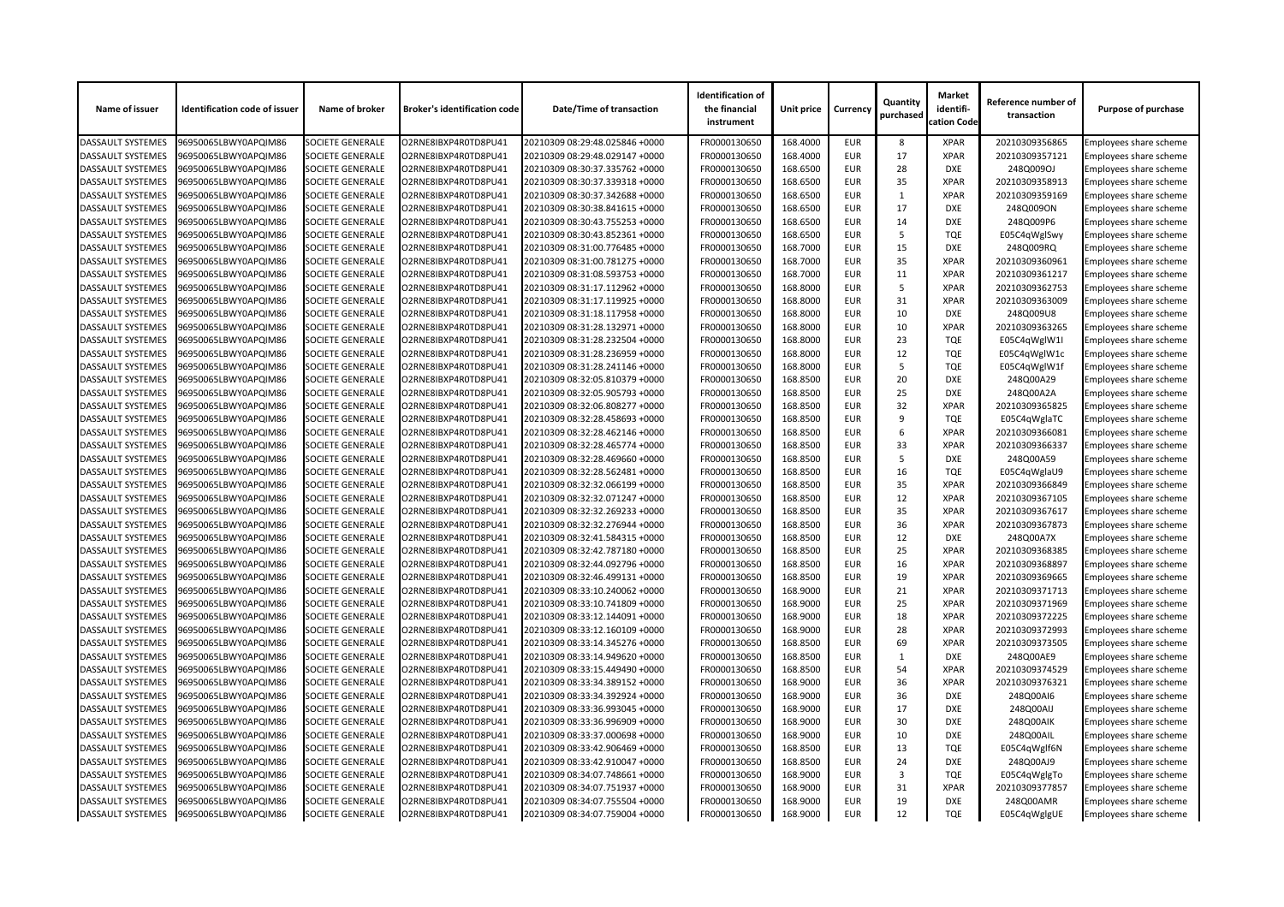| Name of issuer           | <b>Identification code of issuer</b> | Name of broker          | <b>Broker's identification code</b> | <b>Date/Time of transaction</b> | <b>Identification of</b><br>the financial<br>instrument | <b>Unit price</b> | <b>Currency</b> | Quantity<br>purchased | <b>Market</b><br>identifi-<br>cation Code | Reference number of<br>transaction | <b>Purpose of purchase</b>    |
|--------------------------|--------------------------------------|-------------------------|-------------------------------------|---------------------------------|---------------------------------------------------------|-------------------|-----------------|-----------------------|-------------------------------------------|------------------------------------|-------------------------------|
| <b>DASSAULT SYSTEMES</b> | 96950065LBWY0APQIM86                 | <b>SOCIETE GENERALE</b> | O2RNE8IBXP4R0TD8PU41                | 20210309 08:29:48.025846 +0000  | FR0000130650                                            | 168.4000          | <b>EUR</b>      | 8                     | <b>XPAR</b>                               | 20210309356865                     | Employees share scheme        |
| <b>DASSAULT SYSTEMES</b> | 96950065LBWY0APQIM86                 | <b>SOCIETE GENERALE</b> | O2RNE8IBXP4R0TD8PU41                | 20210309 08:29:48.029147 +0000  | FR0000130650                                            | 168.4000          | <b>EUR</b>      | 17                    | <b>XPAR</b>                               | 20210309357121                     | Employees share scheme        |
| <b>DASSAULT SYSTEMES</b> | 96950065LBWY0APQIM86                 | <b>SOCIETE GENERALE</b> | O2RNE8IBXP4R0TD8PU41                | 20210309 08:30:37.335762 +0000  | FR0000130650                                            | 168.6500          | <b>EUR</b>      | 28                    | <b>DXE</b>                                | 248Q009OJ                          | Employees share scheme        |
| <b>DASSAULT SYSTEMES</b> | 96950065LBWY0APQIM86                 | <b>SOCIETE GENERALE</b> | O2RNE8IBXP4R0TD8PU41                | 20210309 08:30:37.339318 +0000  | FR0000130650                                            | 168.6500          | <b>EUR</b>      | 35                    | <b>XPAR</b>                               | 20210309358913                     | Employees share scheme        |
| <b>DASSAULT SYSTEMES</b> | 96950065LBWY0APQIM86                 | <b>SOCIETE GENERALE</b> | O2RNE8IBXP4R0TD8PU41                | 20210309 08:30:37.342688 +0000  | FR0000130650                                            | 168.6500          | <b>EUR</b>      |                       | <b>XPAR</b>                               | 20210309359169                     | <b>Employees share scheme</b> |
| <b>DASSAULT SYSTEMES</b> | 96950065LBWY0APQIM86                 | <b>SOCIETE GENERALE</b> | O2RNE8IBXP4R0TD8PU41                | 20210309 08:30:38.841615 +0000  | FR0000130650                                            | 168.6500          | <b>EUR</b>      | 17                    | <b>DXE</b>                                | 248Q009ON                          | Employees share scheme        |
| DASSAULT SYSTEMES        | 96950065LBWY0APQIM86                 | <b>SOCIETE GENERALE</b> | O2RNE8IBXP4R0TD8PU41                | 20210309 08:30:43.755253 +0000  | FR0000130650                                            | 168.6500          | <b>EUR</b>      | 14                    | <b>DXE</b>                                | 248Q009P6                          | Employees share scheme        |
| <b>DASSAULT SYSTEMES</b> | 96950065LBWY0APQIM86                 | <b>SOCIETE GENERALE</b> | O2RNE8IBXP4R0TD8PU41                | 20210309 08:30:43.852361 +0000  | FR0000130650                                            | 168.6500          | <b>EUR</b>      | -5                    | <b>TQE</b>                                | E05C4qWglSwy                       | Employees share scheme        |
| <b>DASSAULT SYSTEMES</b> | 96950065LBWY0APQIM86                 | <b>SOCIETE GENERALE</b> | O2RNE8IBXP4R0TD8PU41                | 20210309 08:31:00.776485 +0000  | FR0000130650                                            | 168.7000          | <b>EUR</b>      | 15                    | <b>DXE</b>                                | 248Q009RQ                          | Employees share scheme        |
| <b>DASSAULT SYSTEMES</b> | 96950065LBWY0APQIM86                 | <b>SOCIETE GENERALE</b> | O2RNE8IBXP4R0TD8PU41                | 20210309 08:31:00.781275 +0000  | FR0000130650                                            | 168.7000          | <b>EUR</b>      | 35                    | <b>XPAR</b>                               | 20210309360961                     | Employees share scheme        |
| <b>DASSAULT SYSTEMES</b> | 96950065LBWY0APQIM86                 | <b>SOCIETE GENERALE</b> | O2RNE8IBXP4R0TD8PU41                | 20210309 08:31:08.593753 +0000  | FR0000130650                                            | 168.7000          | <b>EUR</b>      | 11                    | <b>XPAR</b>                               | 20210309361217                     | Employees share scheme        |
| <b>DASSAULT SYSTEMES</b> | 96950065LBWY0APQIM86                 | <b>SOCIETE GENERALE</b> | O2RNE8IBXP4R0TD8PU41                | 20210309 08:31:17.112962 +0000  | FR0000130650                                            | 168.8000          | <b>EUR</b>      | -5                    | <b>XPAR</b>                               | 20210309362753                     | Employees share scheme        |
| <b>DASSAULT SYSTEMES</b> | 96950065LBWY0APQIM86                 | <b>SOCIETE GENERALE</b> | O2RNE8IBXP4R0TD8PU41                | 20210309 08:31:17.119925 +0000  | FR0000130650                                            | 168.8000          | <b>EUR</b>      | 31                    | <b>XPAR</b>                               | 20210309363009                     | Employees share scheme        |
| <b>DASSAULT SYSTEMES</b> | 96950065LBWY0APQIM86                 | <b>SOCIETE GENERALE</b> | O2RNE8IBXP4R0TD8PU41                | 20210309 08:31:18.117958 +0000  | FR0000130650                                            | 168.8000          | <b>EUR</b>      | 10                    | <b>DXE</b>                                | 248Q009U8                          | Employees share scheme        |
| <b>DASSAULT SYSTEMES</b> | 96950065LBWY0APQIM86                 | <b>SOCIETE GENERALE</b> | O2RNE8IBXP4R0TD8PU41                | 20210309 08:31:28.132971 +0000  | FR0000130650                                            | 168.8000          | <b>EUR</b>      | 10                    | <b>XPAR</b>                               | 20210309363265                     | Employees share scheme        |
| <b>DASSAULT SYSTEMES</b> | 96950065LBWY0APQIM86                 | <b>SOCIETE GENERALE</b> | O2RNE8IBXP4R0TD8PU41                | 20210309 08:31:28.232504 +0000  | FR0000130650                                            | 168.8000          | <b>EUR</b>      | 23                    | <b>TQE</b>                                | E05C4qWglW1I                       | Employees share scheme        |
| DASSAULT SYSTEMES        | 96950065LBWY0APQIM86                 | <b>SOCIETE GENERALE</b> | O2RNE8IBXP4R0TD8PU41                | 20210309 08:31:28.236959 +0000  | FR0000130650                                            | 168.8000          | <b>EUR</b>      | 12                    | <b>TQE</b>                                | E05C4qWglW1c                       | Employees share scheme        |
| <b>DASSAULT SYSTEMES</b> | 96950065LBWY0APQIM86                 | <b>SOCIETE GENERALE</b> | O2RNE8IBXP4R0TD8PU41                | 20210309 08:31:28.241146 +0000  | FR0000130650                                            | 168.8000          | <b>EUR</b>      | -5                    | <b>TQE</b>                                | E05C4qWglW1f                       | <b>Employees share scheme</b> |
| <b>DASSAULT SYSTEMES</b> | 96950065LBWY0APQIM86                 | <b>SOCIETE GENERALE</b> | O2RNE8IBXP4R0TD8PU41                | 20210309 08:32:05.810379 +0000  | FR0000130650                                            | 168.8500          | <b>EUR</b>      | 20                    | <b>DXE</b>                                | 248Q00A29                          | Employees share scheme        |
| <b>DASSAULT SYSTEMES</b> | 96950065LBWY0APQIM86                 | <b>SOCIETE GENERALE</b> | O2RNE8IBXP4R0TD8PU41                | 20210309 08:32:05.905793 +0000  | FR0000130650                                            | 168.8500          | <b>EUR</b>      | 25                    | <b>DXE</b>                                | 248Q00A2A                          | Employees share scheme        |
| <b>DASSAULT SYSTEMES</b> | 96950065LBWY0APQIM86                 | <b>SOCIETE GENERALE</b> | O2RNE8IBXP4R0TD8PU41                | 20210309 08:32:06.808277 +0000  | FR0000130650                                            | 168.8500          | <b>EUR</b>      | 32                    | <b>XPAR</b>                               | 20210309365825                     | Employees share scheme        |
| DASSAULT SYSTEMES        | 96950065LBWY0APQIM86                 | <b>SOCIETE GENERALE</b> | O2RNE8IBXP4R0TD8PU41                | 20210309 08:32:28.458693 +0000  | FR0000130650                                            | 168.8500          | <b>EUR</b>      | 9                     | <b>TQE</b>                                |                                    | Employees share scheme        |
|                          |                                      |                         |                                     |                                 |                                                         | 168.8500          | <b>EUR</b>      | 6                     | <b>XPAR</b>                               | E05C4qWglaTC                       |                               |
| <b>DASSAULT SYSTEMES</b> | 96950065LBWY0APQIM86                 | <b>SOCIETE GENERALE</b> | O2RNE8IBXP4R0TD8PU41                | 20210309 08:32:28.462146 +0000  | FR0000130650                                            |                   |                 |                       |                                           | 20210309366081                     | Employees share scheme        |
| <b>DASSAULT SYSTEMES</b> | 96950065LBWY0APQIM86                 | <b>SOCIETE GENERALE</b> | O2RNE8IBXP4R0TD8PU41                | 20210309 08:32:28.465774 +0000  | FR0000130650                                            | 168.8500          | <b>EUR</b>      | 33                    | <b>XPAR</b><br><b>DXE</b>                 | 20210309366337                     | Employees share scheme        |
| <b>DASSAULT SYSTEMES</b> | 96950065LBWY0APQIM86                 | <b>SOCIETE GENERALE</b> | O2RNE8IBXP4R0TD8PU41                | 20210309 08:32:28.469660 +0000  | FR0000130650                                            | 168.8500          | <b>EUR</b>      | -5                    |                                           | 248Q00A59                          | Employees share scheme        |
| <b>DASSAULT SYSTEMES</b> | 96950065LBWY0APQIM86                 | <b>SOCIETE GENERALE</b> | O2RNE8IBXP4R0TD8PU41                | 20210309 08:32:28.562481 +0000  | FR0000130650                                            | 168.8500          | <b>EUR</b>      | 16                    | <b>TQE</b>                                | E05C4qWglaU9                       | Employees share scheme        |
| DASSAULT SYSTEMES        | 96950065LBWY0APQIM86                 | <b>SOCIETE GENERALE</b> | O2RNE8IBXP4R0TD8PU41                | 20210309 08:32:32.066199 +0000  | FR0000130650                                            | 168.8500          | <b>EUR</b>      | 35                    | <b>XPAR</b>                               | 20210309366849                     | Employees share scheme        |
| <b>DASSAULT SYSTEMES</b> | 96950065LBWY0APQIM86                 | <b>SOCIETE GENERALE</b> | O2RNE8IBXP4R0TD8PU41                | 20210309 08:32:32.071247 +0000  | FR0000130650                                            | 168.8500          | <b>EUR</b>      | 12                    | <b>XPAR</b>                               | 20210309367105                     | <b>Employees share scheme</b> |
| DASSAULT SYSTEMES        | 96950065LBWY0APQIM86                 | <b>SOCIETE GENERALE</b> | O2RNE8IBXP4R0TD8PU41                | 20210309 08:32:32.269233 +0000  | FR0000130650                                            | 168.8500          | <b>EUR</b>      | 35                    | <b>XPAR</b>                               | 20210309367617                     | Employees share scheme        |
| <b>DASSAULT SYSTEMES</b> | 96950065LBWY0APQIM86                 | <b>SOCIETE GENERALE</b> | O2RNE8IBXP4R0TD8PU41                | 20210309 08:32:32.276944 +0000  | FR0000130650                                            | 168.8500          | <b>EUR</b>      | 36                    | <b>XPAR</b>                               | 20210309367873                     | Employees share scheme        |
| <b>DASSAULT SYSTEMES</b> | 96950065LBWY0APQIM86                 | <b>SOCIETE GENERALE</b> | O2RNE8IBXP4R0TD8PU41                | 20210309 08:32:41.584315 +0000  | FR0000130650                                            | 168.8500          | <b>EUR</b>      | 12                    | <b>DXE</b>                                | 248Q00A7X                          | Employees share scheme        |
| <b>DASSAULT SYSTEMES</b> | 96950065LBWY0APQIM86                 | <b>SOCIETE GENERALE</b> | O2RNE8IBXP4R0TD8PU41                | 20210309 08:32:42.787180 +0000  | FR0000130650                                            | 168.8500          | <b>EUR</b>      | 25                    | <b>XPAR</b>                               | 20210309368385                     | Employees share scheme        |
| <b>DASSAULT SYSTEMES</b> | 96950065LBWY0APQIM86                 | <b>SOCIETE GENERALE</b> | O2RNE8IBXP4R0TD8PU41                | 20210309 08:32:44.092796 +0000  | FR0000130650                                            | 168.8500          | <b>EUR</b>      | 16                    | <b>XPAR</b>                               | 20210309368897                     | Employees share scheme        |
| <b>DASSAULT SYSTEMES</b> | 96950065LBWY0APQIM86                 | <b>SOCIETE GENERALE</b> | O2RNE8IBXP4R0TD8PU41                | 20210309 08:32:46.499131 +0000  | FR0000130650                                            | 168.8500          | <b>EUR</b>      | 19                    | <b>XPAR</b>                               | 20210309369665                     | Employees share scheme        |
| <b>DASSAULT SYSTEMES</b> | 96950065LBWY0APQIM86                 | <b>SOCIETE GENERALE</b> | O2RNE8IBXP4R0TD8PU41                | 20210309 08:33:10.240062 +0000  | FR0000130650                                            | 168.9000          | <b>EUR</b>      | 21                    | <b>XPAR</b>                               | 20210309371713                     | Employees share scheme        |
| <b>DASSAULT SYSTEMES</b> | 96950065LBWY0APQIM86                 | <b>SOCIETE GENERALE</b> | O2RNE8IBXP4R0TD8PU41                | 20210309 08:33:10.741809 +0000  | FR0000130650                                            | 168.9000          | <b>EUR</b>      | 25                    | <b>XPAR</b>                               | 20210309371969                     | Employees share scheme        |
| <b>DASSAULT SYSTEMES</b> | 96950065LBWY0APQIM86                 | <b>SOCIETE GENERALE</b> | O2RNE8IBXP4R0TD8PU41                | 20210309 08:33:12.144091 +0000  | FR0000130650                                            | 168.9000          | <b>EUR</b>      | 18                    | <b>XPAR</b>                               | 20210309372225                     | Employees share scheme        |
| <b>DASSAULT SYSTEMES</b> | 96950065LBWY0APQIM86                 | <b>SOCIETE GENERALE</b> | O2RNE8IBXP4R0TD8PU41                | 20210309 08:33:12.160109 +0000  | FR0000130650                                            | 168.9000          | <b>EUR</b>      | 28                    | <b>XPAR</b>                               | 20210309372993                     | Employees share scheme        |
| <b>DASSAULT SYSTEMES</b> | 96950065LBWY0APQIM86                 | <b>SOCIETE GENERALE</b> | O2RNE8IBXP4R0TD8PU41                | 20210309 08:33:14.345276 +0000  | FR0000130650                                            | 168.8500          | <b>EUR</b>      | 69                    | <b>XPAR</b>                               | 20210309373505                     | Employees share scheme        |
| <b>DASSAULT SYSTEMES</b> | 96950065LBWY0APQIM86                 | <b>SOCIETE GENERALE</b> | O2RNE8IBXP4R0TD8PU41                | 20210309 08:33:14.949620 +0000  | FR0000130650                                            | 168.8500          | <b>EUR</b>      |                       | <b>DXE</b>                                | 248Q00AE9                          | <b>Employees share scheme</b> |
| <b>DASSAULT SYSTEMES</b> | 96950065LBWY0APQIM86                 | <b>SOCIETE GENERALE</b> | O2RNE8IBXP4R0TD8PU41                | 20210309 08:33:15.449490 +0000  | FR0000130650                                            | 168.8500          | <b>EUR</b>      | 54                    | <b>XPAR</b>                               | 20210309374529                     | Employees share scheme        |
| <b>DASSAULT SYSTEMES</b> | 96950065LBWY0APQIM86                 | <b>SOCIETE GENERALE</b> | O2RNE8IBXP4R0TD8PU41                | 20210309 08:33:34.389152 +0000  | FR0000130650                                            | 168.9000          | <b>EUR</b>      | 36                    | <b>XPAR</b>                               | 20210309376321                     | <b>Employees share scheme</b> |
| <b>DASSAULT SYSTEMES</b> | 96950065LBWY0APQIM86                 | <b>SOCIETE GENERALE</b> | O2RNE8IBXP4R0TD8PU41                | 20210309 08:33:34.392924 +0000  | FR0000130650                                            | 168.9000          | <b>EUR</b>      | 36                    | <b>DXE</b>                                | 248Q00AI6                          | Employees share scheme        |
| <b>DASSAULT SYSTEMES</b> | 96950065LBWY0APQIM86                 | <b>SOCIETE GENERALE</b> | O2RNE8IBXP4R0TD8PU41                | 20210309 08:33:36.993045 +0000  | FR0000130650                                            | 168.9000          | <b>EUR</b>      | 17                    | <b>DXE</b>                                | 248Q00AIJ                          | <b>Employees share scheme</b> |
| <b>DASSAULT SYSTEMES</b> | 96950065LBWY0APQIM86                 | <b>SOCIETE GENERALE</b> | O2RNE8IBXP4R0TD8PU41                | 20210309 08:33:36.996909 +0000  | FR0000130650                                            | 168.9000          | <b>EUR</b>      | 30                    | <b>DXE</b>                                | 248Q00AIK                          | Employees share scheme        |
| <b>DASSAULT SYSTEMES</b> | 96950065LBWY0APQIM86                 | <b>SOCIETE GENERALE</b> | O2RNE8IBXP4R0TD8PU41                | 20210309 08:33:37.000698 +0000  | FR0000130650                                            | 168.9000          | <b>EUR</b>      | 10                    | <b>DXE</b>                                | 248Q00AIL                          | Employees share scheme        |
| <b>DASSAULT SYSTEMES</b> | 96950065LBWY0APQIM86                 | <b>SOCIETE GENERALE</b> | O2RNE8IBXP4R0TD8PU41                | 20210309 08:33:42.906469 +0000  | FR0000130650                                            | 168.8500          | <b>EUR</b>      | 13                    | <b>TQE</b>                                | E05C4qWglf6N                       | <b>Employees share scheme</b> |
| <b>DASSAULT SYSTEMES</b> | 96950065LBWY0APQIM86                 | <b>SOCIETE GENERALE</b> | O2RNE8IBXP4R0TD8PU41                | 20210309 08:33:42.910047 +0000  | FR0000130650                                            | 168.8500          | <b>EUR</b>      | 24                    | <b>DXE</b>                                | 248Q00AJ9                          | Employees share scheme        |
| <b>DASSAULT SYSTEMES</b> | 96950065LBWY0APQIM86                 | <b>SOCIETE GENERALE</b> | O2RNE8IBXP4R0TD8PU41                | 20210309 08:34:07.748661 +0000  | FR0000130650                                            | 168.9000          | <b>EUR</b>      | 3                     | <b>TQE</b>                                | E05C4qWglgTo                       | <b>Employees share scheme</b> |
| <b>DASSAULT SYSTEMES</b> | 96950065LBWY0APQIM86                 | <b>SOCIETE GENERALE</b> | O2RNE8IBXP4R0TD8PU41                | 20210309 08:34:07.751937 +0000  | FR0000130650                                            | 168.9000          | <b>EUR</b>      | 31                    | <b>XPAR</b>                               | 20210309377857                     | <b>Employees share scheme</b> |
| <b>DASSAULT SYSTEMES</b> | 96950065LBWY0APQIM86                 | <b>SOCIETE GENERALE</b> | O2RNE8IBXP4R0TD8PU41                | 20210309 08:34:07.755504 +0000  | FR0000130650                                            | 168.9000          | <b>EUR</b>      | 19                    | <b>DXE</b>                                | 248Q00AMR                          | Employees share scheme        |
| DASSAULT SYSTEMES        | 96950065LBWY0APQIM86                 | <b>SOCIETE GENERALE</b> | O2RNE8IBXP4R0TD8PU41                | 20210309 08:34:07.759004 +0000  | FR0000130650                                            | 168.9000          | <b>EUR</b>      | 12                    | <b>TQE</b>                                | E05C4qWglgUE                       | <b>Employees share scheme</b> |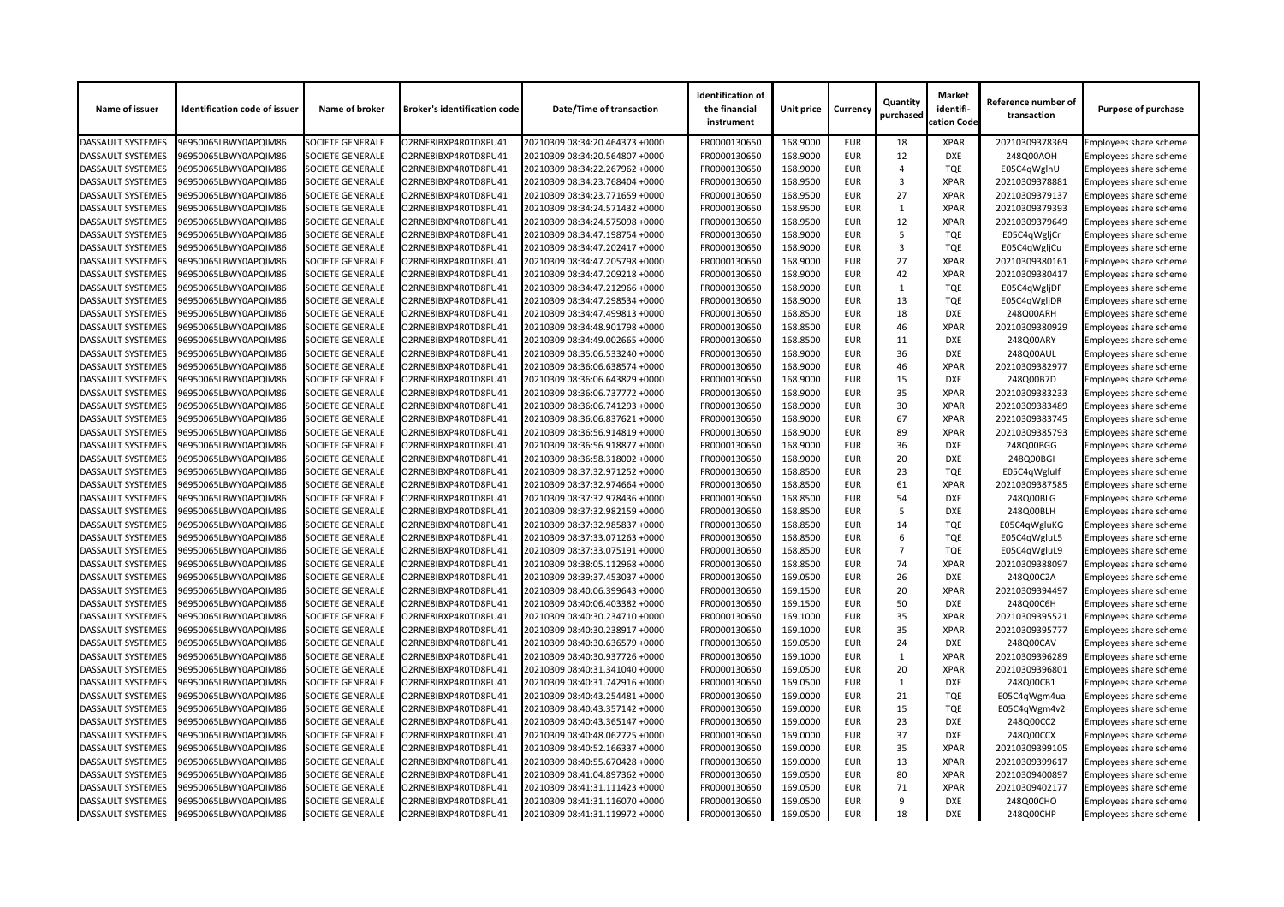| 168.9000<br>96950065LBWY0APQIM86<br><b>SOCIETE GENERALE</b><br>O2RNE8IBXP4R0TD8PU41<br>FR0000130650<br><b>EUR</b><br>18<br>20210309378369<br>Employees share scheme<br><b>DASSAULT SYSTEMES</b><br>20210309 08:34:20.464373 +0000<br><b>XPAR</b><br>12<br><b>DASSAULT SYSTEMES</b><br><b>SOCIETE GENERALE</b><br>FR0000130650<br>168.9000<br><b>DXE</b><br>248Q00AOH<br>96950065LBWY0APQIM86<br>O2RNE8IBXP4R0TD8PU41<br>20210309 08:34:20.564807 +0000<br><b>EUR</b><br>Employees share scheme<br>168.9000<br><b>TQE</b><br><b>DASSAULT SYSTEMES</b><br>96950065LBWY0APQIM86<br><b>SOCIETE GENERALE</b><br>O2RNE8IBXP4R0TD8PU41<br>20210309 08:34:22.267962 +0000<br>FR0000130650<br><b>EUR</b><br>E05C4qWglhUI<br>Employees share scheme<br><b>DASSAULT SYSTEMES</b><br>FR0000130650<br>168.9500<br>3<br>Employees share scheme<br>96950065LBWY0APQIM86<br><b>SOCIETE GENERALE</b><br>O2RNE8IBXP4R0TD8PU41<br>20210309 08:34:23.768404 +0000<br><b>EUR</b><br><b>XPAR</b><br>20210309378881<br>FR0000130650<br>168.9500<br>27<br><b>XPAR</b><br>20210309379137<br><b>DASSAULT SYSTEMES</b><br>96950065LBWY0APQIM86<br><b>SOCIETE GENERALE</b><br>O2RNE8IBXP4R0TD8PU41<br>20210309 08:34:23.771659 +0000<br><b>EUR</b><br>Employees share scheme<br><b>SOCIETE GENERALE</b><br>FR0000130650<br>168.9500<br><b>XPAR</b><br><b>DASSAULT SYSTEMES</b><br>96950065LBWY0APQIM86<br>O2RNE8IBXP4R0TD8PU41<br>20210309 08:34:24.571432 +0000<br><b>EUR</b><br>20210309379393<br>Employees share scheme<br>1<br>12<br>DASSAULT SYSTEMES<br><b>SOCIETE GENERALE</b><br>O2RNE8IBXP4R0TD8PU41<br>FR0000130650<br>168.9500<br><b>EUR</b><br><b>XPAR</b><br>20210309379649<br>96950065LBWY0APQIM86<br>20210309 08:34:24.575098 +0000<br>Employees share scheme<br>168.9000<br><b>EUR</b><br><b>TQE</b><br><b>DASSAULT SYSTEMES</b><br>96950065LBWY0APQIM86<br><b>SOCIETE GENERALE</b><br>O2RNE8IBXP4R0TD8PU41<br>20210309 08:34:47.198754 +0000<br>FR0000130650<br>5<br>Employees share scheme<br>E05C4qWgljCr<br><b>DASSAULT SYSTEMES</b><br>168.9000<br>3<br>96950065LBWY0APQIM86<br><b>SOCIETE GENERALE</b><br>O2RNE8IBXP4R0TD8PU41<br>20210309 08:34:47.202417 +0000<br>FR0000130650<br><b>EUR</b><br><b>TQE</b><br>E05C4qWgljCu<br>Employees share scheme<br>27<br><b>SOCIETE GENERALE</b><br>FR0000130650<br>168.9000<br><b>XPAR</b><br>20210309380161<br><b>DASSAULT SYSTEMES</b><br>96950065LBWY0APQIM86<br>O2RNE8IBXP4R0TD8PU41<br>20210309 08:34:47.205798 +0000<br><b>EUR</b><br>Employees share scheme<br>42<br><b>SOCIETE GENERALE</b><br>FR0000130650<br>168.9000<br><b>EUR</b><br><b>XPAR</b><br><b>DASSAULT SYSTEMES</b><br>96950065LBWY0APQIM86<br>O2RNE8IBXP4R0TD8PU41<br>20210309 08:34:47.209218 +0000<br>20210309380417<br>Employees share scheme<br><b>DASSAULT SYSTEMES</b><br><b>SOCIETE GENERALE</b><br>FR0000130650<br>168.9000<br><b>TQE</b><br>E05C4qWgljDF<br>96950065LBWY0APQIM86<br>O2RNE8IBXP4R0TD8PU41<br>20210309 08:34:47.212966 +0000<br><b>EUR</b><br>Employees share scheme<br>168.9000<br><b>EUR</b><br>13<br><b>TQE</b><br><b>DASSAULT SYSTEMES</b><br>96950065LBWY0APQIM86<br><b>SOCIETE GENERALE</b><br>O2RNE8IBXP4R0TD8PU41<br>20210309 08:34:47.298534 +0000<br>FR0000130650<br>E05C4qWgljDR<br>Employees share scheme<br><b>DASSAULT SYSTEMES</b><br><b>SOCIETE GENERALE</b><br>FR0000130650<br>168.8500<br><b>EUR</b><br>18<br>248Q00ARH<br>Employees share scheme<br>96950065LBWY0APQIM86<br>O2RNE8IBXP4R0TD8PU41<br>20210309 08:34:47.499813 +0000<br><b>DXE</b><br>46<br>168.8500<br><b>DASSAULT SYSTEMES</b><br>96950065LBWY0APQIM86<br><b>SOCIETE GENERALE</b><br>O2RNE8IBXP4R0TD8PU41<br>20210309 08:34:48.901798 +0000<br>FR0000130650<br><b>EUR</b><br><b>XPAR</b><br>20210309380929<br>Employees share scheme<br><b>SOCIETE GENERALE</b><br>FR0000130650<br>168.8500<br><b>EUR</b><br>11<br>248Q00ARY<br><b>DASSAULT SYSTEMES</b><br>96950065LBWY0APQIM86<br>O2RNE8IBXP4R0TD8PU41<br>20210309 08:34:49.002665 +0000<br><b>DXE</b><br>Employees share scheme | <b>Purpose of purchase</b> |
|------------------------------------------------------------------------------------------------------------------------------------------------------------------------------------------------------------------------------------------------------------------------------------------------------------------------------------------------------------------------------------------------------------------------------------------------------------------------------------------------------------------------------------------------------------------------------------------------------------------------------------------------------------------------------------------------------------------------------------------------------------------------------------------------------------------------------------------------------------------------------------------------------------------------------------------------------------------------------------------------------------------------------------------------------------------------------------------------------------------------------------------------------------------------------------------------------------------------------------------------------------------------------------------------------------------------------------------------------------------------------------------------------------------------------------------------------------------------------------------------------------------------------------------------------------------------------------------------------------------------------------------------------------------------------------------------------------------------------------------------------------------------------------------------------------------------------------------------------------------------------------------------------------------------------------------------------------------------------------------------------------------------------------------------------------------------------------------------------------------------------------------------------------------------------------------------------------------------------------------------------------------------------------------------------------------------------------------------------------------------------------------------------------------------------------------------------------------------------------------------------------------------------------------------------------------------------------------------------------------------------------------------------------------------------------------------------------------------------------------------------------------------------------------------------------------------------------------------------------------------------------------------------------------------------------------------------------------------------------------------------------------------------------------------------------------------------------------------------------------------------------------------------------------------------------------------------------------------------------------------------------------------------------------------------------------------------------------------------------------------------------------------------------------------------------------------------------------------------------------------------------------------------------------------------------------------------------------------------------------------------------------------------------------------------------------------------------------------------------------------------------------------------------------------------------------------------------------------------------------------------------------------------------------------------------------------------------------------------------------------------|----------------------------|
|                                                                                                                                                                                                                                                                                                                                                                                                                                                                                                                                                                                                                                                                                                                                                                                                                                                                                                                                                                                                                                                                                                                                                                                                                                                                                                                                                                                                                                                                                                                                                                                                                                                                                                                                                                                                                                                                                                                                                                                                                                                                                                                                                                                                                                                                                                                                                                                                                                                                                                                                                                                                                                                                                                                                                                                                                                                                                                                                                                                                                                                                                                                                                                                                                                                                                                                                                                                                                                                                                                                                                                                                                                                                                                                                                                                                                                                                                                                                                                                                      |                            |
|                                                                                                                                                                                                                                                                                                                                                                                                                                                                                                                                                                                                                                                                                                                                                                                                                                                                                                                                                                                                                                                                                                                                                                                                                                                                                                                                                                                                                                                                                                                                                                                                                                                                                                                                                                                                                                                                                                                                                                                                                                                                                                                                                                                                                                                                                                                                                                                                                                                                                                                                                                                                                                                                                                                                                                                                                                                                                                                                                                                                                                                                                                                                                                                                                                                                                                                                                                                                                                                                                                                                                                                                                                                                                                                                                                                                                                                                                                                                                                                                      |                            |
|                                                                                                                                                                                                                                                                                                                                                                                                                                                                                                                                                                                                                                                                                                                                                                                                                                                                                                                                                                                                                                                                                                                                                                                                                                                                                                                                                                                                                                                                                                                                                                                                                                                                                                                                                                                                                                                                                                                                                                                                                                                                                                                                                                                                                                                                                                                                                                                                                                                                                                                                                                                                                                                                                                                                                                                                                                                                                                                                                                                                                                                                                                                                                                                                                                                                                                                                                                                                                                                                                                                                                                                                                                                                                                                                                                                                                                                                                                                                                                                                      |                            |
|                                                                                                                                                                                                                                                                                                                                                                                                                                                                                                                                                                                                                                                                                                                                                                                                                                                                                                                                                                                                                                                                                                                                                                                                                                                                                                                                                                                                                                                                                                                                                                                                                                                                                                                                                                                                                                                                                                                                                                                                                                                                                                                                                                                                                                                                                                                                                                                                                                                                                                                                                                                                                                                                                                                                                                                                                                                                                                                                                                                                                                                                                                                                                                                                                                                                                                                                                                                                                                                                                                                                                                                                                                                                                                                                                                                                                                                                                                                                                                                                      |                            |
|                                                                                                                                                                                                                                                                                                                                                                                                                                                                                                                                                                                                                                                                                                                                                                                                                                                                                                                                                                                                                                                                                                                                                                                                                                                                                                                                                                                                                                                                                                                                                                                                                                                                                                                                                                                                                                                                                                                                                                                                                                                                                                                                                                                                                                                                                                                                                                                                                                                                                                                                                                                                                                                                                                                                                                                                                                                                                                                                                                                                                                                                                                                                                                                                                                                                                                                                                                                                                                                                                                                                                                                                                                                                                                                                                                                                                                                                                                                                                                                                      |                            |
|                                                                                                                                                                                                                                                                                                                                                                                                                                                                                                                                                                                                                                                                                                                                                                                                                                                                                                                                                                                                                                                                                                                                                                                                                                                                                                                                                                                                                                                                                                                                                                                                                                                                                                                                                                                                                                                                                                                                                                                                                                                                                                                                                                                                                                                                                                                                                                                                                                                                                                                                                                                                                                                                                                                                                                                                                                                                                                                                                                                                                                                                                                                                                                                                                                                                                                                                                                                                                                                                                                                                                                                                                                                                                                                                                                                                                                                                                                                                                                                                      |                            |
|                                                                                                                                                                                                                                                                                                                                                                                                                                                                                                                                                                                                                                                                                                                                                                                                                                                                                                                                                                                                                                                                                                                                                                                                                                                                                                                                                                                                                                                                                                                                                                                                                                                                                                                                                                                                                                                                                                                                                                                                                                                                                                                                                                                                                                                                                                                                                                                                                                                                                                                                                                                                                                                                                                                                                                                                                                                                                                                                                                                                                                                                                                                                                                                                                                                                                                                                                                                                                                                                                                                                                                                                                                                                                                                                                                                                                                                                                                                                                                                                      |                            |
|                                                                                                                                                                                                                                                                                                                                                                                                                                                                                                                                                                                                                                                                                                                                                                                                                                                                                                                                                                                                                                                                                                                                                                                                                                                                                                                                                                                                                                                                                                                                                                                                                                                                                                                                                                                                                                                                                                                                                                                                                                                                                                                                                                                                                                                                                                                                                                                                                                                                                                                                                                                                                                                                                                                                                                                                                                                                                                                                                                                                                                                                                                                                                                                                                                                                                                                                                                                                                                                                                                                                                                                                                                                                                                                                                                                                                                                                                                                                                                                                      |                            |
|                                                                                                                                                                                                                                                                                                                                                                                                                                                                                                                                                                                                                                                                                                                                                                                                                                                                                                                                                                                                                                                                                                                                                                                                                                                                                                                                                                                                                                                                                                                                                                                                                                                                                                                                                                                                                                                                                                                                                                                                                                                                                                                                                                                                                                                                                                                                                                                                                                                                                                                                                                                                                                                                                                                                                                                                                                                                                                                                                                                                                                                                                                                                                                                                                                                                                                                                                                                                                                                                                                                                                                                                                                                                                                                                                                                                                                                                                                                                                                                                      |                            |
|                                                                                                                                                                                                                                                                                                                                                                                                                                                                                                                                                                                                                                                                                                                                                                                                                                                                                                                                                                                                                                                                                                                                                                                                                                                                                                                                                                                                                                                                                                                                                                                                                                                                                                                                                                                                                                                                                                                                                                                                                                                                                                                                                                                                                                                                                                                                                                                                                                                                                                                                                                                                                                                                                                                                                                                                                                                                                                                                                                                                                                                                                                                                                                                                                                                                                                                                                                                                                                                                                                                                                                                                                                                                                                                                                                                                                                                                                                                                                                                                      |                            |
|                                                                                                                                                                                                                                                                                                                                                                                                                                                                                                                                                                                                                                                                                                                                                                                                                                                                                                                                                                                                                                                                                                                                                                                                                                                                                                                                                                                                                                                                                                                                                                                                                                                                                                                                                                                                                                                                                                                                                                                                                                                                                                                                                                                                                                                                                                                                                                                                                                                                                                                                                                                                                                                                                                                                                                                                                                                                                                                                                                                                                                                                                                                                                                                                                                                                                                                                                                                                                                                                                                                                                                                                                                                                                                                                                                                                                                                                                                                                                                                                      |                            |
|                                                                                                                                                                                                                                                                                                                                                                                                                                                                                                                                                                                                                                                                                                                                                                                                                                                                                                                                                                                                                                                                                                                                                                                                                                                                                                                                                                                                                                                                                                                                                                                                                                                                                                                                                                                                                                                                                                                                                                                                                                                                                                                                                                                                                                                                                                                                                                                                                                                                                                                                                                                                                                                                                                                                                                                                                                                                                                                                                                                                                                                                                                                                                                                                                                                                                                                                                                                                                                                                                                                                                                                                                                                                                                                                                                                                                                                                                                                                                                                                      |                            |
|                                                                                                                                                                                                                                                                                                                                                                                                                                                                                                                                                                                                                                                                                                                                                                                                                                                                                                                                                                                                                                                                                                                                                                                                                                                                                                                                                                                                                                                                                                                                                                                                                                                                                                                                                                                                                                                                                                                                                                                                                                                                                                                                                                                                                                                                                                                                                                                                                                                                                                                                                                                                                                                                                                                                                                                                                                                                                                                                                                                                                                                                                                                                                                                                                                                                                                                                                                                                                                                                                                                                                                                                                                                                                                                                                                                                                                                                                                                                                                                                      |                            |
|                                                                                                                                                                                                                                                                                                                                                                                                                                                                                                                                                                                                                                                                                                                                                                                                                                                                                                                                                                                                                                                                                                                                                                                                                                                                                                                                                                                                                                                                                                                                                                                                                                                                                                                                                                                                                                                                                                                                                                                                                                                                                                                                                                                                                                                                                                                                                                                                                                                                                                                                                                                                                                                                                                                                                                                                                                                                                                                                                                                                                                                                                                                                                                                                                                                                                                                                                                                                                                                                                                                                                                                                                                                                                                                                                                                                                                                                                                                                                                                                      |                            |
|                                                                                                                                                                                                                                                                                                                                                                                                                                                                                                                                                                                                                                                                                                                                                                                                                                                                                                                                                                                                                                                                                                                                                                                                                                                                                                                                                                                                                                                                                                                                                                                                                                                                                                                                                                                                                                                                                                                                                                                                                                                                                                                                                                                                                                                                                                                                                                                                                                                                                                                                                                                                                                                                                                                                                                                                                                                                                                                                                                                                                                                                                                                                                                                                                                                                                                                                                                                                                                                                                                                                                                                                                                                                                                                                                                                                                                                                                                                                                                                                      |                            |
|                                                                                                                                                                                                                                                                                                                                                                                                                                                                                                                                                                                                                                                                                                                                                                                                                                                                                                                                                                                                                                                                                                                                                                                                                                                                                                                                                                                                                                                                                                                                                                                                                                                                                                                                                                                                                                                                                                                                                                                                                                                                                                                                                                                                                                                                                                                                                                                                                                                                                                                                                                                                                                                                                                                                                                                                                                                                                                                                                                                                                                                                                                                                                                                                                                                                                                                                                                                                                                                                                                                                                                                                                                                                                                                                                                                                                                                                                                                                                                                                      |                            |
| 36<br>DASSAULT SYSTEMES<br><b>SOCIETE GENERALE</b><br>FR0000130650<br>168.9000<br><b>DXE</b><br>248Q00AUL<br>96950065LBWY0APQIM86<br>O2RNE8IBXP4R0TD8PU41<br>20210309 08:35:06.533240 +0000<br><b>EUR</b><br>Employees share scheme                                                                                                                                                                                                                                                                                                                                                                                                                                                                                                                                                                                                                                                                                                                                                                                                                                                                                                                                                                                                                                                                                                                                                                                                                                                                                                                                                                                                                                                                                                                                                                                                                                                                                                                                                                                                                                                                                                                                                                                                                                                                                                                                                                                                                                                                                                                                                                                                                                                                                                                                                                                                                                                                                                                                                                                                                                                                                                                                                                                                                                                                                                                                                                                                                                                                                                                                                                                                                                                                                                                                                                                                                                                                                                                                                                  |                            |
| 46<br>168.9000<br><b>XPAR</b><br><b>DASSAULT SYSTEMES</b><br>96950065LBWY0APQIM86<br><b>SOCIETE GENERALE</b><br>O2RNE8IBXP4R0TD8PU41<br>20210309 08:36:06.638574 +0000<br>FR0000130650<br><b>EUR</b><br>20210309382977<br>Employees share scheme                                                                                                                                                                                                                                                                                                                                                                                                                                                                                                                                                                                                                                                                                                                                                                                                                                                                                                                                                                                                                                                                                                                                                                                                                                                                                                                                                                                                                                                                                                                                                                                                                                                                                                                                                                                                                                                                                                                                                                                                                                                                                                                                                                                                                                                                                                                                                                                                                                                                                                                                                                                                                                                                                                                                                                                                                                                                                                                                                                                                                                                                                                                                                                                                                                                                                                                                                                                                                                                                                                                                                                                                                                                                                                                                                     |                            |
| <b>DASSAULT SYSTEMES</b><br><b>SOCIETE GENERALE</b><br>O2RNE8IBXP4R0TD8PU41<br>FR0000130650<br>168.9000<br><b>EUR</b><br>15<br><b>DXE</b><br>248Q00B7D<br>96950065LBWY0APQIM86<br>20210309 08:36:06.643829 +0000<br>Employees share scheme                                                                                                                                                                                                                                                                                                                                                                                                                                                                                                                                                                                                                                                                                                                                                                                                                                                                                                                                                                                                                                                                                                                                                                                                                                                                                                                                                                                                                                                                                                                                                                                                                                                                                                                                                                                                                                                                                                                                                                                                                                                                                                                                                                                                                                                                                                                                                                                                                                                                                                                                                                                                                                                                                                                                                                                                                                                                                                                                                                                                                                                                                                                                                                                                                                                                                                                                                                                                                                                                                                                                                                                                                                                                                                                                                           |                            |
| 35<br>FR0000130650<br>168.9000<br><b>DASSAULT SYSTEMES</b><br>96950065LBWY0APQIM86<br><b>SOCIETE GENERALE</b><br>O2RNE8IBXP4R0TD8PU41<br>20210309 08:36:06.737772 +0000<br><b>EUR</b><br><b>XPAR</b><br>20210309383233<br>Employees share scheme                                                                                                                                                                                                                                                                                                                                                                                                                                                                                                                                                                                                                                                                                                                                                                                                                                                                                                                                                                                                                                                                                                                                                                                                                                                                                                                                                                                                                                                                                                                                                                                                                                                                                                                                                                                                                                                                                                                                                                                                                                                                                                                                                                                                                                                                                                                                                                                                                                                                                                                                                                                                                                                                                                                                                                                                                                                                                                                                                                                                                                                                                                                                                                                                                                                                                                                                                                                                                                                                                                                                                                                                                                                                                                                                                     |                            |
| 30<br><b>SOCIETE GENERALE</b><br>FR0000130650<br>168.9000<br><b>EUR</b><br><b>XPAR</b><br><b>DASSAULT SYSTEMES</b><br>96950065LBWY0APQIM86<br>O2RNE8IBXP4R0TD8PU41<br>20210309 08:36:06.741293 +0000<br>20210309383489<br>Employees share scheme                                                                                                                                                                                                                                                                                                                                                                                                                                                                                                                                                                                                                                                                                                                                                                                                                                                                                                                                                                                                                                                                                                                                                                                                                                                                                                                                                                                                                                                                                                                                                                                                                                                                                                                                                                                                                                                                                                                                                                                                                                                                                                                                                                                                                                                                                                                                                                                                                                                                                                                                                                                                                                                                                                                                                                                                                                                                                                                                                                                                                                                                                                                                                                                                                                                                                                                                                                                                                                                                                                                                                                                                                                                                                                                                                     |                            |
| 67<br>DASSAULT SYSTEMES<br><b>SOCIETE GENERALE</b><br>FR0000130650<br>168.9000<br><b>EUR</b><br><b>XPAR</b><br>20210309383745<br>96950065LBWY0APQIM86<br>O2RNE8IBXP4R0TD8PU41<br>20210309 08:36:06.837621 +0000<br>Employees share scheme                                                                                                                                                                                                                                                                                                                                                                                                                                                                                                                                                                                                                                                                                                                                                                                                                                                                                                                                                                                                                                                                                                                                                                                                                                                                                                                                                                                                                                                                                                                                                                                                                                                                                                                                                                                                                                                                                                                                                                                                                                                                                                                                                                                                                                                                                                                                                                                                                                                                                                                                                                                                                                                                                                                                                                                                                                                                                                                                                                                                                                                                                                                                                                                                                                                                                                                                                                                                                                                                                                                                                                                                                                                                                                                                                            |                            |
| 89<br>168.9000<br><b>EUR</b><br><b>XPAR</b><br><b>DASSAULT SYSTEMES</b><br>96950065LBWY0APQIM86<br><b>SOCIETE GENERALE</b><br>O2RNE8IBXP4R0TD8PU41<br>20210309 08:36:56.914819 +0000<br>FR0000130650<br>20210309385793<br>Employees share scheme                                                                                                                                                                                                                                                                                                                                                                                                                                                                                                                                                                                                                                                                                                                                                                                                                                                                                                                                                                                                                                                                                                                                                                                                                                                                                                                                                                                                                                                                                                                                                                                                                                                                                                                                                                                                                                                                                                                                                                                                                                                                                                                                                                                                                                                                                                                                                                                                                                                                                                                                                                                                                                                                                                                                                                                                                                                                                                                                                                                                                                                                                                                                                                                                                                                                                                                                                                                                                                                                                                                                                                                                                                                                                                                                                     |                            |
| <b>DASSAULT SYSTEMES</b><br><b>SOCIETE GENERALE</b><br>FR0000130650<br>168.9000<br><b>EUR</b><br>36<br>248Q00BGG<br>Employees share scheme<br>96950065LBWY0APQIM86<br>O2RNE8IBXP4R0TD8PU41<br>20210309 08:36:56.918877 +0000<br><b>DXE</b>                                                                                                                                                                                                                                                                                                                                                                                                                                                                                                                                                                                                                                                                                                                                                                                                                                                                                                                                                                                                                                                                                                                                                                                                                                                                                                                                                                                                                                                                                                                                                                                                                                                                                                                                                                                                                                                                                                                                                                                                                                                                                                                                                                                                                                                                                                                                                                                                                                                                                                                                                                                                                                                                                                                                                                                                                                                                                                                                                                                                                                                                                                                                                                                                                                                                                                                                                                                                                                                                                                                                                                                                                                                                                                                                                           |                            |
| FR0000130650<br>168.9000<br>20<br><b>DXE</b><br>248Q00BGI<br><b>DASSAULT SYSTEMES</b><br>96950065LBWY0APQIM86<br><b>SOCIETE GENERALE</b><br>O2RNE8IBXP4R0TD8PU41<br>20210309 08:36:58.318002 +0000<br><b>EUR</b><br>Employees share scheme                                                                                                                                                                                                                                                                                                                                                                                                                                                                                                                                                                                                                                                                                                                                                                                                                                                                                                                                                                                                                                                                                                                                                                                                                                                                                                                                                                                                                                                                                                                                                                                                                                                                                                                                                                                                                                                                                                                                                                                                                                                                                                                                                                                                                                                                                                                                                                                                                                                                                                                                                                                                                                                                                                                                                                                                                                                                                                                                                                                                                                                                                                                                                                                                                                                                                                                                                                                                                                                                                                                                                                                                                                                                                                                                                           |                            |
| <b>TQE</b><br>168.8500<br>23<br><b>DASSAULT SYSTEMES</b><br>96950065LBWY0APQIM86<br><b>SOCIETE GENERALE</b><br>O2RNE8IBXP4R0TD8PU41<br>20210309 08:37:32.971252 +0000<br>FR0000130650<br><b>EUR</b><br>E05C4qWglulf<br>Employees share scheme                                                                                                                                                                                                                                                                                                                                                                                                                                                                                                                                                                                                                                                                                                                                                                                                                                                                                                                                                                                                                                                                                                                                                                                                                                                                                                                                                                                                                                                                                                                                                                                                                                                                                                                                                                                                                                                                                                                                                                                                                                                                                                                                                                                                                                                                                                                                                                                                                                                                                                                                                                                                                                                                                                                                                                                                                                                                                                                                                                                                                                                                                                                                                                                                                                                                                                                                                                                                                                                                                                                                                                                                                                                                                                                                                        |                            |
| DASSAULT SYSTEMES<br>FR0000130650<br>168.8500<br><b>XPAR</b><br>96950065LBWY0APQIM86<br><b>SOCIETE GENERALE</b><br>O2RNE8IBXP4R0TD8PU41<br>20210309 08:37:32.974664 +0000<br><b>EUR</b><br>61<br>20210309387585<br>Employees share scheme                                                                                                                                                                                                                                                                                                                                                                                                                                                                                                                                                                                                                                                                                                                                                                                                                                                                                                                                                                                                                                                                                                                                                                                                                                                                                                                                                                                                                                                                                                                                                                                                                                                                                                                                                                                                                                                                                                                                                                                                                                                                                                                                                                                                                                                                                                                                                                                                                                                                                                                                                                                                                                                                                                                                                                                                                                                                                                                                                                                                                                                                                                                                                                                                                                                                                                                                                                                                                                                                                                                                                                                                                                                                                                                                                            |                            |
| 54<br><b>DASSAULT SYSTEMES</b><br>96950065LBWY0APQIM86<br><b>SOCIETE GENERALE</b><br>O2RNE8IBXP4R0TD8PU41<br>FR0000130650<br>168.8500<br><b>EUR</b><br>248Q00BLG<br>20210309 08:37:32.978436 +0000<br><b>DXE</b><br>Employees share scheme                                                                                                                                                                                                                                                                                                                                                                                                                                                                                                                                                                                                                                                                                                                                                                                                                                                                                                                                                                                                                                                                                                                                                                                                                                                                                                                                                                                                                                                                                                                                                                                                                                                                                                                                                                                                                                                                                                                                                                                                                                                                                                                                                                                                                                                                                                                                                                                                                                                                                                                                                                                                                                                                                                                                                                                                                                                                                                                                                                                                                                                                                                                                                                                                                                                                                                                                                                                                                                                                                                                                                                                                                                                                                                                                                           |                            |
| DASSAULT SYSTEMES<br>168.8500<br>248Q00BLH<br>96950065LBWY0APQIM86<br><b>SOCIETE GENERALE</b><br>O2RNE8IBXP4R0TD8PU41<br>20210309 08:37:32.982159 +0000<br>FR0000130650<br><b>EUR</b><br>-5<br><b>DXE</b><br>Employees share scheme                                                                                                                                                                                                                                                                                                                                                                                                                                                                                                                                                                                                                                                                                                                                                                                                                                                                                                                                                                                                                                                                                                                                                                                                                                                                                                                                                                                                                                                                                                                                                                                                                                                                                                                                                                                                                                                                                                                                                                                                                                                                                                                                                                                                                                                                                                                                                                                                                                                                                                                                                                                                                                                                                                                                                                                                                                                                                                                                                                                                                                                                                                                                                                                                                                                                                                                                                                                                                                                                                                                                                                                                                                                                                                                                                                  |                            |
| 168.8500<br>14<br><b>DASSAULT SYSTEMES</b><br><b>SOCIETE GENERALE</b><br>O2RNE8IBXP4R0TD8PU41<br>FR0000130650<br><b>EUR</b><br><b>TQE</b><br>E05C4qWgluKG<br>Employees share scheme<br>96950065LBWY0APQIM86<br>20210309 08:37:32.985837 +0000                                                                                                                                                                                                                                                                                                                                                                                                                                                                                                                                                                                                                                                                                                                                                                                                                                                                                                                                                                                                                                                                                                                                                                                                                                                                                                                                                                                                                                                                                                                                                                                                                                                                                                                                                                                                                                                                                                                                                                                                                                                                                                                                                                                                                                                                                                                                                                                                                                                                                                                                                                                                                                                                                                                                                                                                                                                                                                                                                                                                                                                                                                                                                                                                                                                                                                                                                                                                                                                                                                                                                                                                                                                                                                                                                        |                            |
| 168.8500<br><b>DASSAULT SYSTEMES</b><br>96950065LBWY0APQIM86<br><b>SOCIETE GENERALE</b><br>O2RNE8IBXP4R0TD8PU41<br>20210309 08:37:33.071263 +0000<br>FR0000130650<br><b>EUR</b><br><b>TQE</b><br>E05C4qWgluL5<br>Employees share scheme<br>6                                                                                                                                                                                                                                                                                                                                                                                                                                                                                                                                                                                                                                                                                                                                                                                                                                                                                                                                                                                                                                                                                                                                                                                                                                                                                                                                                                                                                                                                                                                                                                                                                                                                                                                                                                                                                                                                                                                                                                                                                                                                                                                                                                                                                                                                                                                                                                                                                                                                                                                                                                                                                                                                                                                                                                                                                                                                                                                                                                                                                                                                                                                                                                                                                                                                                                                                                                                                                                                                                                                                                                                                                                                                                                                                                         |                            |
| <b>DASSAULT SYSTEMES</b><br>FR0000130650<br>168.8500<br>96950065LBWY0APQIM86<br><b>SOCIETE GENERALE</b><br>O2RNE8IBXP4R0TD8PU41<br>20210309 08:37:33.075191 +0000<br><b>EUR</b><br>7<br><b>TQE</b><br>E05C4qWgluL9<br>Employees share scheme                                                                                                                                                                                                                                                                                                                                                                                                                                                                                                                                                                                                                                                                                                                                                                                                                                                                                                                                                                                                                                                                                                                                                                                                                                                                                                                                                                                                                                                                                                                                                                                                                                                                                                                                                                                                                                                                                                                                                                                                                                                                                                                                                                                                                                                                                                                                                                                                                                                                                                                                                                                                                                                                                                                                                                                                                                                                                                                                                                                                                                                                                                                                                                                                                                                                                                                                                                                                                                                                                                                                                                                                                                                                                                                                                         |                            |
| 74<br><b>DASSAULT SYSTEMES</b><br><b>SOCIETE GENERALE</b><br>O2RNE8IBXP4R0TD8PU41<br>FR0000130650<br>168.8500<br><b>EUR</b><br><b>XPAR</b><br>20210309388097<br>96950065LBWY0APQIM86<br>20210309 08:38:05.112968 +0000<br>Employees share scheme                                                                                                                                                                                                                                                                                                                                                                                                                                                                                                                                                                                                                                                                                                                                                                                                                                                                                                                                                                                                                                                                                                                                                                                                                                                                                                                                                                                                                                                                                                                                                                                                                                                                                                                                                                                                                                                                                                                                                                                                                                                                                                                                                                                                                                                                                                                                                                                                                                                                                                                                                                                                                                                                                                                                                                                                                                                                                                                                                                                                                                                                                                                                                                                                                                                                                                                                                                                                                                                                                                                                                                                                                                                                                                                                                     |                            |
| <b>DASSAULT SYSTEMES</b><br>26<br>248Q00C2A<br>96950065LBWY0APQIM86<br>SOCIETE GENERALE<br>O2RNE8IBXP4R0TD8PU41<br>20210309 08:39:37.453037 +0000<br>FR0000130650<br>169.0500<br><b>EUR</b><br><b>DXE</b><br>Employees share scheme                                                                                                                                                                                                                                                                                                                                                                                                                                                                                                                                                                                                                                                                                                                                                                                                                                                                                                                                                                                                                                                                                                                                                                                                                                                                                                                                                                                                                                                                                                                                                                                                                                                                                                                                                                                                                                                                                                                                                                                                                                                                                                                                                                                                                                                                                                                                                                                                                                                                                                                                                                                                                                                                                                                                                                                                                                                                                                                                                                                                                                                                                                                                                                                                                                                                                                                                                                                                                                                                                                                                                                                                                                                                                                                                                                  |                            |
| 169.1500<br>20<br><b>DASSAULT SYSTEMES</b><br>96950065LBWY0APQIM86<br><b>SOCIETE GENERALE</b><br>O2RNE8IBXP4R0TD8PU41<br>FR0000130650<br><b>EUR</b><br><b>XPAR</b><br>20210309394497<br>20210309 08:40:06.399643 +0000<br>Employees share scheme                                                                                                                                                                                                                                                                                                                                                                                                                                                                                                                                                                                                                                                                                                                                                                                                                                                                                                                                                                                                                                                                                                                                                                                                                                                                                                                                                                                                                                                                                                                                                                                                                                                                                                                                                                                                                                                                                                                                                                                                                                                                                                                                                                                                                                                                                                                                                                                                                                                                                                                                                                                                                                                                                                                                                                                                                                                                                                                                                                                                                                                                                                                                                                                                                                                                                                                                                                                                                                                                                                                                                                                                                                                                                                                                                     |                            |
| <b>DASSAULT SYSTEMES</b><br><b>EUR</b><br>50<br>96950065LBWY0APQIM86<br><b>SOCIETE GENERALE</b><br>O2RNE8IBXP4R0TD8PU41<br>20210309 08:40:06.403382 +0000<br>FR0000130650<br>169.1500<br><b>DXE</b><br>248Q00C6H<br>Employees share scheme                                                                                                                                                                                                                                                                                                                                                                                                                                                                                                                                                                                                                                                                                                                                                                                                                                                                                                                                                                                                                                                                                                                                                                                                                                                                                                                                                                                                                                                                                                                                                                                                                                                                                                                                                                                                                                                                                                                                                                                                                                                                                                                                                                                                                                                                                                                                                                                                                                                                                                                                                                                                                                                                                                                                                                                                                                                                                                                                                                                                                                                                                                                                                                                                                                                                                                                                                                                                                                                                                                                                                                                                                                                                                                                                                           |                            |
| <b>DASSAULT SYSTEMES</b><br>FR0000130650<br>169.1000<br>35<br>96950065LBWY0APQIM86<br>SOCIETE GENERALE<br>O2RNE8IBXP4R0TD8PU41<br>20210309 08:40:30.234710 +0000<br><b>EUR</b><br><b>XPAR</b><br>20210309395521<br>Employees share scheme                                                                                                                                                                                                                                                                                                                                                                                                                                                                                                                                                                                                                                                                                                                                                                                                                                                                                                                                                                                                                                                                                                                                                                                                                                                                                                                                                                                                                                                                                                                                                                                                                                                                                                                                                                                                                                                                                                                                                                                                                                                                                                                                                                                                                                                                                                                                                                                                                                                                                                                                                                                                                                                                                                                                                                                                                                                                                                                                                                                                                                                                                                                                                                                                                                                                                                                                                                                                                                                                                                                                                                                                                                                                                                                                                            |                            |
| 35<br><b>DASSAULT SYSTEMES</b><br><b>SOCIETE GENERALE</b><br>O2RNE8IBXP4R0TD8PU41<br>FR0000130650<br>169.1000<br><b>EUR</b><br><b>XPAR</b><br>20210309395777<br>Employees share scheme<br>96950065LBWY0APQIM86<br>20210309 08:40:30.238917 +0000                                                                                                                                                                                                                                                                                                                                                                                                                                                                                                                                                                                                                                                                                                                                                                                                                                                                                                                                                                                                                                                                                                                                                                                                                                                                                                                                                                                                                                                                                                                                                                                                                                                                                                                                                                                                                                                                                                                                                                                                                                                                                                                                                                                                                                                                                                                                                                                                                                                                                                                                                                                                                                                                                                                                                                                                                                                                                                                                                                                                                                                                                                                                                                                                                                                                                                                                                                                                                                                                                                                                                                                                                                                                                                                                                     |                            |
| <b>DASSAULT SYSTEMES</b><br>24<br>96950065LBWY0APQIM86<br><b>SOCIETE GENERALE</b><br>O2RNE8IBXP4R0TD8PU41<br>20210309 08:40:30.636579 +0000<br>FR0000130650<br>169.0500<br><b>EUR</b><br>248Q00CAV<br>Employees share scheme<br><b>DXE</b>                                                                                                                                                                                                                                                                                                                                                                                                                                                                                                                                                                                                                                                                                                                                                                                                                                                                                                                                                                                                                                                                                                                                                                                                                                                                                                                                                                                                                                                                                                                                                                                                                                                                                                                                                                                                                                                                                                                                                                                                                                                                                                                                                                                                                                                                                                                                                                                                                                                                                                                                                                                                                                                                                                                                                                                                                                                                                                                                                                                                                                                                                                                                                                                                                                                                                                                                                                                                                                                                                                                                                                                                                                                                                                                                                           |                            |
| <b>DASSAULT SYSTEMES</b><br><b>SOCIETE GENERALE</b><br>O2RNE8IBXP4R0TD8PU41<br>20210309 08:40:30.937726 +0000<br>FR0000130650<br>169.1000<br><b>XPAR</b><br>20210309396289<br>Employees share scheme<br>96950065LBWY0APQIM86<br><b>EUR</b>                                                                                                                                                                                                                                                                                                                                                                                                                                                                                                                                                                                                                                                                                                                                                                                                                                                                                                                                                                                                                                                                                                                                                                                                                                                                                                                                                                                                                                                                                                                                                                                                                                                                                                                                                                                                                                                                                                                                                                                                                                                                                                                                                                                                                                                                                                                                                                                                                                                                                                                                                                                                                                                                                                                                                                                                                                                                                                                                                                                                                                                                                                                                                                                                                                                                                                                                                                                                                                                                                                                                                                                                                                                                                                                                                           |                            |
| <b>DASSAULT SYSTEMES</b><br>169.0500<br><b>EUR</b><br>20<br>96950065LBWY0APQIM86<br><b>SOCIETE GENERALE</b><br>O2RNE8IBXP4R0TD8PU41<br>20210309 08:40:31.341040 +0000<br>FR0000130650<br><b>XPAR</b><br>20210309396801<br>Employees share scheme                                                                                                                                                                                                                                                                                                                                                                                                                                                                                                                                                                                                                                                                                                                                                                                                                                                                                                                                                                                                                                                                                                                                                                                                                                                                                                                                                                                                                                                                                                                                                                                                                                                                                                                                                                                                                                                                                                                                                                                                                                                                                                                                                                                                                                                                                                                                                                                                                                                                                                                                                                                                                                                                                                                                                                                                                                                                                                                                                                                                                                                                                                                                                                                                                                                                                                                                                                                                                                                                                                                                                                                                                                                                                                                                                     |                            |
| DASSAULT SYSTEMES<br>FR0000130650<br>169.0500<br>96950065LBWY0APQIM86<br><b>SOCIETE GENERALE</b><br>O2RNE8IBXP4R0TD8PU41<br>20210309 08:40:31.742916 +0000<br><b>EUR</b><br><b>DXE</b><br>248Q00CB1<br>Employees share scheme<br>-1                                                                                                                                                                                                                                                                                                                                                                                                                                                                                                                                                                                                                                                                                                                                                                                                                                                                                                                                                                                                                                                                                                                                                                                                                                                                                                                                                                                                                                                                                                                                                                                                                                                                                                                                                                                                                                                                                                                                                                                                                                                                                                                                                                                                                                                                                                                                                                                                                                                                                                                                                                                                                                                                                                                                                                                                                                                                                                                                                                                                                                                                                                                                                                                                                                                                                                                                                                                                                                                                                                                                                                                                                                                                                                                                                                  |                            |
| <b>DASSAULT SYSTEMES</b><br>SOCIETE GENERALE<br>O2RNE8IBXP4R0TD8PU41<br>FR0000130650<br>169.0000<br>21<br><b>TQE</b><br>E05C4qWgm4ua<br>Employees share scheme<br>96950065LBWY0APQIM86<br>20210309 08:40:43.254481 +0000<br><b>EUR</b>                                                                                                                                                                                                                                                                                                                                                                                                                                                                                                                                                                                                                                                                                                                                                                                                                                                                                                                                                                                                                                                                                                                                                                                                                                                                                                                                                                                                                                                                                                                                                                                                                                                                                                                                                                                                                                                                                                                                                                                                                                                                                                                                                                                                                                                                                                                                                                                                                                                                                                                                                                                                                                                                                                                                                                                                                                                                                                                                                                                                                                                                                                                                                                                                                                                                                                                                                                                                                                                                                                                                                                                                                                                                                                                                                               |                            |
| <b>DASSAULT SYSTEMES</b><br>15<br>96950065LBWY0APQIM86<br><b>SOCIETE GENERALE</b><br>O2RNE8IBXP4R0TD8PU41<br>FR0000130650<br>169.0000<br><b>EUR</b><br><b>TQE</b><br>E05C4qWgm4v2<br>Employees share scheme<br>20210309 08:40:43.357142 +0000                                                                                                                                                                                                                                                                                                                                                                                                                                                                                                                                                                                                                                                                                                                                                                                                                                                                                                                                                                                                                                                                                                                                                                                                                                                                                                                                                                                                                                                                                                                                                                                                                                                                                                                                                                                                                                                                                                                                                                                                                                                                                                                                                                                                                                                                                                                                                                                                                                                                                                                                                                                                                                                                                                                                                                                                                                                                                                                                                                                                                                                                                                                                                                                                                                                                                                                                                                                                                                                                                                                                                                                                                                                                                                                                                        |                            |
| 169.0000<br>23<br><b>DASSAULT SYSTEMES</b><br><b>SOCIETE GENERALE</b><br>O2RNE8IBXP4R0TD8PU41<br>20210309 08:40:43.365147 +0000<br>FR0000130650<br><b>EUR</b><br><b>DXE</b><br>248Q00CC2<br>96950065LBWY0APQIM86<br>Employees share scheme                                                                                                                                                                                                                                                                                                                                                                                                                                                                                                                                                                                                                                                                                                                                                                                                                                                                                                                                                                                                                                                                                                                                                                                                                                                                                                                                                                                                                                                                                                                                                                                                                                                                                                                                                                                                                                                                                                                                                                                                                                                                                                                                                                                                                                                                                                                                                                                                                                                                                                                                                                                                                                                                                                                                                                                                                                                                                                                                                                                                                                                                                                                                                                                                                                                                                                                                                                                                                                                                                                                                                                                                                                                                                                                                                           |                            |
| <b>DASSAULT SYSTEMES</b><br>169.0000<br><b>EUR</b><br>37<br>248Q00CCX<br>96950065LBWY0APQIM86<br><b>SOCIETE GENERALE</b><br>O2RNE8IBXP4R0TD8PU41<br>20210309 08:40:48.062725 +0000<br>FR0000130650<br><b>DXE</b><br>Employees share scheme                                                                                                                                                                                                                                                                                                                                                                                                                                                                                                                                                                                                                                                                                                                                                                                                                                                                                                                                                                                                                                                                                                                                                                                                                                                                                                                                                                                                                                                                                                                                                                                                                                                                                                                                                                                                                                                                                                                                                                                                                                                                                                                                                                                                                                                                                                                                                                                                                                                                                                                                                                                                                                                                                                                                                                                                                                                                                                                                                                                                                                                                                                                                                                                                                                                                                                                                                                                                                                                                                                                                                                                                                                                                                                                                                           |                            |
| <b>DASSAULT SYSTEMES</b><br>FR0000130650<br>169.0000<br>35<br>96950065LBWY0APQIM86<br>SOCIETE GENERALE<br>O2RNE8IBXP4R0TD8PU41<br>20210309 08:40:52.166337 +0000<br><b>EUR</b><br><b>XPAR</b><br>20210309399105<br>Employees share scheme                                                                                                                                                                                                                                                                                                                                                                                                                                                                                                                                                                                                                                                                                                                                                                                                                                                                                                                                                                                                                                                                                                                                                                                                                                                                                                                                                                                                                                                                                                                                                                                                                                                                                                                                                                                                                                                                                                                                                                                                                                                                                                                                                                                                                                                                                                                                                                                                                                                                                                                                                                                                                                                                                                                                                                                                                                                                                                                                                                                                                                                                                                                                                                                                                                                                                                                                                                                                                                                                                                                                                                                                                                                                                                                                                            |                            |
| 13<br><b>DASSAULT SYSTEMES</b><br><b>SOCIETE GENERALE</b><br>O2RNE8IBXP4R0TD8PU41<br>FR0000130650<br>169.0000<br><b>EUR</b><br><b>XPAR</b><br>20210309399617<br>96950065LBWY0APQIM86<br>20210309 08:40:55.670428 +0000<br>Employees share scheme                                                                                                                                                                                                                                                                                                                                                                                                                                                                                                                                                                                                                                                                                                                                                                                                                                                                                                                                                                                                                                                                                                                                                                                                                                                                                                                                                                                                                                                                                                                                                                                                                                                                                                                                                                                                                                                                                                                                                                                                                                                                                                                                                                                                                                                                                                                                                                                                                                                                                                                                                                                                                                                                                                                                                                                                                                                                                                                                                                                                                                                                                                                                                                                                                                                                                                                                                                                                                                                                                                                                                                                                                                                                                                                                                     |                            |
| <b>DASSAULT SYSTEMES</b><br>96950065LBWY0APQIM86<br><b>SOCIETE GENERALE</b><br>O2RNE8IBXP4R0TD8PU41<br>FR0000130650<br>169.0500<br><b>EUR</b><br>80<br>20210309400897<br>Employees share scheme<br>20210309 08:41:04.897362 +0000<br><b>XPAR</b>                                                                                                                                                                                                                                                                                                                                                                                                                                                                                                                                                                                                                                                                                                                                                                                                                                                                                                                                                                                                                                                                                                                                                                                                                                                                                                                                                                                                                                                                                                                                                                                                                                                                                                                                                                                                                                                                                                                                                                                                                                                                                                                                                                                                                                                                                                                                                                                                                                                                                                                                                                                                                                                                                                                                                                                                                                                                                                                                                                                                                                                                                                                                                                                                                                                                                                                                                                                                                                                                                                                                                                                                                                                                                                                                                     |                            |
| 71<br><b>DASSAULT SYSTEMES</b><br>96950065LBWY0APQIM86<br><b>SOCIETE GENERALE</b><br>O2RNE8IBXP4R0TD8PU41<br>20210309 08:41:31.111423 +0000<br>FR0000130650<br>169.0500<br><b>EUR</b><br><b>XPAR</b><br>20210309402177<br>Employees share scheme                                                                                                                                                                                                                                                                                                                                                                                                                                                                                                                                                                                                                                                                                                                                                                                                                                                                                                                                                                                                                                                                                                                                                                                                                                                                                                                                                                                                                                                                                                                                                                                                                                                                                                                                                                                                                                                                                                                                                                                                                                                                                                                                                                                                                                                                                                                                                                                                                                                                                                                                                                                                                                                                                                                                                                                                                                                                                                                                                                                                                                                                                                                                                                                                                                                                                                                                                                                                                                                                                                                                                                                                                                                                                                                                                     |                            |
| 169.0500<br>Employees share scheme<br><b>DASSAULT SYSTEMES</b><br>96950065LBWY0APQIM86<br><b>SOCIETE GENERALE</b><br>O2RNE8IBXP4R0TD8PU41<br>20210309 08:41:31.116070 +0000<br>FR0000130650<br><b>EUR</b><br><b>DXE</b><br>248Q00CHO<br>9                                                                                                                                                                                                                                                                                                                                                                                                                                                                                                                                                                                                                                                                                                                                                                                                                                                                                                                                                                                                                                                                                                                                                                                                                                                                                                                                                                                                                                                                                                                                                                                                                                                                                                                                                                                                                                                                                                                                                                                                                                                                                                                                                                                                                                                                                                                                                                                                                                                                                                                                                                                                                                                                                                                                                                                                                                                                                                                                                                                                                                                                                                                                                                                                                                                                                                                                                                                                                                                                                                                                                                                                                                                                                                                                                            |                            |
| DASSAULT SYSTEMES<br>Employees share scheme<br>96950065LBWY0APQIM86<br><b>SOCIETE GENERALE</b><br>O2RNE8IBXP4R0TD8PU41<br>20210309 08:41:31.119972 +0000<br>FR0000130650<br>169.0500<br>18<br><b>DXE</b><br>248Q00CHP<br><b>EUR</b>                                                                                                                                                                                                                                                                                                                                                                                                                                                                                                                                                                                                                                                                                                                                                                                                                                                                                                                                                                                                                                                                                                                                                                                                                                                                                                                                                                                                                                                                                                                                                                                                                                                                                                                                                                                                                                                                                                                                                                                                                                                                                                                                                                                                                                                                                                                                                                                                                                                                                                                                                                                                                                                                                                                                                                                                                                                                                                                                                                                                                                                                                                                                                                                                                                                                                                                                                                                                                                                                                                                                                                                                                                                                                                                                                                  |                            |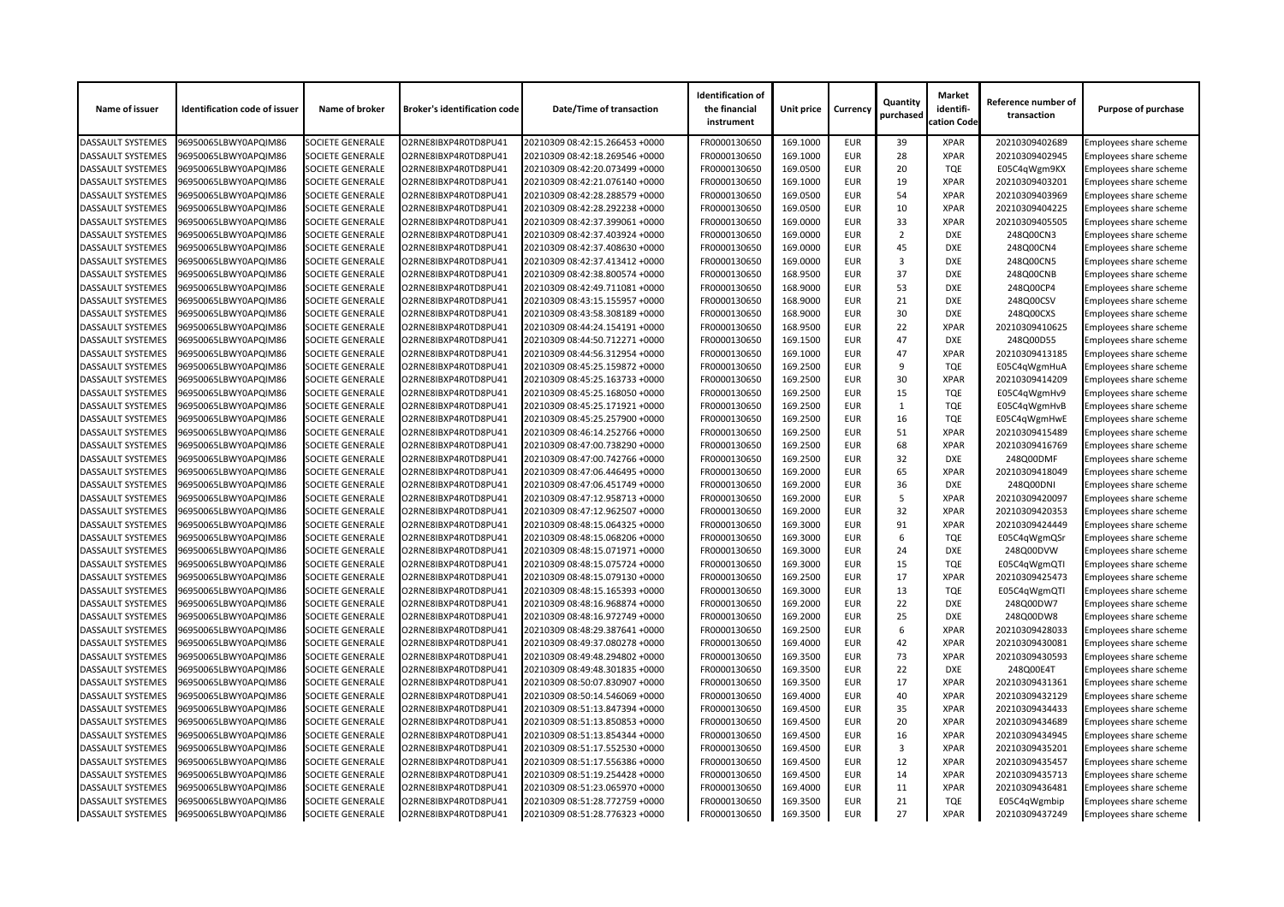| Name of issuer           | <b>Identification code of issuer</b> | Name of broker          | <b>Broker's identification code</b> | <b>Date/Time of transaction</b> | <b>Identification of</b><br>the financial<br>instrument | Unit price | <b>Currency</b> | Quantity<br>purchased | <b>Market</b><br>identifi-<br>cation Code | Reference number of<br>transaction | <b>Purpose of purchase</b>    |
|--------------------------|--------------------------------------|-------------------------|-------------------------------------|---------------------------------|---------------------------------------------------------|------------|-----------------|-----------------------|-------------------------------------------|------------------------------------|-------------------------------|
| <b>DASSAULT SYSTEMES</b> | 96950065LBWY0APQIM86                 | <b>SOCIETE GENERALE</b> | O2RNE8IBXP4R0TD8PU41                | 20210309 08:42:15.266453 +0000  | FR0000130650                                            | 169.1000   | <b>EUR</b>      | 39                    | <b>XPAR</b>                               | 20210309402689                     | Employees share scheme        |
| <b>DASSAULT SYSTEMES</b> | 96950065LBWY0APQIM86                 | <b>SOCIETE GENERALE</b> | O2RNE8IBXP4R0TD8PU41                | 20210309 08:42:18.269546 +0000  | FR0000130650                                            | 169.1000   | <b>EUR</b>      | 28                    | <b>XPAR</b>                               | 20210309402945                     | <b>Employees share scheme</b> |
| <b>DASSAULT SYSTEMES</b> | 96950065LBWY0APQIM86                 | SOCIETE GENERALE        | O2RNE8IBXP4R0TD8PU41                | 20210309 08:42:20.073499 +0000  | FR0000130650                                            | 169.0500   | <b>EUR</b>      | 20                    | <b>TQE</b>                                | E05C4qWgm9KX                       | Employees share scheme        |
| <b>DASSAULT SYSTEMES</b> | 96950065LBWY0APQIM86                 | <b>SOCIETE GENERALE</b> | O2RNE8IBXP4R0TD8PU41                | 20210309 08:42:21.076140 +0000  | FR0000130650                                            | 169.1000   | <b>EUR</b>      | 19                    | <b>XPAR</b>                               | 20210309403201                     | Employees share scheme        |
| <b>DASSAULT SYSTEMES</b> | 96950065LBWY0APQIM86                 | <b>SOCIETE GENERALE</b> | O2RNE8IBXP4R0TD8PU41                | 20210309 08:42:28.288579 +0000  | FR0000130650                                            | 169.0500   | <b>EUR</b>      | 54                    | <b>XPAR</b>                               | 20210309403969                     | Employees share scheme        |
| <b>DASSAULT SYSTEMES</b> | 96950065LBWY0APQIM86                 | <b>SOCIETE GENERALE</b> | O2RNE8IBXP4R0TD8PU41                | 20210309 08:42:28.292238 +0000  | FR0000130650                                            | 169.0500   | <b>EUR</b>      | 10                    | <b>XPAR</b>                               | 20210309404225                     | Employees share scheme        |
| <b>DASSAULT SYSTEMES</b> | 96950065LBWY0APQIM86                 | <b>SOCIETE GENERALE</b> | O2RNE8IBXP4R0TD8PU41                | 20210309 08:42:37.399061 +0000  | FR0000130650                                            | 169.0000   | <b>EUR</b>      | 33                    | <b>XPAR</b>                               | 20210309405505                     | Employees share scheme        |
| <b>DASSAULT SYSTEMES</b> | 96950065LBWY0APQIM86                 | SOCIETE GENERALE        | O2RNE8IBXP4R0TD8PU41                | 20210309 08:42:37.403924 +0000  | FR0000130650                                            | 169.0000   | <b>EUR</b>      | $\overline{2}$        | <b>DXE</b>                                | 248Q00CN3                          | Employees share scheme        |
| <b>DASSAULT SYSTEMES</b> | 96950065LBWY0APQIM86                 | <b>SOCIETE GENERALE</b> | O2RNE8IBXP4R0TD8PU41                | 20210309 08:42:37.408630 +0000  | FR0000130650                                            | 169.0000   | <b>EUR</b>      | 45                    | <b>DXE</b>                                | 248Q00CN4                          | <b>Employees share scheme</b> |
| <b>DASSAULT SYSTEMES</b> | 96950065LBWY0APQIM86                 | <b>SOCIETE GENERALE</b> | O2RNE8IBXP4R0TD8PU41                | 20210309 08:42:37.413412 +0000  | FR0000130650                                            | 169.0000   | <b>EUR</b>      | 3                     | <b>DXE</b>                                | 248Q00CN5                          | Employees share scheme        |
| <b>DASSAULT SYSTEMES</b> | 96950065LBWY0APQIM86                 | <b>SOCIETE GENERALE</b> | O2RNE8IBXP4R0TD8PU41                | 20210309 08:42:38.800574 +0000  | FR0000130650                                            | 168.9500   | <b>EUR</b>      | 37                    | <b>DXE</b>                                | 248Q00CNB                          | Employees share scheme        |
| <b>DASSAULT SYSTEMES</b> | 96950065LBWY0APQIM86                 | <b>SOCIETE GENERALE</b> | O2RNE8IBXP4R0TD8PU41                | 20210309 08:42:49.711081 +0000  | FR0000130650                                            | 168.9000   | <b>EUR</b>      | 53                    | <b>DXE</b>                                | 248Q00CP4                          | Employees share scheme        |
| <b>DASSAULT SYSTEMES</b> | 96950065LBWY0APQIM86                 | SOCIETE GENERALE        | O2RNE8IBXP4R0TD8PU41                | 20210309 08:43:15.155957 +0000  | FR0000130650                                            | 168.9000   | <b>EUR</b>      | 21                    | <b>DXE</b>                                | 248Q00CSV                          | Employees share scheme        |
| <b>DASSAULT SYSTEMES</b> | 96950065LBWY0APQIM86                 | <b>SOCIETE GENERALE</b> | O2RNE8IBXP4R0TD8PU41                | 20210309 08:43:58.308189 +0000  | FR0000130650                                            | 168.9000   | <b>EUR</b>      | 30                    | <b>DXE</b>                                | 248Q00CXS                          | Employees share scheme        |
| <b>DASSAULT SYSTEMES</b> | 96950065LBWY0APQIM86                 | <b>SOCIETE GENERALE</b> | O2RNE8IBXP4R0TD8PU41                | 20210309 08:44:24.154191 +0000  | FR0000130650                                            | 168.9500   | <b>EUR</b>      | 22                    | <b>XPAR</b>                               | 20210309410625                     | Employees share scheme        |
| <b>DASSAULT SYSTEMES</b> | 96950065LBWY0APQIM86                 | <b>SOCIETE GENERALE</b> | O2RNE8IBXP4R0TD8PU41                | 20210309 08:44:50.712271 +0000  | FR0000130650                                            | 169.1500   | <b>EUR</b>      | 47                    | <b>DXE</b>                                | 248Q00D55                          | Employees share scheme        |
| <b>DASSAULT SYSTEMES</b> | 96950065LBWY0APQIM86                 | <b>SOCIETE GENERALE</b> | O2RNE8IBXP4R0TD8PU41                | 20210309 08:44:56.312954 +0000  | FR0000130650                                            | 169.1000   | <b>EUR</b>      | 47                    | <b>XPAR</b>                               | 20210309413185                     | <b>Employees share scheme</b> |
| <b>DASSAULT SYSTEMES</b> | 96950065LBWY0APQIM86                 | SOCIETE GENERALE        | O2RNE8IBXP4R0TD8PU41                | 20210309 08:45:25.159872 +0000  | FR0000130650                                            | 169.2500   | <b>EUR</b>      | 9                     | <b>TQE</b>                                | E05C4qWgmHuA                       | Employees share scheme        |
| <b>DASSAULT SYSTEMES</b> | 96950065LBWY0APQIM86                 | <b>SOCIETE GENERALE</b> | O2RNE8IBXP4R0TD8PU41                | 20210309 08:45:25.163733 +0000  | FR0000130650                                            | 169.2500   | <b>EUR</b>      | 30                    | <b>XPAR</b>                               | 20210309414209                     | <b>Employees share scheme</b> |
| <b>DASSAULT SYSTEMES</b> | 96950065LBWY0APQIM86                 | <b>SOCIETE GENERALE</b> | O2RNE8IBXP4R0TD8PU41                | 20210309 08:45:25.168050 +0000  | FR0000130650                                            | 169.2500   | <b>EUR</b>      | 15                    | <b>TQE</b>                                |                                    |                               |
| <b>DASSAULT SYSTEMES</b> | 96950065LBWY0APQIM86                 | <b>SOCIETE GENERALE</b> | O2RNE8IBXP4R0TD8PU41                | 20210309 08:45:25.171921 +0000  | FR0000130650                                            | 169.2500   | <b>EUR</b>      | $\mathbf{1}$          | <b>TQE</b>                                | E05C4qWgmHv9                       | Employees share scheme        |
|                          |                                      |                         |                                     |                                 |                                                         |            |                 |                       |                                           | E05C4qWgmHvB                       | Employees share scheme        |
| <b>DASSAULT SYSTEMES</b> | 96950065LBWY0APQIM86                 | <b>SOCIETE GENERALE</b> | O2RNE8IBXP4R0TD8PU41                | 20210309 08:45:25.257900 +0000  | FR0000130650                                            | 169.2500   | <b>EUR</b>      | 16                    | <b>TQE</b>                                | E05C4qWgmHwE                       | <b>Employees share scheme</b> |
| <b>DASSAULT SYSTEMES</b> | 96950065LBWY0APQIM86                 | SOCIETE GENERALE        | O2RNE8IBXP4R0TD8PU41                | 20210309 08:46:14.252766 +0000  | FR0000130650                                            | 169.2500   | <b>EUR</b>      | 51                    | <b>XPAR</b>                               | 20210309415489                     | Employees share scheme        |
| <b>DASSAULT SYSTEMES</b> | 96950065LBWY0APQIM86                 | <b>SOCIETE GENERALE</b> | O2RNE8IBXP4R0TD8PU41                | 20210309 08:47:00.738290 +0000  | FR0000130650                                            | 169.2500   | <b>EUR</b>      | 68                    | <b>XPAR</b>                               | 20210309416769                     | Employees share scheme        |
| <b>DASSAULT SYSTEMES</b> | 96950065LBWY0APQIM86                 | <b>SOCIETE GENERALE</b> | O2RNE8IBXP4R0TD8PU41                | 20210309 08:47:00.742766 +0000  | FR0000130650                                            | 169.2500   | <b>EUR</b>      | 32                    | <b>DXE</b>                                | 248Q00DMF                          | <b>Employees share scheme</b> |
| <b>DASSAULT SYSTEMES</b> | 96950065LBWY0APQIM86                 | SOCIETE GENERALE        | O2RNE8IBXP4R0TD8PU41                | 20210309 08:47:06.446495 +0000  | FR0000130650                                            | 169.2000   | <b>EUR</b>      | 65                    | <b>XPAR</b>                               | 20210309418049                     | Employees share scheme        |
| <b>DASSAULT SYSTEMES</b> | 96950065LBWY0APQIM86                 | <b>SOCIETE GENERALE</b> | O2RNE8IBXP4R0TD8PU41                | 20210309 08:47:06.451749 +0000  | FR0000130650                                            | 169.2000   | <b>EUR</b>      | 36                    | <b>DXE</b>                                | 248Q00DNI                          | Employees share scheme        |
| <b>DASSAULT SYSTEMES</b> | 96950065LBWY0APQIM86                 | <b>SOCIETE GENERALE</b> | O2RNE8IBXP4R0TD8PU41                | 20210309 08:47:12.958713 +0000  | FR0000130650                                            | 169.2000   | <b>EUR</b>      | -5                    | <b>XPAR</b>                               | 20210309420097                     | Employees share scheme        |
| <b>DASSAULT SYSTEMES</b> | 96950065LBWY0APQIM86                 | <b>SOCIETE GENERALE</b> | O2RNE8IBXP4R0TD8PU41                | 20210309 08:47:12.962507 +0000  | FR0000130650                                            | 169.2000   | <b>EUR</b>      | 32                    | <b>XPAR</b>                               | 20210309420353                     | <b>Employees share scheme</b> |
| <b>DASSAULT SYSTEMES</b> | 96950065LBWY0APQIM86                 | <b>SOCIETE GENERALE</b> | O2RNE8IBXP4R0TD8PU41                | 20210309 08:48:15.064325 +0000  | FR0000130650                                            | 169.3000   | <b>EUR</b>      | 91                    | <b>XPAR</b>                               | 20210309424449                     | <b>Employees share scheme</b> |
| <b>DASSAULT SYSTEMES</b> | 96950065LBWY0APQIM86                 | <b>SOCIETE GENERALE</b> | O2RNE8IBXP4R0TD8PU41                | 20210309 08:48:15.068206 +0000  | FR0000130650                                            | 169.3000   | <b>EUR</b>      | 6                     | <b>TQE</b>                                | E05C4qWgmQSr                       | Employees share scheme        |
| <b>DASSAULT SYSTEMES</b> | 96950065LBWY0APQIM86                 | <b>SOCIETE GENERALE</b> | O2RNE8IBXP4R0TD8PU41                | 20210309 08:48:15.071971 +0000  | FR0000130650                                            | 169.3000   | <b>EUR</b>      | 24                    | <b>DXE</b>                                | 248Q00DVW                          | <b>Employees share scheme</b> |
| <b>DASSAULT SYSTEMES</b> | 96950065LBWY0APQIM86                 | <b>SOCIETE GENERALE</b> | O2RNE8IBXP4R0TD8PU41                | 20210309 08:48:15.075724 +0000  | FR0000130650                                            | 169.3000   | <b>EUR</b>      | 15                    | <b>TQE</b>                                | E05C4qWgmQTI                       | Employees share scheme        |
| <b>DASSAULT SYSTEMES</b> | 96950065LBWY0APQIM86                 | <b>SOCIETE GENERALE</b> | O2RNE8IBXP4R0TD8PU41                | 20210309 08:48:15.079130 +0000  | FR0000130650                                            | 169.2500   | <b>EUR</b>      | 17                    | <b>XPAR</b>                               | 20210309425473                     | <b>Employees share scheme</b> |
| <b>DASSAULT SYSTEMES</b> | 96950065LBWY0APQIM86                 | <b>SOCIETE GENERALE</b> | O2RNE8IBXP4R0TD8PU41                | 20210309 08:48:15.165393 +0000  | FR0000130650                                            | 169.3000   | <b>EUR</b>      | 13                    | <b>TQE</b>                                | E05C4qWgmQTl                       | Employees share scheme        |
| <b>DASSAULT SYSTEMES</b> | 96950065LBWY0APQIM86                 | <b>SOCIETE GENERALE</b> | O2RNE8IBXP4R0TD8PU41                | 20210309 08:48:16.968874 +0000  | FR0000130650                                            | 169.2000   | <b>EUR</b>      | 22                    | <b>DXE</b>                                | 248Q00DW7                          | Employees share scheme        |
| <b>DASSAULT SYSTEMES</b> | 96950065LBWY0APQIM86                 | <b>SOCIETE GENERALE</b> | O2RNE8IBXP4R0TD8PU41                | 20210309 08:48:16.972749 +0000  | FR0000130650                                            | 169.2000   | <b>EUR</b>      | 25                    | <b>DXE</b>                                | 248Q00DW8                          | <b>Employees share scheme</b> |
| <b>DASSAULT SYSTEMES</b> | 96950065LBWY0APQIM86                 | <b>SOCIETE GENERALE</b> | O2RNE8IBXP4R0TD8PU41                | 20210309 08:48:29.387641 +0000  | FR0000130650                                            | 169.2500   | <b>EUR</b>      | 6                     | <b>XPAR</b>                               | 20210309428033                     | Employees share scheme        |
| <b>DASSAULT SYSTEMES</b> | 96950065LBWY0APQIM86                 | <b>SOCIETE GENERALE</b> | O2RNE8IBXP4R0TD8PU41                | 20210309 08:49:37.080278 +0000  | FR0000130650                                            | 169.4000   | <b>EUR</b>      | 42                    | <b>XPAR</b>                               | 20210309430081                     | Employees share scheme        |
| <b>DASSAULT SYSTEMES</b> | 96950065LBWY0APQIM86                 | <b>SOCIETE GENERALE</b> | O2RNE8IBXP4R0TD8PU41                | 20210309 08:49:48.294802 +0000  | FR0000130650                                            | 169.3500   | <b>EUR</b>      | 73                    | <b>XPAR</b>                               | 20210309430593                     | Employees share scheme        |
| <b>DASSAULT SYSTEMES</b> | 96950065LBWY0APQIM86                 | <b>SOCIETE GENERALE</b> | O2RNE8IBXP4R0TD8PU41                | 20210309 08:49:48.301835 +0000  | FR0000130650                                            | 169.3500   | <b>EUR</b>      | 22                    | <b>DXE</b>                                | 248Q00E4T                          | Employees share scheme        |
| <b>DASSAULT SYSTEMES</b> | 96950065LBWY0APQIM86                 | <b>SOCIETE GENERALE</b> | O2RNE8IBXP4R0TD8PU41                | 20210309 08:50:07.830907 +0000  | FR0000130650                                            | 169.3500   | <b>EUR</b>      | 17                    | <b>XPAR</b>                               | 20210309431361                     | <b>Employees share scheme</b> |
| <b>DASSAULT SYSTEMES</b> | 96950065LBWY0APQIM86                 | <b>SOCIETE GENERALE</b> | O2RNE8IBXP4R0TD8PU41                | 20210309 08:50:14.546069 +0000  | FR0000130650                                            | 169.4000   | <b>EUR</b>      | 40                    | <b>XPAR</b>                               | 20210309432129                     | Employees share scheme        |
| <b>DASSAULT SYSTEMES</b> | 96950065LBWY0APQIM86                 | <b>SOCIETE GENERALE</b> | O2RNE8IBXP4R0TD8PU41                | 20210309 08:51:13.847394 +0000  | FR0000130650                                            | 169.4500   | <b>EUR</b>      | 35                    | <b>XPAR</b>                               | 20210309434433                     | Employees share scheme        |
| <b>DASSAULT SYSTEMES</b> | 96950065LBWY0APQIM86                 | <b>SOCIETE GENERALE</b> | O2RNE8IBXP4R0TD8PU41                | 20210309 08:51:13.850853 +0000  | FR0000130650                                            | 169.4500   | <b>EUR</b>      | 20                    | <b>XPAR</b>                               | 20210309434689                     | Employees share scheme        |
| <b>DASSAULT SYSTEMES</b> | 96950065LBWY0APQIM86                 | <b>SOCIETE GENERALE</b> | O2RNE8IBXP4R0TD8PU41                | 20210309 08:51:13.854344 +0000  | FR0000130650                                            | 169.4500   | <b>EUR</b>      | 16                    | <b>XPAR</b>                               | 20210309434945                     | Employees share scheme        |
| <b>DASSAULT SYSTEMES</b> | 96950065LBWY0APQIM86                 | <b>SOCIETE GENERALE</b> | O2RNE8IBXP4R0TD8PU41                | 20210309 08:51:17.552530 +0000  | FR0000130650                                            | 169.4500   | <b>EUR</b>      | 3                     | <b>XPAR</b>                               | 20210309435201                     | <b>Employees share scheme</b> |
| <b>DASSAULT SYSTEMES</b> | 96950065LBWY0APQIM86                 | <b>SOCIETE GENERALE</b> | O2RNE8IBXP4R0TD8PU41                | 20210309 08:51:17.556386 +0000  | FR0000130650                                            | 169.4500   | <b>EUR</b>      | 12                    | <b>XPAR</b>                               | 20210309435457                     | Employees share scheme        |
| <b>DASSAULT SYSTEMES</b> | 96950065LBWY0APQIM86                 | <b>SOCIETE GENERALE</b> | O2RNE8IBXP4R0TD8PU41                | 20210309 08:51:19.254428 +0000  | FR0000130650                                            | 169.4500   | <b>EUR</b>      | 14                    | <b>XPAR</b>                               | 20210309435713                     | Employees share scheme        |
| <b>DASSAULT SYSTEMES</b> | 96950065LBWY0APQIM86                 | <b>SOCIETE GENERALE</b> | O2RNE8IBXP4R0TD8PU41                | 20210309 08:51:23.065970 +0000  | FR0000130650                                            | 169.4000   | <b>EUR</b>      | 11                    | <b>XPAR</b>                               | 20210309436481                     | Employees share scheme        |
| <b>DASSAULT SYSTEMES</b> | 96950065LBWY0APQIM86                 | <b>SOCIETE GENERALE</b> | O2RNE8IBXP4R0TD8PU41                | 20210309 08:51:28.772759 +0000  | FR0000130650                                            | 169.3500   | <b>EUR</b>      | 21                    | <b>TQE</b>                                | E05C4qWgmbip                       | <b>Employees share scheme</b> |
| <b>DASSAULT SYSTEMES</b> | 96950065LBWY0APQIM86                 | <b>SOCIETE GENERALE</b> | O2RNE8IBXP4R0TD8PU41                | 20210309 08:51:28.776323 +0000  | FR0000130650                                            | 169.3500   | <b>EUR</b>      | 27                    | <b>XPAR</b>                               | 20210309437249                     | <b>Employees share scheme</b> |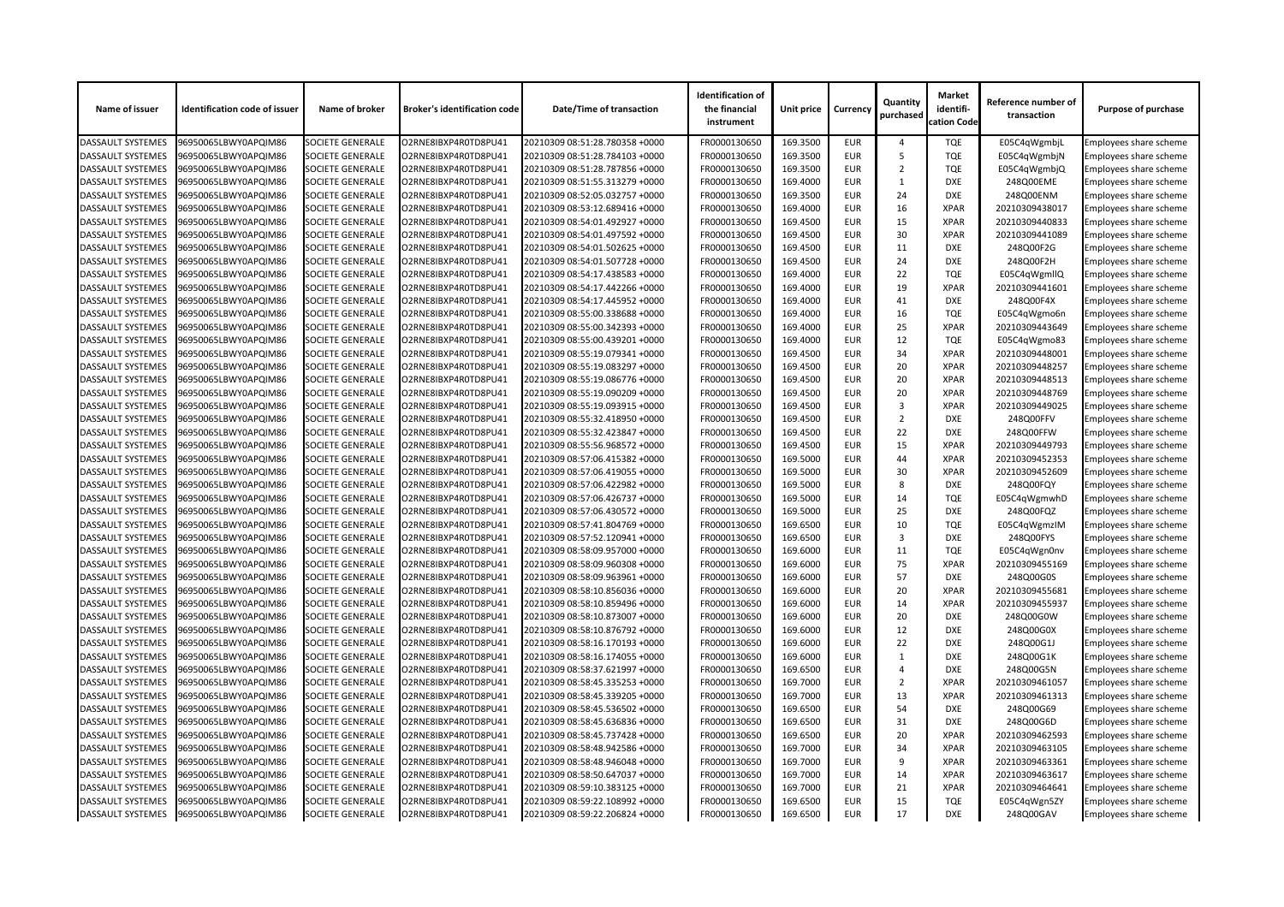| 96950065LBWY0APQIM86<br><b>SOCIETE GENERALE</b><br>O2RNE8IBXP4R0TD8PU41<br>20210309 08:51:28.780358 +0000<br>FR0000130650<br>169.3500<br><b>EUR</b><br><b>TQE</b><br>Employees share scheme<br><b>DASSAULT SYSTEMES</b><br>E05C4qWgmbjL<br>Δ<br><b>DASSAULT SYSTEMES</b><br><b>SOCIETE GENERALE</b><br>FR0000130650<br>169.3500<br><b>TQE</b><br>E05C4qWgmbjN<br>96950065LBWY0APQIM86<br>O2RNE8IBXP4R0TD8PU41<br>20210309 08:51:28.784103 +0000<br><b>EUR</b><br>-5<br><b>Employees share scheme</b><br><b>TQE</b><br>169.3500<br><b>DASSAULT SYSTEMES</b><br>96950065LBWY0APQIM86<br><b>SOCIETE GENERALE</b><br>O2RNE8IBXP4R0TD8PU41<br>20210309 08:51:28.787856 +0000<br>FR0000130650<br><b>EUR</b><br>2<br>E05C4qWgmbjQ<br><b>Employees share scheme</b><br><b>DASSAULT SYSTEMES</b><br>169.4000<br>Employees share scheme<br>96950065LBWY0APQIM86<br><b>SOCIETE GENERALE</b><br>O2RNE8IBXP4R0TD8PU41<br>20210309 08:51:55.313279 +0000<br>FR0000130650<br><b>EUR</b><br><b>DXE</b><br>248Q00EME<br><b>SOCIETE GENERALE</b><br>FR0000130650<br>169.3500<br>24<br><b>DXE</b><br><b>DASSAULT SYSTEMES</b><br>96950065LBWY0APQIM86<br>O2RNE8IBXP4R0TD8PU41<br>20210309 08:52:05.032757 +0000<br><b>EUR</b><br>248Q00ENM<br><b>Employees share scheme</b><br>16<br><b>SOCIETE GENERALE</b><br>FR0000130650<br>169.4000<br><b>EUR</b><br><b>XPAR</b><br>20210309438017<br><b>DASSAULT SYSTEMES</b><br>96950065LBWY0APQIM86<br>O2RNE8IBXP4R0TD8PU41<br>20210309 08:53:12.689416 +0000<br>Employees share scheme<br>15<br><b>SOCIETE GENERALE</b><br>O2RNE8IBXP4R0TD8PU41<br>FR0000130650<br>169.4500<br><b>EUR</b><br><b>XPAR</b><br>20210309440833<br>96950065LBWY0APQIM86<br>20210309 08:54:01.492927 +0000<br>Employees share scheme<br>30<br>169.4500<br><b>EUR</b><br><b>XPAR</b><br><b>DASSAULT SYSTEMES</b><br>96950065LBWY0APQIM86<br><b>SOCIETE GENERALE</b><br>O2RNE8IBXP4R0TD8PU41<br>20210309 08:54:01.497592 +0000<br>FR0000130650<br>20210309441089<br>Employees share scheme<br><b>DASSAULT SYSTEMES</b><br><b>SOCIETE GENERALE</b><br>169.4500<br><b>EUR</b><br>11<br>248Q00F2G<br>Employees share scheme<br>96950065LBWY0APQIM86<br>O2RNE8IBXP4R0TD8PU41<br>20210309 08:54:01.502625 +0000<br>FR0000130650<br><b>DXE</b><br>24<br><b>SOCIETE GENERALE</b><br>FR0000130650<br>169.4500<br><b>DXE</b><br>248Q00F2H<br><b>DASSAULT SYSTEMES</b><br>96950065LBWY0APQIM86<br>O2RNE8IBXP4R0TD8PU41<br>20210309 08:54:01.507728 +0000<br><b>EUR</b><br>Employees share scheme<br>22<br><b>TQE</b><br><b>SOCIETE GENERALE</b><br>FR0000130650<br>169.4000<br><b>EUR</b><br>E05C4qWgmllQ<br><b>DASSAULT SYSTEMES</b><br>96950065LBWY0APQIM86<br>O2RNE8IBXP4R0TD8PU41<br>20210309 08:54:17.438583 +0000<br>Employees share scheme<br>19<br><b>DASSAULT SYSTEMES</b><br><b>SOCIETE GENERALE</b><br>FR0000130650<br>169.4000<br><b>EUR</b><br><b>XPAR</b><br>96950065LBWY0APQIM86<br>O2RNE8IBXP4R0TD8PU41<br>20210309 08:54:17.442266 +0000<br>20210309441601<br>Employees share scheme<br>169.4000<br><b>EUR</b><br>41<br><b>DXE</b><br>248Q00F4X<br><b>DASSAULT SYSTEMES</b><br>96950065LBWY0APQIM86<br><b>SOCIETE GENERALE</b><br>O2RNE8IBXP4R0TD8PU41<br>20210309 08:54:17.445952 +0000<br>FR0000130650<br>Employees share scheme<br><b>DASSAULT SYSTEMES</b><br><b>SOCIETE GENERALE</b><br>O2RNE8IBXP4R0TD8PU41<br>FR0000130650<br>169.4000<br><b>EUR</b><br>16<br>Employees share scheme<br>96950065LBWY0APQIM86<br>20210309 08:55:00.338688 +0000<br><b>TQE</b><br>E05C4qWgmo6n<br>25<br>169.4000<br><b>XPAR</b><br>20210309443649<br><b>DASSAULT SYSTEMES</b><br>96950065LBWY0APQIM86<br><b>SOCIETE GENERALE</b><br>O2RNE8IBXP4R0TD8PU41<br>20210309 08:55:00.342393 +0000<br>FR0000130650<br><b>EUR</b><br>Employees share scheme<br>12<br><b>TQE</b><br><b>SOCIETE GENERALE</b><br>FR0000130650<br>169.4000<br><b>EUR</b><br>E05C4qWgmo83<br><b>DASSAULT SYSTEMES</b><br>96950065LBWY0APQIM86<br>O2RNE8IBXP4R0TD8PU41<br>20210309 08:55:00.439201 +0000<br>Employees share scheme<br>34<br><b>SOCIETE GENERALE</b><br>O2RNE8IBXP4R0TD8PU41<br>FR0000130650<br>169.4500<br><b>EUR</b><br><b>XPAR</b><br>20210309448001<br>96950065LBWY0APQIM86<br>20210309 08:55:19.079341 +0000<br>Employees share scheme<br>169.4500<br>20<br><b>XPAR</b><br><b>DASSAULT SYSTEMES</b><br>96950065LBWY0APQIM86<br><b>SOCIETE GENERALE</b><br>O2RNE8IBXP4R0TD8PU41<br>20210309 08:55:19.083297 +0000<br>FR0000130650<br><b>EUR</b><br>20210309448257<br>Employees share scheme<br><b>DASSAULT SYSTEMES</b><br><b>SOCIETE GENERALE</b><br>O2RNE8IBXP4R0TD8PU41<br>20210309 08:55:19.086776 +0000<br>FR0000130650<br>169.4500<br><b>EUR</b><br>20<br><b>XPAR</b><br>20210309448513<br>96950065LBWY0APQIM86<br>Employees share scheme<br><b>SOCIETE GENERALE</b><br>FR0000130650<br>169.4500<br>20<br><b>XPAR</b><br>20210309448769<br><b>DASSAULT SYSTEMES</b><br>96950065LBWY0APQIM86<br>O2RNE8IBXP4R0TD8PU41<br>20210309 08:55:19.090209 +0000<br><b>EUR</b><br>Employees share scheme<br><b>SOCIETE GENERALE</b><br>FR0000130650<br>169.4500<br><b>EUR</b><br>3<br><b>XPAR</b><br><b>DASSAULT SYSTEMES</b><br>96950065LBWY0APQIM86<br>O2RNE8IBXP4R0TD8PU41<br>20210309 08:55:19.093915 +0000<br>20210309449025<br>Employees share scheme<br><b>SOCIETE GENERALE</b><br>FR0000130650<br>169.4500<br><b>EUR</b><br>$\overline{2}$<br><b>DXE</b><br>248Q00FFV<br>96950065LBWY0APQIM86<br>O2RNE8IBXP4R0TD8PU41<br>20210309 08:55:32.418950 +0000<br>Employees share scheme<br>22<br>169.4500<br><b>EUR</b><br><b>DXE</b><br><b>DASSAULT SYSTEMES</b><br>96950065LBWY0APQIM86<br><b>SOCIETE GENERALE</b><br>O2RNE8IBXP4R0TD8PU41<br>20210309 08:55:32.423847 +0000<br>FR0000130650<br>248Q00FFW<br>Employees share scheme<br><b>DASSAULT SYSTEMES</b><br><b>SOCIETE GENERALE</b><br>O2RNE8IBXP4R0TD8PU41<br>20210309 08:55:56.968572 +0000<br>FR0000130650<br>169.4500<br><b>EUR</b><br>15<br>20210309449793<br>96950065LBWY0APQIM86<br><b>XPAR</b><br>Employees share scheme<br><b>SOCIETE GENERALE</b><br>169.5000<br>44<br><b>XPAR</b><br>20210309452353<br><b>DASSAULT SYSTEMES</b><br>96950065LBWY0APQIM86<br>O2RNE8IBXP4R0TD8PU41<br>20210309 08:57:06.415382 +0000<br>FR0000130650<br><b>EUR</b><br>Employees share scheme<br><b>SOCIETE GENERALE</b><br>169.5000<br><b>EUR</b><br>30<br><b>XPAR</b><br><b>DASSAULT SYSTEMES</b><br>96950065LBWY0APQIM86<br>O2RNE8IBXP4R0TD8PU41<br>20210309 08:57:06.419055 +0000<br>FR0000130650<br>20210309452609<br>Employees share scheme<br>FR0000130650<br>169.5000<br><b>DXE</b><br>248Q00FQY<br>96950065LBWY0APQIM86<br><b>SOCIETE GENERALE</b><br>O2RNE8IBXP4R0TD8PU41<br>20210309 08:57:06.422982 +0000<br><b>EUR</b><br>Employees share scheme<br><b>DASSAULT SYSTEMES</b><br>96950065LBWY0APQIM86<br><b>SOCIETE GENERALE</b><br>FR0000130650<br>169.5000<br><b>EUR</b><br>14<br><b>TQE</b><br>O2RNE8IBXP4R0TD8PU41<br>20210309 08:57:06.426737 +0000<br>E05C4qWgmwhD<br><b>Employees share scheme</b><br>169.5000<br>248Q00FQZ<br>96950065LBWY0APQIM86<br><b>SOCIETE GENERALE</b><br>O2RNE8IBXP4R0TD8PU41<br>20210309 08:57:06.430572 +0000<br>FR0000130650<br><b>EUR</b><br>25<br><b>DXE</b><br><b>Employees share scheme</b><br>169.6500<br>10<br><b>DASSAULT SYSTEMES</b><br>96950065LBWY0APQIM86<br><b>SOCIETE GENERALE</b><br>O2RNE8IBXP4R0TD8PU41<br>20210309 08:57:41.804769 +0000<br>FR0000130650<br><b>EUR</b><br><b>TQE</b><br>E05C4qWgmzIM<br><b>Employees share scheme</b><br>169.6500<br>248Q00FYS<br><b>DASSAULT SYSTEMES</b><br>96950065LBWY0APQIM86<br><b>SOCIETE GENERALE</b><br>O2RNE8IBXP4R0TD8PU41<br>20210309 08:57:52.120941 +0000<br>FR0000130650<br><b>EUR</b><br><b>DXE</b><br>Employees share scheme<br>3<br>FR0000130650<br>169.6000<br>96950065LBWY0APQIM86<br><b>SOCIETE GENERALE</b><br>O2RNE8IBXP4R0TD8PU41<br>20210309 08:58:09.957000 +0000<br><b>EUR</b><br>11<br><b>TQE</b><br>E05C4qWgn0nv<br><b>Employees share scheme</b><br>169.6000<br>75<br><b>DASSAULT SYSTEMES</b><br><b>SOCIETE GENERALE</b><br>O2RNE8IBXP4R0TD8PU41<br>FR0000130650<br><b>EUR</b><br><b>XPAR</b><br>20210309455169<br>Employees share scheme<br>96950065LBWY0APQIM86<br>20210309 08:58:09.960308 +0000<br><b>DASSAULT SYSTEMES</b><br>57<br>248Q00G0S<br>96950065LBWY0APQIM86<br><b>SOCIETE GENERALE</b><br>O2RNE8IBXP4R0TD8PU41<br>20210309 08:58:09.963961 +0000<br>FR0000130650<br>169.6000<br><b>EUR</b><br><b>DXE</b><br>Employees share scheme<br>169.6000<br>20<br><b>DASSAULT SYSTEMES</b><br>96950065LBWY0APQIM86<br><b>SOCIETE GENERALE</b><br>O2RNE8IBXP4R0TD8PU41<br>20210309 08:58:10.856036 +0000<br>FR0000130650<br><b>EUR</b><br><b>XPAR</b><br>20210309455681<br>Employees share scheme<br><b>DASSAULT SYSTEMES</b><br>169.6000<br><b>EUR</b><br>96950065LBWY0APQIM86<br><b>SOCIETE GENERALE</b><br>O2RNE8IBXP4R0TD8PU41<br>20210309 08:58:10.859496 +0000<br>FR0000130650<br>14<br><b>XPAR</b><br>20210309455937<br>Employees share scheme<br><b>DASSAULT SYSTEMES</b><br>FR0000130650<br>169.6000<br>20<br>248Q00G0W<br>96950065LBWY0APQIM86<br><b>SOCIETE GENERALE</b><br>O2RNE8IBXP4R0TD8PU41<br>20210309 08:58:10.873007 +0000<br><b>EUR</b><br><b>DXE</b><br>Employees share scheme<br>169.6000<br><b>DASSAULT SYSTEMES</b><br><b>SOCIETE GENERALE</b><br>O2RNE8IBXP4R0TD8PU41<br>FR0000130650<br><b>EUR</b><br>12<br><b>DXE</b><br>248Q00G0X<br>Employees share scheme<br>96950065LBWY0APQIM86<br>20210309 08:58:10.876792 +0000<br><b>DASSAULT SYSTEMES</b><br>22<br>96950065LBWY0APQIM86<br><b>SOCIETE GENERALE</b><br>O2RNE8IBXP4R0TD8PU41<br>20210309 08:58:16.170193 +0000<br>FR0000130650<br>169.6000<br><b>EUR</b><br>248Q00G1J<br><b>Employees share scheme</b><br><b>DXE</b><br>169.6000<br><b>DASSAULT SYSTEMES</b><br><b>SOCIETE GENERALE</b><br>O2RNE8IBXP4R0TD8PU41<br>20210309 08:58:16.174055 +0000<br>FR0000130650<br><b>DXE</b><br>248Q00G1K<br>Employees share scheme<br>96950065LBWY0APQIM86<br><b>EUR</b><br><b>DASSAULT SYSTEMES</b><br>169.6500<br>96950065LBWY0APQIM86<br><b>SOCIETE GENERALE</b><br>O2RNE8IBXP4R0TD8PU41<br>20210309 08:58:37.621997 +0000<br>FR0000130650<br><b>EUR</b><br><b>DXE</b><br>248Q00G5N<br>Employees share scheme<br><b>DASSAULT SYSTEMES</b><br>FR0000130650<br>169.7000<br>Employees share scheme<br>96950065LBWY0APQIM86<br><b>SOCIETE GENERALE</b><br>O2RNE8IBXP4R0TD8PU41<br>20210309 08:58:45.335253 +0000<br><b>EUR</b><br>2<br><b>XPAR</b><br>20210309461057<br>169.7000<br><b>DASSAULT SYSTEMES</b><br><b>SOCIETE GENERALE</b><br>O2RNE8IBXP4R0TD8PU41<br>FR0000130650<br><b>EUR</b><br>13<br><b>XPAR</b><br>20210309461313<br>Employees share scheme<br>96950065LBWY0APQIM86<br>20210309 08:58:45.339205 +0000<br><b>DASSAULT SYSTEMES</b><br>169.6500<br>54<br>96950065LBWY0APQIM86<br><b>SOCIETE GENERALE</b><br>O2RNE8IBXP4R0TD8PU41<br>20210309 08:58:45.536502 +0000<br>FR0000130650<br><b>EUR</b><br><b>DXE</b><br>248Q00G69<br>Employees share scheme<br>169.6500<br>31<br><b>DASSAULT SYSTEMES</b><br>96950065LBWY0APQIM86<br><b>SOCIETE GENERALE</b><br>O2RNE8IBXP4R0TD8PU41<br>20210309 08:58:45.636836 +0000<br>FR0000130650<br><b>EUR</b><br><b>DXE</b><br>248Q00G6D<br>Employees share scheme<br><b>DASSAULT SYSTEMES</b><br>169.6500<br><b>EUR</b><br>20<br>96950065LBWY0APQIM86<br><b>SOCIETE GENERALE</b><br>O2RNE8IBXP4R0TD8PU41<br>20210309 08:58:45.737428 +0000<br>FR0000130650<br><b>XPAR</b><br>20210309462593<br>Employees share scheme<br>34<br><b>DASSAULT SYSTEMES</b><br>FR0000130650<br>169.7000<br><b>XPAR</b><br>20210309463105<br>96950065LBWY0APQIM86<br><b>SOCIETE GENERALE</b><br>O2RNE8IBXP4R0TD8PU41<br>20210309 08:58:48.942586 +0000<br><b>EUR</b><br>Employees share scheme<br>169.7000<br><b>DASSAULT SYSTEMES</b><br><b>SOCIETE GENERALE</b><br>O2RNE8IBXP4R0TD8PU41<br>FR0000130650<br><b>EUR</b><br>-9<br><b>XPAR</b><br>20210309463361<br>96950065LBWY0APQIM86<br>20210309 08:58:48.946048 +0000<br>Employees share scheme<br><b>DASSAULT SYSTEMES</b><br>169.7000<br>14<br>96950065LBWY0APQIM86<br><b>SOCIETE GENERALE</b><br>O2RNE8IBXP4R0TD8PU41<br>FR0000130650<br><b>EUR</b><br>20210309463617<br>Employees share scheme<br>20210309 08:58:50.647037 +0000<br><b>XPAR</b><br>169.7000<br>21<br><b>DASSAULT SYSTEMES</b><br>96950065LBWY0APQIM86<br><b>SOCIETE GENERALE</b><br>O2RNE8IBXP4R0TD8PU41<br>20210309 08:59:10.383125 +0000<br>FR0000130650<br><b>EUR</b><br><b>XPAR</b><br>20210309464641<br>Employees share scheme<br>169.6500<br>Employees share scheme<br><b>DASSAULT SYSTEMES</b><br>96950065LBWY0APQIM86<br><b>SOCIETE GENERALE</b><br>O2RNE8IBXP4R0TD8PU41<br>20210309 08:59:22.108992 +0000<br>FR0000130650<br><b>EUR</b><br>15<br><b>TQE</b><br>E05C4qWgn5ZY<br><b>Employees share scheme</b><br>96950065LBWY0APQIM86<br><b>SOCIETE GENERALE</b><br>O2RNE8IBXP4R0TD8PU41<br>20210309 08:59:22.206824 +0000<br>FR0000130650<br>169.6500<br><b>DXE</b><br>248Q00GAV<br><b>EUR</b><br>17 | Name of issuer           | <b>Identification code of issuer</b> | Name of broker | <b>Broker's identification code</b> | <b>Date/Time of transaction</b> | <b>Identification of</b><br>the financial<br>instrument | <b>Unit price</b> | <b>Currency</b> | Quantity<br>purchased | <b>Market</b><br>identifi-<br>cation Code | Reference number of<br>transaction | <b>Purpose of purchase</b> |
|--------------------------------------------------------------------------------------------------------------------------------------------------------------------------------------------------------------------------------------------------------------------------------------------------------------------------------------------------------------------------------------------------------------------------------------------------------------------------------------------------------------------------------------------------------------------------------------------------------------------------------------------------------------------------------------------------------------------------------------------------------------------------------------------------------------------------------------------------------------------------------------------------------------------------------------------------------------------------------------------------------------------------------------------------------------------------------------------------------------------------------------------------------------------------------------------------------------------------------------------------------------------------------------------------------------------------------------------------------------------------------------------------------------------------------------------------------------------------------------------------------------------------------------------------------------------------------------------------------------------------------------------------------------------------------------------------------------------------------------------------------------------------------------------------------------------------------------------------------------------------------------------------------------------------------------------------------------------------------------------------------------------------------------------------------------------------------------------------------------------------------------------------------------------------------------------------------------------------------------------------------------------------------------------------------------------------------------------------------------------------------------------------------------------------------------------------------------------------------------------------------------------------------------------------------------------------------------------------------------------------------------------------------------------------------------------------------------------------------------------------------------------------------------------------------------------------------------------------------------------------------------------------------------------------------------------------------------------------------------------------------------------------------------------------------------------------------------------------------------------------------------------------------------------------------------------------------------------------------------------------------------------------------------------------------------------------------------------------------------------------------------------------------------------------------------------------------------------------------------------------------------------------------------------------------------------------------------------------------------------------------------------------------------------------------------------------------------------------------------------------------------------------------------------------------------------------------------------------------------------------------------------------------------------------------------------------------------------------------------------------------------------------------------------------------------------------------------------------------------------------------------------------------------------------------------------------------------------------------------------------------------------------------------------------------------------------------------------------------------------------------------------------------------------------------------------------------------------------------------------------------------------------------------------------------------------------------------------------------------------------------------------------------------------------------------------------------------------------------------------------------------------------------------------------------------------------------------------------------------------------------------------------------------------------------------------------------------------------------------------------------------------------------------------------------------------------------------------------------------------------------------------------------------------------------------------------------------------------------------------------------------------------------------------------------------------------------------------------------------------------------------------------------------------------------------------------------------------------------------------------------------------------------------------------------------------------------------------------------------------------------------------------------------------------------------------------------------------------------------------------------------------------------------------------------------------------------------------------------------------------------------------------------------------------------------------------------------------------------------------------------------------------------------------------------------------------------------------------------------------------------------------------------------------------------------------------------------------------------------------------------------------------------------------------------------------------------------------------------------------------------------------------------------------------------------------------------------------------------------------------------------------------------------------------------------------------------------------------------------------------------------------------------------------------------------------------------------------------------------------------------------------------------------------------------------------------------------------------------------------------------------------------------------------------------------------------------------------------------------------------------------------------------------------------------------------------------------------------------------------------------------------------------------------------------------------------------------------------------------------------------------------------------------------------------------------------------------------------------------------------------------------------------------------------------------------------------------------------------------------------------------------------------------------------------------------------------------------------------------------------------------------------------------------------------------------------------------------------------------------------------------------------------------------------------------------------------------------------------------------------------------------------------------------------------------------------------------------------------------------------------------------------------------------------------------------------------------------------------------------------------------------------------------------------------------------------------------------------------------------------------------------------------------------------------------------------------------------------------------------------------------------------------------------------------------------------------------------------------------------------------------------------------------------------------------------------------------------------------------------------------------------------------------------------------------------------------------------------------------------------------------------------------------------------------------------------------------------------------------------------------------------------------------------------------------------------------------------------------------------------------------------------------------------------------------------------------------------------------------------------------------------------------------------------------------------------------------------------------------------------------------------------------------------------------------------------------------------------------------------------------------------------------------------------------------------------------------------------------------------------------------------------------------------------------------------------------------------------------------------------------------------------------------------------------------------------------------------------------------------------------------------------------------------------------------------------------------------------------------------------------------------------------------------------------------------------------------------------------------------------------------------------------------------------------------------------------------------------------------------------------------------------------------------------------------------------------------------------------------------------------------------------------------------------------------------------------------------------------------------------------------------------------------------------------------------------------------------------------------------------------------------------------------------------------------------------------------------------------------------------------------------------------------------------------------------------------------------------------------------------------------------------------------------------------------------------------------------------------------------------------------------------------------------------------------------------------------------------------------------------------------------------------------------------------------------------------------------------------------------------------------------------------------------------------------------------------------------------------------------------------------------------------------------------------------------------------------------------------------------------------------------------------------------------------------------------------------------------------------------------------------------------------------------------------------------------------------------------------------------------------------------------------------------------------------------------------------------------------------------------------------------------------------------------------------------------------------------------------------------------------------------------------------------------------------------------------------------------------------------------------------------------------------------------------------------------------------------------------------------------------------------------------------------------------------------------------------------------------------------------------------------------------------------------------------------------------------------------------------------------------------------------------------------------------------------------------------------------------------------------------------------------------------------------------------------------------------------------------------------------------------------------------------------------------------------------------------------------------------------------------------------------------------------------------------------------------------------------------------------------------------------------------|--------------------------|--------------------------------------|----------------|-------------------------------------|---------------------------------|---------------------------------------------------------|-------------------|-----------------|-----------------------|-------------------------------------------|------------------------------------|----------------------------|
|                                                                                                                                                                                                                                                                                                                                                                                                                                                                                                                                                                                                                                                                                                                                                                                                                                                                                                                                                                                                                                                                                                                                                                                                                                                                                                                                                                                                                                                                                                                                                                                                                                                                                                                                                                                                                                                                                                                                                                                                                                                                                                                                                                                                                                                                                                                                                                                                                                                                                                                                                                                                                                                                                                                                                                                                                                                                                                                                                                                                                                                                                                                                                                                                                                                                                                                                                                                                                                                                                                                                                                                                                                                                                                                                                                                                                                                                                                                                                                                                                                                                                                                                                                                                                                                                                                                                                                                                                                                                                                                                                                                                                                                                                                                                                                                                                                                                                                                                                                                                                                                                                                                                                                                                                                                                                                                                                                                                                                                                                                                                                                                                                                                                                                                                                                                                                                                                                                                                                                                                                                                                                                                                                                                                                                                                                                                                                                                                                                                                                                                                                                                                                                                                                                                                                                                                                                                                                                                                                                                                                                                                                                                                                                                                                                                                                                                                                                                                                                                                                                                                                                                                                                                                                                                                                                                                                                                                                                                                                                                                                                                                                                                                                                                                                                                                                                                                                                                                                                                                                                                                                                                                                                                                                                                                                                                                                                                                                                                                                                                                                                                                                                                                                                                                                                                                                                                                                                                                                                                                                                                                                                                                                                                                                                                                                                                                                                                                                                                                                                                                                                                                                                                                                                                                                                                                                                                                                                                                                                                                                                                                                                                                                                                                                                                                                                                                                                                                                                                                                                                                                                                                                                                                                                                                                                                                                                                                                                                                                                                                                                                                                                                                                                                                                                                                                                                                                                                                                                                                                                                                                                                                                                                                                                                                                                                                                                                                                                                                                                                                                                                                                                                                                                                                                                                                                                                                                                                                                                        |                          |                                      |                |                                     |                                 |                                                         |                   |                 |                       |                                           |                                    |                            |
|                                                                                                                                                                                                                                                                                                                                                                                                                                                                                                                                                                                                                                                                                                                                                                                                                                                                                                                                                                                                                                                                                                                                                                                                                                                                                                                                                                                                                                                                                                                                                                                                                                                                                                                                                                                                                                                                                                                                                                                                                                                                                                                                                                                                                                                                                                                                                                                                                                                                                                                                                                                                                                                                                                                                                                                                                                                                                                                                                                                                                                                                                                                                                                                                                                                                                                                                                                                                                                                                                                                                                                                                                                                                                                                                                                                                                                                                                                                                                                                                                                                                                                                                                                                                                                                                                                                                                                                                                                                                                                                                                                                                                                                                                                                                                                                                                                                                                                                                                                                                                                                                                                                                                                                                                                                                                                                                                                                                                                                                                                                                                                                                                                                                                                                                                                                                                                                                                                                                                                                                                                                                                                                                                                                                                                                                                                                                                                                                                                                                                                                                                                                                                                                                                                                                                                                                                                                                                                                                                                                                                                                                                                                                                                                                                                                                                                                                                                                                                                                                                                                                                                                                                                                                                                                                                                                                                                                                                                                                                                                                                                                                                                                                                                                                                                                                                                                                                                                                                                                                                                                                                                                                                                                                                                                                                                                                                                                                                                                                                                                                                                                                                                                                                                                                                                                                                                                                                                                                                                                                                                                                                                                                                                                                                                                                                                                                                                                                                                                                                                                                                                                                                                                                                                                                                                                                                                                                                                                                                                                                                                                                                                                                                                                                                                                                                                                                                                                                                                                                                                                                                                                                                                                                                                                                                                                                                                                                                                                                                                                                                                                                                                                                                                                                                                                                                                                                                                                                                                                                                                                                                                                                                                                                                                                                                                                                                                                                                                                                                                                                                                                                                                                                                                                                                                                                                                                                                                                                                                        |                          |                                      |                |                                     |                                 |                                                         |                   |                 |                       |                                           |                                    |                            |
|                                                                                                                                                                                                                                                                                                                                                                                                                                                                                                                                                                                                                                                                                                                                                                                                                                                                                                                                                                                                                                                                                                                                                                                                                                                                                                                                                                                                                                                                                                                                                                                                                                                                                                                                                                                                                                                                                                                                                                                                                                                                                                                                                                                                                                                                                                                                                                                                                                                                                                                                                                                                                                                                                                                                                                                                                                                                                                                                                                                                                                                                                                                                                                                                                                                                                                                                                                                                                                                                                                                                                                                                                                                                                                                                                                                                                                                                                                                                                                                                                                                                                                                                                                                                                                                                                                                                                                                                                                                                                                                                                                                                                                                                                                                                                                                                                                                                                                                                                                                                                                                                                                                                                                                                                                                                                                                                                                                                                                                                                                                                                                                                                                                                                                                                                                                                                                                                                                                                                                                                                                                                                                                                                                                                                                                                                                                                                                                                                                                                                                                                                                                                                                                                                                                                                                                                                                                                                                                                                                                                                                                                                                                                                                                                                                                                                                                                                                                                                                                                                                                                                                                                                                                                                                                                                                                                                                                                                                                                                                                                                                                                                                                                                                                                                                                                                                                                                                                                                                                                                                                                                                                                                                                                                                                                                                                                                                                                                                                                                                                                                                                                                                                                                                                                                                                                                                                                                                                                                                                                                                                                                                                                                                                                                                                                                                                                                                                                                                                                                                                                                                                                                                                                                                                                                                                                                                                                                                                                                                                                                                                                                                                                                                                                                                                                                                                                                                                                                                                                                                                                                                                                                                                                                                                                                                                                                                                                                                                                                                                                                                                                                                                                                                                                                                                                                                                                                                                                                                                                                                                                                                                                                                                                                                                                                                                                                                                                                                                                                                                                                                                                                                                                                                                                                                                                                                                                                                                                                                        |                          |                                      |                |                                     |                                 |                                                         |                   |                 |                       |                                           |                                    |                            |
|                                                                                                                                                                                                                                                                                                                                                                                                                                                                                                                                                                                                                                                                                                                                                                                                                                                                                                                                                                                                                                                                                                                                                                                                                                                                                                                                                                                                                                                                                                                                                                                                                                                                                                                                                                                                                                                                                                                                                                                                                                                                                                                                                                                                                                                                                                                                                                                                                                                                                                                                                                                                                                                                                                                                                                                                                                                                                                                                                                                                                                                                                                                                                                                                                                                                                                                                                                                                                                                                                                                                                                                                                                                                                                                                                                                                                                                                                                                                                                                                                                                                                                                                                                                                                                                                                                                                                                                                                                                                                                                                                                                                                                                                                                                                                                                                                                                                                                                                                                                                                                                                                                                                                                                                                                                                                                                                                                                                                                                                                                                                                                                                                                                                                                                                                                                                                                                                                                                                                                                                                                                                                                                                                                                                                                                                                                                                                                                                                                                                                                                                                                                                                                                                                                                                                                                                                                                                                                                                                                                                                                                                                                                                                                                                                                                                                                                                                                                                                                                                                                                                                                                                                                                                                                                                                                                                                                                                                                                                                                                                                                                                                                                                                                                                                                                                                                                                                                                                                                                                                                                                                                                                                                                                                                                                                                                                                                                                                                                                                                                                                                                                                                                                                                                                                                                                                                                                                                                                                                                                                                                                                                                                                                                                                                                                                                                                                                                                                                                                                                                                                                                                                                                                                                                                                                                                                                                                                                                                                                                                                                                                                                                                                                                                                                                                                                                                                                                                                                                                                                                                                                                                                                                                                                                                                                                                                                                                                                                                                                                                                                                                                                                                                                                                                                                                                                                                                                                                                                                                                                                                                                                                                                                                                                                                                                                                                                                                                                                                                                                                                                                                                                                                                                                                                                                                                                                                                                                                                                        |                          |                                      |                |                                     |                                 |                                                         |                   |                 |                       |                                           |                                    |                            |
|                                                                                                                                                                                                                                                                                                                                                                                                                                                                                                                                                                                                                                                                                                                                                                                                                                                                                                                                                                                                                                                                                                                                                                                                                                                                                                                                                                                                                                                                                                                                                                                                                                                                                                                                                                                                                                                                                                                                                                                                                                                                                                                                                                                                                                                                                                                                                                                                                                                                                                                                                                                                                                                                                                                                                                                                                                                                                                                                                                                                                                                                                                                                                                                                                                                                                                                                                                                                                                                                                                                                                                                                                                                                                                                                                                                                                                                                                                                                                                                                                                                                                                                                                                                                                                                                                                                                                                                                                                                                                                                                                                                                                                                                                                                                                                                                                                                                                                                                                                                                                                                                                                                                                                                                                                                                                                                                                                                                                                                                                                                                                                                                                                                                                                                                                                                                                                                                                                                                                                                                                                                                                                                                                                                                                                                                                                                                                                                                                                                                                                                                                                                                                                                                                                                                                                                                                                                                                                                                                                                                                                                                                                                                                                                                                                                                                                                                                                                                                                                                                                                                                                                                                                                                                                                                                                                                                                                                                                                                                                                                                                                                                                                                                                                                                                                                                                                                                                                                                                                                                                                                                                                                                                                                                                                                                                                                                                                                                                                                                                                                                                                                                                                                                                                                                                                                                                                                                                                                                                                                                                                                                                                                                                                                                                                                                                                                                                                                                                                                                                                                                                                                                                                                                                                                                                                                                                                                                                                                                                                                                                                                                                                                                                                                                                                                                                                                                                                                                                                                                                                                                                                                                                                                                                                                                                                                                                                                                                                                                                                                                                                                                                                                                                                                                                                                                                                                                                                                                                                                                                                                                                                                                                                                                                                                                                                                                                                                                                                                                                                                                                                                                                                                                                                                                                                                                                                                                                                                                                        |                          |                                      |                |                                     |                                 |                                                         |                   |                 |                       |                                           |                                    |                            |
|                                                                                                                                                                                                                                                                                                                                                                                                                                                                                                                                                                                                                                                                                                                                                                                                                                                                                                                                                                                                                                                                                                                                                                                                                                                                                                                                                                                                                                                                                                                                                                                                                                                                                                                                                                                                                                                                                                                                                                                                                                                                                                                                                                                                                                                                                                                                                                                                                                                                                                                                                                                                                                                                                                                                                                                                                                                                                                                                                                                                                                                                                                                                                                                                                                                                                                                                                                                                                                                                                                                                                                                                                                                                                                                                                                                                                                                                                                                                                                                                                                                                                                                                                                                                                                                                                                                                                                                                                                                                                                                                                                                                                                                                                                                                                                                                                                                                                                                                                                                                                                                                                                                                                                                                                                                                                                                                                                                                                                                                                                                                                                                                                                                                                                                                                                                                                                                                                                                                                                                                                                                                                                                                                                                                                                                                                                                                                                                                                                                                                                                                                                                                                                                                                                                                                                                                                                                                                                                                                                                                                                                                                                                                                                                                                                                                                                                                                                                                                                                                                                                                                                                                                                                                                                                                                                                                                                                                                                                                                                                                                                                                                                                                                                                                                                                                                                                                                                                                                                                                                                                                                                                                                                                                                                                                                                                                                                                                                                                                                                                                                                                                                                                                                                                                                                                                                                                                                                                                                                                                                                                                                                                                                                                                                                                                                                                                                                                                                                                                                                                                                                                                                                                                                                                                                                                                                                                                                                                                                                                                                                                                                                                                                                                                                                                                                                                                                                                                                                                                                                                                                                                                                                                                                                                                                                                                                                                                                                                                                                                                                                                                                                                                                                                                                                                                                                                                                                                                                                                                                                                                                                                                                                                                                                                                                                                                                                                                                                                                                                                                                                                                                                                                                                                                                                                                                                                                                                                                                                        |                          |                                      |                |                                     |                                 |                                                         |                   |                 |                       |                                           |                                    |                            |
|                                                                                                                                                                                                                                                                                                                                                                                                                                                                                                                                                                                                                                                                                                                                                                                                                                                                                                                                                                                                                                                                                                                                                                                                                                                                                                                                                                                                                                                                                                                                                                                                                                                                                                                                                                                                                                                                                                                                                                                                                                                                                                                                                                                                                                                                                                                                                                                                                                                                                                                                                                                                                                                                                                                                                                                                                                                                                                                                                                                                                                                                                                                                                                                                                                                                                                                                                                                                                                                                                                                                                                                                                                                                                                                                                                                                                                                                                                                                                                                                                                                                                                                                                                                                                                                                                                                                                                                                                                                                                                                                                                                                                                                                                                                                                                                                                                                                                                                                                                                                                                                                                                                                                                                                                                                                                                                                                                                                                                                                                                                                                                                                                                                                                                                                                                                                                                                                                                                                                                                                                                                                                                                                                                                                                                                                                                                                                                                                                                                                                                                                                                                                                                                                                                                                                                                                                                                                                                                                                                                                                                                                                                                                                                                                                                                                                                                                                                                                                                                                                                                                                                                                                                                                                                                                                                                                                                                                                                                                                                                                                                                                                                                                                                                                                                                                                                                                                                                                                                                                                                                                                                                                                                                                                                                                                                                                                                                                                                                                                                                                                                                                                                                                                                                                                                                                                                                                                                                                                                                                                                                                                                                                                                                                                                                                                                                                                                                                                                                                                                                                                                                                                                                                                                                                                                                                                                                                                                                                                                                                                                                                                                                                                                                                                                                                                                                                                                                                                                                                                                                                                                                                                                                                                                                                                                                                                                                                                                                                                                                                                                                                                                                                                                                                                                                                                                                                                                                                                                                                                                                                                                                                                                                                                                                                                                                                                                                                                                                                                                                                                                                                                                                                                                                                                                                                                                                                                                                                                                        | DASSAULT SYSTEMES        |                                      |                |                                     |                                 |                                                         |                   |                 |                       |                                           |                                    |                            |
|                                                                                                                                                                                                                                                                                                                                                                                                                                                                                                                                                                                                                                                                                                                                                                                                                                                                                                                                                                                                                                                                                                                                                                                                                                                                                                                                                                                                                                                                                                                                                                                                                                                                                                                                                                                                                                                                                                                                                                                                                                                                                                                                                                                                                                                                                                                                                                                                                                                                                                                                                                                                                                                                                                                                                                                                                                                                                                                                                                                                                                                                                                                                                                                                                                                                                                                                                                                                                                                                                                                                                                                                                                                                                                                                                                                                                                                                                                                                                                                                                                                                                                                                                                                                                                                                                                                                                                                                                                                                                                                                                                                                                                                                                                                                                                                                                                                                                                                                                                                                                                                                                                                                                                                                                                                                                                                                                                                                                                                                                                                                                                                                                                                                                                                                                                                                                                                                                                                                                                                                                                                                                                                                                                                                                                                                                                                                                                                                                                                                                                                                                                                                                                                                                                                                                                                                                                                                                                                                                                                                                                                                                                                                                                                                                                                                                                                                                                                                                                                                                                                                                                                                                                                                                                                                                                                                                                                                                                                                                                                                                                                                                                                                                                                                                                                                                                                                                                                                                                                                                                                                                                                                                                                                                                                                                                                                                                                                                                                                                                                                                                                                                                                                                                                                                                                                                                                                                                                                                                                                                                                                                                                                                                                                                                                                                                                                                                                                                                                                                                                                                                                                                                                                                                                                                                                                                                                                                                                                                                                                                                                                                                                                                                                                                                                                                                                                                                                                                                                                                                                                                                                                                                                                                                                                                                                                                                                                                                                                                                                                                                                                                                                                                                                                                                                                                                                                                                                                                                                                                                                                                                                                                                                                                                                                                                                                                                                                                                                                                                                                                                                                                                                                                                                                                                                                                                                                                                                                                                        |                          |                                      |                |                                     |                                 |                                                         |                   |                 |                       |                                           |                                    |                            |
|                                                                                                                                                                                                                                                                                                                                                                                                                                                                                                                                                                                                                                                                                                                                                                                                                                                                                                                                                                                                                                                                                                                                                                                                                                                                                                                                                                                                                                                                                                                                                                                                                                                                                                                                                                                                                                                                                                                                                                                                                                                                                                                                                                                                                                                                                                                                                                                                                                                                                                                                                                                                                                                                                                                                                                                                                                                                                                                                                                                                                                                                                                                                                                                                                                                                                                                                                                                                                                                                                                                                                                                                                                                                                                                                                                                                                                                                                                                                                                                                                                                                                                                                                                                                                                                                                                                                                                                                                                                                                                                                                                                                                                                                                                                                                                                                                                                                                                                                                                                                                                                                                                                                                                                                                                                                                                                                                                                                                                                                                                                                                                                                                                                                                                                                                                                                                                                                                                                                                                                                                                                                                                                                                                                                                                                                                                                                                                                                                                                                                                                                                                                                                                                                                                                                                                                                                                                                                                                                                                                                                                                                                                                                                                                                                                                                                                                                                                                                                                                                                                                                                                                                                                                                                                                                                                                                                                                                                                                                                                                                                                                                                                                                                                                                                                                                                                                                                                                                                                                                                                                                                                                                                                                                                                                                                                                                                                                                                                                                                                                                                                                                                                                                                                                                                                                                                                                                                                                                                                                                                                                                                                                                                                                                                                                                                                                                                                                                                                                                                                                                                                                                                                                                                                                                                                                                                                                                                                                                                                                                                                                                                                                                                                                                                                                                                                                                                                                                                                                                                                                                                                                                                                                                                                                                                                                                                                                                                                                                                                                                                                                                                                                                                                                                                                                                                                                                                                                                                                                                                                                                                                                                                                                                                                                                                                                                                                                                                                                                                                                                                                                                                                                                                                                                                                                                                                                                                                                                                                        |                          |                                      |                |                                     |                                 |                                                         |                   |                 |                       |                                           |                                    |                            |
|                                                                                                                                                                                                                                                                                                                                                                                                                                                                                                                                                                                                                                                                                                                                                                                                                                                                                                                                                                                                                                                                                                                                                                                                                                                                                                                                                                                                                                                                                                                                                                                                                                                                                                                                                                                                                                                                                                                                                                                                                                                                                                                                                                                                                                                                                                                                                                                                                                                                                                                                                                                                                                                                                                                                                                                                                                                                                                                                                                                                                                                                                                                                                                                                                                                                                                                                                                                                                                                                                                                                                                                                                                                                                                                                                                                                                                                                                                                                                                                                                                                                                                                                                                                                                                                                                                                                                                                                                                                                                                                                                                                                                                                                                                                                                                                                                                                                                                                                                                                                                                                                                                                                                                                                                                                                                                                                                                                                                                                                                                                                                                                                                                                                                                                                                                                                                                                                                                                                                                                                                                                                                                                                                                                                                                                                                                                                                                                                                                                                                                                                                                                                                                                                                                                                                                                                                                                                                                                                                                                                                                                                                                                                                                                                                                                                                                                                                                                                                                                                                                                                                                                                                                                                                                                                                                                                                                                                                                                                                                                                                                                                                                                                                                                                                                                                                                                                                                                                                                                                                                                                                                                                                                                                                                                                                                                                                                                                                                                                                                                                                                                                                                                                                                                                                                                                                                                                                                                                                                                                                                                                                                                                                                                                                                                                                                                                                                                                                                                                                                                                                                                                                                                                                                                                                                                                                                                                                                                                                                                                                                                                                                                                                                                                                                                                                                                                                                                                                                                                                                                                                                                                                                                                                                                                                                                                                                                                                                                                                                                                                                                                                                                                                                                                                                                                                                                                                                                                                                                                                                                                                                                                                                                                                                                                                                                                                                                                                                                                                                                                                                                                                                                                                                                                                                                                                                                                                                                                                                        |                          |                                      |                |                                     |                                 |                                                         |                   |                 |                       |                                           |                                    |                            |
|                                                                                                                                                                                                                                                                                                                                                                                                                                                                                                                                                                                                                                                                                                                                                                                                                                                                                                                                                                                                                                                                                                                                                                                                                                                                                                                                                                                                                                                                                                                                                                                                                                                                                                                                                                                                                                                                                                                                                                                                                                                                                                                                                                                                                                                                                                                                                                                                                                                                                                                                                                                                                                                                                                                                                                                                                                                                                                                                                                                                                                                                                                                                                                                                                                                                                                                                                                                                                                                                                                                                                                                                                                                                                                                                                                                                                                                                                                                                                                                                                                                                                                                                                                                                                                                                                                                                                                                                                                                                                                                                                                                                                                                                                                                                                                                                                                                                                                                                                                                                                                                                                                                                                                                                                                                                                                                                                                                                                                                                                                                                                                                                                                                                                                                                                                                                                                                                                                                                                                                                                                                                                                                                                                                                                                                                                                                                                                                                                                                                                                                                                                                                                                                                                                                                                                                                                                                                                                                                                                                                                                                                                                                                                                                                                                                                                                                                                                                                                                                                                                                                                                                                                                                                                                                                                                                                                                                                                                                                                                                                                                                                                                                                                                                                                                                                                                                                                                                                                                                                                                                                                                                                                                                                                                                                                                                                                                                                                                                                                                                                                                                                                                                                                                                                                                                                                                                                                                                                                                                                                                                                                                                                                                                                                                                                                                                                                                                                                                                                                                                                                                                                                                                                                                                                                                                                                                                                                                                                                                                                                                                                                                                                                                                                                                                                                                                                                                                                                                                                                                                                                                                                                                                                                                                                                                                                                                                                                                                                                                                                                                                                                                                                                                                                                                                                                                                                                                                                                                                                                                                                                                                                                                                                                                                                                                                                                                                                                                                                                                                                                                                                                                                                                                                                                                                                                                                                                                                                                                        |                          |                                      |                |                                     |                                 |                                                         |                   |                 |                       |                                           |                                    |                            |
|                                                                                                                                                                                                                                                                                                                                                                                                                                                                                                                                                                                                                                                                                                                                                                                                                                                                                                                                                                                                                                                                                                                                                                                                                                                                                                                                                                                                                                                                                                                                                                                                                                                                                                                                                                                                                                                                                                                                                                                                                                                                                                                                                                                                                                                                                                                                                                                                                                                                                                                                                                                                                                                                                                                                                                                                                                                                                                                                                                                                                                                                                                                                                                                                                                                                                                                                                                                                                                                                                                                                                                                                                                                                                                                                                                                                                                                                                                                                                                                                                                                                                                                                                                                                                                                                                                                                                                                                                                                                                                                                                                                                                                                                                                                                                                                                                                                                                                                                                                                                                                                                                                                                                                                                                                                                                                                                                                                                                                                                                                                                                                                                                                                                                                                                                                                                                                                                                                                                                                                                                                                                                                                                                                                                                                                                                                                                                                                                                                                                                                                                                                                                                                                                                                                                                                                                                                                                                                                                                                                                                                                                                                                                                                                                                                                                                                                                                                                                                                                                                                                                                                                                                                                                                                                                                                                                                                                                                                                                                                                                                                                                                                                                                                                                                                                                                                                                                                                                                                                                                                                                                                                                                                                                                                                                                                                                                                                                                                                                                                                                                                                                                                                                                                                                                                                                                                                                                                                                                                                                                                                                                                                                                                                                                                                                                                                                                                                                                                                                                                                                                                                                                                                                                                                                                                                                                                                                                                                                                                                                                                                                                                                                                                                                                                                                                                                                                                                                                                                                                                                                                                                                                                                                                                                                                                                                                                                                                                                                                                                                                                                                                                                                                                                                                                                                                                                                                                                                                                                                                                                                                                                                                                                                                                                                                                                                                                                                                                                                                                                                                                                                                                                                                                                                                                                                                                                                                                                                                                        |                          |                                      |                |                                     |                                 |                                                         |                   |                 |                       |                                           |                                    |                            |
|                                                                                                                                                                                                                                                                                                                                                                                                                                                                                                                                                                                                                                                                                                                                                                                                                                                                                                                                                                                                                                                                                                                                                                                                                                                                                                                                                                                                                                                                                                                                                                                                                                                                                                                                                                                                                                                                                                                                                                                                                                                                                                                                                                                                                                                                                                                                                                                                                                                                                                                                                                                                                                                                                                                                                                                                                                                                                                                                                                                                                                                                                                                                                                                                                                                                                                                                                                                                                                                                                                                                                                                                                                                                                                                                                                                                                                                                                                                                                                                                                                                                                                                                                                                                                                                                                                                                                                                                                                                                                                                                                                                                                                                                                                                                                                                                                                                                                                                                                                                                                                                                                                                                                                                                                                                                                                                                                                                                                                                                                                                                                                                                                                                                                                                                                                                                                                                                                                                                                                                                                                                                                                                                                                                                                                                                                                                                                                                                                                                                                                                                                                                                                                                                                                                                                                                                                                                                                                                                                                                                                                                                                                                                                                                                                                                                                                                                                                                                                                                                                                                                                                                                                                                                                                                                                                                                                                                                                                                                                                                                                                                                                                                                                                                                                                                                                                                                                                                                                                                                                                                                                                                                                                                                                                                                                                                                                                                                                                                                                                                                                                                                                                                                                                                                                                                                                                                                                                                                                                                                                                                                                                                                                                                                                                                                                                                                                                                                                                                                                                                                                                                                                                                                                                                                                                                                                                                                                                                                                                                                                                                                                                                                                                                                                                                                                                                                                                                                                                                                                                                                                                                                                                                                                                                                                                                                                                                                                                                                                                                                                                                                                                                                                                                                                                                                                                                                                                                                                                                                                                                                                                                                                                                                                                                                                                                                                                                                                                                                                                                                                                                                                                                                                                                                                                                                                                                                                                                                                                        |                          |                                      |                |                                     |                                 |                                                         |                   |                 |                       |                                           |                                    |                            |
|                                                                                                                                                                                                                                                                                                                                                                                                                                                                                                                                                                                                                                                                                                                                                                                                                                                                                                                                                                                                                                                                                                                                                                                                                                                                                                                                                                                                                                                                                                                                                                                                                                                                                                                                                                                                                                                                                                                                                                                                                                                                                                                                                                                                                                                                                                                                                                                                                                                                                                                                                                                                                                                                                                                                                                                                                                                                                                                                                                                                                                                                                                                                                                                                                                                                                                                                                                                                                                                                                                                                                                                                                                                                                                                                                                                                                                                                                                                                                                                                                                                                                                                                                                                                                                                                                                                                                                                                                                                                                                                                                                                                                                                                                                                                                                                                                                                                                                                                                                                                                                                                                                                                                                                                                                                                                                                                                                                                                                                                                                                                                                                                                                                                                                                                                                                                                                                                                                                                                                                                                                                                                                                                                                                                                                                                                                                                                                                                                                                                                                                                                                                                                                                                                                                                                                                                                                                                                                                                                                                                                                                                                                                                                                                                                                                                                                                                                                                                                                                                                                                                                                                                                                                                                                                                                                                                                                                                                                                                                                                                                                                                                                                                                                                                                                                                                                                                                                                                                                                                                                                                                                                                                                                                                                                                                                                                                                                                                                                                                                                                                                                                                                                                                                                                                                                                                                                                                                                                                                                                                                                                                                                                                                                                                                                                                                                                                                                                                                                                                                                                                                                                                                                                                                                                                                                                                                                                                                                                                                                                                                                                                                                                                                                                                                                                                                                                                                                                                                                                                                                                                                                                                                                                                                                                                                                                                                                                                                                                                                                                                                                                                                                                                                                                                                                                                                                                                                                                                                                                                                                                                                                                                                                                                                                                                                                                                                                                                                                                                                                                                                                                                                                                                                                                                                                                                                                                                                                                                                        |                          |                                      |                |                                     |                                 |                                                         |                   |                 |                       |                                           |                                    |                            |
|                                                                                                                                                                                                                                                                                                                                                                                                                                                                                                                                                                                                                                                                                                                                                                                                                                                                                                                                                                                                                                                                                                                                                                                                                                                                                                                                                                                                                                                                                                                                                                                                                                                                                                                                                                                                                                                                                                                                                                                                                                                                                                                                                                                                                                                                                                                                                                                                                                                                                                                                                                                                                                                                                                                                                                                                                                                                                                                                                                                                                                                                                                                                                                                                                                                                                                                                                                                                                                                                                                                                                                                                                                                                                                                                                                                                                                                                                                                                                                                                                                                                                                                                                                                                                                                                                                                                                                                                                                                                                                                                                                                                                                                                                                                                                                                                                                                                                                                                                                                                                                                                                                                                                                                                                                                                                                                                                                                                                                                                                                                                                                                                                                                                                                                                                                                                                                                                                                                                                                                                                                                                                                                                                                                                                                                                                                                                                                                                                                                                                                                                                                                                                                                                                                                                                                                                                                                                                                                                                                                                                                                                                                                                                                                                                                                                                                                                                                                                                                                                                                                                                                                                                                                                                                                                                                                                                                                                                                                                                                                                                                                                                                                                                                                                                                                                                                                                                                                                                                                                                                                                                                                                                                                                                                                                                                                                                                                                                                                                                                                                                                                                                                                                                                                                                                                                                                                                                                                                                                                                                                                                                                                                                                                                                                                                                                                                                                                                                                                                                                                                                                                                                                                                                                                                                                                                                                                                                                                                                                                                                                                                                                                                                                                                                                                                                                                                                                                                                                                                                                                                                                                                                                                                                                                                                                                                                                                                                                                                                                                                                                                                                                                                                                                                                                                                                                                                                                                                                                                                                                                                                                                                                                                                                                                                                                                                                                                                                                                                                                                                                                                                                                                                                                                                                                                                                                                                                                                                                                        |                          |                                      |                |                                     |                                 |                                                         |                   |                 |                       |                                           |                                    |                            |
|                                                                                                                                                                                                                                                                                                                                                                                                                                                                                                                                                                                                                                                                                                                                                                                                                                                                                                                                                                                                                                                                                                                                                                                                                                                                                                                                                                                                                                                                                                                                                                                                                                                                                                                                                                                                                                                                                                                                                                                                                                                                                                                                                                                                                                                                                                                                                                                                                                                                                                                                                                                                                                                                                                                                                                                                                                                                                                                                                                                                                                                                                                                                                                                                                                                                                                                                                                                                                                                                                                                                                                                                                                                                                                                                                                                                                                                                                                                                                                                                                                                                                                                                                                                                                                                                                                                                                                                                                                                                                                                                                                                                                                                                                                                                                                                                                                                                                                                                                                                                                                                                                                                                                                                                                                                                                                                                                                                                                                                                                                                                                                                                                                                                                                                                                                                                                                                                                                                                                                                                                                                                                                                                                                                                                                                                                                                                                                                                                                                                                                                                                                                                                                                                                                                                                                                                                                                                                                                                                                                                                                                                                                                                                                                                                                                                                                                                                                                                                                                                                                                                                                                                                                                                                                                                                                                                                                                                                                                                                                                                                                                                                                                                                                                                                                                                                                                                                                                                                                                                                                                                                                                                                                                                                                                                                                                                                                                                                                                                                                                                                                                                                                                                                                                                                                                                                                                                                                                                                                                                                                                                                                                                                                                                                                                                                                                                                                                                                                                                                                                                                                                                                                                                                                                                                                                                                                                                                                                                                                                                                                                                                                                                                                                                                                                                                                                                                                                                                                                                                                                                                                                                                                                                                                                                                                                                                                                                                                                                                                                                                                                                                                                                                                                                                                                                                                                                                                                                                                                                                                                                                                                                                                                                                                                                                                                                                                                                                                                                                                                                                                                                                                                                                                                                                                                                                                                                                                                                                                        |                          |                                      |                |                                     |                                 |                                                         |                   |                 |                       |                                           |                                    |                            |
|                                                                                                                                                                                                                                                                                                                                                                                                                                                                                                                                                                                                                                                                                                                                                                                                                                                                                                                                                                                                                                                                                                                                                                                                                                                                                                                                                                                                                                                                                                                                                                                                                                                                                                                                                                                                                                                                                                                                                                                                                                                                                                                                                                                                                                                                                                                                                                                                                                                                                                                                                                                                                                                                                                                                                                                                                                                                                                                                                                                                                                                                                                                                                                                                                                                                                                                                                                                                                                                                                                                                                                                                                                                                                                                                                                                                                                                                                                                                                                                                                                                                                                                                                                                                                                                                                                                                                                                                                                                                                                                                                                                                                                                                                                                                                                                                                                                                                                                                                                                                                                                                                                                                                                                                                                                                                                                                                                                                                                                                                                                                                                                                                                                                                                                                                                                                                                                                                                                                                                                                                                                                                                                                                                                                                                                                                                                                                                                                                                                                                                                                                                                                                                                                                                                                                                                                                                                                                                                                                                                                                                                                                                                                                                                                                                                                                                                                                                                                                                                                                                                                                                                                                                                                                                                                                                                                                                                                                                                                                                                                                                                                                                                                                                                                                                                                                                                                                                                                                                                                                                                                                                                                                                                                                                                                                                                                                                                                                                                                                                                                                                                                                                                                                                                                                                                                                                                                                                                                                                                                                                                                                                                                                                                                                                                                                                                                                                                                                                                                                                                                                                                                                                                                                                                                                                                                                                                                                                                                                                                                                                                                                                                                                                                                                                                                                                                                                                                                                                                                                                                                                                                                                                                                                                                                                                                                                                                                                                                                                                                                                                                                                                                                                                                                                                                                                                                                                                                                                                                                                                                                                                                                                                                                                                                                                                                                                                                                                                                                                                                                                                                                                                                                                                                                                                                                                                                                                                                                                                        | DASSAULT SYSTEMES        |                                      |                |                                     |                                 |                                                         |                   |                 |                       |                                           |                                    |                            |
|                                                                                                                                                                                                                                                                                                                                                                                                                                                                                                                                                                                                                                                                                                                                                                                                                                                                                                                                                                                                                                                                                                                                                                                                                                                                                                                                                                                                                                                                                                                                                                                                                                                                                                                                                                                                                                                                                                                                                                                                                                                                                                                                                                                                                                                                                                                                                                                                                                                                                                                                                                                                                                                                                                                                                                                                                                                                                                                                                                                                                                                                                                                                                                                                                                                                                                                                                                                                                                                                                                                                                                                                                                                                                                                                                                                                                                                                                                                                                                                                                                                                                                                                                                                                                                                                                                                                                                                                                                                                                                                                                                                                                                                                                                                                                                                                                                                                                                                                                                                                                                                                                                                                                                                                                                                                                                                                                                                                                                                                                                                                                                                                                                                                                                                                                                                                                                                                                                                                                                                                                                                                                                                                                                                                                                                                                                                                                                                                                                                                                                                                                                                                                                                                                                                                                                                                                                                                                                                                                                                                                                                                                                                                                                                                                                                                                                                                                                                                                                                                                                                                                                                                                                                                                                                                                                                                                                                                                                                                                                                                                                                                                                                                                                                                                                                                                                                                                                                                                                                                                                                                                                                                                                                                                                                                                                                                                                                                                                                                                                                                                                                                                                                                                                                                                                                                                                                                                                                                                                                                                                                                                                                                                                                                                                                                                                                                                                                                                                                                                                                                                                                                                                                                                                                                                                                                                                                                                                                                                                                                                                                                                                                                                                                                                                                                                                                                                                                                                                                                                                                                                                                                                                                                                                                                                                                                                                                                                                                                                                                                                                                                                                                                                                                                                                                                                                                                                                                                                                                                                                                                                                                                                                                                                                                                                                                                                                                                                                                                                                                                                                                                                                                                                                                                                                                                                                                                                                                                                                        |                          |                                      |                |                                     |                                 |                                                         |                   |                 |                       |                                           |                                    |                            |
|                                                                                                                                                                                                                                                                                                                                                                                                                                                                                                                                                                                                                                                                                                                                                                                                                                                                                                                                                                                                                                                                                                                                                                                                                                                                                                                                                                                                                                                                                                                                                                                                                                                                                                                                                                                                                                                                                                                                                                                                                                                                                                                                                                                                                                                                                                                                                                                                                                                                                                                                                                                                                                                                                                                                                                                                                                                                                                                                                                                                                                                                                                                                                                                                                                                                                                                                                                                                                                                                                                                                                                                                                                                                                                                                                                                                                                                                                                                                                                                                                                                                                                                                                                                                                                                                                                                                                                                                                                                                                                                                                                                                                                                                                                                                                                                                                                                                                                                                                                                                                                                                                                                                                                                                                                                                                                                                                                                                                                                                                                                                                                                                                                                                                                                                                                                                                                                                                                                                                                                                                                                                                                                                                                                                                                                                                                                                                                                                                                                                                                                                                                                                                                                                                                                                                                                                                                                                                                                                                                                                                                                                                                                                                                                                                                                                                                                                                                                                                                                                                                                                                                                                                                                                                                                                                                                                                                                                                                                                                                                                                                                                                                                                                                                                                                                                                                                                                                                                                                                                                                                                                                                                                                                                                                                                                                                                                                                                                                                                                                                                                                                                                                                                                                                                                                                                                                                                                                                                                                                                                                                                                                                                                                                                                                                                                                                                                                                                                                                                                                                                                                                                                                                                                                                                                                                                                                                                                                                                                                                                                                                                                                                                                                                                                                                                                                                                                                                                                                                                                                                                                                                                                                                                                                                                                                                                                                                                                                                                                                                                                                                                                                                                                                                                                                                                                                                                                                                                                                                                                                                                                                                                                                                                                                                                                                                                                                                                                                                                                                                                                                                                                                                                                                                                                                                                                                                                                                                                                                        |                          |                                      |                |                                     |                                 |                                                         |                   |                 |                       |                                           |                                    |                            |
|                                                                                                                                                                                                                                                                                                                                                                                                                                                                                                                                                                                                                                                                                                                                                                                                                                                                                                                                                                                                                                                                                                                                                                                                                                                                                                                                                                                                                                                                                                                                                                                                                                                                                                                                                                                                                                                                                                                                                                                                                                                                                                                                                                                                                                                                                                                                                                                                                                                                                                                                                                                                                                                                                                                                                                                                                                                                                                                                                                                                                                                                                                                                                                                                                                                                                                                                                                                                                                                                                                                                                                                                                                                                                                                                                                                                                                                                                                                                                                                                                                                                                                                                                                                                                                                                                                                                                                                                                                                                                                                                                                                                                                                                                                                                                                                                                                                                                                                                                                                                                                                                                                                                                                                                                                                                                                                                                                                                                                                                                                                                                                                                                                                                                                                                                                                                                                                                                                                                                                                                                                                                                                                                                                                                                                                                                                                                                                                                                                                                                                                                                                                                                                                                                                                                                                                                                                                                                                                                                                                                                                                                                                                                                                                                                                                                                                                                                                                                                                                                                                                                                                                                                                                                                                                                                                                                                                                                                                                                                                                                                                                                                                                                                                                                                                                                                                                                                                                                                                                                                                                                                                                                                                                                                                                                                                                                                                                                                                                                                                                                                                                                                                                                                                                                                                                                                                                                                                                                                                                                                                                                                                                                                                                                                                                                                                                                                                                                                                                                                                                                                                                                                                                                                                                                                                                                                                                                                                                                                                                                                                                                                                                                                                                                                                                                                                                                                                                                                                                                                                                                                                                                                                                                                                                                                                                                                                                                                                                                                                                                                                                                                                                                                                                                                                                                                                                                                                                                                                                                                                                                                                                                                                                                                                                                                                                                                                                                                                                                                                                                                                                                                                                                                                                                                                                                                                                                                                                                                                        |                          |                                      |                |                                     |                                 |                                                         |                   |                 |                       |                                           |                                    |                            |
|                                                                                                                                                                                                                                                                                                                                                                                                                                                                                                                                                                                                                                                                                                                                                                                                                                                                                                                                                                                                                                                                                                                                                                                                                                                                                                                                                                                                                                                                                                                                                                                                                                                                                                                                                                                                                                                                                                                                                                                                                                                                                                                                                                                                                                                                                                                                                                                                                                                                                                                                                                                                                                                                                                                                                                                                                                                                                                                                                                                                                                                                                                                                                                                                                                                                                                                                                                                                                                                                                                                                                                                                                                                                                                                                                                                                                                                                                                                                                                                                                                                                                                                                                                                                                                                                                                                                                                                                                                                                                                                                                                                                                                                                                                                                                                                                                                                                                                                                                                                                                                                                                                                                                                                                                                                                                                                                                                                                                                                                                                                                                                                                                                                                                                                                                                                                                                                                                                                                                                                                                                                                                                                                                                                                                                                                                                                                                                                                                                                                                                                                                                                                                                                                                                                                                                                                                                                                                                                                                                                                                                                                                                                                                                                                                                                                                                                                                                                                                                                                                                                                                                                                                                                                                                                                                                                                                                                                                                                                                                                                                                                                                                                                                                                                                                                                                                                                                                                                                                                                                                                                                                                                                                                                                                                                                                                                                                                                                                                                                                                                                                                                                                                                                                                                                                                                                                                                                                                                                                                                                                                                                                                                                                                                                                                                                                                                                                                                                                                                                                                                                                                                                                                                                                                                                                                                                                                                                                                                                                                                                                                                                                                                                                                                                                                                                                                                                                                                                                                                                                                                                                                                                                                                                                                                                                                                                                                                                                                                                                                                                                                                                                                                                                                                                                                                                                                                                                                                                                                                                                                                                                                                                                                                                                                                                                                                                                                                                                                                                                                                                                                                                                                                                                                                                                                                                                                                                                                                                                        |                          |                                      |                |                                     |                                 |                                                         |                   |                 |                       |                                           |                                    |                            |
|                                                                                                                                                                                                                                                                                                                                                                                                                                                                                                                                                                                                                                                                                                                                                                                                                                                                                                                                                                                                                                                                                                                                                                                                                                                                                                                                                                                                                                                                                                                                                                                                                                                                                                                                                                                                                                                                                                                                                                                                                                                                                                                                                                                                                                                                                                                                                                                                                                                                                                                                                                                                                                                                                                                                                                                                                                                                                                                                                                                                                                                                                                                                                                                                                                                                                                                                                                                                                                                                                                                                                                                                                                                                                                                                                                                                                                                                                                                                                                                                                                                                                                                                                                                                                                                                                                                                                                                                                                                                                                                                                                                                                                                                                                                                                                                                                                                                                                                                                                                                                                                                                                                                                                                                                                                                                                                                                                                                                                                                                                                                                                                                                                                                                                                                                                                                                                                                                                                                                                                                                                                                                                                                                                                                                                                                                                                                                                                                                                                                                                                                                                                                                                                                                                                                                                                                                                                                                                                                                                                                                                                                                                                                                                                                                                                                                                                                                                                                                                                                                                                                                                                                                                                                                                                                                                                                                                                                                                                                                                                                                                                                                                                                                                                                                                                                                                                                                                                                                                                                                                                                                                                                                                                                                                                                                                                                                                                                                                                                                                                                                                                                                                                                                                                                                                                                                                                                                                                                                                                                                                                                                                                                                                                                                                                                                                                                                                                                                                                                                                                                                                                                                                                                                                                                                                                                                                                                                                                                                                                                                                                                                                                                                                                                                                                                                                                                                                                                                                                                                                                                                                                                                                                                                                                                                                                                                                                                                                                                                                                                                                                                                                                                                                                                                                                                                                                                                                                                                                                                                                                                                                                                                                                                                                                                                                                                                                                                                                                                                                                                                                                                                                                                                                                                                                                                                                                                                                                                                                        | DASSAULT SYSTEMES        |                                      |                |                                     |                                 |                                                         |                   |                 |                       |                                           |                                    |                            |
|                                                                                                                                                                                                                                                                                                                                                                                                                                                                                                                                                                                                                                                                                                                                                                                                                                                                                                                                                                                                                                                                                                                                                                                                                                                                                                                                                                                                                                                                                                                                                                                                                                                                                                                                                                                                                                                                                                                                                                                                                                                                                                                                                                                                                                                                                                                                                                                                                                                                                                                                                                                                                                                                                                                                                                                                                                                                                                                                                                                                                                                                                                                                                                                                                                                                                                                                                                                                                                                                                                                                                                                                                                                                                                                                                                                                                                                                                                                                                                                                                                                                                                                                                                                                                                                                                                                                                                                                                                                                                                                                                                                                                                                                                                                                                                                                                                                                                                                                                                                                                                                                                                                                                                                                                                                                                                                                                                                                                                                                                                                                                                                                                                                                                                                                                                                                                                                                                                                                                                                                                                                                                                                                                                                                                                                                                                                                                                                                                                                                                                                                                                                                                                                                                                                                                                                                                                                                                                                                                                                                                                                                                                                                                                                                                                                                                                                                                                                                                                                                                                                                                                                                                                                                                                                                                                                                                                                                                                                                                                                                                                                                                                                                                                                                                                                                                                                                                                                                                                                                                                                                                                                                                                                                                                                                                                                                                                                                                                                                                                                                                                                                                                                                                                                                                                                                                                                                                                                                                                                                                                                                                                                                                                                                                                                                                                                                                                                                                                                                                                                                                                                                                                                                                                                                                                                                                                                                                                                                                                                                                                                                                                                                                                                                                                                                                                                                                                                                                                                                                                                                                                                                                                                                                                                                                                                                                                                                                                                                                                                                                                                                                                                                                                                                                                                                                                                                                                                                                                                                                                                                                                                                                                                                                                                                                                                                                                                                                                                                                                                                                                                                                                                                                                                                                                                                                                                                                                                                                                        |                          |                                      |                |                                     |                                 |                                                         |                   |                 |                       |                                           |                                    |                            |
|                                                                                                                                                                                                                                                                                                                                                                                                                                                                                                                                                                                                                                                                                                                                                                                                                                                                                                                                                                                                                                                                                                                                                                                                                                                                                                                                                                                                                                                                                                                                                                                                                                                                                                                                                                                                                                                                                                                                                                                                                                                                                                                                                                                                                                                                                                                                                                                                                                                                                                                                                                                                                                                                                                                                                                                                                                                                                                                                                                                                                                                                                                                                                                                                                                                                                                                                                                                                                                                                                                                                                                                                                                                                                                                                                                                                                                                                                                                                                                                                                                                                                                                                                                                                                                                                                                                                                                                                                                                                                                                                                                                                                                                                                                                                                                                                                                                                                                                                                                                                                                                                                                                                                                                                                                                                                                                                                                                                                                                                                                                                                                                                                                                                                                                                                                                                                                                                                                                                                                                                                                                                                                                                                                                                                                                                                                                                                                                                                                                                                                                                                                                                                                                                                                                                                                                                                                                                                                                                                                                                                                                                                                                                                                                                                                                                                                                                                                                                                                                                                                                                                                                                                                                                                                                                                                                                                                                                                                                                                                                                                                                                                                                                                                                                                                                                                                                                                                                                                                                                                                                                                                                                                                                                                                                                                                                                                                                                                                                                                                                                                                                                                                                                                                                                                                                                                                                                                                                                                                                                                                                                                                                                                                                                                                                                                                                                                                                                                                                                                                                                                                                                                                                                                                                                                                                                                                                                                                                                                                                                                                                                                                                                                                                                                                                                                                                                                                                                                                                                                                                                                                                                                                                                                                                                                                                                                                                                                                                                                                                                                                                                                                                                                                                                                                                                                                                                                                                                                                                                                                                                                                                                                                                                                                                                                                                                                                                                                                                                                                                                                                                                                                                                                                                                                                                                                                                                                                                                                                        |                          |                                      |                |                                     |                                 |                                                         |                   |                 |                       |                                           |                                    |                            |
|                                                                                                                                                                                                                                                                                                                                                                                                                                                                                                                                                                                                                                                                                                                                                                                                                                                                                                                                                                                                                                                                                                                                                                                                                                                                                                                                                                                                                                                                                                                                                                                                                                                                                                                                                                                                                                                                                                                                                                                                                                                                                                                                                                                                                                                                                                                                                                                                                                                                                                                                                                                                                                                                                                                                                                                                                                                                                                                                                                                                                                                                                                                                                                                                                                                                                                                                                                                                                                                                                                                                                                                                                                                                                                                                                                                                                                                                                                                                                                                                                                                                                                                                                                                                                                                                                                                                                                                                                                                                                                                                                                                                                                                                                                                                                                                                                                                                                                                                                                                                                                                                                                                                                                                                                                                                                                                                                                                                                                                                                                                                                                                                                                                                                                                                                                                                                                                                                                                                                                                                                                                                                                                                                                                                                                                                                                                                                                                                                                                                                                                                                                                                                                                                                                                                                                                                                                                                                                                                                                                                                                                                                                                                                                                                                                                                                                                                                                                                                                                                                                                                                                                                                                                                                                                                                                                                                                                                                                                                                                                                                                                                                                                                                                                                                                                                                                                                                                                                                                                                                                                                                                                                                                                                                                                                                                                                                                                                                                                                                                                                                                                                                                                                                                                                                                                                                                                                                                                                                                                                                                                                                                                                                                                                                                                                                                                                                                                                                                                                                                                                                                                                                                                                                                                                                                                                                                                                                                                                                                                                                                                                                                                                                                                                                                                                                                                                                                                                                                                                                                                                                                                                                                                                                                                                                                                                                                                                                                                                                                                                                                                                                                                                                                                                                                                                                                                                                                                                                                                                                                                                                                                                                                                                                                                                                                                                                                                                                                                                                                                                                                                                                                                                                                                                                                                                                                                                                                                                                                        |                          |                                      |                |                                     |                                 |                                                         |                   |                 |                       |                                           |                                    |                            |
|                                                                                                                                                                                                                                                                                                                                                                                                                                                                                                                                                                                                                                                                                                                                                                                                                                                                                                                                                                                                                                                                                                                                                                                                                                                                                                                                                                                                                                                                                                                                                                                                                                                                                                                                                                                                                                                                                                                                                                                                                                                                                                                                                                                                                                                                                                                                                                                                                                                                                                                                                                                                                                                                                                                                                                                                                                                                                                                                                                                                                                                                                                                                                                                                                                                                                                                                                                                                                                                                                                                                                                                                                                                                                                                                                                                                                                                                                                                                                                                                                                                                                                                                                                                                                                                                                                                                                                                                                                                                                                                                                                                                                                                                                                                                                                                                                                                                                                                                                                                                                                                                                                                                                                                                                                                                                                                                                                                                                                                                                                                                                                                                                                                                                                                                                                                                                                                                                                                                                                                                                                                                                                                                                                                                                                                                                                                                                                                                                                                                                                                                                                                                                                                                                                                                                                                                                                                                                                                                                                                                                                                                                                                                                                                                                                                                                                                                                                                                                                                                                                                                                                                                                                                                                                                                                                                                                                                                                                                                                                                                                                                                                                                                                                                                                                                                                                                                                                                                                                                                                                                                                                                                                                                                                                                                                                                                                                                                                                                                                                                                                                                                                                                                                                                                                                                                                                                                                                                                                                                                                                                                                                                                                                                                                                                                                                                                                                                                                                                                                                                                                                                                                                                                                                                                                                                                                                                                                                                                                                                                                                                                                                                                                                                                                                                                                                                                                                                                                                                                                                                                                                                                                                                                                                                                                                                                                                                                                                                                                                                                                                                                                                                                                                                                                                                                                                                                                                                                                                                                                                                                                                                                                                                                                                                                                                                                                                                                                                                                                                                                                                                                                                                                                                                                                                                                                                                                                                                                                                        |                          |                                      |                |                                     |                                 |                                                         |                   |                 |                       |                                           |                                    |                            |
|                                                                                                                                                                                                                                                                                                                                                                                                                                                                                                                                                                                                                                                                                                                                                                                                                                                                                                                                                                                                                                                                                                                                                                                                                                                                                                                                                                                                                                                                                                                                                                                                                                                                                                                                                                                                                                                                                                                                                                                                                                                                                                                                                                                                                                                                                                                                                                                                                                                                                                                                                                                                                                                                                                                                                                                                                                                                                                                                                                                                                                                                                                                                                                                                                                                                                                                                                                                                                                                                                                                                                                                                                                                                                                                                                                                                                                                                                                                                                                                                                                                                                                                                                                                                                                                                                                                                                                                                                                                                                                                                                                                                                                                                                                                                                                                                                                                                                                                                                                                                                                                                                                                                                                                                                                                                                                                                                                                                                                                                                                                                                                                                                                                                                                                                                                                                                                                                                                                                                                                                                                                                                                                                                                                                                                                                                                                                                                                                                                                                                                                                                                                                                                                                                                                                                                                                                                                                                                                                                                                                                                                                                                                                                                                                                                                                                                                                                                                                                                                                                                                                                                                                                                                                                                                                                                                                                                                                                                                                                                                                                                                                                                                                                                                                                                                                                                                                                                                                                                                                                                                                                                                                                                                                                                                                                                                                                                                                                                                                                                                                                                                                                                                                                                                                                                                                                                                                                                                                                                                                                                                                                                                                                                                                                                                                                                                                                                                                                                                                                                                                                                                                                                                                                                                                                                                                                                                                                                                                                                                                                                                                                                                                                                                                                                                                                                                                                                                                                                                                                                                                                                                                                                                                                                                                                                                                                                                                                                                                                                                                                                                                                                                                                                                                                                                                                                                                                                                                                                                                                                                                                                                                                                                                                                                                                                                                                                                                                                                                                                                                                                                                                                                                                                                                                                                                                                                                                                                                                                        | DASSAULT SYSTEMES        |                                      |                |                                     |                                 |                                                         |                   |                 |                       |                                           |                                    |                            |
|                                                                                                                                                                                                                                                                                                                                                                                                                                                                                                                                                                                                                                                                                                                                                                                                                                                                                                                                                                                                                                                                                                                                                                                                                                                                                                                                                                                                                                                                                                                                                                                                                                                                                                                                                                                                                                                                                                                                                                                                                                                                                                                                                                                                                                                                                                                                                                                                                                                                                                                                                                                                                                                                                                                                                                                                                                                                                                                                                                                                                                                                                                                                                                                                                                                                                                                                                                                                                                                                                                                                                                                                                                                                                                                                                                                                                                                                                                                                                                                                                                                                                                                                                                                                                                                                                                                                                                                                                                                                                                                                                                                                                                                                                                                                                                                                                                                                                                                                                                                                                                                                                                                                                                                                                                                                                                                                                                                                                                                                                                                                                                                                                                                                                                                                                                                                                                                                                                                                                                                                                                                                                                                                                                                                                                                                                                                                                                                                                                                                                                                                                                                                                                                                                                                                                                                                                                                                                                                                                                                                                                                                                                                                                                                                                                                                                                                                                                                                                                                                                                                                                                                                                                                                                                                                                                                                                                                                                                                                                                                                                                                                                                                                                                                                                                                                                                                                                                                                                                                                                                                                                                                                                                                                                                                                                                                                                                                                                                                                                                                                                                                                                                                                                                                                                                                                                                                                                                                                                                                                                                                                                                                                                                                                                                                                                                                                                                                                                                                                                                                                                                                                                                                                                                                                                                                                                                                                                                                                                                                                                                                                                                                                                                                                                                                                                                                                                                                                                                                                                                                                                                                                                                                                                                                                                                                                                                                                                                                                                                                                                                                                                                                                                                                                                                                                                                                                                                                                                                                                                                                                                                                                                                                                                                                                                                                                                                                                                                                                                                                                                                                                                                                                                                                                                                                                                                                                                                                                                                        |                          |                                      |                |                                     |                                 |                                                         |                   |                 |                       |                                           |                                    |                            |
|                                                                                                                                                                                                                                                                                                                                                                                                                                                                                                                                                                                                                                                                                                                                                                                                                                                                                                                                                                                                                                                                                                                                                                                                                                                                                                                                                                                                                                                                                                                                                                                                                                                                                                                                                                                                                                                                                                                                                                                                                                                                                                                                                                                                                                                                                                                                                                                                                                                                                                                                                                                                                                                                                                                                                                                                                                                                                                                                                                                                                                                                                                                                                                                                                                                                                                                                                                                                                                                                                                                                                                                                                                                                                                                                                                                                                                                                                                                                                                                                                                                                                                                                                                                                                                                                                                                                                                                                                                                                                                                                                                                                                                                                                                                                                                                                                                                                                                                                                                                                                                                                                                                                                                                                                                                                                                                                                                                                                                                                                                                                                                                                                                                                                                                                                                                                                                                                                                                                                                                                                                                                                                                                                                                                                                                                                                                                                                                                                                                                                                                                                                                                                                                                                                                                                                                                                                                                                                                                                                                                                                                                                                                                                                                                                                                                                                                                                                                                                                                                                                                                                                                                                                                                                                                                                                                                                                                                                                                                                                                                                                                                                                                                                                                                                                                                                                                                                                                                                                                                                                                                                                                                                                                                                                                                                                                                                                                                                                                                                                                                                                                                                                                                                                                                                                                                                                                                                                                                                                                                                                                                                                                                                                                                                                                                                                                                                                                                                                                                                                                                                                                                                                                                                                                                                                                                                                                                                                                                                                                                                                                                                                                                                                                                                                                                                                                                                                                                                                                                                                                                                                                                                                                                                                                                                                                                                                                                                                                                                                                                                                                                                                                                                                                                                                                                                                                                                                                                                                                                                                                                                                                                                                                                                                                                                                                                                                                                                                                                                                                                                                                                                                                                                                                                                                                                                                                                                                                                                                        | DASSAULT SYSTEMES        |                                      |                |                                     |                                 |                                                         |                   |                 |                       |                                           |                                    |                            |
|                                                                                                                                                                                                                                                                                                                                                                                                                                                                                                                                                                                                                                                                                                                                                                                                                                                                                                                                                                                                                                                                                                                                                                                                                                                                                                                                                                                                                                                                                                                                                                                                                                                                                                                                                                                                                                                                                                                                                                                                                                                                                                                                                                                                                                                                                                                                                                                                                                                                                                                                                                                                                                                                                                                                                                                                                                                                                                                                                                                                                                                                                                                                                                                                                                                                                                                                                                                                                                                                                                                                                                                                                                                                                                                                                                                                                                                                                                                                                                                                                                                                                                                                                                                                                                                                                                                                                                                                                                                                                                                                                                                                                                                                                                                                                                                                                                                                                                                                                                                                                                                                                                                                                                                                                                                                                                                                                                                                                                                                                                                                                                                                                                                                                                                                                                                                                                                                                                                                                                                                                                                                                                                                                                                                                                                                                                                                                                                                                                                                                                                                                                                                                                                                                                                                                                                                                                                                                                                                                                                                                                                                                                                                                                                                                                                                                                                                                                                                                                                                                                                                                                                                                                                                                                                                                                                                                                                                                                                                                                                                                                                                                                                                                                                                                                                                                                                                                                                                                                                                                                                                                                                                                                                                                                                                                                                                                                                                                                                                                                                                                                                                                                                                                                                                                                                                                                                                                                                                                                                                                                                                                                                                                                                                                                                                                                                                                                                                                                                                                                                                                                                                                                                                                                                                                                                                                                                                                                                                                                                                                                                                                                                                                                                                                                                                                                                                                                                                                                                                                                                                                                                                                                                                                                                                                                                                                                                                                                                                                                                                                                                                                                                                                                                                                                                                                                                                                                                                                                                                                                                                                                                                                                                                                                                                                                                                                                                                                                                                                                                                                                                                                                                                                                                                                                                                                                                                                                                                                                        |                          |                                      |                |                                     |                                 |                                                         |                   |                 |                       |                                           |                                    |                            |
|                                                                                                                                                                                                                                                                                                                                                                                                                                                                                                                                                                                                                                                                                                                                                                                                                                                                                                                                                                                                                                                                                                                                                                                                                                                                                                                                                                                                                                                                                                                                                                                                                                                                                                                                                                                                                                                                                                                                                                                                                                                                                                                                                                                                                                                                                                                                                                                                                                                                                                                                                                                                                                                                                                                                                                                                                                                                                                                                                                                                                                                                                                                                                                                                                                                                                                                                                                                                                                                                                                                                                                                                                                                                                                                                                                                                                                                                                                                                                                                                                                                                                                                                                                                                                                                                                                                                                                                                                                                                                                                                                                                                                                                                                                                                                                                                                                                                                                                                                                                                                                                                                                                                                                                                                                                                                                                                                                                                                                                                                                                                                                                                                                                                                                                                                                                                                                                                                                                                                                                                                                                                                                                                                                                                                                                                                                                                                                                                                                                                                                                                                                                                                                                                                                                                                                                                                                                                                                                                                                                                                                                                                                                                                                                                                                                                                                                                                                                                                                                                                                                                                                                                                                                                                                                                                                                                                                                                                                                                                                                                                                                                                                                                                                                                                                                                                                                                                                                                                                                                                                                                                                                                                                                                                                                                                                                                                                                                                                                                                                                                                                                                                                                                                                                                                                                                                                                                                                                                                                                                                                                                                                                                                                                                                                                                                                                                                                                                                                                                                                                                                                                                                                                                                                                                                                                                                                                                                                                                                                                                                                                                                                                                                                                                                                                                                                                                                                                                                                                                                                                                                                                                                                                                                                                                                                                                                                                                                                                                                                                                                                                                                                                                                                                                                                                                                                                                                                                                                                                                                                                                                                                                                                                                                                                                                                                                                                                                                                                                                                                                                                                                                                                                                                                                                                                                                                                                                                                                                                        |                          |                                      |                |                                     |                                 |                                                         |                   |                 |                       |                                           |                                    |                            |
|                                                                                                                                                                                                                                                                                                                                                                                                                                                                                                                                                                                                                                                                                                                                                                                                                                                                                                                                                                                                                                                                                                                                                                                                                                                                                                                                                                                                                                                                                                                                                                                                                                                                                                                                                                                                                                                                                                                                                                                                                                                                                                                                                                                                                                                                                                                                                                                                                                                                                                                                                                                                                                                                                                                                                                                                                                                                                                                                                                                                                                                                                                                                                                                                                                                                                                                                                                                                                                                                                                                                                                                                                                                                                                                                                                                                                                                                                                                                                                                                                                                                                                                                                                                                                                                                                                                                                                                                                                                                                                                                                                                                                                                                                                                                                                                                                                                                                                                                                                                                                                                                                                                                                                                                                                                                                                                                                                                                                                                                                                                                                                                                                                                                                                                                                                                                                                                                                                                                                                                                                                                                                                                                                                                                                                                                                                                                                                                                                                                                                                                                                                                                                                                                                                                                                                                                                                                                                                                                                                                                                                                                                                                                                                                                                                                                                                                                                                                                                                                                                                                                                                                                                                                                                                                                                                                                                                                                                                                                                                                                                                                                                                                                                                                                                                                                                                                                                                                                                                                                                                                                                                                                                                                                                                                                                                                                                                                                                                                                                                                                                                                                                                                                                                                                                                                                                                                                                                                                                                                                                                                                                                                                                                                                                                                                                                                                                                                                                                                                                                                                                                                                                                                                                                                                                                                                                                                                                                                                                                                                                                                                                                                                                                                                                                                                                                                                                                                                                                                                                                                                                                                                                                                                                                                                                                                                                                                                                                                                                                                                                                                                                                                                                                                                                                                                                                                                                                                                                                                                                                                                                                                                                                                                                                                                                                                                                                                                                                                                                                                                                                                                                                                                                                                                                                                                                                                                                                                                                                        | <b>DASSAULT SYSTEMES</b> |                                      |                |                                     |                                 |                                                         |                   |                 |                       |                                           |                                    |                            |
|                                                                                                                                                                                                                                                                                                                                                                                                                                                                                                                                                                                                                                                                                                                                                                                                                                                                                                                                                                                                                                                                                                                                                                                                                                                                                                                                                                                                                                                                                                                                                                                                                                                                                                                                                                                                                                                                                                                                                                                                                                                                                                                                                                                                                                                                                                                                                                                                                                                                                                                                                                                                                                                                                                                                                                                                                                                                                                                                                                                                                                                                                                                                                                                                                                                                                                                                                                                                                                                                                                                                                                                                                                                                                                                                                                                                                                                                                                                                                                                                                                                                                                                                                                                                                                                                                                                                                                                                                                                                                                                                                                                                                                                                                                                                                                                                                                                                                                                                                                                                                                                                                                                                                                                                                                                                                                                                                                                                                                                                                                                                                                                                                                                                                                                                                                                                                                                                                                                                                                                                                                                                                                                                                                                                                                                                                                                                                                                                                                                                                                                                                                                                                                                                                                                                                                                                                                                                                                                                                                                                                                                                                                                                                                                                                                                                                                                                                                                                                                                                                                                                                                                                                                                                                                                                                                                                                                                                                                                                                                                                                                                                                                                                                                                                                                                                                                                                                                                                                                                                                                                                                                                                                                                                                                                                                                                                                                                                                                                                                                                                                                                                                                                                                                                                                                                                                                                                                                                                                                                                                                                                                                                                                                                                                                                                                                                                                                                                                                                                                                                                                                                                                                                                                                                                                                                                                                                                                                                                                                                                                                                                                                                                                                                                                                                                                                                                                                                                                                                                                                                                                                                                                                                                                                                                                                                                                                                                                                                                                                                                                                                                                                                                                                                                                                                                                                                                                                                                                                                                                                                                                                                                                                                                                                                                                                                                                                                                                                                                                                                                                                                                                                                                                                                                                                                                                                                                                                                                                                        |                          |                                      |                |                                     |                                 |                                                         |                   |                 |                       |                                           |                                    |                            |
|                                                                                                                                                                                                                                                                                                                                                                                                                                                                                                                                                                                                                                                                                                                                                                                                                                                                                                                                                                                                                                                                                                                                                                                                                                                                                                                                                                                                                                                                                                                                                                                                                                                                                                                                                                                                                                                                                                                                                                                                                                                                                                                                                                                                                                                                                                                                                                                                                                                                                                                                                                                                                                                                                                                                                                                                                                                                                                                                                                                                                                                                                                                                                                                                                                                                                                                                                                                                                                                                                                                                                                                                                                                                                                                                                                                                                                                                                                                                                                                                                                                                                                                                                                                                                                                                                                                                                                                                                                                                                                                                                                                                                                                                                                                                                                                                                                                                                                                                                                                                                                                                                                                                                                                                                                                                                                                                                                                                                                                                                                                                                                                                                                                                                                                                                                                                                                                                                                                                                                                                                                                                                                                                                                                                                                                                                                                                                                                                                                                                                                                                                                                                                                                                                                                                                                                                                                                                                                                                                                                                                                                                                                                                                                                                                                                                                                                                                                                                                                                                                                                                                                                                                                                                                                                                                                                                                                                                                                                                                                                                                                                                                                                                                                                                                                                                                                                                                                                                                                                                                                                                                                                                                                                                                                                                                                                                                                                                                                                                                                                                                                                                                                                                                                                                                                                                                                                                                                                                                                                                                                                                                                                                                                                                                                                                                                                                                                                                                                                                                                                                                                                                                                                                                                                                                                                                                                                                                                                                                                                                                                                                                                                                                                                                                                                                                                                                                                                                                                                                                                                                                                                                                                                                                                                                                                                                                                                                                                                                                                                                                                                                                                                                                                                                                                                                                                                                                                                                                                                                                                                                                                                                                                                                                                                                                                                                                                                                                                                                                                                                                                                                                                                                                                                                                                                                                                                                                                                                                                        |                          |                                      |                |                                     |                                 |                                                         |                   |                 |                       |                                           |                                    |                            |
|                                                                                                                                                                                                                                                                                                                                                                                                                                                                                                                                                                                                                                                                                                                                                                                                                                                                                                                                                                                                                                                                                                                                                                                                                                                                                                                                                                                                                                                                                                                                                                                                                                                                                                                                                                                                                                                                                                                                                                                                                                                                                                                                                                                                                                                                                                                                                                                                                                                                                                                                                                                                                                                                                                                                                                                                                                                                                                                                                                                                                                                                                                                                                                                                                                                                                                                                                                                                                                                                                                                                                                                                                                                                                                                                                                                                                                                                                                                                                                                                                                                                                                                                                                                                                                                                                                                                                                                                                                                                                                                                                                                                                                                                                                                                                                                                                                                                                                                                                                                                                                                                                                                                                                                                                                                                                                                                                                                                                                                                                                                                                                                                                                                                                                                                                                                                                                                                                                                                                                                                                                                                                                                                                                                                                                                                                                                                                                                                                                                                                                                                                                                                                                                                                                                                                                                                                                                                                                                                                                                                                                                                                                                                                                                                                                                                                                                                                                                                                                                                                                                                                                                                                                                                                                                                                                                                                                                                                                                                                                                                                                                                                                                                                                                                                                                                                                                                                                                                                                                                                                                                                                                                                                                                                                                                                                                                                                                                                                                                                                                                                                                                                                                                                                                                                                                                                                                                                                                                                                                                                                                                                                                                                                                                                                                                                                                                                                                                                                                                                                                                                                                                                                                                                                                                                                                                                                                                                                                                                                                                                                                                                                                                                                                                                                                                                                                                                                                                                                                                                                                                                                                                                                                                                                                                                                                                                                                                                                                                                                                                                                                                                                                                                                                                                                                                                                                                                                                                                                                                                                                                                                                                                                                                                                                                                                                                                                                                                                                                                                                                                                                                                                                                                                                                                                                                                                                                                                                                                                        |                          |                                      |                |                                     |                                 |                                                         |                   |                 |                       |                                           |                                    |                            |
|                                                                                                                                                                                                                                                                                                                                                                                                                                                                                                                                                                                                                                                                                                                                                                                                                                                                                                                                                                                                                                                                                                                                                                                                                                                                                                                                                                                                                                                                                                                                                                                                                                                                                                                                                                                                                                                                                                                                                                                                                                                                                                                                                                                                                                                                                                                                                                                                                                                                                                                                                                                                                                                                                                                                                                                                                                                                                                                                                                                                                                                                                                                                                                                                                                                                                                                                                                                                                                                                                                                                                                                                                                                                                                                                                                                                                                                                                                                                                                                                                                                                                                                                                                                                                                                                                                                                                                                                                                                                                                                                                                                                                                                                                                                                                                                                                                                                                                                                                                                                                                                                                                                                                                                                                                                                                                                                                                                                                                                                                                                                                                                                                                                                                                                                                                                                                                                                                                                                                                                                                                                                                                                                                                                                                                                                                                                                                                                                                                                                                                                                                                                                                                                                                                                                                                                                                                                                                                                                                                                                                                                                                                                                                                                                                                                                                                                                                                                                                                                                                                                                                                                                                                                                                                                                                                                                                                                                                                                                                                                                                                                                                                                                                                                                                                                                                                                                                                                                                                                                                                                                                                                                                                                                                                                                                                                                                                                                                                                                                                                                                                                                                                                                                                                                                                                                                                                                                                                                                                                                                                                                                                                                                                                                                                                                                                                                                                                                                                                                                                                                                                                                                                                                                                                                                                                                                                                                                                                                                                                                                                                                                                                                                                                                                                                                                                                                                                                                                                                                                                                                                                                                                                                                                                                                                                                                                                                                                                                                                                                                                                                                                                                                                                                                                                                                                                                                                                                                                                                                                                                                                                                                                                                                                                                                                                                                                                                                                                                                                                                                                                                                                                                                                                                                                                                                                                                                                                                                                                        |                          |                                      |                |                                     |                                 |                                                         |                   |                 |                       |                                           |                                    |                            |
|                                                                                                                                                                                                                                                                                                                                                                                                                                                                                                                                                                                                                                                                                                                                                                                                                                                                                                                                                                                                                                                                                                                                                                                                                                                                                                                                                                                                                                                                                                                                                                                                                                                                                                                                                                                                                                                                                                                                                                                                                                                                                                                                                                                                                                                                                                                                                                                                                                                                                                                                                                                                                                                                                                                                                                                                                                                                                                                                                                                                                                                                                                                                                                                                                                                                                                                                                                                                                                                                                                                                                                                                                                                                                                                                                                                                                                                                                                                                                                                                                                                                                                                                                                                                                                                                                                                                                                                                                                                                                                                                                                                                                                                                                                                                                                                                                                                                                                                                                                                                                                                                                                                                                                                                                                                                                                                                                                                                                                                                                                                                                                                                                                                                                                                                                                                                                                                                                                                                                                                                                                                                                                                                                                                                                                                                                                                                                                                                                                                                                                                                                                                                                                                                                                                                                                                                                                                                                                                                                                                                                                                                                                                                                                                                                                                                                                                                                                                                                                                                                                                                                                                                                                                                                                                                                                                                                                                                                                                                                                                                                                                                                                                                                                                                                                                                                                                                                                                                                                                                                                                                                                                                                                                                                                                                                                                                                                                                                                                                                                                                                                                                                                                                                                                                                                                                                                                                                                                                                                                                                                                                                                                                                                                                                                                                                                                                                                                                                                                                                                                                                                                                                                                                                                                                                                                                                                                                                                                                                                                                                                                                                                                                                                                                                                                                                                                                                                                                                                                                                                                                                                                                                                                                                                                                                                                                                                                                                                                                                                                                                                                                                                                                                                                                                                                                                                                                                                                                                                                                                                                                                                                                                                                                                                                                                                                                                                                                                                                                                                                                                                                                                                                                                                                                                                                                                                                                                                                                                                        |                          |                                      |                |                                     |                                 |                                                         |                   |                 |                       |                                           |                                    |                            |
|                                                                                                                                                                                                                                                                                                                                                                                                                                                                                                                                                                                                                                                                                                                                                                                                                                                                                                                                                                                                                                                                                                                                                                                                                                                                                                                                                                                                                                                                                                                                                                                                                                                                                                                                                                                                                                                                                                                                                                                                                                                                                                                                                                                                                                                                                                                                                                                                                                                                                                                                                                                                                                                                                                                                                                                                                                                                                                                                                                                                                                                                                                                                                                                                                                                                                                                                                                                                                                                                                                                                                                                                                                                                                                                                                                                                                                                                                                                                                                                                                                                                                                                                                                                                                                                                                                                                                                                                                                                                                                                                                                                                                                                                                                                                                                                                                                                                                                                                                                                                                                                                                                                                                                                                                                                                                                                                                                                                                                                                                                                                                                                                                                                                                                                                                                                                                                                                                                                                                                                                                                                                                                                                                                                                                                                                                                                                                                                                                                                                                                                                                                                                                                                                                                                                                                                                                                                                                                                                                                                                                                                                                                                                                                                                                                                                                                                                                                                                                                                                                                                                                                                                                                                                                                                                                                                                                                                                                                                                                                                                                                                                                                                                                                                                                                                                                                                                                                                                                                                                                                                                                                                                                                                                                                                                                                                                                                                                                                                                                                                                                                                                                                                                                                                                                                                                                                                                                                                                                                                                                                                                                                                                                                                                                                                                                                                                                                                                                                                                                                                                                                                                                                                                                                                                                                                                                                                                                                                                                                                                                                                                                                                                                                                                                                                                                                                                                                                                                                                                                                                                                                                                                                                                                                                                                                                                                                                                                                                                                                                                                                                                                                                                                                                                                                                                                                                                                                                                                                                                                                                                                                                                                                                                                                                                                                                                                                                                                                                                                                                                                                                                                                                                                                                                                                                                                                                                                                                                                                        |                          |                                      |                |                                     |                                 |                                                         |                   |                 |                       |                                           |                                    |                            |
|                                                                                                                                                                                                                                                                                                                                                                                                                                                                                                                                                                                                                                                                                                                                                                                                                                                                                                                                                                                                                                                                                                                                                                                                                                                                                                                                                                                                                                                                                                                                                                                                                                                                                                                                                                                                                                                                                                                                                                                                                                                                                                                                                                                                                                                                                                                                                                                                                                                                                                                                                                                                                                                                                                                                                                                                                                                                                                                                                                                                                                                                                                                                                                                                                                                                                                                                                                                                                                                                                                                                                                                                                                                                                                                                                                                                                                                                                                                                                                                                                                                                                                                                                                                                                                                                                                                                                                                                                                                                                                                                                                                                                                                                                                                                                                                                                                                                                                                                                                                                                                                                                                                                                                                                                                                                                                                                                                                                                                                                                                                                                                                                                                                                                                                                                                                                                                                                                                                                                                                                                                                                                                                                                                                                                                                                                                                                                                                                                                                                                                                                                                                                                                                                                                                                                                                                                                                                                                                                                                                                                                                                                                                                                                                                                                                                                                                                                                                                                                                                                                                                                                                                                                                                                                                                                                                                                                                                                                                                                                                                                                                                                                                                                                                                                                                                                                                                                                                                                                                                                                                                                                                                                                                                                                                                                                                                                                                                                                                                                                                                                                                                                                                                                                                                                                                                                                                                                                                                                                                                                                                                                                                                                                                                                                                                                                                                                                                                                                                                                                                                                                                                                                                                                                                                                                                                                                                                                                                                                                                                                                                                                                                                                                                                                                                                                                                                                                                                                                                                                                                                                                                                                                                                                                                                                                                                                                                                                                                                                                                                                                                                                                                                                                                                                                                                                                                                                                                                                                                                                                                                                                                                                                                                                                                                                                                                                                                                                                                                                                                                                                                                                                                                                                                                                                                                                                                                                                                                                                        |                          |                                      |                |                                     |                                 |                                                         |                   |                 |                       |                                           |                                    |                            |
|                                                                                                                                                                                                                                                                                                                                                                                                                                                                                                                                                                                                                                                                                                                                                                                                                                                                                                                                                                                                                                                                                                                                                                                                                                                                                                                                                                                                                                                                                                                                                                                                                                                                                                                                                                                                                                                                                                                                                                                                                                                                                                                                                                                                                                                                                                                                                                                                                                                                                                                                                                                                                                                                                                                                                                                                                                                                                                                                                                                                                                                                                                                                                                                                                                                                                                                                                                                                                                                                                                                                                                                                                                                                                                                                                                                                                                                                                                                                                                                                                                                                                                                                                                                                                                                                                                                                                                                                                                                                                                                                                                                                                                                                                                                                                                                                                                                                                                                                                                                                                                                                                                                                                                                                                                                                                                                                                                                                                                                                                                                                                                                                                                                                                                                                                                                                                                                                                                                                                                                                                                                                                                                                                                                                                                                                                                                                                                                                                                                                                                                                                                                                                                                                                                                                                                                                                                                                                                                                                                                                                                                                                                                                                                                                                                                                                                                                                                                                                                                                                                                                                                                                                                                                                                                                                                                                                                                                                                                                                                                                                                                                                                                                                                                                                                                                                                                                                                                                                                                                                                                                                                                                                                                                                                                                                                                                                                                                                                                                                                                                                                                                                                                                                                                                                                                                                                                                                                                                                                                                                                                                                                                                                                                                                                                                                                                                                                                                                                                                                                                                                                                                                                                                                                                                                                                                                                                                                                                                                                                                                                                                                                                                                                                                                                                                                                                                                                                                                                                                                                                                                                                                                                                                                                                                                                                                                                                                                                                                                                                                                                                                                                                                                                                                                                                                                                                                                                                                                                                                                                                                                                                                                                                                                                                                                                                                                                                                                                                                                                                                                                                                                                                                                                                                                                                                                                                                                                                                                                        |                          |                                      |                |                                     |                                 |                                                         |                   |                 |                       |                                           |                                    |                            |
|                                                                                                                                                                                                                                                                                                                                                                                                                                                                                                                                                                                                                                                                                                                                                                                                                                                                                                                                                                                                                                                                                                                                                                                                                                                                                                                                                                                                                                                                                                                                                                                                                                                                                                                                                                                                                                                                                                                                                                                                                                                                                                                                                                                                                                                                                                                                                                                                                                                                                                                                                                                                                                                                                                                                                                                                                                                                                                                                                                                                                                                                                                                                                                                                                                                                                                                                                                                                                                                                                                                                                                                                                                                                                                                                                                                                                                                                                                                                                                                                                                                                                                                                                                                                                                                                                                                                                                                                                                                                                                                                                                                                                                                                                                                                                                                                                                                                                                                                                                                                                                                                                                                                                                                                                                                                                                                                                                                                                                                                                                                                                                                                                                                                                                                                                                                                                                                                                                                                                                                                                                                                                                                                                                                                                                                                                                                                                                                                                                                                                                                                                                                                                                                                                                                                                                                                                                                                                                                                                                                                                                                                                                                                                                                                                                                                                                                                                                                                                                                                                                                                                                                                                                                                                                                                                                                                                                                                                                                                                                                                                                                                                                                                                                                                                                                                                                                                                                                                                                                                                                                                                                                                                                                                                                                                                                                                                                                                                                                                                                                                                                                                                                                                                                                                                                                                                                                                                                                                                                                                                                                                                                                                                                                                                                                                                                                                                                                                                                                                                                                                                                                                                                                                                                                                                                                                                                                                                                                                                                                                                                                                                                                                                                                                                                                                                                                                                                                                                                                                                                                                                                                                                                                                                                                                                                                                                                                                                                                                                                                                                                                                                                                                                                                                                                                                                                                                                                                                                                                                                                                                                                                                                                                                                                                                                                                                                                                                                                                                                                                                                                                                                                                                                                                                                                                                                                                                                                                                                                        |                          |                                      |                |                                     |                                 |                                                         |                   |                 |                       |                                           |                                    |                            |
|                                                                                                                                                                                                                                                                                                                                                                                                                                                                                                                                                                                                                                                                                                                                                                                                                                                                                                                                                                                                                                                                                                                                                                                                                                                                                                                                                                                                                                                                                                                                                                                                                                                                                                                                                                                                                                                                                                                                                                                                                                                                                                                                                                                                                                                                                                                                                                                                                                                                                                                                                                                                                                                                                                                                                                                                                                                                                                                                                                                                                                                                                                                                                                                                                                                                                                                                                                                                                                                                                                                                                                                                                                                                                                                                                                                                                                                                                                                                                                                                                                                                                                                                                                                                                                                                                                                                                                                                                                                                                                                                                                                                                                                                                                                                                                                                                                                                                                                                                                                                                                                                                                                                                                                                                                                                                                                                                                                                                                                                                                                                                                                                                                                                                                                                                                                                                                                                                                                                                                                                                                                                                                                                                                                                                                                                                                                                                                                                                                                                                                                                                                                                                                                                                                                                                                                                                                                                                                                                                                                                                                                                                                                                                                                                                                                                                                                                                                                                                                                                                                                                                                                                                                                                                                                                                                                                                                                                                                                                                                                                                                                                                                                                                                                                                                                                                                                                                                                                                                                                                                                                                                                                                                                                                                                                                                                                                                                                                                                                                                                                                                                                                                                                                                                                                                                                                                                                                                                                                                                                                                                                                                                                                                                                                                                                                                                                                                                                                                                                                                                                                                                                                                                                                                                                                                                                                                                                                                                                                                                                                                                                                                                                                                                                                                                                                                                                                                                                                                                                                                                                                                                                                                                                                                                                                                                                                                                                                                                                                                                                                                                                                                                                                                                                                                                                                                                                                                                                                                                                                                                                                                                                                                                                                                                                                                                                                                                                                                                                                                                                                                                                                                                                                                                                                                                                                                                                                                                                                                        |                          |                                      |                |                                     |                                 |                                                         |                   |                 |                       |                                           |                                    |                            |
|                                                                                                                                                                                                                                                                                                                                                                                                                                                                                                                                                                                                                                                                                                                                                                                                                                                                                                                                                                                                                                                                                                                                                                                                                                                                                                                                                                                                                                                                                                                                                                                                                                                                                                                                                                                                                                                                                                                                                                                                                                                                                                                                                                                                                                                                                                                                                                                                                                                                                                                                                                                                                                                                                                                                                                                                                                                                                                                                                                                                                                                                                                                                                                                                                                                                                                                                                                                                                                                                                                                                                                                                                                                                                                                                                                                                                                                                                                                                                                                                                                                                                                                                                                                                                                                                                                                                                                                                                                                                                                                                                                                                                                                                                                                                                                                                                                                                                                                                                                                                                                                                                                                                                                                                                                                                                                                                                                                                                                                                                                                                                                                                                                                                                                                                                                                                                                                                                                                                                                                                                                                                                                                                                                                                                                                                                                                                                                                                                                                                                                                                                                                                                                                                                                                                                                                                                                                                                                                                                                                                                                                                                                                                                                                                                                                                                                                                                                                                                                                                                                                                                                                                                                                                                                                                                                                                                                                                                                                                                                                                                                                                                                                                                                                                                                                                                                                                                                                                                                                                                                                                                                                                                                                                                                                                                                                                                                                                                                                                                                                                                                                                                                                                                                                                                                                                                                                                                                                                                                                                                                                                                                                                                                                                                                                                                                                                                                                                                                                                                                                                                                                                                                                                                                                                                                                                                                                                                                                                                                                                                                                                                                                                                                                                                                                                                                                                                                                                                                                                                                                                                                                                                                                                                                                                                                                                                                                                                                                                                                                                                                                                                                                                                                                                                                                                                                                                                                                                                                                                                                                                                                                                                                                                                                                                                                                                                                                                                                                                                                                                                                                                                                                                                                                                                                                                                                                                                                                                                                        |                          |                                      |                |                                     |                                 |                                                         |                   |                 |                       |                                           |                                    |                            |
|                                                                                                                                                                                                                                                                                                                                                                                                                                                                                                                                                                                                                                                                                                                                                                                                                                                                                                                                                                                                                                                                                                                                                                                                                                                                                                                                                                                                                                                                                                                                                                                                                                                                                                                                                                                                                                                                                                                                                                                                                                                                                                                                                                                                                                                                                                                                                                                                                                                                                                                                                                                                                                                                                                                                                                                                                                                                                                                                                                                                                                                                                                                                                                                                                                                                                                                                                                                                                                                                                                                                                                                                                                                                                                                                                                                                                                                                                                                                                                                                                                                                                                                                                                                                                                                                                                                                                                                                                                                                                                                                                                                                                                                                                                                                                                                                                                                                                                                                                                                                                                                                                                                                                                                                                                                                                                                                                                                                                                                                                                                                                                                                                                                                                                                                                                                                                                                                                                                                                                                                                                                                                                                                                                                                                                                                                                                                                                                                                                                                                                                                                                                                                                                                                                                                                                                                                                                                                                                                                                                                                                                                                                                                                                                                                                                                                                                                                                                                                                                                                                                                                                                                                                                                                                                                                                                                                                                                                                                                                                                                                                                                                                                                                                                                                                                                                                                                                                                                                                                                                                                                                                                                                                                                                                                                                                                                                                                                                                                                                                                                                                                                                                                                                                                                                                                                                                                                                                                                                                                                                                                                                                                                                                                                                                                                                                                                                                                                                                                                                                                                                                                                                                                                                                                                                                                                                                                                                                                                                                                                                                                                                                                                                                                                                                                                                                                                                                                                                                                                                                                                                                                                                                                                                                                                                                                                                                                                                                                                                                                                                                                                                                                                                                                                                                                                                                                                                                                                                                                                                                                                                                                                                                                                                                                                                                                                                                                                                                                                                                                                                                                                                                                                                                                                                                                                                                                                                                                                                                        |                          |                                      |                |                                     |                                 |                                                         |                   |                 |                       |                                           |                                    |                            |
|                                                                                                                                                                                                                                                                                                                                                                                                                                                                                                                                                                                                                                                                                                                                                                                                                                                                                                                                                                                                                                                                                                                                                                                                                                                                                                                                                                                                                                                                                                                                                                                                                                                                                                                                                                                                                                                                                                                                                                                                                                                                                                                                                                                                                                                                                                                                                                                                                                                                                                                                                                                                                                                                                                                                                                                                                                                                                                                                                                                                                                                                                                                                                                                                                                                                                                                                                                                                                                                                                                                                                                                                                                                                                                                                                                                                                                                                                                                                                                                                                                                                                                                                                                                                                                                                                                                                                                                                                                                                                                                                                                                                                                                                                                                                                                                                                                                                                                                                                                                                                                                                                                                                                                                                                                                                                                                                                                                                                                                                                                                                                                                                                                                                                                                                                                                                                                                                                                                                                                                                                                                                                                                                                                                                                                                                                                                                                                                                                                                                                                                                                                                                                                                                                                                                                                                                                                                                                                                                                                                                                                                                                                                                                                                                                                                                                                                                                                                                                                                                                                                                                                                                                                                                                                                                                                                                                                                                                                                                                                                                                                                                                                                                                                                                                                                                                                                                                                                                                                                                                                                                                                                                                                                                                                                                                                                                                                                                                                                                                                                                                                                                                                                                                                                                                                                                                                                                                                                                                                                                                                                                                                                                                                                                                                                                                                                                                                                                                                                                                                                                                                                                                                                                                                                                                                                                                                                                                                                                                                                                                                                                                                                                                                                                                                                                                                                                                                                                                                                                                                                                                                                                                                                                                                                                                                                                                                                                                                                                                                                                                                                                                                                                                                                                                                                                                                                                                                                                                                                                                                                                                                                                                                                                                                                                                                                                                                                                                                                                                                                                                                                                                                                                                                                                                                                                                                                                                                                                                                        |                          |                                      |                |                                     |                                 |                                                         |                   |                 |                       |                                           |                                    |                            |
|                                                                                                                                                                                                                                                                                                                                                                                                                                                                                                                                                                                                                                                                                                                                                                                                                                                                                                                                                                                                                                                                                                                                                                                                                                                                                                                                                                                                                                                                                                                                                                                                                                                                                                                                                                                                                                                                                                                                                                                                                                                                                                                                                                                                                                                                                                                                                                                                                                                                                                                                                                                                                                                                                                                                                                                                                                                                                                                                                                                                                                                                                                                                                                                                                                                                                                                                                                                                                                                                                                                                                                                                                                                                                                                                                                                                                                                                                                                                                                                                                                                                                                                                                                                                                                                                                                                                                                                                                                                                                                                                                                                                                                                                                                                                                                                                                                                                                                                                                                                                                                                                                                                                                                                                                                                                                                                                                                                                                                                                                                                                                                                                                                                                                                                                                                                                                                                                                                                                                                                                                                                                                                                                                                                                                                                                                                                                                                                                                                                                                                                                                                                                                                                                                                                                                                                                                                                                                                                                                                                                                                                                                                                                                                                                                                                                                                                                                                                                                                                                                                                                                                                                                                                                                                                                                                                                                                                                                                                                                                                                                                                                                                                                                                                                                                                                                                                                                                                                                                                                                                                                                                                                                                                                                                                                                                                                                                                                                                                                                                                                                                                                                                                                                                                                                                                                                                                                                                                                                                                                                                                                                                                                                                                                                                                                                                                                                                                                                                                                                                                                                                                                                                                                                                                                                                                                                                                                                                                                                                                                                                                                                                                                                                                                                                                                                                                                                                                                                                                                                                                                                                                                                                                                                                                                                                                                                                                                                                                                                                                                                                                                                                                                                                                                                                                                                                                                                                                                                                                                                                                                                                                                                                                                                                                                                                                                                                                                                                                                                                                                                                                                                                                                                                                                                                                                                                                                                                                                                                        |                          |                                      |                |                                     |                                 |                                                         |                   |                 |                       |                                           |                                    |                            |
|                                                                                                                                                                                                                                                                                                                                                                                                                                                                                                                                                                                                                                                                                                                                                                                                                                                                                                                                                                                                                                                                                                                                                                                                                                                                                                                                                                                                                                                                                                                                                                                                                                                                                                                                                                                                                                                                                                                                                                                                                                                                                                                                                                                                                                                                                                                                                                                                                                                                                                                                                                                                                                                                                                                                                                                                                                                                                                                                                                                                                                                                                                                                                                                                                                                                                                                                                                                                                                                                                                                                                                                                                                                                                                                                                                                                                                                                                                                                                                                                                                                                                                                                                                                                                                                                                                                                                                                                                                                                                                                                                                                                                                                                                                                                                                                                                                                                                                                                                                                                                                                                                                                                                                                                                                                                                                                                                                                                                                                                                                                                                                                                                                                                                                                                                                                                                                                                                                                                                                                                                                                                                                                                                                                                                                                                                                                                                                                                                                                                                                                                                                                                                                                                                                                                                                                                                                                                                                                                                                                                                                                                                                                                                                                                                                                                                                                                                                                                                                                                                                                                                                                                                                                                                                                                                                                                                                                                                                                                                                                                                                                                                                                                                                                                                                                                                                                                                                                                                                                                                                                                                                                                                                                                                                                                                                                                                                                                                                                                                                                                                                                                                                                                                                                                                                                                                                                                                                                                                                                                                                                                                                                                                                                                                                                                                                                                                                                                                                                                                                                                                                                                                                                                                                                                                                                                                                                                                                                                                                                                                                                                                                                                                                                                                                                                                                                                                                                                                                                                                                                                                                                                                                                                                                                                                                                                                                                                                                                                                                                                                                                                                                                                                                                                                                                                                                                                                                                                                                                                                                                                                                                                                                                                                                                                                                                                                                                                                                                                                                                                                                                                                                                                                                                                                                                                                                                                                                                                                                        |                          |                                      |                |                                     |                                 |                                                         |                   |                 |                       |                                           |                                    |                            |
|                                                                                                                                                                                                                                                                                                                                                                                                                                                                                                                                                                                                                                                                                                                                                                                                                                                                                                                                                                                                                                                                                                                                                                                                                                                                                                                                                                                                                                                                                                                                                                                                                                                                                                                                                                                                                                                                                                                                                                                                                                                                                                                                                                                                                                                                                                                                                                                                                                                                                                                                                                                                                                                                                                                                                                                                                                                                                                                                                                                                                                                                                                                                                                                                                                                                                                                                                                                                                                                                                                                                                                                                                                                                                                                                                                                                                                                                                                                                                                                                                                                                                                                                                                                                                                                                                                                                                                                                                                                                                                                                                                                                                                                                                                                                                                                                                                                                                                                                                                                                                                                                                                                                                                                                                                                                                                                                                                                                                                                                                                                                                                                                                                                                                                                                                                                                                                                                                                                                                                                                                                                                                                                                                                                                                                                                                                                                                                                                                                                                                                                                                                                                                                                                                                                                                                                                                                                                                                                                                                                                                                                                                                                                                                                                                                                                                                                                                                                                                                                                                                                                                                                                                                                                                                                                                                                                                                                                                                                                                                                                                                                                                                                                                                                                                                                                                                                                                                                                                                                                                                                                                                                                                                                                                                                                                                                                                                                                                                                                                                                                                                                                                                                                                                                                                                                                                                                                                                                                                                                                                                                                                                                                                                                                                                                                                                                                                                                                                                                                                                                                                                                                                                                                                                                                                                                                                                                                                                                                                                                                                                                                                                                                                                                                                                                                                                                                                                                                                                                                                                                                                                                                                                                                                                                                                                                                                                                                                                                                                                                                                                                                                                                                                                                                                                                                                                                                                                                                                                                                                                                                                                                                                                                                                                                                                                                                                                                                                                                                                                                                                                                                                                                                                                                                                                                                                                                                                                                                                                        |                          |                                      |                |                                     |                                 |                                                         |                   |                 |                       |                                           |                                    |                            |
|                                                                                                                                                                                                                                                                                                                                                                                                                                                                                                                                                                                                                                                                                                                                                                                                                                                                                                                                                                                                                                                                                                                                                                                                                                                                                                                                                                                                                                                                                                                                                                                                                                                                                                                                                                                                                                                                                                                                                                                                                                                                                                                                                                                                                                                                                                                                                                                                                                                                                                                                                                                                                                                                                                                                                                                                                                                                                                                                                                                                                                                                                                                                                                                                                                                                                                                                                                                                                                                                                                                                                                                                                                                                                                                                                                                                                                                                                                                                                                                                                                                                                                                                                                                                                                                                                                                                                                                                                                                                                                                                                                                                                                                                                                                                                                                                                                                                                                                                                                                                                                                                                                                                                                                                                                                                                                                                                                                                                                                                                                                                                                                                                                                                                                                                                                                                                                                                                                                                                                                                                                                                                                                                                                                                                                                                                                                                                                                                                                                                                                                                                                                                                                                                                                                                                                                                                                                                                                                                                                                                                                                                                                                                                                                                                                                                                                                                                                                                                                                                                                                                                                                                                                                                                                                                                                                                                                                                                                                                                                                                                                                                                                                                                                                                                                                                                                                                                                                                                                                                                                                                                                                                                                                                                                                                                                                                                                                                                                                                                                                                                                                                                                                                                                                                                                                                                                                                                                                                                                                                                                                                                                                                                                                                                                                                                                                                                                                                                                                                                                                                                                                                                                                                                                                                                                                                                                                                                                                                                                                                                                                                                                                                                                                                                                                                                                                                                                                                                                                                                                                                                                                                                                                                                                                                                                                                                                                                                                                                                                                                                                                                                                                                                                                                                                                                                                                                                                                                                                                                                                                                                                                                                                                                                                                                                                                                                                                                                                                                                                                                                                                                                                                                                                                                                                                                                                                                                                                                                                        |                          |                                      |                |                                     |                                 |                                                         |                   |                 |                       |                                           |                                    |                            |
|                                                                                                                                                                                                                                                                                                                                                                                                                                                                                                                                                                                                                                                                                                                                                                                                                                                                                                                                                                                                                                                                                                                                                                                                                                                                                                                                                                                                                                                                                                                                                                                                                                                                                                                                                                                                                                                                                                                                                                                                                                                                                                                                                                                                                                                                                                                                                                                                                                                                                                                                                                                                                                                                                                                                                                                                                                                                                                                                                                                                                                                                                                                                                                                                                                                                                                                                                                                                                                                                                                                                                                                                                                                                                                                                                                                                                                                                                                                                                                                                                                                                                                                                                                                                                                                                                                                                                                                                                                                                                                                                                                                                                                                                                                                                                                                                                                                                                                                                                                                                                                                                                                                                                                                                                                                                                                                                                                                                                                                                                                                                                                                                                                                                                                                                                                                                                                                                                                                                                                                                                                                                                                                                                                                                                                                                                                                                                                                                                                                                                                                                                                                                                                                                                                                                                                                                                                                                                                                                                                                                                                                                                                                                                                                                                                                                                                                                                                                                                                                                                                                                                                                                                                                                                                                                                                                                                                                                                                                                                                                                                                                                                                                                                                                                                                                                                                                                                                                                                                                                                                                                                                                                                                                                                                                                                                                                                                                                                                                                                                                                                                                                                                                                                                                                                                                                                                                                                                                                                                                                                                                                                                                                                                                                                                                                                                                                                                                                                                                                                                                                                                                                                                                                                                                                                                                                                                                                                                                                                                                                                                                                                                                                                                                                                                                                                                                                                                                                                                                                                                                                                                                                                                                                                                                                                                                                                                                                                                                                                                                                                                                                                                                                                                                                                                                                                                                                                                                                                                                                                                                                                                                                                                                                                                                                                                                                                                                                                                                                                                                                                                                                                                                                                                                                                                                                                                                                                                                                                                        |                          |                                      |                |                                     |                                 |                                                         |                   |                 |                       |                                           |                                    |                            |
|                                                                                                                                                                                                                                                                                                                                                                                                                                                                                                                                                                                                                                                                                                                                                                                                                                                                                                                                                                                                                                                                                                                                                                                                                                                                                                                                                                                                                                                                                                                                                                                                                                                                                                                                                                                                                                                                                                                                                                                                                                                                                                                                                                                                                                                                                                                                                                                                                                                                                                                                                                                                                                                                                                                                                                                                                                                                                                                                                                                                                                                                                                                                                                                                                                                                                                                                                                                                                                                                                                                                                                                                                                                                                                                                                                                                                                                                                                                                                                                                                                                                                                                                                                                                                                                                                                                                                                                                                                                                                                                                                                                                                                                                                                                                                                                                                                                                                                                                                                                                                                                                                                                                                                                                                                                                                                                                                                                                                                                                                                                                                                                                                                                                                                                                                                                                                                                                                                                                                                                                                                                                                                                                                                                                                                                                                                                                                                                                                                                                                                                                                                                                                                                                                                                                                                                                                                                                                                                                                                                                                                                                                                                                                                                                                                                                                                                                                                                                                                                                                                                                                                                                                                                                                                                                                                                                                                                                                                                                                                                                                                                                                                                                                                                                                                                                                                                                                                                                                                                                                                                                                                                                                                                                                                                                                                                                                                                                                                                                                                                                                                                                                                                                                                                                                                                                                                                                                                                                                                                                                                                                                                                                                                                                                                                                                                                                                                                                                                                                                                                                                                                                                                                                                                                                                                                                                                                                                                                                                                                                                                                                                                                                                                                                                                                                                                                                                                                                                                                                                                                                                                                                                                                                                                                                                                                                                                                                                                                                                                                                                                                                                                                                                                                                                                                                                                                                                                                                                                                                                                                                                                                                                                                                                                                                                                                                                                                                                                                                                                                                                                                                                                                                                                                                                                                                                                                                                                                                                                        |                          |                                      |                |                                     |                                 |                                                         |                   |                 |                       |                                           |                                    |                            |
|                                                                                                                                                                                                                                                                                                                                                                                                                                                                                                                                                                                                                                                                                                                                                                                                                                                                                                                                                                                                                                                                                                                                                                                                                                                                                                                                                                                                                                                                                                                                                                                                                                                                                                                                                                                                                                                                                                                                                                                                                                                                                                                                                                                                                                                                                                                                                                                                                                                                                                                                                                                                                                                                                                                                                                                                                                                                                                                                                                                                                                                                                                                                                                                                                                                                                                                                                                                                                                                                                                                                                                                                                                                                                                                                                                                                                                                                                                                                                                                                                                                                                                                                                                                                                                                                                                                                                                                                                                                                                                                                                                                                                                                                                                                                                                                                                                                                                                                                                                                                                                                                                                                                                                                                                                                                                                                                                                                                                                                                                                                                                                                                                                                                                                                                                                                                                                                                                                                                                                                                                                                                                                                                                                                                                                                                                                                                                                                                                                                                                                                                                                                                                                                                                                                                                                                                                                                                                                                                                                                                                                                                                                                                                                                                                                                                                                                                                                                                                                                                                                                                                                                                                                                                                                                                                                                                                                                                                                                                                                                                                                                                                                                                                                                                                                                                                                                                                                                                                                                                                                                                                                                                                                                                                                                                                                                                                                                                                                                                                                                                                                                                                                                                                                                                                                                                                                                                                                                                                                                                                                                                                                                                                                                                                                                                                                                                                                                                                                                                                                                                                                                                                                                                                                                                                                                                                                                                                                                                                                                                                                                                                                                                                                                                                                                                                                                                                                                                                                                                                                                                                                                                                                                                                                                                                                                                                                                                                                                                                                                                                                                                                                                                                                                                                                                                                                                                                                                                                                                                                                                                                                                                                                                                                                                                                                                                                                                                                                                                                                                                                                                                                                                                                                                                                                                                                                                                                                                                                                        | <b>DASSAULT SYSTEMES</b> |                                      |                |                                     |                                 |                                                         |                   |                 |                       |                                           |                                    |                            |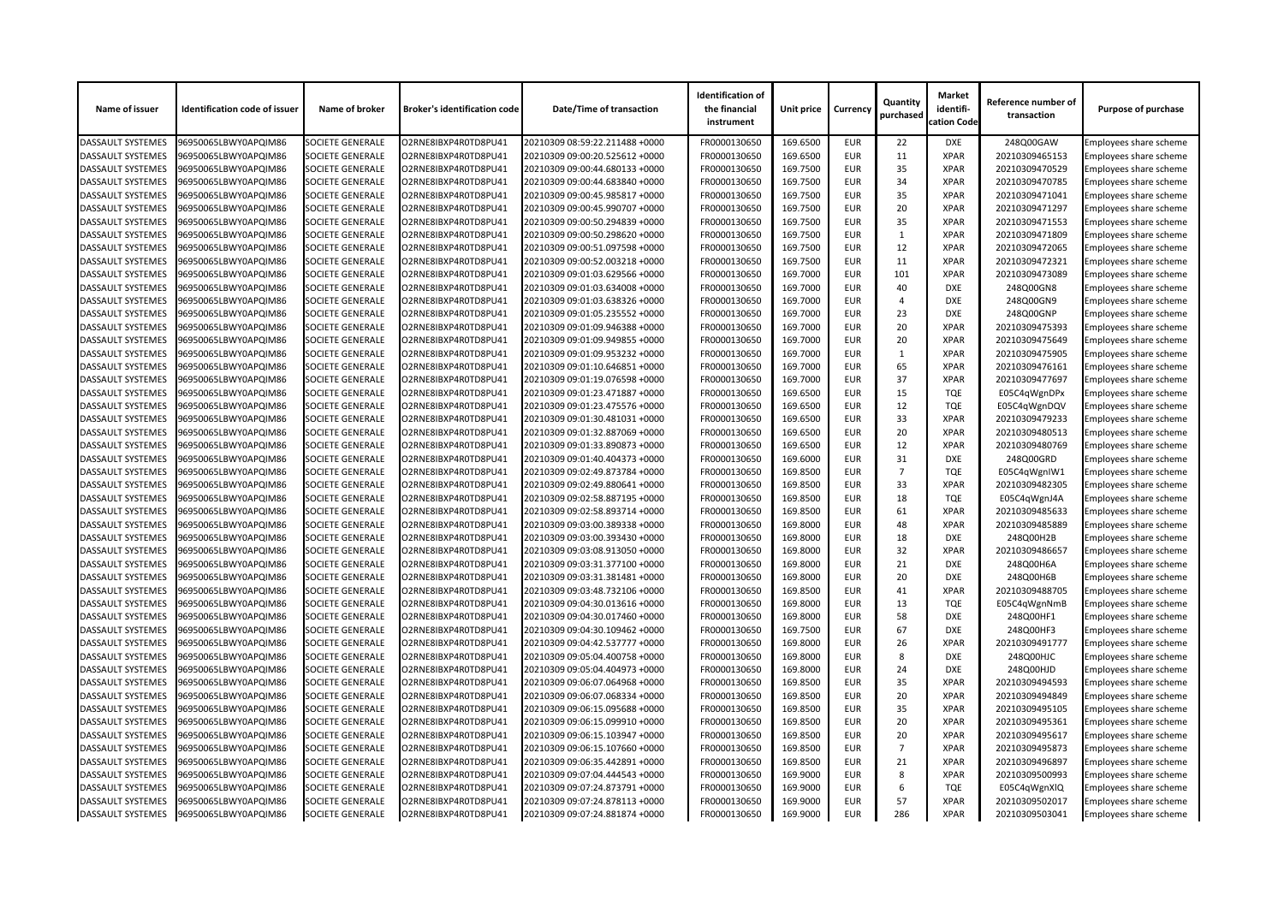| Name of issuer           | <b>Identification code of issuer</b> | Name of broker          | <b>Broker's identification code</b> | Date/Time of transaction       | <b>Identification of</b><br>the financial<br>instrument | <b>Unit price</b> | <b>Currency</b> | Quantity<br>purchased | <b>Market</b><br>identifi-<br>cation Code | Reference number of<br>transaction | <b>Purpose of purchase</b>    |
|--------------------------|--------------------------------------|-------------------------|-------------------------------------|--------------------------------|---------------------------------------------------------|-------------------|-----------------|-----------------------|-------------------------------------------|------------------------------------|-------------------------------|
| <b>DASSAULT SYSTEMES</b> | 96950065LBWY0APQIM86                 | <b>SOCIETE GENERALE</b> | O2RNE8IBXP4R0TD8PU41                | 20210309 08:59:22.211488 +0000 | FR0000130650                                            | 169.6500          | <b>EUR</b>      | 22                    | <b>DXE</b>                                | 248Q00GAW                          | Employees share scheme        |
| <b>DASSAULT SYSTEMES</b> | 96950065LBWY0APQIM86                 | <b>SOCIETE GENERALE</b> | O2RNE8IBXP4R0TD8PU41                | 20210309 09:00:20.525612 +0000 | FR0000130650                                            | 169.6500          | <b>EUR</b>      | 11                    | <b>XPAR</b>                               | 20210309465153                     | <b>Employees share scheme</b> |
| <b>DASSAULT SYSTEMES</b> | 96950065LBWY0APQIM86                 | <b>SOCIETE GENERALE</b> | O2RNE8IBXP4R0TD8PU41                | 20210309 09:00:44.680133 +0000 | FR0000130650                                            | 169.7500          | <b>EUR</b>      | 35                    | <b>XPAR</b>                               | 20210309470529                     | Employees share scheme        |
| <b>DASSAULT SYSTEMES</b> | 96950065LBWY0APQIM86                 | <b>SOCIETE GENERALE</b> | O2RNE8IBXP4R0TD8PU41                | 20210309 09:00:44.683840 +0000 | FR0000130650                                            | 169.7500          | <b>EUR</b>      | 34                    | <b>XPAR</b>                               | 20210309470785                     | Employees share scheme        |
| <b>DASSAULT SYSTEMES</b> | 96950065LBWY0APQIM86                 | <b>SOCIETE GENERALE</b> | O2RNE8IBXP4R0TD8PU41                | 20210309 09:00:45.985817 +0000 | FR0000130650                                            | 169.7500          | <b>EUR</b>      | 35                    | <b>XPAR</b>                               | 20210309471041                     | <b>Employees share scheme</b> |
| <b>DASSAULT SYSTEMES</b> | 96950065LBWY0APQIM86                 | <b>SOCIETE GENERALE</b> | O2RNE8IBXP4R0TD8PU41                | 20210309 09:00:45.990707 +0000 | FR0000130650                                            | 169.7500          | <b>EUR</b>      | 20                    | <b>XPAR</b>                               | 20210309471297                     | Employees share scheme        |
| <b>DASSAULT SYSTEMES</b> | 96950065LBWY0APQIM86                 | <b>SOCIETE GENERALE</b> | O2RNE8IBXP4R0TD8PU41                | 20210309 09:00:50.294839 +0000 | FR0000130650                                            | 169.7500          | <b>EUR</b>      | 35                    | <b>XPAR</b>                               | 20210309471553                     | Employees share scheme        |
| <b>DASSAULT SYSTEMES</b> | 96950065LBWY0APQIM86                 | <b>SOCIETE GENERALE</b> | O2RNE8IBXP4R0TD8PU41                | 20210309 09:00:50.298620 +0000 | FR0000130650                                            | 169.7500          | <b>EUR</b>      |                       | <b>XPAR</b>                               | 20210309471809                     | Employees share scheme        |
| <b>DASSAULT SYSTEMES</b> | 96950065LBWY0APQIM86                 | <b>SOCIETE GENERALE</b> | O2RNE8IBXP4R0TD8PU41                | 20210309 09:00:51.097598 +0000 | FR0000130650                                            | 169.7500          | <b>EUR</b>      | 12                    | <b>XPAR</b>                               | 20210309472065                     | Employees share scheme        |
| <b>DASSAULT SYSTEMES</b> | 96950065LBWY0APQIM86                 | <b>SOCIETE GENERALE</b> | O2RNE8IBXP4R0TD8PU41                | 20210309 09:00:52.003218 +0000 | FR0000130650                                            | 169.7500          | <b>EUR</b>      | 11                    | <b>XPAR</b>                               | 20210309472321                     | Employees share scheme        |
| <b>DASSAULT SYSTEMES</b> | 96950065LBWY0APQIM86                 | <b>SOCIETE GENERALE</b> | O2RNE8IBXP4R0TD8PU41                | 20210309 09:01:03.629566 +0000 | FR0000130650                                            | 169.7000          | <b>EUR</b>      | 101                   | <b>XPAR</b>                               | 20210309473089                     | Employees share scheme        |
| DASSAULT SYSTEMES        | 96950065LBWY0APQIM86                 | <b>SOCIETE GENERALE</b> | O2RNE8IBXP4R0TD8PU41                | 20210309 09:01:03.634008 +0000 | FR0000130650                                            | 169.7000          | <b>EUR</b>      | 40                    | <b>DXE</b>                                | 248Q00GN8                          | Employees share scheme        |
| <b>DASSAULT SYSTEMES</b> | 96950065LBWY0APQIM86                 | <b>SOCIETE GENERALE</b> | O2RNE8IBXP4R0TD8PU41                | 20210309 09:01:03.638326 +0000 | FR0000130650                                            | 169.7000          | <b>EUR</b>      | $\overline{A}$        | <b>DXE</b>                                | 248Q00GN9                          | Employees share scheme        |
| <b>DASSAULT SYSTEMES</b> | 96950065LBWY0APQIM86                 | <b>SOCIETE GENERALE</b> | O2RNE8IBXP4R0TD8PU41                | 20210309 09:01:05.235552 +0000 | FR0000130650                                            | 169.7000          | <b>EUR</b>      | 23                    | <b>DXE</b>                                | 248Q00GNP                          | Employees share scheme        |
| <b>DASSAULT SYSTEMES</b> | 96950065LBWY0APQIM86                 | <b>SOCIETE GENERALE</b> | O2RNE8IBXP4R0TD8PU41                | 20210309 09:01:09.946388 +0000 | FR0000130650                                            | 169.7000          | <b>EUR</b>      | 20                    | <b>XPAR</b>                               | 20210309475393                     | Employees share scheme        |
| <b>DASSAULT SYSTEMES</b> | 96950065LBWY0APQIM86                 | <b>SOCIETE GENERALE</b> | O2RNE8IBXP4R0TD8PU41                | 20210309 09:01:09.949855 +0000 | FR0000130650                                            | 169.7000          | <b>EUR</b>      | 20                    | <b>XPAR</b>                               | 20210309475649                     | Employees share scheme        |
| <b>DASSAULT SYSTEMES</b> | 96950065LBWY0APQIM86                 | <b>SOCIETE GENERALE</b> | O2RNE8IBXP4R0TD8PU41                | 20210309 09:01:09.953232 +0000 | FR0000130650                                            | 169.7000          | <b>EUR</b>      |                       | <b>XPAR</b>                               | 20210309475905                     | Employees share scheme        |
| <b>DASSAULT SYSTEMES</b> | 96950065LBWY0APQIM86                 | <b>SOCIETE GENERALE</b> | O2RNE8IBXP4R0TD8PU41                | 20210309 09:01:10.646851 +0000 | FR0000130650                                            | 169.7000          | <b>EUR</b>      | 65                    | <b>XPAR</b>                               | 20210309476161                     | Employees share scheme        |
| <b>DASSAULT SYSTEMES</b> | 96950065LBWY0APQIM86                 | <b>SOCIETE GENERALE</b> | O2RNE8IBXP4R0TD8PU41                | 20210309 09:01:19.076598 +0000 | FR0000130650                                            | 169.7000          | <b>EUR</b>      | 37                    | <b>XPAR</b>                               | 20210309477697                     | <b>Employees share scheme</b> |
| <b>DASSAULT SYSTEMES</b> | 96950065LBWY0APQIM86                 | <b>SOCIETE GENERALE</b> | O2RNE8IBXP4R0TD8PU41                | 20210309 09:01:23.471887 +0000 | FR0000130650                                            | 169.6500          | <b>EUR</b>      | 15                    | <b>TQE</b>                                | E05C4qWgnDPx                       | Employees share scheme        |
| <b>DASSAULT SYSTEMES</b> | 96950065LBWY0APQIM86                 | <b>SOCIETE GENERALE</b> | O2RNE8IBXP4R0TD8PU41                | 20210309 09:01:23.475576 +0000 | FR0000130650                                            | 169.6500          | <b>EUR</b>      | 12                    | <b>TQE</b>                                | E05C4qWgnDQV                       | Employees share scheme        |
| <b>DASSAULT SYSTEMES</b> | 96950065LBWY0APQIM86                 | <b>SOCIETE GENERALE</b> | O2RNE8IBXP4R0TD8PU41                | 20210309 09:01:30.481031 +0000 | FR0000130650                                            | 169.6500          | <b>EUR</b>      | 33                    | <b>XPAR</b>                               | 20210309479233                     | <b>Employees share scheme</b> |
| <b>DASSAULT SYSTEMES</b> | 96950065LBWY0APQIM86                 | <b>SOCIETE GENERALE</b> | O2RNE8IBXP4R0TD8PU41                | 20210309 09:01:32.887069 +0000 | FR0000130650                                            | 169.6500          | <b>EUR</b>      | 20                    | <b>XPAR</b>                               | 20210309480513                     | Employees share scheme        |
| <b>DASSAULT SYSTEMES</b> | 96950065LBWY0APQIM86                 | <b>SOCIETE GENERALE</b> | O2RNE8IBXP4R0TD8PU41                | 20210309 09:01:33.890873 +0000 | FR0000130650                                            | 169.6500          | <b>EUR</b>      | 12                    | <b>XPAR</b>                               | 20210309480769                     | Employees share scheme        |
| <b>DASSAULT SYSTEMES</b> | 96950065LBWY0APQIM86                 | <b>SOCIETE GENERALE</b> | O2RNE8IBXP4R0TD8PU41                | 20210309 09:01:40.404373 +0000 | FR0000130650                                            | 169.6000          | <b>EUR</b>      | 31                    | <b>DXE</b>                                | 248Q00GRD                          | <b>Employees share scheme</b> |
| <b>DASSAULT SYSTEMES</b> | 96950065LBWY0APQIM86                 | <b>SOCIETE GENERALE</b> | O2RNE8IBXP4R0TD8PU41                | 20210309 09:02:49.873784 +0000 | FR0000130650                                            | 169.8500          | <b>EUR</b>      | $\overline{7}$        | <b>TQE</b>                                | E05C4qWgnIW1                       | Employees share scheme        |
| <b>DASSAULT SYSTEMES</b> | 96950065LBWY0APQIM86                 | <b>SOCIETE GENERALE</b> | O2RNE8IBXP4R0TD8PU41                | 20210309 09:02:49.880641 +0000 | FR0000130650                                            | 169.8500          | <b>EUR</b>      | 33                    | <b>XPAR</b>                               | 20210309482305                     | Employees share scheme        |
| <b>DASSAULT SYSTEMES</b> | 96950065LBWY0APQIM86                 | <b>SOCIETE GENERALE</b> | O2RNE8IBXP4R0TD8PU41                | 20210309 09:02:58.887195 +0000 | FR0000130650                                            | 169.8500          | <b>EUR</b>      | 18                    | <b>TQE</b>                                | E05C4qWgnJ4A                       | <b>Employees share scheme</b> |
| <b>DASSAULT SYSTEMES</b> | 96950065LBWY0APQIM86                 | <b>SOCIETE GENERALE</b> | O2RNE8IBXP4R0TD8PU41                | 20210309 09:02:58.893714 +0000 | FR0000130650                                            | 169.8500          | <b>EUR</b>      | 61                    | <b>XPAR</b>                               | 20210309485633                     | Employees share scheme        |
| <b>DASSAULT SYSTEMES</b> | 96950065LBWY0APQIM86                 | <b>SOCIETE GENERALE</b> | O2RNE8IBXP4R0TD8PU41                | 20210309 09:03:00.389338 +0000 | FR0000130650                                            | 169.8000          | <b>EUR</b>      | 48                    | <b>XPAR</b>                               | 20210309485889                     | Employees share scheme        |
| <b>DASSAULT SYSTEMES</b> | 96950065LBWY0APQIM86                 | <b>SOCIETE GENERALE</b> | O2RNE8IBXP4R0TD8PU41                | 20210309 09:03:00.393430 +0000 | FR0000130650                                            | 169.8000          | <b>EUR</b>      | 18                    | <b>DXE</b>                                | 248Q00H2B                          | Employees share scheme        |
| <b>DASSAULT SYSTEMES</b> | 96950065LBWY0APQIM86                 | <b>SOCIETE GENERALE</b> | O2RNE8IBXP4R0TD8PU41                | 20210309 09:03:08.913050 +0000 | FR0000130650                                            | 169.8000          | <b>EUR</b>      | 32                    | <b>XPAR</b>                               | 20210309486657                     | <b>Employees share scheme</b> |
| <b>DASSAULT SYSTEMES</b> | 96950065LBWY0APQIM86                 | <b>SOCIETE GENERALE</b> | O2RNE8IBXP4R0TD8PU41                | 20210309 09:03:31.377100 +0000 | FR0000130650                                            | 169.8000          | <b>EUR</b>      | 21                    | <b>DXE</b>                                | 248Q00H6A                          | Employees share scheme        |
| <b>DASSAULT SYSTEMES</b> | 96950065LBWY0APQIM86                 | <b>SOCIETE GENERALE</b> | O2RNE8IBXP4R0TD8PU41                | 20210309 09:03:31.381481 +0000 | FR0000130650                                            | 169.8000          | <b>EUR</b>      | 20                    | DXE                                       | 248Q00H6B                          | Employees share scheme        |
| <b>DASSAULT SYSTEMES</b> | 96950065LBWY0APQIM86                 | <b>SOCIETE GENERALE</b> | O2RNE8IBXP4R0TD8PU41                | 20210309 09:03:48.732106 +0000 | FR0000130650                                            | 169.8500          | <b>EUR</b>      | 41                    | <b>XPAR</b>                               | 20210309488705                     | Employees share scheme        |
| <b>DASSAULT SYSTEMES</b> | 96950065LBWY0APQIM86                 | <b>SOCIETE GENERALE</b> | O2RNE8IBXP4R0TD8PU41                | 20210309 09:04:30.013616 +0000 | FR0000130650                                            | 169.8000          | <b>EUR</b>      | 13                    | <b>TQE</b>                                | E05C4qWgnNmB                       | Employees share scheme        |
| <b>DASSAULT SYSTEMES</b> | 96950065LBWY0APQIM86                 | SOCIETE GENERALE        | O2RNE8IBXP4R0TD8PU41                | 20210309 09:04:30.017460 +0000 | FR0000130650                                            | 169.8000          | <b>EUR</b>      | 58                    | <b>DXE</b>                                | 248Q00HF1                          | Employees share scheme        |
| <b>DASSAULT SYSTEMES</b> | 96950065LBWY0APQIM86                 | <b>SOCIETE GENERALE</b> | O2RNE8IBXP4R0TD8PU41                | 20210309 09:04:30.109462 +0000 | FR0000130650                                            | 169.7500          | <b>EUR</b>      | 67                    | <b>DXE</b>                                | 248Q00HF3                          | Employees share scheme        |
| <b>DASSAULT SYSTEMES</b> | 96950065LBWY0APQIM86                 | <b>SOCIETE GENERALE</b> | O2RNE8IBXP4R0TD8PU41                | 20210309 09:04:42.537777 +0000 | FR0000130650                                            | 169.8000          | <b>EUR</b>      | 26                    | <b>XPAR</b>                               | 20210309491777                     | Employees share scheme        |
| <b>DASSAULT SYSTEMES</b> | 96950065LBWY0APQIM86                 | <b>SOCIETE GENERALE</b> | O2RNE8IBXP4R0TD8PU41                | 20210309 09:05:04.400758 +0000 | FR0000130650                                            | 169.8000          | <b>EUR</b>      | 8                     | <b>DXE</b>                                | 248Q00HJC                          | Employees share scheme        |
| <b>DASSAULT SYSTEMES</b> | 96950065LBWY0APQIM86                 | <b>SOCIETE GENERALE</b> | O2RNE8IBXP4R0TD8PU41                | 20210309 09:05:04.404973 +0000 | FR0000130650                                            | 169.8000          | <b>EUR</b>      | 24                    | <b>DXE</b>                                | 248Q00HJD                          | Employees share scheme        |
| <b>DASSAULT SYSTEMES</b> | 96950065LBWY0APQIM86                 | <b>SOCIETE GENERALE</b> | O2RNE8IBXP4R0TD8PU41                | 20210309 09:06:07.064968 +0000 | FR0000130650                                            | 169.8500          | <b>EUR</b>      | 35                    | <b>XPAR</b>                               | 20210309494593                     | <b>Employees share scheme</b> |
| <b>DASSAULT SYSTEMES</b> | 96950065LBWY0APQIM86                 | <b>SOCIETE GENERALE</b> | O2RNE8IBXP4R0TD8PU41                | 20210309 09:06:07.068334 +0000 | FR0000130650                                            | 169.8500          | <b>EUR</b>      | 20                    | <b>XPAR</b>                               | 20210309494849                     | Employees share scheme        |
| <b>DASSAULT SYSTEMES</b> | 96950065LBWY0APQIM86                 | <b>SOCIETE GENERALE</b> | O2RNE8IBXP4R0TD8PU41                | 20210309 09:06:15.095688 +0000 | FR0000130650                                            | 169.8500          | <b>EUR</b>      | 35                    | <b>XPAR</b>                               | 20210309495105                     | Employees share scheme        |
| <b>DASSAULT SYSTEMES</b> | 96950065LBWY0APQIM86                 | <b>SOCIETE GENERALE</b> | O2RNE8IBXP4R0TD8PU41                | 20210309 09:06:15.099910 +0000 | FR0000130650                                            | 169.8500          | <b>EUR</b>      | 20                    | <b>XPAR</b>                               | 20210309495361                     | Employees share scheme        |
| <b>DASSAULT SYSTEMES</b> | 96950065LBWY0APQIM86                 | <b>SOCIETE GENERALE</b> | O2RNE8IBXP4R0TD8PU41                | 20210309 09:06:15.103947 +0000 | FR0000130650                                            | 169.8500          | <b>EUR</b>      | 20                    | <b>XPAR</b>                               | 20210309495617                     | Employees share scheme        |
| <b>DASSAULT SYSTEMES</b> | 96950065LBWY0APQIM86                 | <b>SOCIETE GENERALE</b> | O2RNE8IBXP4R0TD8PU41                | 20210309 09:06:15.107660 +0000 | FR0000130650                                            | 169.8500          | <b>EUR</b>      | $\overline{7}$        | <b>XPAR</b>                               | 20210309495873                     | <b>Employees share scheme</b> |
| <b>DASSAULT SYSTEMES</b> | 96950065LBWY0APQIM86                 | <b>SOCIETE GENERALE</b> | O2RNE8IBXP4R0TD8PU41                | 20210309 09:06:35.442891 +0000 | FR0000130650                                            | 169.8500          | <b>EUR</b>      | 21                    | <b>XPAR</b>                               | 20210309496897                     | Employees share scheme        |
| <b>DASSAULT SYSTEMES</b> | 96950065LBWY0APQIM86                 | <b>SOCIETE GENERALE</b> | O2RNE8IBXP4R0TD8PU41                | 20210309 09:07:04.444543 +0000 | FR0000130650                                            | 169.9000          | <b>EUR</b>      | 8                     | <b>XPAR</b>                               | 20210309500993                     | Employees share scheme        |
| <b>DASSAULT SYSTEMES</b> | 96950065LBWY0APQIM86                 | <b>SOCIETE GENERALE</b> | O2RNE8IBXP4R0TD8PU41                | 20210309 09:07:24.873791 +0000 | FR0000130650                                            | 169.9000          | <b>EUR</b>      | 6                     | TQE                                       | E05C4qWgnXlQ                       | <b>Employees share scheme</b> |
| <b>DASSAULT SYSTEMES</b> | 96950065LBWY0APQIM86                 | <b>SOCIETE GENERALE</b> | O2RNE8IBXP4R0TD8PU41                | 20210309 09:07:24.878113 +0000 | FR0000130650                                            | 169.9000          | <b>EUR</b>      | 57                    | <b>XPAR</b>                               | 20210309502017                     | Employees share scheme        |
| <b>DASSAULT SYSTEMES</b> | 96950065LBWY0APQIM86                 | SOCIETE GENERALE        | O2RNE8IBXP4R0TD8PU41                | 20210309 09:07:24.881874 +0000 | FR0000130650                                            | 169.9000          | <b>EUR</b>      | 286                   | <b>XPAR</b>                               | 20210309503041                     | <b>Employees share scheme</b> |